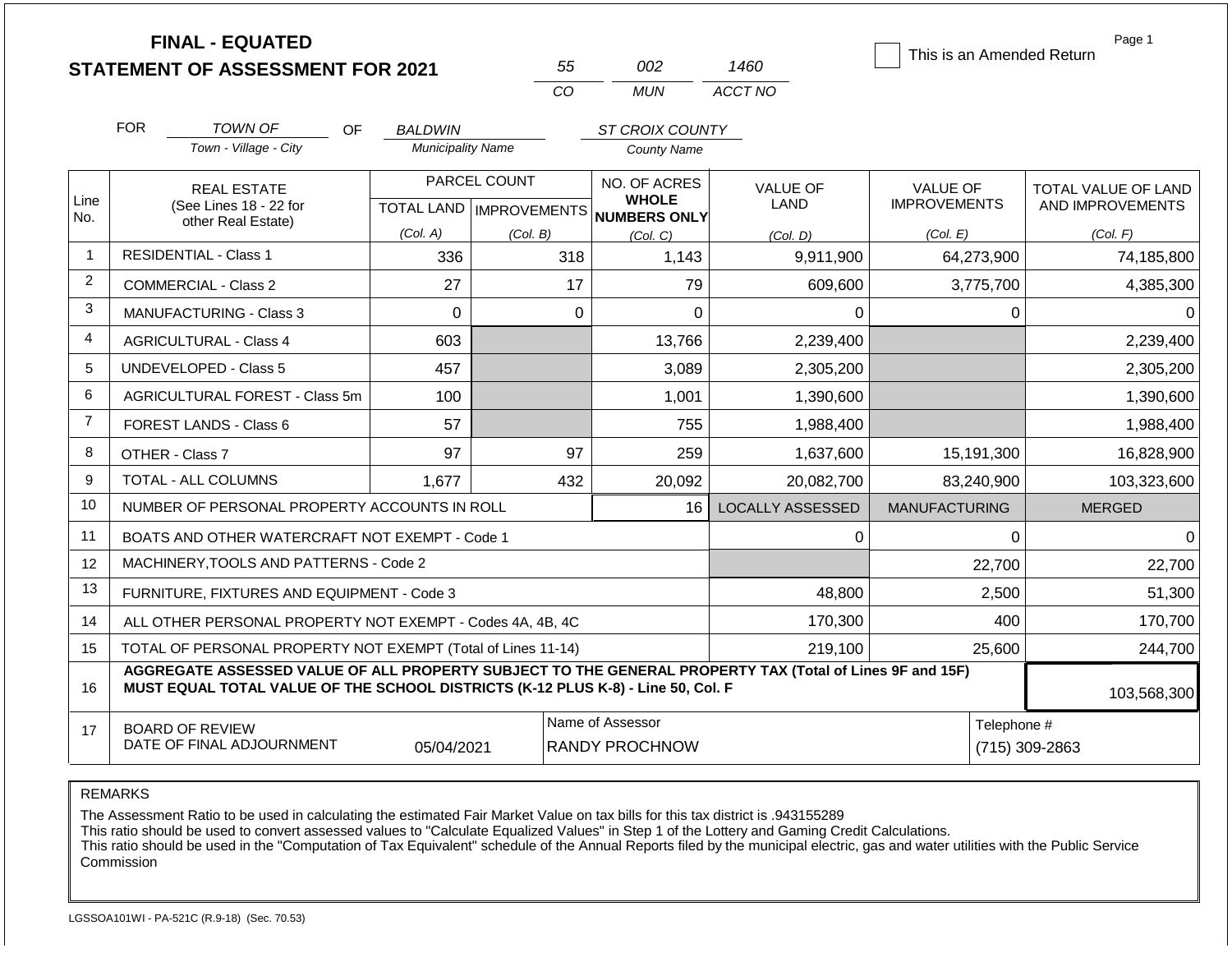|                |                                                                                                                               | <b>FINAL - EQUATED</b><br><b>STATEMENT OF ASSESSMENT FOR 2021</b>                                                                                                                            |                                            |              | 55           | 002                                   | 1460                    |                                        |                | Page 1<br>This is an Amended Return     |
|----------------|-------------------------------------------------------------------------------------------------------------------------------|----------------------------------------------------------------------------------------------------------------------------------------------------------------------------------------------|--------------------------------------------|--------------|--------------|---------------------------------------|-------------------------|----------------------------------------|----------------|-----------------------------------------|
|                |                                                                                                                               |                                                                                                                                                                                              |                                            | CO           |              | <b>MUN</b>                            | ACCT NO                 |                                        |                |                                         |
|                | <b>FOR</b>                                                                                                                    |                                                                                                                                                                                              |                                            |              |              |                                       |                         |                                        |                |                                         |
|                |                                                                                                                               | <b>TOWN OF</b><br><b>OF</b><br>Town - Village - City                                                                                                                                         | <b>BALDWIN</b><br><b>Municipality Name</b> |              |              | ST CROIX COUNTY<br><b>County Name</b> |                         |                                        |                |                                         |
|                |                                                                                                                               |                                                                                                                                                                                              |                                            |              |              |                                       |                         |                                        |                |                                         |
| Line           |                                                                                                                               | <b>REAL ESTATE</b><br>(See Lines 18 - 22 for                                                                                                                                                 |                                            | PARCEL COUNT |              | NO. OF ACRES<br><b>WHOLE</b>          | <b>VALUE OF</b><br>LAND | <b>VALUE OF</b><br><b>IMPROVEMENTS</b> |                | TOTAL VALUE OF LAND<br>AND IMPROVEMENTS |
| No.            | other Real Estate)                                                                                                            |                                                                                                                                                                                              | TOTAL LAND   IMPROVEMENTS                  |              | NUMBERS ONLY |                                       |                         |                                        |                |                                         |
| -1             |                                                                                                                               | <b>RESIDENTIAL - Class 1</b>                                                                                                                                                                 | (Col. A)<br>336                            | (Col. B)     | 318          | (Col, C)<br>1,143                     | (Col. D)<br>9,911,900   | (Col. E)                               | 64,273,900     | (Col. F)<br>74,185,800                  |
| $\overline{2}$ |                                                                                                                               | <b>COMMERCIAL - Class 2</b>                                                                                                                                                                  | 27                                         |              | 17           | 79                                    |                         |                                        |                |                                         |
| 3              |                                                                                                                               |                                                                                                                                                                                              |                                            |              |              |                                       | 609,600                 |                                        | 3,775,700      | 4,385,300                               |
|                | $\Omega$<br><b>MANUFACTURING - Class 3</b>                                                                                    |                                                                                                                                                                                              |                                            | $\Omega$     | $\Omega$     | $\Omega$                              |                         | 0                                      | 0              |                                         |
| 4              |                                                                                                                               | <b>AGRICULTURAL - Class 4</b>                                                                                                                                                                | 603                                        |              |              | 13,766                                | 2,239,400               |                                        |                | 2,239,400                               |
| 5              |                                                                                                                               | UNDEVELOPED - Class 5                                                                                                                                                                        | 457                                        |              |              | 3,089                                 | 2,305,200               |                                        |                | 2,305,200                               |
| 6              |                                                                                                                               | AGRICULTURAL FOREST - Class 5m                                                                                                                                                               | 100                                        |              |              | 1,001                                 | 1,390,600               |                                        |                | 1,390,600                               |
| $\overline{7}$ |                                                                                                                               | <b>FOREST LANDS - Class 6</b>                                                                                                                                                                | 57                                         |              |              | 755                                   | 1,988,400               |                                        |                | 1,988,400                               |
| 8              | OTHER - Class 7                                                                                                               |                                                                                                                                                                                              | 97                                         |              | 97           | 259                                   | 1,637,600               |                                        | 15,191,300     | 16,828,900                              |
| 9              |                                                                                                                               | <b>TOTAL - ALL COLUMNS</b>                                                                                                                                                                   | 1,677                                      |              | 432          | 20,092                                | 20,082,700              |                                        | 83,240,900     | 103,323,600                             |
| 10             |                                                                                                                               | NUMBER OF PERSONAL PROPERTY ACCOUNTS IN ROLL                                                                                                                                                 |                                            |              |              | 16                                    | <b>LOCALLY ASSESSED</b> | <b>MANUFACTURING</b>                   |                | <b>MERGED</b>                           |
| 11             |                                                                                                                               | BOATS AND OTHER WATERCRAFT NOT EXEMPT - Code 1                                                                                                                                               |                                            |              |              |                                       | 0                       |                                        | $\Omega$       | $\Omega$                                |
| 12             |                                                                                                                               | MACHINERY, TOOLS AND PATTERNS - Code 2                                                                                                                                                       |                                            |              |              |                                       |                         |                                        | 22,700         | 22,700                                  |
| 13             |                                                                                                                               | FURNITURE, FIXTURES AND EQUIPMENT - Code 3                                                                                                                                                   |                                            |              |              |                                       | 48,800                  |                                        | 2,500          | 51,300                                  |
| 14             |                                                                                                                               | ALL OTHER PERSONAL PROPERTY NOT EXEMPT - Codes 4A, 4B, 4C                                                                                                                                    |                                            |              |              |                                       | 170,300                 |                                        | 400            | 170,700                                 |
| 15             |                                                                                                                               | TOTAL OF PERSONAL PROPERTY NOT EXEMPT (Total of Lines 11-14)                                                                                                                                 |                                            |              |              |                                       | 219,100                 | 25,600                                 |                | 244,700                                 |
| 16             |                                                                                                                               | AGGREGATE ASSESSED VALUE OF ALL PROPERTY SUBJECT TO THE GENERAL PROPERTY TAX (Total of Lines 9F and 15F)<br>MUST EQUAL TOTAL VALUE OF THE SCHOOL DISTRICTS (K-12 PLUS K-8) - Line 50, Col. F |                                            |              |              |                                       |                         |                                        |                | 103,568,300                             |
| 17             | Name of Assessor<br>Telephone #<br><b>BOARD OF REVIEW</b><br>DATE OF FINAL ADJOURNMENT<br>05/04/2021<br><b>RANDY PROCHNOW</b> |                                                                                                                                                                                              |                                            |              |              |                                       |                         |                                        | (715) 309-2863 |                                         |

The Assessment Ratio to be used in calculating the estimated Fair Market Value on tax bills for this tax district is .943155289

This ratio should be used to convert assessed values to "Calculate Equalized Values" in Step 1 of the Lottery and Gaming Credit Calculations.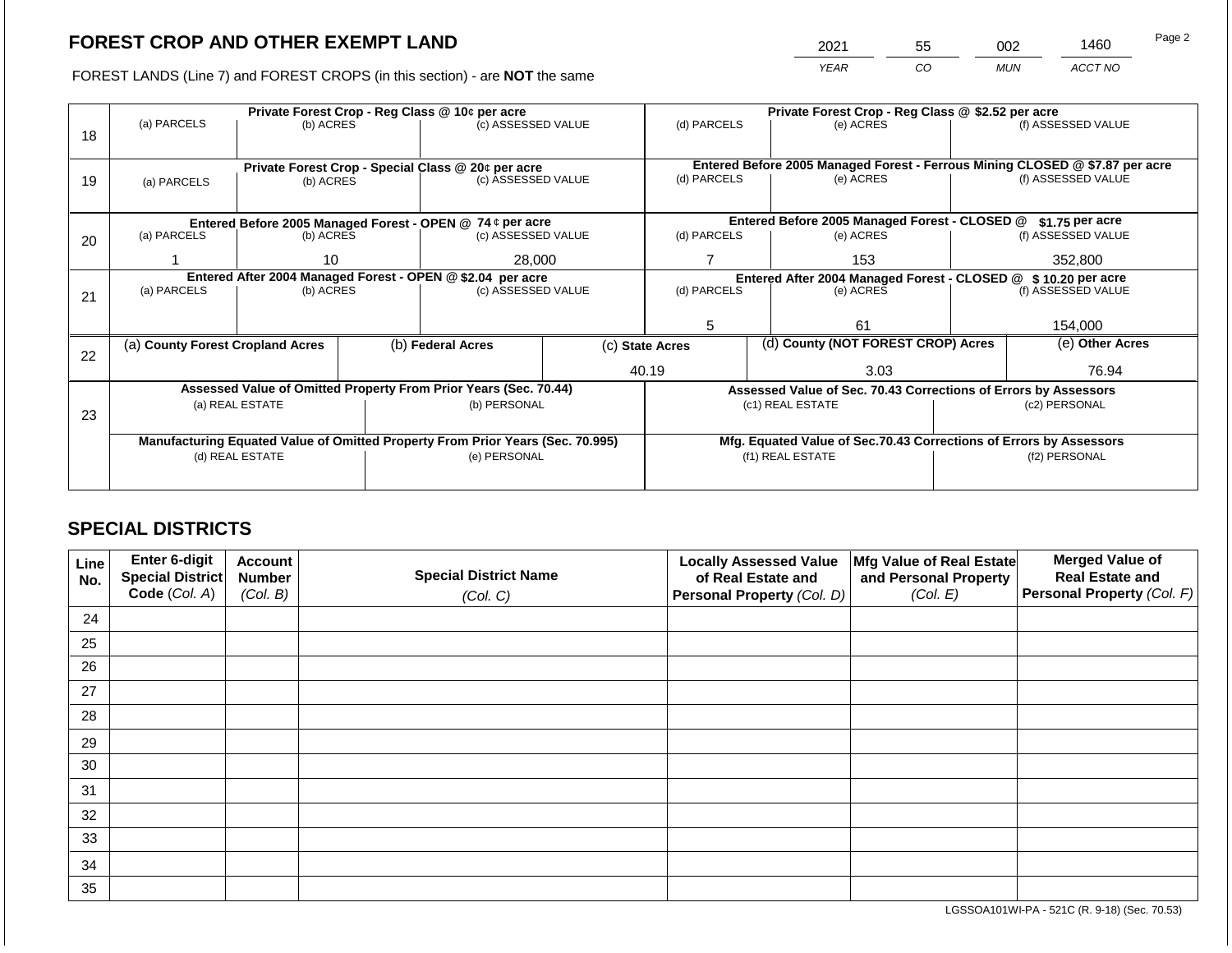2021 55 002 1460 Page 2

FOREST LANDS (Line 7) and FOREST CROPS (in this section) - are **NOT** the same *YEAR CO MUN ACCT NO*

|    |                                                            |                 | Private Forest Crop - Reg Class @ 10¢ per acre |                                                                                | Private Forest Crop - Reg Class @ \$2.52 per acre |                                                                                                          |                 |                                                                    |                    |                    |
|----|------------------------------------------------------------|-----------------|------------------------------------------------|--------------------------------------------------------------------------------|---------------------------------------------------|----------------------------------------------------------------------------------------------------------|-----------------|--------------------------------------------------------------------|--------------------|--------------------|
|    | (a) PARCELS                                                | (b) ACRES       |                                                | (c) ASSESSED VALUE                                                             |                                                   | (d) PARCELS                                                                                              |                 | (e) ACRES                                                          |                    | (f) ASSESSED VALUE |
| 18 |                                                            |                 |                                                |                                                                                |                                                   |                                                                                                          |                 |                                                                    |                    |                    |
|    |                                                            |                 |                                                |                                                                                |                                                   |                                                                                                          |                 |                                                                    |                    |                    |
|    |                                                            |                 |                                                | Private Forest Crop - Special Class @ 20¢ per acre                             |                                                   | Entered Before 2005 Managed Forest - Ferrous Mining CLOSED @ \$7.87 per acre<br>(d) PARCELS<br>(e) ACRES |                 |                                                                    | (f) ASSESSED VALUE |                    |
| 19 | (a) PARCELS                                                | (b) ACRES       |                                                | (c) ASSESSED VALUE                                                             |                                                   |                                                                                                          |                 |                                                                    |                    |                    |
|    |                                                            |                 |                                                |                                                                                |                                                   |                                                                                                          |                 |                                                                    |                    |                    |
|    | Entered Before 2005 Managed Forest - OPEN @ 74 ¢ per acre  |                 |                                                |                                                                                | Entered Before 2005 Managed Forest - CLOSED @     |                                                                                                          | \$1.75 per acre |                                                                    |                    |                    |
| 20 | (a) PARCELS                                                | (b) ACRES       |                                                | (c) ASSESSED VALUE                                                             |                                                   | (d) PARCELS                                                                                              |                 | (e) ACRES                                                          |                    | (f) ASSESSED VALUE |
|    |                                                            |                 |                                                |                                                                                |                                                   |                                                                                                          |                 |                                                                    |                    |                    |
|    |                                                            | 10              |                                                | 28,000                                                                         |                                                   |                                                                                                          | 153             |                                                                    | 352,800            |                    |
|    | Entered After 2004 Managed Forest - OPEN @ \$2.04 per acre |                 |                                                |                                                                                |                                                   | (d) PARCELS                                                                                              |                 | Entered After 2004 Managed Forest - CLOSED @ \$10.20 per acre      |                    |                    |
| 21 | (a) PARCELS                                                | (b) ACRES       |                                                |                                                                                | (c) ASSESSED VALUE                                |                                                                                                          |                 | (e) ACRES                                                          |                    | (f) ASSESSED VALUE |
|    |                                                            |                 |                                                |                                                                                |                                                   |                                                                                                          |                 |                                                                    |                    |                    |
|    |                                                            |                 |                                                |                                                                                |                                                   | 5                                                                                                        |                 | 61                                                                 |                    | 154,000            |
|    | (a) County Forest Cropland Acres                           |                 |                                                | (b) Federal Acres                                                              |                                                   | (d) County (NOT FOREST CROP) Acres<br>(c) State Acres                                                    |                 |                                                                    |                    | (e) Other Acres    |
| 22 |                                                            |                 |                                                |                                                                                |                                                   |                                                                                                          |                 |                                                                    |                    |                    |
|    |                                                            |                 |                                                |                                                                                |                                                   | 40.19                                                                                                    |                 | 3.03                                                               |                    | 76.94              |
|    |                                                            |                 |                                                | Assessed Value of Omitted Property From Prior Years (Sec. 70.44)               |                                                   |                                                                                                          |                 | Assessed Value of Sec. 70.43 Corrections of Errors by Assessors    |                    |                    |
|    |                                                            | (a) REAL ESTATE |                                                | (b) PERSONAL                                                                   |                                                   |                                                                                                          |                 | (c1) REAL ESTATE                                                   |                    | (c2) PERSONAL      |
| 23 |                                                            |                 |                                                |                                                                                |                                                   |                                                                                                          |                 |                                                                    |                    |                    |
|    |                                                            |                 |                                                | Manufacturing Equated Value of Omitted Property From Prior Years (Sec. 70.995) |                                                   |                                                                                                          |                 | Mfg. Equated Value of Sec.70.43 Corrections of Errors by Assessors |                    |                    |
|    |                                                            | (d) REAL ESTATE |                                                | (e) PERSONAL                                                                   |                                                   |                                                                                                          |                 | (f1) REAL ESTATE                                                   | (f2) PERSONAL      |                    |
|    |                                                            |                 |                                                |                                                                                |                                                   |                                                                                                          |                 |                                                                    |                    |                    |
|    |                                                            |                 |                                                |                                                                                |                                                   |                                                                                                          |                 |                                                                    |                    |                    |

## **SPECIAL DISTRICTS**

| Line<br>No. | Enter 6-digit<br>Special District<br>Code (Col. A) | <b>Account</b><br><b>Number</b><br>(Col. B) | <b>Special District Name</b><br>(Col. C) | <b>Locally Assessed Value</b><br>of Real Estate and<br><b>Personal Property (Col. D)</b> | Mfg Value of Real Estate<br>and Personal Property<br>(Col. E) | <b>Merged Value of</b><br><b>Real Estate and</b><br>Personal Property (Col. F) |
|-------------|----------------------------------------------------|---------------------------------------------|------------------------------------------|------------------------------------------------------------------------------------------|---------------------------------------------------------------|--------------------------------------------------------------------------------|
| 24          |                                                    |                                             |                                          |                                                                                          |                                                               |                                                                                |
| 25          |                                                    |                                             |                                          |                                                                                          |                                                               |                                                                                |
| 26          |                                                    |                                             |                                          |                                                                                          |                                                               |                                                                                |
| 27          |                                                    |                                             |                                          |                                                                                          |                                                               |                                                                                |
| 28          |                                                    |                                             |                                          |                                                                                          |                                                               |                                                                                |
| 29          |                                                    |                                             |                                          |                                                                                          |                                                               |                                                                                |
| 30          |                                                    |                                             |                                          |                                                                                          |                                                               |                                                                                |
| 31          |                                                    |                                             |                                          |                                                                                          |                                                               |                                                                                |
| 32          |                                                    |                                             |                                          |                                                                                          |                                                               |                                                                                |
| 33          |                                                    |                                             |                                          |                                                                                          |                                                               |                                                                                |
| 34          |                                                    |                                             |                                          |                                                                                          |                                                               |                                                                                |
| 35          |                                                    |                                             |                                          |                                                                                          |                                                               |                                                                                |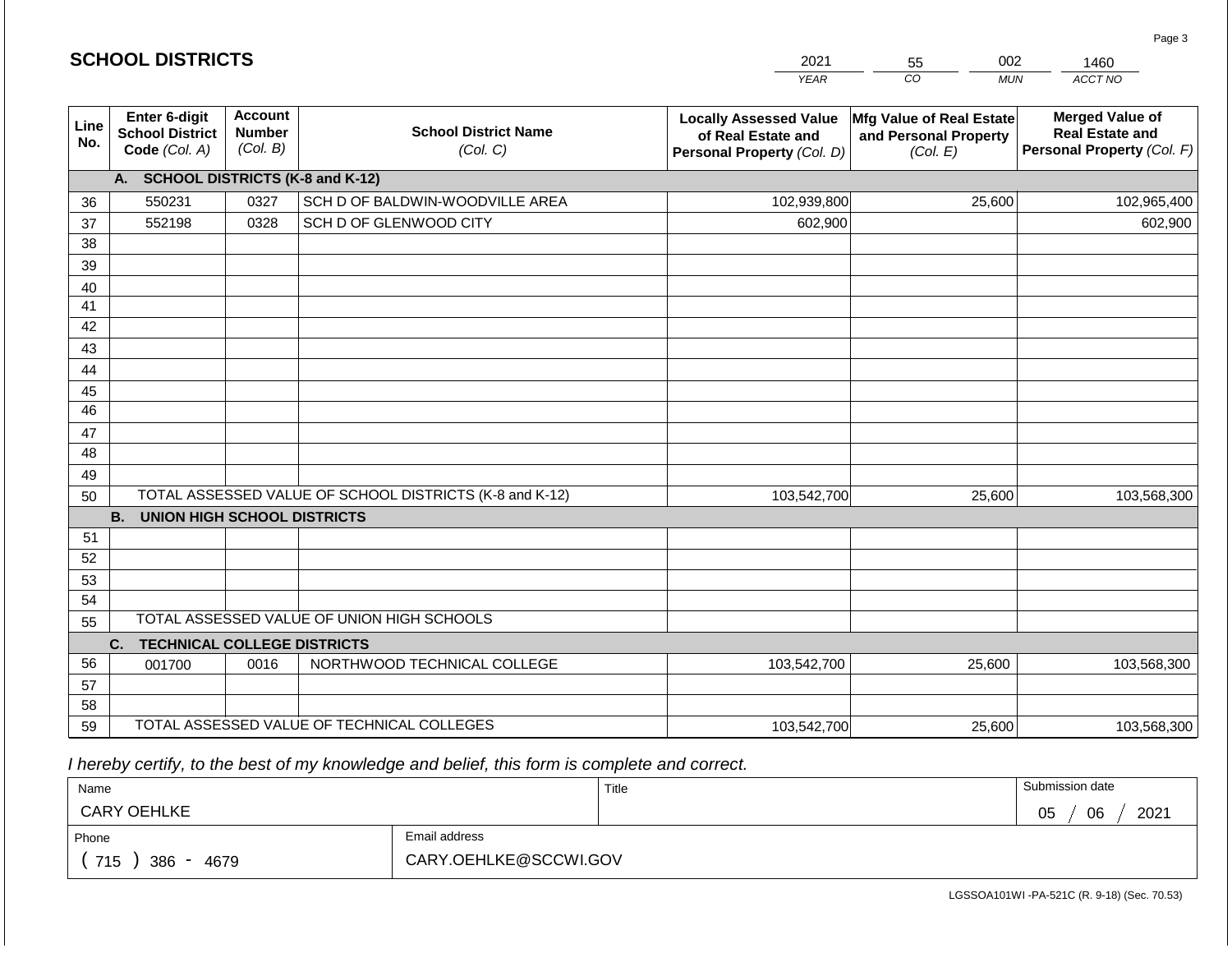|             |                                                          |                                             |                                                         | <b>YEAR</b>                                                                       | CO<br><b>MUN</b>                                              | ACCT NO                                                                        |
|-------------|----------------------------------------------------------|---------------------------------------------|---------------------------------------------------------|-----------------------------------------------------------------------------------|---------------------------------------------------------------|--------------------------------------------------------------------------------|
| Line<br>No. | Enter 6-digit<br><b>School District</b><br>Code (Col. A) | <b>Account</b><br><b>Number</b><br>(Col. B) | <b>School District Name</b><br>(Col. C)                 | <b>Locally Assessed Value</b><br>of Real Estate and<br>Personal Property (Col. D) | Mfg Value of Real Estate<br>and Personal Property<br>(Col. E) | <b>Merged Value of</b><br><b>Real Estate and</b><br>Personal Property (Col. F) |
|             | A. SCHOOL DISTRICTS (K-8 and K-12)                       |                                             |                                                         |                                                                                   |                                                               |                                                                                |
| 36          | 550231                                                   | 0327                                        | SCH D OF BALDWIN-WOODVILLE AREA                         | 102,939,800                                                                       | 25,600                                                        | 102,965,400                                                                    |
| 37          | 552198                                                   | 0328                                        | SCH D OF GLENWOOD CITY                                  | 602,900                                                                           |                                                               | 602,900                                                                        |
| 38          |                                                          |                                             |                                                         |                                                                                   |                                                               |                                                                                |
| 39          |                                                          |                                             |                                                         |                                                                                   |                                                               |                                                                                |
| 40          |                                                          |                                             |                                                         |                                                                                   |                                                               |                                                                                |
| 41          |                                                          |                                             |                                                         |                                                                                   |                                                               |                                                                                |
| 42          |                                                          |                                             |                                                         |                                                                                   |                                                               |                                                                                |
| 43          |                                                          |                                             |                                                         |                                                                                   |                                                               |                                                                                |
| 44          |                                                          |                                             |                                                         |                                                                                   |                                                               |                                                                                |
| 45<br>46    |                                                          |                                             |                                                         |                                                                                   |                                                               |                                                                                |
|             |                                                          |                                             |                                                         |                                                                                   |                                                               |                                                                                |
| 47<br>48    |                                                          |                                             |                                                         |                                                                                   |                                                               |                                                                                |
| 49          |                                                          |                                             |                                                         |                                                                                   |                                                               |                                                                                |
| 50          |                                                          |                                             | TOTAL ASSESSED VALUE OF SCHOOL DISTRICTS (K-8 and K-12) | 103,542,700                                                                       | 25,600                                                        | 103,568,300                                                                    |
|             | <b>B.</b><br><b>UNION HIGH SCHOOL DISTRICTS</b>          |                                             |                                                         |                                                                                   |                                                               |                                                                                |
| 51          |                                                          |                                             |                                                         |                                                                                   |                                                               |                                                                                |
| 52          |                                                          |                                             |                                                         |                                                                                   |                                                               |                                                                                |
| 53          |                                                          |                                             |                                                         |                                                                                   |                                                               |                                                                                |
| 54          |                                                          |                                             |                                                         |                                                                                   |                                                               |                                                                                |
| 55          |                                                          |                                             | TOTAL ASSESSED VALUE OF UNION HIGH SCHOOLS              |                                                                                   |                                                               |                                                                                |
|             | C.<br><b>TECHNICAL COLLEGE DISTRICTS</b>                 |                                             |                                                         |                                                                                   |                                                               |                                                                                |
| 56          | 001700                                                   | 0016                                        | NORTHWOOD TECHNICAL COLLEGE                             | 103,542,700                                                                       | 25,600                                                        | 103,568,300                                                                    |
| 57          |                                                          |                                             |                                                         |                                                                                   |                                                               |                                                                                |
| 58          |                                                          |                                             |                                                         |                                                                                   |                                                               |                                                                                |
| 59          |                                                          |                                             | TOTAL ASSESSED VALUE OF TECHNICAL COLLEGES              | 103,542,700                                                                       | 25,600                                                        | 103,568,300                                                                    |

2021

55

002

 *I hereby certify, to the best of my knowledge and belief, this form is complete and correct.*

**SCHOOL DISTRICTS**

| Name               |                       | Title | Submission date  |
|--------------------|-----------------------|-------|------------------|
| <b>CARY OEHLKE</b> |                       |       | 06<br>2021<br>05 |
| Phone              | Email address         |       |                  |
| 715<br>386<br>4679 | CARY.OEHLKE@SCCWI.GOV |       |                  |

Page 3

1460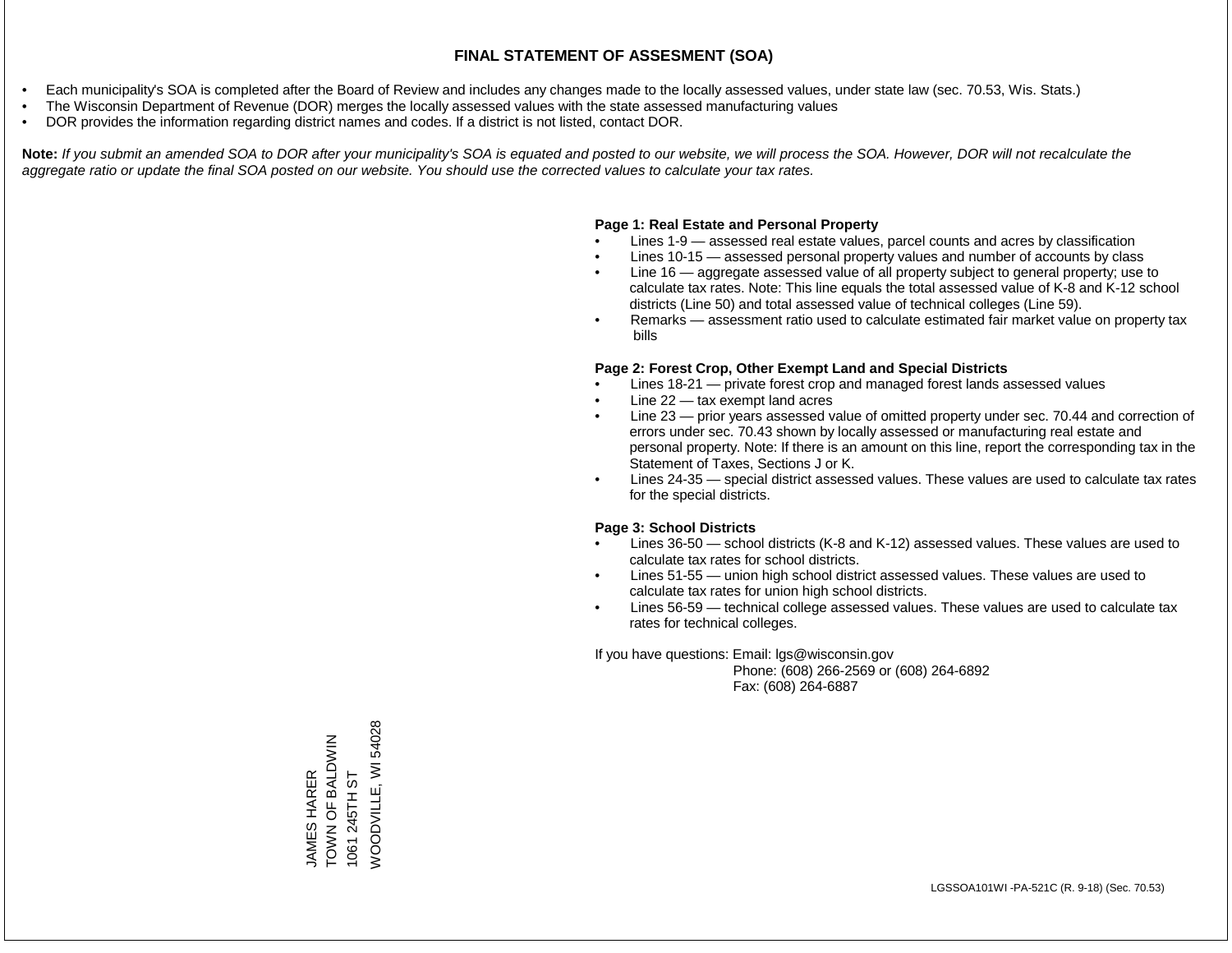- Each municipality's SOA is completed after the Board of Review and includes any changes made to the locally assessed values, under state law (sec. 70.53, Wis. Stats.)
- The Wisconsin Department of Revenue (DOR) merges the locally assessed values with the state assessed manufacturing values
- DOR provides the information regarding district names and codes. If a district is not listed, contact DOR.

Note: If you submit an amended SOA to DOR after your municipality's SOA is equated and posted to our website, we will process the SOA. However, DOR will not recalculate the *aggregate ratio or update the final SOA posted on our website. You should use the corrected values to calculate your tax rates.*

#### **Page 1: Real Estate and Personal Property**

- Lines 1-9 assessed real estate values, parcel counts and acres by classification
- Lines 10-15 assessed personal property values and number of accounts by class
- Line 16 aggregate assessed value of all property subject to general property; use to calculate tax rates. Note: This line equals the total assessed value of K-8 and K-12 school districts (Line 50) and total assessed value of technical colleges (Line 59).
- Remarks assessment ratio used to calculate estimated fair market value on property tax bills

#### **Page 2: Forest Crop, Other Exempt Land and Special Districts**

- Lines 18-21 private forest crop and managed forest lands assessed values
- Line  $22 -$  tax exempt land acres
- Line 23 prior years assessed value of omitted property under sec. 70.44 and correction of errors under sec. 70.43 shown by locally assessed or manufacturing real estate and personal property. Note: If there is an amount on this line, report the corresponding tax in the Statement of Taxes, Sections J or K.
- Lines 24-35 special district assessed values. These values are used to calculate tax rates for the special districts.

#### **Page 3: School Districts**

- Lines 36-50 school districts (K-8 and K-12) assessed values. These values are used to calculate tax rates for school districts.
- Lines 51-55 union high school district assessed values. These values are used to calculate tax rates for union high school districts.
- Lines 56-59 technical college assessed values. These values are used to calculate tax rates for technical colleges.

If you have questions: Email: lgs@wisconsin.gov

 Phone: (608) 266-2569 or (608) 264-6892 Fax: (608) 264-6887

**NOODVILLE, WI 54028** WOODVILLE, WI 54028TOWN OF BALDWIN JAMES HARER<br>TOWN OF BALDWIN 1061 245TH ST 1061 245TH ST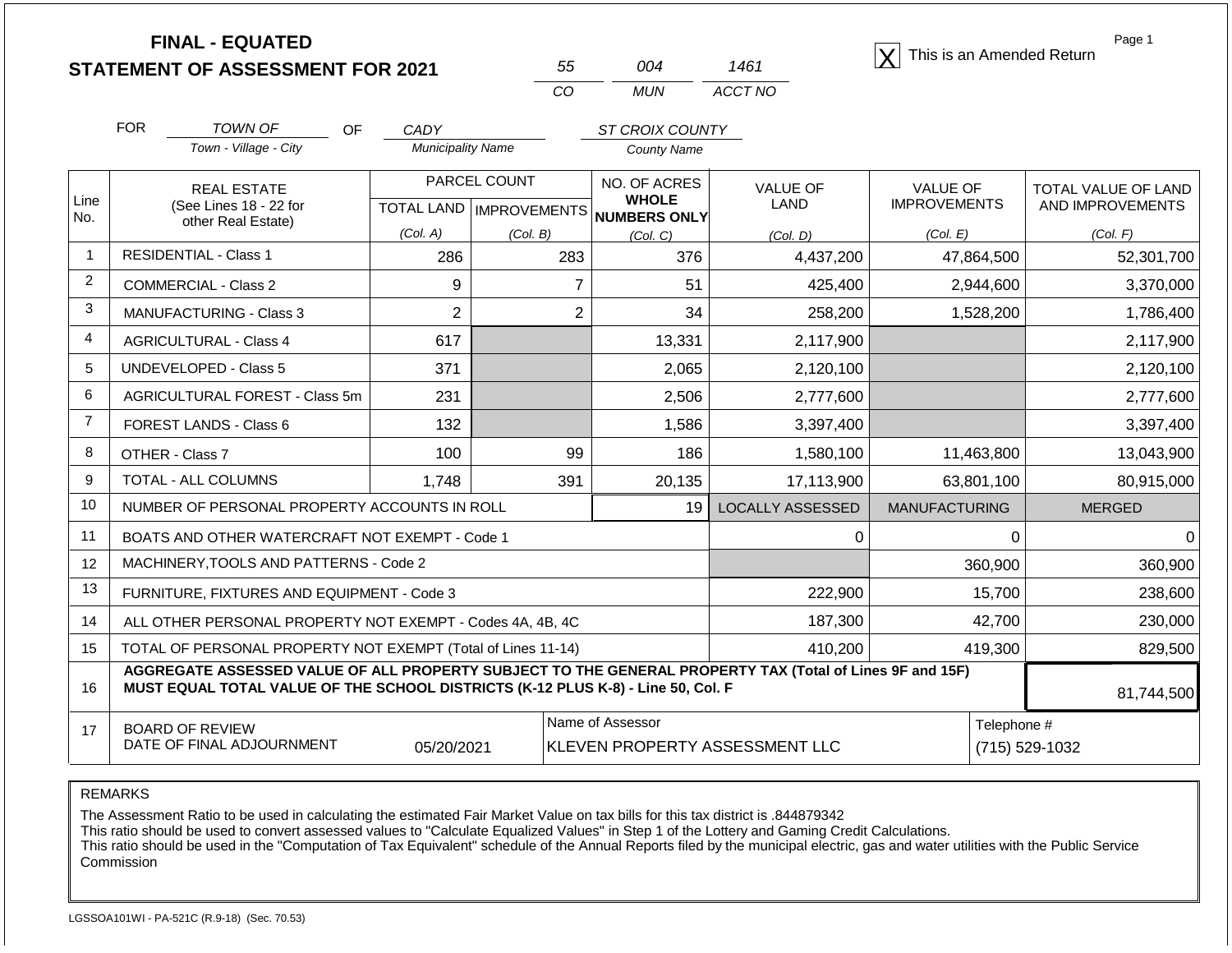**STATEMENT OF ASSESSMENT FOR 2021**

| 55  | ∩∩⊿ | 1461    |
|-----|-----|---------|
| CO. | MUN | ACCT NO |

**FINAL - EQUATED**<br>  $\overline{X}$  This is an Amended Return

Page 1

| Line<br>No.<br>$\overline{1}$<br>2 | Town - Village - City<br><b>REAL ESTATE</b><br>(See Lines 18 - 22 for<br>other Real Estate)                                                                                                                | <b>Municipality Name</b> |                                | <b>County Name</b>                                   |                         |                      |                     |  |  |
|------------------------------------|------------------------------------------------------------------------------------------------------------------------------------------------------------------------------------------------------------|--------------------------|--------------------------------|------------------------------------------------------|-------------------------|----------------------|---------------------|--|--|
|                                    |                                                                                                                                                                                                            |                          |                                |                                                      |                         |                      |                     |  |  |
|                                    |                                                                                                                                                                                                            | PARCEL COUNT             |                                | NO. OF ACRES                                         | <b>VALUE OF</b>         | <b>VALUE OF</b>      | TOTAL VALUE OF LAND |  |  |
|                                    |                                                                                                                                                                                                            |                          |                                | <b>WHOLE</b><br>TOTAL LAND IMPROVEMENTS NUMBERS ONLY | LAND                    | <b>IMPROVEMENTS</b>  | AND IMPROVEMENTS    |  |  |
|                                    |                                                                                                                                                                                                            | (Col. A)                 | (Col. B)                       | (Col, C)                                             | (Col, D)                | (Col. E)             | (Col. F)            |  |  |
|                                    | <b>RESIDENTIAL - Class 1</b>                                                                                                                                                                               | 286                      | 283                            | 376                                                  | 4,437,200               | 47,864,500           | 52,301,700          |  |  |
|                                    | <b>COMMERCIAL - Class 2</b>                                                                                                                                                                                | 9                        | $\overline{7}$                 | 51                                                   | 425,400                 | 2,944,600            | 3,370,000           |  |  |
| 3                                  | <b>MANUFACTURING - Class 3</b>                                                                                                                                                                             | $\overline{2}$           | 2                              | 34                                                   | 258,200                 | 1,528,200            | 1,786,400           |  |  |
| 4                                  | <b>AGRICULTURAL - Class 4</b>                                                                                                                                                                              | 617                      |                                | 13,331                                               | 2,117,900               |                      | 2,117,900           |  |  |
| 5                                  | <b>UNDEVELOPED - Class 5</b>                                                                                                                                                                               | 371                      |                                | 2,065                                                | 2,120,100               |                      | 2,120,100           |  |  |
| 6                                  | AGRICULTURAL FOREST - Class 5m                                                                                                                                                                             | 231                      |                                | 2,506                                                | 2,777,600               |                      | 2,777,600           |  |  |
| $\overline{7}$                     | <b>FOREST LANDS - Class 6</b>                                                                                                                                                                              | 132                      |                                | 1,586                                                | 3,397,400               |                      | 3,397,400           |  |  |
| 8                                  | OTHER - Class 7                                                                                                                                                                                            | 100                      | 99                             | 186                                                  | 1,580,100               | 11,463,800           | 13,043,900          |  |  |
| 9                                  | TOTAL - ALL COLUMNS                                                                                                                                                                                        | 1,748                    | 391                            | 20,135                                               | 17,113,900              | 63,801,100           | 80,915,000          |  |  |
| 10                                 | NUMBER OF PERSONAL PROPERTY ACCOUNTS IN ROLL                                                                                                                                                               |                          |                                | 19 <sup>1</sup>                                      | <b>LOCALLY ASSESSED</b> | <b>MANUFACTURING</b> | <b>MERGED</b>       |  |  |
| 11                                 | BOATS AND OTHER WATERCRAFT NOT EXEMPT - Code 1                                                                                                                                                             |                          |                                |                                                      | 0                       | $\Omega$             | O                   |  |  |
| 12                                 | MACHINERY, TOOLS AND PATTERNS - Code 2                                                                                                                                                                     |                          |                                |                                                      |                         | 360,900              | 360,900             |  |  |
| 13                                 | FURNITURE, FIXTURES AND EQUIPMENT - Code 3                                                                                                                                                                 |                          |                                |                                                      | 222,900                 | 15,700               | 238,600             |  |  |
| 14                                 | ALL OTHER PERSONAL PROPERTY NOT EXEMPT - Codes 4A, 4B, 4C                                                                                                                                                  |                          |                                |                                                      | 187,300                 | 42,700               | 230,000             |  |  |
| 15                                 | TOTAL OF PERSONAL PROPERTY NOT EXEMPT (Total of Lines 11-14)                                                                                                                                               |                          |                                |                                                      | 410,200                 | 419,300              | 829,500             |  |  |
| 16                                 | AGGREGATE ASSESSED VALUE OF ALL PROPERTY SUBJECT TO THE GENERAL PROPERTY TAX (Total of Lines 9F and 15F)<br>MUST EQUAL TOTAL VALUE OF THE SCHOOL DISTRICTS (K-12 PLUS K-8) - Line 50, Col. F<br>81,744,500 |                          |                                |                                                      |                         |                      |                     |  |  |
| 17                                 | <b>BOARD OF REVIEW</b><br>DATE OF FINAL ADJOURNMENT                                                                                                                                                        | 05/20/2021               | KLEVEN PROPERTY ASSESSMENT LLC | Telephone #                                          | (715) 529-1032          |                      |                     |  |  |

REMARKS

The Assessment Ratio to be used in calculating the estimated Fair Market Value on tax bills for this tax district is .844879342

This ratio should be used to convert assessed values to "Calculate Equalized Values" in Step 1 of the Lottery and Gaming Credit Calculations.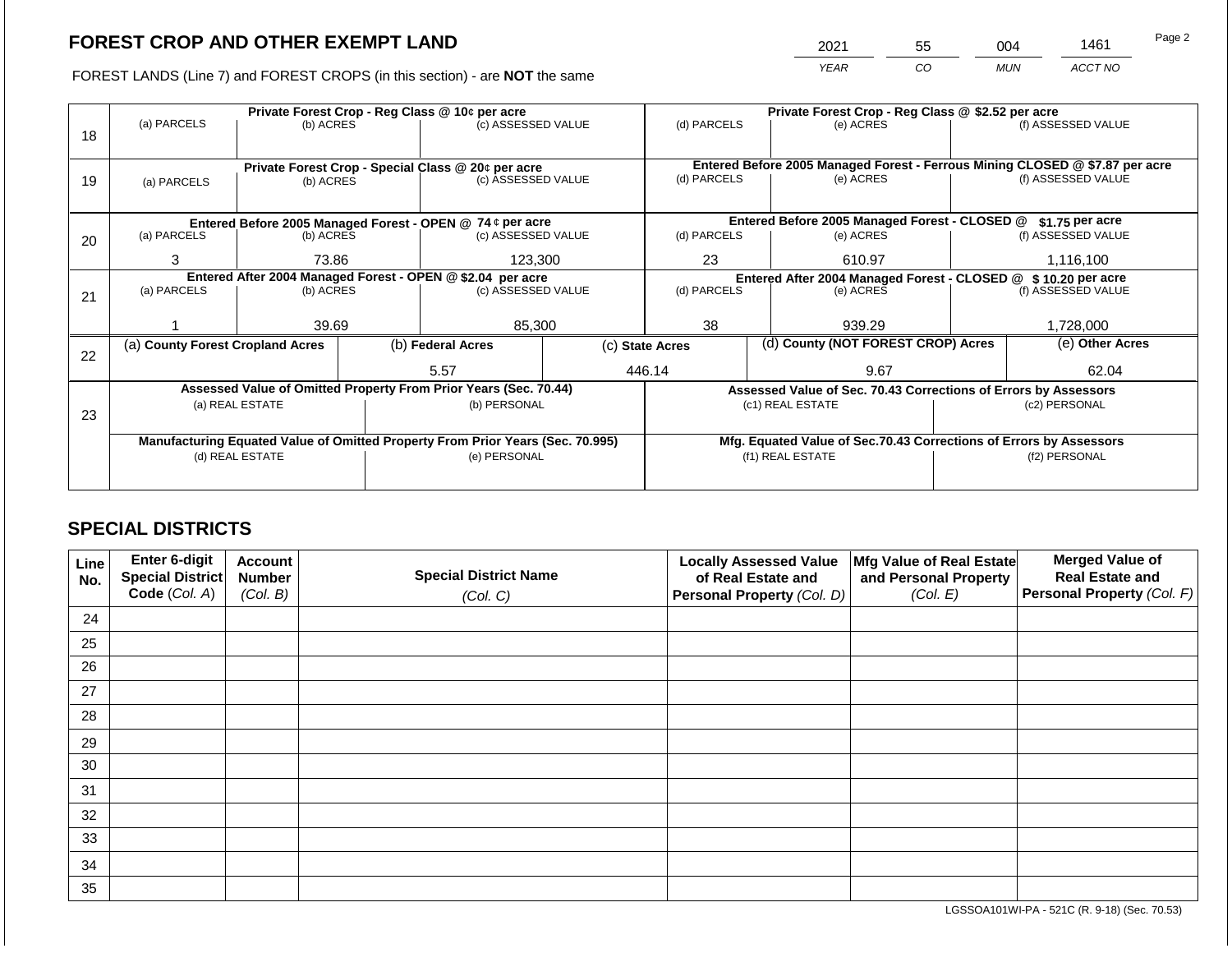2021 55 004 1461

FOREST LANDS (Line 7) and FOREST CROPS (in this section) - are **NOT** the same *YEAR CO MUN ACCT NO*

|    |                                  | Private Forest Crop - Reg Class @ 10¢ per acre             |  |                                                                                |  |                                                                              |  | Private Forest Crop - Reg Class @ \$2.52 per acre                  |                                                                 |                    |  |  |
|----|----------------------------------|------------------------------------------------------------|--|--------------------------------------------------------------------------------|--|------------------------------------------------------------------------------|--|--------------------------------------------------------------------|-----------------------------------------------------------------|--------------------|--|--|
|    | (a) PARCELS                      | (b) ACRES                                                  |  | (c) ASSESSED VALUE                                                             |  | (d) PARCELS                                                                  |  | (e) ACRES                                                          |                                                                 | (f) ASSESSED VALUE |  |  |
| 18 |                                  |                                                            |  |                                                                                |  |                                                                              |  |                                                                    |                                                                 |                    |  |  |
|    |                                  |                                                            |  |                                                                                |  |                                                                              |  |                                                                    |                                                                 |                    |  |  |
|    |                                  |                                                            |  | Private Forest Crop - Special Class @ 20¢ per acre                             |  | Entered Before 2005 Managed Forest - Ferrous Mining CLOSED @ \$7.87 per acre |  |                                                                    |                                                                 |                    |  |  |
| 19 | (a) PARCELS                      | (b) ACRES                                                  |  | (c) ASSESSED VALUE                                                             |  | (d) PARCELS                                                                  |  | (e) ACRES                                                          |                                                                 | (f) ASSESSED VALUE |  |  |
|    |                                  |                                                            |  |                                                                                |  |                                                                              |  |                                                                    |                                                                 |                    |  |  |
|    |                                  |                                                            |  | Entered Before 2005 Managed Forest - OPEN @ 74 ¢ per acre                      |  |                                                                              |  | Entered Before 2005 Managed Forest - CLOSED @                      |                                                                 | $$1.75$ per acre   |  |  |
| 20 | (a) PARCELS                      | (b) ACRES                                                  |  | (c) ASSESSED VALUE                                                             |  | (d) PARCELS                                                                  |  | (e) ACRES                                                          |                                                                 | (f) ASSESSED VALUE |  |  |
|    |                                  |                                                            |  |                                                                                |  |                                                                              |  |                                                                    |                                                                 |                    |  |  |
|    | 3                                | 73.86                                                      |  | 123,300                                                                        |  | 23<br>610.97                                                                 |  | 1,116,100                                                          |                                                                 |                    |  |  |
|    |                                  | Entered After 2004 Managed Forest - OPEN @ \$2.04 per acre |  |                                                                                |  | Entered After 2004 Managed Forest - CLOSED @ \$10.20 per acre                |  |                                                                    |                                                                 |                    |  |  |
| 21 | (a) PARCELS                      | (b) ACRES                                                  |  | (c) ASSESSED VALUE                                                             |  | (d) PARCELS                                                                  |  | (e) ACRES                                                          |                                                                 | (f) ASSESSED VALUE |  |  |
|    |                                  |                                                            |  |                                                                                |  |                                                                              |  |                                                                    |                                                                 |                    |  |  |
|    |                                  | 39.69                                                      |  | 85,300                                                                         |  | 38                                                                           |  | 939.29                                                             |                                                                 | 1,728,000          |  |  |
|    | (a) County Forest Cropland Acres |                                                            |  | (b) Federal Acres                                                              |  | (d) County (NOT FOREST CROP) Acres<br>(c) State Acres                        |  |                                                                    |                                                                 | (e) Other Acres    |  |  |
| 22 |                                  |                                                            |  |                                                                                |  |                                                                              |  |                                                                    |                                                                 |                    |  |  |
|    |                                  |                                                            |  | 5.57                                                                           |  | 446.14                                                                       |  | 9.67                                                               |                                                                 | 62.04              |  |  |
|    |                                  |                                                            |  | Assessed Value of Omitted Property From Prior Years (Sec. 70.44)               |  |                                                                              |  |                                                                    | Assessed Value of Sec. 70.43 Corrections of Errors by Assessors |                    |  |  |
|    |                                  | (a) REAL ESTATE                                            |  | (b) PERSONAL                                                                   |  |                                                                              |  | (c1) REAL ESTATE                                                   |                                                                 | (c2) PERSONAL      |  |  |
| 23 |                                  |                                                            |  |                                                                                |  |                                                                              |  |                                                                    |                                                                 |                    |  |  |
|    |                                  |                                                            |  | Manufacturing Equated Value of Omitted Property From Prior Years (Sec. 70.995) |  |                                                                              |  | Mfg. Equated Value of Sec.70.43 Corrections of Errors by Assessors |                                                                 |                    |  |  |
|    |                                  | (d) REAL ESTATE                                            |  | (e) PERSONAL                                                                   |  |                                                                              |  | (f1) REAL ESTATE                                                   | (f2) PERSONAL                                                   |                    |  |  |
|    |                                  |                                                            |  |                                                                                |  |                                                                              |  |                                                                    |                                                                 |                    |  |  |
|    |                                  |                                                            |  |                                                                                |  |                                                                              |  |                                                                    |                                                                 |                    |  |  |

## **SPECIAL DISTRICTS**

| Line<br>No. | Enter 6-digit<br>Special District<br>Code (Col. A) | <b>Account</b><br><b>Number</b><br>(Col. B) | <b>Special District Name</b><br>(Col. C) | <b>Locally Assessed Value</b><br>of Real Estate and<br><b>Personal Property (Col. D)</b> | Mfg Value of Real Estate<br>and Personal Property<br>(Col. E) | <b>Merged Value of</b><br><b>Real Estate and</b><br>Personal Property (Col. F) |
|-------------|----------------------------------------------------|---------------------------------------------|------------------------------------------|------------------------------------------------------------------------------------------|---------------------------------------------------------------|--------------------------------------------------------------------------------|
| 24          |                                                    |                                             |                                          |                                                                                          |                                                               |                                                                                |
| 25          |                                                    |                                             |                                          |                                                                                          |                                                               |                                                                                |
| 26          |                                                    |                                             |                                          |                                                                                          |                                                               |                                                                                |
| 27          |                                                    |                                             |                                          |                                                                                          |                                                               |                                                                                |
| 28          |                                                    |                                             |                                          |                                                                                          |                                                               |                                                                                |
| 29          |                                                    |                                             |                                          |                                                                                          |                                                               |                                                                                |
| 30          |                                                    |                                             |                                          |                                                                                          |                                                               |                                                                                |
| 31          |                                                    |                                             |                                          |                                                                                          |                                                               |                                                                                |
| 32          |                                                    |                                             |                                          |                                                                                          |                                                               |                                                                                |
| 33          |                                                    |                                             |                                          |                                                                                          |                                                               |                                                                                |
| 34          |                                                    |                                             |                                          |                                                                                          |                                                               |                                                                                |
| 35          |                                                    |                                             |                                          |                                                                                          |                                                               |                                                                                |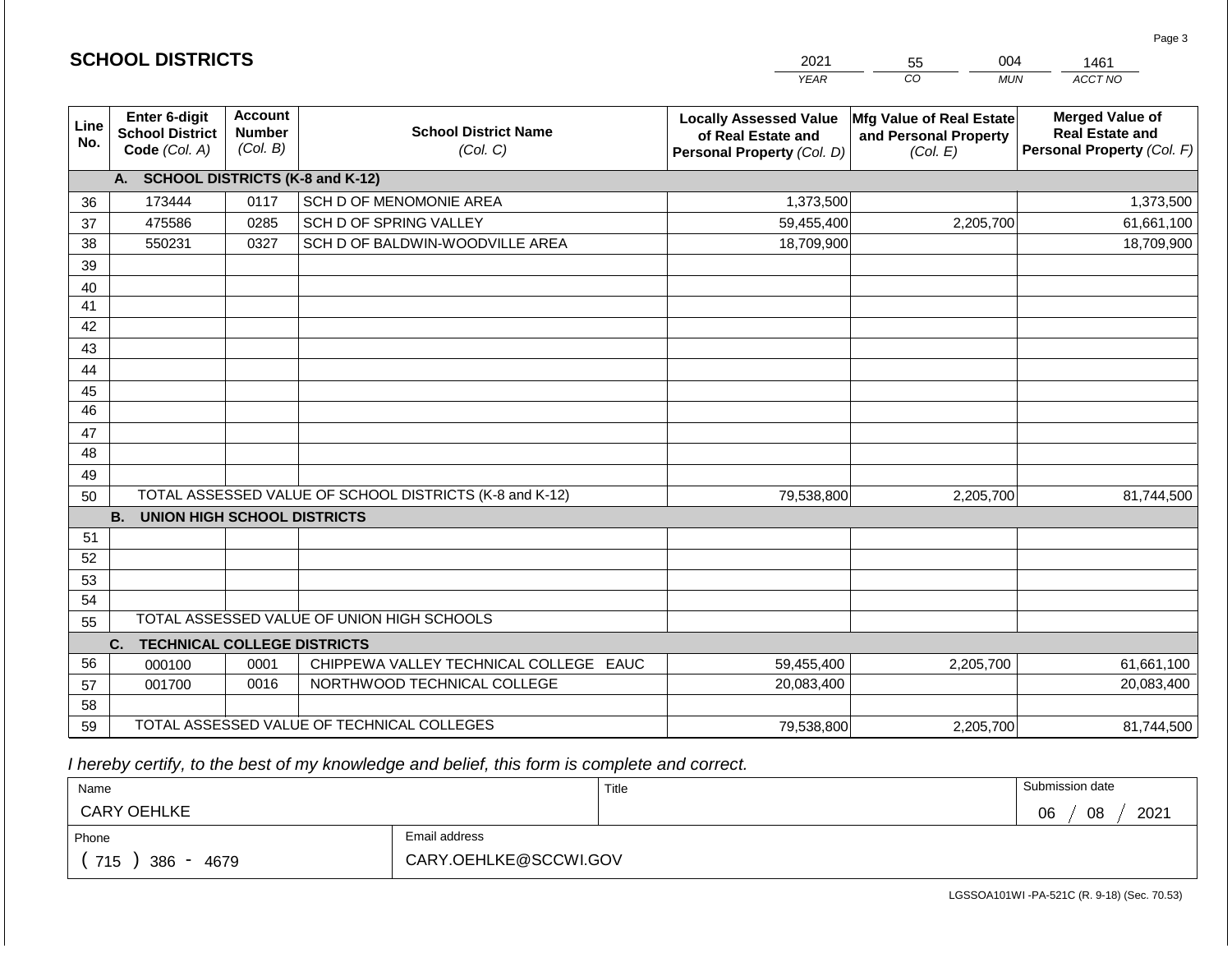|                 | <b>SCHOOL DISTRICTS</b>                                  |                                             |                                                         | 2021<br>004<br>55<br>1461                                                         |                                                               |                                                                                |
|-----------------|----------------------------------------------------------|---------------------------------------------|---------------------------------------------------------|-----------------------------------------------------------------------------------|---------------------------------------------------------------|--------------------------------------------------------------------------------|
|                 |                                                          |                                             |                                                         | <b>YEAR</b>                                                                       | CO<br><b>MUN</b>                                              | ACCT NO                                                                        |
| Line<br>No.     | Enter 6-digit<br><b>School District</b><br>Code (Col. A) | <b>Account</b><br><b>Number</b><br>(Col. B) | <b>School District Name</b><br>(Col. C)                 | <b>Locally Assessed Value</b><br>of Real Estate and<br>Personal Property (Col. D) | Mfg Value of Real Estate<br>and Personal Property<br>(Col. E) | <b>Merged Value of</b><br><b>Real Estate and</b><br>Personal Property (Col. F) |
|                 | A. SCHOOL DISTRICTS (K-8 and K-12)                       |                                             |                                                         |                                                                                   |                                                               |                                                                                |
| 36              | 173444                                                   | 0117                                        | SCH D OF MENOMONIE AREA                                 | 1,373,500                                                                         |                                                               | 1,373,500                                                                      |
| 37              | 475586                                                   | 0285                                        | SCH D OF SPRING VALLEY                                  | 59,455,400                                                                        | 2,205,700                                                     | 61,661,100                                                                     |
| 38              | 550231                                                   | 0327                                        | SCH D OF BALDWIN-WOODVILLE AREA                         | 18,709,900                                                                        |                                                               | 18,709,900                                                                     |
| 39              |                                                          |                                             |                                                         |                                                                                   |                                                               |                                                                                |
| 40              |                                                          |                                             |                                                         |                                                                                   |                                                               |                                                                                |
| 41              |                                                          |                                             |                                                         |                                                                                   |                                                               |                                                                                |
| 42              |                                                          |                                             |                                                         |                                                                                   |                                                               |                                                                                |
| 43              |                                                          |                                             |                                                         |                                                                                   |                                                               |                                                                                |
| 44              |                                                          |                                             |                                                         |                                                                                   |                                                               |                                                                                |
| 45              |                                                          |                                             |                                                         |                                                                                   |                                                               |                                                                                |
| $\overline{46}$ |                                                          |                                             |                                                         |                                                                                   |                                                               |                                                                                |
| 47              |                                                          |                                             |                                                         |                                                                                   |                                                               |                                                                                |
| 48              |                                                          |                                             |                                                         |                                                                                   |                                                               |                                                                                |
| 49              |                                                          |                                             |                                                         |                                                                                   |                                                               |                                                                                |
| 50              | <b>B.</b>                                                |                                             | TOTAL ASSESSED VALUE OF SCHOOL DISTRICTS (K-8 and K-12) | 79,538,800                                                                        | 2,205,700                                                     | 81,744,500                                                                     |
| 51              | <b>UNION HIGH SCHOOL DISTRICTS</b>                       |                                             |                                                         |                                                                                   |                                                               |                                                                                |
| 52              |                                                          |                                             |                                                         |                                                                                   |                                                               |                                                                                |
| 53              |                                                          |                                             |                                                         |                                                                                   |                                                               |                                                                                |
| 54              |                                                          |                                             |                                                         |                                                                                   |                                                               |                                                                                |
| 55              |                                                          |                                             | TOTAL ASSESSED VALUE OF UNION HIGH SCHOOLS              |                                                                                   |                                                               |                                                                                |
|                 | <b>TECHNICAL COLLEGE DISTRICTS</b><br>C.                 |                                             |                                                         |                                                                                   |                                                               |                                                                                |
| 56              | 000100                                                   | 0001                                        | CHIPPEWA VALLEY TECHNICAL COLLEGE EAUC                  | 59,455,400                                                                        | 2,205,700                                                     | 61,661,100                                                                     |
| 57              | 001700                                                   | 0016                                        | NORTHWOOD TECHNICAL COLLEGE                             | 20,083,400                                                                        |                                                               | 20,083,400                                                                     |
| 58              |                                                          |                                             |                                                         |                                                                                   |                                                               |                                                                                |
| 59              |                                                          |                                             | TOTAL ASSESSED VALUE OF TECHNICAL COLLEGES              | 79,538,800                                                                        | 2,205,700                                                     | 81,744,500                                                                     |

 *I hereby certify, to the best of my knowledge and belief, this form is complete and correct.*

**SCHOOL DISTRICTS**

| Name               |                       | Title | Submission date  |
|--------------------|-----------------------|-------|------------------|
| <b>CARY OEHLKE</b> |                       |       | 08<br>2021<br>06 |
| Phone              | Email address         |       |                  |
| 715<br>386<br>4679 | CARY.OEHLKE@SCCWI.GOV |       |                  |

Page 3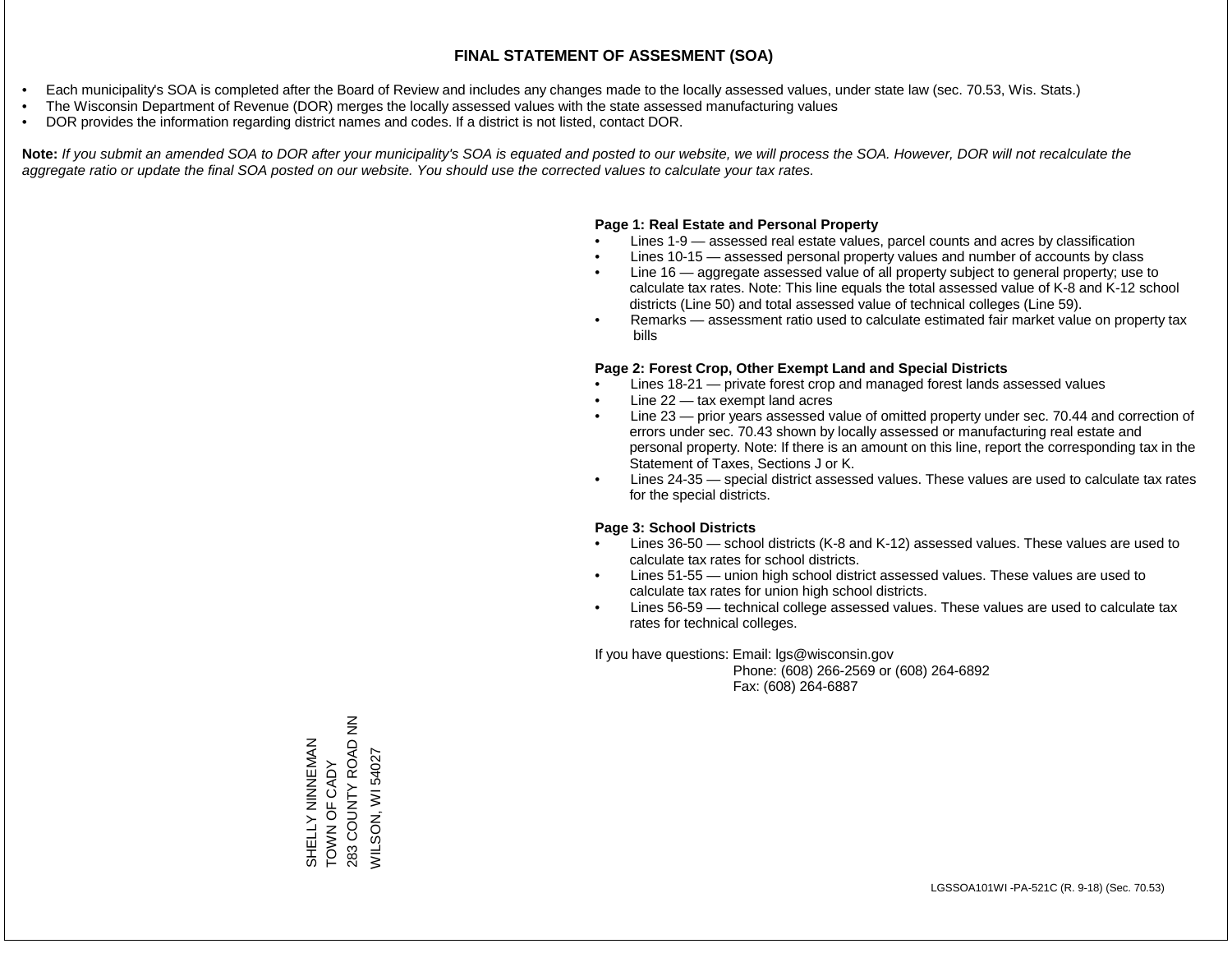- Each municipality's SOA is completed after the Board of Review and includes any changes made to the locally assessed values, under state law (sec. 70.53, Wis. Stats.)
- The Wisconsin Department of Revenue (DOR) merges the locally assessed values with the state assessed manufacturing values
- DOR provides the information regarding district names and codes. If a district is not listed, contact DOR.

Note: If you submit an amended SOA to DOR after your municipality's SOA is equated and posted to our website, we will process the SOA. However, DOR will not recalculate the *aggregate ratio or update the final SOA posted on our website. You should use the corrected values to calculate your tax rates.*

### **Page 1: Real Estate and Personal Property**

- Lines 1-9 assessed real estate values, parcel counts and acres by classification
- Lines 10-15 assessed personal property values and number of accounts by class
- Line 16 aggregate assessed value of all property subject to general property; use to calculate tax rates. Note: This line equals the total assessed value of K-8 and K-12 school districts (Line 50) and total assessed value of technical colleges (Line 59).
- Remarks assessment ratio used to calculate estimated fair market value on property tax bills

### **Page 2: Forest Crop, Other Exempt Land and Special Districts**

- Lines 18-21 private forest crop and managed forest lands assessed values
- Line  $22 -$  tax exempt land acres
- Line 23 prior years assessed value of omitted property under sec. 70.44 and correction of errors under sec. 70.43 shown by locally assessed or manufacturing real estate and personal property. Note: If there is an amount on this line, report the corresponding tax in the Statement of Taxes, Sections J or K.
- Lines 24-35 special district assessed values. These values are used to calculate tax rates for the special districts.

### **Page 3: School Districts**

- Lines 36-50 school districts (K-8 and K-12) assessed values. These values are used to calculate tax rates for school districts.
- Lines 51-55 union high school district assessed values. These values are used to calculate tax rates for union high school districts.
- Lines 56-59 technical college assessed values. These values are used to calculate tax rates for technical colleges.

If you have questions: Email: lgs@wisconsin.gov

 Phone: (608) 266-2569 or (608) 264-6892 Fax: (608) 264-6887

SHELLY NINNEMAN<br>TOWN OF CADY<br>283 COUNTY ROAD NN 283 COUNTY ROAD NN SHELLY NINNEMAN **VILSON, WI 54027** WILSON, WI 54027TOWN OF CADY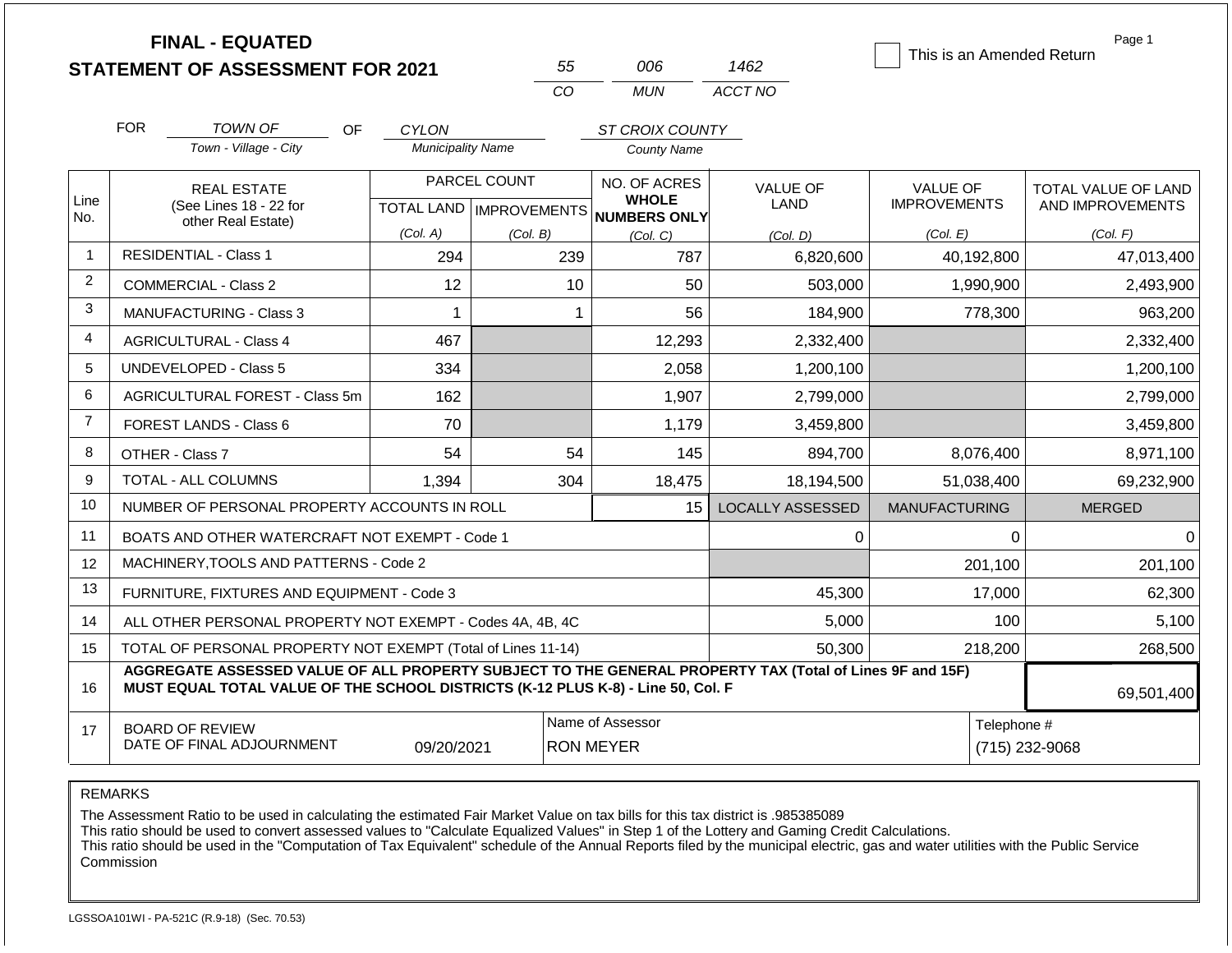|                | <b>FINAL - EQUATED</b><br><b>STATEMENT OF ASSESSMENT FOR 2021</b>                                                                                                                            |                          | 55                                        | 006                                          | 1462                    | This is an Amended Return       | Page 1                                  |  |  |
|----------------|----------------------------------------------------------------------------------------------------------------------------------------------------------------------------------------------|--------------------------|-------------------------------------------|----------------------------------------------|-------------------------|---------------------------------|-----------------------------------------|--|--|
|                |                                                                                                                                                                                              |                          | CO                                        | <b>MUN</b>                                   | ACCT NO                 |                                 |                                         |  |  |
|                | <b>FOR</b><br><b>TOWN OF</b><br>OF.                                                                                                                                                          | CYLON                    |                                           | ST CROIX COUNTY                              |                         |                                 |                                         |  |  |
|                | Town - Village - City                                                                                                                                                                        | <b>Municipality Name</b> |                                           | <b>County Name</b>                           |                         |                                 |                                         |  |  |
| Line<br>No.    | <b>REAL ESTATE</b><br>(See Lines 18 - 22 for                                                                                                                                                 |                          | PARCEL COUNT<br>TOTAL LAND   IMPROVEMENTS | NO. OF ACRES<br><b>WHOLE</b><br>NUMBERS ONLY | VALUE OF<br><b>LAND</b> | VALUE OF<br><b>IMPROVEMENTS</b> | TOTAL VALUE OF LAND<br>AND IMPROVEMENTS |  |  |
|                | other Real Estate)                                                                                                                                                                           | (Col. A)                 | (Col. B)                                  | (Col. C)                                     | (Col. D)                | (Col. E)                        | (Col. F)                                |  |  |
| $\overline{1}$ | <b>RESIDENTIAL - Class 1</b>                                                                                                                                                                 | 294                      | 239                                       | 787                                          | 6,820,600               | 40,192,800                      | 47,013,400                              |  |  |
| 2              | COMMERCIAL - Class 2                                                                                                                                                                         | 12                       | 10                                        | 50                                           | 503,000                 | 1,990,900                       | 2,493,900                               |  |  |
| 3              | <b>MANUFACTURING - Class 3</b>                                                                                                                                                               | 1                        | $\mathbf 1$                               | 56                                           | 184,900                 | 778,300                         | 963,200                                 |  |  |
| 4              | <b>AGRICULTURAL - Class 4</b>                                                                                                                                                                | 467                      |                                           | 12,293                                       | 2,332,400               |                                 | 2,332,400                               |  |  |
| 5              | <b>UNDEVELOPED - Class 5</b>                                                                                                                                                                 | 334                      |                                           | 2,058                                        | 1,200,100               |                                 | 1,200,100                               |  |  |
| 6              | AGRICULTURAL FOREST - Class 5m                                                                                                                                                               | 162                      |                                           | 1,907                                        | 2,799,000               |                                 | 2,799,000                               |  |  |
| $\overline{7}$ | <b>FOREST LANDS - Class 6</b>                                                                                                                                                                | 70                       |                                           | 1,179                                        | 3,459,800               |                                 | 3,459,800                               |  |  |
| 8              | OTHER - Class 7                                                                                                                                                                              | 54                       | 54                                        | 145                                          | 894,700                 | 8,076,400                       | 8,971,100                               |  |  |
| 9              | <b>TOTAL - ALL COLUMNS</b>                                                                                                                                                                   | 1,394                    | 304                                       | 18,475                                       | 18,194,500              | 51,038,400                      | 69,232,900                              |  |  |
| 10             | NUMBER OF PERSONAL PROPERTY ACCOUNTS IN ROLL                                                                                                                                                 |                          |                                           | 15                                           | <b>LOCALLY ASSESSED</b> | <b>MANUFACTURING</b>            | <b>MERGED</b>                           |  |  |
| 11             | BOATS AND OTHER WATERCRAFT NOT EXEMPT - Code 1                                                                                                                                               |                          |                                           |                                              | 0                       | 0                               | $\overline{0}$                          |  |  |
| 12             | MACHINERY.TOOLS AND PATTERNS - Code 2                                                                                                                                                        |                          |                                           |                                              |                         | 201,100                         | 201,100                                 |  |  |
| 13             | FURNITURE, FIXTURES AND EQUIPMENT - Code 3                                                                                                                                                   |                          |                                           |                                              | 45,300                  | 17,000                          | 62,300                                  |  |  |
| 14             | ALL OTHER PERSONAL PROPERTY NOT EXEMPT - Codes 4A, 4B, 4C                                                                                                                                    |                          |                                           |                                              | 5,000                   | 100                             | 5,100                                   |  |  |
| 15             | TOTAL OF PERSONAL PROPERTY NOT EXEMPT (Total of Lines 11-14)                                                                                                                                 |                          |                                           |                                              | 50,300                  | 218,200                         | 268,500                                 |  |  |
| 16             | AGGREGATE ASSESSED VALUE OF ALL PROPERTY SUBJECT TO THE GENERAL PROPERTY TAX (Total of Lines 9F and 15F)<br>MUST EQUAL TOTAL VALUE OF THE SCHOOL DISTRICTS (K-12 PLUS K-8) - Line 50, Col. F |                          |                                           |                                              |                         |                                 |                                         |  |  |
| 17             | <b>BOARD OF REVIEW</b><br>DATE OF FINAL ADJOURNMENT                                                                                                                                          | 09/20/2021               | Name of Assessor<br><b>RON MEYER</b>      |                                              | Telephone #             | (715) 232-9068                  |                                         |  |  |

The Assessment Ratio to be used in calculating the estimated Fair Market Value on tax bills for this tax district is .985385089

This ratio should be used to convert assessed values to "Calculate Equalized Values" in Step 1 of the Lottery and Gaming Credit Calculations.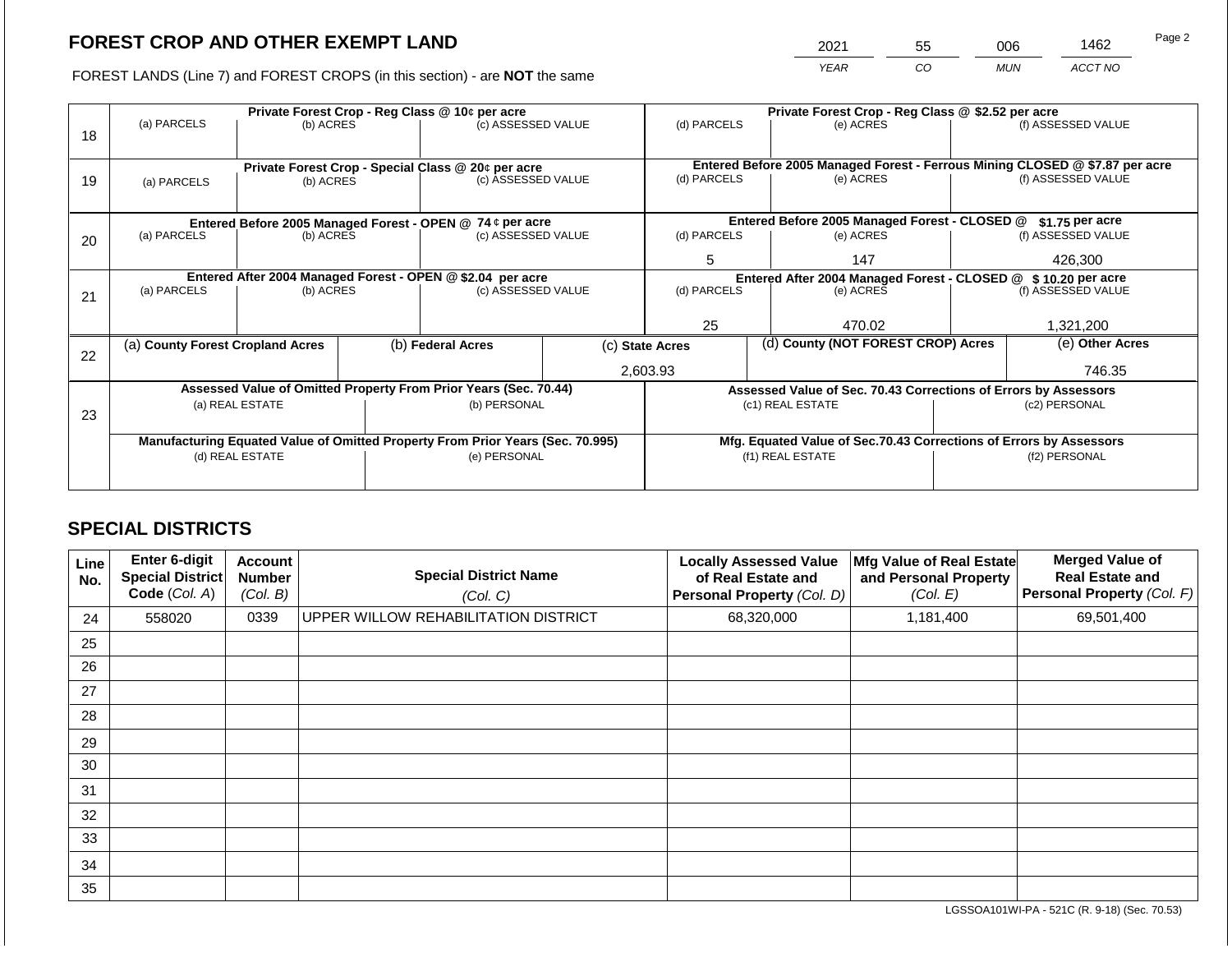2021 55 006 1462 Page 2

FOREST LANDS (Line 7) and FOREST CROPS (in this section) - are **NOT** the same *YEAR CO MUN ACCT NO*

|    |                                                                                |                 |  | Private Forest Crop - Reg Class @ 10¢ per acre                   |                                                               | Private Forest Crop - Reg Class @ \$2.52 per acre                            |  |                                                                    |                                                                 |                    |  |
|----|--------------------------------------------------------------------------------|-----------------|--|------------------------------------------------------------------|---------------------------------------------------------------|------------------------------------------------------------------------------|--|--------------------------------------------------------------------|-----------------------------------------------------------------|--------------------|--|
| 18 | (a) PARCELS                                                                    | (b) ACRES       |  | (c) ASSESSED VALUE                                               |                                                               | (d) PARCELS                                                                  |  | (e) ACRES                                                          |                                                                 | (f) ASSESSED VALUE |  |
|    |                                                                                |                 |  | Private Forest Crop - Special Class @ 20¢ per acre               |                                                               | Entered Before 2005 Managed Forest - Ferrous Mining CLOSED @ \$7.87 per acre |  |                                                                    |                                                                 |                    |  |
| 19 | (a) PARCELS                                                                    | (b) ACRES       |  | (c) ASSESSED VALUE                                               |                                                               | (d) PARCELS                                                                  |  | (e) ACRES                                                          |                                                                 | (f) ASSESSED VALUE |  |
|    |                                                                                |                 |  |                                                                  |                                                               |                                                                              |  |                                                                    |                                                                 |                    |  |
|    |                                                                                |                 |  | Entered Before 2005 Managed Forest - OPEN @ 74 ¢ per acre        |                                                               |                                                                              |  | Entered Before 2005 Managed Forest - CLOSED @                      |                                                                 | $$1.75$ per acre   |  |
| 20 | (a) PARCELS<br>(b) ACRES                                                       |                 |  | (c) ASSESSED VALUE                                               |                                                               | (d) PARCELS                                                                  |  | (e) ACRES                                                          |                                                                 | (f) ASSESSED VALUE |  |
|    |                                                                                |                 |  |                                                                  |                                                               | 5                                                                            |  | 147                                                                |                                                                 | 426,300            |  |
|    |                                                                                |                 |  | Entered After 2004 Managed Forest - OPEN @ \$2.04 per acre       | Entered After 2004 Managed Forest - CLOSED @ \$10.20 per acre |                                                                              |  |                                                                    |                                                                 |                    |  |
| 21 | (a) PARCELS                                                                    | (b) ACRES       |  | (c) ASSESSED VALUE                                               |                                                               | (d) PARCELS                                                                  |  | (e) ACRES                                                          |                                                                 | (f) ASSESSED VALUE |  |
|    |                                                                                |                 |  |                                                                  |                                                               |                                                                              |  |                                                                    |                                                                 |                    |  |
|    |                                                                                |                 |  |                                                                  |                                                               | 25                                                                           |  | 470.02                                                             |                                                                 | 1,321,200          |  |
| 22 | (a) County Forest Cropland Acres                                               |                 |  | (b) Federal Acres                                                |                                                               | (c) State Acres                                                              |  | (d) County (NOT FOREST CROP) Acres                                 |                                                                 | (e) Other Acres    |  |
|    |                                                                                |                 |  |                                                                  |                                                               | 2,603.93                                                                     |  |                                                                    | 746.35                                                          |                    |  |
|    |                                                                                |                 |  | Assessed Value of Omitted Property From Prior Years (Sec. 70.44) |                                                               |                                                                              |  |                                                                    | Assessed Value of Sec. 70.43 Corrections of Errors by Assessors |                    |  |
|    |                                                                                | (a) REAL ESTATE |  | (b) PERSONAL                                                     |                                                               |                                                                              |  | (c1) REAL ESTATE                                                   | (c2) PERSONAL                                                   |                    |  |
| 23 |                                                                                |                 |  |                                                                  |                                                               |                                                                              |  |                                                                    |                                                                 |                    |  |
|    | Manufacturing Equated Value of Omitted Property From Prior Years (Sec. 70.995) |                 |  |                                                                  |                                                               |                                                                              |  | Mfg. Equated Value of Sec.70.43 Corrections of Errors by Assessors |                                                                 |                    |  |
|    |                                                                                | (d) REAL ESTATE |  | (e) PERSONAL                                                     |                                                               | (f1) REAL ESTATE                                                             |  |                                                                    | (f2) PERSONAL                                                   |                    |  |
|    |                                                                                |                 |  |                                                                  |                                                               |                                                                              |  |                                                                    |                                                                 |                    |  |
|    |                                                                                |                 |  |                                                                  |                                                               |                                                                              |  |                                                                    |                                                                 |                    |  |

## **SPECIAL DISTRICTS**

| Line<br>No. | <b>Enter 6-digit</b><br><b>Special District</b><br>Code (Col. A) | <b>Account</b><br><b>Number</b><br>(Col. B) | <b>Special District Name</b><br>(Col. C) | <b>Locally Assessed Value</b><br>of Real Estate and<br>Personal Property (Col. D) | Mfg Value of Real Estate<br>and Personal Property<br>(Col. E) | <b>Merged Value of</b><br><b>Real Estate and</b><br>Personal Property (Col. F) |
|-------------|------------------------------------------------------------------|---------------------------------------------|------------------------------------------|-----------------------------------------------------------------------------------|---------------------------------------------------------------|--------------------------------------------------------------------------------|
| 24          | 558020                                                           | 0339                                        | UPPER WILLOW REHABILITATION DISTRICT     | 68,320,000                                                                        | 1,181,400                                                     | 69,501,400                                                                     |
| 25          |                                                                  |                                             |                                          |                                                                                   |                                                               |                                                                                |
| 26          |                                                                  |                                             |                                          |                                                                                   |                                                               |                                                                                |
| 27          |                                                                  |                                             |                                          |                                                                                   |                                                               |                                                                                |
| 28          |                                                                  |                                             |                                          |                                                                                   |                                                               |                                                                                |
| 29          |                                                                  |                                             |                                          |                                                                                   |                                                               |                                                                                |
| 30          |                                                                  |                                             |                                          |                                                                                   |                                                               |                                                                                |
| 31          |                                                                  |                                             |                                          |                                                                                   |                                                               |                                                                                |
| 32          |                                                                  |                                             |                                          |                                                                                   |                                                               |                                                                                |
| 33          |                                                                  |                                             |                                          |                                                                                   |                                                               |                                                                                |
| 34          |                                                                  |                                             |                                          |                                                                                   |                                                               |                                                                                |
| 35          |                                                                  |                                             |                                          |                                                                                   |                                                               |                                                                                |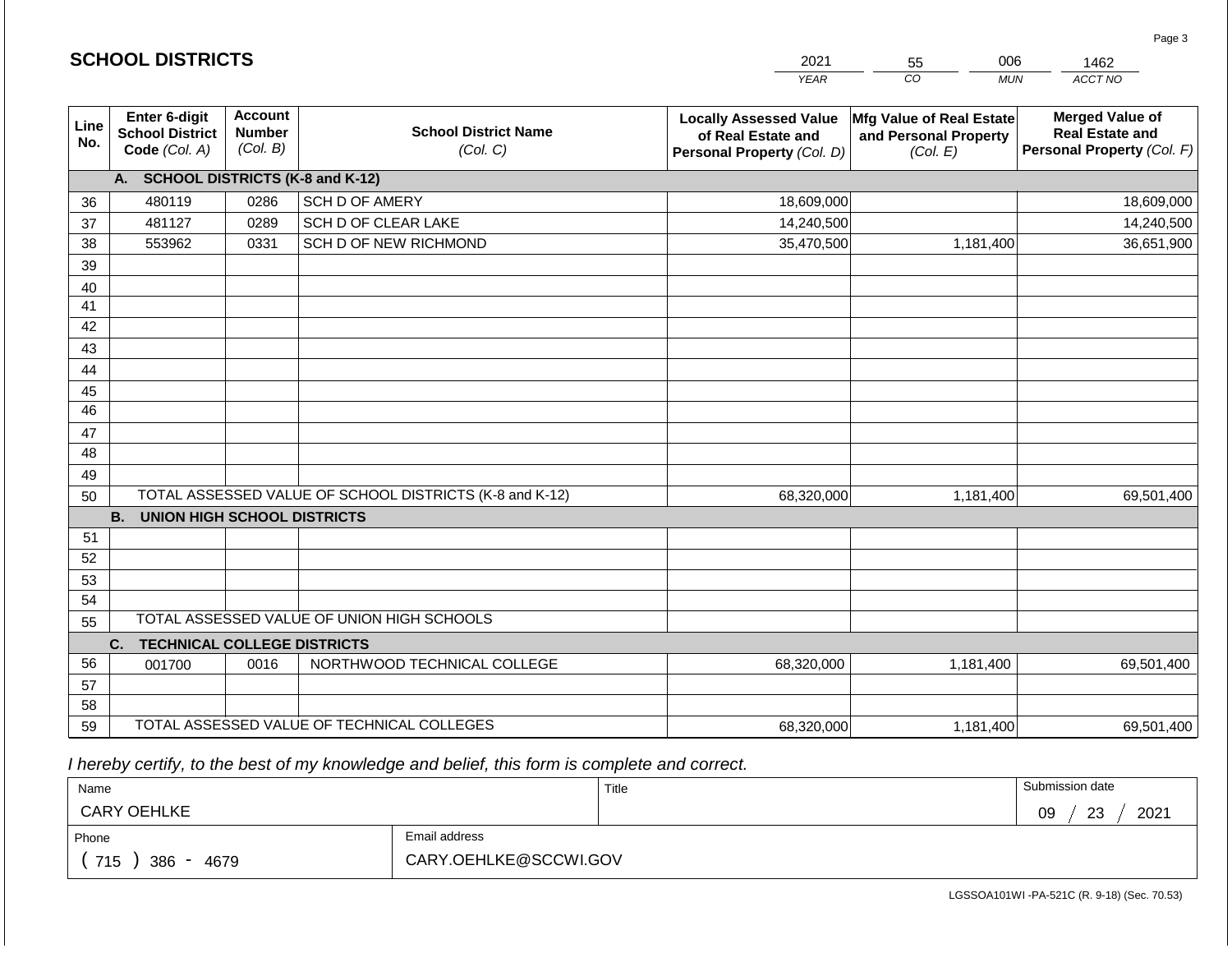|             | <b>SCHOOL DISTRICTS</b>                                         |                                             |                                                         | 2021                                                                              | 006<br>55                                                     | 1462                                                                           |
|-------------|-----------------------------------------------------------------|---------------------------------------------|---------------------------------------------------------|-----------------------------------------------------------------------------------|---------------------------------------------------------------|--------------------------------------------------------------------------------|
|             |                                                                 |                                             |                                                         | <b>YEAR</b>                                                                       | CO<br><b>MUN</b>                                              | ACCT NO                                                                        |
| Line<br>No. | <b>Enter 6-digit</b><br><b>School District</b><br>Code (Col. A) | <b>Account</b><br><b>Number</b><br>(Col. B) | <b>School District Name</b><br>(Col. C)                 | <b>Locally Assessed Value</b><br>of Real Estate and<br>Personal Property (Col. D) | Mfg Value of Real Estate<br>and Personal Property<br>(Col. E) | <b>Merged Value of</b><br><b>Real Estate and</b><br>Personal Property (Col. F) |
|             | A. SCHOOL DISTRICTS (K-8 and K-12)                              |                                             |                                                         |                                                                                   |                                                               |                                                                                |
| 36          | 480119                                                          | 0286                                        | SCH D OF AMERY                                          | 18,609,000                                                                        |                                                               | 18,609,000                                                                     |
| 37          | 481127                                                          | 0289                                        | SCH D OF CLEAR LAKE                                     | 14,240,500                                                                        |                                                               | 14,240,500                                                                     |
| 38          | 553962                                                          | 0331                                        | SCH D OF NEW RICHMOND                                   | 35,470,500                                                                        | 1,181,400                                                     | 36,651,900                                                                     |
| 39          |                                                                 |                                             |                                                         |                                                                                   |                                                               |                                                                                |
| 40          |                                                                 |                                             |                                                         |                                                                                   |                                                               |                                                                                |
| 41          |                                                                 |                                             |                                                         |                                                                                   |                                                               |                                                                                |
| 42          |                                                                 |                                             |                                                         |                                                                                   |                                                               |                                                                                |
| 43          |                                                                 |                                             |                                                         |                                                                                   |                                                               |                                                                                |
| 44          |                                                                 |                                             |                                                         |                                                                                   |                                                               |                                                                                |
| 45<br>46    |                                                                 |                                             |                                                         |                                                                                   |                                                               |                                                                                |
|             |                                                                 |                                             |                                                         |                                                                                   |                                                               |                                                                                |
| 47<br>48    |                                                                 |                                             |                                                         |                                                                                   |                                                               |                                                                                |
| 49          |                                                                 |                                             |                                                         |                                                                                   |                                                               |                                                                                |
| 50          |                                                                 |                                             | TOTAL ASSESSED VALUE OF SCHOOL DISTRICTS (K-8 and K-12) | 68,320,000                                                                        | 1,181,400                                                     | 69,501,400                                                                     |
|             | <b>B.</b><br><b>UNION HIGH SCHOOL DISTRICTS</b>                 |                                             |                                                         |                                                                                   |                                                               |                                                                                |
| 51          |                                                                 |                                             |                                                         |                                                                                   |                                                               |                                                                                |
| 52          |                                                                 |                                             |                                                         |                                                                                   |                                                               |                                                                                |
| 53          |                                                                 |                                             |                                                         |                                                                                   |                                                               |                                                                                |
| 54          |                                                                 |                                             |                                                         |                                                                                   |                                                               |                                                                                |
| 55          |                                                                 |                                             | TOTAL ASSESSED VALUE OF UNION HIGH SCHOOLS              |                                                                                   |                                                               |                                                                                |
|             | C.<br><b>TECHNICAL COLLEGE DISTRICTS</b>                        |                                             |                                                         |                                                                                   |                                                               |                                                                                |
| 56          | 001700                                                          | 0016                                        | NORTHWOOD TECHNICAL COLLEGE                             | 68,320,000                                                                        | 1,181,400                                                     | 69,501,400                                                                     |
| 57          |                                                                 |                                             |                                                         |                                                                                   |                                                               |                                                                                |
| 58          |                                                                 |                                             |                                                         |                                                                                   |                                                               |                                                                                |
| 59          |                                                                 |                                             | TOTAL ASSESSED VALUE OF TECHNICAL COLLEGES              | 68,320,000                                                                        | 1,181,400                                                     | 69,501,400                                                                     |

 *I hereby certify, to the best of my knowledge and belief, this form is complete and correct.*

| Name               |                       | Title | Submission date         |
|--------------------|-----------------------|-------|-------------------------|
| <b>CARY OEHLKE</b> |                       |       | 2021<br>ົດລ<br>09<br>∠ಎ |
| Phone              | Email address         |       |                         |
| 715<br>386<br>4679 | CARY.OEHLKE@SCCWI.GOV |       |                         |

Page 3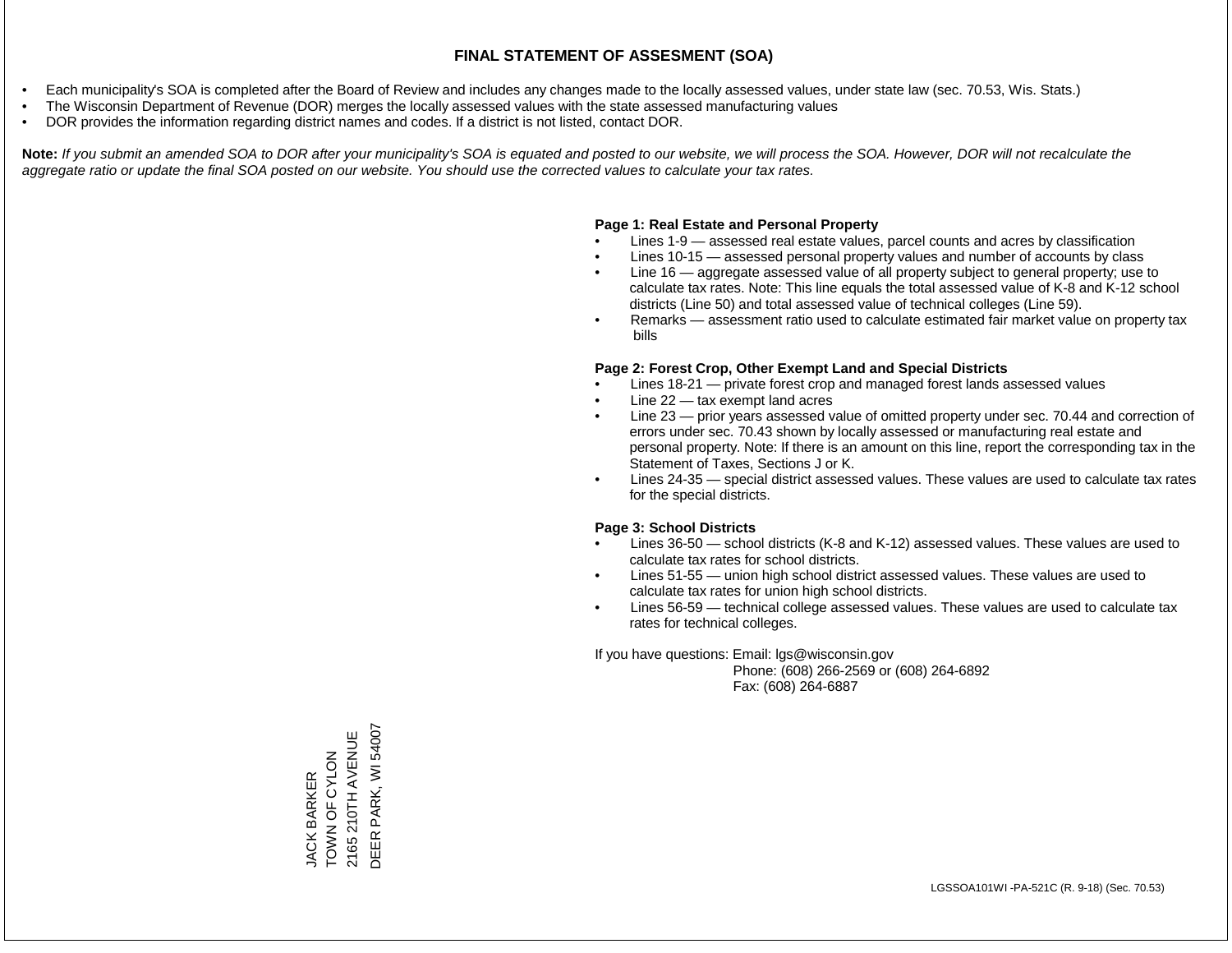- Each municipality's SOA is completed after the Board of Review and includes any changes made to the locally assessed values, under state law (sec. 70.53, Wis. Stats.)
- The Wisconsin Department of Revenue (DOR) merges the locally assessed values with the state assessed manufacturing values
- DOR provides the information regarding district names and codes. If a district is not listed, contact DOR.

Note: If you submit an amended SOA to DOR after your municipality's SOA is equated and posted to our website, we will process the SOA. However, DOR will not recalculate the *aggregate ratio or update the final SOA posted on our website. You should use the corrected values to calculate your tax rates.*

### **Page 1: Real Estate and Personal Property**

- Lines 1-9 assessed real estate values, parcel counts and acres by classification
- Lines 10-15 assessed personal property values and number of accounts by class
- Line 16 aggregate assessed value of all property subject to general property; use to calculate tax rates. Note: This line equals the total assessed value of K-8 and K-12 school districts (Line 50) and total assessed value of technical colleges (Line 59).
- Remarks assessment ratio used to calculate estimated fair market value on property tax bills

### **Page 2: Forest Crop, Other Exempt Land and Special Districts**

- Lines 18-21 private forest crop and managed forest lands assessed values
- Line  $22 -$  tax exempt land acres
- Line 23 prior years assessed value of omitted property under sec. 70.44 and correction of errors under sec. 70.43 shown by locally assessed or manufacturing real estate and personal property. Note: If there is an amount on this line, report the corresponding tax in the Statement of Taxes, Sections J or K.
- Lines 24-35 special district assessed values. These values are used to calculate tax rates for the special districts.

### **Page 3: School Districts**

- Lines 36-50 school districts (K-8 and K-12) assessed values. These values are used to calculate tax rates for school districts.
- Lines 51-55 union high school district assessed values. These values are used to calculate tax rates for union high school districts.
- Lines 56-59 technical college assessed values. These values are used to calculate tax rates for technical colleges.

If you have questions: Email: lgs@wisconsin.gov

 Phone: (608) 266-2569 or (608) 264-6892 Fax: (608) 264-6887

DEER PARK, WI 54007 DEER PARK, WI 540072165 210TH AVENUE 2165 210TH AVENUE JACK BARKER<br>TOWN OF CYLON TOWN OF CYLON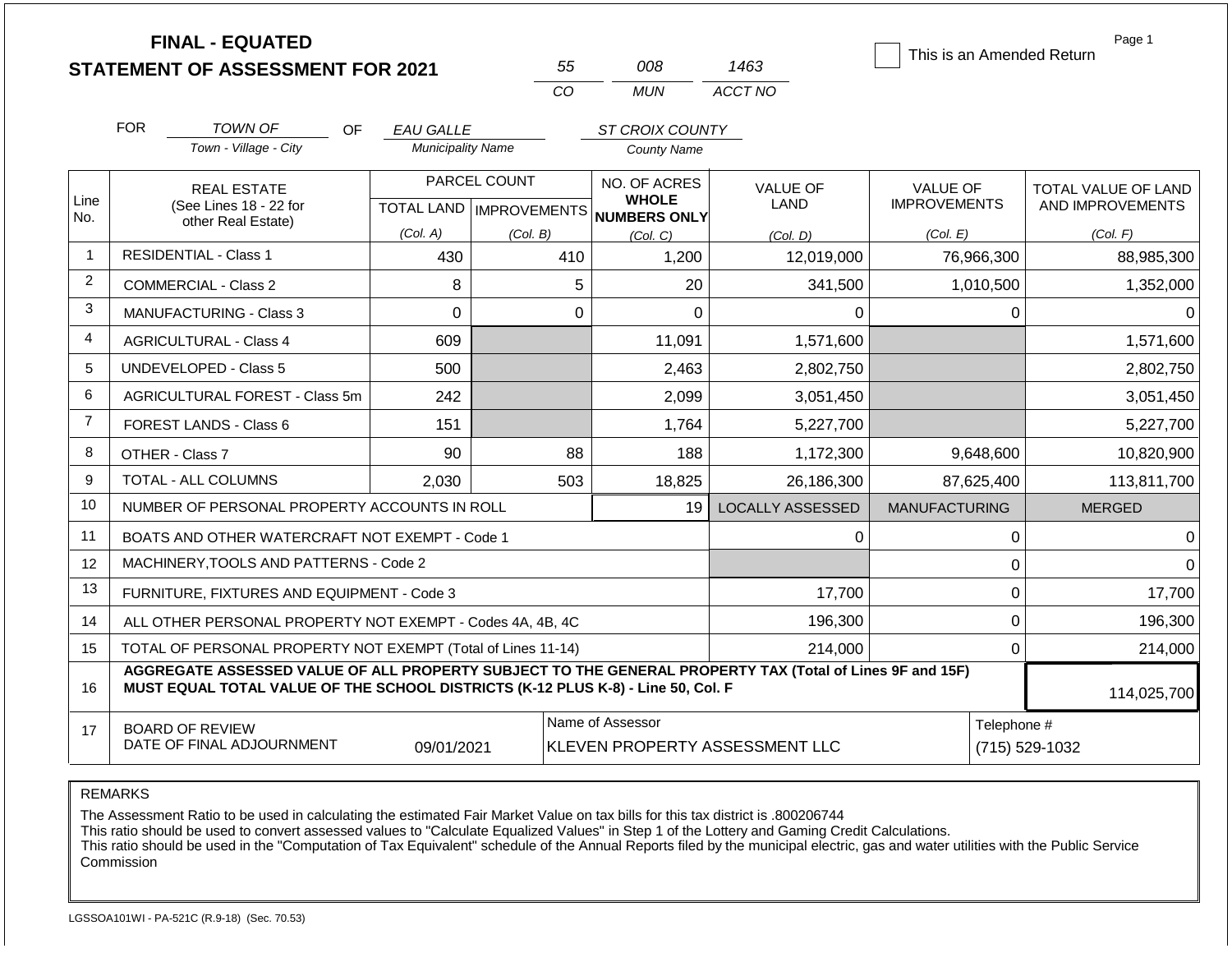|                |            | <b>FINAL - EQUATED</b>                                                                                                                                                                       |                          | 55                               | 008                                                | 1463                    | This is an Amended Return | Page 1              |
|----------------|------------|----------------------------------------------------------------------------------------------------------------------------------------------------------------------------------------------|--------------------------|----------------------------------|----------------------------------------------------|-------------------------|---------------------------|---------------------|
|                |            | <b>STATEMENT OF ASSESSMENT FOR 2021</b>                                                                                                                                                      |                          | CO                               | <b>MUN</b>                                         | ACCT NO                 |                           |                     |
|                |            |                                                                                                                                                                                              |                          |                                  |                                                    |                         |                           |                     |
|                | <b>FOR</b> | TOWN OF<br>OF.                                                                                                                                                                               | <b>EAU GALLE</b>         |                                  | ST CROIX COUNTY                                    |                         |                           |                     |
|                |            | Town - Village - City                                                                                                                                                                        | <b>Municipality Name</b> |                                  | <b>County Name</b>                                 |                         |                           |                     |
|                |            | <b>REAL ESTATE</b>                                                                                                                                                                           |                          | PARCEL COUNT                     | NO. OF ACRES                                       | <b>VALUE OF</b>         | <b>VALUE OF</b>           | TOTAL VALUE OF LAND |
| Line<br>No.    |            | (See Lines 18 - 22 for<br>other Real Estate)                                                                                                                                                 |                          | <b>TOTAL LAND   IMPROVEMENTS</b> | <b>WHOLE</b><br><b>NUMBERS ONLY</b>                | LAND                    | <b>IMPROVEMENTS</b>       | AND IMPROVEMENTS    |
|                |            |                                                                                                                                                                                              | (Col. A)                 | (Col. B)                         | (Col, C)                                           | (Col, D)                | (Col. E)                  | (Col. F)            |
|                |            | <b>RESIDENTIAL - Class 1</b>                                                                                                                                                                 | 430                      | 410                              | 1,200                                              | 12,019,000              | 76,966,300                | 88,985,300          |
| 2              |            | COMMERCIAL - Class 2                                                                                                                                                                         | 8                        |                                  | 5<br>20                                            | 341,500                 | 1,010,500                 | 1,352,000           |
| 3              |            | MANUFACTURING - Class 3                                                                                                                                                                      | $\Omega$                 |                                  | $\mathbf 0$<br>$\Omega$                            | 0                       | $\Omega$                  | 0                   |
| 4              |            | <b>AGRICULTURAL - Class 4</b>                                                                                                                                                                | 609                      |                                  | 11,091                                             | 1,571,600               |                           | 1,571,600           |
| 5              |            | <b>UNDEVELOPED - Class 5</b>                                                                                                                                                                 | 500                      |                                  | 2,463                                              | 2,802,750               |                           | 2,802,750           |
| 6              |            | AGRICULTURAL FOREST - Class 5m                                                                                                                                                               | 242                      |                                  | 2,099                                              | 3,051,450               |                           | 3,051,450           |
| $\overline{7}$ |            | FOREST LANDS - Class 6                                                                                                                                                                       | 151                      |                                  | 1,764                                              | 5,227,700               |                           | 5,227,700           |
| 8              |            | OTHER - Class 7                                                                                                                                                                              | 90                       | 88                               | 188                                                | 1,172,300               | 9,648,600                 | 10,820,900          |
| 9              |            | TOTAL - ALL COLUMNS                                                                                                                                                                          | 2.030                    | 503                              | 18,825                                             | 26,186,300              | 87,625,400                | 113,811,700         |
| 10             |            | NUMBER OF PERSONAL PROPERTY ACCOUNTS IN ROLL                                                                                                                                                 |                          |                                  | 19                                                 | <b>LOCALLY ASSESSED</b> | <b>MANUFACTURING</b>      | <b>MERGED</b>       |
| 11             |            | BOATS AND OTHER WATERCRAFT NOT EXEMPT - Code 1                                                                                                                                               |                          |                                  |                                                    | 0                       | $\pmb{0}$                 | 0                   |
| 12             |            | MACHINERY, TOOLS AND PATTERNS - Code 2                                                                                                                                                       |                          |                                  |                                                    |                         | $\mathbf 0$               | $\Omega$            |
| 13             |            | FURNITURE, FIXTURES AND EQUIPMENT - Code 3                                                                                                                                                   |                          |                                  |                                                    | 17,700                  | $\mathbf 0$               | 17,700              |
| 14             |            | ALL OTHER PERSONAL PROPERTY NOT EXEMPT - Codes 4A, 4B, 4C                                                                                                                                    |                          |                                  |                                                    | 196,300                 | $\mathbf 0$               | 196,300             |
| 15             |            | TOTAL OF PERSONAL PROPERTY NOT EXEMPT (Total of Lines 11-14)                                                                                                                                 |                          |                                  |                                                    | 214,000                 | $\mathbf 0$               | 214,000             |
| 16             |            | AGGREGATE ASSESSED VALUE OF ALL PROPERTY SUBJECT TO THE GENERAL PROPERTY TAX (Total of Lines 9F and 15F)<br>MUST EQUAL TOTAL VALUE OF THE SCHOOL DISTRICTS (K-12 PLUS K-8) - Line 50, Col. F |                          | 114,025,700                      |                                                    |                         |                           |                     |
| 17             |            | <b>BOARD OF REVIEW</b><br>DATE OF FINAL ADJOURNMENT                                                                                                                                          | 09/01/2021               |                                  | Name of Assessor<br>KLEVEN PROPERTY ASSESSMENT LLC | Telephone #             | (715) 529-1032            |                     |

The Assessment Ratio to be used in calculating the estimated Fair Market Value on tax bills for this tax district is .800206744

This ratio should be used to convert assessed values to "Calculate Equalized Values" in Step 1 of the Lottery and Gaming Credit Calculations.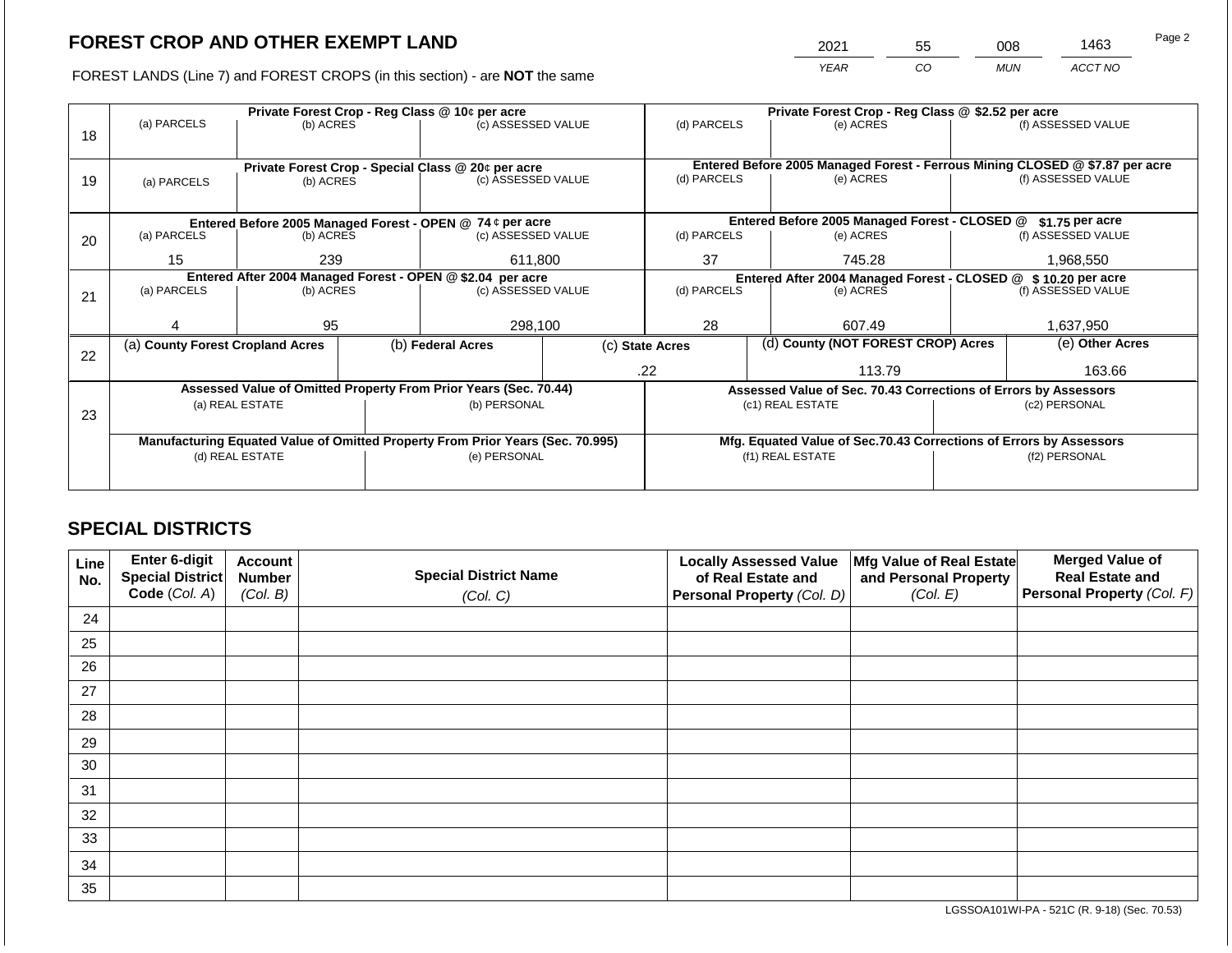2021 55 008 1463

FOREST LANDS (Line 7) and FOREST CROPS (in this section) - are **NOT** the same *YEAR CO MUN ACCT NO*

|    |                                                                                |                 |  | Private Forest Crop - Reg Class @ 10¢ per acre                   |                                                               | Private Forest Crop - Reg Class @ \$2.52 per acre |  |                                                                    |                                                                                                    |                    |  |
|----|--------------------------------------------------------------------------------|-----------------|--|------------------------------------------------------------------|---------------------------------------------------------------|---------------------------------------------------|--|--------------------------------------------------------------------|----------------------------------------------------------------------------------------------------|--------------------|--|
|    | (a) PARCELS                                                                    | (b) ACRES       |  | (c) ASSESSED VALUE                                               |                                                               | (d) PARCELS                                       |  | (e) ACRES                                                          |                                                                                                    | (f) ASSESSED VALUE |  |
| 18 |                                                                                |                 |  |                                                                  |                                                               |                                                   |  |                                                                    |                                                                                                    |                    |  |
|    |                                                                                |                 |  |                                                                  |                                                               |                                                   |  |                                                                    |                                                                                                    |                    |  |
|    |                                                                                |                 |  | Private Forest Crop - Special Class @ 20¢ per acre               |                                                               | (d) PARCELS                                       |  | (e) ACRES                                                          | Entered Before 2005 Managed Forest - Ferrous Mining CLOSED @ \$7.87 per acre<br>(f) ASSESSED VALUE |                    |  |
| 19 | (a) PARCELS                                                                    | (b) ACRES       |  | (c) ASSESSED VALUE                                               |                                                               |                                                   |  |                                                                    |                                                                                                    |                    |  |
|    |                                                                                |                 |  |                                                                  |                                                               |                                                   |  |                                                                    |                                                                                                    |                    |  |
|    |                                                                                |                 |  | Entered Before 2005 Managed Forest - OPEN @ 74 ¢ per acre        |                                                               |                                                   |  | Entered Before 2005 Managed Forest - CLOSED @                      |                                                                                                    | \$1.75 per acre    |  |
| 20 | (a) PARCELS                                                                    | (b) ACRES       |  | (c) ASSESSED VALUE                                               |                                                               | (d) PARCELS                                       |  | (e) ACRES                                                          |                                                                                                    | (f) ASSESSED VALUE |  |
|    |                                                                                |                 |  |                                                                  |                                                               |                                                   |  |                                                                    |                                                                                                    |                    |  |
|    | 15                                                                             | 239             |  | 611,800                                                          |                                                               | 37<br>745.28                                      |  |                                                                    |                                                                                                    | 1,968,550          |  |
|    | Entered After 2004 Managed Forest - OPEN @ \$2.04 per acre                     |                 |  |                                                                  | Entered After 2004 Managed Forest - CLOSED @ \$10.20 per acre |                                                   |  |                                                                    |                                                                                                    |                    |  |
| 21 | (a) PARCELS                                                                    | (b) ACRES       |  | (c) ASSESSED VALUE                                               |                                                               | (d) PARCELS                                       |  | (e) ACRES                                                          |                                                                                                    | (f) ASSESSED VALUE |  |
|    |                                                                                |                 |  |                                                                  |                                                               |                                                   |  |                                                                    |                                                                                                    |                    |  |
|    |                                                                                | 95              |  | 298,100                                                          |                                                               | 28                                                |  | 607.49                                                             |                                                                                                    | 1,637,950          |  |
|    | (a) County Forest Cropland Acres                                               |                 |  | (b) Federal Acres                                                |                                                               | (c) State Acres                                   |  | (d) County (NOT FOREST CROP) Acres                                 |                                                                                                    | (e) Other Acres    |  |
| 22 |                                                                                |                 |  |                                                                  |                                                               |                                                   |  |                                                                    |                                                                                                    |                    |  |
|    |                                                                                |                 |  |                                                                  |                                                               | .22                                               |  | 113.79                                                             |                                                                                                    | 163.66             |  |
|    |                                                                                |                 |  | Assessed Value of Omitted Property From Prior Years (Sec. 70.44) |                                                               |                                                   |  | Assessed Value of Sec. 70.43 Corrections of Errors by Assessors    |                                                                                                    |                    |  |
|    |                                                                                | (a) REAL ESTATE |  | (b) PERSONAL                                                     |                                                               |                                                   |  | (c1) REAL ESTATE                                                   |                                                                                                    | (c2) PERSONAL      |  |
| 23 |                                                                                |                 |  |                                                                  |                                                               |                                                   |  |                                                                    |                                                                                                    |                    |  |
|    | Manufacturing Equated Value of Omitted Property From Prior Years (Sec. 70.995) |                 |  |                                                                  |                                                               |                                                   |  | Mfg. Equated Value of Sec.70.43 Corrections of Errors by Assessors |                                                                                                    |                    |  |
|    | (d) REAL ESTATE                                                                |                 |  | (e) PERSONAL                                                     |                                                               | (f1) REAL ESTATE                                  |  |                                                                    | (f2) PERSONAL                                                                                      |                    |  |
|    |                                                                                |                 |  |                                                                  |                                                               |                                                   |  |                                                                    |                                                                                                    |                    |  |
|    |                                                                                |                 |  |                                                                  |                                                               |                                                   |  |                                                                    |                                                                                                    |                    |  |

## **SPECIAL DISTRICTS**

| Line<br>No. | <b>Enter 6-digit</b><br>Special District | <b>Account</b><br><b>Number</b> | <b>Special District Name</b> | <b>Locally Assessed Value</b><br>of Real Estate and | Mfg Value of Real Estate<br>and Personal Property | <b>Merged Value of</b><br><b>Real Estate and</b> |
|-------------|------------------------------------------|---------------------------------|------------------------------|-----------------------------------------------------|---------------------------------------------------|--------------------------------------------------|
|             | Code (Col. A)                            | (Col. B)                        | (Col. C)                     | Personal Property (Col. D)                          | (Col. E)                                          | Personal Property (Col. F)                       |
| 24          |                                          |                                 |                              |                                                     |                                                   |                                                  |
| 25          |                                          |                                 |                              |                                                     |                                                   |                                                  |
| 26          |                                          |                                 |                              |                                                     |                                                   |                                                  |
| 27          |                                          |                                 |                              |                                                     |                                                   |                                                  |
| 28          |                                          |                                 |                              |                                                     |                                                   |                                                  |
| 29          |                                          |                                 |                              |                                                     |                                                   |                                                  |
| 30          |                                          |                                 |                              |                                                     |                                                   |                                                  |
| 31          |                                          |                                 |                              |                                                     |                                                   |                                                  |
| 32          |                                          |                                 |                              |                                                     |                                                   |                                                  |
| 33          |                                          |                                 |                              |                                                     |                                                   |                                                  |
| 34          |                                          |                                 |                              |                                                     |                                                   |                                                  |
| 35          |                                          |                                 |                              |                                                     |                                                   |                                                  |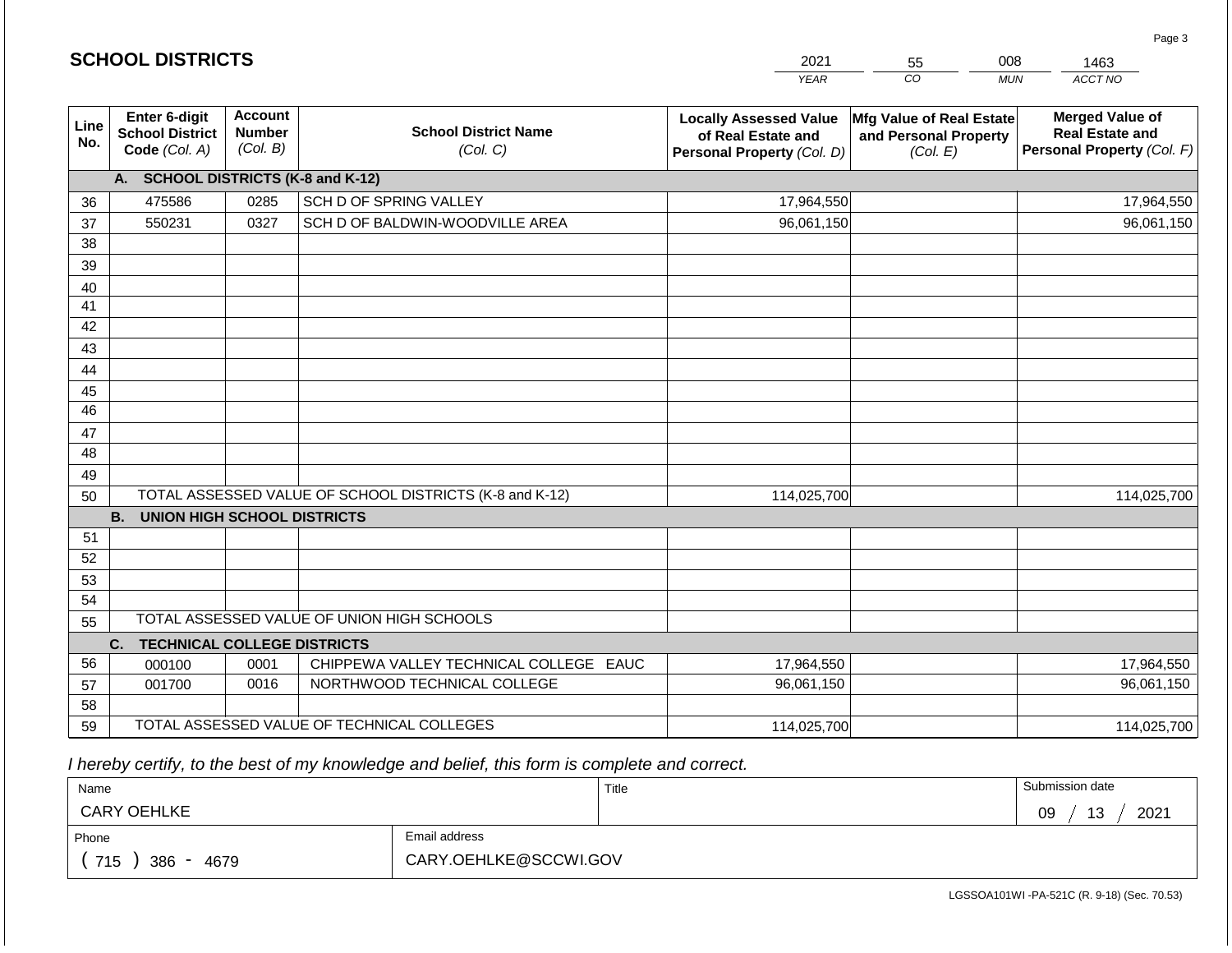|             | <b>SCHOOL DISTRICTS</b>                                  |                                             |                                                         | 2021                                                                              | 55                                                            | 008<br>1463                                                                    |
|-------------|----------------------------------------------------------|---------------------------------------------|---------------------------------------------------------|-----------------------------------------------------------------------------------|---------------------------------------------------------------|--------------------------------------------------------------------------------|
|             |                                                          |                                             |                                                         | <b>YEAR</b>                                                                       | CO                                                            | ACCT NO<br><b>MUN</b>                                                          |
| Line<br>No. | Enter 6-digit<br><b>School District</b><br>Code (Col. A) | <b>Account</b><br><b>Number</b><br>(Col. B) | <b>School District Name</b><br>(Col. C)                 | <b>Locally Assessed Value</b><br>of Real Estate and<br>Personal Property (Col. D) | Mfg Value of Real Estate<br>and Personal Property<br>(Col. E) | <b>Merged Value of</b><br><b>Real Estate and</b><br>Personal Property (Col. F) |
|             | A. SCHOOL DISTRICTS (K-8 and K-12)                       |                                             |                                                         |                                                                                   |                                                               |                                                                                |
| 36          | 475586                                                   | 0285                                        | SCH D OF SPRING VALLEY                                  | 17,964,550                                                                        |                                                               | 17,964,550                                                                     |
| 37          | 550231                                                   | 0327                                        | SCH D OF BALDWIN-WOODVILLE AREA                         | 96,061,150                                                                        |                                                               | 96,061,150                                                                     |
| 38          |                                                          |                                             |                                                         |                                                                                   |                                                               |                                                                                |
| 39          |                                                          |                                             |                                                         |                                                                                   |                                                               |                                                                                |
| 40          |                                                          |                                             |                                                         |                                                                                   |                                                               |                                                                                |
| 41          |                                                          |                                             |                                                         |                                                                                   |                                                               |                                                                                |
| 42          |                                                          |                                             |                                                         |                                                                                   |                                                               |                                                                                |
| 43          |                                                          |                                             |                                                         |                                                                                   |                                                               |                                                                                |
| 44<br>45    |                                                          |                                             |                                                         |                                                                                   |                                                               |                                                                                |
| 46          |                                                          |                                             |                                                         |                                                                                   |                                                               |                                                                                |
| 47          |                                                          |                                             |                                                         |                                                                                   |                                                               |                                                                                |
| 48          |                                                          |                                             |                                                         |                                                                                   |                                                               |                                                                                |
| 49          |                                                          |                                             |                                                         |                                                                                   |                                                               |                                                                                |
| 50          |                                                          |                                             | TOTAL ASSESSED VALUE OF SCHOOL DISTRICTS (K-8 and K-12) | 114,025,700                                                                       |                                                               | 114,025,700                                                                    |
|             | <b>B.</b><br><b>UNION HIGH SCHOOL DISTRICTS</b>          |                                             |                                                         |                                                                                   |                                                               |                                                                                |
| 51          |                                                          |                                             |                                                         |                                                                                   |                                                               |                                                                                |
| 52          |                                                          |                                             |                                                         |                                                                                   |                                                               |                                                                                |
| 53          |                                                          |                                             |                                                         |                                                                                   |                                                               |                                                                                |
| 54          |                                                          |                                             |                                                         |                                                                                   |                                                               |                                                                                |
| 55          |                                                          |                                             | TOTAL ASSESSED VALUE OF UNION HIGH SCHOOLS              |                                                                                   |                                                               |                                                                                |
|             | <b>TECHNICAL COLLEGE DISTRICTS</b><br>C.                 |                                             |                                                         |                                                                                   |                                                               |                                                                                |
| 56          | 000100                                                   | 0001                                        | CHIPPEWA VALLEY TECHNICAL COLLEGE EAUC                  | 17,964,550                                                                        |                                                               | 17,964,550                                                                     |
| 57          | 001700                                                   | 0016                                        | NORTHWOOD TECHNICAL COLLEGE                             | 96,061,150                                                                        |                                                               | 96,061,150                                                                     |
| 58          |                                                          |                                             |                                                         |                                                                                   |                                                               |                                                                                |
| 59          |                                                          |                                             | TOTAL ASSESSED VALUE OF TECHNICAL COLLEGES              | 114,025,700                                                                       |                                                               | 114,025,700                                                                    |

 *I hereby certify, to the best of my knowledge and belief, this form is complete and correct.*

| Name               |                       | Title | Submission date        |
|--------------------|-----------------------|-------|------------------------|
| <b>CARY OEHLKE</b> |                       |       | 2021<br>13<br>na<br>ບວ |
| Phone              | Email address         |       |                        |
| 715<br>4679<br>386 | CARY.OEHLKE@SCCWI.GOV |       |                        |

Page 3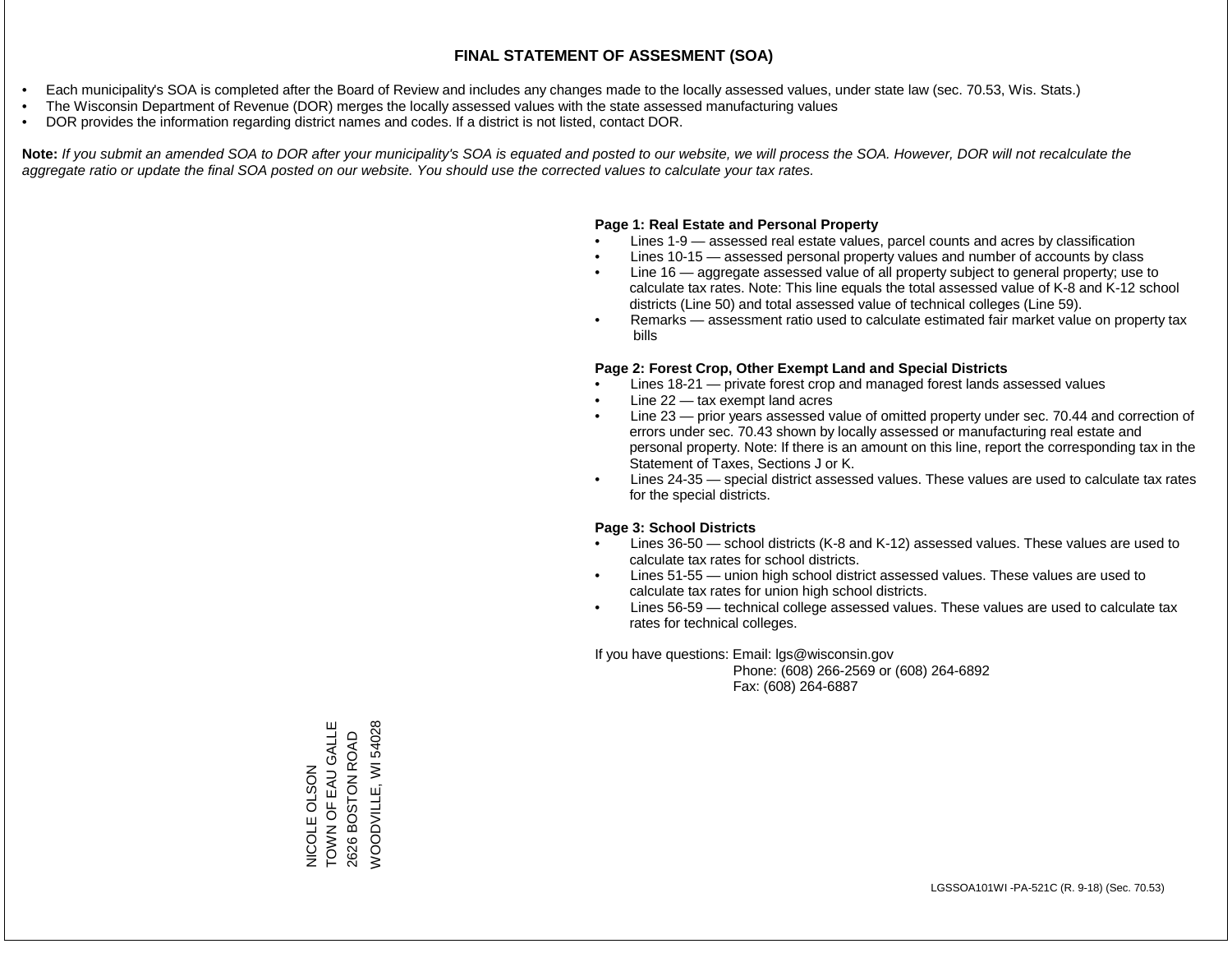- Each municipality's SOA is completed after the Board of Review and includes any changes made to the locally assessed values, under state law (sec. 70.53, Wis. Stats.)
- The Wisconsin Department of Revenue (DOR) merges the locally assessed values with the state assessed manufacturing values
- DOR provides the information regarding district names and codes. If a district is not listed, contact DOR.

Note: If you submit an amended SOA to DOR after your municipality's SOA is equated and posted to our website, we will process the SOA. However, DOR will not recalculate the *aggregate ratio or update the final SOA posted on our website. You should use the corrected values to calculate your tax rates.*

### **Page 1: Real Estate and Personal Property**

- Lines 1-9 assessed real estate values, parcel counts and acres by classification
- Lines 10-15 assessed personal property values and number of accounts by class
- Line 16 aggregate assessed value of all property subject to general property; use to calculate tax rates. Note: This line equals the total assessed value of K-8 and K-12 school districts (Line 50) and total assessed value of technical colleges (Line 59).
- Remarks assessment ratio used to calculate estimated fair market value on property tax bills

### **Page 2: Forest Crop, Other Exempt Land and Special Districts**

- Lines 18-21 private forest crop and managed forest lands assessed values
- Line  $22 -$  tax exempt land acres
- Line 23 prior years assessed value of omitted property under sec. 70.44 and correction of errors under sec. 70.43 shown by locally assessed or manufacturing real estate and personal property. Note: If there is an amount on this line, report the corresponding tax in the Statement of Taxes, Sections J or K.
- Lines 24-35 special district assessed values. These values are used to calculate tax rates for the special districts.

### **Page 3: School Districts**

- Lines 36-50 school districts (K-8 and K-12) assessed values. These values are used to calculate tax rates for school districts.
- Lines 51-55 union high school district assessed values. These values are used to calculate tax rates for union high school districts.
- Lines 56-59 technical college assessed values. These values are used to calculate tax rates for technical colleges.

If you have questions: Email: lgs@wisconsin.gov

 Phone: (608) 266-2569 or (608) 264-6892 Fax: (608) 264-6887

TOWN OF EAU GALLE NICOLE OLSON<br>TOWN OF EAU GALLE **NOODVILLE, WI 54028** WOODVILLE, WI 540282626 BOSTON ROAD 2626 BOSTON ROAD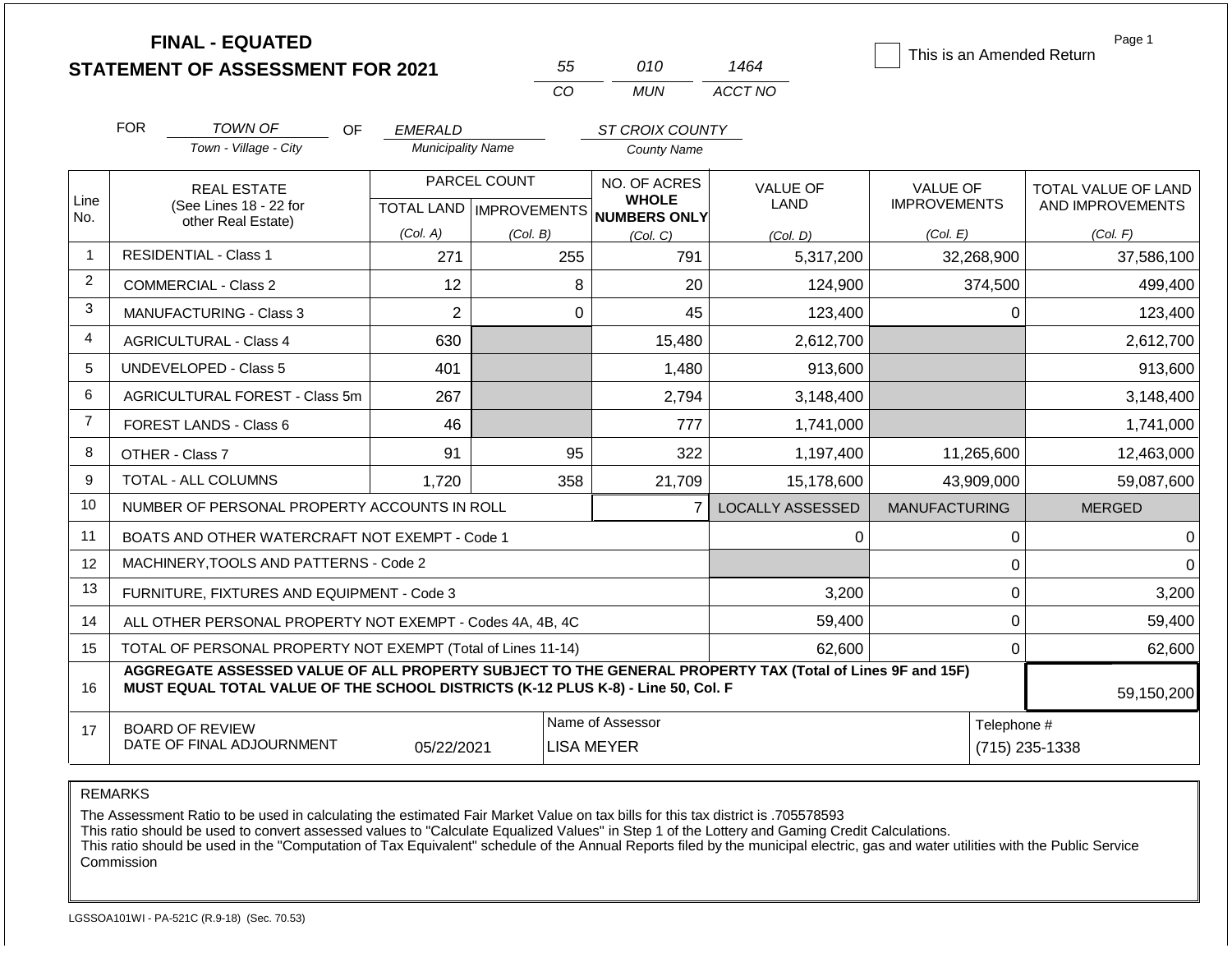|                | <b>FINAL - EQUATED</b><br><b>STATEMENT OF ASSESSMENT FOR 2021</b>                                                                                                                            |                          | 55           | 010                                                                 | 1464                    | This is an Amended Return       | Page 1                                  |  |
|----------------|----------------------------------------------------------------------------------------------------------------------------------------------------------------------------------------------|--------------------------|--------------|---------------------------------------------------------------------|-------------------------|---------------------------------|-----------------------------------------|--|
|                |                                                                                                                                                                                              |                          | CO           | <b>MUN</b>                                                          | ACCT NO                 |                                 |                                         |  |
|                | <b>FOR</b><br>TOWN OF<br>OF.                                                                                                                                                                 | <b>EMERALD</b>           |              | ST CROIX COUNTY                                                     |                         |                                 |                                         |  |
|                | Town - Village - City                                                                                                                                                                        | <b>Municipality Name</b> |              | <b>County Name</b>                                                  |                         |                                 |                                         |  |
| Line<br>No.    | <b>REAL ESTATE</b><br>(See Lines 18 - 22 for                                                                                                                                                 |                          | PARCEL COUNT | NO. OF ACRES<br><b>WHOLE</b><br>TOTAL LAND MPROVEMENTS NUMBERS ONLY | VALUE OF<br>LAND        | VALUE OF<br><b>IMPROVEMENTS</b> | TOTAL VALUE OF LAND<br>AND IMPROVEMENTS |  |
|                | other Real Estate)                                                                                                                                                                           | (Col. A)                 | (Col. B)     | (Col, C)                                                            | (Col. D)                | (Col. E)                        | (Col. F)                                |  |
| $\overline{1}$ | <b>RESIDENTIAL - Class 1</b>                                                                                                                                                                 | 271                      | 255          | 791                                                                 | 5,317,200               | 32,268,900                      | 37,586,100                              |  |
| $\overline{2}$ | <b>COMMERCIAL - Class 2</b>                                                                                                                                                                  | 12                       | 8            | 20                                                                  | 124,900                 | 374,500                         | 499,400                                 |  |
| 3              | <b>MANUFACTURING - Class 3</b>                                                                                                                                                               | $\overline{2}$           | $\mathbf 0$  | 45                                                                  | 123,400                 | 0                               | 123,400                                 |  |
| 4              | <b>AGRICULTURAL - Class 4</b>                                                                                                                                                                | 630                      |              | 15,480                                                              | 2,612,700               |                                 | 2,612,700                               |  |
| 5              | UNDEVELOPED - Class 5                                                                                                                                                                        | 401                      |              | 1,480                                                               | 913,600                 |                                 | 913,600                                 |  |
| 6              | AGRICULTURAL FOREST - Class 5m                                                                                                                                                               | 267                      |              | 2,794                                                               | 3,148,400               |                                 | 3,148,400                               |  |
| $\overline{7}$ | FOREST LANDS - Class 6                                                                                                                                                                       | 46                       |              | 777                                                                 | 1,741,000               |                                 | 1,741,000                               |  |
| 8              | OTHER - Class 7                                                                                                                                                                              | 91                       | 95           | 322                                                                 | 1,197,400               | 11,265,600                      | 12,463,000                              |  |
| 9              | TOTAL - ALL COLUMNS                                                                                                                                                                          | 1.720                    | 358          | 21,709                                                              | 15,178,600              | 43,909,000                      | 59,087,600                              |  |
| 10             | NUMBER OF PERSONAL PROPERTY ACCOUNTS IN ROLL                                                                                                                                                 |                          |              | $\overline{7}$                                                      | <b>LOCALLY ASSESSED</b> | <b>MANUFACTURING</b>            | <b>MERGED</b>                           |  |
| 11             | BOATS AND OTHER WATERCRAFT NOT EXEMPT - Code 1                                                                                                                                               |                          |              |                                                                     | 0                       | 0                               | 0                                       |  |
| 12             | MACHINERY, TOOLS AND PATTERNS - Code 2                                                                                                                                                       |                          |              |                                                                     |                         | 0                               | $\Omega$                                |  |
| 13             | FURNITURE, FIXTURES AND EQUIPMENT - Code 3                                                                                                                                                   |                          |              |                                                                     | 3,200                   | $\mathbf 0$                     | 3,200                                   |  |
| 14             | ALL OTHER PERSONAL PROPERTY NOT EXEMPT - Codes 4A, 4B, 4C                                                                                                                                    |                          |              |                                                                     | 59,400                  | $\mathbf 0$                     | 59,400                                  |  |
| 15             | TOTAL OF PERSONAL PROPERTY NOT EXEMPT (Total of Lines 11-14)                                                                                                                                 |                          |              |                                                                     | 62,600                  | 0                               | 62,600                                  |  |
| 16             | AGGREGATE ASSESSED VALUE OF ALL PROPERTY SUBJECT TO THE GENERAL PROPERTY TAX (Total of Lines 9F and 15F)<br>MUST EQUAL TOTAL VALUE OF THE SCHOOL DISTRICTS (K-12 PLUS K-8) - Line 50, Col. F |                          |              |                                                                     |                         |                                 | 59,150,200                              |  |
| 17             | <b>BOARD OF REVIEW</b><br>DATE OF FINAL ADJOURNMENT                                                                                                                                          | 05/22/2021               |              | Name of Assessor<br><b>LISA MEYER</b>                               |                         |                                 | Telephone #<br>(715) 235-1338           |  |

The Assessment Ratio to be used in calculating the estimated Fair Market Value on tax bills for this tax district is .705578593

This ratio should be used to convert assessed values to "Calculate Equalized Values" in Step 1 of the Lottery and Gaming Credit Calculations.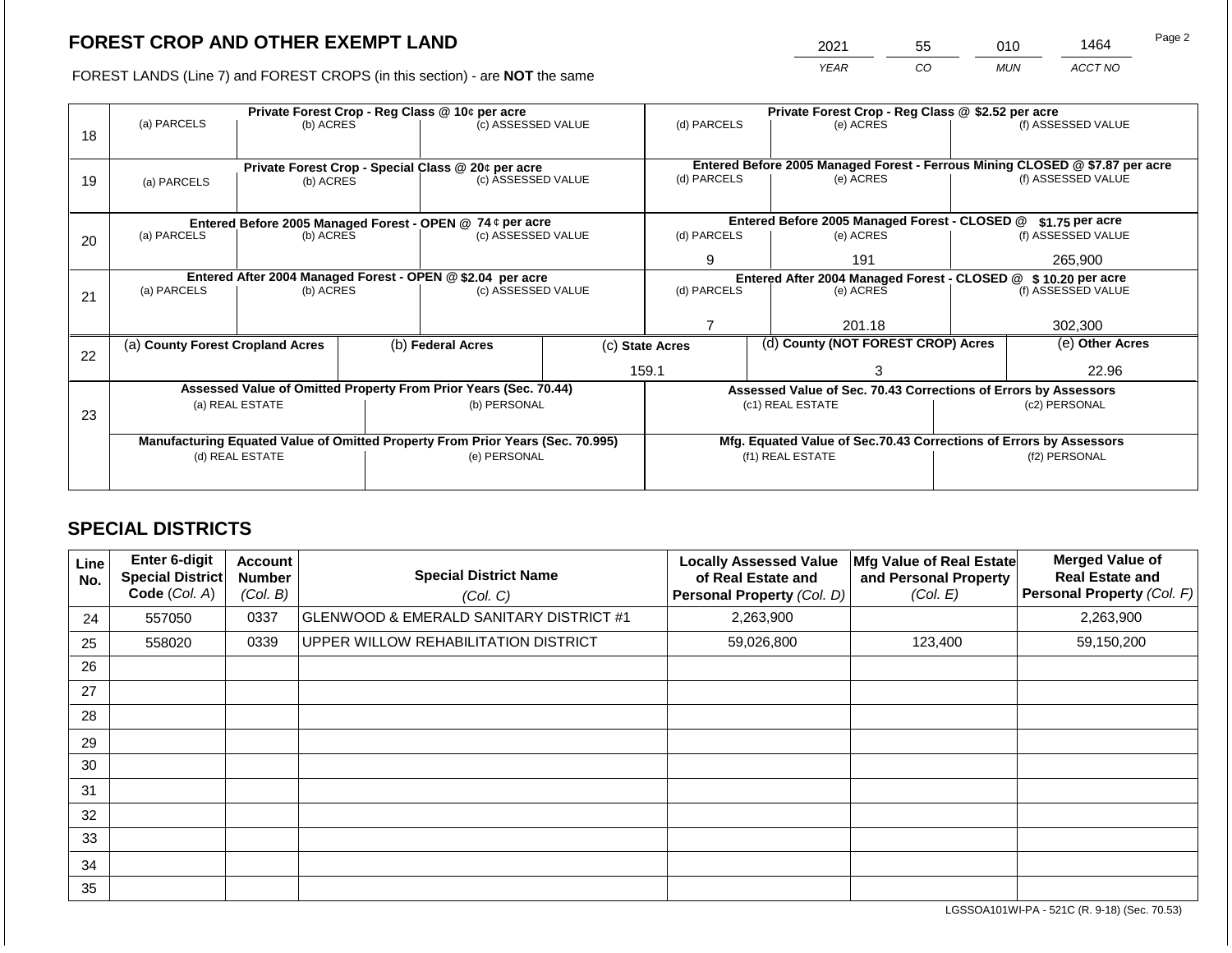2021 55 010 1464

FOREST LANDS (Line 7) and FOREST CROPS (in this section) - are **NOT** the same *YEAR CO MUN ACCT NO*

|    |                                                                                        | Private Forest Crop - Reg Class @ 10¢ per acre |  |                                                                          |                                               | Private Forest Crop - Reg Class @ \$2.52 per acre |                  |                                                                            |                                                                              |                    |  |
|----|----------------------------------------------------------------------------------------|------------------------------------------------|--|--------------------------------------------------------------------------|-----------------------------------------------|---------------------------------------------------|------------------|----------------------------------------------------------------------------|------------------------------------------------------------------------------|--------------------|--|
| 18 | (a) PARCELS                                                                            | (b) ACRES                                      |  | (c) ASSESSED VALUE                                                       |                                               | (d) PARCELS                                       |                  | (e) ACRES                                                                  |                                                                              | (f) ASSESSED VALUE |  |
|    |                                                                                        |                                                |  |                                                                          |                                               |                                                   |                  |                                                                            |                                                                              |                    |  |
|    |                                                                                        |                                                |  |                                                                          |                                               |                                                   |                  |                                                                            | Entered Before 2005 Managed Forest - Ferrous Mining CLOSED @ \$7.87 per acre |                    |  |
| 19 |                                                                                        | (b) ACRES                                      |  | Private Forest Crop - Special Class @ 20¢ per acre<br>(c) ASSESSED VALUE |                                               | (d) PARCELS                                       |                  | (e) ACRES                                                                  |                                                                              | (f) ASSESSED VALUE |  |
|    | (a) PARCELS                                                                            |                                                |  |                                                                          |                                               |                                                   |                  |                                                                            |                                                                              |                    |  |
|    |                                                                                        |                                                |  |                                                                          |                                               |                                                   |                  |                                                                            |                                                                              |                    |  |
|    | Entered Before 2005 Managed Forest - OPEN @ 74 ¢ per acre                              |                                                |  |                                                                          | Entered Before 2005 Managed Forest - CLOSED @ |                                                   | $$1.75$ per acre |                                                                            |                                                                              |                    |  |
| 20 | (a) PARCELS<br>(b) ACRES                                                               |                                                |  | (c) ASSESSED VALUE                                                       |                                               | (d) PARCELS                                       |                  | (e) ACRES                                                                  |                                                                              | (f) ASSESSED VALUE |  |
|    |                                                                                        |                                                |  |                                                                          |                                               | 9                                                 |                  | 191                                                                        |                                                                              | 265,900            |  |
|    |                                                                                        |                                                |  |                                                                          |                                               |                                                   |                  |                                                                            |                                                                              |                    |  |
|    | Entered After 2004 Managed Forest - OPEN @ \$2.04 per acre<br>(a) PARCELS<br>(b) ACRES |                                                |  | (c) ASSESSED VALUE                                                       |                                               | (d) PARCELS                                       |                  | Entered After 2004 Managed Forest - CLOSED @ \$10.20 per acre<br>(e) ACRES |                                                                              | (f) ASSESSED VALUE |  |
| 21 |                                                                                        |                                                |  |                                                                          |                                               |                                                   |                  |                                                                            |                                                                              |                    |  |
|    |                                                                                        |                                                |  |                                                                          |                                               |                                                   |                  |                                                                            |                                                                              |                    |  |
|    |                                                                                        |                                                |  |                                                                          |                                               |                                                   |                  | 201.18                                                                     |                                                                              | 302,300            |  |
|    | (a) County Forest Cropland Acres                                                       |                                                |  | (b) Federal Acres                                                        | (c) State Acres                               |                                                   |                  | (d) County (NOT FOREST CROP) Acres                                         |                                                                              | (e) Other Acres    |  |
| 22 |                                                                                        |                                                |  |                                                                          |                                               |                                                   |                  |                                                                            |                                                                              |                    |  |
|    |                                                                                        |                                                |  |                                                                          |                                               | 159.1                                             |                  |                                                                            |                                                                              | 22.96              |  |
|    |                                                                                        |                                                |  | Assessed Value of Omitted Property From Prior Years (Sec. 70.44)         |                                               |                                                   |                  | Assessed Value of Sec. 70.43 Corrections of Errors by Assessors            |                                                                              |                    |  |
|    |                                                                                        | (a) REAL ESTATE                                |  | (b) PERSONAL                                                             |                                               |                                                   |                  | (c1) REAL ESTATE                                                           |                                                                              | (c2) PERSONAL      |  |
| 23 |                                                                                        |                                                |  |                                                                          |                                               |                                                   |                  |                                                                            |                                                                              |                    |  |
|    | Manufacturing Equated Value of Omitted Property From Prior Years (Sec. 70.995)         |                                                |  |                                                                          |                                               |                                                   |                  | Mfg. Equated Value of Sec.70.43 Corrections of Errors by Assessors         |                                                                              |                    |  |
|    | (d) REAL ESTATE                                                                        |                                                |  | (e) PERSONAL                                                             |                                               | (f1) REAL ESTATE                                  |                  |                                                                            | (f2) PERSONAL                                                                |                    |  |
|    |                                                                                        |                                                |  |                                                                          |                                               |                                                   |                  |                                                                            |                                                                              |                    |  |
|    |                                                                                        |                                                |  |                                                                          |                                               |                                                   |                  |                                                                            |                                                                              |                    |  |

## **SPECIAL DISTRICTS**

| Line<br>No. | Enter 6-digit<br>Special District<br>Code (Col. A) | <b>Account</b><br><b>Number</b><br>(Col. B) | <b>Special District Name</b><br>(Col. C)           | <b>Locally Assessed Value</b><br>of Real Estate and<br>Personal Property (Col. D) | Mfg Value of Real Estate<br>and Personal Property<br>(Col. E) | <b>Merged Value of</b><br><b>Real Estate and</b><br>Personal Property (Col. F) |
|-------------|----------------------------------------------------|---------------------------------------------|----------------------------------------------------|-----------------------------------------------------------------------------------|---------------------------------------------------------------|--------------------------------------------------------------------------------|
| 24          | 557050                                             | 0337                                        | <b>GLENWOOD &amp; EMERALD SANITARY DISTRICT #1</b> | 2,263,900                                                                         |                                                               | 2,263,900                                                                      |
| 25          | 558020                                             | 0339                                        | UPPER WILLOW REHABILITATION DISTRICT               | 59,026,800                                                                        | 123,400                                                       | 59,150,200                                                                     |
| 26          |                                                    |                                             |                                                    |                                                                                   |                                                               |                                                                                |
| 27          |                                                    |                                             |                                                    |                                                                                   |                                                               |                                                                                |
| 28          |                                                    |                                             |                                                    |                                                                                   |                                                               |                                                                                |
| 29          |                                                    |                                             |                                                    |                                                                                   |                                                               |                                                                                |
| 30          |                                                    |                                             |                                                    |                                                                                   |                                                               |                                                                                |
| 31          |                                                    |                                             |                                                    |                                                                                   |                                                               |                                                                                |
| 32          |                                                    |                                             |                                                    |                                                                                   |                                                               |                                                                                |
| 33          |                                                    |                                             |                                                    |                                                                                   |                                                               |                                                                                |
| 34          |                                                    |                                             |                                                    |                                                                                   |                                                               |                                                                                |
| 35          |                                                    |                                             |                                                    |                                                                                   |                                                               |                                                                                |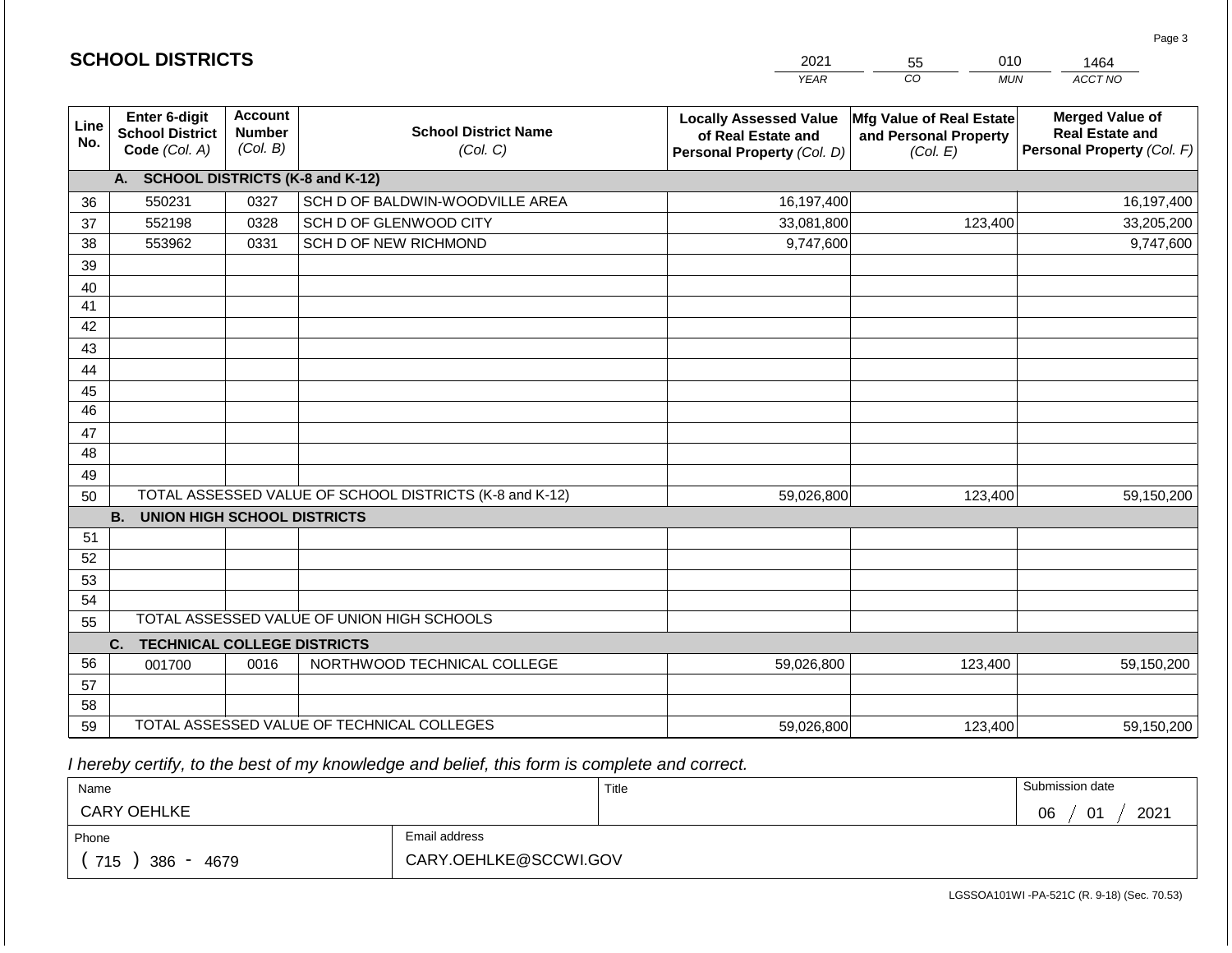|                 |                                                          |                                             |                                                         | <b>YEAR</b>                                                                       | CO<br><b>MUN</b>                                              | ACCT NO                                                                        |
|-----------------|----------------------------------------------------------|---------------------------------------------|---------------------------------------------------------|-----------------------------------------------------------------------------------|---------------------------------------------------------------|--------------------------------------------------------------------------------|
| Line<br>No.     | Enter 6-digit<br><b>School District</b><br>Code (Col. A) | <b>Account</b><br><b>Number</b><br>(Col. B) | <b>School District Name</b><br>(Col. C)                 | <b>Locally Assessed Value</b><br>of Real Estate and<br>Personal Property (Col. D) | Mfg Value of Real Estate<br>and Personal Property<br>(Col. E) | <b>Merged Value of</b><br><b>Real Estate and</b><br>Personal Property (Col. F) |
|                 | A. SCHOOL DISTRICTS (K-8 and K-12)                       |                                             |                                                         |                                                                                   |                                                               |                                                                                |
| 36              | 550231                                                   | 0327                                        | SCH D OF BALDWIN-WOODVILLE AREA                         | 16,197,400                                                                        |                                                               | 16,197,400                                                                     |
| 37              | 552198                                                   | 0328                                        | SCH D OF GLENWOOD CITY                                  | 33,081,800                                                                        | 123,400                                                       | 33,205,200                                                                     |
| 38              | 553962                                                   | 0331                                        | SCH D OF NEW RICHMOND                                   | 9,747,600                                                                         |                                                               | 9,747,600                                                                      |
| 39              |                                                          |                                             |                                                         |                                                                                   |                                                               |                                                                                |
| 40              |                                                          |                                             |                                                         |                                                                                   |                                                               |                                                                                |
| 41              |                                                          |                                             |                                                         |                                                                                   |                                                               |                                                                                |
| 42              |                                                          |                                             |                                                         |                                                                                   |                                                               |                                                                                |
| 43              |                                                          |                                             |                                                         |                                                                                   |                                                               |                                                                                |
| 44              |                                                          |                                             |                                                         |                                                                                   |                                                               |                                                                                |
| 45              |                                                          |                                             |                                                         |                                                                                   |                                                               |                                                                                |
| $\overline{46}$ |                                                          |                                             |                                                         |                                                                                   |                                                               |                                                                                |
| 47              |                                                          |                                             |                                                         |                                                                                   |                                                               |                                                                                |
| 48              |                                                          |                                             |                                                         |                                                                                   |                                                               |                                                                                |
| 49              |                                                          |                                             |                                                         |                                                                                   |                                                               |                                                                                |
| 50              |                                                          |                                             | TOTAL ASSESSED VALUE OF SCHOOL DISTRICTS (K-8 and K-12) | 59,026,800                                                                        | 123,400                                                       | 59,150,200                                                                     |
|                 | <b>B.</b><br><b>UNION HIGH SCHOOL DISTRICTS</b>          |                                             |                                                         |                                                                                   |                                                               |                                                                                |
| 51<br>52        |                                                          |                                             |                                                         |                                                                                   |                                                               |                                                                                |
| 53              |                                                          |                                             |                                                         |                                                                                   |                                                               |                                                                                |
| 54              |                                                          |                                             |                                                         |                                                                                   |                                                               |                                                                                |
| 55              |                                                          |                                             | TOTAL ASSESSED VALUE OF UNION HIGH SCHOOLS              |                                                                                   |                                                               |                                                                                |
|                 | C.<br><b>TECHNICAL COLLEGE DISTRICTS</b>                 |                                             |                                                         |                                                                                   |                                                               |                                                                                |
| 56              | 001700                                                   | 0016                                        | NORTHWOOD TECHNICAL COLLEGE                             | 59,026,800                                                                        | 123,400                                                       | 59,150,200                                                                     |
| 57              |                                                          |                                             |                                                         |                                                                                   |                                                               |                                                                                |
| 58              |                                                          |                                             |                                                         |                                                                                   |                                                               |                                                                                |
| 59              |                                                          |                                             | TOTAL ASSESSED VALUE OF TECHNICAL COLLEGES              | 59,026,800                                                                        | 123,400                                                       | 59,150,200                                                                     |

2021

55

010

 *I hereby certify, to the best of my knowledge and belief, this form is complete and correct.*

**SCHOOL DISTRICTS**

| Name               |                       | Title | Submission date                 |
|--------------------|-----------------------|-------|---------------------------------|
| <b>CARY OEHLKE</b> |                       |       | 2021<br>06<br>$\mathbf{A}$<br>ັ |
| Phone              | Email address         |       |                                 |
| 715<br>386<br>4679 | CARY.OEHLKE@SCCWI.GOV |       |                                 |

Page 3

1464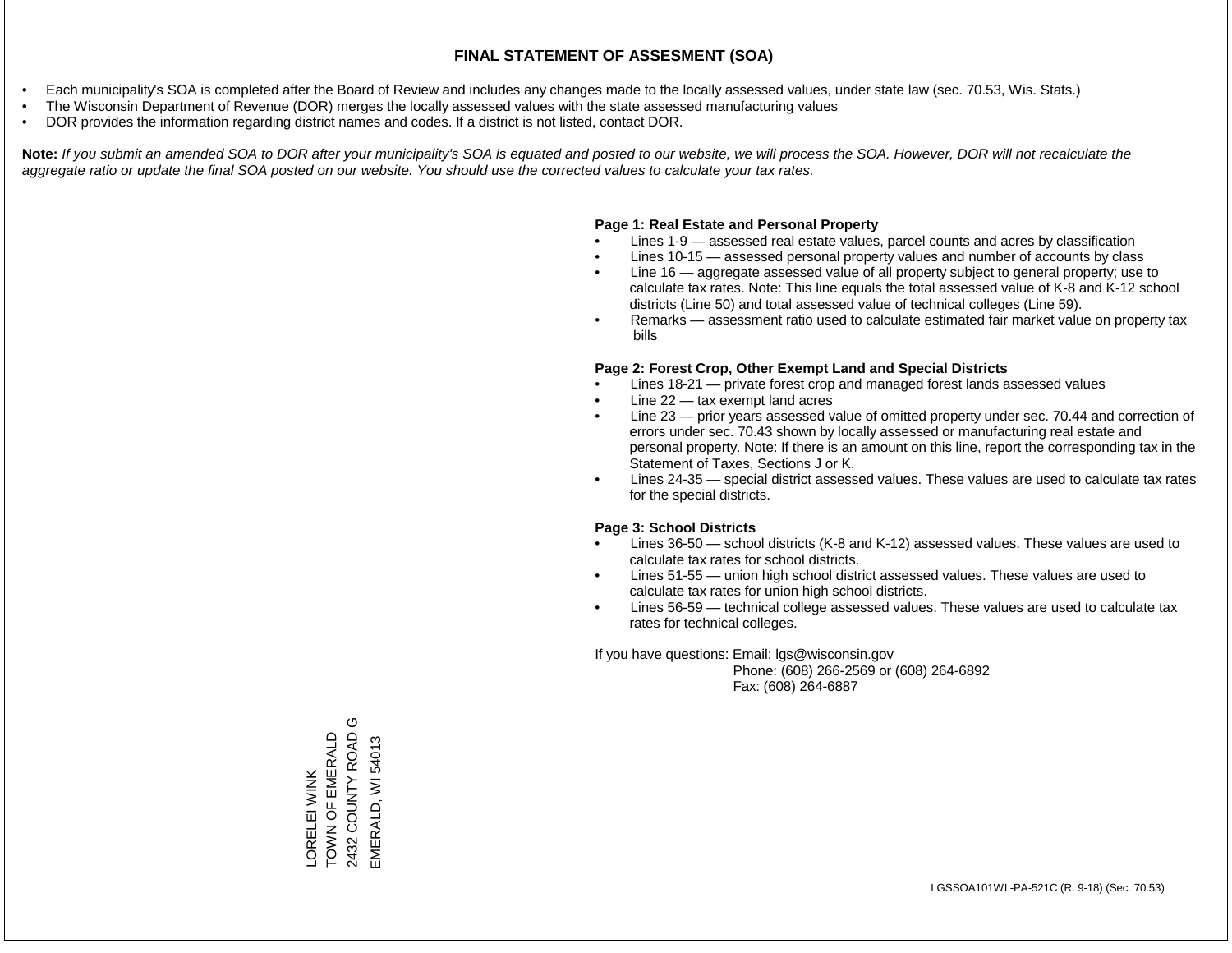- Each municipality's SOA is completed after the Board of Review and includes any changes made to the locally assessed values, under state law (sec. 70.53, Wis. Stats.)
- The Wisconsin Department of Revenue (DOR) merges the locally assessed values with the state assessed manufacturing values
- DOR provides the information regarding district names and codes. If a district is not listed, contact DOR.

Note: If you submit an amended SOA to DOR after your municipality's SOA is equated and posted to our website, we will process the SOA. However, DOR will not recalculate the *aggregate ratio or update the final SOA posted on our website. You should use the corrected values to calculate your tax rates.*

### **Page 1: Real Estate and Personal Property**

- Lines 1-9 assessed real estate values, parcel counts and acres by classification
- Lines 10-15 assessed personal property values and number of accounts by class
- Line 16 aggregate assessed value of all property subject to general property; use to calculate tax rates. Note: This line equals the total assessed value of K-8 and K-12 school districts (Line 50) and total assessed value of technical colleges (Line 59).
- Remarks assessment ratio used to calculate estimated fair market value on property tax bills

### **Page 2: Forest Crop, Other Exempt Land and Special Districts**

- Lines 18-21 private forest crop and managed forest lands assessed values
- Line  $22 -$  tax exempt land acres
- Line 23 prior years assessed value of omitted property under sec. 70.44 and correction of errors under sec. 70.43 shown by locally assessed or manufacturing real estate and personal property. Note: If there is an amount on this line, report the corresponding tax in the Statement of Taxes, Sections J or K.
- Lines 24-35 special district assessed values. These values are used to calculate tax rates for the special districts.

### **Page 3: School Districts**

- Lines 36-50 school districts (K-8 and K-12) assessed values. These values are used to calculate tax rates for school districts.
- Lines 51-55 union high school district assessed values. These values are used to calculate tax rates for union high school districts.
- Lines 56-59 technical college assessed values. These values are used to calculate tax rates for technical colleges.

If you have questions: Email: lgs@wisconsin.gov

 Phone: (608) 266-2569 or (608) 264-6892 Fax: (608) 264-6887

O 2432 COUNTY ROAD G TOWN OF EMERALD 2432 COUNTY ROAD LORELEI WINK<br>TOWN OF EMERALD EMERALD, WI 54013 EMERALD, WI 54013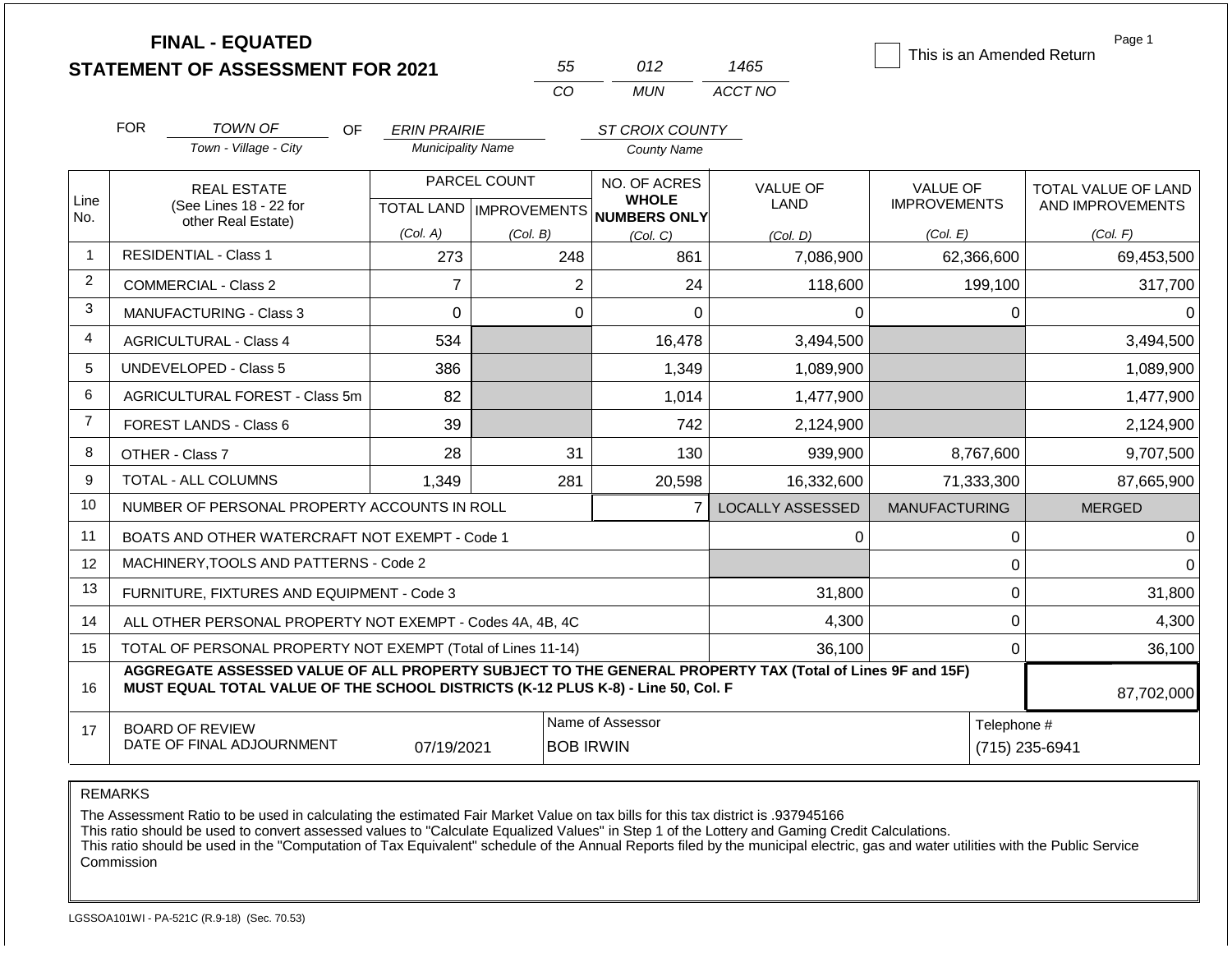|                |                                | <b>FINAL - EQUATED</b><br><b>STATEMENT OF ASSESSMENT FOR 2021</b>                                                                                                                            |                                                 |              | 55                                   | 012                                                  | 1465                    | This is an Amended Return | Page 1                        |  |
|----------------|--------------------------------|----------------------------------------------------------------------------------------------------------------------------------------------------------------------------------------------|-------------------------------------------------|--------------|--------------------------------------|------------------------------------------------------|-------------------------|---------------------------|-------------------------------|--|
|                |                                |                                                                                                                                                                                              |                                                 |              | CO                                   | <b>MUN</b>                                           | ACCT NO                 |                           |                               |  |
|                |                                |                                                                                                                                                                                              |                                                 |              |                                      |                                                      |                         |                           |                               |  |
|                | <b>FOR</b>                     | <b>TOWN OF</b><br>OF.<br>Town - Village - City                                                                                                                                               | <b>ERIN PRAIRIE</b><br><b>Municipality Name</b> |              |                                      | ST CROIX COUNTY                                      |                         |                           |                               |  |
|                |                                |                                                                                                                                                                                              |                                                 |              |                                      | <b>County Name</b>                                   |                         |                           |                               |  |
|                |                                | <b>REAL ESTATE</b>                                                                                                                                                                           |                                                 | PARCEL COUNT |                                      | NO. OF ACRES                                         | <b>VALUE OF</b>         | <b>VALUE OF</b>           | TOTAL VALUE OF LAND           |  |
| Line<br>No.    |                                | (See Lines 18 - 22 for<br>other Real Estate)                                                                                                                                                 |                                                 |              |                                      | <b>WHOLE</b><br>TOTAL LAND IMPROVEMENTS NUMBERS ONLY | LAND                    | <b>IMPROVEMENTS</b>       | AND IMPROVEMENTS              |  |
|                |                                |                                                                                                                                                                                              | (Col. A)                                        | (Col. B)     |                                      | (Col. C)                                             | (Col. D)                | (Col. E)                  | (Col. F)                      |  |
| $\mathbf{1}$   |                                | <b>RESIDENTIAL - Class 1</b>                                                                                                                                                                 | 273                                             |              | 248                                  | 861                                                  | 7,086,900               | 62,366,600                | 69,453,500                    |  |
| $\overline{2}$ | <b>COMMERCIAL - Class 2</b>    |                                                                                                                                                                                              | $\overline{7}$                                  |              | $\overline{2}$                       | 24                                                   | 118,600                 | 199,100                   | 317,700                       |  |
| 3              | <b>MANUFACTURING - Class 3</b> |                                                                                                                                                                                              | $\Omega$                                        |              | $\Omega$                             | $\Omega$                                             | $\Omega$                | 0                         | $\Omega$                      |  |
| 4              | <b>AGRICULTURAL - Class 4</b>  |                                                                                                                                                                                              | 534                                             |              |                                      | 16,478                                               | 3,494,500               |                           | 3,494,500                     |  |
| 5              |                                | UNDEVELOPED - Class 5                                                                                                                                                                        | 386                                             |              |                                      | 1,349                                                | 1,089,900               |                           | 1,089,900                     |  |
| 6              |                                | AGRICULTURAL FOREST - Class 5m                                                                                                                                                               | 82                                              |              |                                      | 1,014                                                | 1,477,900               |                           | 1,477,900                     |  |
| $\overline{7}$ |                                | <b>FOREST LANDS - Class 6</b>                                                                                                                                                                | 39                                              |              |                                      | 742                                                  | 2,124,900               |                           | 2,124,900                     |  |
| 8              |                                | OTHER - Class 7                                                                                                                                                                              | 28                                              |              | 31                                   | 130                                                  | 939,900                 | 8,767,600                 | 9,707,500                     |  |
| 9              |                                | TOTAL - ALL COLUMNS                                                                                                                                                                          | 1.349                                           |              | 281                                  | 20,598                                               | 16,332,600              | 71,333,300                | 87,665,900                    |  |
| 10             |                                | NUMBER OF PERSONAL PROPERTY ACCOUNTS IN ROLL                                                                                                                                                 |                                                 |              |                                      | $\overline{7}$                                       | <b>LOCALLY ASSESSED</b> | <b>MANUFACTURING</b>      | <b>MERGED</b>                 |  |
| 11             |                                | BOATS AND OTHER WATERCRAFT NOT EXEMPT - Code 1                                                                                                                                               |                                                 |              |                                      |                                                      | 0                       | 0                         | $\Omega$                      |  |
| 12             |                                | MACHINERY, TOOLS AND PATTERNS - Code 2                                                                                                                                                       |                                                 |              |                                      |                                                      |                         | $\mathbf 0$               | $\Omega$                      |  |
| 13             |                                | FURNITURE, FIXTURES AND EQUIPMENT - Code 3                                                                                                                                                   |                                                 |              |                                      |                                                      | 31,800                  | $\mathbf 0$               | 31,800                        |  |
| 14             |                                | ALL OTHER PERSONAL PROPERTY NOT EXEMPT - Codes 4A, 4B, 4C                                                                                                                                    |                                                 |              |                                      |                                                      | 4,300                   | $\mathbf 0$               | 4,300                         |  |
| 15             |                                | TOTAL OF PERSONAL PROPERTY NOT EXEMPT (Total of Lines 11-14)                                                                                                                                 |                                                 |              |                                      |                                                      | 36,100                  | $\mathbf 0$               | 36,100                        |  |
| 16             |                                | AGGREGATE ASSESSED VALUE OF ALL PROPERTY SUBJECT TO THE GENERAL PROPERTY TAX (Total of Lines 9F and 15F)<br>MUST EQUAL TOTAL VALUE OF THE SCHOOL DISTRICTS (K-12 PLUS K-8) - Line 50, Col. F |                                                 |              |                                      |                                                      |                         |                           | 87,702,000                    |  |
| 17             |                                | <b>BOARD OF REVIEW</b><br>DATE OF FINAL ADJOURNMENT                                                                                                                                          | 07/19/2021                                      |              | Name of Assessor<br><b>BOB IRWIN</b> |                                                      |                         |                           | Telephone #<br>(715) 235-6941 |  |

The Assessment Ratio to be used in calculating the estimated Fair Market Value on tax bills for this tax district is .937945166

This ratio should be used to convert assessed values to "Calculate Equalized Values" in Step 1 of the Lottery and Gaming Credit Calculations.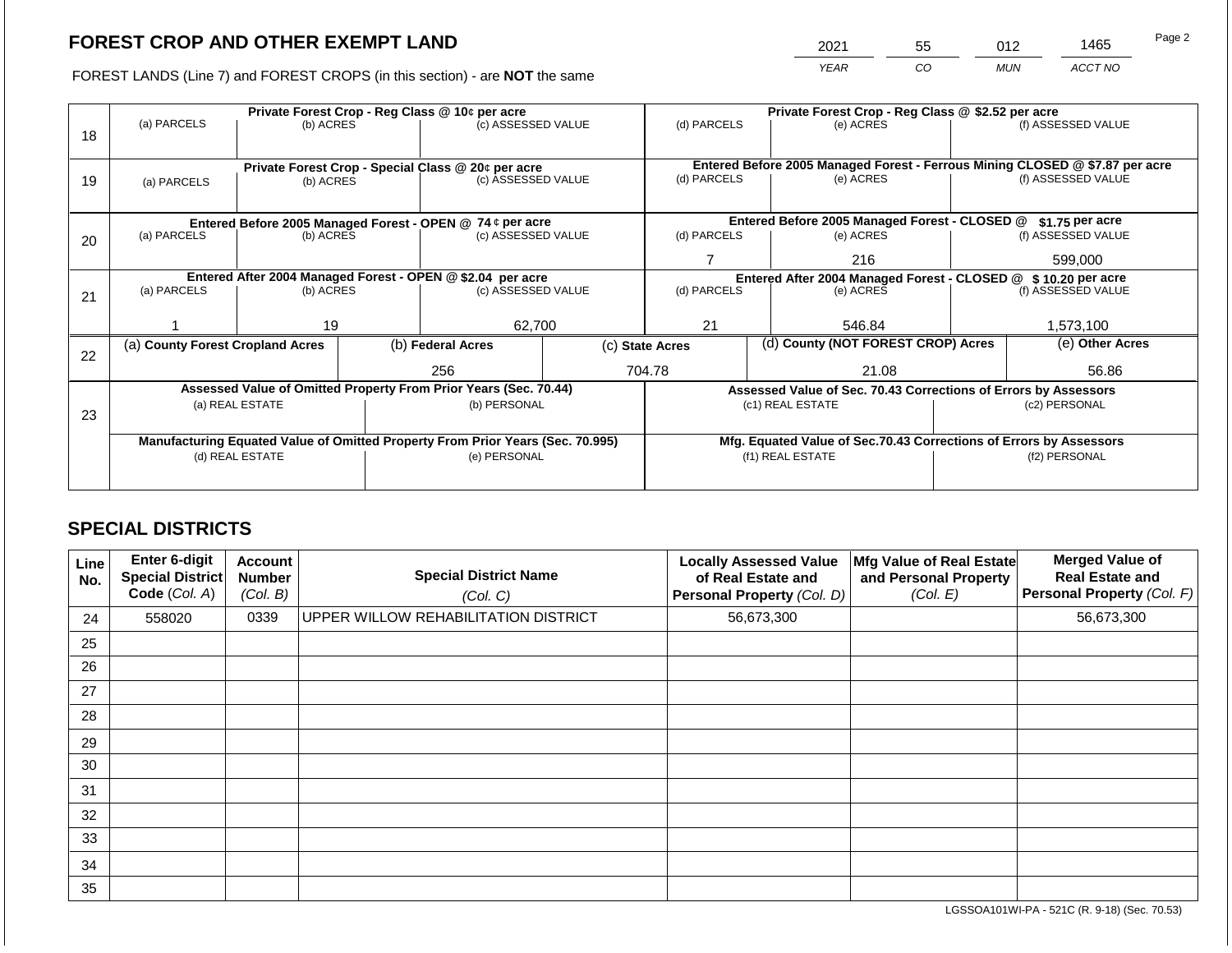2021 55 012 1465

FOREST LANDS (Line 7) and FOREST CROPS (in this section) - are **NOT** the same *YEAR CO MUN ACCT NO*

|    |                                                            |                 |             | Private Forest Crop - Reg Class @ 10¢ per acre                                 |                                                               | Private Forest Crop - Reg Class @ \$2.52 per acre |                    |                                                                    |               |                                                                              |
|----|------------------------------------------------------------|-----------------|-------------|--------------------------------------------------------------------------------|---------------------------------------------------------------|---------------------------------------------------|--------------------|--------------------------------------------------------------------|---------------|------------------------------------------------------------------------------|
|    | (a) PARCELS                                                | (b) ACRES       |             | (c) ASSESSED VALUE                                                             |                                                               | (d) PARCELS                                       |                    | (e) ACRES                                                          |               | (f) ASSESSED VALUE                                                           |
| 18 |                                                            |                 |             |                                                                                |                                                               |                                                   |                    |                                                                    |               |                                                                              |
|    |                                                            |                 |             |                                                                                |                                                               |                                                   |                    |                                                                    |               |                                                                              |
|    |                                                            |                 |             | Private Forest Crop - Special Class @ 20¢ per acre                             |                                                               |                                                   |                    |                                                                    |               | Entered Before 2005 Managed Forest - Ferrous Mining CLOSED @ \$7.87 per acre |
| 19 | (a) PARCELS                                                | (b) ACRES       |             | (c) ASSESSED VALUE                                                             |                                                               | (d) PARCELS                                       |                    | (e) ACRES                                                          |               | (f) ASSESSED VALUE                                                           |
|    |                                                            |                 |             |                                                                                |                                                               |                                                   |                    |                                                                    |               |                                                                              |
|    |                                                            |                 |             | Entered Before 2005 Managed Forest - OPEN @ 74 ¢ per acre                      |                                                               |                                                   |                    | Entered Before 2005 Managed Forest - CLOSED @                      |               | $$1.75$ per acre                                                             |
| 20 | (a) PARCELS<br>(c) ASSESSED VALUE<br>(b) ACRES             |                 | (d) PARCELS |                                                                                | (e) ACRES                                                     |                                                   | (f) ASSESSED VALUE |                                                                    |               |                                                                              |
|    |                                                            |                 |             |                                                                                |                                                               |                                                   |                    |                                                                    |               |                                                                              |
|    |                                                            |                 |             |                                                                                | 216                                                           |                                                   | 599,000            |                                                                    |               |                                                                              |
|    | Entered After 2004 Managed Forest - OPEN @ \$2.04 per acre |                 |             |                                                                                | Entered After 2004 Managed Forest - CLOSED @ \$10.20 per acre |                                                   |                    |                                                                    |               |                                                                              |
| 21 | (a) PARCELS                                                | (b) ACRES       |             | (c) ASSESSED VALUE                                                             |                                                               | (d) PARCELS                                       |                    | (e) ACRES                                                          |               | (f) ASSESSED VALUE                                                           |
|    |                                                            |                 |             |                                                                                |                                                               |                                                   |                    |                                                                    |               |                                                                              |
|    |                                                            | 19              |             | 62,700                                                                         |                                                               | 21                                                |                    | 546.84                                                             |               | 1,573,100                                                                    |
|    | (a) County Forest Cropland Acres                           |                 |             | (b) Federal Acres                                                              |                                                               | (c) State Acres                                   |                    | (d) County (NOT FOREST CROP) Acres                                 |               | (e) Other Acres                                                              |
| 22 |                                                            |                 |             |                                                                                |                                                               |                                                   |                    |                                                                    |               |                                                                              |
|    |                                                            |                 |             | 256                                                                            |                                                               | 704.78                                            |                    | 21.08                                                              |               | 56.86                                                                        |
|    |                                                            |                 |             | Assessed Value of Omitted Property From Prior Years (Sec. 70.44)               |                                                               |                                                   |                    | Assessed Value of Sec. 70.43 Corrections of Errors by Assessors    |               |                                                                              |
|    |                                                            | (a) REAL ESTATE |             | (b) PERSONAL                                                                   |                                                               |                                                   |                    | (c1) REAL ESTATE                                                   |               | (c2) PERSONAL                                                                |
| 23 |                                                            |                 |             |                                                                                |                                                               |                                                   |                    |                                                                    |               |                                                                              |
|    |                                                            |                 |             | Manufacturing Equated Value of Omitted Property From Prior Years (Sec. 70.995) |                                                               |                                                   |                    | Mfg. Equated Value of Sec.70.43 Corrections of Errors by Assessors |               |                                                                              |
|    |                                                            | (d) REAL ESTATE |             | (e) PERSONAL                                                                   |                                                               |                                                   |                    | (f1) REAL ESTATE                                                   | (f2) PERSONAL |                                                                              |
|    |                                                            |                 |             |                                                                                |                                                               |                                                   |                    |                                                                    |               |                                                                              |
|    |                                                            |                 |             |                                                                                |                                                               |                                                   |                    |                                                                    |               |                                                                              |

## **SPECIAL DISTRICTS**

| Line<br>No. | <b>Enter 6-digit</b><br>Special District<br>Code (Col. A) | <b>Account</b><br><b>Number</b><br>(Col. B) | <b>Special District Name</b><br>(Col. C) | <b>Locally Assessed Value</b><br>of Real Estate and<br>Personal Property (Col. D) | Mfg Value of Real Estate<br>and Personal Property<br>(Col. E) | <b>Merged Value of</b><br><b>Real Estate and</b><br>Personal Property (Col. F) |
|-------------|-----------------------------------------------------------|---------------------------------------------|------------------------------------------|-----------------------------------------------------------------------------------|---------------------------------------------------------------|--------------------------------------------------------------------------------|
| 24          | 558020                                                    | 0339                                        | UPPER WILLOW REHABILITATION DISTRICT     | 56,673,300                                                                        |                                                               | 56,673,300                                                                     |
| 25          |                                                           |                                             |                                          |                                                                                   |                                                               |                                                                                |
| 26          |                                                           |                                             |                                          |                                                                                   |                                                               |                                                                                |
| 27          |                                                           |                                             |                                          |                                                                                   |                                                               |                                                                                |
| 28          |                                                           |                                             |                                          |                                                                                   |                                                               |                                                                                |
| 29          |                                                           |                                             |                                          |                                                                                   |                                                               |                                                                                |
| 30          |                                                           |                                             |                                          |                                                                                   |                                                               |                                                                                |
| 31          |                                                           |                                             |                                          |                                                                                   |                                                               |                                                                                |
| 32          |                                                           |                                             |                                          |                                                                                   |                                                               |                                                                                |
| 33          |                                                           |                                             |                                          |                                                                                   |                                                               |                                                                                |
| 34          |                                                           |                                             |                                          |                                                                                   |                                                               |                                                                                |
| 35          |                                                           |                                             |                                          |                                                                                   |                                                               |                                                                                |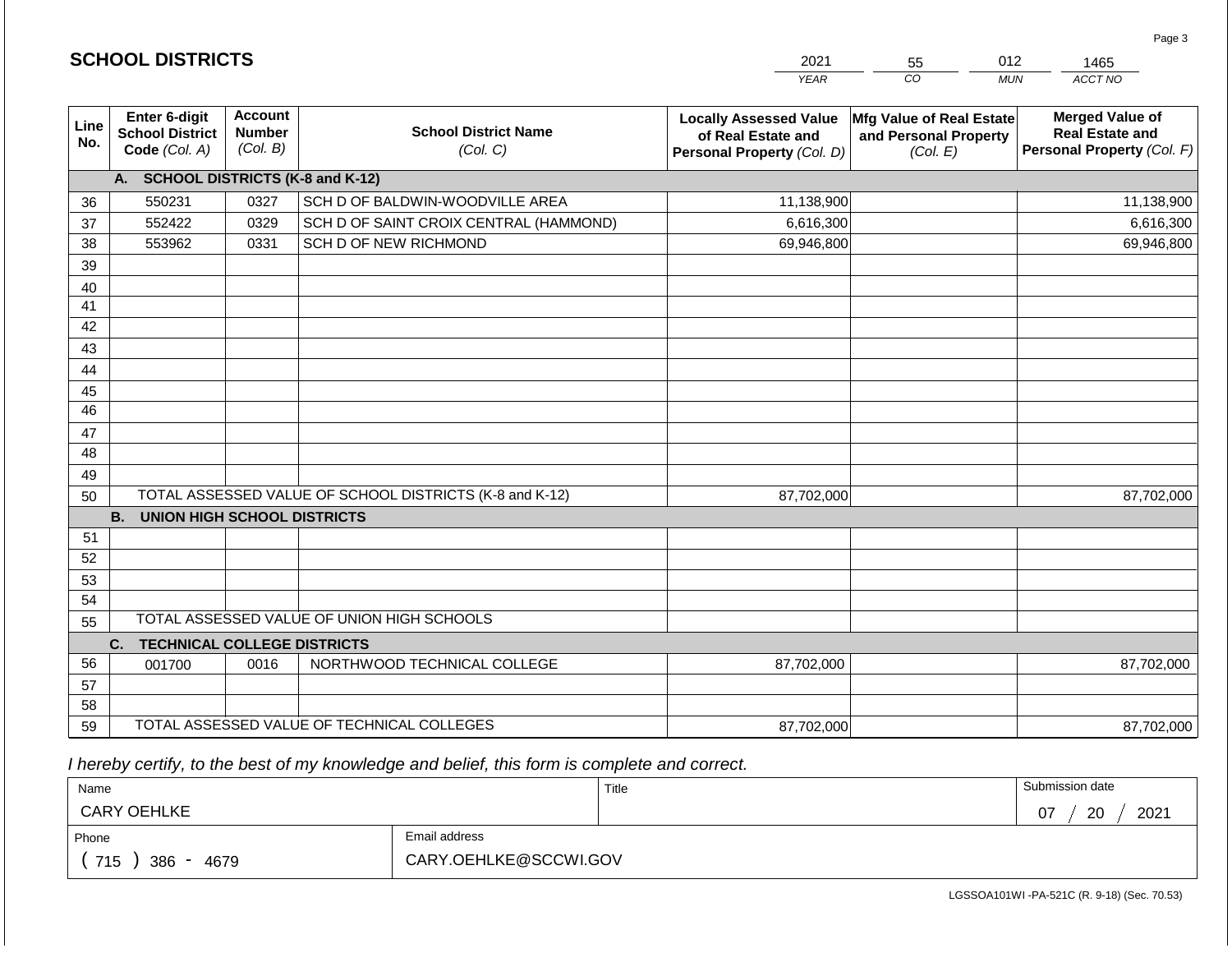|                 |                                                          |                                             |                                                         | <b>YEAR</b>                                                                       | CO<br><b>MUN</b>                                              | ACCT NO                                                                        |
|-----------------|----------------------------------------------------------|---------------------------------------------|---------------------------------------------------------|-----------------------------------------------------------------------------------|---------------------------------------------------------------|--------------------------------------------------------------------------------|
| Line<br>No.     | Enter 6-digit<br><b>School District</b><br>Code (Col. A) | <b>Account</b><br><b>Number</b><br>(Col. B) | <b>School District Name</b><br>(Col. C)                 | <b>Locally Assessed Value</b><br>of Real Estate and<br>Personal Property (Col. D) | Mfg Value of Real Estate<br>and Personal Property<br>(Col. E) | <b>Merged Value of</b><br><b>Real Estate and</b><br>Personal Property (Col. F) |
|                 | A. SCHOOL DISTRICTS (K-8 and K-12)                       |                                             |                                                         |                                                                                   |                                                               |                                                                                |
| 36              | 550231                                                   | 0327                                        | SCH D OF BALDWIN-WOODVILLE AREA                         | 11,138,900                                                                        |                                                               | 11,138,900                                                                     |
| 37              | 552422                                                   | 0329                                        | SCH D OF SAINT CROIX CENTRAL (HAMMOND)                  | 6,616,300                                                                         |                                                               | 6,616,300                                                                      |
| 38              | 553962                                                   | 0331                                        | SCH D OF NEW RICHMOND                                   | 69,946,800                                                                        |                                                               | 69,946,800                                                                     |
| 39              |                                                          |                                             |                                                         |                                                                                   |                                                               |                                                                                |
| 40              |                                                          |                                             |                                                         |                                                                                   |                                                               |                                                                                |
| 41              |                                                          |                                             |                                                         |                                                                                   |                                                               |                                                                                |
| 42              |                                                          |                                             |                                                         |                                                                                   |                                                               |                                                                                |
| 43              |                                                          |                                             |                                                         |                                                                                   |                                                               |                                                                                |
| 44              |                                                          |                                             |                                                         |                                                                                   |                                                               |                                                                                |
| 45              |                                                          |                                             |                                                         |                                                                                   |                                                               |                                                                                |
| $\overline{46}$ |                                                          |                                             |                                                         |                                                                                   |                                                               |                                                                                |
| 47              |                                                          |                                             |                                                         |                                                                                   |                                                               |                                                                                |
| 48              |                                                          |                                             |                                                         |                                                                                   |                                                               |                                                                                |
| 49              |                                                          |                                             |                                                         |                                                                                   |                                                               |                                                                                |
| 50              |                                                          |                                             | TOTAL ASSESSED VALUE OF SCHOOL DISTRICTS (K-8 and K-12) | 87,702,000                                                                        |                                                               | 87,702,000                                                                     |
|                 | <b>UNION HIGH SCHOOL DISTRICTS</b><br><b>B.</b>          |                                             |                                                         |                                                                                   |                                                               |                                                                                |
| 51<br>52        |                                                          |                                             |                                                         |                                                                                   |                                                               |                                                                                |
| 53              |                                                          |                                             |                                                         |                                                                                   |                                                               |                                                                                |
| 54              |                                                          |                                             |                                                         |                                                                                   |                                                               |                                                                                |
| 55              |                                                          |                                             | TOTAL ASSESSED VALUE OF UNION HIGH SCHOOLS              |                                                                                   |                                                               |                                                                                |
|                 | C.<br><b>TECHNICAL COLLEGE DISTRICTS</b>                 |                                             |                                                         |                                                                                   |                                                               |                                                                                |
| 56              | 001700                                                   | 0016                                        | NORTHWOOD TECHNICAL COLLEGE                             | 87,702,000                                                                        |                                                               | 87,702,000                                                                     |
| 57              |                                                          |                                             |                                                         |                                                                                   |                                                               |                                                                                |
| 58              |                                                          |                                             |                                                         |                                                                                   |                                                               |                                                                                |
| 59              |                                                          |                                             | TOTAL ASSESSED VALUE OF TECHNICAL COLLEGES              | 87,702,000                                                                        |                                                               | 87,702,000                                                                     |

2021

55

012

 *I hereby certify, to the best of my knowledge and belief, this form is complete and correct.*

**SCHOOL DISTRICTS**

| Name                                           |                       | Title | Submission date  |
|------------------------------------------------|-----------------------|-------|------------------|
| <b>CARY OEHLKE</b>                             |                       |       | 2021<br>20<br>07 |
| Phone                                          | Email address         |       |                  |
| 715<br>386<br>4679<br>$\overline{\phantom{0}}$ | CARY.OEHLKE@SCCWI.GOV |       |                  |

1465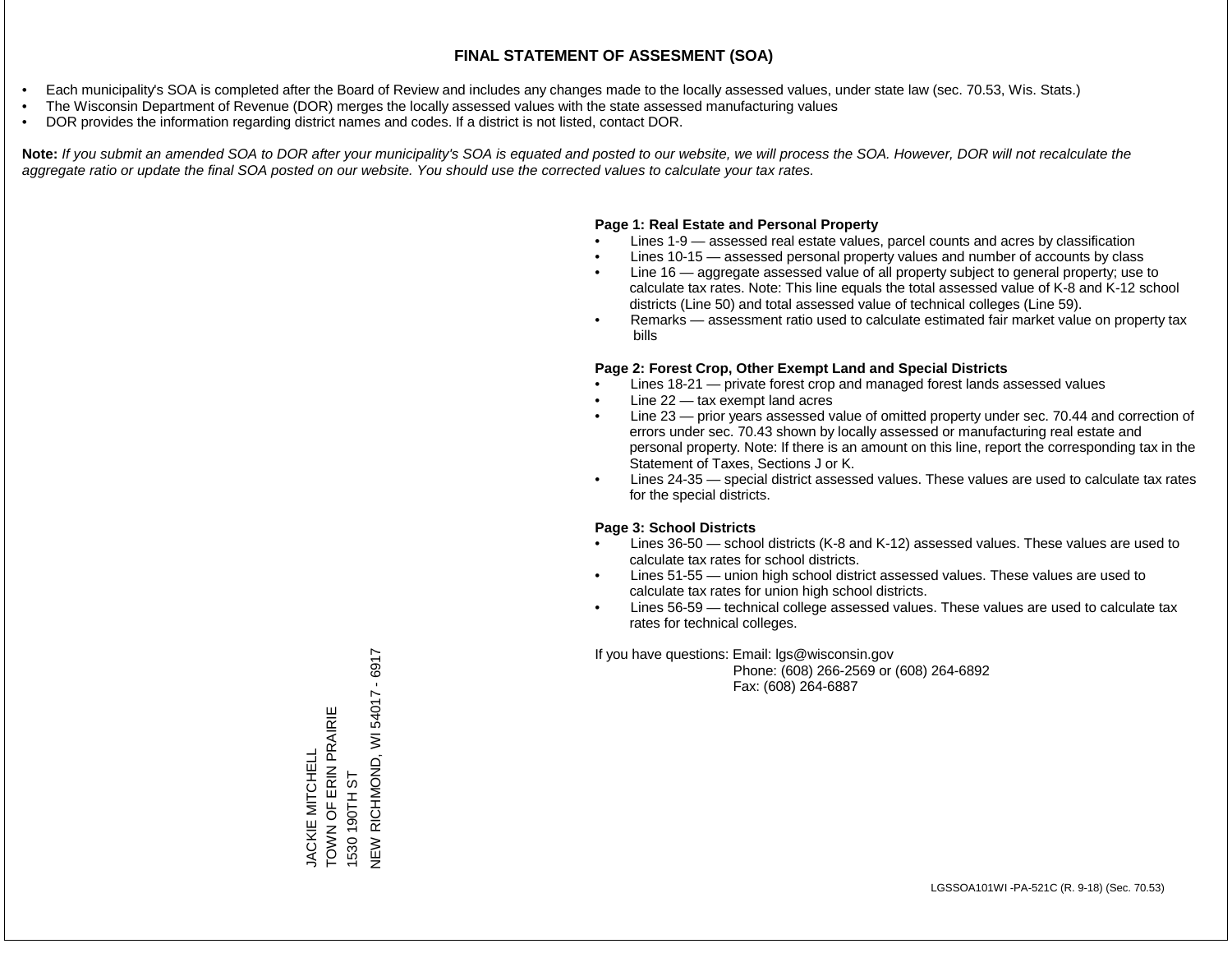- Each municipality's SOA is completed after the Board of Review and includes any changes made to the locally assessed values, under state law (sec. 70.53, Wis. Stats.)
- The Wisconsin Department of Revenue (DOR) merges the locally assessed values with the state assessed manufacturing values
- DOR provides the information regarding district names and codes. If a district is not listed, contact DOR.

Note: If you submit an amended SOA to DOR after your municipality's SOA is equated and posted to our website, we will process the SOA. However, DOR will not recalculate the *aggregate ratio or update the final SOA posted on our website. You should use the corrected values to calculate your tax rates.*

### **Page 1: Real Estate and Personal Property**

- Lines 1-9 assessed real estate values, parcel counts and acres by classification
- Lines 10-15 assessed personal property values and number of accounts by class
- Line 16 aggregate assessed value of all property subject to general property; use to calculate tax rates. Note: This line equals the total assessed value of K-8 and K-12 school districts (Line 50) and total assessed value of technical colleges (Line 59).
- Remarks assessment ratio used to calculate estimated fair market value on property tax bills

### **Page 2: Forest Crop, Other Exempt Land and Special Districts**

- Lines 18-21 private forest crop and managed forest lands assessed values
- Line  $22 -$  tax exempt land acres
- Line 23 prior years assessed value of omitted property under sec. 70.44 and correction of errors under sec. 70.43 shown by locally assessed or manufacturing real estate and personal property. Note: If there is an amount on this line, report the corresponding tax in the Statement of Taxes, Sections J or K.
- Lines 24-35 special district assessed values. These values are used to calculate tax rates for the special districts.

### **Page 3: School Districts**

- Lines 36-50 school districts (K-8 and K-12) assessed values. These values are used to calculate tax rates for school districts.
- Lines 51-55 union high school district assessed values. These values are used to calculate tax rates for union high school districts.
- Lines 56-59 technical college assessed values. These values are used to calculate tax rates for technical colleges.

If you have questions: Email: lgs@wisconsin.gov

 Phone: (608) 266-2569 or (608) 264-6892 Fax: (608) 264-6887

VEW RICHMOND, WI 54017 - 6917 NEW RICHMOND, WI 5401 - 6917 - 692 TOWN OF ERIN PRAIRIE TOWN OF ERIN PRAIRIE JACKIE MITCHELL JACKIE MITCHELL 1530 190TH ST 1530 190TH ST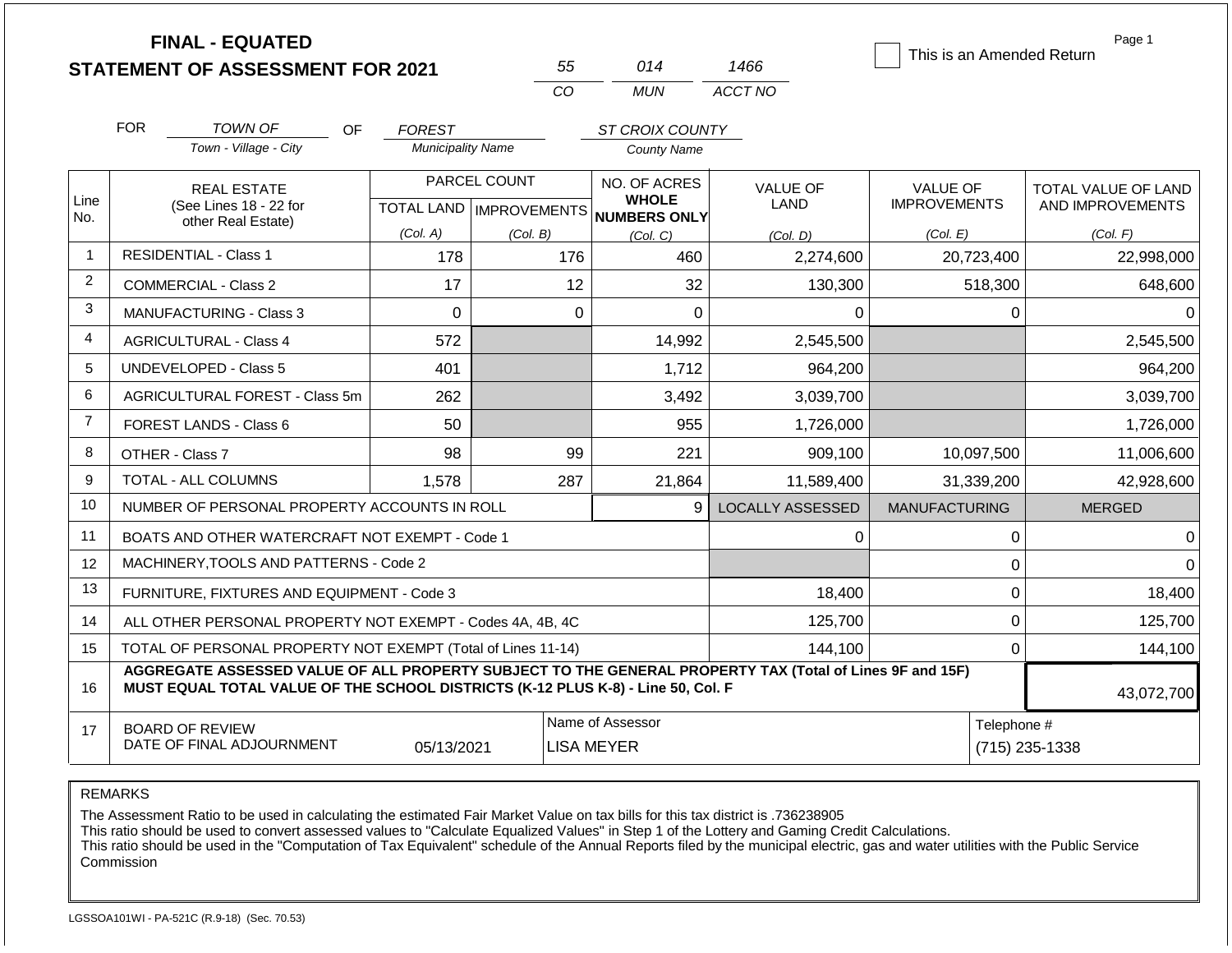|                |                               | <b>FINAL - EQUATED</b><br><b>STATEMENT OF ASSESSMENT FOR 2021</b>                                                                                                                            |                                                      |          | 55          | 014                                   | 1466                          | This is an Amended Return       | Page 1                                         |
|----------------|-------------------------------|----------------------------------------------------------------------------------------------------------------------------------------------------------------------------------------------|------------------------------------------------------|----------|-------------|---------------------------------------|-------------------------------|---------------------------------|------------------------------------------------|
|                |                               |                                                                                                                                                                                              |                                                      |          | CO          | <b>MUN</b>                            | ACCT NO                       |                                 |                                                |
|                | <b>FOR</b>                    | <b>TOWN OF</b><br><b>OF</b>                                                                                                                                                                  | <b>FOREST</b>                                        |          |             | ST CROIX COUNTY                       |                               |                                 |                                                |
|                |                               | Town - Village - City                                                                                                                                                                        | <b>Municipality Name</b>                             |          |             | <b>County Name</b>                    |                               |                                 |                                                |
| Line<br>No.    |                               | <b>REAL ESTATE</b><br>(See Lines 18 - 22 for                                                                                                                                                 | PARCEL COUNT<br>TOTAL LAND IMPROVEMENTS NUMBERS ONLY |          |             | NO. OF ACRES<br><b>WHOLE</b>          | <b>VALUE OF</b><br>LAND       | VALUE OF<br><b>IMPROVEMENTS</b> | <b>TOTAL VALUE OF LAND</b><br>AND IMPROVEMENTS |
|                |                               | other Real Estate)                                                                                                                                                                           | (Col. A)                                             | (Col. B) |             | (Col, C)                              | (Col. D)                      | (Col. E)                        | (Col. F)                                       |
| $\mathbf{1}$   |                               | <b>RESIDENTIAL - Class 1</b>                                                                                                                                                                 | 178                                                  |          | 176         | 460                                   | 2,274,600                     | 20,723,400                      | 22,998,000                                     |
| $\overline{2}$ | <b>COMMERCIAL - Class 2</b>   |                                                                                                                                                                                              | 17                                                   |          | 12          | 32                                    | 130,300                       | 518,300                         | 648,600                                        |
| 3              | MANUFACTURING - Class 3       |                                                                                                                                                                                              | $\mathbf 0$                                          |          | $\mathbf 0$ | 0                                     | $\Omega$                      | 0                               | $\Omega$                                       |
| $\overline{4}$ | <b>AGRICULTURAL - Class 4</b> |                                                                                                                                                                                              | 572                                                  |          |             | 14,992                                | 2,545,500                     |                                 | 2,545,500                                      |
| 5              |                               | <b>UNDEVELOPED - Class 5</b>                                                                                                                                                                 | 401                                                  |          |             | 1,712                                 | 964,200                       |                                 | 964,200                                        |
| 6              |                               | AGRICULTURAL FOREST - Class 5m                                                                                                                                                               | 262                                                  |          |             | 3,492                                 | 3,039,700                     |                                 | 3,039,700                                      |
| $\overline{7}$ |                               | FOREST LANDS - Class 6                                                                                                                                                                       | 50                                                   |          |             | 955                                   | 1,726,000                     |                                 | 1,726,000                                      |
| 8              |                               | OTHER - Class 7                                                                                                                                                                              | 98                                                   |          | 99          | 221                                   | 909,100                       | 10,097,500                      | 11,006,600                                     |
| 9              |                               | <b>TOTAL - ALL COLUMNS</b>                                                                                                                                                                   | 1,578                                                |          | 287         | 21,864                                | 11,589,400                    | 31,339,200                      | 42,928,600                                     |
| 10             |                               | NUMBER OF PERSONAL PROPERTY ACCOUNTS IN ROLL                                                                                                                                                 |                                                      |          |             | 9                                     | <b>LOCALLY ASSESSED</b>       | <b>MANUFACTURING</b>            | <b>MERGED</b>                                  |
| 11             |                               | BOATS AND OTHER WATERCRAFT NOT EXEMPT - Code 1                                                                                                                                               |                                                      |          |             |                                       | 0                             | $\pmb{0}$                       | 0                                              |
| 12             |                               | MACHINERY, TOOLS AND PATTERNS - Code 2                                                                                                                                                       |                                                      |          |             |                                       |                               | $\mathbf 0$                     | $\Omega$                                       |
| 13             |                               | FURNITURE, FIXTURES AND EQUIPMENT - Code 3                                                                                                                                                   |                                                      |          |             |                                       | 18,400                        | $\pmb{0}$                       | 18,400                                         |
| 14             |                               | ALL OTHER PERSONAL PROPERTY NOT EXEMPT - Codes 4A, 4B, 4C                                                                                                                                    |                                                      |          |             |                                       | 125,700                       | $\mathbf 0$                     | 125,700                                        |
| 15             |                               | TOTAL OF PERSONAL PROPERTY NOT EXEMPT (Total of Lines 11-14)                                                                                                                                 |                                                      |          |             | 144,100                               | $\mathbf 0$                   | 144,100                         |                                                |
| 16             |                               | AGGREGATE ASSESSED VALUE OF ALL PROPERTY SUBJECT TO THE GENERAL PROPERTY TAX (Total of Lines 9F and 15F)<br>MUST EQUAL TOTAL VALUE OF THE SCHOOL DISTRICTS (K-12 PLUS K-8) - Line 50, Col. F |                                                      |          |             |                                       |                               |                                 | 43,072,700                                     |
| 17             |                               | <b>BOARD OF REVIEW</b><br>DATE OF FINAL ADJOURNMENT                                                                                                                                          | 05/13/2021                                           |          |             | Name of Assessor<br><b>LISA MEYER</b> | Telephone #<br>(715) 235-1338 |                                 |                                                |

The Assessment Ratio to be used in calculating the estimated Fair Market Value on tax bills for this tax district is .736238905

This ratio should be used to convert assessed values to "Calculate Equalized Values" in Step 1 of the Lottery and Gaming Credit Calculations.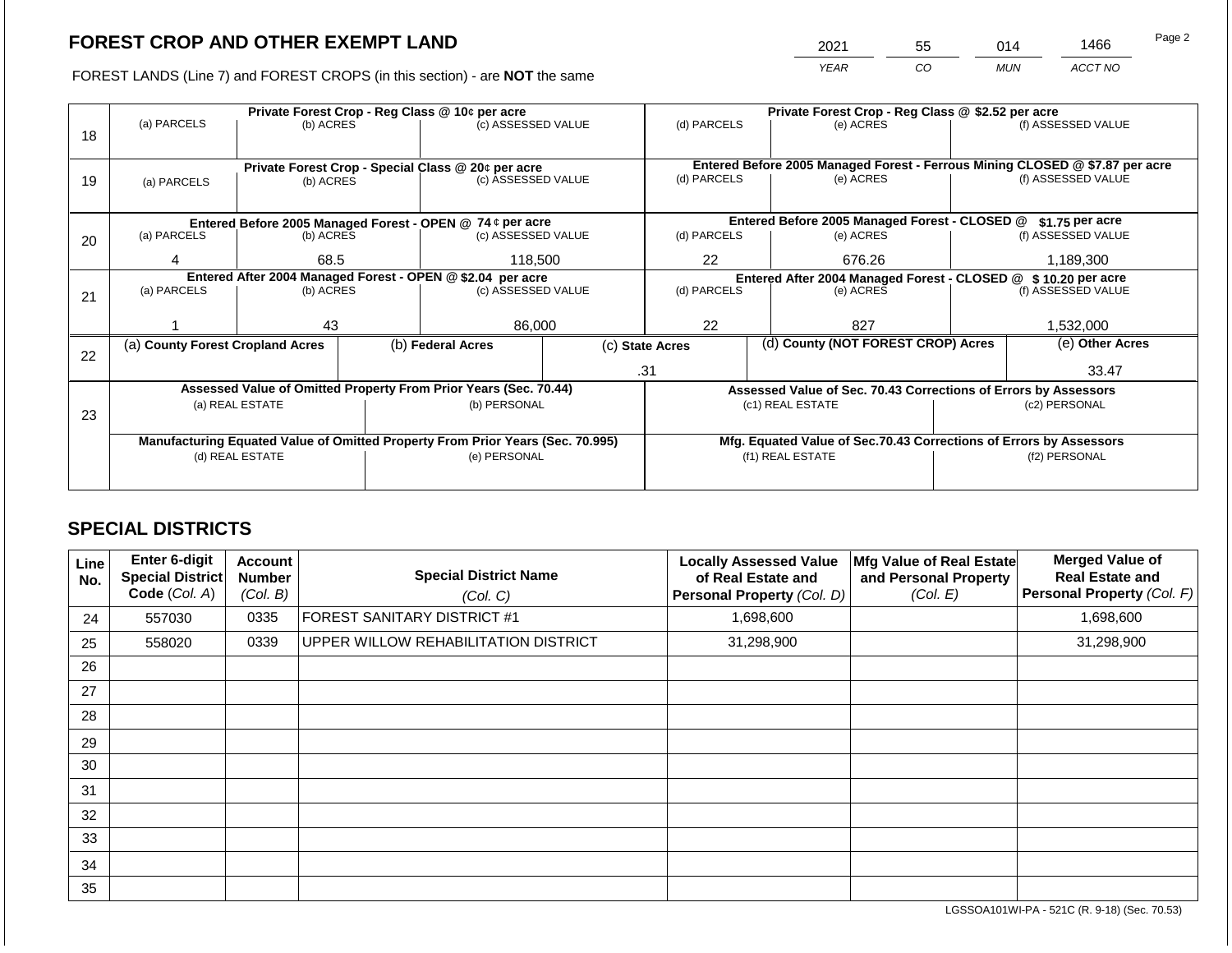2021 55 014 1466

FOREST LANDS (Line 7) and FOREST CROPS (in this section) - are **NOT** the same *YEAR CO MUN ACCT NO*

|    |                                                            |                 |                    | Private Forest Crop - Reg Class @ 10¢ per acre                                 |             | Private Forest Crop - Reg Class @ \$2.52 per acre     |                                                               |                                                                    |                                                                              |                    |
|----|------------------------------------------------------------|-----------------|--------------------|--------------------------------------------------------------------------------|-------------|-------------------------------------------------------|---------------------------------------------------------------|--------------------------------------------------------------------|------------------------------------------------------------------------------|--------------------|
|    | (a) PARCELS                                                | (b) ACRES       |                    | (c) ASSESSED VALUE                                                             |             | (d) PARCELS                                           |                                                               | (e) ACRES                                                          |                                                                              | (f) ASSESSED VALUE |
| 18 |                                                            |                 |                    |                                                                                |             |                                                       |                                                               |                                                                    |                                                                              |                    |
|    |                                                            |                 |                    |                                                                                |             |                                                       |                                                               |                                                                    |                                                                              |                    |
|    |                                                            |                 |                    | Private Forest Crop - Special Class @ 20¢ per acre                             |             |                                                       |                                                               |                                                                    | Entered Before 2005 Managed Forest - Ferrous Mining CLOSED @ \$7.87 per acre |                    |
| 19 | (a) PARCELS                                                | (b) ACRES       |                    | (c) ASSESSED VALUE                                                             |             | (d) PARCELS                                           |                                                               | (e) ACRES                                                          |                                                                              | (f) ASSESSED VALUE |
|    |                                                            |                 |                    |                                                                                |             |                                                       |                                                               |                                                                    |                                                                              |                    |
|    |                                                            |                 |                    | Entered Before 2005 Managed Forest - OPEN @ 74 ¢ per acre                      |             |                                                       |                                                               | Entered Before 2005 Managed Forest - CLOSED @                      |                                                                              | \$1.75 per acre    |
| 20 | (a) PARCELS<br>(b) ACRES                                   |                 | (c) ASSESSED VALUE |                                                                                | (d) PARCELS |                                                       | (e) ACRES                                                     |                                                                    | (f) ASSESSED VALUE                                                           |                    |
|    |                                                            |                 |                    |                                                                                |             |                                                       |                                                               |                                                                    |                                                                              |                    |
|    | 4                                                          | 68.5            |                    | 118,500                                                                        | 22          |                                                       | 676.26                                                        | 1,189,300                                                          |                                                                              |                    |
|    | Entered After 2004 Managed Forest - OPEN @ \$2.04 per acre |                 |                    |                                                                                |             |                                                       | Entered After 2004 Managed Forest - CLOSED @ \$10.20 per acre |                                                                    |                                                                              |                    |
| 21 | (a) PARCELS                                                | (b) ACRES       |                    | (c) ASSESSED VALUE                                                             |             | (d) PARCELS<br>(e) ACRES                              |                                                               |                                                                    | (f) ASSESSED VALUE                                                           |                    |
|    |                                                            |                 |                    |                                                                                |             |                                                       |                                                               |                                                                    |                                                                              |                    |
|    |                                                            | 43              |                    | 86,000                                                                         |             | 22                                                    |                                                               | 827                                                                |                                                                              | 1,532,000          |
|    | (a) County Forest Cropland Acres                           |                 |                    | (b) Federal Acres                                                              |             | (d) County (NOT FOREST CROP) Acres<br>(c) State Acres |                                                               |                                                                    |                                                                              | (e) Other Acres    |
| 22 |                                                            |                 |                    |                                                                                |             |                                                       |                                                               |                                                                    |                                                                              |                    |
|    |                                                            |                 |                    |                                                                                |             | .31                                                   |                                                               |                                                                    |                                                                              | 33.47              |
|    |                                                            |                 |                    | Assessed Value of Omitted Property From Prior Years (Sec. 70.44)               |             |                                                       |                                                               | Assessed Value of Sec. 70.43 Corrections of Errors by Assessors    |                                                                              |                    |
|    |                                                            | (a) REAL ESTATE |                    | (b) PERSONAL                                                                   |             |                                                       |                                                               | (c1) REAL ESTATE                                                   |                                                                              | (c2) PERSONAL      |
| 23 |                                                            |                 |                    |                                                                                |             |                                                       |                                                               |                                                                    |                                                                              |                    |
|    |                                                            |                 |                    | Manufacturing Equated Value of Omitted Property From Prior Years (Sec. 70.995) |             |                                                       |                                                               | Mfg. Equated Value of Sec.70.43 Corrections of Errors by Assessors |                                                                              |                    |
|    |                                                            | (d) REAL ESTATE |                    | (e) PERSONAL                                                                   |             |                                                       |                                                               | (f1) REAL ESTATE                                                   | (f2) PERSONAL                                                                |                    |
|    |                                                            |                 |                    |                                                                                |             |                                                       |                                                               |                                                                    |                                                                              |                    |
|    |                                                            |                 |                    |                                                                                |             |                                                       |                                                               |                                                                    |                                                                              |                    |

## **SPECIAL DISTRICTS**

| Line<br>No. | Enter 6-digit<br><b>Special District</b><br>Code (Col. A) | <b>Account</b><br><b>Number</b><br>(Col. B) | <b>Special District Name</b><br>(Col. C) | <b>Locally Assessed Value</b><br>of Real Estate and<br>Personal Property (Col. D) | Mfg Value of Real Estate<br>and Personal Property<br>(Col. E) | <b>Merged Value of</b><br><b>Real Estate and</b><br>Personal Property (Col. F) |
|-------------|-----------------------------------------------------------|---------------------------------------------|------------------------------------------|-----------------------------------------------------------------------------------|---------------------------------------------------------------|--------------------------------------------------------------------------------|
| 24          | 557030                                                    | 0335                                        | FOREST SANITARY DISTRICT #1              | 1,698,600                                                                         |                                                               | 1,698,600                                                                      |
| 25          | 558020                                                    | 0339                                        | UPPER WILLOW REHABILITATION DISTRICT     | 31,298,900                                                                        |                                                               | 31,298,900                                                                     |
| 26          |                                                           |                                             |                                          |                                                                                   |                                                               |                                                                                |
| 27          |                                                           |                                             |                                          |                                                                                   |                                                               |                                                                                |
| 28          |                                                           |                                             |                                          |                                                                                   |                                                               |                                                                                |
| 29          |                                                           |                                             |                                          |                                                                                   |                                                               |                                                                                |
| 30          |                                                           |                                             |                                          |                                                                                   |                                                               |                                                                                |
| 31          |                                                           |                                             |                                          |                                                                                   |                                                               |                                                                                |
| 32          |                                                           |                                             |                                          |                                                                                   |                                                               |                                                                                |
| 33          |                                                           |                                             |                                          |                                                                                   |                                                               |                                                                                |
| 34          |                                                           |                                             |                                          |                                                                                   |                                                               |                                                                                |
| 35          |                                                           |                                             |                                          |                                                                                   |                                                               |                                                                                |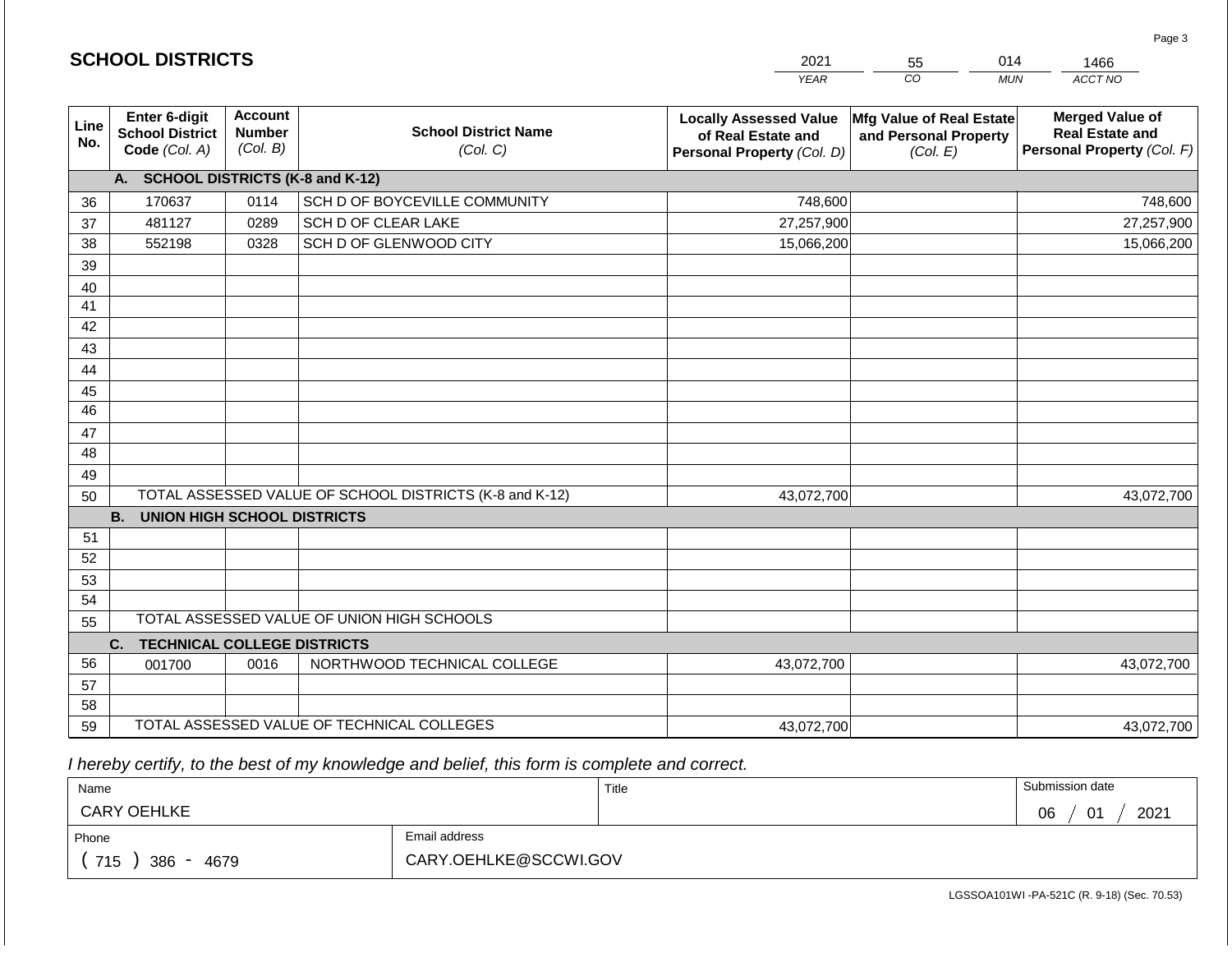|             |                                                          |                                             |                                                         | <b>YEAR</b>                                                                       | $\overline{co}$<br><b>MUN</b>                                 | ACCT NO                                                                        |
|-------------|----------------------------------------------------------|---------------------------------------------|---------------------------------------------------------|-----------------------------------------------------------------------------------|---------------------------------------------------------------|--------------------------------------------------------------------------------|
| Line<br>No. | Enter 6-digit<br><b>School District</b><br>Code (Col. A) | <b>Account</b><br><b>Number</b><br>(Col. B) | <b>School District Name</b><br>(Col. C)                 | <b>Locally Assessed Value</b><br>of Real Estate and<br>Personal Property (Col. D) | Mfg Value of Real Estate<br>and Personal Property<br>(Col. E) | <b>Merged Value of</b><br><b>Real Estate and</b><br>Personal Property (Col. F) |
|             | A. SCHOOL DISTRICTS (K-8 and K-12)                       |                                             |                                                         |                                                                                   |                                                               |                                                                                |
| 36          | 170637                                                   | 0114                                        | SCH D OF BOYCEVILLE COMMUNITY                           | 748,600                                                                           |                                                               | 748,600                                                                        |
| 37          | 481127                                                   | 0289                                        | <b>SCH D OF CLEAR LAKE</b>                              | 27,257,900                                                                        |                                                               | 27,257,900                                                                     |
| 38          | 552198                                                   | 0328                                        | SCH D OF GLENWOOD CITY                                  | 15,066,200                                                                        |                                                               | 15,066,200                                                                     |
| 39          |                                                          |                                             |                                                         |                                                                                   |                                                               |                                                                                |
| 40          |                                                          |                                             |                                                         |                                                                                   |                                                               |                                                                                |
| 41          |                                                          |                                             |                                                         |                                                                                   |                                                               |                                                                                |
| 42          |                                                          |                                             |                                                         |                                                                                   |                                                               |                                                                                |
| 43          |                                                          |                                             |                                                         |                                                                                   |                                                               |                                                                                |
| 44          |                                                          |                                             |                                                         |                                                                                   |                                                               |                                                                                |
| 45          |                                                          |                                             |                                                         |                                                                                   |                                                               |                                                                                |
| 46          |                                                          |                                             |                                                         |                                                                                   |                                                               |                                                                                |
| 47          |                                                          |                                             |                                                         |                                                                                   |                                                               |                                                                                |
| 48          |                                                          |                                             |                                                         |                                                                                   |                                                               |                                                                                |
| 49          |                                                          |                                             |                                                         |                                                                                   |                                                               |                                                                                |
| 50          |                                                          |                                             | TOTAL ASSESSED VALUE OF SCHOOL DISTRICTS (K-8 and K-12) | 43,072,700                                                                        |                                                               | 43,072,700                                                                     |
|             | <b>B.</b><br><b>UNION HIGH SCHOOL DISTRICTS</b>          |                                             |                                                         |                                                                                   |                                                               |                                                                                |
| 51          |                                                          |                                             |                                                         |                                                                                   |                                                               |                                                                                |
| 52          |                                                          |                                             |                                                         |                                                                                   |                                                               |                                                                                |
| 53          |                                                          |                                             |                                                         |                                                                                   |                                                               |                                                                                |
| 54          |                                                          |                                             |                                                         |                                                                                   |                                                               |                                                                                |
| 55          |                                                          |                                             | TOTAL ASSESSED VALUE OF UNION HIGH SCHOOLS              |                                                                                   |                                                               |                                                                                |
|             | C.<br><b>TECHNICAL COLLEGE DISTRICTS</b>                 |                                             |                                                         |                                                                                   |                                                               |                                                                                |
| 56          | 001700                                                   | 0016                                        | NORTHWOOD TECHNICAL COLLEGE                             | 43,072,700                                                                        |                                                               | 43,072,700                                                                     |
| 57          |                                                          |                                             |                                                         |                                                                                   |                                                               |                                                                                |
| 58          |                                                          |                                             |                                                         |                                                                                   |                                                               |                                                                                |
| 59          |                                                          |                                             | TOTAL ASSESSED VALUE OF TECHNICAL COLLEGES              | 43,072,700                                                                        |                                                               | 43,072,700                                                                     |

2021

55

014

 *I hereby certify, to the best of my knowledge and belief, this form is complete and correct.*

**SCHOOL DISTRICTS**

| Name               |                       | Title | Submission date                  |
|--------------------|-----------------------|-------|----------------------------------|
| <b>CARY OEHLKE</b> |                       |       | 2021<br>06<br>$\mathsf{A}$<br>U. |
| Phone              | Email address         |       |                                  |
| 715<br>386<br>4679 | CARY.OEHLKE@SCCWI.GOV |       |                                  |

Page 3

1466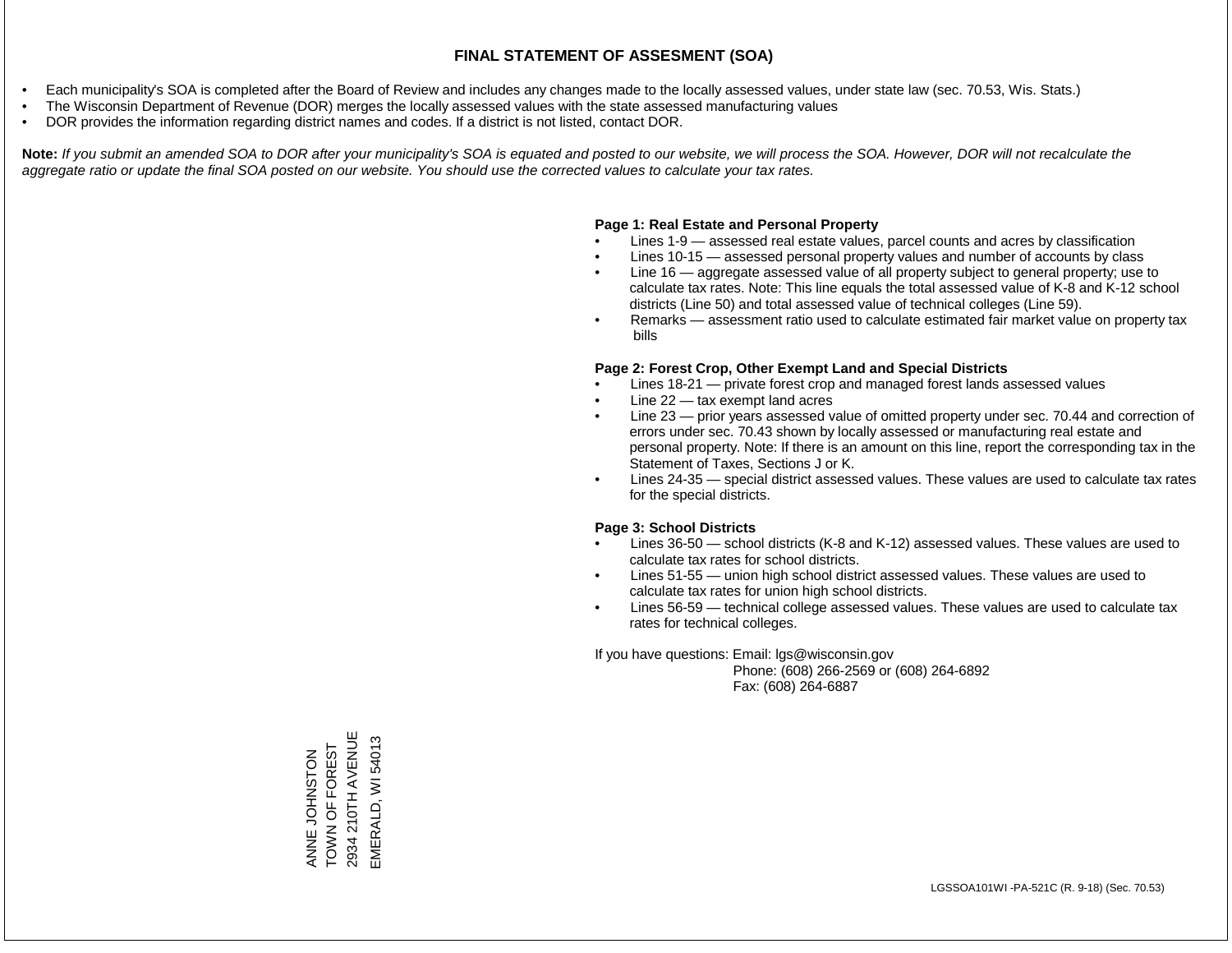- Each municipality's SOA is completed after the Board of Review and includes any changes made to the locally assessed values, under state law (sec. 70.53, Wis. Stats.)
- The Wisconsin Department of Revenue (DOR) merges the locally assessed values with the state assessed manufacturing values
- DOR provides the information regarding district names and codes. If a district is not listed, contact DOR.

Note: If you submit an amended SOA to DOR after your municipality's SOA is equated and posted to our website, we will process the SOA. However, DOR will not recalculate the *aggregate ratio or update the final SOA posted on our website. You should use the corrected values to calculate your tax rates.*

#### **Page 1: Real Estate and Personal Property**

- Lines 1-9 assessed real estate values, parcel counts and acres by classification
- Lines 10-15 assessed personal property values and number of accounts by class
- Line 16 aggregate assessed value of all property subject to general property; use to calculate tax rates. Note: This line equals the total assessed value of K-8 and K-12 school districts (Line 50) and total assessed value of technical colleges (Line 59).
- Remarks assessment ratio used to calculate estimated fair market value on property tax bills

#### **Page 2: Forest Crop, Other Exempt Land and Special Districts**

- Lines 18-21 private forest crop and managed forest lands assessed values
- Line  $22 -$  tax exempt land acres
- Line 23 prior years assessed value of omitted property under sec. 70.44 and correction of errors under sec. 70.43 shown by locally assessed or manufacturing real estate and personal property. Note: If there is an amount on this line, report the corresponding tax in the Statement of Taxes, Sections J or K.
- Lines 24-35 special district assessed values. These values are used to calculate tax rates for the special districts.

#### **Page 3: School Districts**

- Lines 36-50 school districts (K-8 and K-12) assessed values. These values are used to calculate tax rates for school districts.
- Lines 51-55 union high school district assessed values. These values are used to calculate tax rates for union high school districts.
- Lines 56-59 technical college assessed values. These values are used to calculate tax rates for technical colleges.

If you have questions: Email: lgs@wisconsin.gov

 Phone: (608) 266-2569 or (608) 264-6892 Fax: (608) 264-6887

210TH AVENUE ANNE JOHNSTON<br>TOWN OF FOREST 2934 210TH AVENUE EMERALD, WI 54013 EMERALD, WI 54013TOWN OF FOREST ANNE JOHNSTON 2934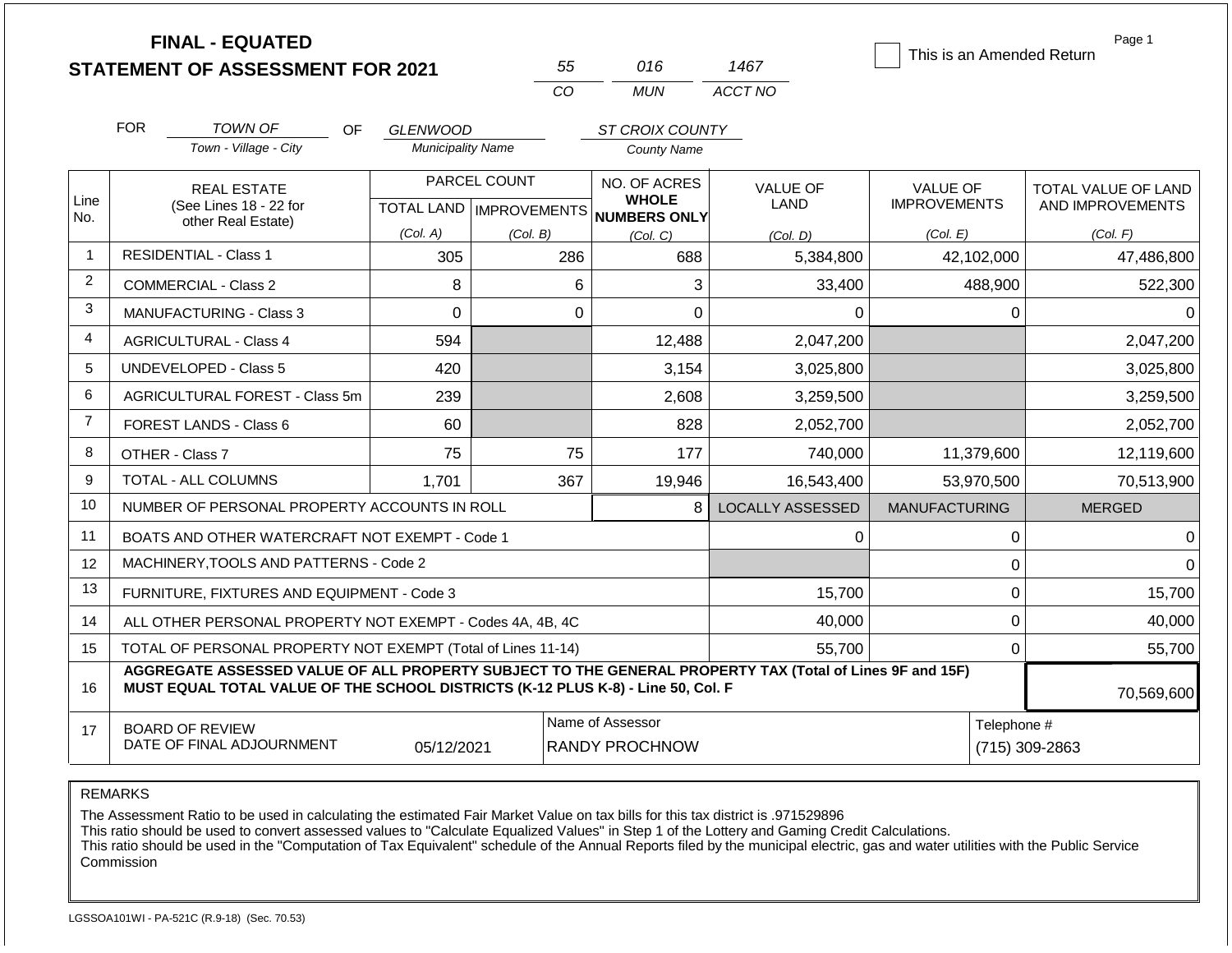|                |                                                                                                                                                                                              | <b>FINAL - EQUATED</b><br><b>STATEMENT OF ASSESSMENT FOR 2021</b> |                                             | 55           |                | 016                                                                  | 1467                    | This is an Amended Return              | Page 1                                  |
|----------------|----------------------------------------------------------------------------------------------------------------------------------------------------------------------------------------------|-------------------------------------------------------------------|---------------------------------------------|--------------|----------------|----------------------------------------------------------------------|-------------------------|----------------------------------------|-----------------------------------------|
|                |                                                                                                                                                                                              |                                                                   |                                             | CO           |                | <b>MUN</b>                                                           | ACCT NO                 |                                        |                                         |
|                | <b>FOR</b>                                                                                                                                                                                   | <b>TOWN OF</b><br><b>OF</b>                                       |                                             |              |                |                                                                      |                         |                                        |                                         |
|                |                                                                                                                                                                                              | Town - Village - City                                             | <b>GLENWOOD</b><br><b>Municipality Name</b> |              |                | ST CROIX COUNTY<br><b>County Name</b>                                |                         |                                        |                                         |
| Line<br>No.    |                                                                                                                                                                                              | <b>REAL ESTATE</b><br>(See Lines 18 - 22 for                      |                                             | PARCEL COUNT |                | NO. OF ACRES<br><b>WHOLE</b><br>TOTAL LAND IMPROVEMENTS NUMBERS ONLY | <b>VALUE OF</b><br>LAND | <b>VALUE OF</b><br><b>IMPROVEMENTS</b> | TOTAL VALUE OF LAND<br>AND IMPROVEMENTS |
|                |                                                                                                                                                                                              | other Real Estate)                                                | (Col. A)                                    | (Col. B)     |                | (Col, C)                                                             | (Col. D)                | (Col. E)                               | (Col. F)                                |
| $\mathbf 1$    |                                                                                                                                                                                              | <b>RESIDENTIAL - Class 1</b>                                      | 305                                         |              | 286            | 688                                                                  | 5,384,800               | 42,102,000                             | 47,486,800                              |
| $\overline{2}$ |                                                                                                                                                                                              | <b>COMMERCIAL - Class 2</b>                                       | 8                                           |              | 6              | 3                                                                    | 33,400                  | 488,900                                | 522,300                                 |
| 3              |                                                                                                                                                                                              | <b>MANUFACTURING - Class 3</b>                                    | 0                                           |              | $\overline{0}$ | $\Omega$                                                             | $\Omega$                | 0                                      | $\Omega$                                |
| $\overline{4}$ | <b>AGRICULTURAL - Class 4</b>                                                                                                                                                                |                                                                   | 594                                         |              |                | 12,488                                                               | 2,047,200               |                                        | 2,047,200                               |
| 5              |                                                                                                                                                                                              | UNDEVELOPED - Class 5                                             | 420                                         |              |                | 3,154                                                                | 3,025,800               |                                        | 3,025,800                               |
| 6              |                                                                                                                                                                                              | AGRICULTURAL FOREST - Class 5m                                    | 239                                         |              |                | 2,608                                                                | 3,259,500               |                                        | 3,259,500                               |
| $\overline{7}$ |                                                                                                                                                                                              | <b>FOREST LANDS - Class 6</b>                                     | 60                                          |              |                | 828                                                                  | 2,052,700               |                                        | 2,052,700                               |
| 8              |                                                                                                                                                                                              | OTHER - Class 7                                                   | 75                                          |              | 75             | 177                                                                  | 740,000                 | 11,379,600                             | 12,119,600                              |
| 9              |                                                                                                                                                                                              | <b>TOTAL - ALL COLUMNS</b>                                        | 1,701                                       |              | 367            | 19,946                                                               | 16,543,400              | 53,970,500                             | 70,513,900                              |
| 10             |                                                                                                                                                                                              | NUMBER OF PERSONAL PROPERTY ACCOUNTS IN ROLL                      |                                             |              |                | 8                                                                    | <b>LOCALLY ASSESSED</b> | <b>MANUFACTURING</b>                   | <b>MERGED</b>                           |
| 11             |                                                                                                                                                                                              | BOATS AND OTHER WATERCRAFT NOT EXEMPT - Code 1                    |                                             |              |                |                                                                      | 0                       | 0                                      | $\Omega$                                |
| 12             |                                                                                                                                                                                              | MACHINERY, TOOLS AND PATTERNS - Code 2                            |                                             |              |                |                                                                      |                         | 0                                      | $\Omega$                                |
| 13             |                                                                                                                                                                                              | FURNITURE, FIXTURES AND EQUIPMENT - Code 3                        |                                             |              |                |                                                                      | 15,700                  | $\mathbf 0$                            | 15,700                                  |
| 14             |                                                                                                                                                                                              | ALL OTHER PERSONAL PROPERTY NOT EXEMPT - Codes 4A, 4B, 4C         |                                             |              |                |                                                                      | 40,000                  | $\mathbf 0$                            | 40,000                                  |
| 15             | TOTAL OF PERSONAL PROPERTY NOT EXEMPT (Total of Lines 11-14)                                                                                                                                 |                                                                   |                                             |              |                |                                                                      | 55,700                  | $\mathbf 0$                            | 55,700                                  |
| 16             | AGGREGATE ASSESSED VALUE OF ALL PROPERTY SUBJECT TO THE GENERAL PROPERTY TAX (Total of Lines 9F and 15F)<br>MUST EQUAL TOTAL VALUE OF THE SCHOOL DISTRICTS (K-12 PLUS K-8) - Line 50, Col. F |                                                                   |                                             |              |                |                                                                      |                         |                                        | 70,569,600                              |
| 17             | Name of Assessor<br>Telephone #<br><b>BOARD OF REVIEW</b><br>DATE OF FINAL ADJOURNMENT<br>05/12/2021<br><b>RANDY PROCHNOW</b>                                                                |                                                                   |                                             |              |                |                                                                      | (715) 309-2863          |                                        |                                         |

The Assessment Ratio to be used in calculating the estimated Fair Market Value on tax bills for this tax district is .971529896

This ratio should be used to convert assessed values to "Calculate Equalized Values" in Step 1 of the Lottery and Gaming Credit Calculations.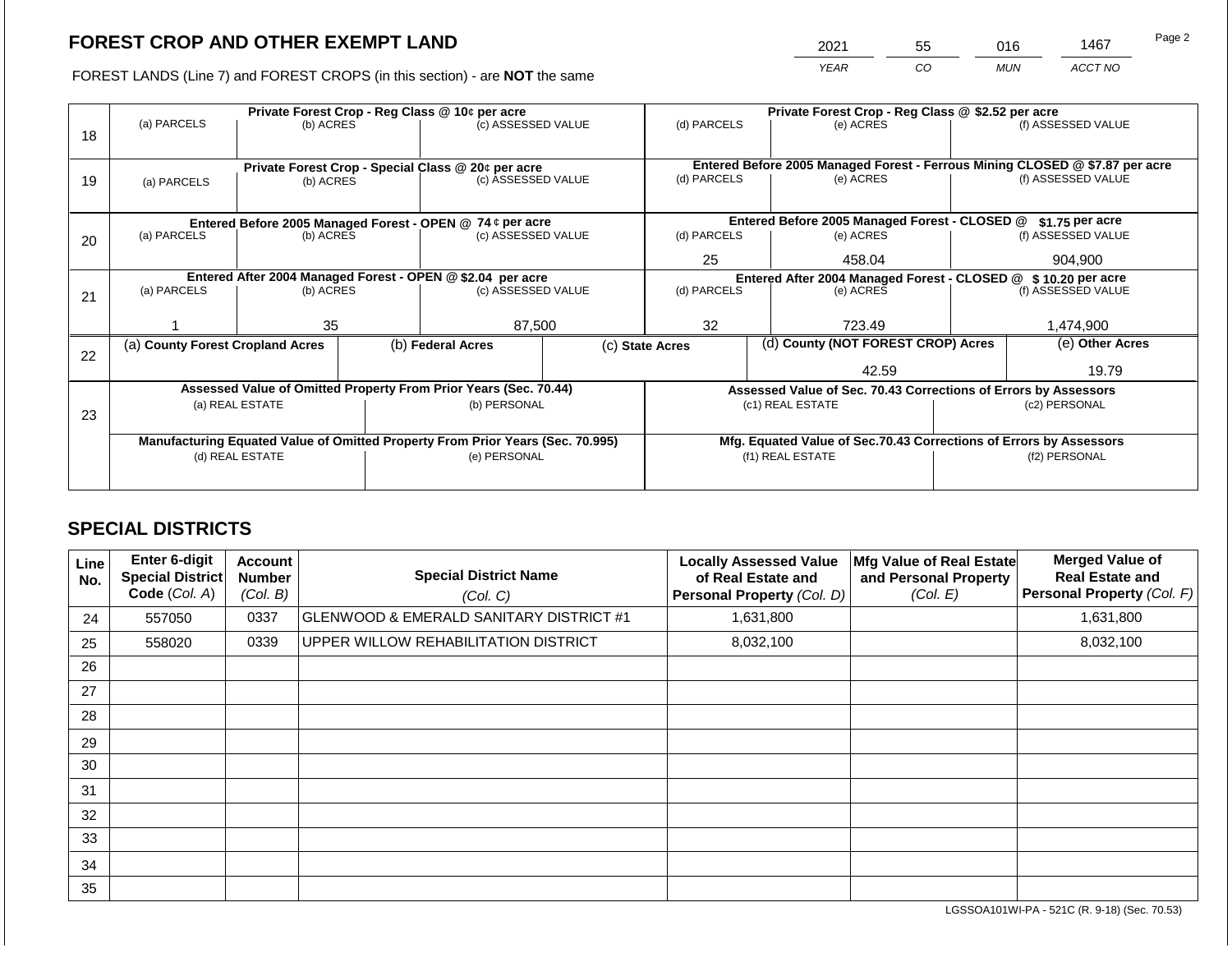2021 55 016 1467

FOREST LANDS (Line 7) and FOREST CROPS (in this section) - are **NOT** the same *YEAR CO MUN ACCT NO*

|    |                                                            |                 | Private Forest Crop - Reg Class @ \$2.52 per acre |                                                                                |                                                               |                                                                 |                                                                                           |                                                                    |               |                    |
|----|------------------------------------------------------------|-----------------|---------------------------------------------------|--------------------------------------------------------------------------------|---------------------------------------------------------------|-----------------------------------------------------------------|-------------------------------------------------------------------------------------------|--------------------------------------------------------------------|---------------|--------------------|
|    | (a) PARCELS                                                | (b) ACRES       |                                                   | (c) ASSESSED VALUE                                                             |                                                               | (d) PARCELS                                                     |                                                                                           | (e) ACRES                                                          |               | (f) ASSESSED VALUE |
| 18 |                                                            |                 |                                                   |                                                                                |                                                               |                                                                 |                                                                                           |                                                                    |               |                    |
|    |                                                            |                 |                                                   |                                                                                |                                                               |                                                                 |                                                                                           |                                                                    |               |                    |
|    |                                                            |                 |                                                   | Private Forest Crop - Special Class @ 20¢ per acre<br>(c) ASSESSED VALUE       |                                                               | (d) PARCELS                                                     | Entered Before 2005 Managed Forest - Ferrous Mining CLOSED @ \$7.87 per acre<br>(e) ACRES |                                                                    |               | (f) ASSESSED VALUE |
| 19 | (a) PARCELS                                                | (b) ACRES       |                                                   |                                                                                |                                                               |                                                                 |                                                                                           |                                                                    |               |                    |
|    |                                                            |                 |                                                   |                                                                                |                                                               |                                                                 |                                                                                           |                                                                    |               |                    |
|    | Entered Before 2005 Managed Forest - OPEN @ 74 ¢ per acre  |                 |                                                   |                                                                                |                                                               |                                                                 |                                                                                           | Entered Before 2005 Managed Forest - CLOSED @                      |               | \$1.75 per acre    |
| 20 | (a) PARCELS<br>(c) ASSESSED VALUE<br>(b) ACRES             |                 | (d) PARCELS                                       |                                                                                | (e) ACRES                                                     |                                                                 | (f) ASSESSED VALUE                                                                        |                                                                    |               |                    |
|    |                                                            |                 |                                                   |                                                                                |                                                               |                                                                 |                                                                                           |                                                                    |               |                    |
|    |                                                            |                 |                                                   |                                                                                |                                                               | 25                                                              |                                                                                           | 458.04                                                             |               | 904.900            |
|    | Entered After 2004 Managed Forest - OPEN @ \$2.04 per acre |                 |                                                   |                                                                                | Entered After 2004 Managed Forest - CLOSED @ \$10.20 per acre |                                                                 |                                                                                           |                                                                    |               |                    |
| 21 | (a) PARCELS                                                | (b) ACRES       |                                                   | (c) ASSESSED VALUE                                                             |                                                               | (d) PARCELS                                                     |                                                                                           | (e) ACRES                                                          |               | (f) ASSESSED VALUE |
|    |                                                            |                 |                                                   |                                                                                |                                                               |                                                                 |                                                                                           |                                                                    |               |                    |
|    |                                                            | 35              |                                                   | 87,500                                                                         |                                                               | 32                                                              |                                                                                           | 723.49                                                             |               | 1,474,900          |
|    | (a) County Forest Cropland Acres                           |                 |                                                   | (b) Federal Acres                                                              |                                                               | (c) State Acres                                                 |                                                                                           | (d) County (NOT FOREST CROP) Acres                                 |               | (e) Other Acres    |
| 22 |                                                            |                 |                                                   |                                                                                |                                                               |                                                                 |                                                                                           |                                                                    |               |                    |
|    |                                                            |                 |                                                   |                                                                                |                                                               |                                                                 |                                                                                           | 42.59                                                              |               | 19.79              |
|    |                                                            |                 |                                                   | Assessed Value of Omitted Property From Prior Years (Sec. 70.44)               |                                                               | Assessed Value of Sec. 70.43 Corrections of Errors by Assessors |                                                                                           |                                                                    |               |                    |
|    |                                                            | (a) REAL ESTATE |                                                   | (b) PERSONAL                                                                   |                                                               |                                                                 |                                                                                           | (c1) REAL ESTATE                                                   | (c2) PERSONAL |                    |
| 23 |                                                            |                 |                                                   |                                                                                |                                                               |                                                                 |                                                                                           |                                                                    |               |                    |
|    |                                                            |                 |                                                   | Manufacturing Equated Value of Omitted Property From Prior Years (Sec. 70.995) |                                                               |                                                                 |                                                                                           | Mfg. Equated Value of Sec.70.43 Corrections of Errors by Assessors |               |                    |
|    | (d) REAL ESTATE                                            |                 |                                                   | (e) PERSONAL                                                                   |                                                               |                                                                 |                                                                                           | (f1) REAL ESTATE                                                   | (f2) PERSONAL |                    |
|    |                                                            |                 |                                                   |                                                                                |                                                               |                                                                 |                                                                                           |                                                                    |               |                    |
|    |                                                            |                 |                                                   |                                                                                |                                                               |                                                                 |                                                                                           |                                                                    |               |                    |

## **SPECIAL DISTRICTS**

| Line<br>No. | Enter 6-digit<br>Special District<br>Code (Col. A) | Account<br><b>Number</b><br>(Col. B) | <b>Special District Name</b><br>(Col. C)           | <b>Locally Assessed Value</b><br>of Real Estate and<br><b>Personal Property (Col. D)</b> | Mfg Value of Real Estate<br>and Personal Property<br>(Col. E) | <b>Merged Value of</b><br><b>Real Estate and</b><br>Personal Property (Col. F) |
|-------------|----------------------------------------------------|--------------------------------------|----------------------------------------------------|------------------------------------------------------------------------------------------|---------------------------------------------------------------|--------------------------------------------------------------------------------|
| 24          | 557050                                             | 0337                                 | <b>GLENWOOD &amp; EMERALD SANITARY DISTRICT #1</b> | 1,631,800                                                                                |                                                               | 1,631,800                                                                      |
| 25          | 558020                                             | 0339                                 | UPPER WILLOW REHABILITATION DISTRICT               | 8,032,100                                                                                |                                                               | 8,032,100                                                                      |
| 26          |                                                    |                                      |                                                    |                                                                                          |                                                               |                                                                                |
| 27          |                                                    |                                      |                                                    |                                                                                          |                                                               |                                                                                |
| 28          |                                                    |                                      |                                                    |                                                                                          |                                                               |                                                                                |
| 29          |                                                    |                                      |                                                    |                                                                                          |                                                               |                                                                                |
| 30          |                                                    |                                      |                                                    |                                                                                          |                                                               |                                                                                |
| 31          |                                                    |                                      |                                                    |                                                                                          |                                                               |                                                                                |
| 32          |                                                    |                                      |                                                    |                                                                                          |                                                               |                                                                                |
| 33          |                                                    |                                      |                                                    |                                                                                          |                                                               |                                                                                |
| 34          |                                                    |                                      |                                                    |                                                                                          |                                                               |                                                                                |
| 35          |                                                    |                                      |                                                    |                                                                                          |                                                               |                                                                                |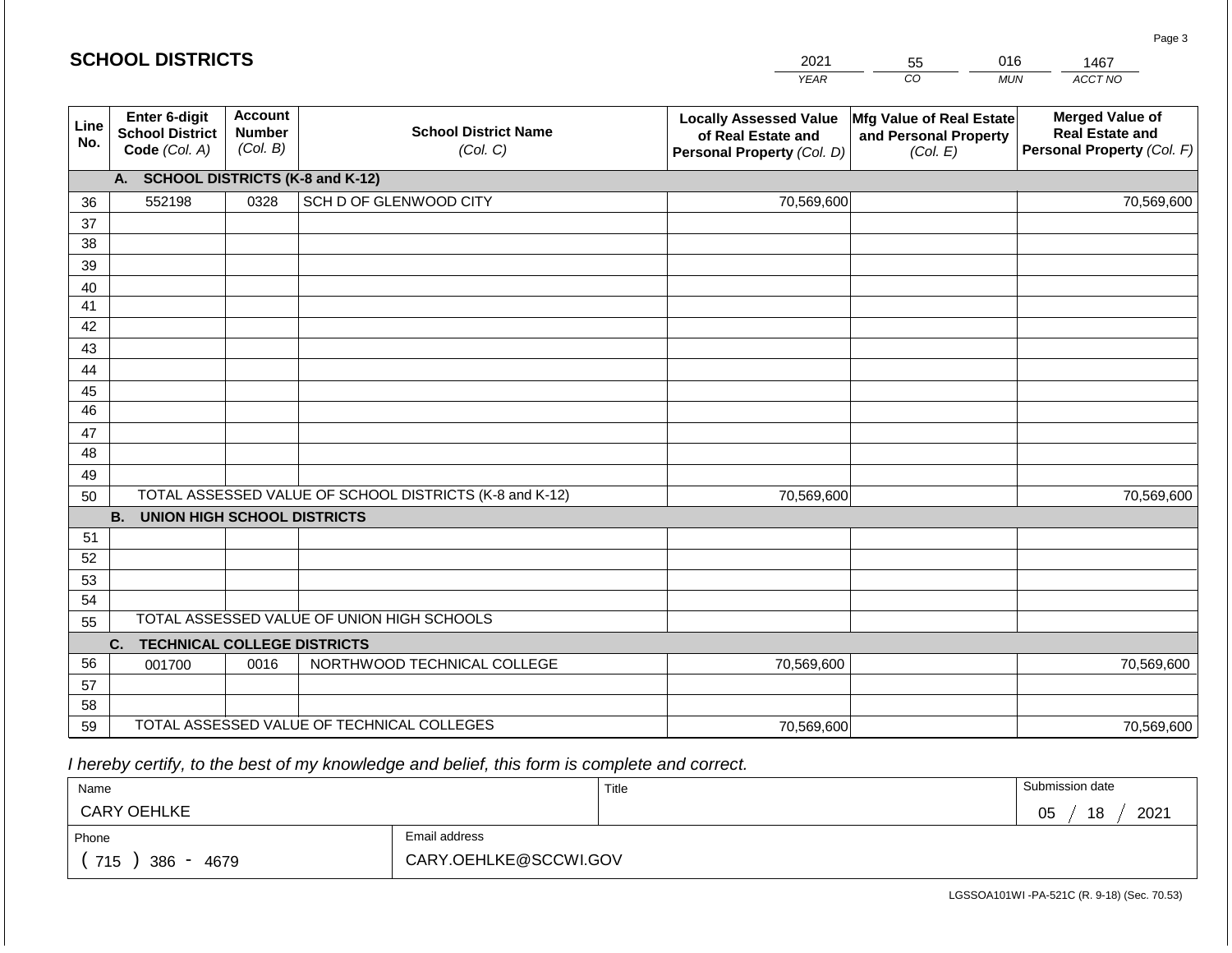|             | <b>SCHOOL DISTRICTS</b>                                         |                                             |                                                         | 2021                                                                              | 55                                                            | 016<br>1467 |                                                                                |
|-------------|-----------------------------------------------------------------|---------------------------------------------|---------------------------------------------------------|-----------------------------------------------------------------------------------|---------------------------------------------------------------|-------------|--------------------------------------------------------------------------------|
|             |                                                                 |                                             |                                                         | <b>YEAR</b>                                                                       | CO                                                            | <b>MUN</b>  | ACCT NO                                                                        |
| Line<br>No. | <b>Enter 6-digit</b><br><b>School District</b><br>Code (Col. A) | <b>Account</b><br><b>Number</b><br>(Col. B) | <b>School District Name</b><br>(Col. C)                 | <b>Locally Assessed Value</b><br>of Real Estate and<br>Personal Property (Col. D) | Mfg Value of Real Estate<br>and Personal Property<br>(Col. E) |             | <b>Merged Value of</b><br><b>Real Estate and</b><br>Personal Property (Col. F) |
|             | A.                                                              |                                             | <b>SCHOOL DISTRICTS (K-8 and K-12)</b>                  |                                                                                   |                                                               |             |                                                                                |
| 36          | 552198                                                          | 0328                                        | SCH D OF GLENWOOD CITY                                  | 70,569,600                                                                        |                                                               |             | 70,569,600                                                                     |
| 37          |                                                                 |                                             |                                                         |                                                                                   |                                                               |             |                                                                                |
| 38          |                                                                 |                                             |                                                         |                                                                                   |                                                               |             |                                                                                |
| 39          |                                                                 |                                             |                                                         |                                                                                   |                                                               |             |                                                                                |
| 40          |                                                                 |                                             |                                                         |                                                                                   |                                                               |             |                                                                                |
| 41          |                                                                 |                                             |                                                         |                                                                                   |                                                               |             |                                                                                |
| 42          |                                                                 |                                             |                                                         |                                                                                   |                                                               |             |                                                                                |
| 43<br>44    |                                                                 |                                             |                                                         |                                                                                   |                                                               |             |                                                                                |
| 45          |                                                                 |                                             |                                                         |                                                                                   |                                                               |             |                                                                                |
| 46          |                                                                 |                                             |                                                         |                                                                                   |                                                               |             |                                                                                |
| 47          |                                                                 |                                             |                                                         |                                                                                   |                                                               |             |                                                                                |
| 48          |                                                                 |                                             |                                                         |                                                                                   |                                                               |             |                                                                                |
| 49          |                                                                 |                                             |                                                         |                                                                                   |                                                               |             |                                                                                |
| 50          |                                                                 |                                             | TOTAL ASSESSED VALUE OF SCHOOL DISTRICTS (K-8 and K-12) | 70,569,600                                                                        |                                                               |             | 70,569,600                                                                     |
|             | <b>B. UNION HIGH SCHOOL DISTRICTS</b>                           |                                             |                                                         |                                                                                   |                                                               |             |                                                                                |
| 51          |                                                                 |                                             |                                                         |                                                                                   |                                                               |             |                                                                                |
| 52          |                                                                 |                                             |                                                         |                                                                                   |                                                               |             |                                                                                |
| 53          |                                                                 |                                             |                                                         |                                                                                   |                                                               |             |                                                                                |
| 54          |                                                                 |                                             |                                                         |                                                                                   |                                                               |             |                                                                                |
| 55          |                                                                 |                                             | TOTAL ASSESSED VALUE OF UNION HIGH SCHOOLS              |                                                                                   |                                                               |             |                                                                                |
|             | C.<br><b>TECHNICAL COLLEGE DISTRICTS</b>                        |                                             |                                                         |                                                                                   |                                                               |             |                                                                                |
| 56          | 001700                                                          | 0016                                        | NORTHWOOD TECHNICAL COLLEGE                             | 70,569,600                                                                        |                                                               |             | 70,569,600                                                                     |
| 57<br>58    |                                                                 |                                             |                                                         |                                                                                   |                                                               |             |                                                                                |
| 59          |                                                                 |                                             | TOTAL ASSESSED VALUE OF TECHNICAL COLLEGES              | 70,569,600                                                                        |                                                               |             | 70,569,600                                                                     |
|             |                                                                 |                                             |                                                         |                                                                                   |                                                               |             |                                                                                |

 *I hereby certify, to the best of my knowledge and belief, this form is complete and correct.*

| Name               |                       | Title | Submission date       |
|--------------------|-----------------------|-------|-----------------------|
| <b>CARY OEHLKE</b> |                       |       | 2021<br>18<br>∩ҕ<br>◡ |
| Phone              | Email address         |       |                       |
| 715<br>386<br>4679 | CARY.OEHLKE@SCCWI.GOV |       |                       |

Page 3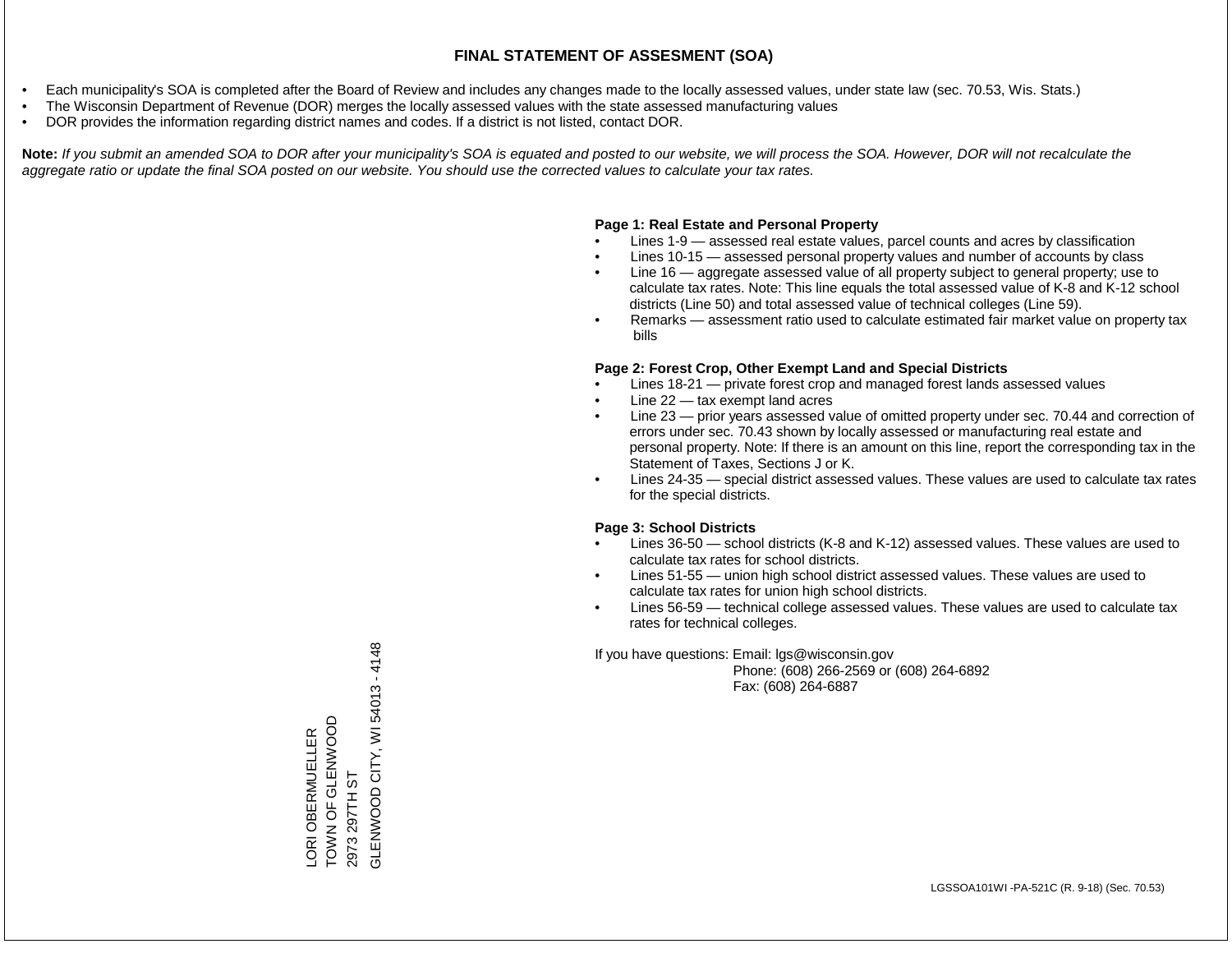- Each municipality's SOA is completed after the Board of Review and includes any changes made to the locally assessed values, under state law (sec. 70.53, Wis. Stats.)
- The Wisconsin Department of Revenue (DOR) merges the locally assessed values with the state assessed manufacturing values
- DOR provides the information regarding district names and codes. If a district is not listed, contact DOR.

Note: If you submit an amended SOA to DOR after your municipality's SOA is equated and posted to our website, we will process the SOA. However, DOR will not recalculate the *aggregate ratio or update the final SOA posted on our website. You should use the corrected values to calculate your tax rates.*

### **Page 1: Real Estate and Personal Property**

- Lines 1-9 assessed real estate values, parcel counts and acres by classification
- Lines 10-15 assessed personal property values and number of accounts by class
- Line 16 aggregate assessed value of all property subject to general property; use to calculate tax rates. Note: This line equals the total assessed value of K-8 and K-12 school districts (Line 50) and total assessed value of technical colleges (Line 59).
- Remarks assessment ratio used to calculate estimated fair market value on property tax bills

### **Page 2: Forest Crop, Other Exempt Land and Special Districts**

- Lines 18-21 private forest crop and managed forest lands assessed values
- Line  $22 -$  tax exempt land acres
- Line 23 prior years assessed value of omitted property under sec. 70.44 and correction of errors under sec. 70.43 shown by locally assessed or manufacturing real estate and personal property. Note: If there is an amount on this line, report the corresponding tax in the Statement of Taxes, Sections J or K.
- Lines 24-35 special district assessed values. These values are used to calculate tax rates for the special districts.

### **Page 3: School Districts**

- Lines 36-50 school districts (K-8 and K-12) assessed values. These values are used to calculate tax rates for school districts.
- Lines 51-55 union high school district assessed values. These values are used to calculate tax rates for union high school districts.
- Lines 56-59 technical college assessed values. These values are used to calculate tax rates for technical colleges.

If you have questions: Email: lgs@wisconsin.gov

 Phone: (608) 266-2569 or (608) 264-6892 Fax: (608) 264-6887

GLENWOOD CITY, WI54013-4148 GLENWOOD CHA-4-3-5-5012 - 5-5013 - 5-5013 - 5-5013 - 5-5013 - 5-5014 - 5-5014 - 5-QOONN AT JU LO N NOO LORI OBERMUELLER<br>TOWN OF GLENWOOD LORI OBERMUELLER 297TH ST 2973 297TH ST 2973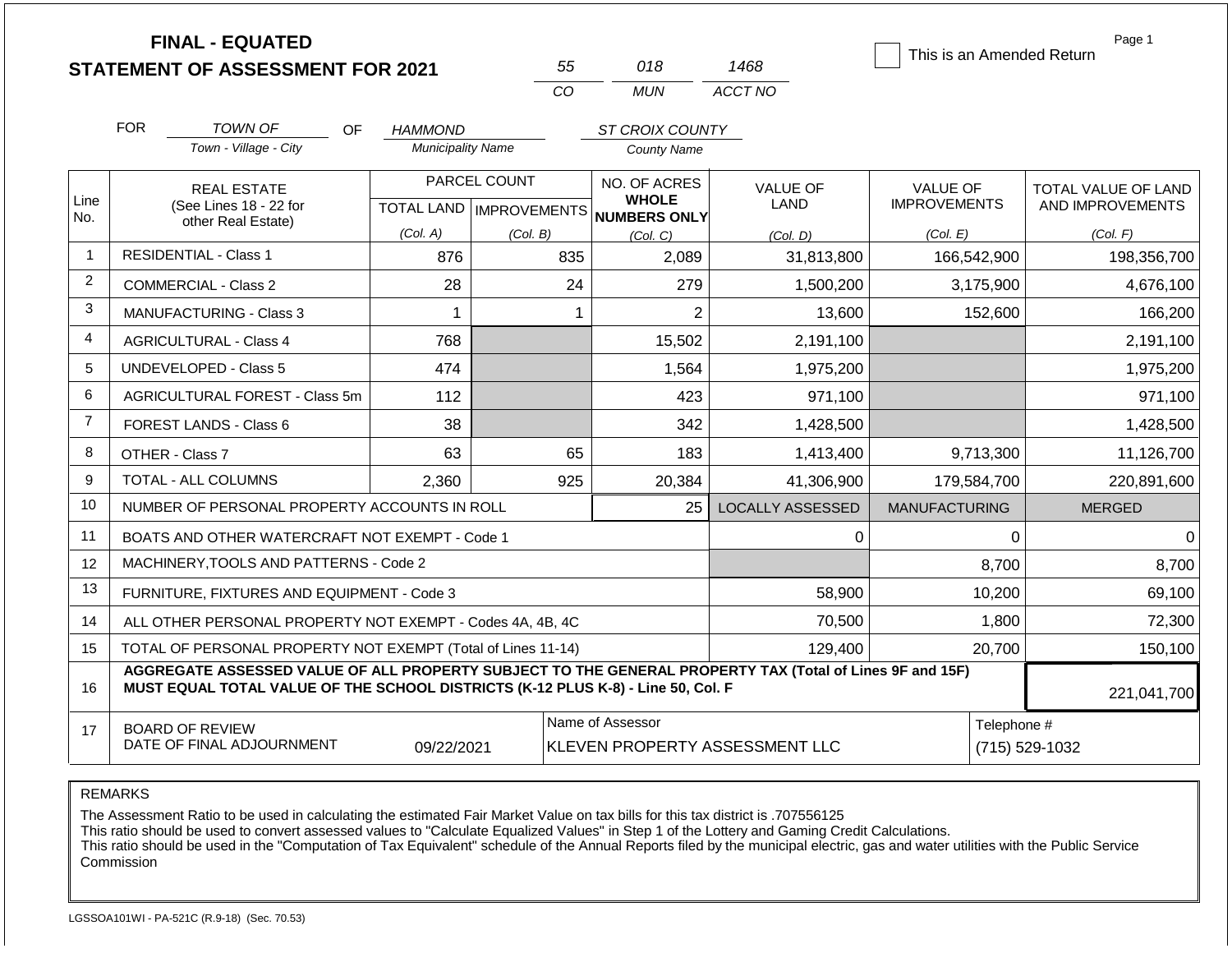|                | <b>FINAL - EQUATED</b><br><b>STATEMENT OF ASSESSMENT FOR 2021</b>                                                                                                                            |           |                                           |          | 55           | 018                                                 | 1468                           |                                        |             | Page 1<br>This is an Amended Return     |
|----------------|----------------------------------------------------------------------------------------------------------------------------------------------------------------------------------------------|-----------|-------------------------------------------|----------|--------------|-----------------------------------------------------|--------------------------------|----------------------------------------|-------------|-----------------------------------------|
|                |                                                                                                                                                                                              |           |                                           |          | CO           | <b>MUN</b>                                          | ACCT NO                        |                                        |             |                                         |
|                | <b>FOR</b><br><b>TOWN OF</b>                                                                                                                                                                 | <b>OF</b> | HAMMOND                                   |          |              | ST CROIX COUNTY                                     |                                |                                        |             |                                         |
|                | Town - Village - City                                                                                                                                                                        |           | <b>Municipality Name</b>                  |          |              | <b>County Name</b>                                  |                                |                                        |             |                                         |
| Line           | <b>REAL ESTATE</b><br>(See Lines 18 - 22 for                                                                                                                                                 |           | PARCEL COUNT<br>TOTAL LAND   IMPROVEMENTS |          |              | NO. OF ACRES<br><b>WHOLE</b><br><b>NUMBERS ONLY</b> | <b>VALUE OF</b><br>LAND        | <b>VALUE OF</b><br><b>IMPROVEMENTS</b> |             | TOTAL VALUE OF LAND<br>AND IMPROVEMENTS |
| No.            | other Real Estate)                                                                                                                                                                           |           | (Col. A)                                  | (Col. B) |              | (Col, C)                                            | (Col. D)                       | (Col. E)                               |             | (Col. F)                                |
| $\overline{1}$ | <b>RESIDENTIAL - Class 1</b>                                                                                                                                                                 |           | 876                                       |          | 835          | 2,089                                               | 31,813,800                     |                                        | 166,542,900 | 198,356,700                             |
| 2              | COMMERCIAL - Class 2                                                                                                                                                                         |           | 28                                        |          | 24           | 279                                                 | 1,500,200                      |                                        | 3,175,900   | 4,676,100                               |
| 3              | <b>MANUFACTURING - Class 3</b>                                                                                                                                                               |           | $\mathbf{1}$                              |          | $\mathbf{1}$ | $\overline{2}$                                      | 13,600                         |                                        | 152,600     | 166,200                                 |
| $\overline{4}$ | <b>AGRICULTURAL - Class 4</b>                                                                                                                                                                |           | 768                                       |          |              | 15,502                                              | 2,191,100                      |                                        |             | 2,191,100                               |
| 5              | <b>UNDEVELOPED - Class 5</b>                                                                                                                                                                 |           | 474                                       |          |              | 1,564                                               | 1,975,200                      |                                        |             | 1,975,200                               |
| 6              | AGRICULTURAL FOREST - Class 5m                                                                                                                                                               |           | 112                                       |          |              | 423                                                 | 971,100                        |                                        |             | 971,100                                 |
| $\overline{7}$ | FOREST LANDS - Class 6                                                                                                                                                                       |           | 38                                        |          |              | 342                                                 | 1,428,500                      |                                        |             | 1,428,500                               |
| 8              | OTHER - Class 7                                                                                                                                                                              |           | 63                                        |          | 65           | 183                                                 | 1,413,400                      |                                        | 9,713,300   | 11,126,700                              |
| 9              | <b>TOTAL - ALL COLUMNS</b>                                                                                                                                                                   |           | 2,360                                     |          | 925          | 20,384                                              | 41,306,900                     |                                        | 179,584,700 | 220,891,600                             |
| 10             | NUMBER OF PERSONAL PROPERTY ACCOUNTS IN ROLL                                                                                                                                                 |           |                                           |          |              | 25                                                  | <b>LOCALLY ASSESSED</b>        | <b>MANUFACTURING</b>                   |             | <b>MERGED</b>                           |
| 11             | BOATS AND OTHER WATERCRAFT NOT EXEMPT - Code 1                                                                                                                                               |           |                                           |          |              |                                                     | $\mathbf 0$                    |                                        | 0           | $\mathbf 0$                             |
| 12             | MACHINERY, TOOLS AND PATTERNS - Code 2                                                                                                                                                       |           |                                           |          |              |                                                     |                                |                                        | 8,700       | 8,700                                   |
| 13             | FURNITURE, FIXTURES AND EQUIPMENT - Code 3                                                                                                                                                   |           |                                           |          |              |                                                     | 58,900                         |                                        | 10,200      | 69,100                                  |
| 14             | ALL OTHER PERSONAL PROPERTY NOT EXEMPT - Codes 4A, 4B, 4C                                                                                                                                    |           |                                           |          |              |                                                     | 70,500                         |                                        | 1,800       | 72,300                                  |
| 15             | TOTAL OF PERSONAL PROPERTY NOT EXEMPT (Total of Lines 11-14)                                                                                                                                 |           |                                           |          | 129,400      |                                                     |                                |                                        | 20,700      | 150,100                                 |
| 16             | AGGREGATE ASSESSED VALUE OF ALL PROPERTY SUBJECT TO THE GENERAL PROPERTY TAX (Total of Lines 9F and 15F)<br>MUST EQUAL TOTAL VALUE OF THE SCHOOL DISTRICTS (K-12 PLUS K-8) - Line 50, Col. F |           |                                           |          |              |                                                     |                                |                                        | 221,041,700 |                                         |
| 17             | <b>BOARD OF REVIEW</b><br>DATE OF FINAL ADJOURNMENT                                                                                                                                          |           | 09/22/2021                                |          |              | Name of Assessor                                    | KLEVEN PROPERTY ASSESSMENT LLC |                                        | Telephone # | (715) 529-1032                          |

The Assessment Ratio to be used in calculating the estimated Fair Market Value on tax bills for this tax district is .707556125

This ratio should be used to convert assessed values to "Calculate Equalized Values" in Step 1 of the Lottery and Gaming Credit Calculations.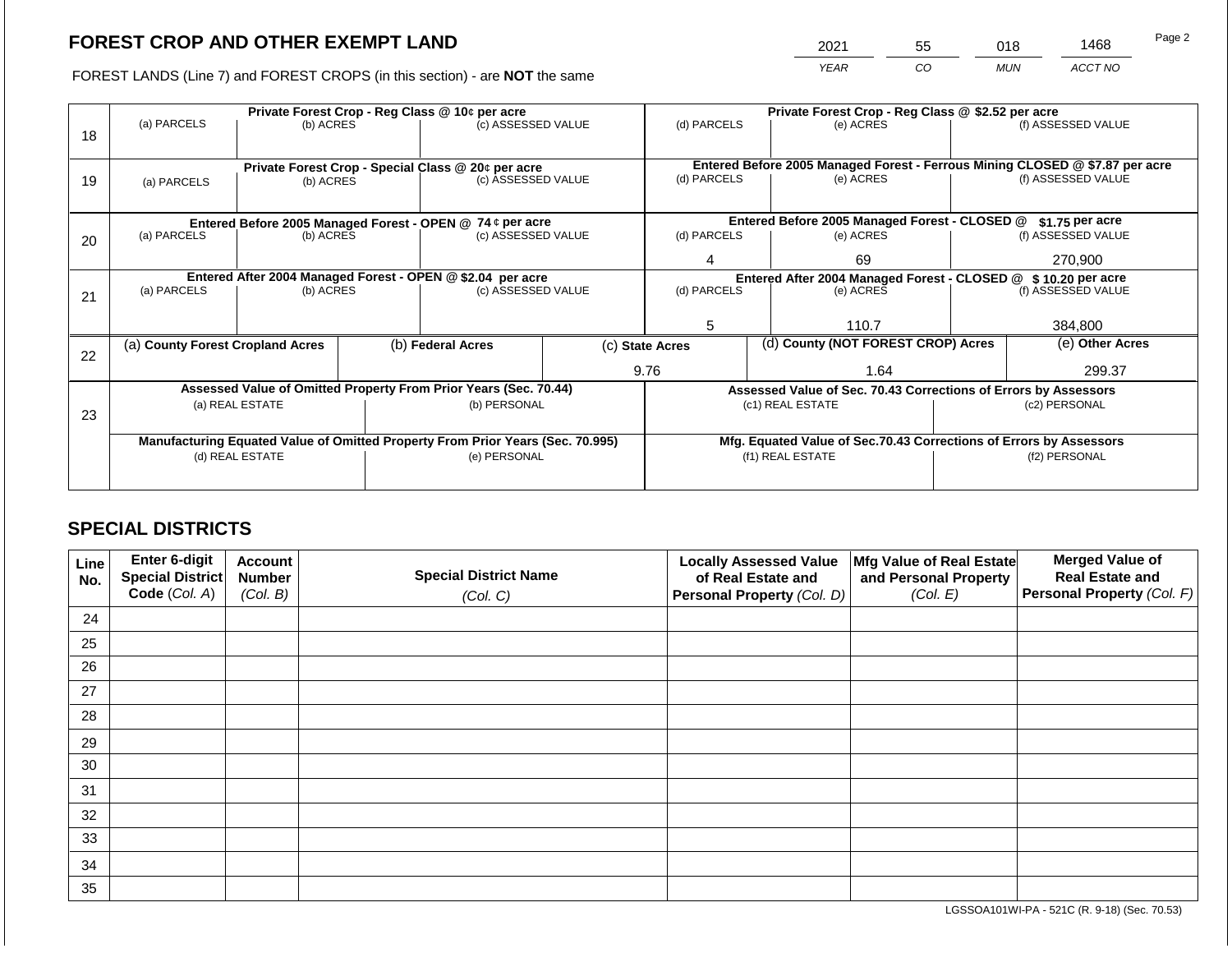2021 55 018 1468

FOREST LANDS (Line 7) and FOREST CROPS (in this section) - are **NOT** the same *YEAR CO MUN ACCT NO*

| 18 | (a) PARCELS                                                                    | (b) ACRES       |                                                               | Private Forest Crop - Reg Class @ 10¢ per acre<br>(c) ASSESSED VALUE     |                          | (d) PARCELS                                                     |                    | Private Forest Crop - Reg Class @ \$2.52 per acre<br>(e) ACRES                                     |                 | (f) ASSESSED VALUE |
|----|--------------------------------------------------------------------------------|-----------------|---------------------------------------------------------------|--------------------------------------------------------------------------|--------------------------|-----------------------------------------------------------------|--------------------|----------------------------------------------------------------------------------------------------|-----------------|--------------------|
| 19 | (a) PARCELS                                                                    | (b) ACRES       |                                                               | Private Forest Crop - Special Class @ 20¢ per acre<br>(c) ASSESSED VALUE | (d) PARCELS<br>(e) ACRES |                                                                 |                    | Entered Before 2005 Managed Forest - Ferrous Mining CLOSED @ \$7.87 per acre<br>(f) ASSESSED VALUE |                 |                    |
|    |                                                                                |                 |                                                               | Entered Before 2005 Managed Forest - OPEN @ 74 ¢ per acre                |                          |                                                                 |                    | Entered Before 2005 Managed Forest - CLOSED @                                                      |                 | \$1.75 per acre    |
| 20 | (a) PARCELS<br>(b) ACRES<br>(c) ASSESSED VALUE                                 |                 | (d) PARCELS                                                   |                                                                          | (e) ACRES                |                                                                 | (f) ASSESSED VALUE |                                                                                                    |                 |                    |
|    |                                                                                |                 |                                                               | 4                                                                        |                          | 69                                                              |                    | 270,900                                                                                            |                 |                    |
|    | Entered After 2004 Managed Forest - OPEN @ \$2.04 per acre                     |                 | Entered After 2004 Managed Forest - CLOSED @ \$10.20 per acre |                                                                          |                          |                                                                 |                    |                                                                                                    |                 |                    |
| 21 | (a) PARCELS                                                                    | (b) ACRES       |                                                               | (c) ASSESSED VALUE                                                       |                          | (d) PARCELS                                                     |                    | (e) ACRES                                                                                          |                 | (f) ASSESSED VALUE |
|    |                                                                                |                 |                                                               |                                                                          |                          |                                                                 |                    |                                                                                                    |                 |                    |
|    |                                                                                |                 |                                                               |                                                                          |                          | 5                                                               |                    | 110.7                                                                                              |                 | 384.800            |
| 22 | (a) County Forest Cropland Acres                                               |                 |                                                               | (b) Federal Acres                                                        |                          | (d) County (NOT FOREST CROP) Acres<br>(c) State Acres           |                    |                                                                                                    | (e) Other Acres |                    |
|    |                                                                                |                 |                                                               |                                                                          |                          | 9.76                                                            |                    | 1.64                                                                                               | 299.37          |                    |
|    |                                                                                |                 |                                                               | Assessed Value of Omitted Property From Prior Years (Sec. 70.44)         |                          | Assessed Value of Sec. 70.43 Corrections of Errors by Assessors |                    |                                                                                                    |                 |                    |
|    |                                                                                | (a) REAL ESTATE |                                                               | (b) PERSONAL                                                             |                          |                                                                 |                    | (c1) REAL ESTATE                                                                                   | (c2) PERSONAL   |                    |
| 23 |                                                                                |                 |                                                               |                                                                          |                          |                                                                 |                    |                                                                                                    |                 |                    |
|    | Manufacturing Equated Value of Omitted Property From Prior Years (Sec. 70.995) |                 |                                                               |                                                                          |                          |                                                                 |                    | Mfg. Equated Value of Sec.70.43 Corrections of Errors by Assessors                                 |                 |                    |
|    | (d) REAL ESTATE                                                                |                 |                                                               | (e) PERSONAL                                                             | (f1) REAL ESTATE         |                                                                 |                    | (f2) PERSONAL                                                                                      |                 |                    |
|    |                                                                                |                 |                                                               |                                                                          |                          |                                                                 |                    |                                                                                                    |                 |                    |

## **SPECIAL DISTRICTS**

| Line<br>No. | <b>Enter 6-digit</b><br>Special District | <b>Account</b><br><b>Number</b> | <b>Special District Name</b> | <b>Locally Assessed Value</b><br>of Real Estate and | Mfg Value of Real Estate<br>and Personal Property | <b>Merged Value of</b><br><b>Real Estate and</b> |
|-------------|------------------------------------------|---------------------------------|------------------------------|-----------------------------------------------------|---------------------------------------------------|--------------------------------------------------|
|             | Code (Col. A)                            | (Col. B)                        | (Col. C)                     | Personal Property (Col. D)                          | (Col. E)                                          | Personal Property (Col. F)                       |
| 24          |                                          |                                 |                              |                                                     |                                                   |                                                  |
| 25          |                                          |                                 |                              |                                                     |                                                   |                                                  |
| 26          |                                          |                                 |                              |                                                     |                                                   |                                                  |
| 27          |                                          |                                 |                              |                                                     |                                                   |                                                  |
| 28          |                                          |                                 |                              |                                                     |                                                   |                                                  |
| 29          |                                          |                                 |                              |                                                     |                                                   |                                                  |
| 30          |                                          |                                 |                              |                                                     |                                                   |                                                  |
| 31          |                                          |                                 |                              |                                                     |                                                   |                                                  |
| 32          |                                          |                                 |                              |                                                     |                                                   |                                                  |
| 33          |                                          |                                 |                              |                                                     |                                                   |                                                  |
| 34          |                                          |                                 |                              |                                                     |                                                   |                                                  |
| 35          |                                          |                                 |                              |                                                     |                                                   |                                                  |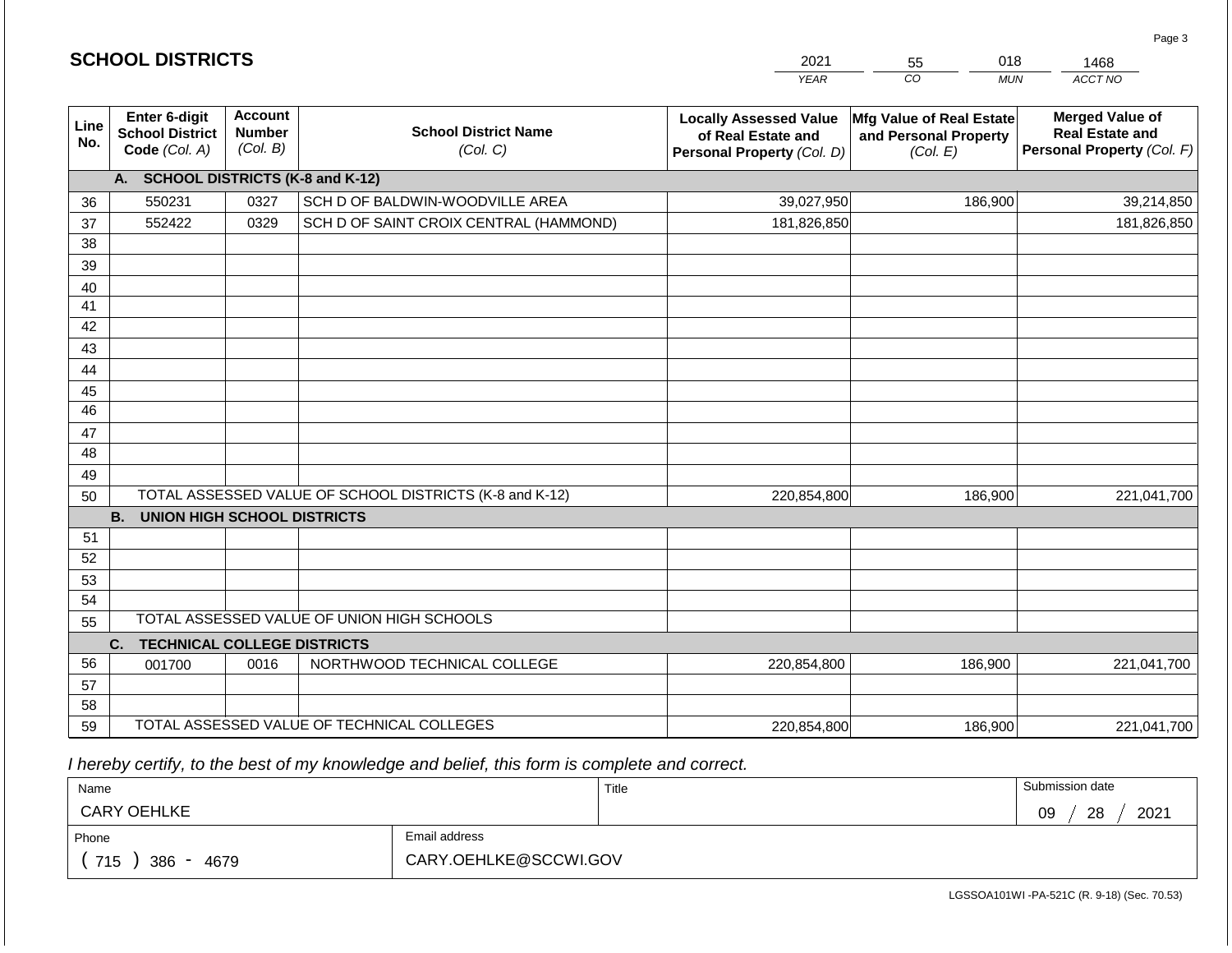|             | <b>SCHOOL DISTRICTS</b>                                  | 2021<br>018<br>55<br>CO                     |                                                         |                                                                                   |                                                               | 1468                                                                           |
|-------------|----------------------------------------------------------|---------------------------------------------|---------------------------------------------------------|-----------------------------------------------------------------------------------|---------------------------------------------------------------|--------------------------------------------------------------------------------|
|             |                                                          |                                             |                                                         | <b>YEAR</b>                                                                       | <b>MUN</b>                                                    | ACCT NO                                                                        |
| Line<br>No. | Enter 6-digit<br><b>School District</b><br>Code (Col. A) | <b>Account</b><br><b>Number</b><br>(Col. B) | <b>School District Name</b><br>(Col. C)                 | <b>Locally Assessed Value</b><br>of Real Estate and<br>Personal Property (Col. D) | Mfg Value of Real Estate<br>and Personal Property<br>(Col. E) | <b>Merged Value of</b><br><b>Real Estate and</b><br>Personal Property (Col. F) |
|             | A.                                                       |                                             | <b>SCHOOL DISTRICTS (K-8 and K-12)</b>                  |                                                                                   |                                                               |                                                                                |
| 36          | 550231                                                   | 0327                                        | SCH D OF BALDWIN-WOODVILLE AREA                         | 39,027,950                                                                        | 186,900                                                       | 39,214,850                                                                     |
| 37          | 552422                                                   | 0329                                        | SCH D OF SAINT CROIX CENTRAL (HAMMOND)                  | 181,826,850                                                                       |                                                               | 181,826,850                                                                    |
| 38          |                                                          |                                             |                                                         |                                                                                   |                                                               |                                                                                |
| 39          |                                                          |                                             |                                                         |                                                                                   |                                                               |                                                                                |
| 40          |                                                          |                                             |                                                         |                                                                                   |                                                               |                                                                                |
| 41          |                                                          |                                             |                                                         |                                                                                   |                                                               |                                                                                |
| 42          |                                                          |                                             |                                                         |                                                                                   |                                                               |                                                                                |
| 43          |                                                          |                                             |                                                         |                                                                                   |                                                               |                                                                                |
| 44          |                                                          |                                             |                                                         |                                                                                   |                                                               |                                                                                |
| 45          |                                                          |                                             |                                                         |                                                                                   |                                                               |                                                                                |
| 46          |                                                          |                                             |                                                         |                                                                                   |                                                               |                                                                                |
| 47          |                                                          |                                             |                                                         |                                                                                   |                                                               |                                                                                |
| 48          |                                                          |                                             |                                                         |                                                                                   |                                                               |                                                                                |
| 49          |                                                          |                                             | TOTAL ASSESSED VALUE OF SCHOOL DISTRICTS (K-8 and K-12) |                                                                                   |                                                               |                                                                                |
| 50          | <b>B.</b><br><b>UNION HIGH SCHOOL DISTRICTS</b>          |                                             |                                                         | 220,854,800                                                                       | 186,900                                                       | 221,041,700                                                                    |
| 51          |                                                          |                                             |                                                         |                                                                                   |                                                               |                                                                                |
| 52          |                                                          |                                             |                                                         |                                                                                   |                                                               |                                                                                |
| 53          |                                                          |                                             |                                                         |                                                                                   |                                                               |                                                                                |
| 54          |                                                          |                                             |                                                         |                                                                                   |                                                               |                                                                                |
| 55          |                                                          |                                             | TOTAL ASSESSED VALUE OF UNION HIGH SCHOOLS              |                                                                                   |                                                               |                                                                                |
|             | C.<br><b>TECHNICAL COLLEGE DISTRICTS</b>                 |                                             |                                                         |                                                                                   |                                                               |                                                                                |
| 56          | 001700                                                   | 0016                                        | NORTHWOOD TECHNICAL COLLEGE                             | 220,854,800                                                                       | 186,900                                                       | 221,041,700                                                                    |
| 57          |                                                          |                                             |                                                         |                                                                                   |                                                               |                                                                                |
| 58          |                                                          |                                             |                                                         |                                                                                   |                                                               |                                                                                |
| 59          |                                                          |                                             | TOTAL ASSESSED VALUE OF TECHNICAL COLLEGES              | 220,854,800                                                                       | 186,900                                                       | 221,041,700                                                                    |

 *I hereby certify, to the best of my knowledge and belief, this form is complete and correct.*

| Name                                           |                       | Title | Submission date  |
|------------------------------------------------|-----------------------|-------|------------------|
| <b>CARY OEHLKE</b>                             |                       |       | 2021<br>28<br>09 |
| Phone                                          | Email address         |       |                  |
| 715<br>386<br>4679<br>$\overline{\phantom{0}}$ | CARY.OEHLKE@SCCWI.GOV |       |                  |

Page 3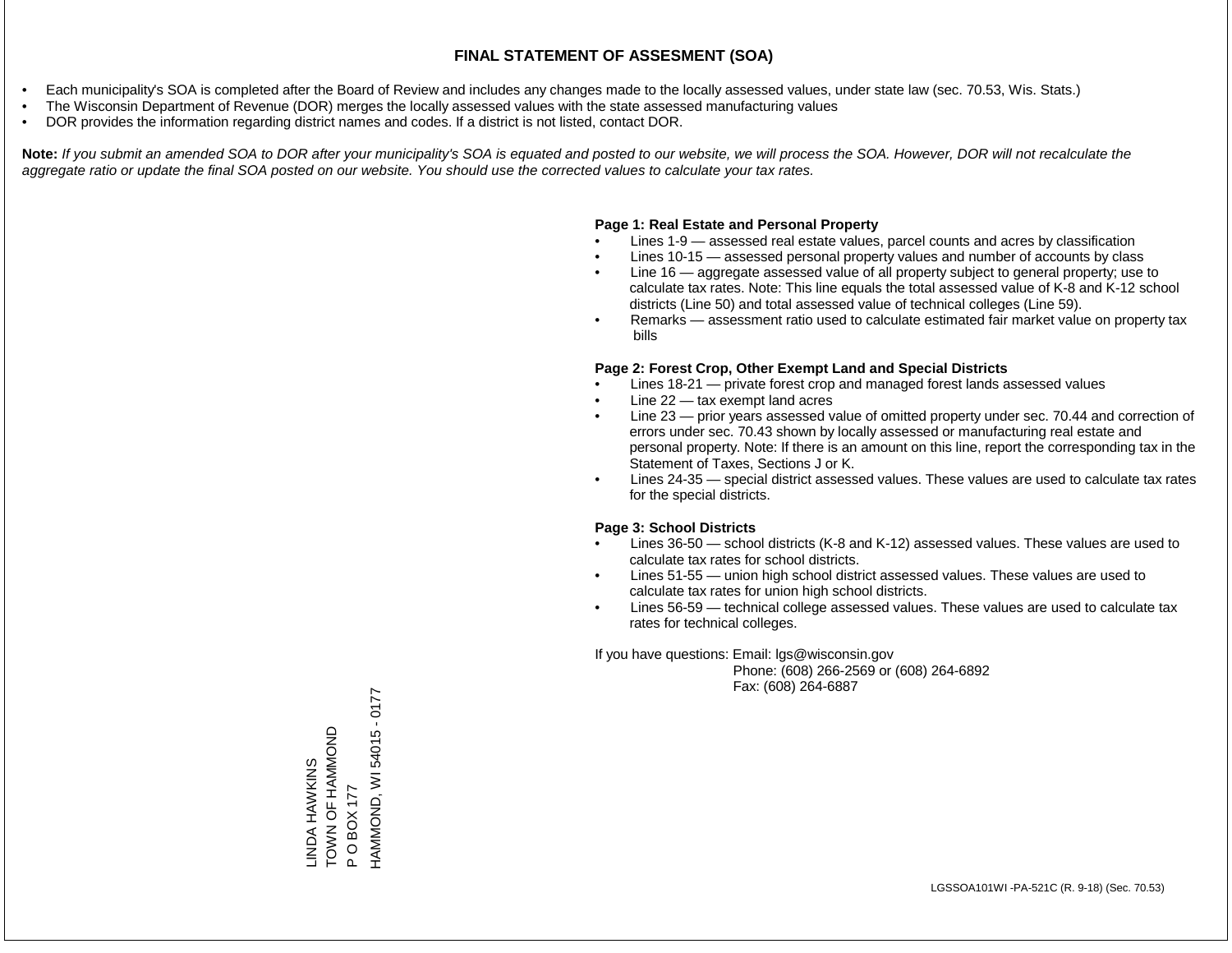- Each municipality's SOA is completed after the Board of Review and includes any changes made to the locally assessed values, under state law (sec. 70.53, Wis. Stats.)
- The Wisconsin Department of Revenue (DOR) merges the locally assessed values with the state assessed manufacturing values
- DOR provides the information regarding district names and codes. If a district is not listed, contact DOR.

Note: If you submit an amended SOA to DOR after your municipality's SOA is equated and posted to our website, we will process the SOA. However, DOR will not recalculate the *aggregate ratio or update the final SOA posted on our website. You should use the corrected values to calculate your tax rates.*

#### **Page 1: Real Estate and Personal Property**

- Lines 1-9 assessed real estate values, parcel counts and acres by classification
- Lines 10-15 assessed personal property values and number of accounts by class
- Line 16 aggregate assessed value of all property subject to general property; use to calculate tax rates. Note: This line equals the total assessed value of K-8 and K-12 school districts (Line 50) and total assessed value of technical colleges (Line 59).
- Remarks assessment ratio used to calculate estimated fair market value on property tax bills

#### **Page 2: Forest Crop, Other Exempt Land and Special Districts**

- Lines 18-21 private forest crop and managed forest lands assessed values
- Line  $22 -$  tax exempt land acres
- Line 23 prior years assessed value of omitted property under sec. 70.44 and correction of errors under sec. 70.43 shown by locally assessed or manufacturing real estate and personal property. Note: If there is an amount on this line, report the corresponding tax in the Statement of Taxes, Sections J or K.
- Lines 24-35 special district assessed values. These values are used to calculate tax rates for the special districts.

#### **Page 3: School Districts**

- Lines 36-50 school districts (K-8 and K-12) assessed values. These values are used to calculate tax rates for school districts.
- Lines 51-55 union high school district assessed values. These values are used to calculate tax rates for union high school districts.
- Lines 56-59 technical college assessed values. These values are used to calculate tax rates for technical colleges.

If you have questions: Email: lgs@wisconsin.gov

 Phone: (608) 266-2569 or (608) 264-6892 Fax: (608) 264-6887

HAMMOND, WI 54015 - 0177 HAMMOND, WI 54015 - 0177TO AND AND HAMMOND LINDA HAWKINS<br>TOWN OF HAMMOND LINDA HAWKINS P O BOX 177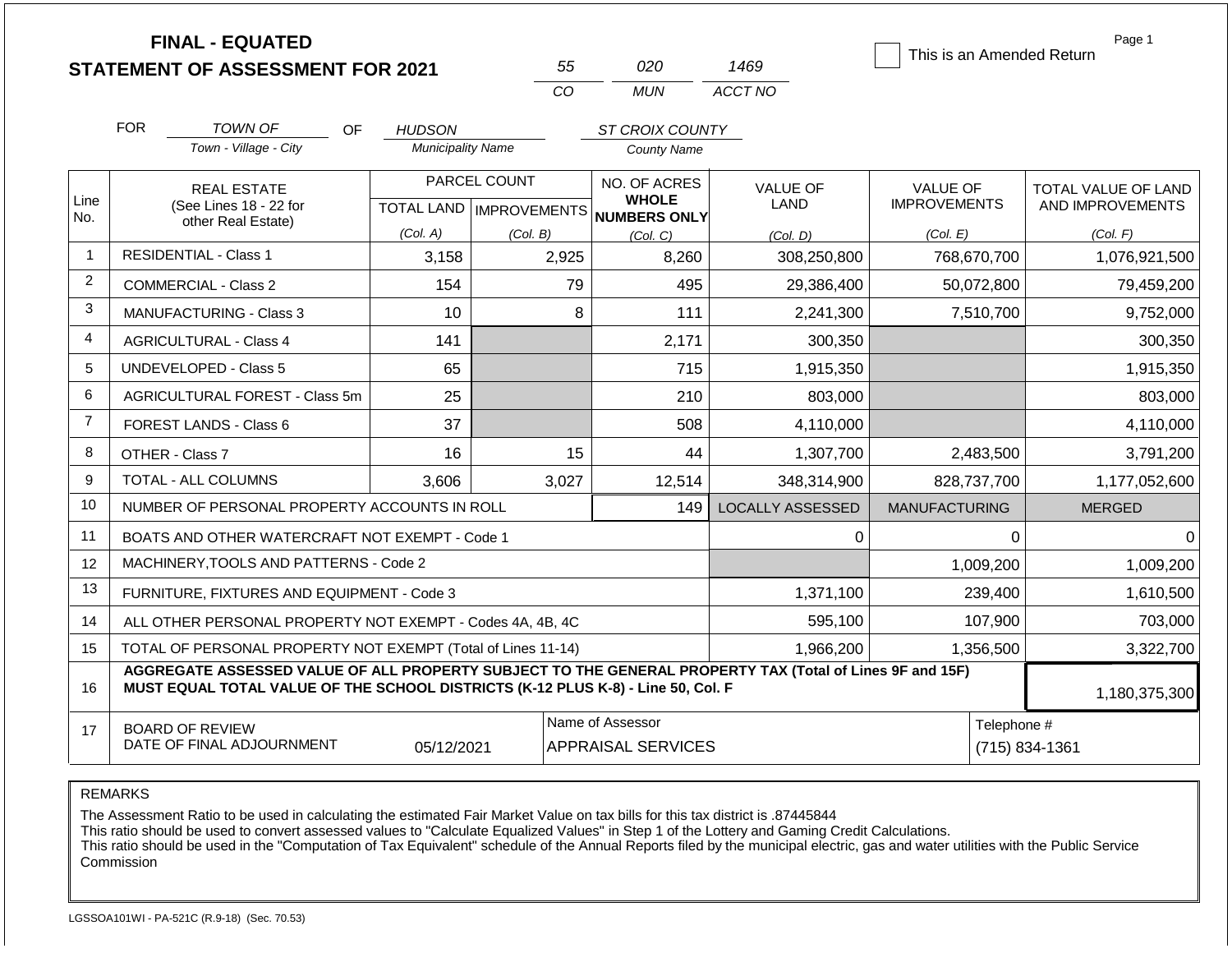|                |                                                                                                                                                                                              | <b>FINAL - EQUATED</b><br><b>STATEMENT OF ASSESSMENT FOR 2021</b> |                          |                                           | 55 | 020                                                 | 1469                    | This is an Amended Return              |             | Page 1                                  |
|----------------|----------------------------------------------------------------------------------------------------------------------------------------------------------------------------------------------|-------------------------------------------------------------------|--------------------------|-------------------------------------------|----|-----------------------------------------------------|-------------------------|----------------------------------------|-------------|-----------------------------------------|
|                |                                                                                                                                                                                              |                                                                   |                          | CO                                        |    | <b>MUN</b>                                          | ACCT NO                 |                                        |             |                                         |
|                | <b>FOR</b>                                                                                                                                                                                   | TOWN OF<br>OF.                                                    | <b>HUDSON</b>            |                                           |    | ST CROIX COUNTY                                     |                         |                                        |             |                                         |
|                |                                                                                                                                                                                              | Town - Village - City                                             | <b>Municipality Name</b> |                                           |    | <b>County Name</b>                                  |                         |                                        |             |                                         |
| Line<br>No.    |                                                                                                                                                                                              | <b>REAL ESTATE</b><br>(See Lines 18 - 22 for                      |                          | PARCEL COUNT<br>TOTAL LAND   IMPROVEMENTS |    | NO. OF ACRES<br><b>WHOLE</b><br><b>NUMBERS ONLY</b> | <b>VALUE OF</b><br>LAND | <b>VALUE OF</b><br><b>IMPROVEMENTS</b> |             | TOTAL VALUE OF LAND<br>AND IMPROVEMENTS |
|                |                                                                                                                                                                                              | other Real Estate)                                                | (Col. A)                 | (Col. B)                                  |    | (Col. C)                                            | (Col, D)                | (Col. E)                               |             | (Col. F)                                |
| $\mathbf{1}$   |                                                                                                                                                                                              | <b>RESIDENTIAL - Class 1</b>                                      | 3,158                    | 2,925                                     |    | 8,260                                               | 308,250,800             | 768,670,700                            |             | 1,076,921,500                           |
| 2              |                                                                                                                                                                                              | COMMERCIAL - Class 2                                              | 154                      |                                           | 79 | 495                                                 | 29,386,400              | 50,072,800                             |             | 79,459,200                              |
| 3              | MANUFACTURING - Class 3                                                                                                                                                                      |                                                                   | 10                       |                                           | 8  | 111                                                 | 2,241,300               | 7,510,700                              |             | 9,752,000                               |
| 4              | <b>AGRICULTURAL - Class 4</b>                                                                                                                                                                |                                                                   | 141                      |                                           |    | 2,171                                               | 300,350                 |                                        |             | 300,350                                 |
| 5              | <b>UNDEVELOPED - Class 5</b>                                                                                                                                                                 |                                                                   | 65                       |                                           |    | 715                                                 | 1,915,350               |                                        |             | 1,915,350                               |
| 6              |                                                                                                                                                                                              | AGRICULTURAL FOREST - Class 5m                                    | 25                       |                                           |    | 210                                                 | 803,000                 |                                        |             | 803,000                                 |
| $\overline{7}$ |                                                                                                                                                                                              | <b>FOREST LANDS - Class 6</b>                                     | 37                       |                                           |    | 508                                                 | 4,110,000               |                                        |             | 4,110,000                               |
| 8              |                                                                                                                                                                                              | OTHER - Class 7                                                   | 16                       |                                           | 15 | 44                                                  | 1,307,700               | 2,483,500                              |             | 3,791,200                               |
| 9              |                                                                                                                                                                                              | TOTAL - ALL COLUMNS                                               | 3.606                    | 3,027                                     |    | 12,514                                              | 348,314,900             | 828,737,700                            |             | 1,177,052,600                           |
| 10             |                                                                                                                                                                                              | NUMBER OF PERSONAL PROPERTY ACCOUNTS IN ROLL                      |                          |                                           |    | 149                                                 | <b>LOCALLY ASSESSED</b> | <b>MANUFACTURING</b>                   |             | <b>MERGED</b>                           |
| 11             |                                                                                                                                                                                              | BOATS AND OTHER WATERCRAFT NOT EXEMPT - Code 1                    |                          |                                           |    |                                                     | $\mathbf 0$             |                                        | $\Omega$    | $\Omega$                                |
| 12             |                                                                                                                                                                                              | MACHINERY, TOOLS AND PATTERNS - Code 2                            |                          |                                           |    |                                                     |                         |                                        | 1,009,200   | 1,009,200                               |
| 13             |                                                                                                                                                                                              | FURNITURE, FIXTURES AND EQUIPMENT - Code 3                        |                          |                                           |    |                                                     | 1,371,100               |                                        | 239,400     | 1,610,500                               |
| 14             |                                                                                                                                                                                              | ALL OTHER PERSONAL PROPERTY NOT EXEMPT - Codes 4A, 4B, 4C         |                          |                                           |    |                                                     | 595,100                 |                                        | 107,900     | 703,000                                 |
| 15             |                                                                                                                                                                                              | TOTAL OF PERSONAL PROPERTY NOT EXEMPT (Total of Lines 11-14)      |                          |                                           |    |                                                     | 1,966,200               | 1,356,500                              |             | 3,322,700                               |
| 16             | AGGREGATE ASSESSED VALUE OF ALL PROPERTY SUBJECT TO THE GENERAL PROPERTY TAX (Total of Lines 9F and 15F)<br>MUST EQUAL TOTAL VALUE OF THE SCHOOL DISTRICTS (K-12 PLUS K-8) - Line 50, Col. F |                                                                   |                          |                                           |    |                                                     |                         |                                        |             | 1,180,375,300                           |
| 17             | Name of Assessor<br><b>BOARD OF REVIEW</b><br>DATE OF FINAL ADJOURNMENT<br><b>APPRAISAL SERVICES</b><br>05/12/2021                                                                           |                                                                   |                          |                                           |    |                                                     |                         |                                        | Telephone # | (715) 834-1361                          |

REMARKS

The Assessment Ratio to be used in calculating the estimated Fair Market Value on tax bills for this tax district is .87445844

This ratio should be used to convert assessed values to "Calculate Equalized Values" in Step 1 of the Lottery and Gaming Credit Calculations.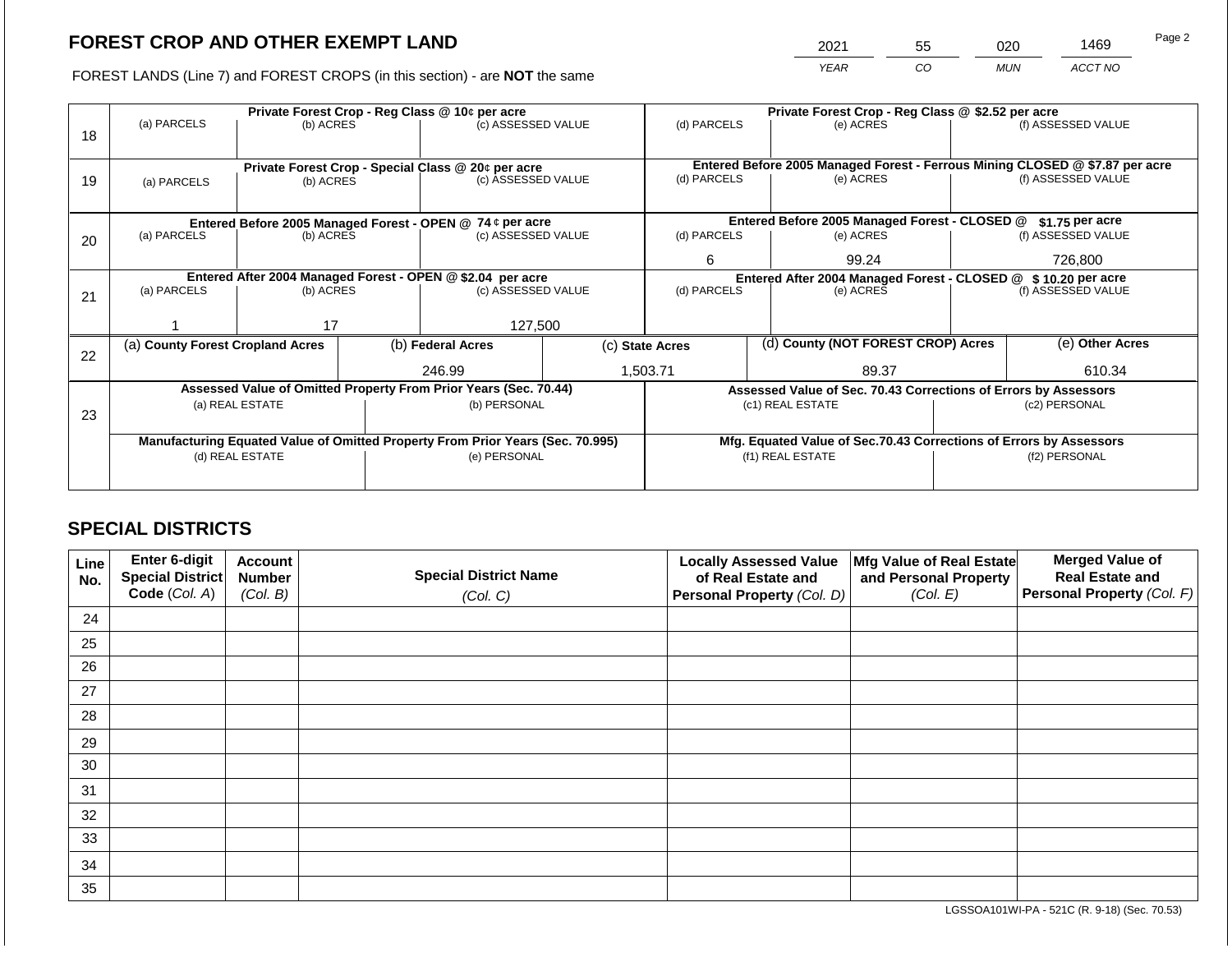2021 55 020 1469

FOREST LANDS (Line 7) and FOREST CROPS (in this section) - are **NOT** the same *YEAR CO MUN ACCT NO*

|    |                                                            |                                 | Private Forest Crop - Reg Class @ \$2.52 per acre |                                                                                |   |                                                                   |  |                                                                              |  |                    |  |
|----|------------------------------------------------------------|---------------------------------|---------------------------------------------------|--------------------------------------------------------------------------------|---|-------------------------------------------------------------------|--|------------------------------------------------------------------------------|--|--------------------|--|
| 18 | (a) PARCELS                                                | (b) ACRES                       |                                                   | (c) ASSESSED VALUE                                                             |   | (d) PARCELS                                                       |  | (e) ACRES                                                                    |  | (f) ASSESSED VALUE |  |
|    |                                                            |                                 |                                                   |                                                                                |   |                                                                   |  |                                                                              |  |                    |  |
|    |                                                            |                                 |                                                   | Private Forest Crop - Special Class @ 20¢ per acre                             |   |                                                                   |  | Entered Before 2005 Managed Forest - Ferrous Mining CLOSED @ \$7.87 per acre |  |                    |  |
| 19 | (a) PARCELS                                                | (b) ACRES                       |                                                   | (c) ASSESSED VALUE                                                             |   | (d) PARCELS                                                       |  | (e) ACRES                                                                    |  | (f) ASSESSED VALUE |  |
|    |                                                            |                                 |                                                   |                                                                                |   |                                                                   |  |                                                                              |  |                    |  |
|    | Entered Before 2005 Managed Forest - OPEN @ 74 ¢ per acre  |                                 |                                                   |                                                                                |   | Entered Before 2005 Managed Forest - CLOSED @<br>$$1.75$ per acre |  |                                                                              |  |                    |  |
| 20 | (a) PARCELS                                                | (b) ACRES<br>(c) ASSESSED VALUE |                                                   | (d) PARCELS                                                                    |   | (e) ACRES                                                         |  | (f) ASSESSED VALUE                                                           |  |                    |  |
|    |                                                            |                                 |                                                   |                                                                                | 6 | 99.24                                                             |  | 726,800                                                                      |  |                    |  |
|    | Entered After 2004 Managed Forest - OPEN @ \$2.04 per acre |                                 |                                                   |                                                                                |   |                                                                   |  | Entered After 2004 Managed Forest - CLOSED @ \$10.20 per acre                |  |                    |  |
| 21 | (a) PARCELS                                                | (b) ACRES                       |                                                   | (c) ASSESSED VALUE                                                             |   | (d) PARCELS                                                       |  | (e) ACRES                                                                    |  | (f) ASSESSED VALUE |  |
|    |                                                            |                                 |                                                   |                                                                                |   |                                                                   |  |                                                                              |  |                    |  |
|    |                                                            | 17                              |                                                   | 127,500                                                                        |   |                                                                   |  |                                                                              |  |                    |  |
| 22 | (a) County Forest Cropland Acres                           |                                 |                                                   | (b) Federal Acres                                                              |   | (c) State Acres                                                   |  | (d) County (NOT FOREST CROP) Acres                                           |  | (e) Other Acres    |  |
|    |                                                            |                                 |                                                   | 246.99                                                                         |   | 1,503.71                                                          |  | 89.37                                                                        |  | 610.34             |  |
|    |                                                            |                                 |                                                   | Assessed Value of Omitted Property From Prior Years (Sec. 70.44)               |   |                                                                   |  | Assessed Value of Sec. 70.43 Corrections of Errors by Assessors              |  |                    |  |
|    |                                                            | (a) REAL ESTATE                 |                                                   | (b) PERSONAL                                                                   |   |                                                                   |  | (c1) REAL ESTATE                                                             |  | (c2) PERSONAL      |  |
| 23 |                                                            |                                 |                                                   |                                                                                |   |                                                                   |  |                                                                              |  |                    |  |
|    |                                                            |                                 |                                                   | Manufacturing Equated Value of Omitted Property From Prior Years (Sec. 70.995) |   |                                                                   |  | Mfg. Equated Value of Sec.70.43 Corrections of Errors by Assessors           |  |                    |  |
|    | (d) REAL ESTATE                                            |                                 |                                                   | (e) PERSONAL                                                                   |   |                                                                   |  | (f1) REAL ESTATE                                                             |  | (f2) PERSONAL      |  |
|    |                                                            |                                 |                                                   |                                                                                |   |                                                                   |  |                                                                              |  |                    |  |
|    |                                                            |                                 |                                                   |                                                                                |   |                                                                   |  |                                                                              |  |                    |  |

## **SPECIAL DISTRICTS**

| Line<br>No. | Enter 6-digit<br>Special District<br>Code (Col. A) | <b>Account</b><br><b>Number</b><br>(Col. B) | <b>Special District Name</b><br>(Col. C) | <b>Locally Assessed Value</b><br>of Real Estate and<br><b>Personal Property (Col. D)</b> | Mfg Value of Real Estate<br>and Personal Property<br>(Col. E) | <b>Merged Value of</b><br><b>Real Estate and</b><br>Personal Property (Col. F) |
|-------------|----------------------------------------------------|---------------------------------------------|------------------------------------------|------------------------------------------------------------------------------------------|---------------------------------------------------------------|--------------------------------------------------------------------------------|
| 24          |                                                    |                                             |                                          |                                                                                          |                                                               |                                                                                |
| 25          |                                                    |                                             |                                          |                                                                                          |                                                               |                                                                                |
| 26          |                                                    |                                             |                                          |                                                                                          |                                                               |                                                                                |
| 27          |                                                    |                                             |                                          |                                                                                          |                                                               |                                                                                |
| 28          |                                                    |                                             |                                          |                                                                                          |                                                               |                                                                                |
| 29          |                                                    |                                             |                                          |                                                                                          |                                                               |                                                                                |
| 30          |                                                    |                                             |                                          |                                                                                          |                                                               |                                                                                |
| 31          |                                                    |                                             |                                          |                                                                                          |                                                               |                                                                                |
| 32          |                                                    |                                             |                                          |                                                                                          |                                                               |                                                                                |
| 33          |                                                    |                                             |                                          |                                                                                          |                                                               |                                                                                |
| 34          |                                                    |                                             |                                          |                                                                                          |                                                               |                                                                                |
| 35          |                                                    |                                             |                                          |                                                                                          |                                                               |                                                                                |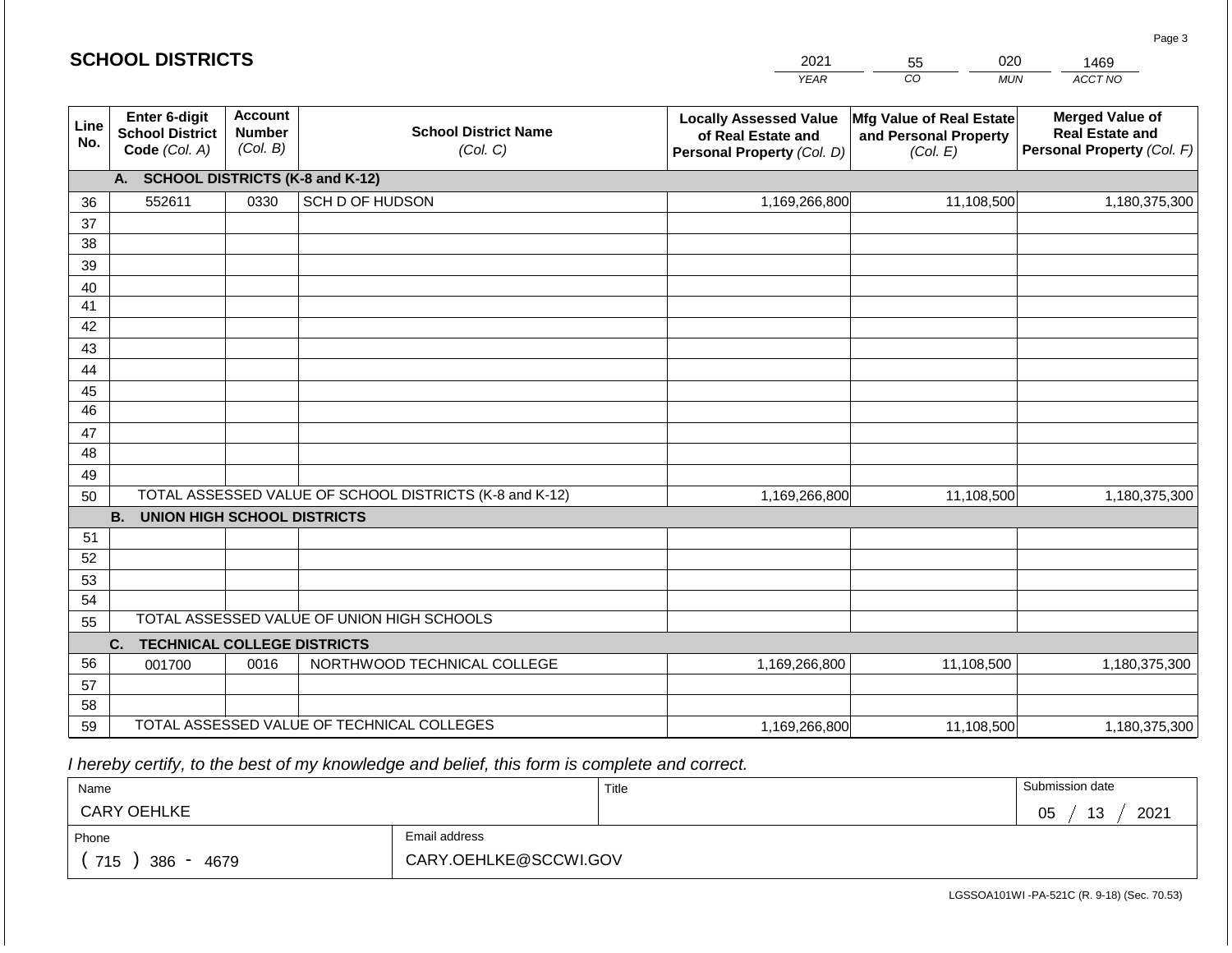|             | <b>SCHOOL DISTRICTS</b>                                  |                                             |                                                         | 2021<br>020<br>55                                                                 |                                                               |                                                                                |
|-------------|----------------------------------------------------------|---------------------------------------------|---------------------------------------------------------|-----------------------------------------------------------------------------------|---------------------------------------------------------------|--------------------------------------------------------------------------------|
|             |                                                          |                                             |                                                         | <b>YEAR</b>                                                                       | CO <sub>.</sub><br><b>MUN</b>                                 | ACCT NO                                                                        |
| Line<br>No. | Enter 6-digit<br><b>School District</b><br>Code (Col. A) | <b>Account</b><br><b>Number</b><br>(Col. B) | <b>School District Name</b><br>(Col. C)                 | <b>Locally Assessed Value</b><br>of Real Estate and<br>Personal Property (Col. D) | Mfg Value of Real Estate<br>and Personal Property<br>(Col. E) | <b>Merged Value of</b><br><b>Real Estate and</b><br>Personal Property (Col. F) |
|             | A. SCHOOL DISTRICTS (K-8 and K-12)                       |                                             |                                                         |                                                                                   |                                                               |                                                                                |
| 36          | 552611                                                   | 0330                                        | SCH D OF HUDSON                                         | 1,169,266,800                                                                     | 11,108,500                                                    | 1,180,375,300                                                                  |
| 37          |                                                          |                                             |                                                         |                                                                                   |                                                               |                                                                                |
| 38          |                                                          |                                             |                                                         |                                                                                   |                                                               |                                                                                |
| 39          |                                                          |                                             |                                                         |                                                                                   |                                                               |                                                                                |
| 40          |                                                          |                                             |                                                         |                                                                                   |                                                               |                                                                                |
| 41<br>42    |                                                          |                                             |                                                         |                                                                                   |                                                               |                                                                                |
| 43          |                                                          |                                             |                                                         |                                                                                   |                                                               |                                                                                |
| 44          |                                                          |                                             |                                                         |                                                                                   |                                                               |                                                                                |
| 45          |                                                          |                                             |                                                         |                                                                                   |                                                               |                                                                                |
| 46          |                                                          |                                             |                                                         |                                                                                   |                                                               |                                                                                |
| 47          |                                                          |                                             |                                                         |                                                                                   |                                                               |                                                                                |
| 48          |                                                          |                                             |                                                         |                                                                                   |                                                               |                                                                                |
| 49          |                                                          |                                             |                                                         |                                                                                   |                                                               |                                                                                |
| 50          |                                                          |                                             | TOTAL ASSESSED VALUE OF SCHOOL DISTRICTS (K-8 and K-12) | 1,169,266,800                                                                     | 11,108,500                                                    | 1,180,375,300                                                                  |
|             | <b>B. UNION HIGH SCHOOL DISTRICTS</b>                    |                                             |                                                         |                                                                                   |                                                               |                                                                                |
| 51          |                                                          |                                             |                                                         |                                                                                   |                                                               |                                                                                |
| 52          |                                                          |                                             |                                                         |                                                                                   |                                                               |                                                                                |
| 53          |                                                          |                                             |                                                         |                                                                                   |                                                               |                                                                                |
| 54<br>55    |                                                          |                                             | TOTAL ASSESSED VALUE OF UNION HIGH SCHOOLS              |                                                                                   |                                                               |                                                                                |
|             | <b>TECHNICAL COLLEGE DISTRICTS</b><br>C.                 |                                             |                                                         |                                                                                   |                                                               |                                                                                |
| 56          | 001700                                                   | 0016                                        | NORTHWOOD TECHNICAL COLLEGE                             | 1,169,266,800                                                                     | 11,108,500                                                    | 1,180,375,300                                                                  |
| 57          |                                                          |                                             |                                                         |                                                                                   |                                                               |                                                                                |
| 58          |                                                          |                                             |                                                         |                                                                                   |                                                               |                                                                                |
| 59          |                                                          |                                             | TOTAL ASSESSED VALUE OF TECHNICAL COLLEGES              | 1,169,266,800                                                                     | 11,108,500                                                    | 1,180,375,300                                                                  |

 *I hereby certify, to the best of my knowledge and belief, this form is complete and correct.*

| Name               |                       | Title | Submission date  |
|--------------------|-----------------------|-------|------------------|
| <b>CARY OEHLKE</b> |                       |       | 2021<br>13<br>05 |
| Phone              | Email address         |       |                  |
| 715<br>386<br>4679 | CARY.OEHLKE@SCCWI.GOV |       |                  |

LGSSOA101WI -PA-521C (R. 9-18) (Sec. 70.53)

Page 3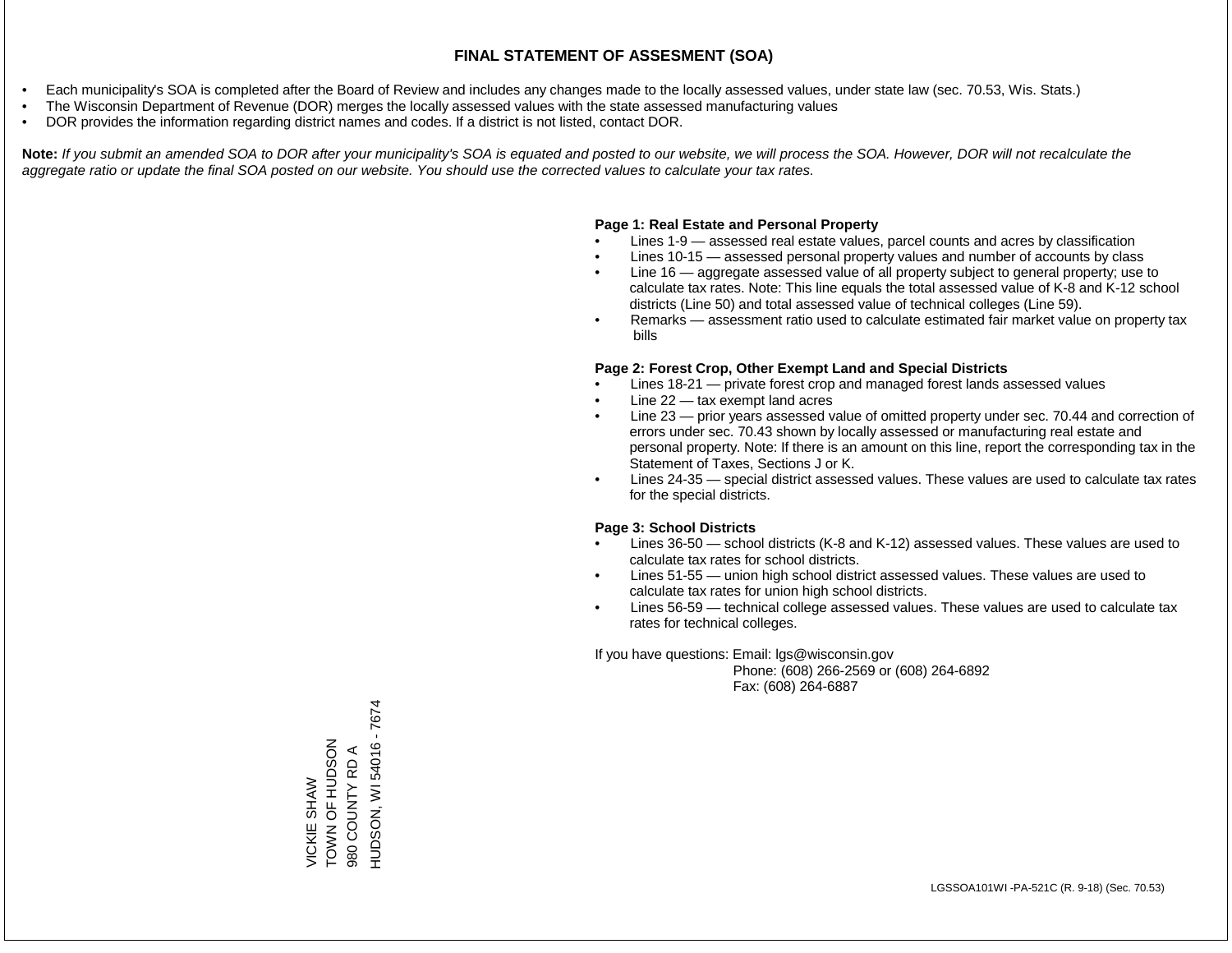- Each municipality's SOA is completed after the Board of Review and includes any changes made to the locally assessed values, under state law (sec. 70.53, Wis. Stats.)
- The Wisconsin Department of Revenue (DOR) merges the locally assessed values with the state assessed manufacturing values
- DOR provides the information regarding district names and codes. If a district is not listed, contact DOR.

Note: If you submit an amended SOA to DOR after your municipality's SOA is equated and posted to our website, we will process the SOA. However, DOR will not recalculate the *aggregate ratio or update the final SOA posted on our website. You should use the corrected values to calculate your tax rates.*

#### **Page 1: Real Estate and Personal Property**

- Lines 1-9 assessed real estate values, parcel counts and acres by classification
- Lines 10-15 assessed personal property values and number of accounts by class
- Line 16 aggregate assessed value of all property subject to general property; use to calculate tax rates. Note: This line equals the total assessed value of K-8 and K-12 school districts (Line 50) and total assessed value of technical colleges (Line 59).
- Remarks assessment ratio used to calculate estimated fair market value on property tax bills

#### **Page 2: Forest Crop, Other Exempt Land and Special Districts**

- Lines 18-21 private forest crop and managed forest lands assessed values
- Line  $22 -$  tax exempt land acres
- Line 23 prior years assessed value of omitted property under sec. 70.44 and correction of errors under sec. 70.43 shown by locally assessed or manufacturing real estate and personal property. Note: If there is an amount on this line, report the corresponding tax in the Statement of Taxes, Sections J or K.
- Lines 24-35 special district assessed values. These values are used to calculate tax rates for the special districts.

#### **Page 3: School Districts**

- Lines 36-50 school districts (K-8 and K-12) assessed values. These values are used to calculate tax rates for school districts.
- Lines 51-55 union high school district assessed values. These values are used to calculate tax rates for union high school districts.
- Lines 56-59 technical college assessed values. These values are used to calculate tax rates for technical colleges.

If you have questions: Email: lgs@wisconsin.gov

 Phone: (608) 266-2569 or (608) 264-6892 Fax: (608) 264-6887

HUDSON, WI 54016 - 7674 HUDSON, WI 54016 - 7674ZOSQDH LO NNOL VICKIE SHAW<br>TOWN OF HUDSON 980 COUNTY RD A 980 COUNTY RD A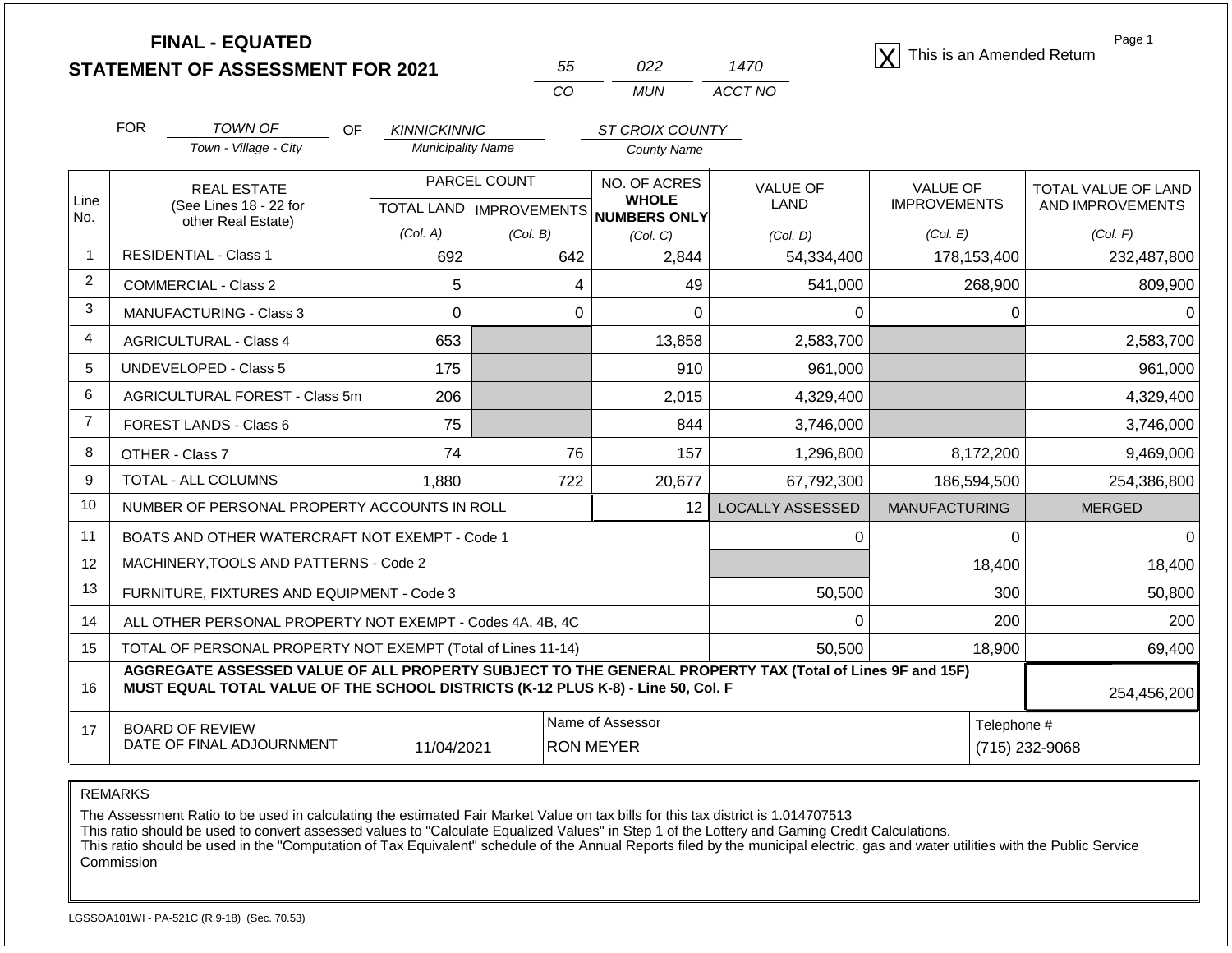| <b>STATEMENT OF ASSESSMENT FOR 2021</b> |  |
|-----------------------------------------|--|
|                                         |  |

| 55 | በ22 | 1470    |
|----|-----|---------|
| ററ | MUN | ACCT NO |

**FINAL - EQUATED**<br>  $\overline{X}$  This is an Amended Return

Page 1

|                | <b>FOR</b>                                   | <b>TOWN OF</b><br><b>OF</b>                                                                                                                                                                  | <b>KINNICKINNIC</b>      |                           | <b>ST CROIX COUNTY</b>       |                         |                      |                            |
|----------------|----------------------------------------------|----------------------------------------------------------------------------------------------------------------------------------------------------------------------------------------------|--------------------------|---------------------------|------------------------------|-------------------------|----------------------|----------------------------|
|                |                                              | Town - Village - City                                                                                                                                                                        | <b>Municipality Name</b> |                           | <b>County Name</b>           |                         |                      |                            |
|                |                                              | <b>REAL ESTATE</b>                                                                                                                                                                           | PARCEL COUNT             |                           | NO. OF ACRES                 | <b>VALUE OF</b>         | <b>VALUE OF</b>      | <b>TOTAL VALUE OF LAND</b> |
| Line<br>No.    | (See Lines 18 - 22 for<br>other Real Estate) |                                                                                                                                                                                              |                          | TOTAL LAND   IMPROVEMENTS | <b>WHOLE</b><br>NUMBERS ONLY | LAND                    | <b>IMPROVEMENTS</b>  | AND IMPROVEMENTS           |
|                |                                              |                                                                                                                                                                                              | (Col. A)                 | (Col. B)                  | (Col, C)                     | (Col, D)                | (Col, E)             | (Col. F)                   |
| $\mathbf 1$    |                                              | <b>RESIDENTIAL - Class 1</b>                                                                                                                                                                 | 692                      | 642                       | 2,844                        | 54,334,400              | 178,153,400          | 232,487,800                |
| $\overline{2}$ |                                              | <b>COMMERCIAL - Class 2</b>                                                                                                                                                                  | 5                        | 4                         | 49                           | 541,000                 | 268,900              | 809,900                    |
| 3              |                                              | <b>MANUFACTURING - Class 3</b>                                                                                                                                                               | $\Omega$                 | $\Omega$                  | $\Omega$                     | 0                       | 0                    | $\Omega$                   |
| $\overline{4}$ |                                              | <b>AGRICULTURAL - Class 4</b>                                                                                                                                                                | 653                      |                           | 13,858                       | 2,583,700               |                      | 2,583,700                  |
| 5              |                                              | <b>UNDEVELOPED - Class 5</b>                                                                                                                                                                 | 175                      |                           | 910                          | 961,000                 |                      | 961,000                    |
| 6              |                                              | AGRICULTURAL FOREST - Class 5m                                                                                                                                                               | 206                      |                           | 2,015                        | 4,329,400               |                      | 4,329,400                  |
| $\overline{7}$ |                                              | FOREST LANDS - Class 6                                                                                                                                                                       | 75                       |                           | 844                          | 3,746,000               |                      | 3,746,000                  |
| 8              |                                              | OTHER - Class 7                                                                                                                                                                              | 74                       | 76                        | 157                          | 1,296,800               | 8,172,200            | 9,469,000                  |
| 9              |                                              | <b>TOTAL - ALL COLUMNS</b>                                                                                                                                                                   | 1,880                    | 722                       | 20,677                       | 67,792,300              | 186,594,500          | 254,386,800                |
| 10             |                                              | NUMBER OF PERSONAL PROPERTY ACCOUNTS IN ROLL                                                                                                                                                 |                          |                           | 12                           | <b>LOCALLY ASSESSED</b> | <b>MANUFACTURING</b> | <b>MERGED</b>              |
| 11             |                                              | BOATS AND OTHER WATERCRAFT NOT EXEMPT - Code 1                                                                                                                                               |                          |                           |                              | 0                       | $\Omega$             | <sup>0</sup>               |
| 12             |                                              | MACHINERY, TOOLS AND PATTERNS - Code 2                                                                                                                                                       |                          |                           |                              |                         | 18,400               | 18,400                     |
| 13             |                                              | FURNITURE, FIXTURES AND EQUIPMENT - Code 3                                                                                                                                                   |                          |                           |                              | 50,500                  | 300                  | 50,800                     |
| 14             |                                              | ALL OTHER PERSONAL PROPERTY NOT EXEMPT - Codes 4A, 4B, 4C                                                                                                                                    |                          |                           |                              | $\Omega$                | 200                  | 200                        |
| 15             |                                              | TOTAL OF PERSONAL PROPERTY NOT EXEMPT (Total of Lines 11-14)                                                                                                                                 |                          |                           |                              | 50,500                  | 18,900               | 69,400                     |
| 16             |                                              | AGGREGATE ASSESSED VALUE OF ALL PROPERTY SUBJECT TO THE GENERAL PROPERTY TAX (Total of Lines 9F and 15F)<br>MUST EQUAL TOTAL VALUE OF THE SCHOOL DISTRICTS (K-12 PLUS K-8) - Line 50, Col. F |                          |                           |                              |                         |                      | 254,456,200                |
| 17             |                                              | <b>BOARD OF REVIEW</b>                                                                                                                                                                       |                          |                           | Name of Assessor             |                         | Telephone #          |                            |
|                |                                              | DATE OF FINAL ADJOURNMENT                                                                                                                                                                    | 11/04/2021               |                           | <b>RON MEYER</b>             |                         |                      | (715) 232-9068             |

REMARKS

The Assessment Ratio to be used in calculating the estimated Fair Market Value on tax bills for this tax district is 1.014707513

This ratio should be used to convert assessed values to "Calculate Equalized Values" in Step 1 of the Lottery and Gaming Credit Calculations.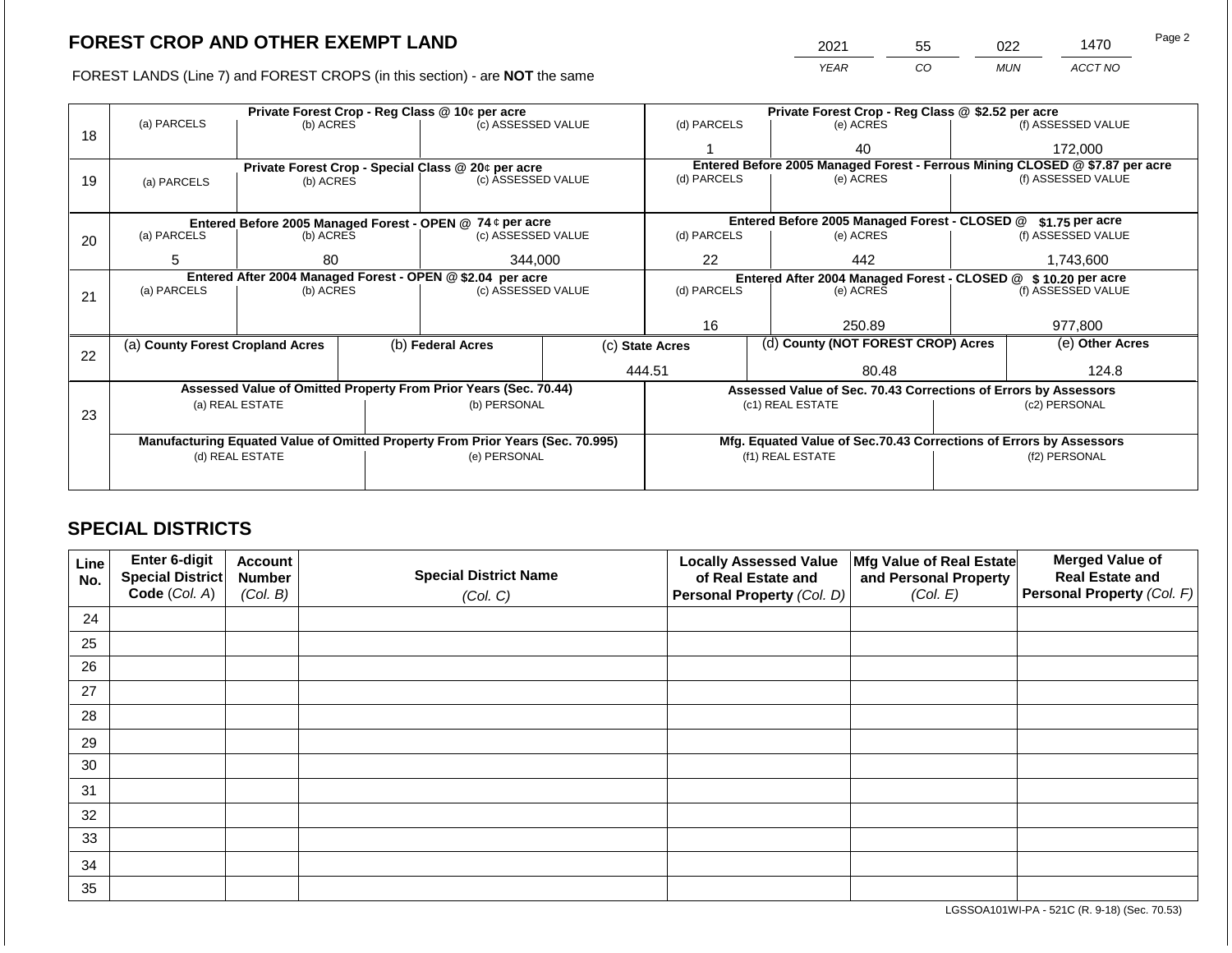2021 55 022 1470

FOREST LANDS (Line 7) and FOREST CROPS (in this section) - are **NOT** the same *YEAR CO MUN ACCT NO*

|    |                                  | Private Forest Crop - Reg Class @ 10¢ per acre                                                |  | Private Forest Crop - Reg Class @ \$2.52 per acre                              |             |                 |                                                                              |                                                                    |                    |                                                                                                                                   |  |  |  |
|----|----------------------------------|-----------------------------------------------------------------------------------------------|--|--------------------------------------------------------------------------------|-------------|-----------------|------------------------------------------------------------------------------|--------------------------------------------------------------------|--------------------|-----------------------------------------------------------------------------------------------------------------------------------|--|--|--|
| 18 | (a) PARCELS                      | (b) ACRES                                                                                     |  | (c) ASSESSED VALUE                                                             |             | (d) PARCELS     |                                                                              | (e) ACRES                                                          |                    | (f) ASSESSED VALUE                                                                                                                |  |  |  |
|    |                                  |                                                                                               |  |                                                                                |             |                 |                                                                              | 40                                                                 |                    | 172,000                                                                                                                           |  |  |  |
|    |                                  |                                                                                               |  | Private Forest Crop - Special Class @ 20¢ per acre                             |             |                 | Entered Before 2005 Managed Forest - Ferrous Mining CLOSED @ \$7.87 per acre |                                                                    |                    |                                                                                                                                   |  |  |  |
| 19 | (a) PARCELS                      | (b) ACRES                                                                                     |  | (c) ASSESSED VALUE                                                             |             | (d) PARCELS     |                                                                              | (e) ACRES                                                          |                    |                                                                                                                                   |  |  |  |
|    |                                  |                                                                                               |  |                                                                                |             |                 |                                                                              |                                                                    |                    |                                                                                                                                   |  |  |  |
|    |                                  |                                                                                               |  | Entered Before 2005 Managed Forest - OPEN @ 74 ¢ per acre                      |             |                 |                                                                              | Entered Before 2005 Managed Forest - CLOSED @                      |                    | $$1.75$ per acre                                                                                                                  |  |  |  |
| 20 | (a) PARCELS                      | (b) ACRES<br>(c) ASSESSED VALUE                                                               |  |                                                                                | (d) PARCELS |                 | (e) ACRES                                                                    |                                                                    | (f) ASSESSED VALUE |                                                                                                                                   |  |  |  |
|    | 5                                | 344,000<br>80                                                                                 |  | 22                                                                             |             | 442             |                                                                              |                                                                    |                    |                                                                                                                                   |  |  |  |
|    |                                  |                                                                                               |  |                                                                                |             |                 |                                                                              | Entered After 2004 Managed Forest - CLOSED @                       |                    |                                                                                                                                   |  |  |  |
|    | (a) PARCELS                      | Entered After 2004 Managed Forest - OPEN @ \$2.04 per acre<br>(c) ASSESSED VALUE<br>(b) ACRES |  |                                                                                | (d) PARCELS |                 | (e) ACRES                                                                    |                                                                    |                    |                                                                                                                                   |  |  |  |
| 21 |                                  |                                                                                               |  |                                                                                |             |                 |                                                                              |                                                                    |                    |                                                                                                                                   |  |  |  |
|    |                                  |                                                                                               |  |                                                                                |             | 16<br>250.89    |                                                                              |                                                                    |                    |                                                                                                                                   |  |  |  |
|    |                                  |                                                                                               |  |                                                                                |             |                 |                                                                              |                                                                    |                    |                                                                                                                                   |  |  |  |
| 22 | (a) County Forest Cropland Acres |                                                                                               |  | (b) Federal Acres                                                              |             | (c) State Acres |                                                                              | (d) County (NOT FOREST CROP) Acres                                 |                    |                                                                                                                                   |  |  |  |
|    |                                  |                                                                                               |  |                                                                                |             | 444.51          |                                                                              | 80.48                                                              |                    | (f) ASSESSED VALUE<br>1,743,600<br>\$10.20 per acre<br>(f) ASSESSED VALUE<br>977,800<br>(e) Other Acres<br>124.8<br>(f2) PERSONAL |  |  |  |
|    |                                  |                                                                                               |  | Assessed Value of Omitted Property From Prior Years (Sec. 70.44)               |             |                 |                                                                              | Assessed Value of Sec. 70.43 Corrections of Errors by Assessors    |                    |                                                                                                                                   |  |  |  |
|    |                                  | (a) REAL ESTATE                                                                               |  | (b) PERSONAL                                                                   |             |                 |                                                                              | (c1) REAL ESTATE                                                   |                    | (c2) PERSONAL                                                                                                                     |  |  |  |
| 23 |                                  |                                                                                               |  |                                                                                |             |                 |                                                                              |                                                                    |                    |                                                                                                                                   |  |  |  |
|    |                                  |                                                                                               |  | Manufacturing Equated Value of Omitted Property From Prior Years (Sec. 70.995) |             |                 |                                                                              | Mfg. Equated Value of Sec.70.43 Corrections of Errors by Assessors |                    |                                                                                                                                   |  |  |  |
|    |                                  | (d) REAL ESTATE                                                                               |  | (e) PERSONAL                                                                   |             |                 |                                                                              | (f1) REAL ESTATE                                                   |                    |                                                                                                                                   |  |  |  |
|    |                                  |                                                                                               |  |                                                                                |             |                 |                                                                              |                                                                    |                    |                                                                                                                                   |  |  |  |
|    |                                  |                                                                                               |  |                                                                                |             |                 |                                                                              |                                                                    |                    |                                                                                                                                   |  |  |  |

## **SPECIAL DISTRICTS**

| Line<br>No. | Enter 6-digit<br>Special District | <b>Account</b><br><b>Number</b> | <b>Special District Name</b> | <b>Locally Assessed Value</b><br>of Real Estate and | Mfg Value of Real Estate<br>and Personal Property | <b>Merged Value of</b><br><b>Real Estate and</b> |
|-------------|-----------------------------------|---------------------------------|------------------------------|-----------------------------------------------------|---------------------------------------------------|--------------------------------------------------|
|             | Code (Col. A)                     | (Col. B)                        | (Col. C)                     | <b>Personal Property (Col. D)</b>                   | (Col. E)                                          | Personal Property (Col. F)                       |
| 24          |                                   |                                 |                              |                                                     |                                                   |                                                  |
| 25          |                                   |                                 |                              |                                                     |                                                   |                                                  |
| 26          |                                   |                                 |                              |                                                     |                                                   |                                                  |
| 27          |                                   |                                 |                              |                                                     |                                                   |                                                  |
| 28          |                                   |                                 |                              |                                                     |                                                   |                                                  |
| 29          |                                   |                                 |                              |                                                     |                                                   |                                                  |
| 30          |                                   |                                 |                              |                                                     |                                                   |                                                  |
| 31          |                                   |                                 |                              |                                                     |                                                   |                                                  |
| 32          |                                   |                                 |                              |                                                     |                                                   |                                                  |
| 33          |                                   |                                 |                              |                                                     |                                                   |                                                  |
| 34          |                                   |                                 |                              |                                                     |                                                   |                                                  |
| 35          |                                   |                                 |                              |                                                     |                                                   |                                                  |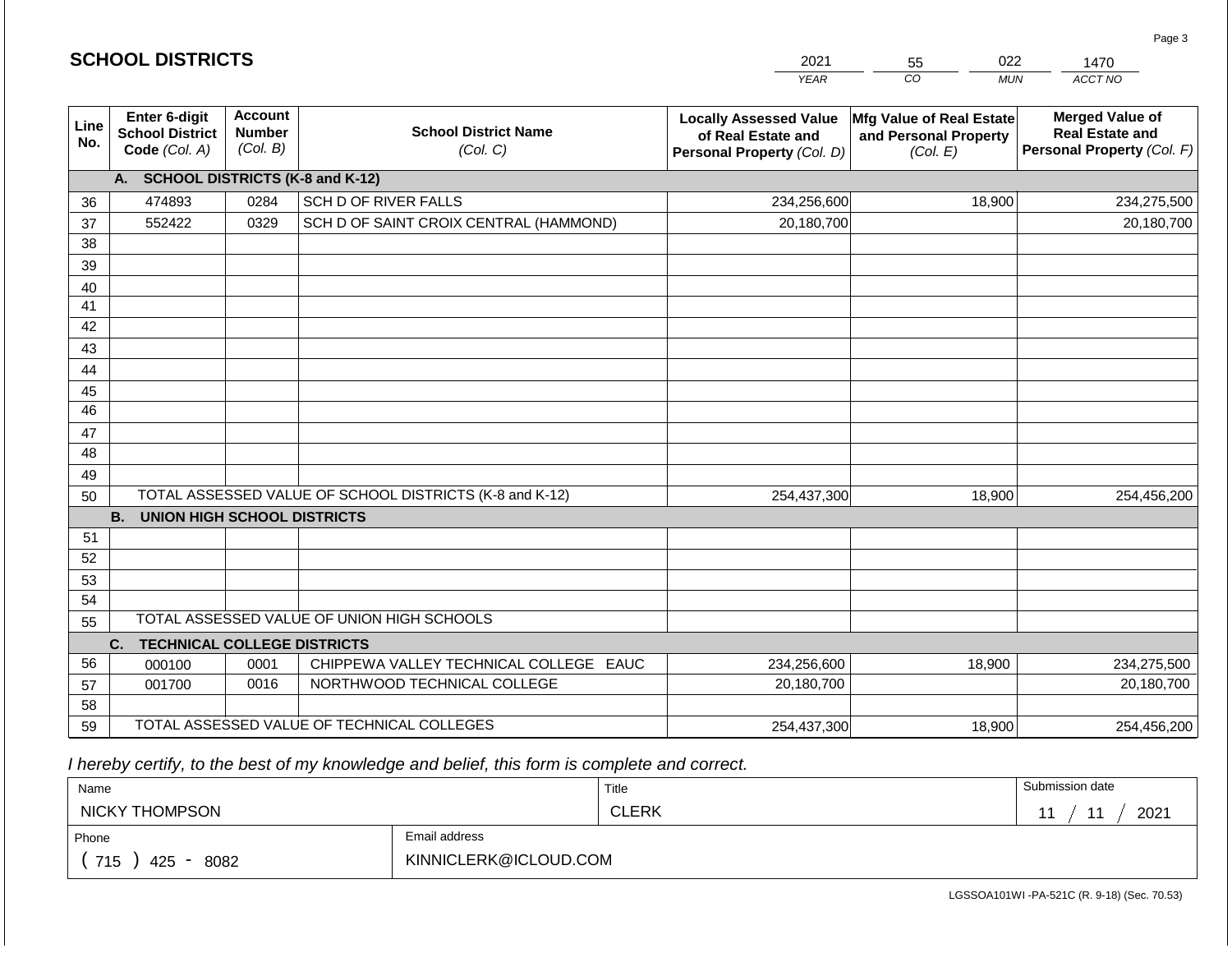|             | <b>SCHOOL DISTRICTS</b>                                  |                                             |                                                         | 2021                                                                              | 022<br>55                                                     | 1470                                                                           |  |
|-------------|----------------------------------------------------------|---------------------------------------------|---------------------------------------------------------|-----------------------------------------------------------------------------------|---------------------------------------------------------------|--------------------------------------------------------------------------------|--|
|             |                                                          |                                             |                                                         | <b>YEAR</b>                                                                       | CO<br><b>MUN</b>                                              | ACCT NO                                                                        |  |
| Line<br>No. | Enter 6-digit<br><b>School District</b><br>Code (Col. A) | <b>Account</b><br><b>Number</b><br>(Col. B) | <b>School District Name</b><br>(Col. C)                 | <b>Locally Assessed Value</b><br>of Real Estate and<br>Personal Property (Col. D) | Mfg Value of Real Estate<br>and Personal Property<br>(Col. E) | <b>Merged Value of</b><br><b>Real Estate and</b><br>Personal Property (Col. F) |  |
|             | A. SCHOOL DISTRICTS (K-8 and K-12)                       |                                             |                                                         |                                                                                   |                                                               |                                                                                |  |
| 36          | 474893                                                   | 0284                                        | SCH D OF RIVER FALLS                                    | 234,256,600                                                                       | 18,900                                                        | 234,275,500                                                                    |  |
| 37          | 552422                                                   | 0329                                        | SCH D OF SAINT CROIX CENTRAL (HAMMOND)                  | 20,180,700                                                                        |                                                               | 20,180,700                                                                     |  |
| 38          |                                                          |                                             |                                                         |                                                                                   |                                                               |                                                                                |  |
| 39          |                                                          |                                             |                                                         |                                                                                   |                                                               |                                                                                |  |
| 40          |                                                          |                                             |                                                         |                                                                                   |                                                               |                                                                                |  |
| 41          |                                                          |                                             |                                                         |                                                                                   |                                                               |                                                                                |  |
| 42          |                                                          |                                             |                                                         |                                                                                   |                                                               |                                                                                |  |
| 43          |                                                          |                                             |                                                         |                                                                                   |                                                               |                                                                                |  |
| 44          |                                                          |                                             |                                                         |                                                                                   |                                                               |                                                                                |  |
| 45<br>46    |                                                          |                                             |                                                         |                                                                                   |                                                               |                                                                                |  |
| 47          |                                                          |                                             |                                                         |                                                                                   |                                                               |                                                                                |  |
| 48          |                                                          |                                             |                                                         |                                                                                   |                                                               |                                                                                |  |
| 49          |                                                          |                                             |                                                         |                                                                                   |                                                               |                                                                                |  |
| 50          |                                                          |                                             | TOTAL ASSESSED VALUE OF SCHOOL DISTRICTS (K-8 and K-12) | 254,437,300                                                                       | 18,900                                                        | 254,456,200                                                                    |  |
|             | <b>B.</b><br><b>UNION HIGH SCHOOL DISTRICTS</b>          |                                             |                                                         |                                                                                   |                                                               |                                                                                |  |
| 51          |                                                          |                                             |                                                         |                                                                                   |                                                               |                                                                                |  |
| 52          |                                                          |                                             |                                                         |                                                                                   |                                                               |                                                                                |  |
| 53          |                                                          |                                             |                                                         |                                                                                   |                                                               |                                                                                |  |
| 54          |                                                          |                                             |                                                         |                                                                                   |                                                               |                                                                                |  |
| 55          |                                                          |                                             | TOTAL ASSESSED VALUE OF UNION HIGH SCHOOLS              |                                                                                   |                                                               |                                                                                |  |
|             | <b>TECHNICAL COLLEGE DISTRICTS</b><br>C.                 |                                             |                                                         |                                                                                   |                                                               |                                                                                |  |
| 56          | 000100                                                   | 0001                                        | CHIPPEWA VALLEY TECHNICAL COLLEGE EAUC                  | 234,256,600                                                                       | 18,900                                                        | 234,275,500                                                                    |  |
| 57          | 001700                                                   | 0016                                        | NORTHWOOD TECHNICAL COLLEGE                             | 20,180,700                                                                        |                                                               | 20,180,700                                                                     |  |
| 58          |                                                          |                                             | TOTAL ASSESSED VALUE OF TECHNICAL COLLEGES              |                                                                                   |                                                               |                                                                                |  |
| 59          |                                                          |                                             |                                                         | 254,437,300                                                                       | 18,900                                                        | 254,456,200                                                                    |  |

 *I hereby certify, to the best of my knowledge and belief, this form is complete and correct.*

**SCHOOL DISTRICTS**

| Name                   |                       | Title        | Submission date                  |
|------------------------|-----------------------|--------------|----------------------------------|
| NICKY THOMPSON         |                       | <b>CLERK</b> | 2021<br>$\overline{\phantom{a}}$ |
| Email address<br>Phone |                       |              |                                  |
| 715<br>8082<br>425     | KINNICLERK@ICLOUD.COM |              |                                  |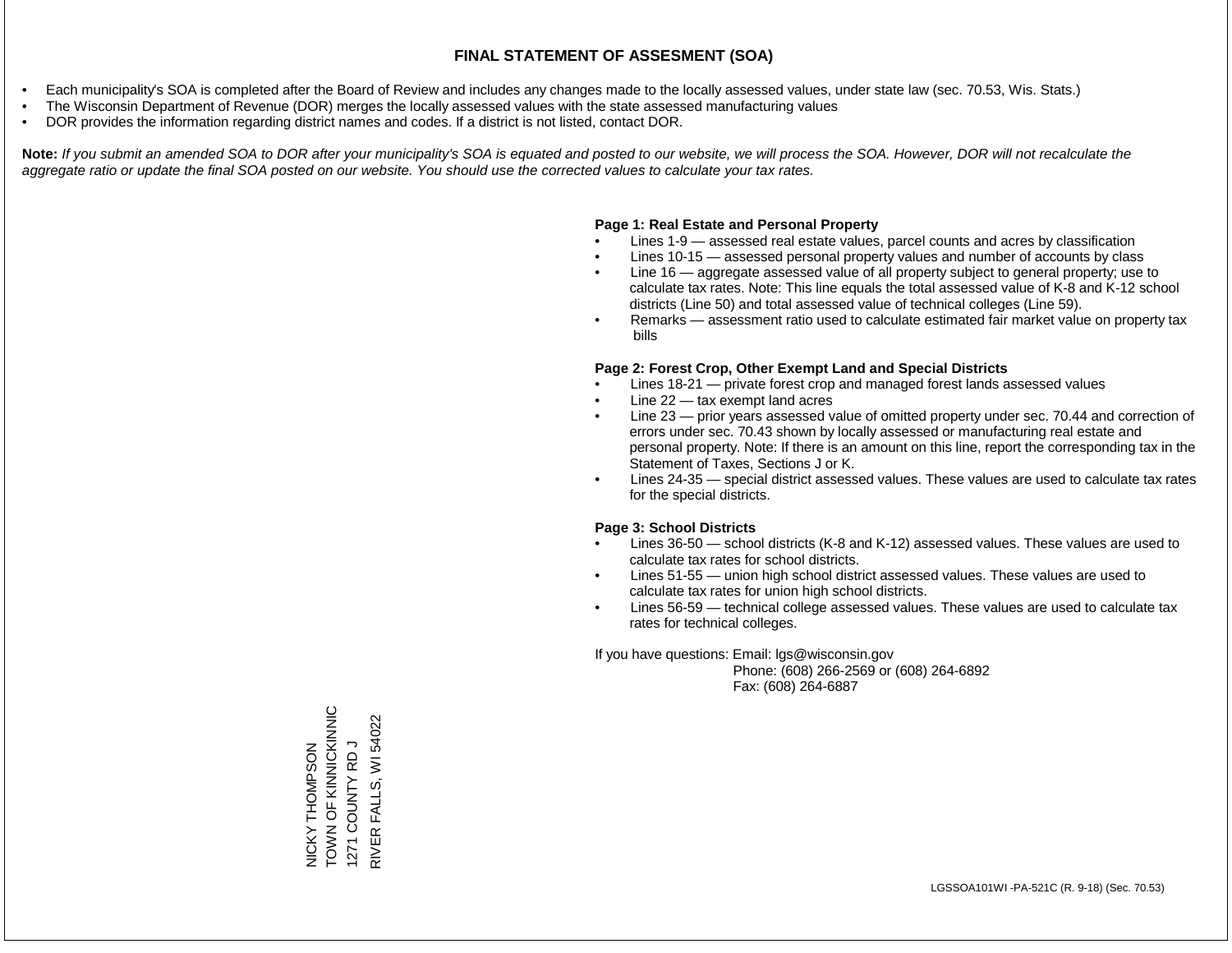- Each municipality's SOA is completed after the Board of Review and includes any changes made to the locally assessed values, under state law (sec. 70.53, Wis. Stats.)
- The Wisconsin Department of Revenue (DOR) merges the locally assessed values with the state assessed manufacturing values
- DOR provides the information regarding district names and codes. If a district is not listed, contact DOR.

Note: If you submit an amended SOA to DOR after your municipality's SOA is equated and posted to our website, we will process the SOA. However, DOR will not recalculate the *aggregate ratio or update the final SOA posted on our website. You should use the corrected values to calculate your tax rates.*

## **Page 1: Real Estate and Personal Property**

- Lines 1-9 assessed real estate values, parcel counts and acres by classification
- Lines 10-15 assessed personal property values and number of accounts by class
- Line 16 aggregate assessed value of all property subject to general property; use to calculate tax rates. Note: This line equals the total assessed value of K-8 and K-12 school districts (Line 50) and total assessed value of technical colleges (Line 59).
- Remarks assessment ratio used to calculate estimated fair market value on property tax bills

## **Page 2: Forest Crop, Other Exempt Land and Special Districts**

- Lines 18-21 private forest crop and managed forest lands assessed values
- Line  $22 -$  tax exempt land acres
- Line 23 prior years assessed value of omitted property under sec. 70.44 and correction of errors under sec. 70.43 shown by locally assessed or manufacturing real estate and personal property. Note: If there is an amount on this line, report the corresponding tax in the Statement of Taxes, Sections J or K.
- Lines 24-35 special district assessed values. These values are used to calculate tax rates for the special districts.

## **Page 3: School Districts**

- Lines 36-50 school districts (K-8 and K-12) assessed values. These values are used to calculate tax rates for school districts.
- Lines 51-55 union high school district assessed values. These values are used to calculate tax rates for union high school districts.
- Lines 56-59 technical college assessed values. These values are used to calculate tax rates for technical colleges.

If you have questions: Email: lgs@wisconsin.gov

 Phone: (608) 266-2569 or (608) 264-6892 Fax: (608) 264-6887

NICKY THOMPSON<br>TOWN OF KINNICKINNIC<br>1271 COUNTY RD J TOWN CHANNICKING WI 54022 RIVER FALLS, WI 540221271 COUNTY RD J NICKY THOMPSON FALLS, RIVER<sub>I</sub>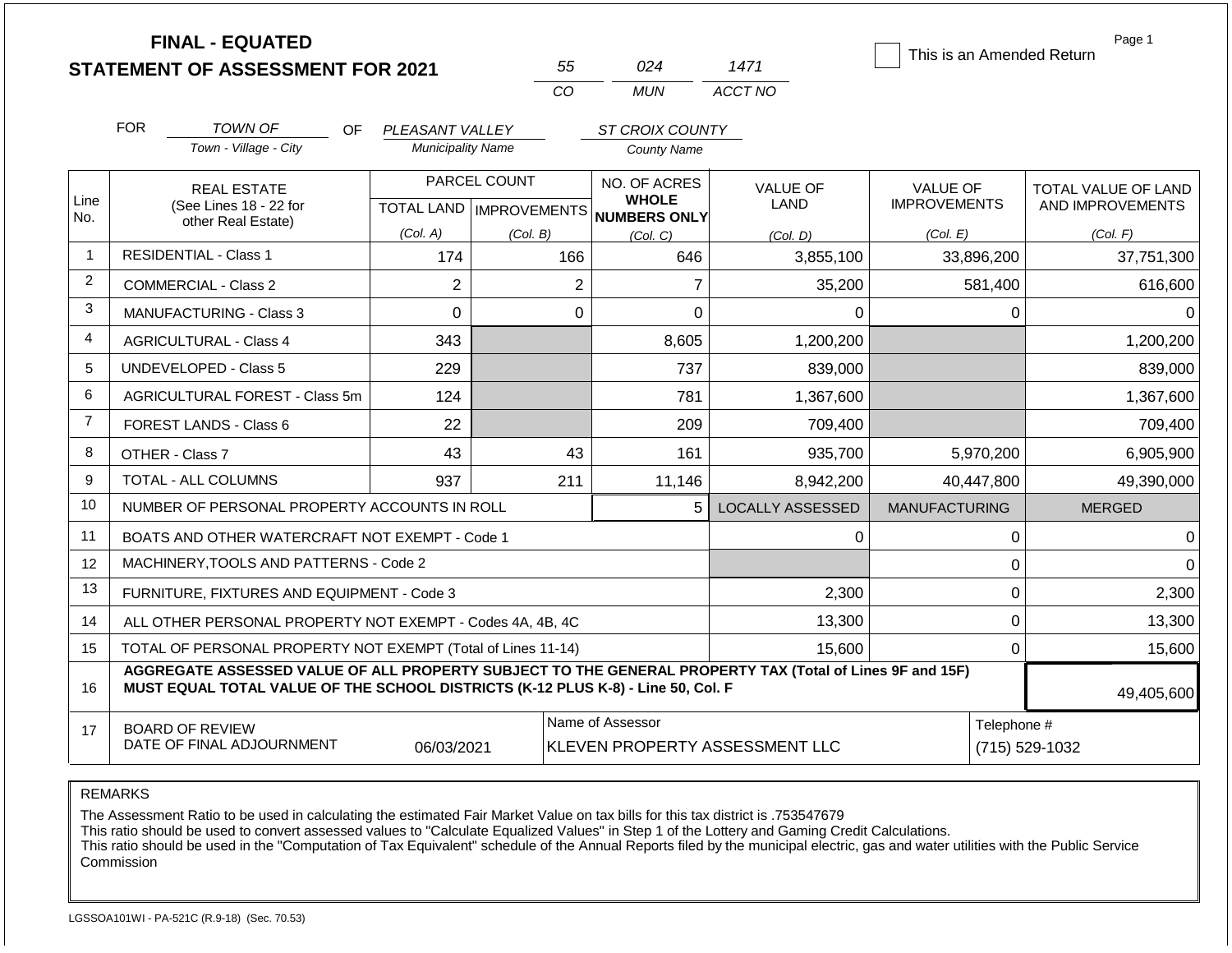|                                                                                                                                                                                                    |            | <b>FINAL - EQUATED</b><br><b>STATEMENT OF ASSESSMENT FOR 2021</b> |                          |              | 55             | 024                                                 | 1471                           | This is an Amended Return |              | Page 1              |
|----------------------------------------------------------------------------------------------------------------------------------------------------------------------------------------------------|------------|-------------------------------------------------------------------|--------------------------|--------------|----------------|-----------------------------------------------------|--------------------------------|---------------------------|--------------|---------------------|
|                                                                                                                                                                                                    |            |                                                                   |                          |              | CO             | <b>MUN</b>                                          | ACCT NO                        |                           |              |                     |
|                                                                                                                                                                                                    | <b>FOR</b> | TOWN OF<br>OF.                                                    | PLEASANT VALLEY          |              |                | ST CROIX COUNTY                                     |                                |                           |              |                     |
|                                                                                                                                                                                                    |            | Town - Village - City                                             | <b>Municipality Name</b> |              |                | <b>County Name</b>                                  |                                |                           |              |                     |
|                                                                                                                                                                                                    |            | <b>REAL ESTATE</b>                                                |                          | PARCEL COUNT |                | NO. OF ACRES                                        | <b>VALUE OF</b>                | <b>VALUE OF</b>           |              | TOTAL VALUE OF LAND |
| Line<br>No.                                                                                                                                                                                        |            | (See Lines 18 - 22 for<br>other Real Estate)                      |                          |              |                | <b>WHOLE</b><br>TOTAL LAND MPROVEMENTS NUMBERS ONLY | LAND                           | <b>IMPROVEMENTS</b>       |              | AND IMPROVEMENTS    |
|                                                                                                                                                                                                    |            |                                                                   | (Col. A)                 | (Col. B)     |                | (Col, C)                                            | (Col. D)                       | (Col. E)                  |              | (Col. F)            |
| $\mathbf{1}$                                                                                                                                                                                       |            | <b>RESIDENTIAL - Class 1</b>                                      | 174                      |              | 166            | 646                                                 | 3,855,100                      | 33,896,200                |              | 37,751,300          |
| $\overline{2}$                                                                                                                                                                                     |            | <b>COMMERCIAL - Class 2</b>                                       | $\overline{2}$           |              | $\overline{2}$ | $\overline{7}$                                      | 35,200                         |                           | 581,400      | 616,600             |
| 3                                                                                                                                                                                                  |            | <b>MANUFACTURING - Class 3</b>                                    | $\Omega$                 |              | $\Omega$       | $\Omega$                                            | $\Omega$                       |                           | 0            | 0                   |
| 4                                                                                                                                                                                                  |            | <b>AGRICULTURAL - Class 4</b>                                     | 343                      |              |                | 8,605                                               | 1,200,200                      |                           |              | 1,200,200           |
| 5                                                                                                                                                                                                  |            | <b>UNDEVELOPED - Class 5</b>                                      | 229                      |              |                | 737                                                 | 839,000                        |                           |              | 839,000             |
| 6                                                                                                                                                                                                  |            | AGRICULTURAL FOREST - Class 5m                                    | 124                      |              |                | 781                                                 | 1,367,600                      |                           |              | 1,367,600           |
| $\overline{7}$                                                                                                                                                                                     |            | <b>FOREST LANDS - Class 6</b>                                     | 22                       |              |                | 209                                                 | 709,400                        |                           |              | 709,400             |
| 8                                                                                                                                                                                                  |            | OTHER - Class 7                                                   | 43                       |              | 43             | 161                                                 | 935,700                        | 5,970,200                 |              | 6,905,900           |
| 9                                                                                                                                                                                                  |            | <b>TOTAL - ALL COLUMNS</b>                                        | 937                      |              | 211            | 11,146                                              | 8.942.200                      | 40.447.800                |              | 49,390,000          |
| 10                                                                                                                                                                                                 |            | NUMBER OF PERSONAL PROPERTY ACCOUNTS IN ROLL                      |                          |              |                | 5                                                   | <b>LOCALLY ASSESSED</b>        | <b>MANUFACTURING</b>      |              | <b>MERGED</b>       |
| 11                                                                                                                                                                                                 |            | BOATS AND OTHER WATERCRAFT NOT EXEMPT - Code 1                    |                          |              |                |                                                     | 0                              |                           | $\pmb{0}$    | 0                   |
| 12                                                                                                                                                                                                 |            | MACHINERY, TOOLS AND PATTERNS - Code 2                            |                          |              |                |                                                     |                                |                           | $\Omega$     | $\Omega$            |
| 13                                                                                                                                                                                                 |            | FURNITURE, FIXTURES AND EQUIPMENT - Code 3                        |                          |              |                |                                                     | 2,300                          |                           | $\pmb{0}$    | 2,300               |
| 14                                                                                                                                                                                                 |            | ALL OTHER PERSONAL PROPERTY NOT EXEMPT - Codes 4A, 4B, 4C         |                          |              |                |                                                     | 13,300                         |                           | $\mathbf 0$  | 13,300              |
| 15                                                                                                                                                                                                 |            | TOTAL OF PERSONAL PROPERTY NOT EXEMPT (Total of Lines 11-14)      |                          |              |                |                                                     | 15.600                         |                           | $\mathbf{0}$ | 15,600              |
| AGGREGATE ASSESSED VALUE OF ALL PROPERTY SUBJECT TO THE GENERAL PROPERTY TAX (Total of Lines 9F and 15F)<br>MUST EQUAL TOTAL VALUE OF THE SCHOOL DISTRICTS (K-12 PLUS K-8) - Line 50, Col. F<br>16 |            |                                                                   |                          |              |                |                                                     |                                |                           |              | 49,405,600          |
| 17                                                                                                                                                                                                 |            | <b>BOARD OF REVIEW</b><br>DATE OF FINAL ADJOURNMENT               | 06/03/2021               |              |                | Name of Assessor                                    | KLEVEN PROPERTY ASSESSMENT LLC |                           | Telephone #  | (715) 529-1032      |

REMARKS

The Assessment Ratio to be used in calculating the estimated Fair Market Value on tax bills for this tax district is .753547679

This ratio should be used to convert assessed values to "Calculate Equalized Values" in Step 1 of the Lottery and Gaming Credit Calculations.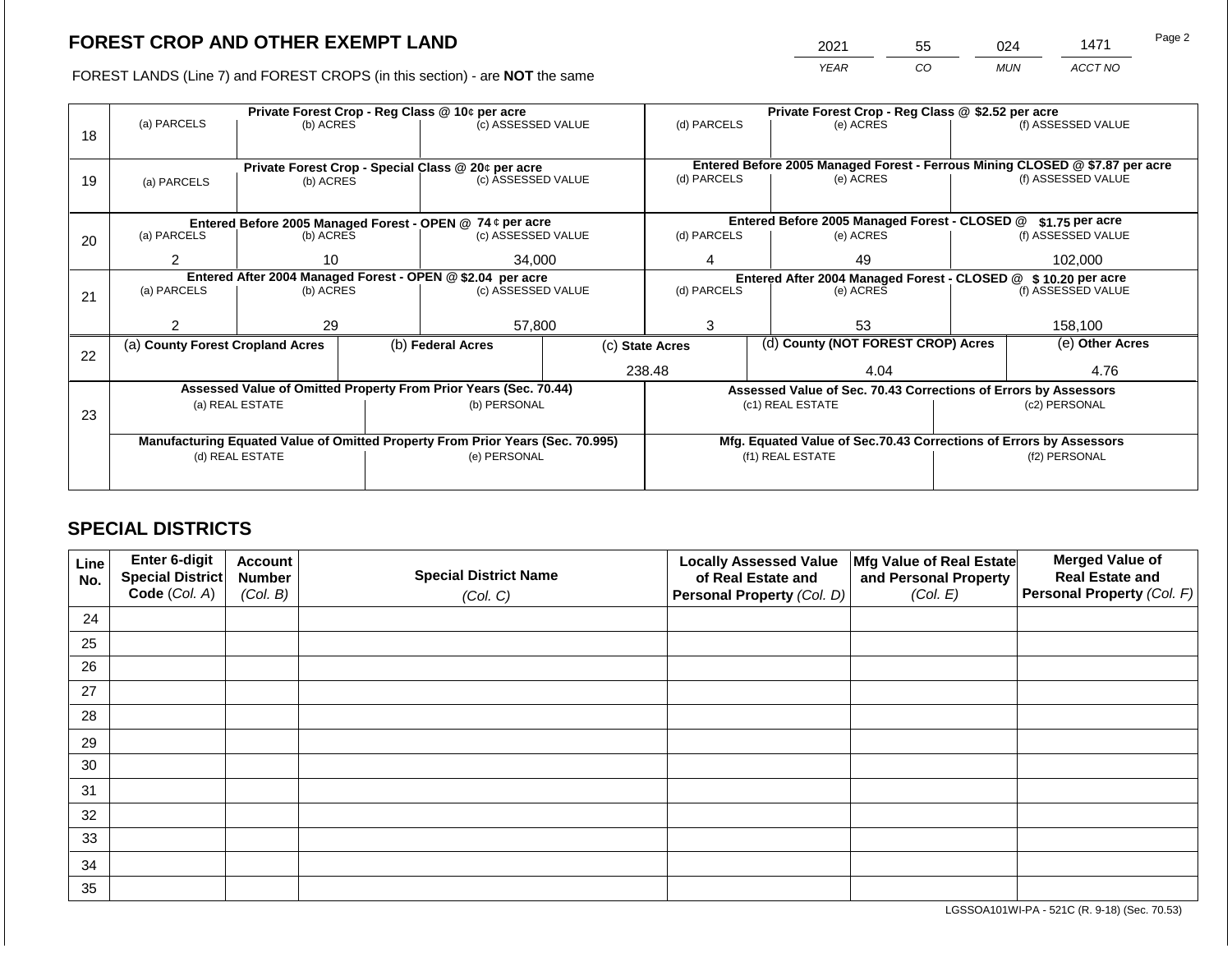2021 55 024 1471

FOREST LANDS (Line 7) and FOREST CROPS (in this section) - are **NOT** the same *YEAR CO MUN ACCT NO*

|    |                                                            |           |  | Private Forest Crop - Reg Class @ 10¢ per acre                                 |                                                               | Private Forest Crop - Reg Class @ \$2.52 per acre |                                               |                                                                    |                                                                              |                    |
|----|------------------------------------------------------------|-----------|--|--------------------------------------------------------------------------------|---------------------------------------------------------------|---------------------------------------------------|-----------------------------------------------|--------------------------------------------------------------------|------------------------------------------------------------------------------|--------------------|
|    | (a) PARCELS                                                | (b) ACRES |  | (c) ASSESSED VALUE                                                             |                                                               | (d) PARCELS                                       |                                               | (e) ACRES                                                          |                                                                              | (f) ASSESSED VALUE |
| 18 |                                                            |           |  |                                                                                |                                                               |                                                   |                                               |                                                                    |                                                                              |                    |
|    |                                                            |           |  |                                                                                |                                                               |                                                   |                                               |                                                                    |                                                                              |                    |
|    |                                                            |           |  | Private Forest Crop - Special Class @ 20¢ per acre                             |                                                               |                                                   |                                               |                                                                    | Entered Before 2005 Managed Forest - Ferrous Mining CLOSED @ \$7.87 per acre |                    |
| 19 | (a) PARCELS                                                | (b) ACRES |  | (c) ASSESSED VALUE                                                             |                                                               | (d) PARCELS                                       |                                               | (e) ACRES                                                          |                                                                              | (f) ASSESSED VALUE |
|    |                                                            |           |  |                                                                                |                                                               |                                                   |                                               |                                                                    |                                                                              |                    |
|    |                                                            |           |  | Entered Before 2005 Managed Forest - OPEN @ 74 ¢ per acre                      |                                                               |                                                   | Entered Before 2005 Managed Forest - CLOSED @ |                                                                    | \$1.75 per acre                                                              |                    |
| 20 | (a) PARCELS                                                | (b) ACRES |  | (c) ASSESSED VALUE                                                             |                                                               | (d) PARCELS                                       |                                               | (e) ACRES                                                          |                                                                              | (f) ASSESSED VALUE |
|    |                                                            |           |  |                                                                                |                                                               |                                                   |                                               |                                                                    |                                                                              |                    |
|    | $\overline{2}$<br>10                                       |           |  | 34,000                                                                         |                                                               | 49                                                |                                               |                                                                    | 102,000                                                                      |                    |
|    | Entered After 2004 Managed Forest - OPEN @ \$2.04 per acre |           |  |                                                                                | Entered After 2004 Managed Forest - CLOSED @ \$10.20 per acre |                                                   |                                               |                                                                    |                                                                              |                    |
| 21 | (a) PARCELS<br>(b) ACRES                                   |           |  | (c) ASSESSED VALUE                                                             |                                                               | (d) PARCELS                                       |                                               | (e) ACRES                                                          |                                                                              | (f) ASSESSED VALUE |
|    |                                                            |           |  |                                                                                |                                                               |                                                   |                                               |                                                                    |                                                                              |                    |
|    |                                                            | 29        |  | 57,800                                                                         |                                                               | 3                                                 |                                               | 53                                                                 |                                                                              | 158,100            |
|    | (a) County Forest Cropland Acres                           |           |  | (b) Federal Acres                                                              | (c) State Acres                                               |                                                   | (d) County (NOT FOREST CROP) Acres            |                                                                    | (e) Other Acres                                                              |                    |
| 22 |                                                            |           |  |                                                                                |                                                               |                                                   |                                               |                                                                    |                                                                              |                    |
|    |                                                            |           |  |                                                                                |                                                               | 238.48                                            |                                               | 4.04                                                               | 4.76                                                                         |                    |
|    |                                                            |           |  | Assessed Value of Omitted Property From Prior Years (Sec. 70.44)               |                                                               |                                                   |                                               |                                                                    | Assessed Value of Sec. 70.43 Corrections of Errors by Assessors              |                    |
|    | (a) REAL ESTATE                                            |           |  | (b) PERSONAL                                                                   |                                                               |                                                   |                                               | (c1) REAL ESTATE                                                   |                                                                              | (c2) PERSONAL      |
| 23 |                                                            |           |  |                                                                                |                                                               |                                                   |                                               |                                                                    |                                                                              |                    |
|    |                                                            |           |  | Manufacturing Equated Value of Omitted Property From Prior Years (Sec. 70.995) |                                                               |                                                   |                                               | Mfg. Equated Value of Sec.70.43 Corrections of Errors by Assessors |                                                                              |                    |
|    | (d) REAL ESTATE                                            |           |  | (e) PERSONAL                                                                   |                                                               |                                                   | (f1) REAL ESTATE                              | (f2) PERSONAL                                                      |                                                                              |                    |
|    |                                                            |           |  |                                                                                |                                                               |                                                   |                                               |                                                                    |                                                                              |                    |
|    |                                                            |           |  |                                                                                |                                                               |                                                   |                                               |                                                                    |                                                                              |                    |

## **SPECIAL DISTRICTS**

| Line<br>No. | Enter 6-digit<br><b>Special District</b><br>Code (Col. A) | <b>Account</b><br><b>Number</b><br>(Col. B) | <b>Special District Name</b><br>(Col. C) | <b>Locally Assessed Value</b><br>of Real Estate and<br>Personal Property (Col. D) | Mfg Value of Real Estate<br>and Personal Property<br>(Col. E) | <b>Merged Value of</b><br><b>Real Estate and</b><br>Personal Property (Col. F) |
|-------------|-----------------------------------------------------------|---------------------------------------------|------------------------------------------|-----------------------------------------------------------------------------------|---------------------------------------------------------------|--------------------------------------------------------------------------------|
| 24          |                                                           |                                             |                                          |                                                                                   |                                                               |                                                                                |
|             |                                                           |                                             |                                          |                                                                                   |                                                               |                                                                                |
| 25          |                                                           |                                             |                                          |                                                                                   |                                                               |                                                                                |
| 26          |                                                           |                                             |                                          |                                                                                   |                                                               |                                                                                |
| 27          |                                                           |                                             |                                          |                                                                                   |                                                               |                                                                                |
| 28          |                                                           |                                             |                                          |                                                                                   |                                                               |                                                                                |
| 29          |                                                           |                                             |                                          |                                                                                   |                                                               |                                                                                |
| 30          |                                                           |                                             |                                          |                                                                                   |                                                               |                                                                                |
| 31          |                                                           |                                             |                                          |                                                                                   |                                                               |                                                                                |
| 32          |                                                           |                                             |                                          |                                                                                   |                                                               |                                                                                |
| 33          |                                                           |                                             |                                          |                                                                                   |                                                               |                                                                                |
| 34          |                                                           |                                             |                                          |                                                                                   |                                                               |                                                                                |
| 35          |                                                           |                                             |                                          |                                                                                   |                                                               |                                                                                |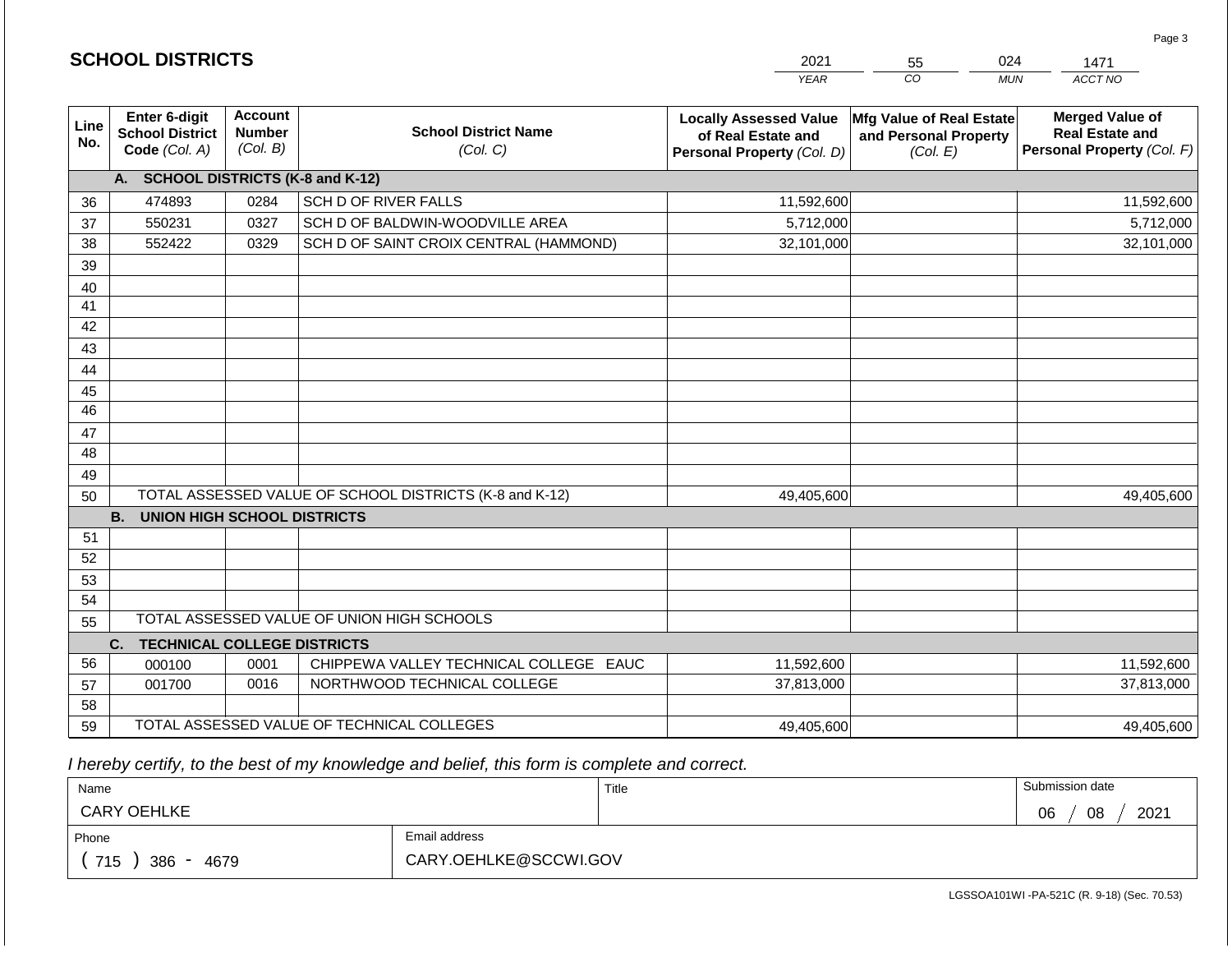|                 |                                                          |                                             |                                                         | <b>YEAR</b>                                                                       | $\overline{co}$<br><b>MUN</b>                                 | ACCT NO                                                                        |
|-----------------|----------------------------------------------------------|---------------------------------------------|---------------------------------------------------------|-----------------------------------------------------------------------------------|---------------------------------------------------------------|--------------------------------------------------------------------------------|
| Line<br>No.     | Enter 6-digit<br><b>School District</b><br>Code (Col. A) | <b>Account</b><br><b>Number</b><br>(Col. B) | <b>School District Name</b><br>(Col. C)                 | <b>Locally Assessed Value</b><br>of Real Estate and<br>Personal Property (Col. D) | Mfg Value of Real Estate<br>and Personal Property<br>(Col. E) | <b>Merged Value of</b><br><b>Real Estate and</b><br>Personal Property (Col. F) |
|                 | A.                                                       |                                             | <b>SCHOOL DISTRICTS (K-8 and K-12)</b>                  |                                                                                   |                                                               |                                                                                |
| 36              | 474893                                                   | 0284                                        | SCH D OF RIVER FALLS                                    | 11,592,600                                                                        |                                                               | 11,592,600                                                                     |
| 37              | 550231                                                   | 0327                                        | SCH D OF BALDWIN-WOODVILLE AREA                         | 5,712,000                                                                         |                                                               | 5,712,000                                                                      |
| 38              | 552422                                                   | 0329                                        | SCH D OF SAINT CROIX CENTRAL (HAMMOND)                  | 32,101,000                                                                        |                                                               | 32,101,000                                                                     |
| 39              |                                                          |                                             |                                                         |                                                                                   |                                                               |                                                                                |
| 40              |                                                          |                                             |                                                         |                                                                                   |                                                               |                                                                                |
| 41              |                                                          |                                             |                                                         |                                                                                   |                                                               |                                                                                |
| 42              |                                                          |                                             |                                                         |                                                                                   |                                                               |                                                                                |
| 43              |                                                          |                                             |                                                         |                                                                                   |                                                               |                                                                                |
| 44              |                                                          |                                             |                                                         |                                                                                   |                                                               |                                                                                |
| 45              |                                                          |                                             |                                                         |                                                                                   |                                                               |                                                                                |
| $\overline{46}$ |                                                          |                                             |                                                         |                                                                                   |                                                               |                                                                                |
| 47              |                                                          |                                             |                                                         |                                                                                   |                                                               |                                                                                |
| 48              |                                                          |                                             |                                                         |                                                                                   |                                                               |                                                                                |
| 49              |                                                          |                                             |                                                         |                                                                                   |                                                               |                                                                                |
| 50              |                                                          |                                             | TOTAL ASSESSED VALUE OF SCHOOL DISTRICTS (K-8 and K-12) | 49,405,600                                                                        |                                                               | 49,405,600                                                                     |
|                 | <b>B.</b><br>UNION HIGH SCHOOL DISTRICTS                 |                                             |                                                         |                                                                                   |                                                               |                                                                                |
| 51              |                                                          |                                             |                                                         |                                                                                   |                                                               |                                                                                |
| 52              |                                                          |                                             |                                                         |                                                                                   |                                                               |                                                                                |
| 53              |                                                          |                                             |                                                         |                                                                                   |                                                               |                                                                                |
| 54              |                                                          |                                             |                                                         |                                                                                   |                                                               |                                                                                |
| 55              |                                                          |                                             | TOTAL ASSESSED VALUE OF UNION HIGH SCHOOLS              |                                                                                   |                                                               |                                                                                |
|                 | C.<br><b>TECHNICAL COLLEGE DISTRICTS</b>                 |                                             |                                                         |                                                                                   |                                                               |                                                                                |
| 56              | 000100                                                   | 0001                                        | CHIPPEWA VALLEY TECHNICAL COLLEGE EAUC                  | 11,592,600                                                                        |                                                               | 11,592,600                                                                     |
| 57              | 001700                                                   | 0016                                        | NORTHWOOD TECHNICAL COLLEGE                             | 37,813,000                                                                        |                                                               | 37,813,000                                                                     |
| 58              |                                                          |                                             |                                                         |                                                                                   |                                                               |                                                                                |
| 59              |                                                          |                                             | TOTAL ASSESSED VALUE OF TECHNICAL COLLEGES              | 49,405,600                                                                        |                                                               | 49,405,600                                                                     |

2021

55

024

 *I hereby certify, to the best of my knowledge and belief, this form is complete and correct.*

**SCHOOL DISTRICTS**

| Name               |                       | Title | Submission date  |
|--------------------|-----------------------|-------|------------------|
| <b>CARY OEHLKE</b> |                       |       | 08<br>2021<br>06 |
| Phone              | Email address         |       |                  |
| 715<br>386<br>4679 | CARY.OEHLKE@SCCWI.GOV |       |                  |

Page 3

1471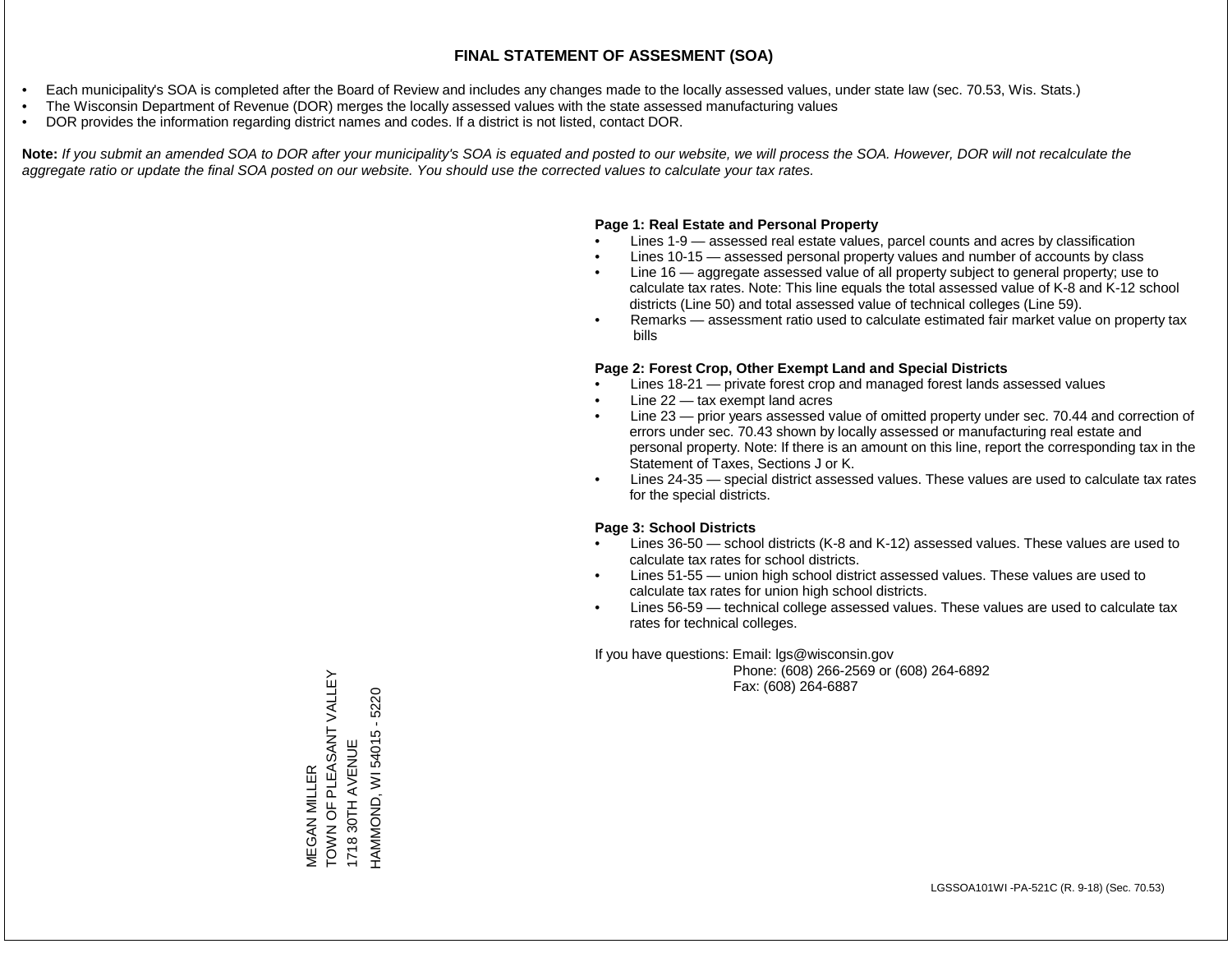- Each municipality's SOA is completed after the Board of Review and includes any changes made to the locally assessed values, under state law (sec. 70.53, Wis. Stats.)
- The Wisconsin Department of Revenue (DOR) merges the locally assessed values with the state assessed manufacturing values
- DOR provides the information regarding district names and codes. If a district is not listed, contact DOR.

Note: If you submit an amended SOA to DOR after your municipality's SOA is equated and posted to our website, we will process the SOA. However, DOR will not recalculate the *aggregate ratio or update the final SOA posted on our website. You should use the corrected values to calculate your tax rates.*

#### **Page 1: Real Estate and Personal Property**

- Lines 1-9 assessed real estate values, parcel counts and acres by classification
- Lines 10-15 assessed personal property values and number of accounts by class
- Line 16 aggregate assessed value of all property subject to general property; use to calculate tax rates. Note: This line equals the total assessed value of K-8 and K-12 school districts (Line 50) and total assessed value of technical colleges (Line 59).
- Remarks assessment ratio used to calculate estimated fair market value on property tax bills

#### **Page 2: Forest Crop, Other Exempt Land and Special Districts**

- Lines 18-21 private forest crop and managed forest lands assessed values
- Line  $22 -$  tax exempt land acres
- Line 23 prior years assessed value of omitted property under sec. 70.44 and correction of errors under sec. 70.43 shown by locally assessed or manufacturing real estate and personal property. Note: If there is an amount on this line, report the corresponding tax in the Statement of Taxes, Sections J or K.
- Lines 24-35 special district assessed values. These values are used to calculate tax rates for the special districts.

#### **Page 3: School Districts**

- Lines 36-50 school districts (K-8 and K-12) assessed values. These values are used to calculate tax rates for school districts.
- Lines 51-55 union high school district assessed values. These values are used to calculate tax rates for union high school districts.
- Lines 56-59 technical college assessed values. These values are used to calculate tax rates for technical colleges.

If you have questions: Email: lgs@wisconsin.gov

 Phone: (608) 266-2569 or (608) 264-6892 Fax: (608) 264-6887

TOWN OF PLEASANT VALLEY TOWN OF PLEASANT VALLEY HAMMOND, WI 54015 - 5220 HAMMOND, WI 54015 - 522030TH AVENUE 1718 30TH AVENUE **VIEGAN MILLER** MEGAN MILLER 1718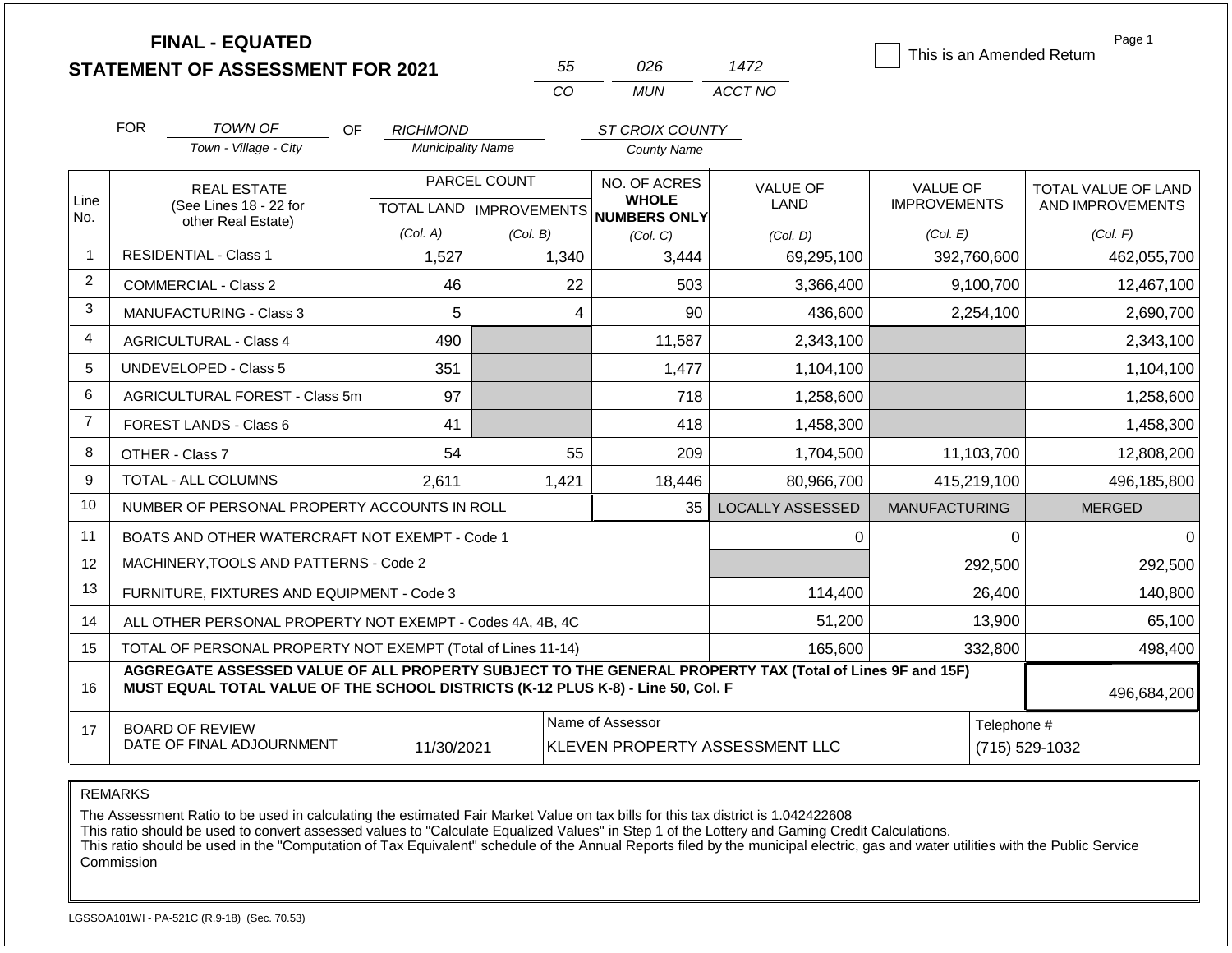|                |            | <b>FINAL - EQUATED</b><br><b>STATEMENT OF ASSESSMENT FOR 2021</b>                                                                                                                            |                          |                           | 55                                                                                  | 026                                 | 1472                    |                      |             | Page 1<br>This is an Amended Return |
|----------------|------------|----------------------------------------------------------------------------------------------------------------------------------------------------------------------------------------------|--------------------------|---------------------------|-------------------------------------------------------------------------------------|-------------------------------------|-------------------------|----------------------|-------------|-------------------------------------|
|                |            |                                                                                                                                                                                              |                          | CO                        |                                                                                     | <b>MUN</b>                          | ACCT NO                 |                      |             |                                     |
|                | <b>FOR</b> | TOWN OF<br><b>OF</b>                                                                                                                                                                         | <b>RICHMOND</b>          |                           |                                                                                     | ST CROIX COUNTY                     |                         |                      |             |                                     |
|                |            | Town - Village - City                                                                                                                                                                        | <b>Municipality Name</b> |                           |                                                                                     | <b>County Name</b>                  |                         |                      |             |                                     |
|                |            | <b>REAL ESTATE</b>                                                                                                                                                                           |                          | PARCEL COUNT              |                                                                                     | NO. OF ACRES                        | <b>VALUE OF</b>         |                      | VALUE OF    | TOTAL VALUE OF LAND                 |
| Line<br>No.    |            | (See Lines 18 - 22 for<br>other Real Estate)                                                                                                                                                 |                          | TOTAL LAND   IMPROVEMENTS |                                                                                     | <b>WHOLE</b><br><b>NUMBERS ONLY</b> | LAND                    | <b>IMPROVEMENTS</b>  |             | AND IMPROVEMENTS                    |
|                |            |                                                                                                                                                                                              | (Col. A)                 | (Col. B)                  |                                                                                     | (Col, C)                            | (Col, D)                | (Col. E)             |             | (Col. F)                            |
| 1              |            | <b>RESIDENTIAL - Class 1</b>                                                                                                                                                                 | 1,527                    | 1,340                     |                                                                                     | 3,444                               | 69,295,100              |                      | 392,760,600 | 462,055,700                         |
| $\overline{2}$ |            | <b>COMMERCIAL - Class 2</b>                                                                                                                                                                  | 46                       |                           | 22                                                                                  | 503                                 | 3,366,400               |                      | 9,100,700   | 12,467,100                          |
| 3              |            | <b>MANUFACTURING - Class 3</b>                                                                                                                                                               | 5                        |                           | 4                                                                                   | 90                                  | 436,600                 |                      | 2,254,100   | 2,690,700                           |
| 4              |            | <b>AGRICULTURAL - Class 4</b>                                                                                                                                                                | 490                      |                           |                                                                                     | 11,587                              | 2,343,100               |                      |             | 2,343,100                           |
| 5              |            | <b>UNDEVELOPED - Class 5</b>                                                                                                                                                                 | 351                      |                           |                                                                                     | 1,477                               | 1,104,100               |                      |             | 1,104,100                           |
| 6              |            | AGRICULTURAL FOREST - Class 5m                                                                                                                                                               | 97                       |                           |                                                                                     | 718                                 | 1,258,600               |                      |             | 1,258,600                           |
| $\overline{7}$ |            | FOREST LANDS - Class 6                                                                                                                                                                       | 41                       |                           |                                                                                     | 418                                 | 1,458,300               |                      |             | 1,458,300                           |
| 8              |            | OTHER - Class 7                                                                                                                                                                              | 54                       |                           | 55                                                                                  | 209                                 | 1,704,500               |                      | 11,103,700  | 12,808,200                          |
| 9              |            | <b>TOTAL - ALL COLUMNS</b>                                                                                                                                                                   | 2,611                    | 1,421                     |                                                                                     | 18,446                              | 80,966,700              |                      | 415,219,100 | 496,185,800                         |
| 10             |            | NUMBER OF PERSONAL PROPERTY ACCOUNTS IN ROLL                                                                                                                                                 |                          |                           |                                                                                     | 35                                  | <b>LOCALLY ASSESSED</b> | <b>MANUFACTURING</b> |             | <b>MERGED</b>                       |
| 11             |            | BOATS AND OTHER WATERCRAFT NOT EXEMPT - Code 1                                                                                                                                               |                          |                           |                                                                                     |                                     | 0                       |                      | $\Omega$    | 0                                   |
| 12             |            | MACHINERY, TOOLS AND PATTERNS - Code 2                                                                                                                                                       |                          |                           |                                                                                     |                                     |                         |                      | 292,500     | 292,500                             |
| 13             |            | FURNITURE, FIXTURES AND EQUIPMENT - Code 3                                                                                                                                                   |                          |                           |                                                                                     |                                     | 114,400                 |                      | 26,400      | 140,800                             |
| 14             |            | ALL OTHER PERSONAL PROPERTY NOT EXEMPT - Codes 4A, 4B, 4C                                                                                                                                    |                          |                           |                                                                                     |                                     | 51,200                  |                      | 13,900      | 65,100                              |
| 15             |            | TOTAL OF PERSONAL PROPERTY NOT EXEMPT (Total of Lines 11-14)                                                                                                                                 |                          |                           |                                                                                     |                                     | 165,600                 |                      | 332,800     | 498,400                             |
| 16             |            | AGGREGATE ASSESSED VALUE OF ALL PROPERTY SUBJECT TO THE GENERAL PROPERTY TAX (Total of Lines 9F and 15F)<br>MUST EQUAL TOTAL VALUE OF THE SCHOOL DISTRICTS (K-12 PLUS K-8) - Line 50, Col. F |                          |                           |                                                                                     |                                     |                         |                      |             | 496,684,200                         |
| 17             |            | <b>BOARD OF REVIEW</b><br>DATE OF FINAL ADJOURNMENT                                                                                                                                          | 11/30/2021               |                           | Name of Assessor<br>Telephone #<br>KLEVEN PROPERTY ASSESSMENT LLC<br>(715) 529-1032 |                                     |                         |                      |             |                                     |

REMARKS

The Assessment Ratio to be used in calculating the estimated Fair Market Value on tax bills for this tax district is 1.042422608

This ratio should be used to convert assessed values to "Calculate Equalized Values" in Step 1 of the Lottery and Gaming Credit Calculations.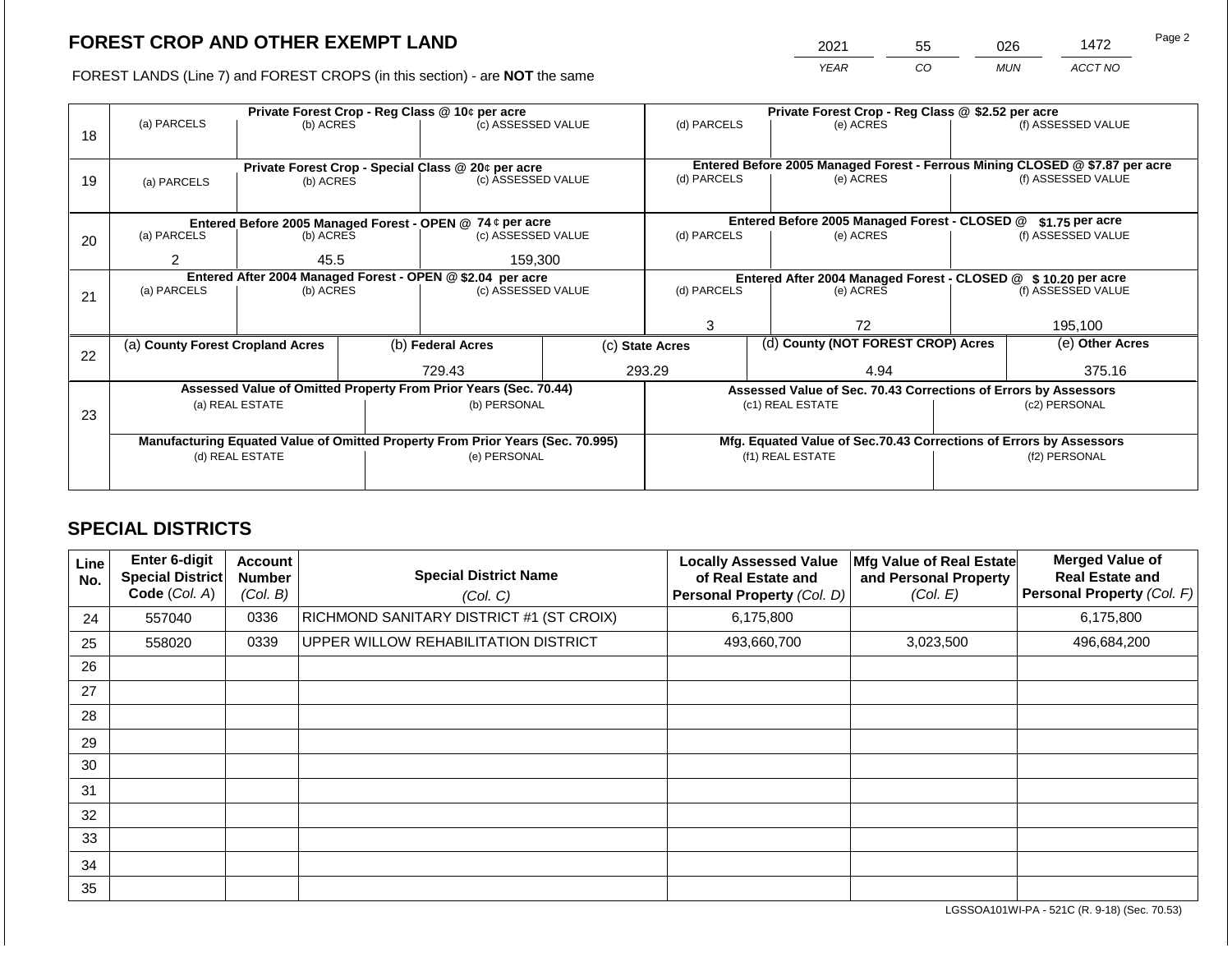2021 55 026 1472

FOREST LANDS (Line 7) and FOREST CROPS (in this section) - are **NOT** the same *YEAR CO MUN ACCT NO*

| 18 | (a) PARCELS                                                                    | (b) ACRES |  |                                                                          | Private Forest Crop - Reg Class @ 10¢ per acre<br>(c) ASSESSED VALUE |                |                                                                                           | Private Forest Crop - Reg Class @ \$2.52 per acre<br>(e) ACRES |                                                                 | (f) ASSESSED VALUE |  |
|----|--------------------------------------------------------------------------------|-----------|--|--------------------------------------------------------------------------|----------------------------------------------------------------------|----------------|-------------------------------------------------------------------------------------------|----------------------------------------------------------------|-----------------------------------------------------------------|--------------------|--|
| 19 | (a) PARCELS                                                                    | (b) ACRES |  | Private Forest Crop - Special Class @ 20¢ per acre<br>(c) ASSESSED VALUE | (d) PARCELS                                                          |                | Entered Before 2005 Managed Forest - Ferrous Mining CLOSED @ \$7.87 per acre<br>(e) ACRES |                                                                | (f) ASSESSED VALUE                                              |                    |  |
|    |                                                                                |           |  | Entered Before 2005 Managed Forest - OPEN @ 74 ¢ per acre                |                                                                      |                | Entered Before 2005 Managed Forest - CLOSED @                                             |                                                                | $$1.75$ per acre                                                |                    |  |
| 20 | (a) PARCELS                                                                    | (b) ACRES |  | (c) ASSESSED VALUE                                                       |                                                                      | (d) PARCELS    |                                                                                           | (e) ACRES                                                      |                                                                 | (f) ASSESSED VALUE |  |
|    | 45.5                                                                           |           |  | 159,300                                                                  |                                                                      |                |                                                                                           |                                                                |                                                                 |                    |  |
|    | Entered After 2004 Managed Forest - OPEN @ \$2.04 per acre                     |           |  |                                                                          | Entered After 2004 Managed Forest - CLOSED @ \$10.20 per acre        |                |                                                                                           |                                                                |                                                                 |                    |  |
| 21 | (a) PARCELS<br>(b) ACRES                                                       |           |  | (c) ASSESSED VALUE                                                       |                                                                      | (d) PARCELS    |                                                                                           | (e) ACRES                                                      |                                                                 | (f) ASSESSED VALUE |  |
|    |                                                                                |           |  |                                                                          |                                                                      |                |                                                                                           |                                                                |                                                                 |                    |  |
|    |                                                                                |           |  |                                                                          | 3                                                                    |                | 72                                                                                        |                                                                | 195,100                                                         |                    |  |
|    | (a) County Forest Cropland Acres                                               |           |  | (b) Federal Acres                                                        | (c) State Acres                                                      |                | (d) County (NOT FOREST CROP) Acres                                                        |                                                                | (e) Other Acres                                                 |                    |  |
| 22 |                                                                                |           |  |                                                                          |                                                                      |                |                                                                                           |                                                                |                                                                 |                    |  |
|    |                                                                                |           |  | 729.43                                                                   |                                                                      | 293.29<br>4.94 |                                                                                           |                                                                |                                                                 | 375.16             |  |
|    |                                                                                |           |  | Assessed Value of Omitted Property From Prior Years (Sec. 70.44)         |                                                                      |                |                                                                                           |                                                                | Assessed Value of Sec. 70.43 Corrections of Errors by Assessors |                    |  |
| 23 | (a) REAL ESTATE                                                                |           |  | (b) PERSONAL                                                             |                                                                      |                |                                                                                           | (c1) REAL ESTATE                                               |                                                                 | (c2) PERSONAL      |  |
|    |                                                                                |           |  |                                                                          |                                                                      |                |                                                                                           |                                                                |                                                                 |                    |  |
|    | Manufacturing Equated Value of Omitted Property From Prior Years (Sec. 70.995) |           |  |                                                                          | Mfg. Equated Value of Sec.70.43 Corrections of Errors by Assessors   |                |                                                                                           |                                                                |                                                                 |                    |  |
|    | (d) REAL ESTATE                                                                |           |  | (e) PERSONAL                                                             |                                                                      |                |                                                                                           | (f1) REAL ESTATE                                               |                                                                 | (f2) PERSONAL      |  |
|    |                                                                                |           |  |                                                                          |                                                                      |                |                                                                                           |                                                                |                                                                 |                    |  |
|    |                                                                                |           |  |                                                                          |                                                                      |                |                                                                                           |                                                                |                                                                 |                    |  |

## **SPECIAL DISTRICTS**

| Line<br>No. | Enter 6-digit<br>Special District<br>Code (Col. A) | Account<br><b>Number</b><br>(Col. B) | <b>Special District Name</b><br>(Col. C) | <b>Locally Assessed Value</b><br>of Real Estate and<br><b>Personal Property (Col. D)</b> | Mfg Value of Real Estate<br>and Personal Property<br>(Col. E) | <b>Merged Value of</b><br><b>Real Estate and</b><br>Personal Property (Col. F) |
|-------------|----------------------------------------------------|--------------------------------------|------------------------------------------|------------------------------------------------------------------------------------------|---------------------------------------------------------------|--------------------------------------------------------------------------------|
| 24          | 557040                                             | 0336                                 | RICHMOND SANITARY DISTRICT #1 (ST CROIX) | 6,175,800                                                                                |                                                               | 6,175,800                                                                      |
| 25          | 558020                                             | 0339                                 | UPPER WILLOW REHABILITATION DISTRICT     | 493,660,700                                                                              | 3,023,500                                                     | 496,684,200                                                                    |
| 26          |                                                    |                                      |                                          |                                                                                          |                                                               |                                                                                |
| 27          |                                                    |                                      |                                          |                                                                                          |                                                               |                                                                                |
| 28          |                                                    |                                      |                                          |                                                                                          |                                                               |                                                                                |
| 29          |                                                    |                                      |                                          |                                                                                          |                                                               |                                                                                |
| 30          |                                                    |                                      |                                          |                                                                                          |                                                               |                                                                                |
| 31          |                                                    |                                      |                                          |                                                                                          |                                                               |                                                                                |
| 32          |                                                    |                                      |                                          |                                                                                          |                                                               |                                                                                |
| 33          |                                                    |                                      |                                          |                                                                                          |                                                               |                                                                                |
| 34          |                                                    |                                      |                                          |                                                                                          |                                                               |                                                                                |
| 35          |                                                    |                                      |                                          |                                                                                          |                                                               |                                                                                |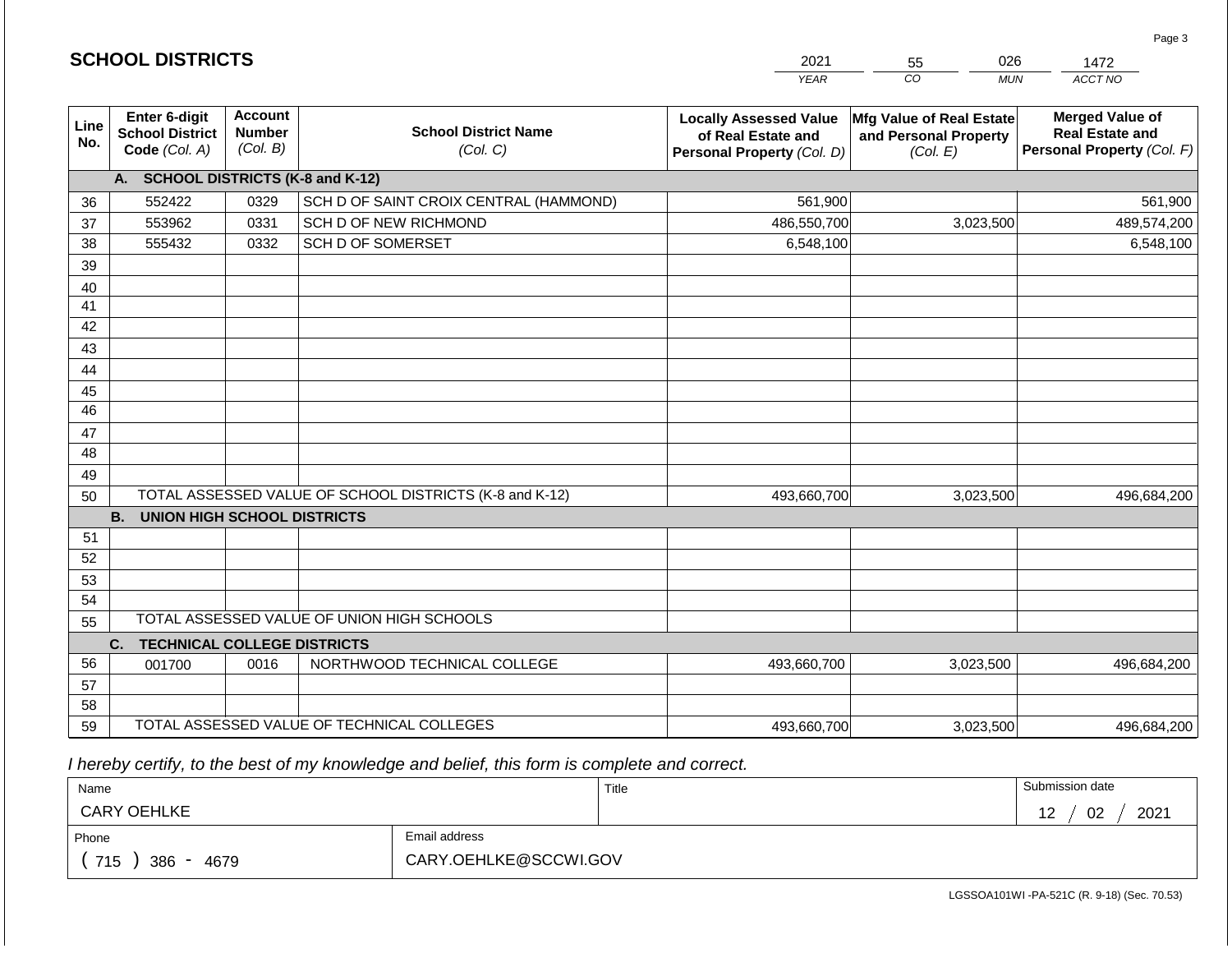|                 |                                                          |                                             |                                                         | <b>YEAR</b>                                                                       | CO<br><b>MUN</b>                                              | ACCT NO                                                                        |
|-----------------|----------------------------------------------------------|---------------------------------------------|---------------------------------------------------------|-----------------------------------------------------------------------------------|---------------------------------------------------------------|--------------------------------------------------------------------------------|
| Line<br>No.     | Enter 6-digit<br><b>School District</b><br>Code (Col. A) | <b>Account</b><br><b>Number</b><br>(Col. B) | <b>School District Name</b><br>(Col. C)                 | <b>Locally Assessed Value</b><br>of Real Estate and<br>Personal Property (Col. D) | Mfg Value of Real Estate<br>and Personal Property<br>(Col. E) | <b>Merged Value of</b><br><b>Real Estate and</b><br>Personal Property (Col. F) |
|                 | A.                                                       |                                             | <b>SCHOOL DISTRICTS (K-8 and K-12)</b>                  |                                                                                   |                                                               |                                                                                |
| 36              | 552422                                                   | 0329                                        | SCH D OF SAINT CROIX CENTRAL (HAMMOND)                  | 561,900                                                                           |                                                               | 561,900                                                                        |
| 37              | 553962                                                   | 0331                                        | SCH D OF NEW RICHMOND                                   | 486,550,700                                                                       | 3,023,500                                                     | 489,574,200                                                                    |
| 38              | 555432                                                   | 0332                                        | SCH D OF SOMERSET                                       | 6,548,100                                                                         |                                                               | 6,548,100                                                                      |
| 39              |                                                          |                                             |                                                         |                                                                                   |                                                               |                                                                                |
| 40              |                                                          |                                             |                                                         |                                                                                   |                                                               |                                                                                |
| 41              |                                                          |                                             |                                                         |                                                                                   |                                                               |                                                                                |
| $\overline{42}$ |                                                          |                                             |                                                         |                                                                                   |                                                               |                                                                                |
| 43              |                                                          |                                             |                                                         |                                                                                   |                                                               |                                                                                |
| 44              |                                                          |                                             |                                                         |                                                                                   |                                                               |                                                                                |
| 45              |                                                          |                                             |                                                         |                                                                                   |                                                               |                                                                                |
| $\overline{46}$ |                                                          |                                             |                                                         |                                                                                   |                                                               |                                                                                |
| 47              |                                                          |                                             |                                                         |                                                                                   |                                                               |                                                                                |
| 48              |                                                          |                                             |                                                         |                                                                                   |                                                               |                                                                                |
| 49              |                                                          |                                             |                                                         |                                                                                   |                                                               |                                                                                |
| 50              |                                                          |                                             | TOTAL ASSESSED VALUE OF SCHOOL DISTRICTS (K-8 and K-12) | 493,660,700                                                                       | 3,023,500                                                     | 496,684,200                                                                    |
|                 | <b>B.</b><br>UNION HIGH SCHOOL DISTRICTS                 |                                             |                                                         |                                                                                   |                                                               |                                                                                |
| 51              |                                                          |                                             |                                                         |                                                                                   |                                                               |                                                                                |
| 52              |                                                          |                                             |                                                         |                                                                                   |                                                               |                                                                                |
| 53              |                                                          |                                             |                                                         |                                                                                   |                                                               |                                                                                |
| 54              |                                                          |                                             |                                                         |                                                                                   |                                                               |                                                                                |
| 55              |                                                          |                                             | TOTAL ASSESSED VALUE OF UNION HIGH SCHOOLS              |                                                                                   |                                                               |                                                                                |
|                 | C.<br><b>TECHNICAL COLLEGE DISTRICTS</b>                 |                                             |                                                         |                                                                                   |                                                               |                                                                                |
| 56              | 001700                                                   | 0016                                        | NORTHWOOD TECHNICAL COLLEGE                             | 493,660,700                                                                       | 3,023,500                                                     | 496,684,200                                                                    |
| 57              |                                                          |                                             |                                                         |                                                                                   |                                                               |                                                                                |
| 58              |                                                          |                                             |                                                         |                                                                                   |                                                               |                                                                                |
| 59              |                                                          |                                             | TOTAL ASSESSED VALUE OF TECHNICAL COLLEGES              | 493,660,700                                                                       | 3,023,500                                                     | 496,684,200                                                                    |

2021

55

026

 *I hereby certify, to the best of my knowledge and belief, this form is complete and correct.*

**SCHOOL DISTRICTS**

| Name                                           |                       | Title | Submission date                        |
|------------------------------------------------|-----------------------|-------|----------------------------------------|
| <b>CARY OEHLKE</b>                             |                       |       | 2021<br>02<br>$\overline{ }$<br>$\sim$ |
| Phone                                          | Email address         |       |                                        |
| 715<br>386<br>4679<br>$\overline{\phantom{0}}$ | CARY.OEHLKE@SCCWI.GOV |       |                                        |

Page 3

1472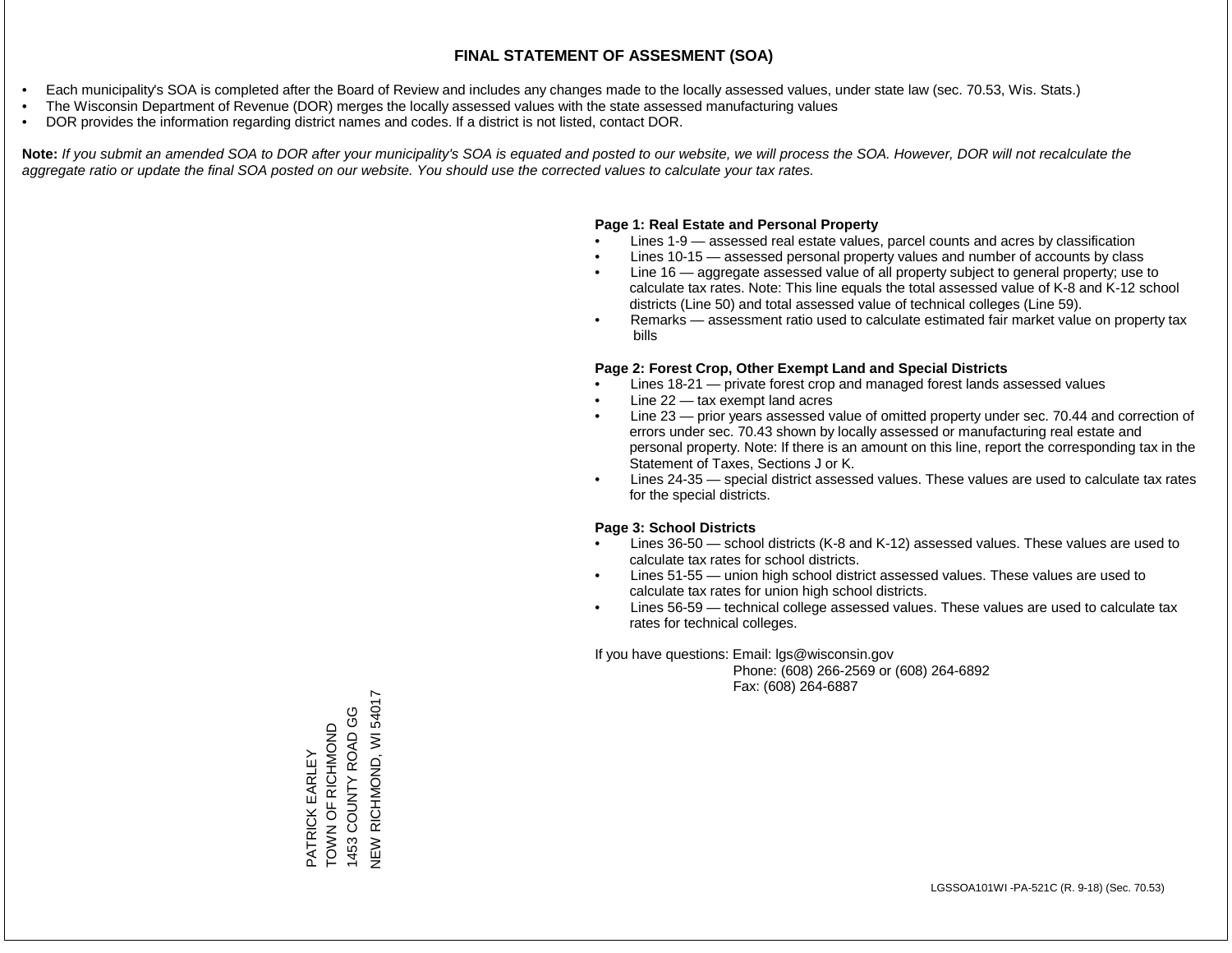- Each municipality's SOA is completed after the Board of Review and includes any changes made to the locally assessed values, under state law (sec. 70.53, Wis. Stats.)
- The Wisconsin Department of Revenue (DOR) merges the locally assessed values with the state assessed manufacturing values
- DOR provides the information regarding district names and codes. If a district is not listed, contact DOR.

Note: If you submit an amended SOA to DOR after your municipality's SOA is equated and posted to our website, we will process the SOA. However, DOR will not recalculate the *aggregate ratio or update the final SOA posted on our website. You should use the corrected values to calculate your tax rates.*

#### **Page 1: Real Estate and Personal Property**

- Lines 1-9 assessed real estate values, parcel counts and acres by classification
- Lines 10-15 assessed personal property values and number of accounts by class
- Line 16 aggregate assessed value of all property subject to general property; use to calculate tax rates. Note: This line equals the total assessed value of K-8 and K-12 school districts (Line 50) and total assessed value of technical colleges (Line 59).
- Remarks assessment ratio used to calculate estimated fair market value on property tax bills

#### **Page 2: Forest Crop, Other Exempt Land and Special Districts**

- Lines 18-21 private forest crop and managed forest lands assessed values
- Line  $22 -$  tax exempt land acres
- Line 23 prior years assessed value of omitted property under sec. 70.44 and correction of errors under sec. 70.43 shown by locally assessed or manufacturing real estate and personal property. Note: If there is an amount on this line, report the corresponding tax in the Statement of Taxes, Sections J or K.
- Lines 24-35 special district assessed values. These values are used to calculate tax rates for the special districts.

#### **Page 3: School Districts**

- Lines 36-50 school districts (K-8 and K-12) assessed values. These values are used to calculate tax rates for school districts.
- Lines 51-55 union high school district assessed values. These values are used to calculate tax rates for union high school districts.
- Lines 56-59 technical college assessed values. These values are used to calculate tax rates for technical colleges.

If you have questions: Email: lgs@wisconsin.gov

 Phone: (608) 266-2569 or (608) 264-6892 Fax: (608) 264-6887

RICHMOND, WI 54017 NEW RICHOND, WINDSON COUNTY ROAD GG 1453 COUNTY ROAD GG TOWN OF RICHMOND TOWN OF RICHMOND **ATRICK EARLEY** PATRICK EARLEY 1453 NEW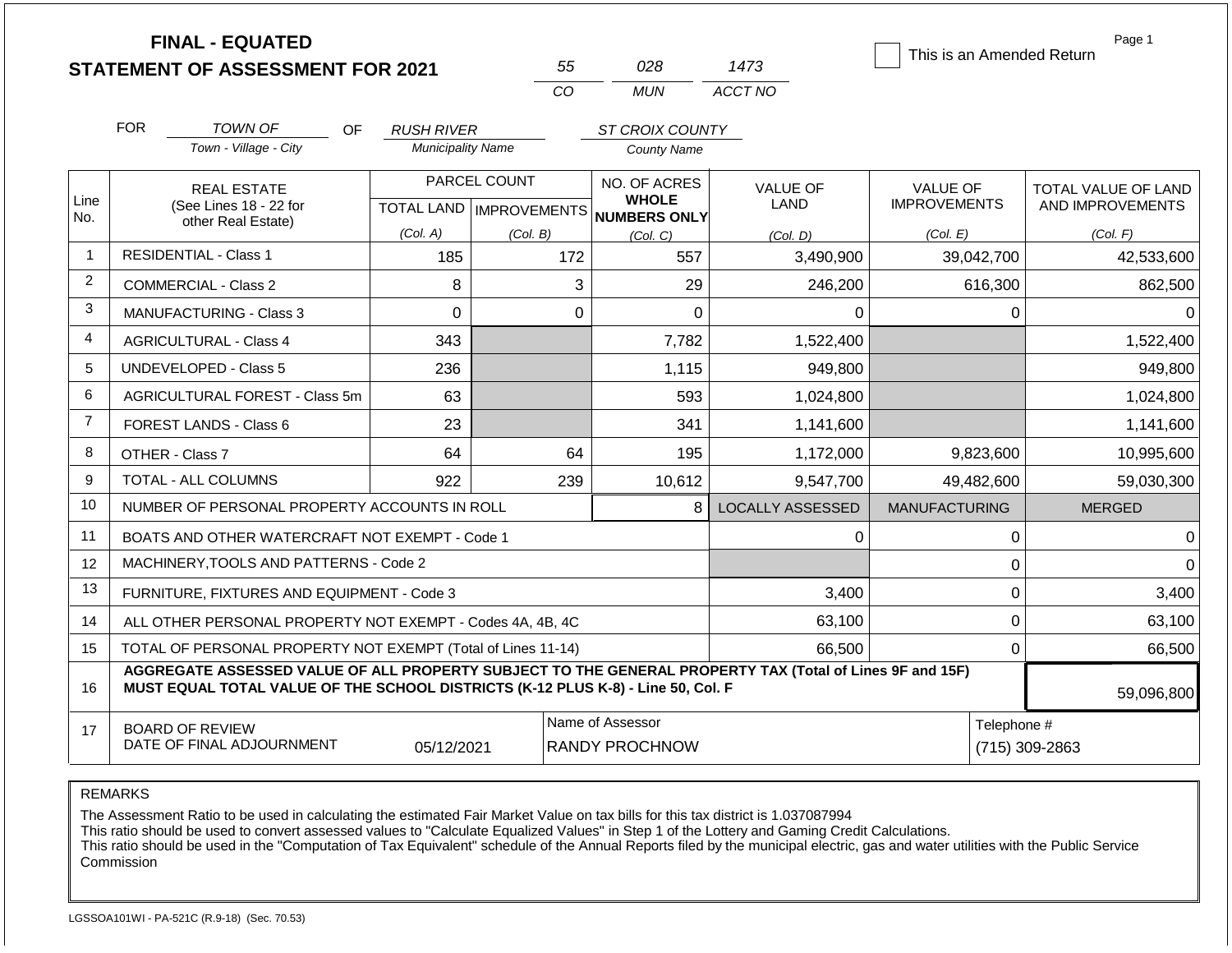|                |                                                                                                                                                                                              | <b>FINAL - EQUATED</b><br><b>STATEMENT OF ASSESSMENT FOR 2021</b> |                           |              | 55                                        | 028                                 | 1473                    | This is an Amended Return | Page 1                        |  |
|----------------|----------------------------------------------------------------------------------------------------------------------------------------------------------------------------------------------|-------------------------------------------------------------------|---------------------------|--------------|-------------------------------------------|-------------------------------------|-------------------------|---------------------------|-------------------------------|--|
|                |                                                                                                                                                                                              |                                                                   |                           |              | CO                                        | <b>MUN</b>                          | ACCT NO                 |                           |                               |  |
|                | <b>FOR</b>                                                                                                                                                                                   | <b>TOWN OF</b><br>OF.                                             | <b>RUSH RIVER</b>         |              |                                           | ST CROIX COUNTY                     |                         |                           |                               |  |
|                |                                                                                                                                                                                              | Town - Village - City                                             | <b>Municipality Name</b>  |              |                                           | County Name                         |                         |                           |                               |  |
|                |                                                                                                                                                                                              | <b>REAL ESTATE</b>                                                |                           | PARCEL COUNT |                                           | NO. OF ACRES                        | <b>VALUE OF</b>         | <b>VALUE OF</b>           | TOTAL VALUE OF LAND           |  |
| Line<br>No.    |                                                                                                                                                                                              | (See Lines 18 - 22 for<br>other Real Estate)                      | TOTAL LAND   IMPROVEMENTS |              |                                           | <b>WHOLE</b><br><b>NUMBERS ONLY</b> | <b>LAND</b>             | <b>IMPROVEMENTS</b>       | AND IMPROVEMENTS              |  |
|                |                                                                                                                                                                                              |                                                                   | (Col. A)                  | (Col. B)     |                                           | (Col, C)                            | (Col. D)                | (Col. E)                  | (Col. F)                      |  |
| $\mathbf{1}$   |                                                                                                                                                                                              | <b>RESIDENTIAL - Class 1</b>                                      | 185                       |              | 172                                       | 557                                 | 3,490,900               | 39,042,700                | 42,533,600                    |  |
| $\overline{2}$ |                                                                                                                                                                                              | <b>COMMERCIAL - Class 2</b>                                       | 8                         |              | 3                                         | 29                                  | 246,200                 | 616,300                   | 862,500                       |  |
| 3              |                                                                                                                                                                                              | <b>MANUFACTURING - Class 3</b>                                    | $\overline{0}$            |              | 0                                         | $\mathbf 0$                         | 0                       | 0                         | 0                             |  |
| 4              |                                                                                                                                                                                              | <b>AGRICULTURAL - Class 4</b>                                     | 343                       |              |                                           | 7,782                               | 1,522,400               |                           | 1,522,400                     |  |
| 5              |                                                                                                                                                                                              | UNDEVELOPED - Class 5                                             | 236                       |              |                                           | 1,115                               | 949,800                 |                           | 949,800                       |  |
| 6              |                                                                                                                                                                                              | AGRICULTURAL FOREST - Class 5m                                    | 63                        |              |                                           | 593                                 | 1,024,800               |                           | 1,024,800                     |  |
| $\overline{7}$ |                                                                                                                                                                                              | FOREST LANDS - Class 6                                            | 23                        |              |                                           | 341                                 | 1,141,600               |                           | 1,141,600                     |  |
| 8              |                                                                                                                                                                                              | OTHER - Class 7                                                   | 64                        |              | 64                                        | 195                                 | 1,172,000               | 9,823,600                 | 10,995,600                    |  |
| 9              |                                                                                                                                                                                              | <b>TOTAL - ALL COLUMNS</b>                                        | 922                       |              | 239                                       | 10,612                              | 9,547,700               | 49,482,600                | 59,030,300                    |  |
| 10             |                                                                                                                                                                                              | NUMBER OF PERSONAL PROPERTY ACCOUNTS IN ROLL                      |                           |              |                                           | 8                                   | <b>LOCALLY ASSESSED</b> | <b>MANUFACTURING</b>      | <b>MERGED</b>                 |  |
| 11             |                                                                                                                                                                                              | BOATS AND OTHER WATERCRAFT NOT EXEMPT - Code 1                    |                           |              |                                           |                                     | 0                       | 0                         | $\Omega$                      |  |
| 12             |                                                                                                                                                                                              | MACHINERY, TOOLS AND PATTERNS - Code 2                            |                           |              |                                           |                                     |                         | $\mathbf 0$               | $\Omega$                      |  |
| 13             |                                                                                                                                                                                              | FURNITURE, FIXTURES AND EQUIPMENT - Code 3                        |                           |              |                                           |                                     | 3,400                   | $\mathbf 0$               | 3,400                         |  |
| 14             |                                                                                                                                                                                              | ALL OTHER PERSONAL PROPERTY NOT EXEMPT - Codes 4A, 4B, 4C         |                           |              |                                           |                                     | 63,100                  | $\mathbf 0$               | 63,100                        |  |
| 15             |                                                                                                                                                                                              | TOTAL OF PERSONAL PROPERTY NOT EXEMPT (Total of Lines 11-14)      |                           |              |                                           |                                     | 66,500                  | $\mathbf 0$               | 66,500                        |  |
| 16             | AGGREGATE ASSESSED VALUE OF ALL PROPERTY SUBJECT TO THE GENERAL PROPERTY TAX (Total of Lines 9F and 15F)<br>MUST EQUAL TOTAL VALUE OF THE SCHOOL DISTRICTS (K-12 PLUS K-8) - Line 50, Col. F |                                                                   |                           |              |                                           |                                     |                         |                           | 59,096,800                    |  |
| 17             |                                                                                                                                                                                              | <b>BOARD OF REVIEW</b><br>DATE OF FINAL ADJOURNMENT               | 05/12/2021                |              | Name of Assessor<br><b>RANDY PROCHNOW</b> |                                     |                         |                           | Telephone #<br>(715) 309-2863 |  |

REMARKS

The Assessment Ratio to be used in calculating the estimated Fair Market Value on tax bills for this tax district is 1.037087994

This ratio should be used to convert assessed values to "Calculate Equalized Values" in Step 1 of the Lottery and Gaming Credit Calculations.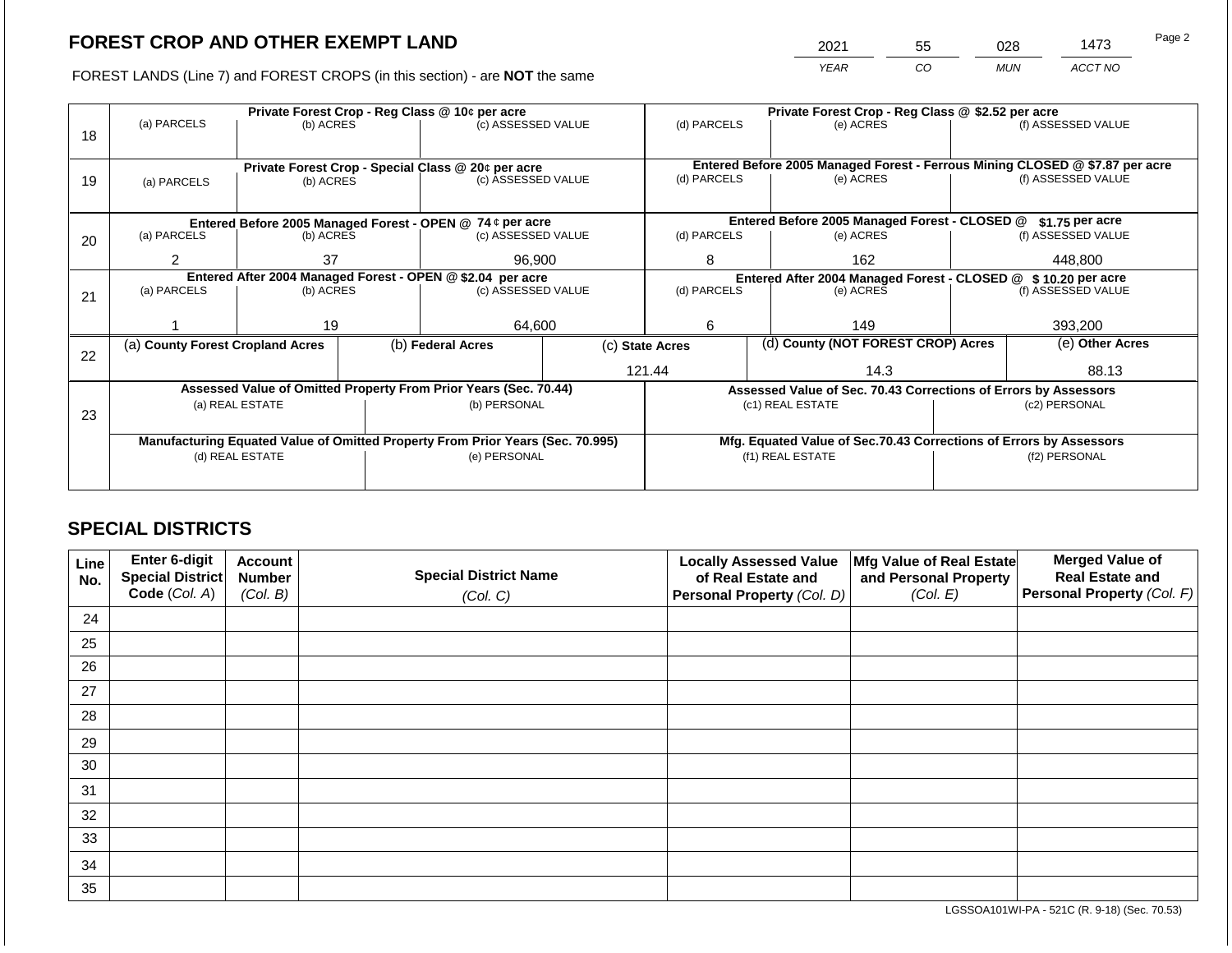2021 55 028 1473 Page 2

FOREST LANDS (Line 7) and FOREST CROPS (in this section) - are **NOT** the same *YEAR CO MUN ACCT NO*

|    | (a) PARCELS                                                                    | (b) ACRES |  | Private Forest Crop - Reg Class @ 10¢ per acre<br>(c) ASSESSED VALUE |                                                                    | (d) PARCELS                                                     |                                               | Private Forest Crop - Reg Class @ \$2.52 per acre<br>(e) ACRES               |                  | (f) ASSESSED VALUE |
|----|--------------------------------------------------------------------------------|-----------|--|----------------------------------------------------------------------|--------------------------------------------------------------------|-----------------------------------------------------------------|-----------------------------------------------|------------------------------------------------------------------------------|------------------|--------------------|
| 18 |                                                                                |           |  |                                                                      |                                                                    |                                                                 |                                               |                                                                              |                  |                    |
|    |                                                                                |           |  | Private Forest Crop - Special Class @ 20¢ per acre                   |                                                                    |                                                                 |                                               | Entered Before 2005 Managed Forest - Ferrous Mining CLOSED @ \$7.87 per acre |                  |                    |
| 19 | (a) PARCELS                                                                    | (b) ACRES |  | (c) ASSESSED VALUE                                                   |                                                                    | (d) PARCELS                                                     |                                               | (e) ACRES                                                                    |                  | (f) ASSESSED VALUE |
|    |                                                                                |           |  |                                                                      |                                                                    |                                                                 |                                               |                                                                              |                  |                    |
|    |                                                                                |           |  | Entered Before 2005 Managed Forest - OPEN @ 74 ¢ per acre            |                                                                    |                                                                 | Entered Before 2005 Managed Forest - CLOSED @ |                                                                              | $$1.75$ per acre |                    |
| 20 | (a) PARCELS                                                                    | (b) ACRES |  | (c) ASSESSED VALUE                                                   |                                                                    | (d) PARCELS                                                     |                                               | (e) ACRES                                                                    |                  | (f) ASSESSED VALUE |
|    | 37                                                                             |           |  | 96,900                                                               | 8<br>162                                                           |                                                                 |                                               | 448,800                                                                      |                  |                    |
|    | Entered After 2004 Managed Forest - OPEN @ \$2.04 per acre                     |           |  |                                                                      | Entered After 2004 Managed Forest - CLOSED @ \$ 10.20 per acre     |                                                                 |                                               |                                                                              |                  |                    |
| 21 | (a) PARCELS<br>(b) ACRES                                                       |           |  | (c) ASSESSED VALUE                                                   |                                                                    | (d) PARCELS                                                     |                                               | (e) ACRES                                                                    |                  | (f) ASSESSED VALUE |
|    |                                                                                |           |  |                                                                      |                                                                    |                                                                 |                                               |                                                                              |                  |                    |
|    |                                                                                | 19        |  | 64.600                                                               |                                                                    | 6                                                               |                                               | 149                                                                          |                  | 393.200            |
| 22 | (a) County Forest Cropland Acres                                               |           |  | (b) Federal Acres                                                    |                                                                    | (c) State Acres                                                 |                                               | (d) County (NOT FOREST CROP) Acres                                           |                  | (e) Other Acres    |
|    |                                                                                |           |  |                                                                      |                                                                    | 121.44                                                          |                                               | 14.3                                                                         |                  | 88.13              |
|    |                                                                                |           |  | Assessed Value of Omitted Property From Prior Years (Sec. 70.44)     |                                                                    | Assessed Value of Sec. 70.43 Corrections of Errors by Assessors |                                               |                                                                              |                  |                    |
| 23 | (a) REAL ESTATE                                                                |           |  | (b) PERSONAL                                                         |                                                                    |                                                                 |                                               | (c1) REAL ESTATE                                                             |                  | (c2) PERSONAL      |
|    |                                                                                |           |  |                                                                      |                                                                    |                                                                 |                                               |                                                                              |                  |                    |
|    | Manufacturing Equated Value of Omitted Property From Prior Years (Sec. 70.995) |           |  |                                                                      | Mfg. Equated Value of Sec.70.43 Corrections of Errors by Assessors |                                                                 |                                               |                                                                              |                  |                    |
|    | (d) REAL ESTATE                                                                |           |  | (e) PERSONAL                                                         | (f1) REAL ESTATE                                                   |                                                                 |                                               | (f2) PERSONAL                                                                |                  |                    |
|    |                                                                                |           |  |                                                                      |                                                                    |                                                                 |                                               |                                                                              |                  |                    |

## **SPECIAL DISTRICTS**

| Line<br>No. | Enter 6-digit<br><b>Special District</b> | <b>Account</b><br><b>Number</b> | <b>Special District Name</b> | <b>Locally Assessed Value</b><br>of Real Estate and | Mfg Value of Real Estate<br>and Personal Property | <b>Merged Value of</b><br><b>Real Estate and</b> |
|-------------|------------------------------------------|---------------------------------|------------------------------|-----------------------------------------------------|---------------------------------------------------|--------------------------------------------------|
|             | Code (Col. A)                            | (Col. B)                        | (Col. C)                     | Personal Property (Col. D)                          | (Col. E)                                          | Personal Property (Col. F)                       |
| 24          |                                          |                                 |                              |                                                     |                                                   |                                                  |
| 25          |                                          |                                 |                              |                                                     |                                                   |                                                  |
| 26          |                                          |                                 |                              |                                                     |                                                   |                                                  |
| 27          |                                          |                                 |                              |                                                     |                                                   |                                                  |
| 28          |                                          |                                 |                              |                                                     |                                                   |                                                  |
| 29          |                                          |                                 |                              |                                                     |                                                   |                                                  |
| 30          |                                          |                                 |                              |                                                     |                                                   |                                                  |
| 31          |                                          |                                 |                              |                                                     |                                                   |                                                  |
| 32          |                                          |                                 |                              |                                                     |                                                   |                                                  |
| 33          |                                          |                                 |                              |                                                     |                                                   |                                                  |
| 34          |                                          |                                 |                              |                                                     |                                                   |                                                  |
| 35          |                                          |                                 |                              |                                                     |                                                   |                                                  |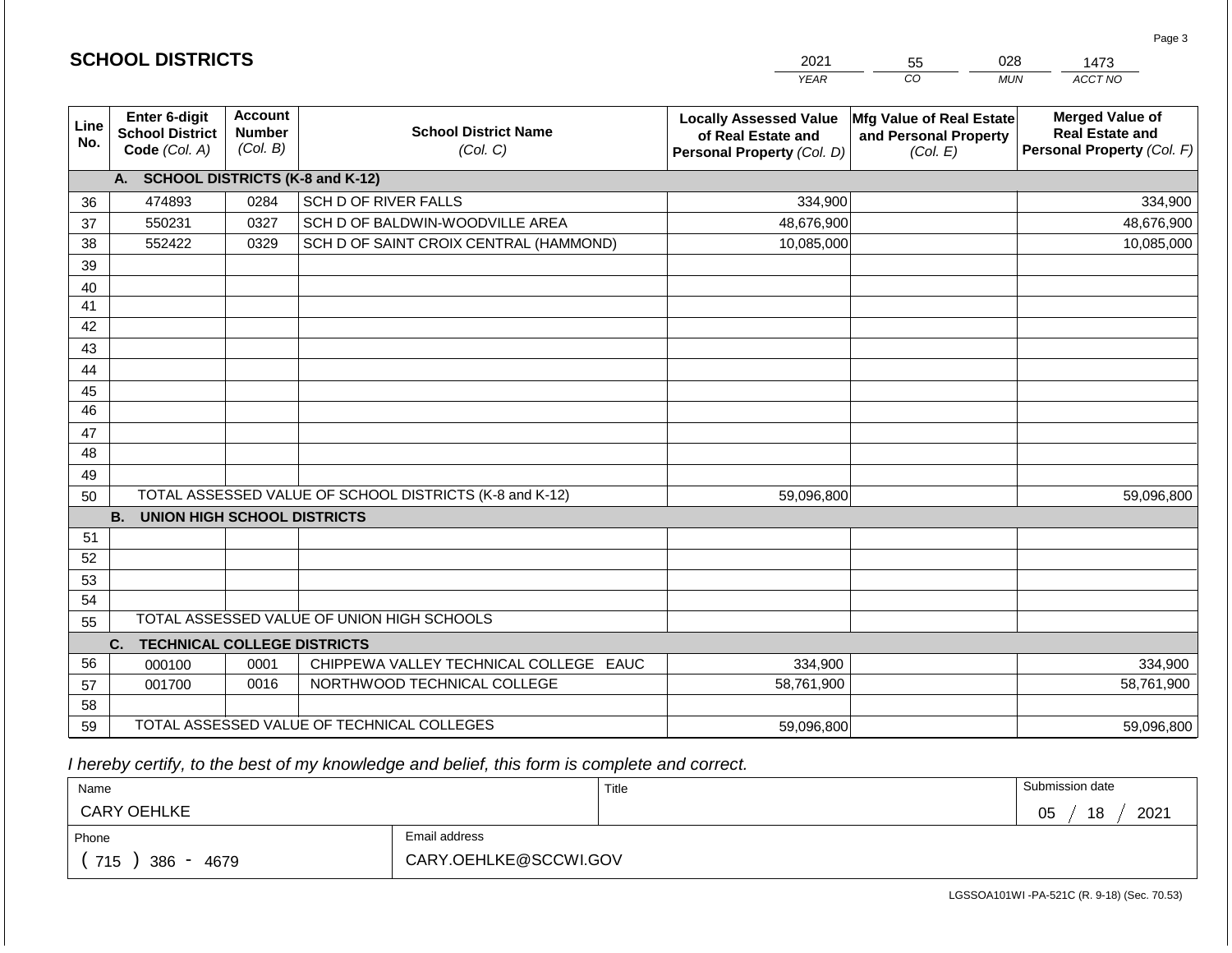|                 |                                                          |                                             |                                                         | <b>YEAR</b>                                                                       | CO<br><b>MUN</b>                                              | ACCT NO                                                                        |
|-----------------|----------------------------------------------------------|---------------------------------------------|---------------------------------------------------------|-----------------------------------------------------------------------------------|---------------------------------------------------------------|--------------------------------------------------------------------------------|
| Line<br>No.     | Enter 6-digit<br><b>School District</b><br>Code (Col. A) | <b>Account</b><br><b>Number</b><br>(Col. B) | <b>School District Name</b><br>(Col. C)                 | <b>Locally Assessed Value</b><br>of Real Estate and<br>Personal Property (Col. D) | Mfg Value of Real Estate<br>and Personal Property<br>(Col. E) | <b>Merged Value of</b><br><b>Real Estate and</b><br>Personal Property (Col. F) |
|                 | A. SCHOOL DISTRICTS (K-8 and K-12)                       |                                             |                                                         |                                                                                   |                                                               |                                                                                |
| 36              | 474893                                                   | 0284                                        | SCH D OF RIVER FALLS                                    | 334,900                                                                           |                                                               | 334,900                                                                        |
| 37              | 550231                                                   | 0327                                        | SCH D OF BALDWIN-WOODVILLE AREA                         | 48,676,900                                                                        |                                                               | 48,676,900                                                                     |
| 38              | 552422                                                   | 0329                                        | SCH D OF SAINT CROIX CENTRAL (HAMMOND)                  | 10,085,000                                                                        |                                                               | 10,085,000                                                                     |
| 39              |                                                          |                                             |                                                         |                                                                                   |                                                               |                                                                                |
| 40              |                                                          |                                             |                                                         |                                                                                   |                                                               |                                                                                |
| 41              |                                                          |                                             |                                                         |                                                                                   |                                                               |                                                                                |
| 42              |                                                          |                                             |                                                         |                                                                                   |                                                               |                                                                                |
| 43              |                                                          |                                             |                                                         |                                                                                   |                                                               |                                                                                |
| 44              |                                                          |                                             |                                                         |                                                                                   |                                                               |                                                                                |
| 45              |                                                          |                                             |                                                         |                                                                                   |                                                               |                                                                                |
| $\overline{46}$ |                                                          |                                             |                                                         |                                                                                   |                                                               |                                                                                |
| 47              |                                                          |                                             |                                                         |                                                                                   |                                                               |                                                                                |
| 48              |                                                          |                                             |                                                         |                                                                                   |                                                               |                                                                                |
| 49              |                                                          |                                             |                                                         |                                                                                   |                                                               |                                                                                |
| 50              |                                                          |                                             | TOTAL ASSESSED VALUE OF SCHOOL DISTRICTS (K-8 and K-12) | 59,096,800                                                                        |                                                               | 59,096,800                                                                     |
|                 | <b>B.</b><br><b>UNION HIGH SCHOOL DISTRICTS</b>          |                                             |                                                         |                                                                                   |                                                               |                                                                                |
| 51              |                                                          |                                             |                                                         |                                                                                   |                                                               |                                                                                |
| 52              |                                                          |                                             |                                                         |                                                                                   |                                                               |                                                                                |
| 53              |                                                          |                                             |                                                         |                                                                                   |                                                               |                                                                                |
| 54              |                                                          |                                             |                                                         |                                                                                   |                                                               |                                                                                |
| 55              |                                                          |                                             | TOTAL ASSESSED VALUE OF UNION HIGH SCHOOLS              |                                                                                   |                                                               |                                                                                |
|                 | C.<br><b>TECHNICAL COLLEGE DISTRICTS</b>                 |                                             |                                                         |                                                                                   |                                                               |                                                                                |
| 56              | 000100                                                   | 0001                                        | CHIPPEWA VALLEY TECHNICAL COLLEGE EAUC                  | 334,900                                                                           |                                                               | 334,900                                                                        |
| 57              | 001700                                                   | 0016                                        | NORTHWOOD TECHNICAL COLLEGE                             | 58,761,900                                                                        |                                                               | 58,761,900                                                                     |
| 58              |                                                          |                                             |                                                         |                                                                                   |                                                               |                                                                                |
| 59              |                                                          |                                             | TOTAL ASSESSED VALUE OF TECHNICAL COLLEGES              | 59,096,800                                                                        |                                                               | 59,096,800                                                                     |

2021

55

028

 *I hereby certify, to the best of my knowledge and belief, this form is complete and correct.*

**SCHOOL DISTRICTS**

| Name               |                       | Title | Submission date        |
|--------------------|-----------------------|-------|------------------------|
| <b>CARY OEHLKE</b> |                       |       | 18<br>2021<br>∩ҕ<br>◡◡ |
| Phone              | Email address         |       |                        |
| 715<br>386<br>4679 | CARY.OEHLKE@SCCWI.GOV |       |                        |

LGSSOA101WI -PA-521C (R. 9-18) (Sec. 70.53)

Page 3

1473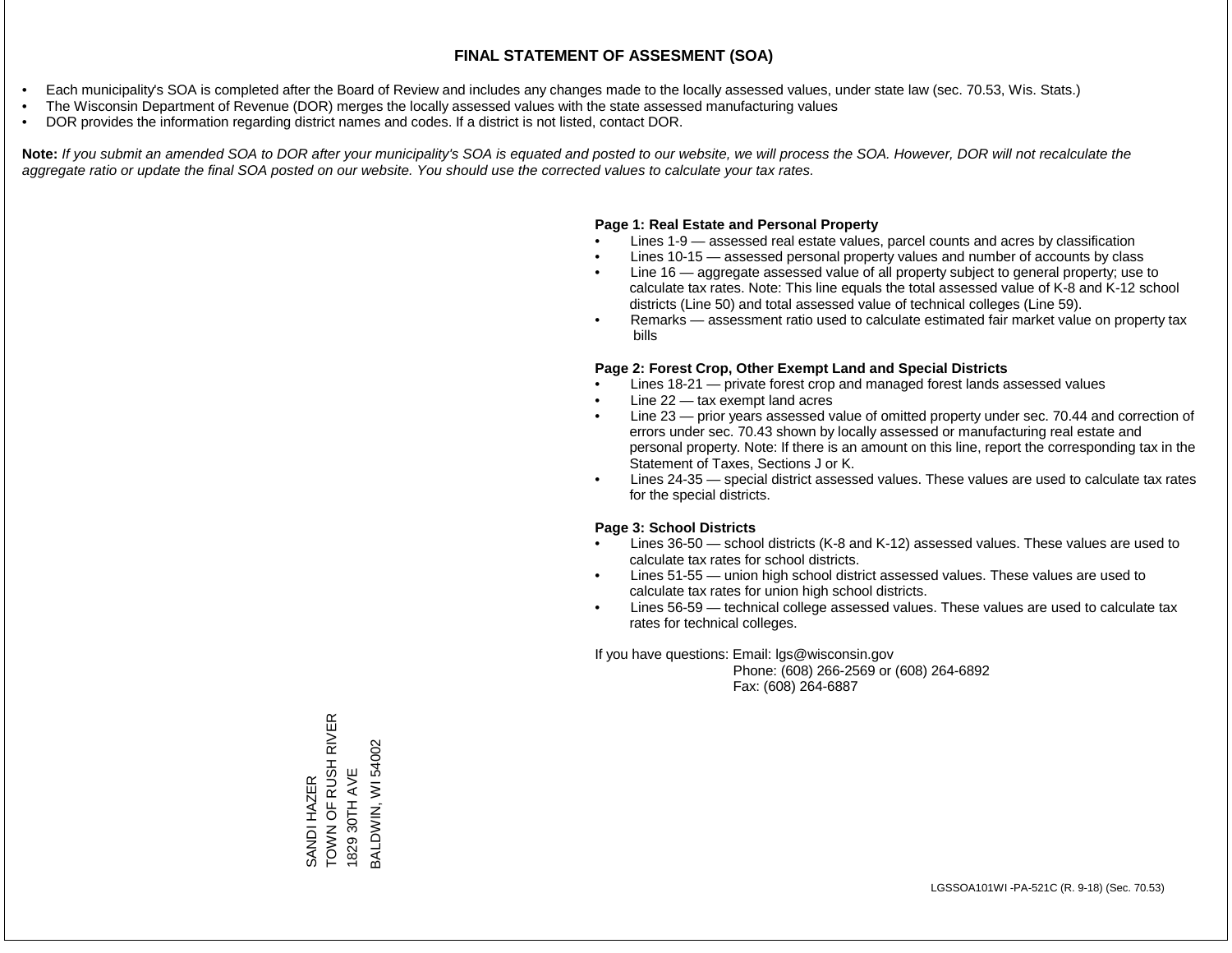- Each municipality's SOA is completed after the Board of Review and includes any changes made to the locally assessed values, under state law (sec. 70.53, Wis. Stats.)
- The Wisconsin Department of Revenue (DOR) merges the locally assessed values with the state assessed manufacturing values
- DOR provides the information regarding district names and codes. If a district is not listed, contact DOR.

Note: If you submit an amended SOA to DOR after your municipality's SOA is equated and posted to our website, we will process the SOA. However, DOR will not recalculate the *aggregate ratio or update the final SOA posted on our website. You should use the corrected values to calculate your tax rates.*

## **Page 1: Real Estate and Personal Property**

- Lines 1-9 assessed real estate values, parcel counts and acres by classification
- Lines 10-15 assessed personal property values and number of accounts by class
- Line 16 aggregate assessed value of all property subject to general property; use to calculate tax rates. Note: This line equals the total assessed value of K-8 and K-12 school districts (Line 50) and total assessed value of technical colleges (Line 59).
- Remarks assessment ratio used to calculate estimated fair market value on property tax bills

## **Page 2: Forest Crop, Other Exempt Land and Special Districts**

- Lines 18-21 private forest crop and managed forest lands assessed values
- Line  $22 -$  tax exempt land acres
- Line 23 prior years assessed value of omitted property under sec. 70.44 and correction of errors under sec. 70.43 shown by locally assessed or manufacturing real estate and personal property. Note: If there is an amount on this line, report the corresponding tax in the Statement of Taxes, Sections J or K.
- Lines 24-35 special district assessed values. These values are used to calculate tax rates for the special districts.

## **Page 3: School Districts**

- Lines 36-50 school districts (K-8 and K-12) assessed values. These values are used to calculate tax rates for school districts.
- Lines 51-55 union high school district assessed values. These values are used to calculate tax rates for union high school districts.
- Lines 56-59 technical college assessed values. These values are used to calculate tax rates for technical colleges.

If you have questions: Email: lgs@wisconsin.gov

 Phone: (608) 266-2569 or (608) 264-6892 Fax: (608) 264-6887

SANDI HAZER<br>TOWN OF RUSH RIVER<br>1829 30TH AVE TOWN OF RUSH RIVER BALDWIN, WI 54002 BALDWIN, WI 540021829 30TH AVE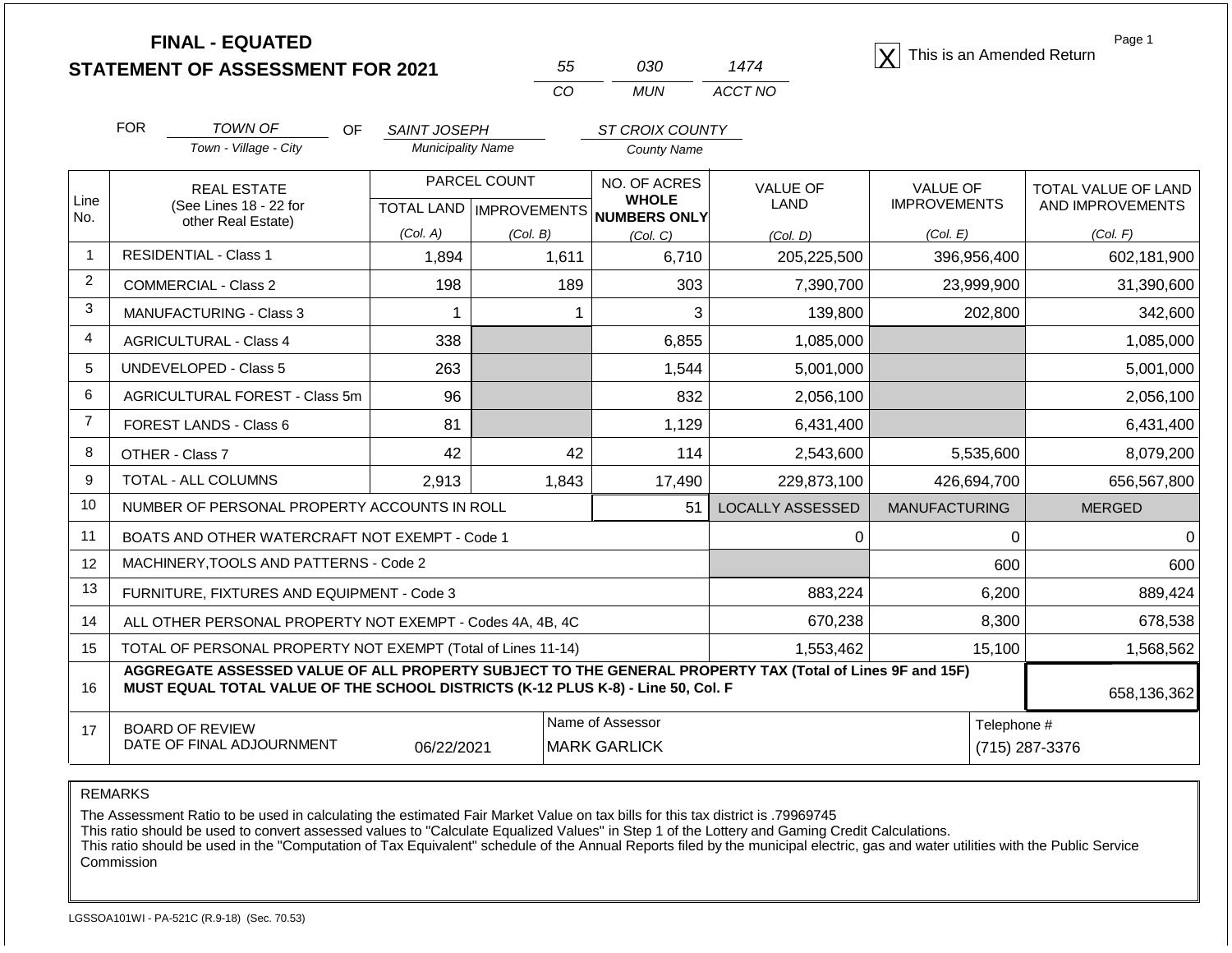|                |                                                           | <b>FINAL - EQUATED</b><br><b>STATEMENT OF ASSESSMENT FOR 2021</b>  |                                                 | 55<br>CO                                  | 030<br><b>MUN</b>                            | 1474<br>ACCT NO                | This is an Amended Return              | Page 1                                         |
|----------------|-----------------------------------------------------------|--------------------------------------------------------------------|-------------------------------------------------|-------------------------------------------|----------------------------------------------|--------------------------------|----------------------------------------|------------------------------------------------|
|                | <b>FOR</b>                                                | TOWN OF<br>OF<br>Town - Village - City                             | <b>SAINT JOSEPH</b><br><b>Municipality Name</b> |                                           | <b>ST CROIX COUNTY</b><br><b>County Name</b> |                                |                                        |                                                |
| Line<br>No.    |                                                           | <b>REAL ESTATE</b><br>(See Lines 18 - 22 for<br>other Real Estate) |                                                 | PARCEL COUNT<br>TOTAL LAND   IMPROVEMENTS | NO. OF ACRES<br><b>WHOLE</b><br>NUMBERS ONLY | <b>VALUE OF</b><br><b>LAND</b> | <b>VALUE OF</b><br><b>IMPROVEMENTS</b> | <b>TOTAL VALUE OF LAND</b><br>AND IMPROVEMENTS |
|                |                                                           |                                                                    | (Col. A)                                        | (Col. B)                                  | (Col. C)                                     | (Col. D)                       | (Col. E)                               | (Col. F)                                       |
|                |                                                           | <b>RESIDENTIAL - Class 1</b>                                       | 1,894                                           | 1,611                                     | 6,710                                        | 205,225,500                    | 396,956,400                            | 602,181,900                                    |
| 2              |                                                           | <b>COMMERCIAL - Class 2</b>                                        | 198                                             | 189                                       | 303                                          | 7,390,700                      | 23,999,900                             | 31,390,600                                     |
| 3              |                                                           | <b>MANUFACTURING - Class 3</b>                                     | -1                                              |                                           | 3                                            | 139,800                        | 202,800                                | 342,600                                        |
| 4              |                                                           | <b>AGRICULTURAL - Class 4</b>                                      | 338                                             |                                           | 6,855                                        | 1,085,000                      |                                        | 1,085,000                                      |
| 5              |                                                           | <b>UNDEVELOPED - Class 5</b>                                       | 263                                             |                                           | 1,544                                        | 5,001,000                      |                                        | 5,001,000                                      |
| 6              |                                                           | AGRICULTURAL FOREST - Class 5m                                     | 96                                              |                                           | 832                                          | 2,056,100                      |                                        | 2,056,100                                      |
| $\overline{7}$ |                                                           | FOREST LANDS - Class 6                                             | 81                                              |                                           | 1,129                                        | 6,431,400                      |                                        | 6,431,400                                      |
| 8              |                                                           | OTHER - Class 7                                                    | 42                                              | 42                                        | 114                                          | 2,543,600                      | 5,535,600                              | 8,079,200                                      |
| 9              |                                                           | TOTAL - ALL COLUMNS                                                | 2,913                                           | 1,843                                     | 17,490                                       | 229,873,100                    | 426,694,700                            | 656,567,800                                    |
| 10             |                                                           | NUMBER OF PERSONAL PROPERTY ACCOUNTS IN ROLL                       |                                                 |                                           | 51                                           | <b>LOCALLY ASSESSED</b>        | <b>MANUFACTURING</b>                   | <b>MERGED</b>                                  |
| 11             |                                                           | BOATS AND OTHER WATERCRAFT NOT EXEMPT - Code 1                     |                                                 |                                           |                                              | 0                              | 0                                      | $\Omega$                                       |
| 12             |                                                           | MACHINERY, TOOLS AND PATTERNS - Code 2                             |                                                 |                                           |                                              |                                | 600                                    | 600                                            |
| 13             | FURNITURE, FIXTURES AND EQUIPMENT - Code 3                |                                                                    |                                                 |                                           |                                              | 883,224                        | 6,200                                  | 889,424                                        |
| 14             | ALL OTHER PERSONAL PROPERTY NOT EXEMPT - Codes 4A, 4B, 4C |                                                                    |                                                 |                                           |                                              | 670,238                        | 8,300                                  | 678,538                                        |
| 15             |                                                           | TOTAL OF PERSONAL PROPERTY NOT EXEMPT (Total of Lines 11-14)       |                                                 |                                           |                                              | 1,553,462                      | 15,100                                 | 1,568,562                                      |

16 17 **AGGREGATE ASSESSED VALUE OF ALL PROPERTY SUBJECT TO THE GENERAL PROPERTY TAX (Total of Lines 9F and 15F) MUST EQUAL TOTAL VALUE OF THE SCHOOL DISTRICTS (K-12 PLUS K-8) - Line 50, Col. F** BOARD OF REVIEW DATE OF FINAL ADJOURNMENT Name of Assessor **Name of Assessor** Telephone # 06/22/2021 MARK GARLICK (715) 287-3376

REMARKS

The Assessment Ratio to be used in calculating the estimated Fair Market Value on tax bills for this tax district is .79969745

This ratio should be used to convert assessed values to "Calculate Equalized Values" in Step 1 of the Lottery and Gaming Credit Calculations.

 This ratio should be used in the "Computation of Tax Equivalent" schedule of the Annual Reports filed by the municipal electric, gas and water utilities with the Public Service Commission

658,136,362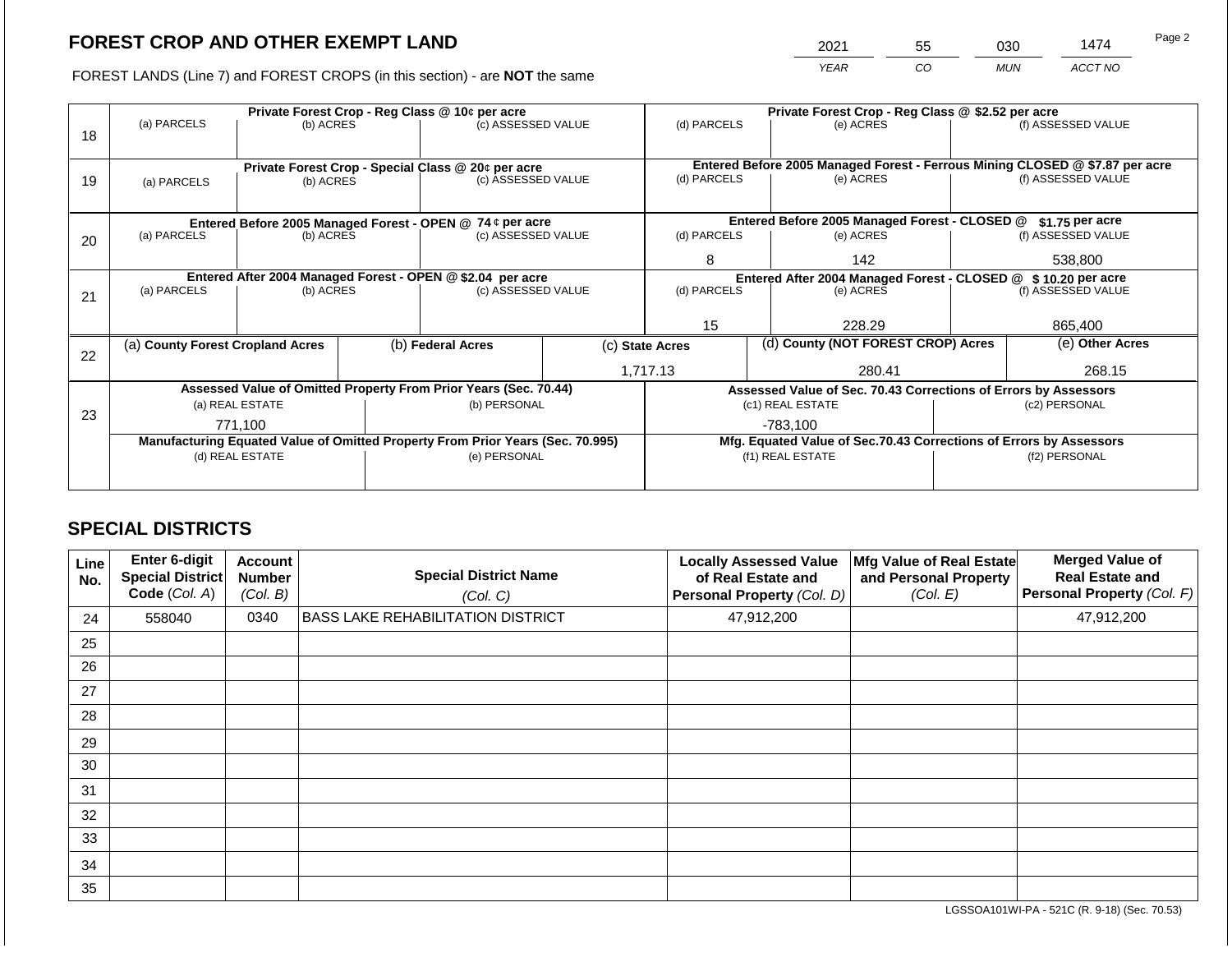2021 55 030 1474

FOREST LANDS (Line 7) and FOREST CROPS (in this section) - are **NOT** the same *YEAR CO MUN ACCT NO*

|    |                                                            |                 | Private Forest Crop - Reg Class @ 10¢ per acre |                                                                                                | Private Forest Crop - Reg Class @ \$2.52 per acre |             |                  |                                                                              |               |                    |
|----|------------------------------------------------------------|-----------------|------------------------------------------------|------------------------------------------------------------------------------------------------|---------------------------------------------------|-------------|------------------|------------------------------------------------------------------------------|---------------|--------------------|
|    | (a) PARCELS                                                | (b) ACRES       |                                                | (c) ASSESSED VALUE                                                                             |                                                   | (d) PARCELS |                  | (e) ACRES                                                                    |               | (f) ASSESSED VALUE |
| 18 |                                                            |                 |                                                |                                                                                                |                                                   |             |                  |                                                                              |               |                    |
|    |                                                            |                 |                                                |                                                                                                |                                                   |             |                  |                                                                              |               |                    |
|    |                                                            |                 |                                                | Private Forest Crop - Special Class @ 20¢ per acre                                             |                                                   |             |                  | Entered Before 2005 Managed Forest - Ferrous Mining CLOSED @ \$7.87 per acre |               |                    |
| 19 | (a) PARCELS                                                | (b) ACRES       |                                                | (c) ASSESSED VALUE                                                                             |                                                   | (d) PARCELS |                  | (e) ACRES                                                                    |               | (f) ASSESSED VALUE |
|    |                                                            |                 |                                                |                                                                                                |                                                   |             |                  |                                                                              |               |                    |
|    | Entered Before 2005 Managed Forest - OPEN @ 74 ¢ per acre  |                 |                                                |                                                                                                |                                                   |             |                  | Entered Before 2005 Managed Forest - CLOSED @                                |               | \$1.75 per acre    |
| 20 | (a) PARCELS                                                | (b) ACRES       |                                                | (c) ASSESSED VALUE                                                                             |                                                   | (d) PARCELS |                  | (e) ACRES                                                                    |               | (f) ASSESSED VALUE |
|    |                                                            |                 |                                                |                                                                                                |                                                   |             |                  |                                                                              |               |                    |
|    |                                                            |                 |                                                |                                                                                                | 8                                                 |             | 142              |                                                                              | 538,800       |                    |
|    | Entered After 2004 Managed Forest - OPEN @ \$2.04 per acre |                 |                                                |                                                                                                |                                                   |             |                  | Entered After 2004 Managed Forest - CLOSED @ \$10.20 per acre                |               |                    |
| 21 | (a) PARCELS                                                | (b) ACRES       |                                                | (c) ASSESSED VALUE                                                                             |                                                   | (d) PARCELS |                  | (e) ACRES                                                                    |               | (f) ASSESSED VALUE |
|    |                                                            |                 |                                                |                                                                                                |                                                   |             |                  |                                                                              |               |                    |
|    |                                                            |                 |                                                |                                                                                                |                                                   | 15          |                  | 228.29                                                                       |               | 865,400            |
|    | (a) County Forest Cropland Acres                           |                 |                                                | (b) Federal Acres<br>(c) State Acres                                                           |                                                   |             |                  | (d) County (NOT FOREST CROP) Acres                                           |               | (e) Other Acres    |
| 22 |                                                            |                 |                                                |                                                                                                |                                                   |             |                  |                                                                              |               |                    |
|    |                                                            |                 |                                                |                                                                                                |                                                   | 1,717.13    |                  | 280.41                                                                       |               | 268.15             |
|    |                                                            |                 |                                                | Assessed Value of Omitted Property From Prior Years (Sec. 70.44)                               |                                                   |             |                  | Assessed Value of Sec. 70.43 Corrections of Errors by Assessors              |               |                    |
|    |                                                            | (a) REAL ESTATE |                                                | (b) PERSONAL                                                                                   |                                                   |             |                  | (c1) REAL ESTATE                                                             |               | (c2) PERSONAL      |
| 23 |                                                            | 771,100         |                                                |                                                                                                |                                                   |             |                  | -783,100                                                                     |               |                    |
|    |                                                            |                 |                                                |                                                                                                |                                                   |             |                  | Mfg. Equated Value of Sec.70.43 Corrections of Errors by Assessors           |               |                    |
|    |                                                            | (d) REAL ESTATE |                                                | Manufacturing Equated Value of Omitted Property From Prior Years (Sec. 70.995)<br>(e) PERSONAL |                                                   |             | (f1) REAL ESTATE |                                                                              | (f2) PERSONAL |                    |
|    |                                                            |                 |                                                |                                                                                                |                                                   |             |                  |                                                                              |               |                    |
|    |                                                            |                 |                                                |                                                                                                |                                                   |             |                  |                                                                              |               |                    |

## **SPECIAL DISTRICTS**

| Line<br>No. | <b>Enter 6-digit</b><br>Special District<br>Code (Col. A) | <b>Account</b><br><b>Number</b><br>(Col. B) | <b>Special District Name</b><br>(Col. C) | <b>Locally Assessed Value</b><br>of Real Estate and<br>Personal Property (Col. D) | Mfg Value of Real Estate<br>and Personal Property<br>(Col. E) | <b>Merged Value of</b><br><b>Real Estate and</b><br>Personal Property (Col. F) |
|-------------|-----------------------------------------------------------|---------------------------------------------|------------------------------------------|-----------------------------------------------------------------------------------|---------------------------------------------------------------|--------------------------------------------------------------------------------|
| 24          | 558040                                                    | 0340                                        | <b>BASS LAKE REHABILITATION DISTRICT</b> | 47,912,200                                                                        |                                                               | 47,912,200                                                                     |
| 25          |                                                           |                                             |                                          |                                                                                   |                                                               |                                                                                |
| 26          |                                                           |                                             |                                          |                                                                                   |                                                               |                                                                                |
| 27          |                                                           |                                             |                                          |                                                                                   |                                                               |                                                                                |
| 28          |                                                           |                                             |                                          |                                                                                   |                                                               |                                                                                |
| 29          |                                                           |                                             |                                          |                                                                                   |                                                               |                                                                                |
| 30          |                                                           |                                             |                                          |                                                                                   |                                                               |                                                                                |
| 31          |                                                           |                                             |                                          |                                                                                   |                                                               |                                                                                |
| 32          |                                                           |                                             |                                          |                                                                                   |                                                               |                                                                                |
| 33          |                                                           |                                             |                                          |                                                                                   |                                                               |                                                                                |
| 34          |                                                           |                                             |                                          |                                                                                   |                                                               |                                                                                |
| 35          |                                                           |                                             |                                          |                                                                                   |                                                               |                                                                                |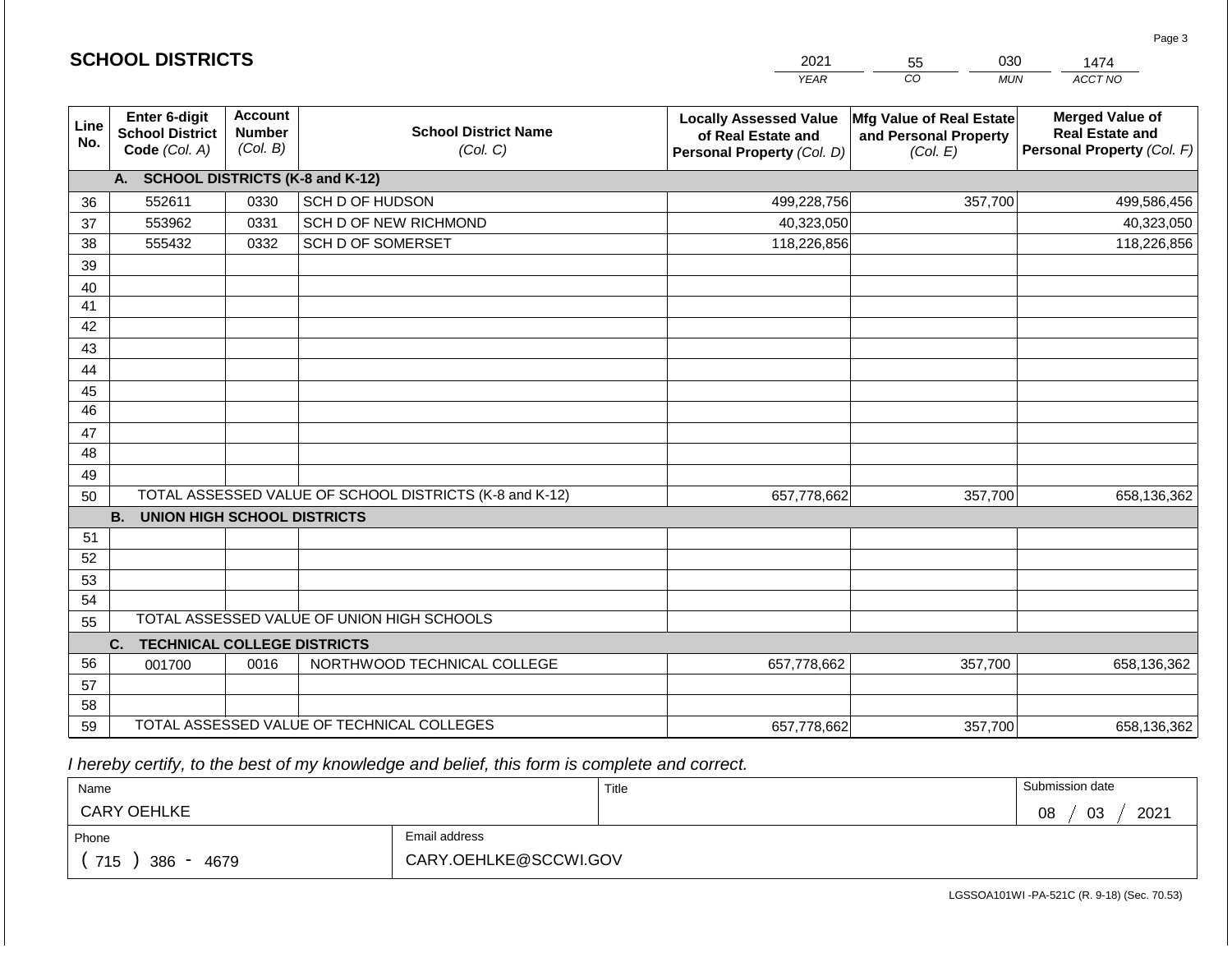|             | <b>SCHOOL DISTRICTS</b>                                  |                                             |                                                         | 2021                                                                              | 030<br>55                                                     | 1474                                                                           |
|-------------|----------------------------------------------------------|---------------------------------------------|---------------------------------------------------------|-----------------------------------------------------------------------------------|---------------------------------------------------------------|--------------------------------------------------------------------------------|
|             |                                                          |                                             |                                                         | <b>YEAR</b>                                                                       | CO<br><b>MUN</b>                                              | ACCT NO                                                                        |
| Line<br>No. | Enter 6-digit<br><b>School District</b><br>Code (Col. A) | <b>Account</b><br><b>Number</b><br>(Col. B) | <b>School District Name</b><br>(Col. C)                 | <b>Locally Assessed Value</b><br>of Real Estate and<br>Personal Property (Col. D) | Mfg Value of Real Estate<br>and Personal Property<br>(Col. E) | <b>Merged Value of</b><br><b>Real Estate and</b><br>Personal Property (Col. F) |
|             | A. SCHOOL DISTRICTS (K-8 and K-12)                       |                                             |                                                         |                                                                                   |                                                               |                                                                                |
| 36          | 552611                                                   | 0330                                        | SCH D OF HUDSON                                         | 499,228,756                                                                       | 357,700                                                       | 499,586,456                                                                    |
| 37          | 553962                                                   | 0331                                        | SCH D OF NEW RICHMOND                                   | 40,323,050                                                                        |                                                               | 40,323,050                                                                     |
| 38          | 555432<br>0332<br><b>SCH D OF SOMERSET</b>               |                                             |                                                         | 118,226,856                                                                       |                                                               | 118,226,856                                                                    |
| 39          |                                                          |                                             |                                                         |                                                                                   |                                                               |                                                                                |
| 40          |                                                          |                                             |                                                         |                                                                                   |                                                               |                                                                                |
| 41          |                                                          |                                             |                                                         |                                                                                   |                                                               |                                                                                |
| 42          |                                                          |                                             |                                                         |                                                                                   |                                                               |                                                                                |
| 43          |                                                          |                                             |                                                         |                                                                                   |                                                               |                                                                                |
| 44          |                                                          |                                             |                                                         |                                                                                   |                                                               |                                                                                |
| 45          |                                                          |                                             |                                                         |                                                                                   |                                                               |                                                                                |
| 46          |                                                          |                                             |                                                         |                                                                                   |                                                               |                                                                                |
| 47          |                                                          |                                             |                                                         |                                                                                   |                                                               |                                                                                |
| 48          |                                                          |                                             |                                                         |                                                                                   |                                                               |                                                                                |
| 49          |                                                          |                                             |                                                         |                                                                                   |                                                               |                                                                                |
| 50          |                                                          |                                             | TOTAL ASSESSED VALUE OF SCHOOL DISTRICTS (K-8 and K-12) | 657,778,662                                                                       | 357,700                                                       | 658,136,362                                                                    |
|             | <b>B. UNION HIGH SCHOOL DISTRICTS</b>                    |                                             |                                                         |                                                                                   |                                                               |                                                                                |
| 51          |                                                          |                                             |                                                         |                                                                                   |                                                               |                                                                                |
| 52          |                                                          |                                             |                                                         |                                                                                   |                                                               |                                                                                |
| 53<br>54    |                                                          |                                             |                                                         |                                                                                   |                                                               |                                                                                |
|             |                                                          |                                             | TOTAL ASSESSED VALUE OF UNION HIGH SCHOOLS              |                                                                                   |                                                               |                                                                                |
| 55          |                                                          |                                             |                                                         |                                                                                   |                                                               |                                                                                |
| 56          | C.<br><b>TECHNICAL COLLEGE DISTRICTS</b>                 |                                             |                                                         |                                                                                   |                                                               |                                                                                |
|             | 001700                                                   | 0016                                        | NORTHWOOD TECHNICAL COLLEGE                             | 657,778,662                                                                       | 357,700                                                       | 658,136,362                                                                    |
| 57<br>58    |                                                          |                                             |                                                         |                                                                                   |                                                               |                                                                                |
| 59          |                                                          |                                             | TOTAL ASSESSED VALUE OF TECHNICAL COLLEGES              | 657,778,662                                                                       | 357,700                                                       | 658,136,362                                                                    |

 *I hereby certify, to the best of my knowledge and belief, this form is complete and correct.*

| Name                                           |                       | Title | Submission date  |
|------------------------------------------------|-----------------------|-------|------------------|
| <b>CARY OEHLKE</b>                             |                       |       | 03<br>2021<br>08 |
| Phone                                          | Email address         |       |                  |
| 715<br>386<br>4679<br>$\overline{\phantom{0}}$ | CARY.OEHLKE@SCCWI.GOV |       |                  |

Page 3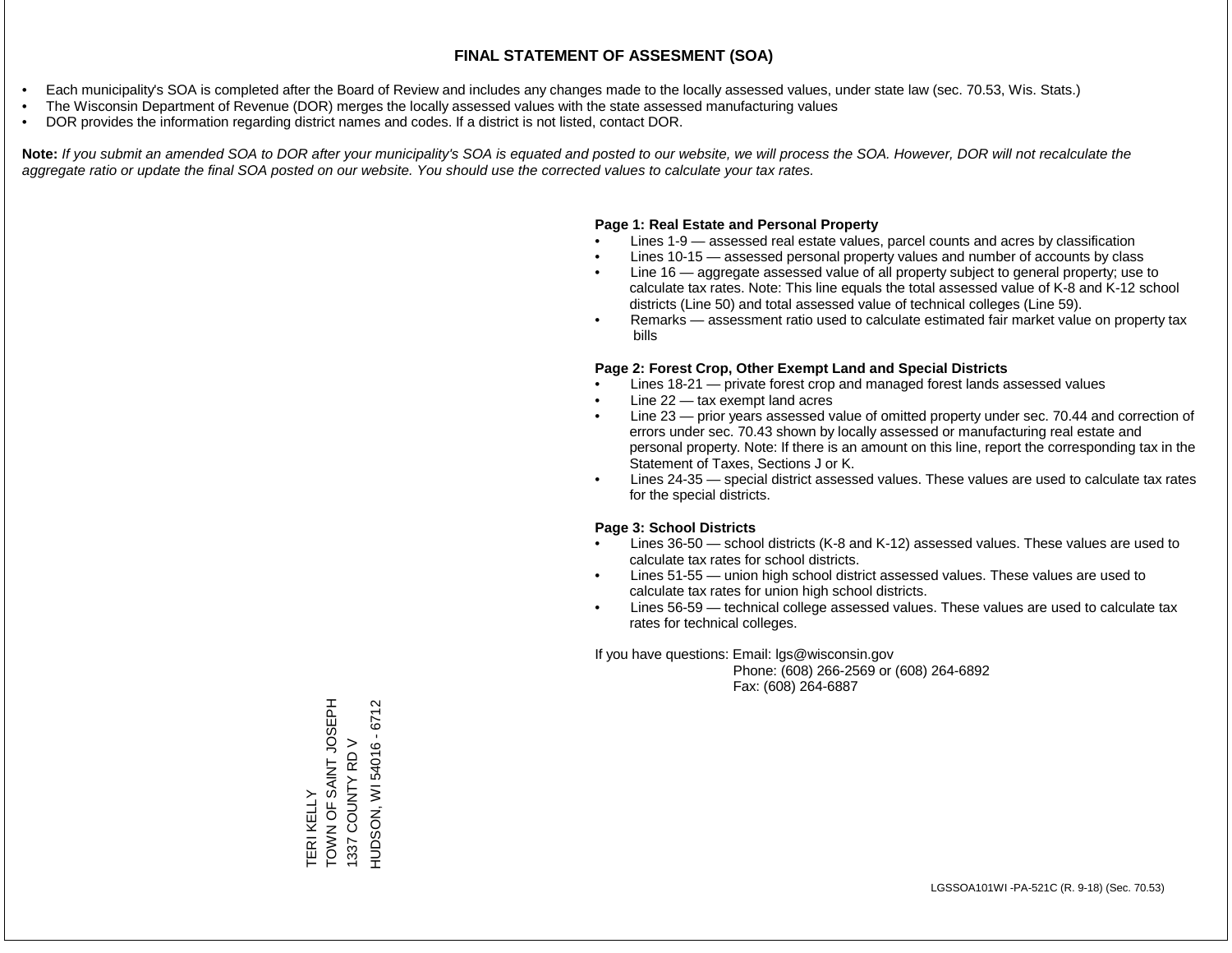- Each municipality's SOA is completed after the Board of Review and includes any changes made to the locally assessed values, under state law (sec. 70.53, Wis. Stats.)
- The Wisconsin Department of Revenue (DOR) merges the locally assessed values with the state assessed manufacturing values
- DOR provides the information regarding district names and codes. If a district is not listed, contact DOR.

Note: If you submit an amended SOA to DOR after your municipality's SOA is equated and posted to our website, we will process the SOA. However, DOR will not recalculate the *aggregate ratio or update the final SOA posted on our website. You should use the corrected values to calculate your tax rates.*

#### **Page 1: Real Estate and Personal Property**

- Lines 1-9 assessed real estate values, parcel counts and acres by classification
- Lines 10-15 assessed personal property values and number of accounts by class
- Line 16 aggregate assessed value of all property subject to general property; use to calculate tax rates. Note: This line equals the total assessed value of K-8 and K-12 school districts (Line 50) and total assessed value of technical colleges (Line 59).
- Remarks assessment ratio used to calculate estimated fair market value on property tax bills

#### **Page 2: Forest Crop, Other Exempt Land and Special Districts**

- Lines 18-21 private forest crop and managed forest lands assessed values
- Line  $22 -$  tax exempt land acres
- Line 23 prior years assessed value of omitted property under sec. 70.44 and correction of errors under sec. 70.43 shown by locally assessed or manufacturing real estate and personal property. Note: If there is an amount on this line, report the corresponding tax in the Statement of Taxes, Sections J or K.
- Lines 24-35 special district assessed values. These values are used to calculate tax rates for the special districts.

#### **Page 3: School Districts**

- Lines 36-50 school districts (K-8 and K-12) assessed values. These values are used to calculate tax rates for school districts.
- Lines 51-55 union high school district assessed values. These values are used to calculate tax rates for union high school districts.
- Lines 56-59 technical college assessed values. These values are used to calculate tax rates for technical colleges.

If you have questions: Email: lgs@wisconsin.gov

 Phone: (608) 266-2569 or (608) 264-6892 Fax: (608) 264-6887

TERI KELLY<br>TOWN OF SAINT JOSEPH<br>1337 COUNTY RD V HALSOT LNIVS LO NNOL HUDSON, WI 54016 - 6712 HUDSON, WI 54016 - 67121337 COUNTY RD V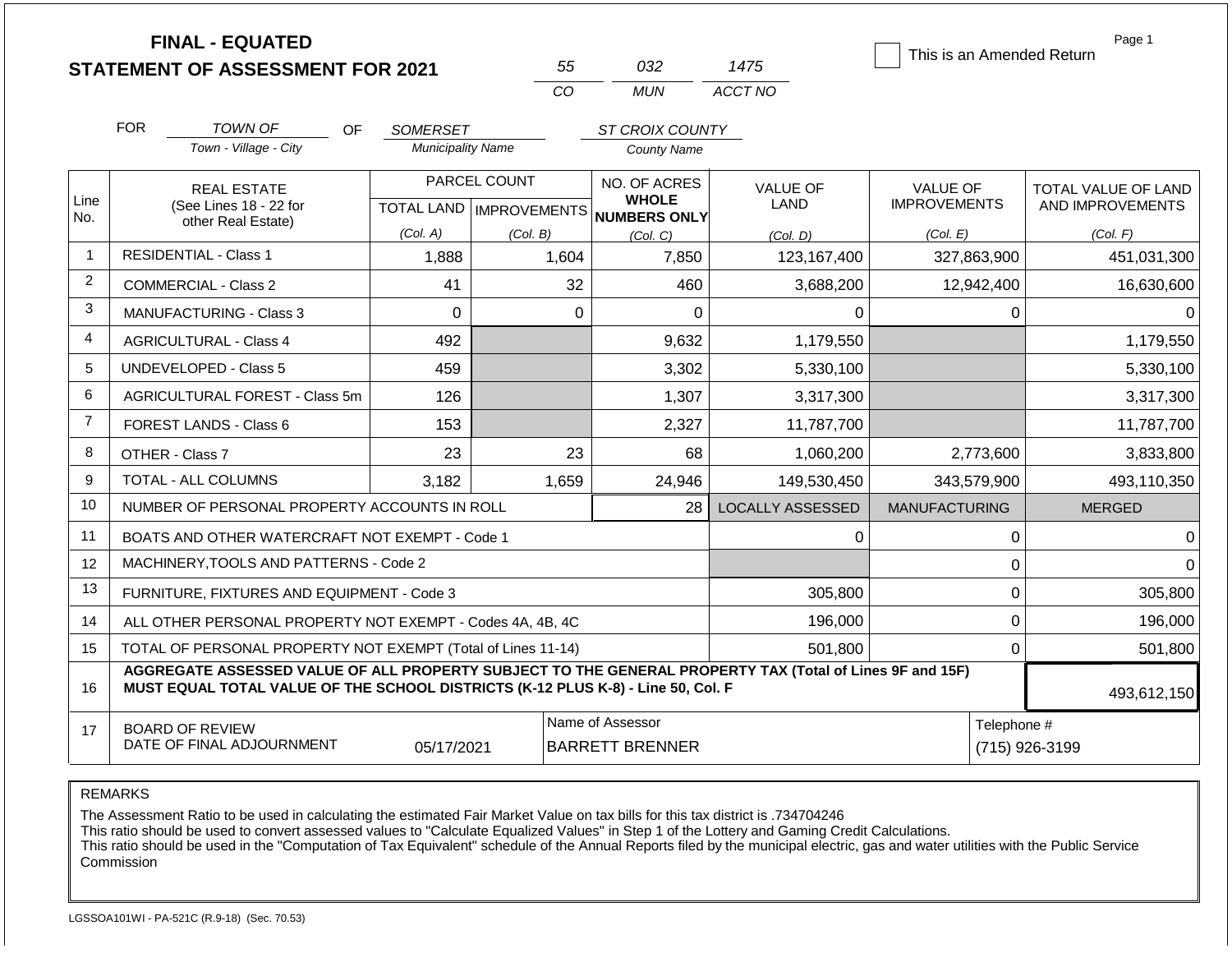|                |                                                                                  | <b>FINAL - EQUATED</b><br><b>STATEMENT OF ASSESSMENT FOR 2021</b>                                        |                          | 55           | 032                                                  | 1475                    | This is an Amended Return | Page 1                        |  |
|----------------|----------------------------------------------------------------------------------|----------------------------------------------------------------------------------------------------------|--------------------------|--------------|------------------------------------------------------|-------------------------|---------------------------|-------------------------------|--|
|                |                                                                                  |                                                                                                          |                          | CO           | <b>MUN</b>                                           | ACCT NO                 |                           |                               |  |
|                | <b>FOR</b>                                                                       | <b>TOWN OF</b><br>OF.                                                                                    | <b>SOMERSET</b>          |              | ST CROIX COUNTY                                      |                         |                           |                               |  |
|                |                                                                                  | Town - Village - City                                                                                    | <b>Municipality Name</b> |              | <b>County Name</b>                                   |                         |                           |                               |  |
|                |                                                                                  | <b>REAL ESTATE</b>                                                                                       |                          | PARCEL COUNT | NO. OF ACRES                                         | <b>VALUE OF</b>         | <b>VALUE OF</b>           | TOTAL VALUE OF LAND           |  |
| Line<br>No.    |                                                                                  | (See Lines 18 - 22 for<br>other Real Estate)                                                             |                          |              | <b>WHOLE</b><br>TOTAL LAND IMPROVEMENTS NUMBERS ONLY | LAND                    | <b>IMPROVEMENTS</b>       | AND IMPROVEMENTS              |  |
|                |                                                                                  |                                                                                                          | (Col. A)                 | (Col. B)     | (Col. C)                                             | (Col, D)                | (Col. E)                  | (Col. F)                      |  |
| $\mathbf{1}$   |                                                                                  | <b>RESIDENTIAL - Class 1</b>                                                                             | 1,888                    | 1,604        | 7,850                                                | 123,167,400             | 327,863,900               | 451,031,300                   |  |
| $\overline{2}$ |                                                                                  | <b>COMMERCIAL - Class 2</b>                                                                              | 41                       | 32           | 460                                                  | 3,688,200               | 12,942,400                | 16,630,600                    |  |
| 3              |                                                                                  | MANUFACTURING - Class 3                                                                                  | $\mathbf 0$              | $\mathbf 0$  | $\mathbf 0$                                          | 0                       | 0                         | 0                             |  |
| $\overline{4}$ |                                                                                  | <b>AGRICULTURAL - Class 4</b>                                                                            | 492                      |              | 9,632                                                | 1,179,550               |                           | 1,179,550                     |  |
| 5              |                                                                                  | <b>UNDEVELOPED - Class 5</b>                                                                             | 459                      |              | 3,302                                                | 5,330,100               |                           | 5,330,100                     |  |
| 6              |                                                                                  | AGRICULTURAL FOREST - Class 5m                                                                           | 126                      |              | 1,307                                                | 3,317,300               |                           | 3,317,300                     |  |
| $\overline{7}$ |                                                                                  | <b>FOREST LANDS - Class 6</b>                                                                            | 153                      |              | 2,327                                                | 11,787,700              |                           | 11,787,700                    |  |
| 8              |                                                                                  | OTHER - Class 7                                                                                          | 23                       | 23           | 68                                                   | 1,060,200               | 2,773,600                 | 3,833,800                     |  |
| 9              |                                                                                  | <b>TOTAL - ALL COLUMNS</b>                                                                               | 3,182                    | 1,659        | 24,946                                               | 149,530,450             | 343,579,900               | 493,110,350                   |  |
| 10             |                                                                                  | NUMBER OF PERSONAL PROPERTY ACCOUNTS IN ROLL                                                             |                          |              | 28                                                   | <b>LOCALLY ASSESSED</b> | <b>MANUFACTURING</b>      | <b>MERGED</b>                 |  |
| 11             |                                                                                  | BOATS AND OTHER WATERCRAFT NOT EXEMPT - Code 1                                                           |                          |              |                                                      | 0                       | $\pmb{0}$                 | 0                             |  |
| 12             |                                                                                  | MACHINERY, TOOLS AND PATTERNS - Code 2                                                                   |                          |              |                                                      |                         | $\pmb{0}$                 | $\Omega$                      |  |
| 13             |                                                                                  | FURNITURE, FIXTURES AND EQUIPMENT - Code 3                                                               |                          |              |                                                      | 305,800                 | $\mathbf 0$               | 305,800                       |  |
| 14             |                                                                                  | ALL OTHER PERSONAL PROPERTY NOT EXEMPT - Codes 4A, 4B, 4C                                                |                          |              |                                                      | 196,000                 | $\mathbf 0$               | 196,000                       |  |
| 15             |                                                                                  | TOTAL OF PERSONAL PROPERTY NOT EXEMPT (Total of Lines 11-14)                                             |                          |              |                                                      | 501,800                 | $\mathbf 0$               | 501,800                       |  |
| 16             | MUST EQUAL TOTAL VALUE OF THE SCHOOL DISTRICTS (K-12 PLUS K-8) - Line 50, Col. F | AGGREGATE ASSESSED VALUE OF ALL PROPERTY SUBJECT TO THE GENERAL PROPERTY TAX (Total of Lines 9F and 15F) | 493,612,150              |              |                                                      |                         |                           |                               |  |
| 17             |                                                                                  | <b>BOARD OF REVIEW</b><br>DATE OF FINAL ADJOURNMENT                                                      | 05/17/2021               |              | Name of Assessor<br><b>BARRETT BRENNER</b>           |                         |                           | Telephone #<br>(715) 926-3199 |  |

REMARKS

The Assessment Ratio to be used in calculating the estimated Fair Market Value on tax bills for this tax district is .734704246

This ratio should be used to convert assessed values to "Calculate Equalized Values" in Step 1 of the Lottery and Gaming Credit Calculations.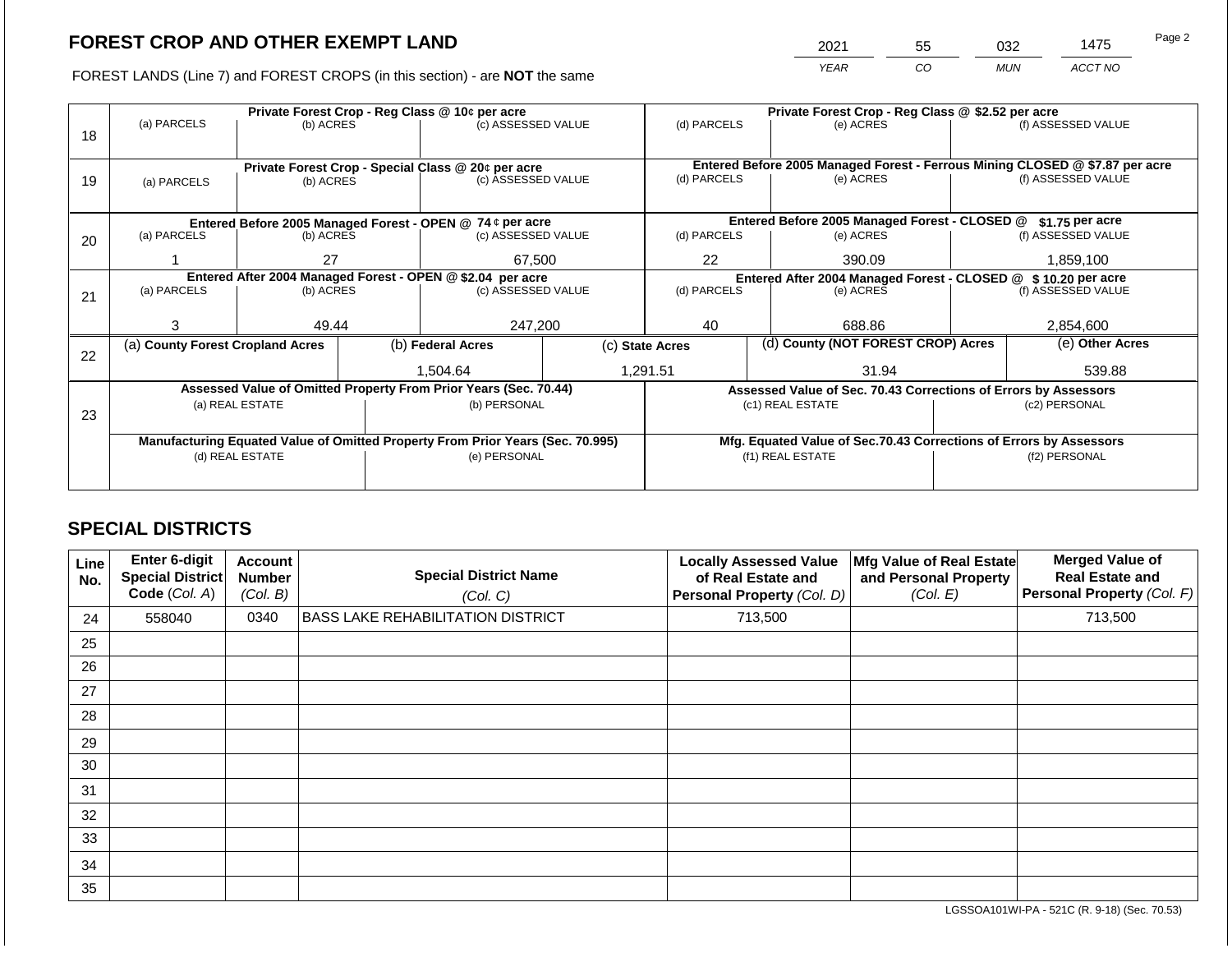2021 55 032 1475

FOREST LANDS (Line 7) and FOREST CROPS (in this section) - are **NOT** the same *YEAR CO MUN ACCT NO*

|    |                                  |                                                            |                                                           | Private Forest Crop - Reg Class @ 10¢ per acre                                 |                  | Private Forest Crop - Reg Class @ \$2.52 per acre                                           |                                                                |                                                                    |                  |                    |  |
|----|----------------------------------|------------------------------------------------------------|-----------------------------------------------------------|--------------------------------------------------------------------------------|------------------|---------------------------------------------------------------------------------------------|----------------------------------------------------------------|--------------------------------------------------------------------|------------------|--------------------|--|
|    | (a) PARCELS                      | (b) ACRES                                                  |                                                           | (c) ASSESSED VALUE                                                             |                  | (d) PARCELS                                                                                 |                                                                | (e) ACRES                                                          |                  | (f) ASSESSED VALUE |  |
| 18 |                                  |                                                            |                                                           |                                                                                |                  |                                                                                             |                                                                |                                                                    |                  |                    |  |
|    |                                  |                                                            |                                                           |                                                                                |                  |                                                                                             |                                                                |                                                                    |                  |                    |  |
|    |                                  |                                                            |                                                           | Private Forest Crop - Special Class @ 20¢ per acre<br>(c) ASSESSED VALUE       |                  | Entered Before 2005 Managed Forest - Ferrous Mining CLOSED @ \$7.87 per acre<br>(d) PARCELS |                                                                |                                                                    |                  | (f) ASSESSED VALUE |  |
| 19 | (a) PARCELS                      | (b) ACRES                                                  |                                                           |                                                                                |                  |                                                                                             |                                                                | (e) ACRES                                                          |                  |                    |  |
|    |                                  |                                                            |                                                           |                                                                                |                  |                                                                                             |                                                                |                                                                    |                  |                    |  |
|    |                                  |                                                            | Entered Before 2005 Managed Forest - OPEN @ 74 ¢ per acre |                                                                                |                  |                                                                                             | Entered Before 2005 Managed Forest - CLOSED @                  |                                                                    | $$1.75$ per acre |                    |  |
| 20 | (a) PARCELS                      | (b) ACRES                                                  |                                                           | (c) ASSESSED VALUE                                                             |                  | (d) PARCELS                                                                                 |                                                                | (e) ACRES                                                          |                  | (f) ASSESSED VALUE |  |
|    |                                  |                                                            |                                                           |                                                                                |                  |                                                                                             |                                                                |                                                                    |                  |                    |  |
|    |                                  | 27                                                         |                                                           | 67,500                                                                         |                  | 22<br>390.09                                                                                |                                                                |                                                                    |                  | 1,859,100          |  |
|    |                                  | Entered After 2004 Managed Forest - OPEN @ \$2.04 per acre |                                                           |                                                                                |                  |                                                                                             | Entered After 2004 Managed Forest - CLOSED @ \$ 10.20 per acre |                                                                    |                  |                    |  |
| 21 | (a) PARCELS                      | (b) ACRES                                                  |                                                           | (c) ASSESSED VALUE                                                             |                  | (d) PARCELS                                                                                 |                                                                | (e) ACRES                                                          |                  | (f) ASSESSED VALUE |  |
|    |                                  |                                                            |                                                           |                                                                                |                  |                                                                                             |                                                                |                                                                    |                  |                    |  |
|    | 3                                | 49.44                                                      |                                                           | 247,200                                                                        |                  | 40                                                                                          |                                                                | 688.86                                                             |                  | 2,854,600          |  |
|    | (a) County Forest Cropland Acres |                                                            |                                                           | (b) Federal Acres                                                              |                  | (c) State Acres                                                                             |                                                                | (d) County (NOT FOREST CROP) Acres                                 |                  | (e) Other Acres    |  |
| 22 |                                  |                                                            |                                                           |                                                                                |                  |                                                                                             |                                                                |                                                                    |                  |                    |  |
|    |                                  |                                                            |                                                           | 1,504.64                                                                       |                  | 1,291.51                                                                                    |                                                                | 31.94                                                              |                  | 539.88             |  |
|    |                                  |                                                            |                                                           | Assessed Value of Omitted Property From Prior Years (Sec. 70.44)               |                  |                                                                                             |                                                                | Assessed Value of Sec. 70.43 Corrections of Errors by Assessors    |                  |                    |  |
|    |                                  | (a) REAL ESTATE                                            |                                                           | (b) PERSONAL                                                                   |                  |                                                                                             |                                                                | (c1) REAL ESTATE                                                   |                  | (c2) PERSONAL      |  |
| 23 |                                  |                                                            |                                                           |                                                                                |                  |                                                                                             |                                                                |                                                                    |                  |                    |  |
|    |                                  |                                                            |                                                           | Manufacturing Equated Value of Omitted Property From Prior Years (Sec. 70.995) |                  |                                                                                             |                                                                | Mfg. Equated Value of Sec.70.43 Corrections of Errors by Assessors |                  |                    |  |
|    | (d) REAL ESTATE                  |                                                            | (e) PERSONAL                                              |                                                                                | (f1) REAL ESTATE |                                                                                             |                                                                | (f2) PERSONAL                                                      |                  |                    |  |
|    |                                  |                                                            |                                                           |                                                                                |                  |                                                                                             |                                                                |                                                                    |                  |                    |  |
|    |                                  |                                                            |                                                           |                                                                                |                  |                                                                                             |                                                                |                                                                    |                  |                    |  |

## **SPECIAL DISTRICTS**

| Line<br>No. | Enter 6-digit<br><b>Special District</b><br>Code (Col. A) | Account<br><b>Number</b><br>(Col. B) | <b>Special District Name</b><br>(Col. C) | <b>Locally Assessed Value</b><br>of Real Estate and<br>Personal Property (Col. D) | Mfg Value of Real Estate<br>and Personal Property<br>(Col. E) | <b>Merged Value of</b><br><b>Real Estate and</b><br>Personal Property (Col. F) |
|-------------|-----------------------------------------------------------|--------------------------------------|------------------------------------------|-----------------------------------------------------------------------------------|---------------------------------------------------------------|--------------------------------------------------------------------------------|
| 24          | 558040                                                    | 0340                                 | <b>BASS LAKE REHABILITATION DISTRICT</b> | 713,500                                                                           |                                                               | 713,500                                                                        |
| 25          |                                                           |                                      |                                          |                                                                                   |                                                               |                                                                                |
| 26          |                                                           |                                      |                                          |                                                                                   |                                                               |                                                                                |
| 27          |                                                           |                                      |                                          |                                                                                   |                                                               |                                                                                |
| 28          |                                                           |                                      |                                          |                                                                                   |                                                               |                                                                                |
| 29          |                                                           |                                      |                                          |                                                                                   |                                                               |                                                                                |
| 30          |                                                           |                                      |                                          |                                                                                   |                                                               |                                                                                |
| 31          |                                                           |                                      |                                          |                                                                                   |                                                               |                                                                                |
| 32          |                                                           |                                      |                                          |                                                                                   |                                                               |                                                                                |
| 33          |                                                           |                                      |                                          |                                                                                   |                                                               |                                                                                |
| 34          |                                                           |                                      |                                          |                                                                                   |                                                               |                                                                                |
| 35          |                                                           |                                      |                                          |                                                                                   |                                                               |                                                                                |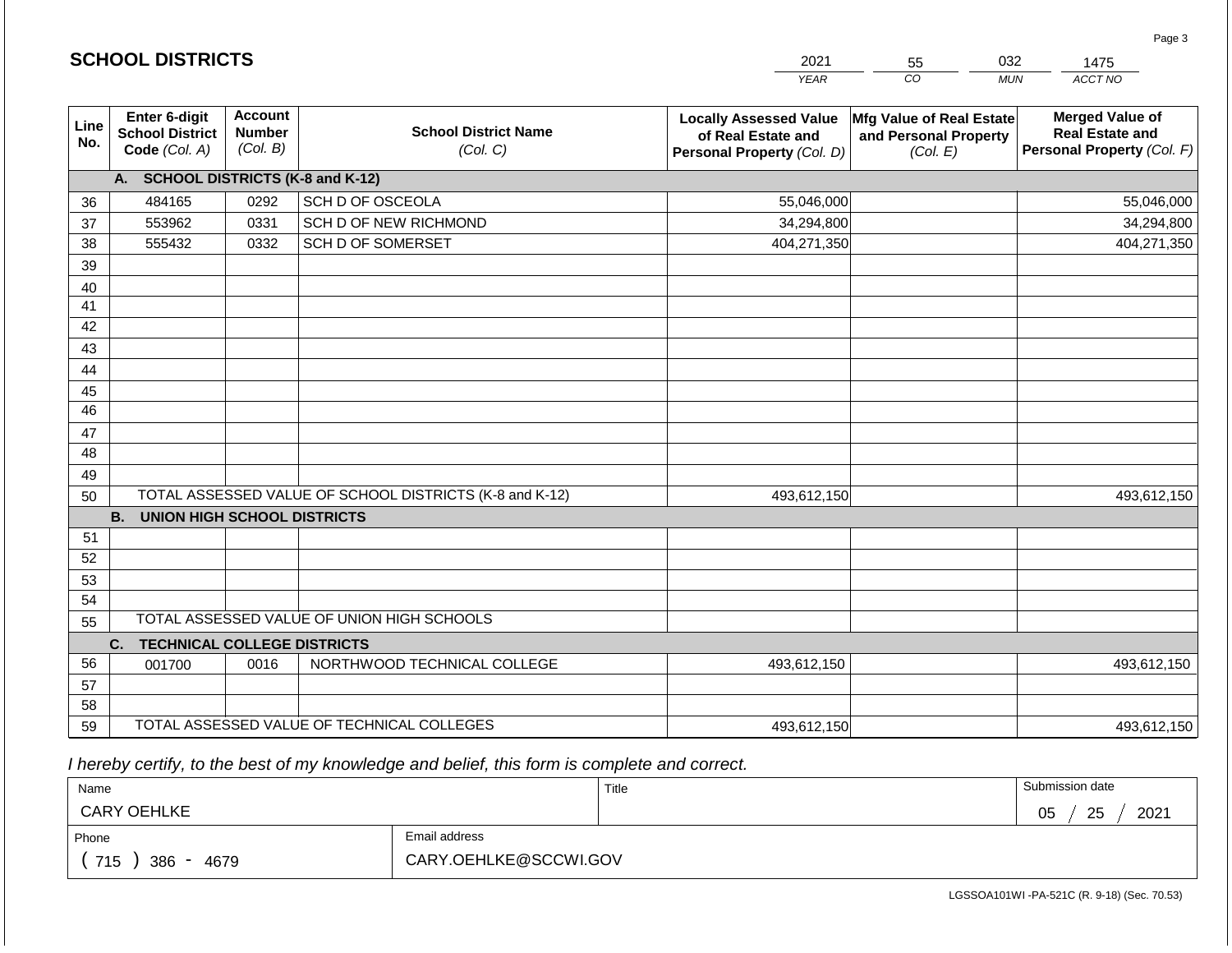|             | <b>SCHOOL DISTRICTS</b>                                  |                                             |                                                         | 2021                                                                              | 55                                                            | 032<br>1475                                                                    |
|-------------|----------------------------------------------------------|---------------------------------------------|---------------------------------------------------------|-----------------------------------------------------------------------------------|---------------------------------------------------------------|--------------------------------------------------------------------------------|
|             |                                                          |                                             |                                                         | <b>YEAR</b>                                                                       | CO                                                            | ACCT NO<br><b>MUN</b>                                                          |
| Line<br>No. | Enter 6-digit<br><b>School District</b><br>Code (Col. A) | <b>Account</b><br><b>Number</b><br>(Col. B) | <b>School District Name</b><br>(Col. C)                 | <b>Locally Assessed Value</b><br>of Real Estate and<br>Personal Property (Col. D) | Mfg Value of Real Estate<br>and Personal Property<br>(Col. E) | <b>Merged Value of</b><br><b>Real Estate and</b><br>Personal Property (Col. F) |
|             | A. SCHOOL DISTRICTS (K-8 and K-12)                       |                                             |                                                         |                                                                                   |                                                               |                                                                                |
| 36          | 484165                                                   | 0292                                        | SCH D OF OSCEOLA                                        | 55,046,000                                                                        |                                                               | 55,046,000                                                                     |
| 37          | 553962                                                   | 0331                                        | SCH D OF NEW RICHMOND                                   | 34,294,800                                                                        |                                                               | 34,294,800                                                                     |
| 38          | 555432                                                   | 0332                                        | <b>SCH D OF SOMERSET</b>                                | 404,271,350                                                                       |                                                               | 404,271,350                                                                    |
| 39          |                                                          |                                             |                                                         |                                                                                   |                                                               |                                                                                |
| 40          |                                                          |                                             |                                                         |                                                                                   |                                                               |                                                                                |
| 41          |                                                          |                                             |                                                         |                                                                                   |                                                               |                                                                                |
| 42          |                                                          |                                             |                                                         |                                                                                   |                                                               |                                                                                |
| 43          |                                                          |                                             |                                                         |                                                                                   |                                                               |                                                                                |
| 44          |                                                          |                                             |                                                         |                                                                                   |                                                               |                                                                                |
| 45          |                                                          |                                             |                                                         |                                                                                   |                                                               |                                                                                |
| 46          |                                                          |                                             |                                                         |                                                                                   |                                                               |                                                                                |
| 47          |                                                          |                                             |                                                         |                                                                                   |                                                               |                                                                                |
| 48          |                                                          |                                             |                                                         |                                                                                   |                                                               |                                                                                |
| 49          |                                                          |                                             | TOTAL ASSESSED VALUE OF SCHOOL DISTRICTS (K-8 and K-12) |                                                                                   |                                                               | 493,612,150                                                                    |
| 50          | <b>B. UNION HIGH SCHOOL DISTRICTS</b>                    |                                             |                                                         | 493,612,150                                                                       |                                                               |                                                                                |
| 51          |                                                          |                                             |                                                         |                                                                                   |                                                               |                                                                                |
| 52          |                                                          |                                             |                                                         |                                                                                   |                                                               |                                                                                |
| 53          |                                                          |                                             |                                                         |                                                                                   |                                                               |                                                                                |
| 54          |                                                          |                                             |                                                         |                                                                                   |                                                               |                                                                                |
| 55          |                                                          |                                             | TOTAL ASSESSED VALUE OF UNION HIGH SCHOOLS              |                                                                                   |                                                               |                                                                                |
|             | C.<br><b>TECHNICAL COLLEGE DISTRICTS</b>                 |                                             |                                                         |                                                                                   |                                                               |                                                                                |
| 56          | 001700                                                   | 0016                                        | NORTHWOOD TECHNICAL COLLEGE                             | 493,612,150                                                                       |                                                               | 493,612,150                                                                    |
| 57          |                                                          |                                             |                                                         |                                                                                   |                                                               |                                                                                |
| 58          |                                                          |                                             |                                                         |                                                                                   |                                                               |                                                                                |
| 59          |                                                          |                                             | TOTAL ASSESSED VALUE OF TECHNICAL COLLEGES              | 493,612,150                                                                       |                                                               | 493,612,150                                                                    |

 *I hereby certify, to the best of my knowledge and belief, this form is complete and correct.*

| Name                                           |                       | Title | Submission date  |
|------------------------------------------------|-----------------------|-------|------------------|
| <b>CARY OEHLKE</b>                             |                       |       | 2021<br>25<br>05 |
| Phone                                          | Email address         |       |                  |
| 715<br>386<br>4679<br>$\overline{\phantom{0}}$ | CARY.OEHLKE@SCCWI.GOV |       |                  |

LGSSOA101WI -PA-521C (R. 9-18) (Sec. 70.53)

Page 3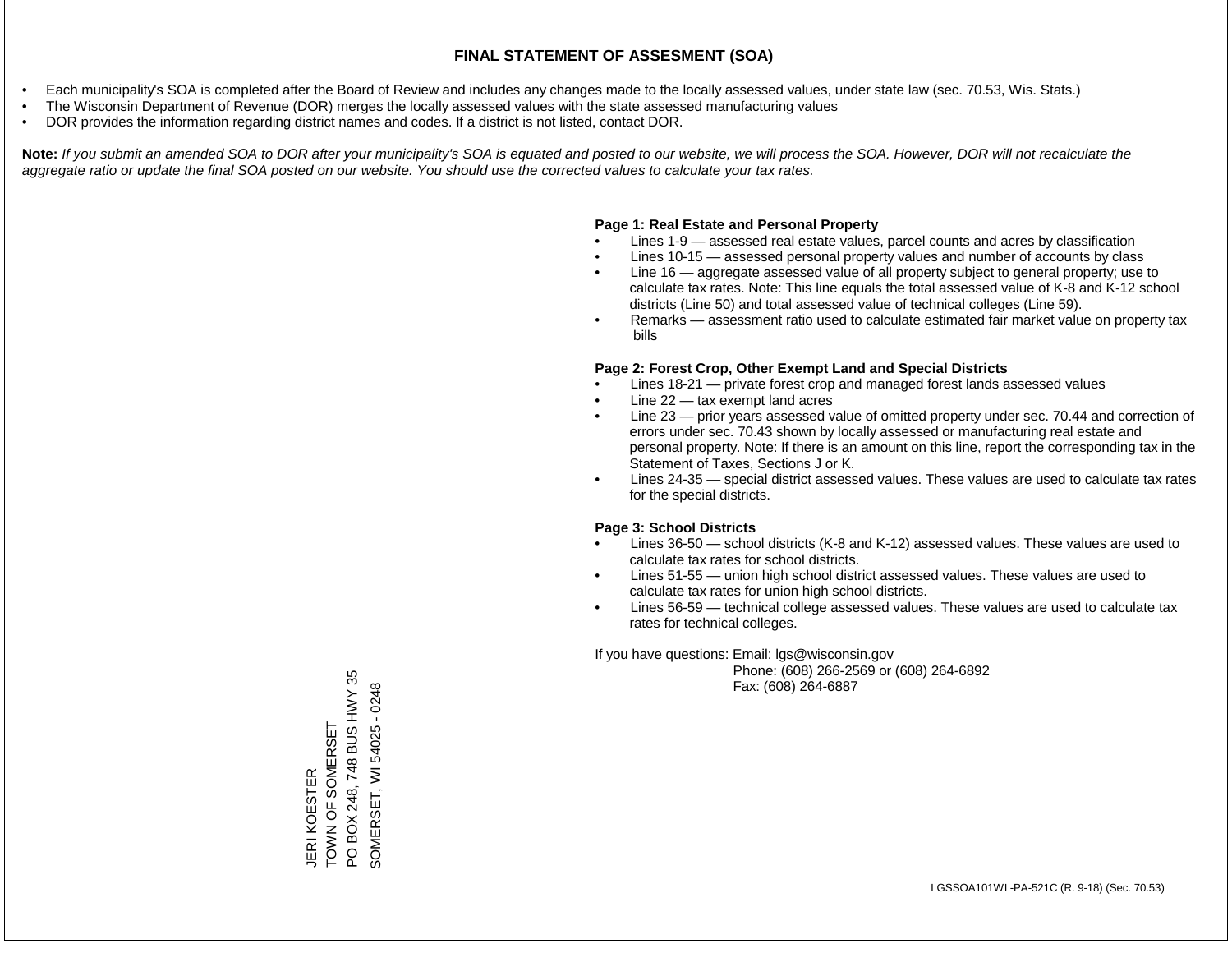- Each municipality's SOA is completed after the Board of Review and includes any changes made to the locally assessed values, under state law (sec. 70.53, Wis. Stats.)
- The Wisconsin Department of Revenue (DOR) merges the locally assessed values with the state assessed manufacturing values
- DOR provides the information regarding district names and codes. If a district is not listed, contact DOR.

Note: If you submit an amended SOA to DOR after your municipality's SOA is equated and posted to our website, we will process the SOA. However, DOR will not recalculate the *aggregate ratio or update the final SOA posted on our website. You should use the corrected values to calculate your tax rates.*

## **Page 1: Real Estate and Personal Property**

- Lines 1-9 assessed real estate values, parcel counts and acres by classification
- Lines 10-15 assessed personal property values and number of accounts by class
- Line 16 aggregate assessed value of all property subject to general property; use to calculate tax rates. Note: This line equals the total assessed value of K-8 and K-12 school districts (Line 50) and total assessed value of technical colleges (Line 59).
- Remarks assessment ratio used to calculate estimated fair market value on property tax bills

## **Page 2: Forest Crop, Other Exempt Land and Special Districts**

- Lines 18-21 private forest crop and managed forest lands assessed values
- Line  $22 -$  tax exempt land acres
- Line 23 prior years assessed value of omitted property under sec. 70.44 and correction of errors under sec. 70.43 shown by locally assessed or manufacturing real estate and personal property. Note: If there is an amount on this line, report the corresponding tax in the Statement of Taxes, Sections J or K.
- Lines 24-35 special district assessed values. These values are used to calculate tax rates for the special districts.

## **Page 3: School Districts**

- Lines 36-50 school districts (K-8 and K-12) assessed values. These values are used to calculate tax rates for school districts.
- Lines 51-55 union high school district assessed values. These values are used to calculate tax rates for union high school districts.
- Lines 56-59 technical college assessed values. These values are used to calculate tax rates for technical colleges.

If you have questions: Email: lgs@wisconsin.gov

 Phone: (608) 266-2569 or (608) 264-6892 Fax: (608) 264-6887

JERI KOESTER<br>TOWN OF SOMERSET<br>PO BOX 248, 748 BUS HWY 35 PO BOX 248, 748 BUS HWY 35 SOMERSET, WI 54025 - 0248 SOMERSET, WI 54025 - 0248TOWN OF SOMERSET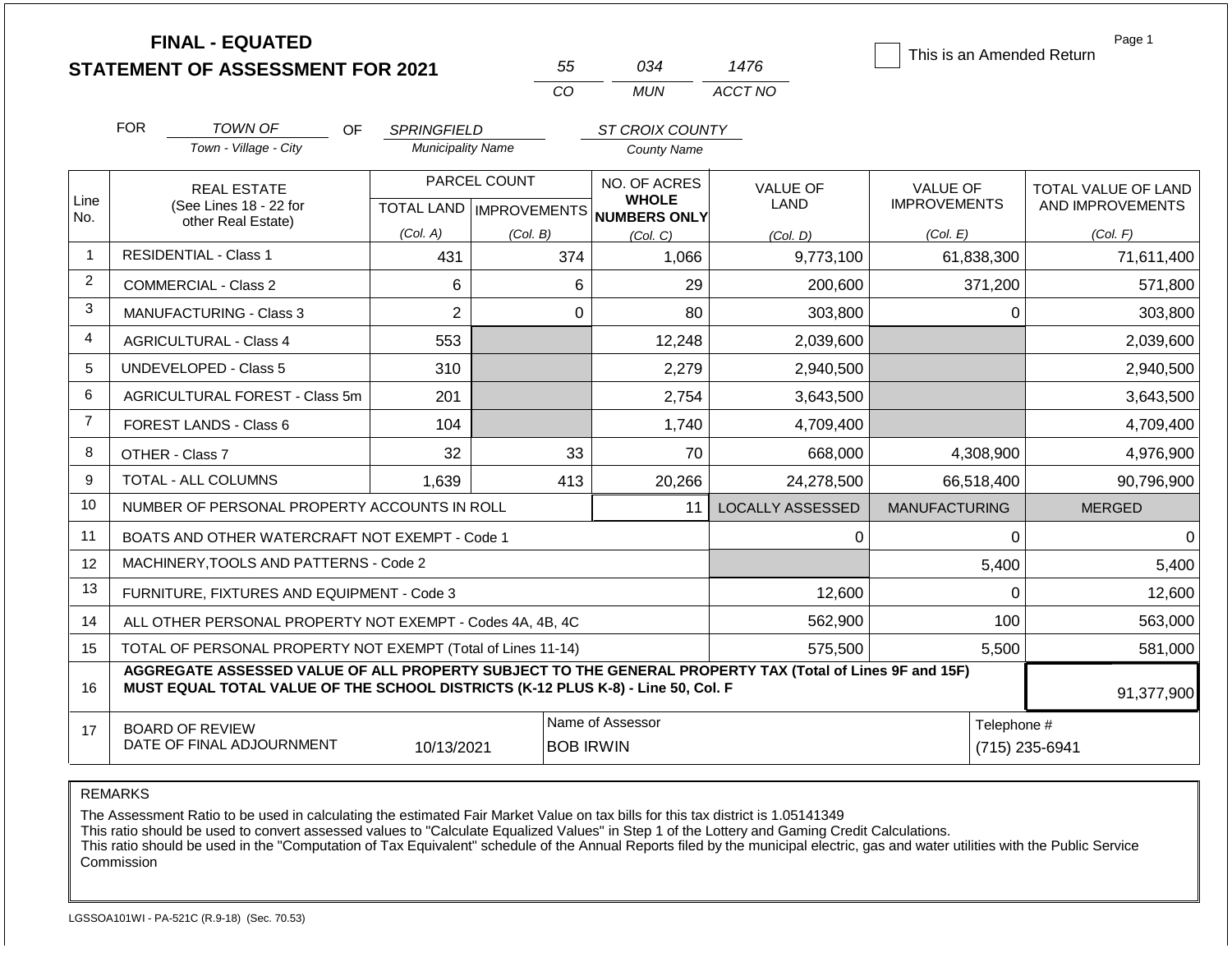| <b>FINAL - EQUATED</b><br><b>STATEMENT OF ASSESSMENT FOR 2021</b> |                                                                                                                                            |                                                                                                                                                                                              |                          | 55           | 034                                                 | 1476                    | This is an Amended Return | Page 1              |
|-------------------------------------------------------------------|--------------------------------------------------------------------------------------------------------------------------------------------|----------------------------------------------------------------------------------------------------------------------------------------------------------------------------------------------|--------------------------|--------------|-----------------------------------------------------|-------------------------|---------------------------|---------------------|
|                                                                   |                                                                                                                                            |                                                                                                                                                                                              |                          | CO           | <b>MUN</b>                                          | ACCT NO                 |                           |                     |
|                                                                   | <b>FOR</b>                                                                                                                                 | <b>TOWN OF</b><br>OF.                                                                                                                                                                        | <b>SPRINGFIELD</b>       |              | ST CROIX COUNTY                                     |                         |                           |                     |
|                                                                   |                                                                                                                                            | Town - Village - City                                                                                                                                                                        | <b>Municipality Name</b> |              | County Name                                         |                         |                           |                     |
|                                                                   |                                                                                                                                            | <b>REAL ESTATE</b>                                                                                                                                                                           |                          | PARCEL COUNT | NO. OF ACRES                                        | <b>VALUE OF</b>         | <b>VALUE OF</b>           | TOTAL VALUE OF LAND |
| Line<br>No.                                                       |                                                                                                                                            | (See Lines 18 - 22 for<br>other Real Estate)                                                                                                                                                 |                          |              | <b>WHOLE</b><br>TOTAL LAND MPROVEMENTS NUMBERS ONLY | <b>LAND</b>             | <b>IMPROVEMENTS</b>       | AND IMPROVEMENTS    |
|                                                                   |                                                                                                                                            |                                                                                                                                                                                              | (Col. A)                 | (Col. B)     | (Col. C)                                            | (Col. D)                | (Col. E)                  | (Col. F)            |
| $\mathbf{1}$                                                      |                                                                                                                                            | <b>RESIDENTIAL - Class 1</b>                                                                                                                                                                 | 431                      | 374          | 1,066                                               | 9,773,100               | 61,838,300                | 71,611,400          |
| $\overline{2}$                                                    |                                                                                                                                            | <b>COMMERCIAL - Class 2</b>                                                                                                                                                                  | 6                        |              | 6<br>29                                             | 200,600                 | 371,200                   | 571,800             |
| 3                                                                 |                                                                                                                                            | $\overline{2}$<br>$\overline{0}$<br>MANUFACTURING - Class 3<br>80                                                                                                                            |                          | 303,800      | 0                                                   | 303,800                 |                           |                     |
| 4                                                                 | 553<br><b>AGRICULTURAL - Class 4</b>                                                                                                       |                                                                                                                                                                                              | 12,248                   | 2,039,600    |                                                     | 2,039,600               |                           |                     |
| 5                                                                 |                                                                                                                                            | UNDEVELOPED - Class 5                                                                                                                                                                        | 310                      |              | 2,279                                               | 2,940,500               |                           | 2,940,500           |
| 6                                                                 |                                                                                                                                            | <b>AGRICULTURAL FOREST - Class 5m</b>                                                                                                                                                        | 201                      |              | 2,754                                               | 3,643,500               |                           | 3,643,500           |
| $\overline{7}$                                                    |                                                                                                                                            | FOREST LANDS - Class 6                                                                                                                                                                       | 104                      |              | 1,740                                               | 4,709,400               |                           | 4,709,400           |
| 8                                                                 |                                                                                                                                            | OTHER - Class 7                                                                                                                                                                              | 32                       |              | 33<br>70                                            | 668,000                 | 4,308,900                 | 4,976,900           |
| 9                                                                 |                                                                                                                                            | <b>TOTAL - ALL COLUMNS</b>                                                                                                                                                                   | 1.639                    | 413          | 20,266                                              | 24,278,500              | 66,518,400                | 90,796,900          |
| 10                                                                |                                                                                                                                            | NUMBER OF PERSONAL PROPERTY ACCOUNTS IN ROLL                                                                                                                                                 |                          |              | 11                                                  | <b>LOCALLY ASSESSED</b> | <b>MANUFACTURING</b>      | <b>MERGED</b>       |
| 11                                                                |                                                                                                                                            | BOATS AND OTHER WATERCRAFT NOT EXEMPT - Code 1                                                                                                                                               |                          |              |                                                     | 0                       | 0                         | $\Omega$            |
| 12                                                                |                                                                                                                                            | MACHINERY, TOOLS AND PATTERNS - Code 2                                                                                                                                                       |                          |              |                                                     |                         | 5,400                     | 5,400               |
| 13                                                                |                                                                                                                                            | FURNITURE, FIXTURES AND EQUIPMENT - Code 3                                                                                                                                                   |                          |              |                                                     | 12,600                  | $\Omega$                  | 12,600              |
| 14                                                                |                                                                                                                                            | ALL OTHER PERSONAL PROPERTY NOT EXEMPT - Codes 4A, 4B, 4C                                                                                                                                    |                          |              |                                                     | 562,900                 | 100                       | 563,000             |
| 15                                                                | TOTAL OF PERSONAL PROPERTY NOT EXEMPT (Total of Lines 11-14)                                                                               |                                                                                                                                                                                              |                          |              |                                                     | 575,500                 | 5,500                     | 581,000             |
| 16                                                                |                                                                                                                                            | AGGREGATE ASSESSED VALUE OF ALL PROPERTY SUBJECT TO THE GENERAL PROPERTY TAX (Total of Lines 9F and 15F)<br>MUST EQUAL TOTAL VALUE OF THE SCHOOL DISTRICTS (K-12 PLUS K-8) - Line 50, Col. F |                          |              |                                                     |                         |                           | 91,377,900          |
| 17                                                                | Name of Assessor<br>Telephone #<br><b>BOARD OF REVIEW</b><br>DATE OF FINAL ADJOURNMENT<br>10/13/2021<br><b>BOB IRWIN</b><br>(715) 235-6941 |                                                                                                                                                                                              |                          |              |                                                     |                         |                           |                     |

REMARKS

The Assessment Ratio to be used in calculating the estimated Fair Market Value on tax bills for this tax district is 1.05141349

This ratio should be used to convert assessed values to "Calculate Equalized Values" in Step 1 of the Lottery and Gaming Credit Calculations.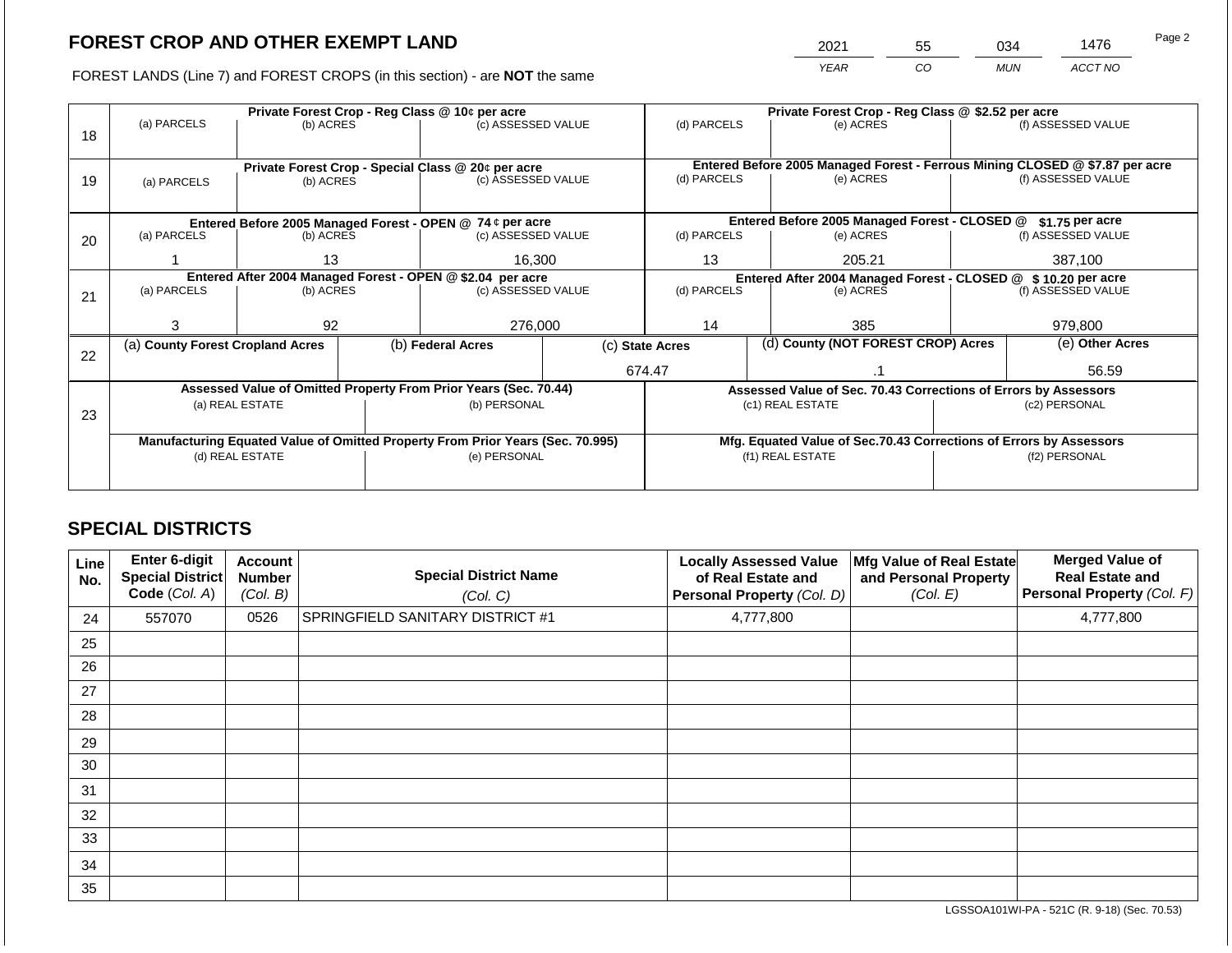2021 55 034 1476

FOREST LANDS (Line 7) and FOREST CROPS (in this section) - are **NOT** the same *YEAR CO MUN ACCT NO*

|    |                                                                                                                   |                 | Private Forest Crop - Reg Class @ 10¢ per acre                   |                  | Private Forest Crop - Reg Class @ \$2.52 per acre                  |        |                                                                              |                                                               |                    |  |
|----|-------------------------------------------------------------------------------------------------------------------|-----------------|------------------------------------------------------------------|------------------|--------------------------------------------------------------------|--------|------------------------------------------------------------------------------|---------------------------------------------------------------|--------------------|--|
|    | (a) PARCELS                                                                                                       | (b) ACRES       | (c) ASSESSED VALUE                                               |                  | (d) PARCELS                                                        |        | (e) ACRES                                                                    |                                                               | (f) ASSESSED VALUE |  |
| 18 |                                                                                                                   |                 |                                                                  |                  |                                                                    |        |                                                                              |                                                               |                    |  |
|    |                                                                                                                   |                 |                                                                  |                  |                                                                    |        |                                                                              |                                                               |                    |  |
|    |                                                                                                                   |                 | Private Forest Crop - Special Class @ 20¢ per acre               |                  |                                                                    |        | Entered Before 2005 Managed Forest - Ferrous Mining CLOSED @ \$7.87 per acre |                                                               |                    |  |
| 19 | (a) PARCELS                                                                                                       | (b) ACRES       | (c) ASSESSED VALUE                                               |                  | (d) PARCELS                                                        |        | (e) ACRES                                                                    |                                                               | (f) ASSESSED VALUE |  |
|    |                                                                                                                   |                 |                                                                  |                  |                                                                    |        |                                                                              |                                                               |                    |  |
|    |                                                                                                                   |                 | Entered Before 2005 Managed Forest - OPEN @ 74 ¢ per acre        |                  |                                                                    |        | Entered Before 2005 Managed Forest - CLOSED @                                |                                                               | \$1.75 per acre    |  |
| 20 | (a) PARCELS                                                                                                       | (b) ACRES       | (c) ASSESSED VALUE                                               |                  | (d) PARCELS                                                        |        | (e) ACRES                                                                    |                                                               | (f) ASSESSED VALUE |  |
|    |                                                                                                                   |                 |                                                                  |                  |                                                                    |        |                                                                              |                                                               |                    |  |
|    |                                                                                                                   | 13              | 16,300                                                           |                  | 13                                                                 | 205.21 |                                                                              | 387,100                                                       |                    |  |
|    |                                                                                                                   |                 | Entered After 2004 Managed Forest - OPEN @ \$2.04 per acre       |                  |                                                                    |        |                                                                              | Entered After 2004 Managed Forest - CLOSED @ \$10.20 per acre |                    |  |
| 21 | (a) PARCELS                                                                                                       | (b) ACRES       | (c) ASSESSED VALUE                                               |                  | (d) PARCELS<br>(e) ACRES                                           |        | (f) ASSESSED VALUE                                                           |                                                               |                    |  |
|    |                                                                                                                   |                 |                                                                  |                  |                                                                    |        |                                                                              |                                                               |                    |  |
|    | 3                                                                                                                 | 92              | 276,000                                                          |                  | 14<br>385                                                          |        |                                                                              |                                                               | 979.800            |  |
|    | (a) County Forest Cropland Acres                                                                                  |                 | (b) Federal Acres                                                | (c) State Acres  |                                                                    |        | (d) County (NOT FOREST CROP) Acres                                           |                                                               | (e) Other Acres    |  |
| 22 |                                                                                                                   |                 |                                                                  |                  |                                                                    |        |                                                                              |                                                               |                    |  |
|    |                                                                                                                   |                 |                                                                  |                  | 674.47                                                             |        |                                                                              |                                                               | 56.59              |  |
|    |                                                                                                                   |                 | Assessed Value of Omitted Property From Prior Years (Sec. 70.44) |                  |                                                                    |        | Assessed Value of Sec. 70.43 Corrections of Errors by Assessors              |                                                               |                    |  |
|    |                                                                                                                   | (a) REAL ESTATE | (b) PERSONAL                                                     |                  | (c1) REAL ESTATE                                                   |        | (c2) PERSONAL                                                                |                                                               |                    |  |
| 23 |                                                                                                                   |                 |                                                                  |                  |                                                                    |        |                                                                              |                                                               |                    |  |
|    |                                                                                                                   |                 |                                                                  |                  | Mfg. Equated Value of Sec.70.43 Corrections of Errors by Assessors |        |                                                                              |                                                               |                    |  |
|    | Manufacturing Equated Value of Omitted Property From Prior Years (Sec. 70.995)<br>(d) REAL ESTATE<br>(e) PERSONAL |                 |                                                                  | (f1) REAL ESTATE |                                                                    |        | (f2) PERSONAL                                                                |                                                               |                    |  |
|    |                                                                                                                   |                 |                                                                  |                  |                                                                    |        |                                                                              |                                                               |                    |  |
|    |                                                                                                                   |                 |                                                                  |                  |                                                                    |        |                                                                              |                                                               |                    |  |

## **SPECIAL DISTRICTS**

| Line<br>No. | Enter 6-digit<br><b>Special District</b><br>Code (Col. A) | Account<br><b>Number</b><br>(Col. B) | <b>Special District Name</b><br>(Col. C) | <b>Locally Assessed Value</b><br>of Real Estate and<br>Personal Property (Col. D) | Mfg Value of Real Estate<br>and Personal Property<br>(Col. E) | <b>Merged Value of</b><br><b>Real Estate and</b><br>Personal Property (Col. F) |
|-------------|-----------------------------------------------------------|--------------------------------------|------------------------------------------|-----------------------------------------------------------------------------------|---------------------------------------------------------------|--------------------------------------------------------------------------------|
| 24          | 557070                                                    | 0526                                 | <b>SPRINGFIELD SANITARY DISTRICT #1</b>  | 4,777,800                                                                         |                                                               | 4,777,800                                                                      |
| 25          |                                                           |                                      |                                          |                                                                                   |                                                               |                                                                                |
| 26          |                                                           |                                      |                                          |                                                                                   |                                                               |                                                                                |
| 27          |                                                           |                                      |                                          |                                                                                   |                                                               |                                                                                |
| 28          |                                                           |                                      |                                          |                                                                                   |                                                               |                                                                                |
| 29          |                                                           |                                      |                                          |                                                                                   |                                                               |                                                                                |
| 30          |                                                           |                                      |                                          |                                                                                   |                                                               |                                                                                |
| 31          |                                                           |                                      |                                          |                                                                                   |                                                               |                                                                                |
| 32          |                                                           |                                      |                                          |                                                                                   |                                                               |                                                                                |
| 33          |                                                           |                                      |                                          |                                                                                   |                                                               |                                                                                |
| 34          |                                                           |                                      |                                          |                                                                                   |                                                               |                                                                                |
| 35          |                                                           |                                      |                                          |                                                                                   |                                                               |                                                                                |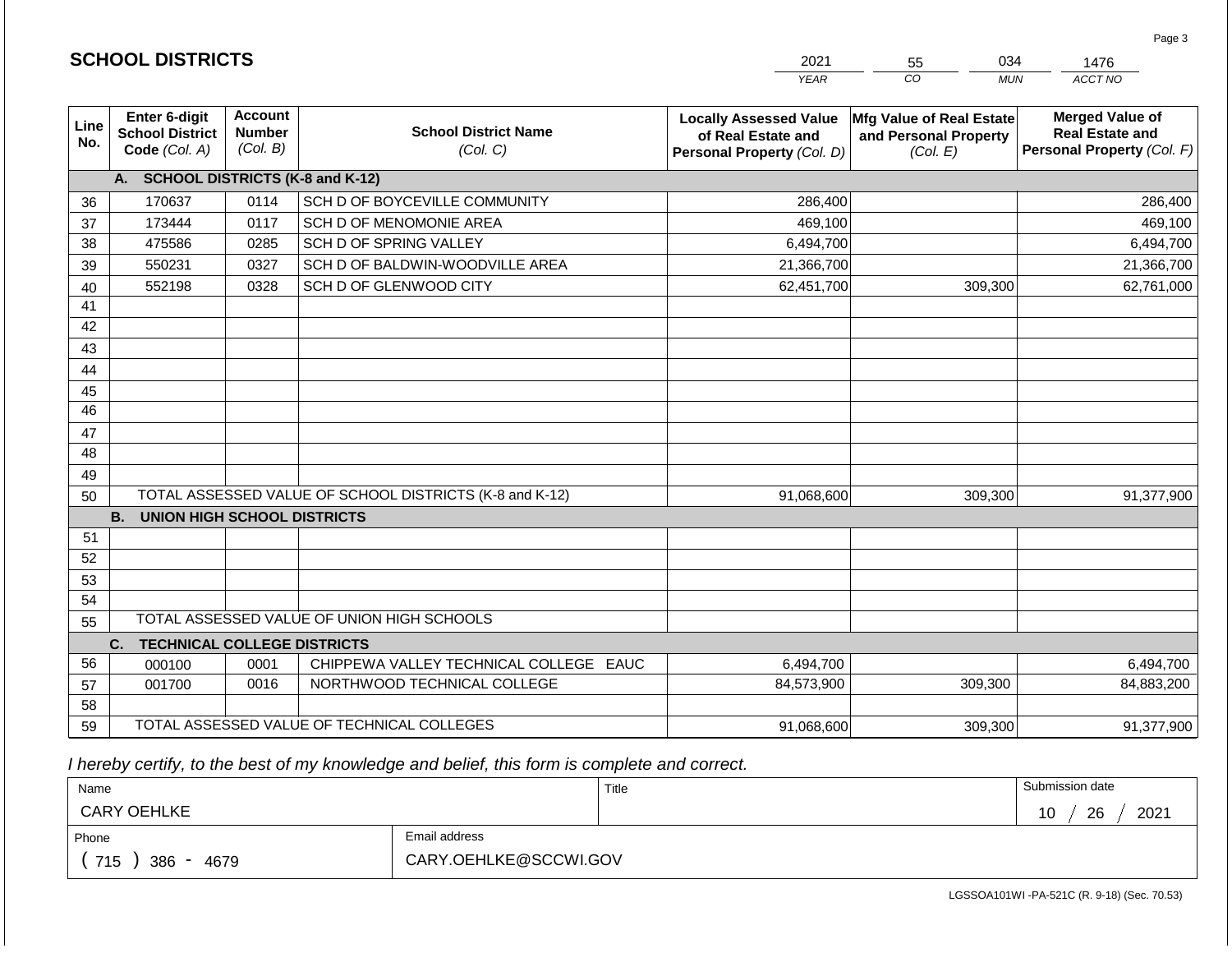|             |                                                          |                                             |                                                         | <b>YEAR</b>                                                                       | CO<br><b>MUN</b>                                              | ACCT NO                                                                        |
|-------------|----------------------------------------------------------|---------------------------------------------|---------------------------------------------------------|-----------------------------------------------------------------------------------|---------------------------------------------------------------|--------------------------------------------------------------------------------|
| Line<br>No. | Enter 6-digit<br><b>School District</b><br>Code (Col. A) | <b>Account</b><br><b>Number</b><br>(Col. B) | <b>School District Name</b><br>(Col. C)                 | <b>Locally Assessed Value</b><br>of Real Estate and<br>Personal Property (Col. D) | Mfg Value of Real Estate<br>and Personal Property<br>(Col. E) | <b>Merged Value of</b><br><b>Real Estate and</b><br>Personal Property (Col. F) |
|             | <b>SCHOOL DISTRICTS (K-8 and K-12)</b><br>A.             |                                             |                                                         |                                                                                   |                                                               |                                                                                |
| 36          | 170637                                                   | 0114                                        | SCH D OF BOYCEVILLE COMMUNITY                           | 286,400                                                                           |                                                               | 286,400                                                                        |
| 37          | 173444                                                   | 0117                                        | SCH D OF MENOMONIE AREA                                 | 469,100                                                                           |                                                               | 469,100                                                                        |
| 38          | 475586                                                   | 0285                                        | SCH D OF SPRING VALLEY                                  | 6,494,700                                                                         |                                                               | 6,494,700                                                                      |
| 39          | 550231                                                   | 0327                                        | SCH D OF BALDWIN-WOODVILLE AREA                         | 21,366,700                                                                        |                                                               | 21,366,700                                                                     |
| 40          | 552198                                                   | 0328                                        | SCH D OF GLENWOOD CITY                                  | 62,451,700                                                                        | 309,300                                                       | 62,761,000                                                                     |
| 41          |                                                          |                                             |                                                         |                                                                                   |                                                               |                                                                                |
| 42          |                                                          |                                             |                                                         |                                                                                   |                                                               |                                                                                |
| 43          |                                                          |                                             |                                                         |                                                                                   |                                                               |                                                                                |
| 44          |                                                          |                                             |                                                         |                                                                                   |                                                               |                                                                                |
| 45          |                                                          |                                             |                                                         |                                                                                   |                                                               |                                                                                |
| 46          |                                                          |                                             |                                                         |                                                                                   |                                                               |                                                                                |
| 47          |                                                          |                                             |                                                         |                                                                                   |                                                               |                                                                                |
| 48          |                                                          |                                             |                                                         |                                                                                   |                                                               |                                                                                |
| 49          |                                                          |                                             |                                                         |                                                                                   |                                                               |                                                                                |
| 50          |                                                          |                                             | TOTAL ASSESSED VALUE OF SCHOOL DISTRICTS (K-8 and K-12) | 91,068,600                                                                        | 309,300                                                       | 91,377,900                                                                     |
|             | <b>B.</b><br>UNION HIGH SCHOOL DISTRICTS                 |                                             |                                                         |                                                                                   |                                                               |                                                                                |
| 51          |                                                          |                                             |                                                         |                                                                                   |                                                               |                                                                                |
| 52          |                                                          |                                             |                                                         |                                                                                   |                                                               |                                                                                |
| 53          |                                                          |                                             |                                                         |                                                                                   |                                                               |                                                                                |
| 54          |                                                          |                                             |                                                         |                                                                                   |                                                               |                                                                                |
| 55          |                                                          |                                             | TOTAL ASSESSED VALUE OF UNION HIGH SCHOOLS              |                                                                                   |                                                               |                                                                                |
|             | <b>TECHNICAL COLLEGE DISTRICTS</b><br>C.                 |                                             |                                                         |                                                                                   |                                                               |                                                                                |
| 56          | 000100                                                   | 0001                                        | CHIPPEWA VALLEY TECHNICAL COLLEGE EAUC                  | 6,494,700                                                                         |                                                               | 6,494,700                                                                      |
| 57          | 001700                                                   | 0016                                        | NORTHWOOD TECHNICAL COLLEGE                             | 84,573,900                                                                        | 309,300                                                       | 84,883,200                                                                     |
| 58          |                                                          |                                             |                                                         |                                                                                   |                                                               |                                                                                |
| 59          |                                                          |                                             | TOTAL ASSESSED VALUE OF TECHNICAL COLLEGES              | 91,068,600                                                                        | 309,300                                                       | 91,377,900                                                                     |

2021

55

034

 *I hereby certify, to the best of my knowledge and belief, this form is complete and correct.*

**SCHOOL DISTRICTS**

| Name               |                       | Title<br>$\sim$ $\sim$ | Submission date  |
|--------------------|-----------------------|------------------------|------------------|
| <b>CARY OEHLKE</b> |                       |                        | 2021<br>26<br>10 |
| Phone              | Email address         |                        |                  |
| 715<br>386<br>4679 | CARY.OEHLKE@SCCWI.GOV |                        |                  |

LGSSOA101WI -PA-521C (R. 9-18) (Sec. 70.53)

Page 3

1476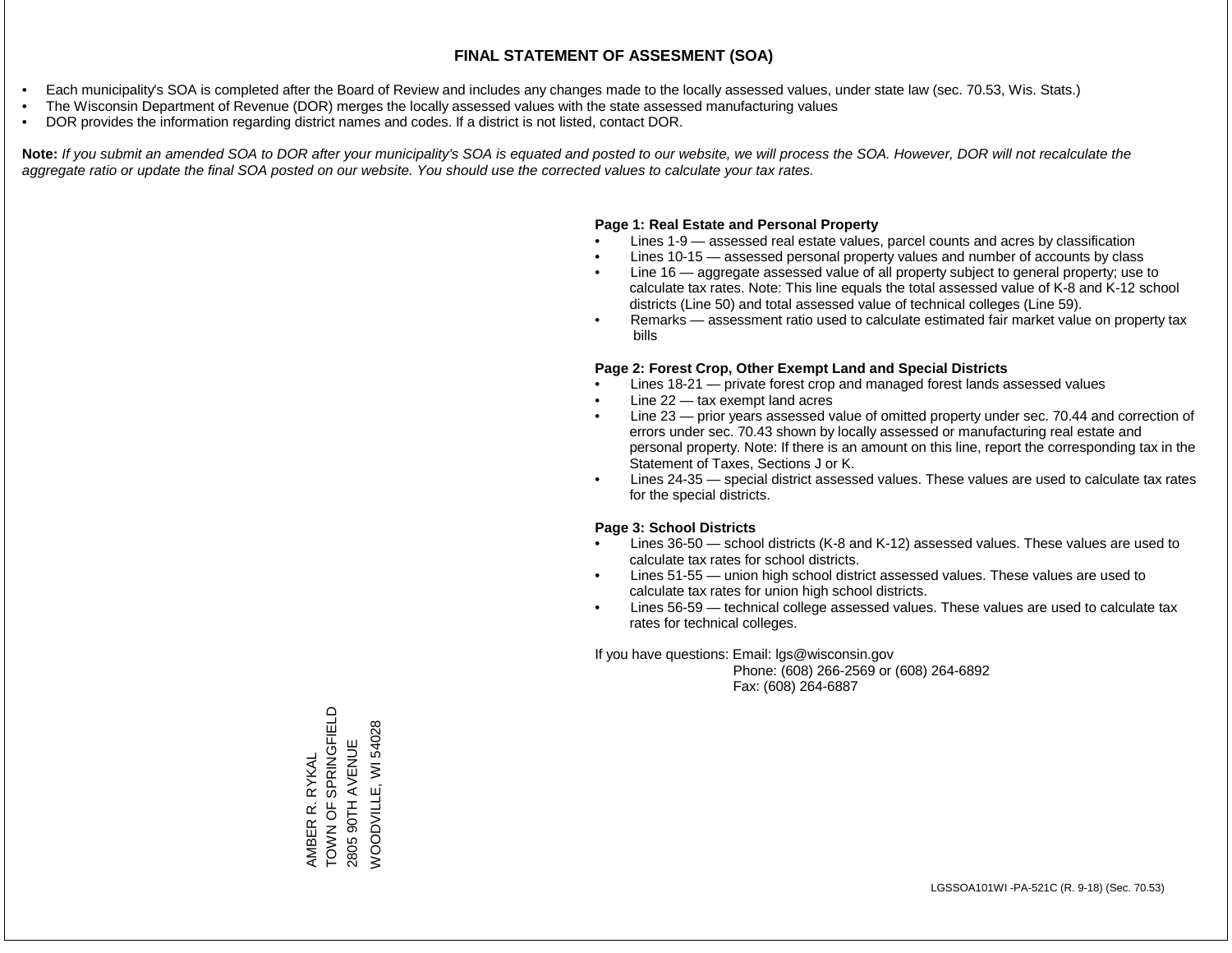- Each municipality's SOA is completed after the Board of Review and includes any changes made to the locally assessed values, under state law (sec. 70.53, Wis. Stats.)
- The Wisconsin Department of Revenue (DOR) merges the locally assessed values with the state assessed manufacturing values
- DOR provides the information regarding district names and codes. If a district is not listed, contact DOR.

Note: If you submit an amended SOA to DOR after your municipality's SOA is equated and posted to our website, we will process the SOA. However, DOR will not recalculate the *aggregate ratio or update the final SOA posted on our website. You should use the corrected values to calculate your tax rates.*

## **Page 1: Real Estate and Personal Property**

- Lines 1-9 assessed real estate values, parcel counts and acres by classification
- Lines 10-15 assessed personal property values and number of accounts by class
- Line 16 aggregate assessed value of all property subject to general property; use to calculate tax rates. Note: This line equals the total assessed value of K-8 and K-12 school districts (Line 50) and total assessed value of technical colleges (Line 59).
- Remarks assessment ratio used to calculate estimated fair market value on property tax bills

## **Page 2: Forest Crop, Other Exempt Land and Special Districts**

- Lines 18-21 private forest crop and managed forest lands assessed values
- Line  $22 -$  tax exempt land acres
- Line 23 prior years assessed value of omitted property under sec. 70.44 and correction of errors under sec. 70.43 shown by locally assessed or manufacturing real estate and personal property. Note: If there is an amount on this line, report the corresponding tax in the Statement of Taxes, Sections J or K.
- Lines 24-35 special district assessed values. These values are used to calculate tax rates for the special districts.

## **Page 3: School Districts**

- Lines 36-50 school districts (K-8 and K-12) assessed values. These values are used to calculate tax rates for school districts.
- Lines 51-55 union high school district assessed values. These values are used to calculate tax rates for union high school districts.
- Lines 56-59 technical college assessed values. These values are used to calculate tax rates for technical colleges.

If you have questions: Email: lgs@wisconsin.gov

 Phone: (608) 266-2569 or (608) 264-6892 Fax: (608) 264-6887

AMBER R. RYKAL<br>TOWN OF SPRINGFIELD TOWN OF SPRINGFIELD **NOODVILLE, WI 54028** WOODVILLE, WI 540282805 90TH AVENUE 2805 90TH AVENUE AMBER R. RYKAL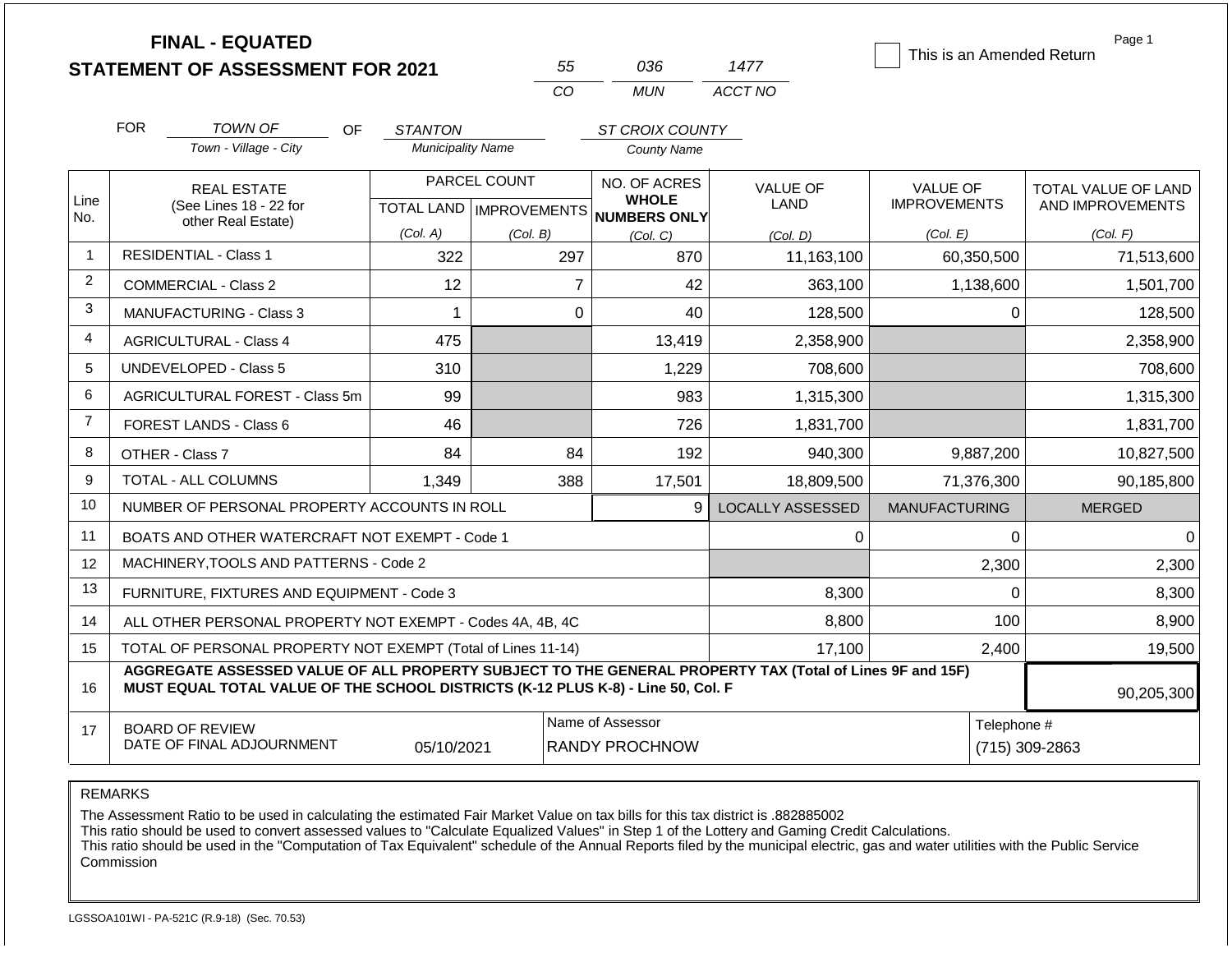|                |                                                                                                                                                 | <b>FINAL - EQUATED</b><br><b>STATEMENT OF ASSESSMENT FOR 2021</b>                                                                                                                            |                          | 55                                               | 036                                          | 1477                    | This is an Amended Return              | Page 1                                  |
|----------------|-------------------------------------------------------------------------------------------------------------------------------------------------|----------------------------------------------------------------------------------------------------------------------------------------------------------------------------------------------|--------------------------|--------------------------------------------------|----------------------------------------------|-------------------------|----------------------------------------|-----------------------------------------|
|                |                                                                                                                                                 |                                                                                                                                                                                              |                          | CO                                               | <b>MUN</b>                                   | ACCT NO                 |                                        |                                         |
|                | <b>FOR</b>                                                                                                                                      | <b>TOWN OF</b><br>OF                                                                                                                                                                         | <b>STANTON</b>           |                                                  | ST CROIX COUNTY                              |                         |                                        |                                         |
|                |                                                                                                                                                 | Town - Village - City                                                                                                                                                                        | <b>Municipality Name</b> |                                                  | <b>County Name</b>                           |                         |                                        |                                         |
| Line<br>No.    |                                                                                                                                                 | <b>REAL ESTATE</b><br>(See Lines 18 - 22 for                                                                                                                                                 |                          | PARCEL COUNT<br><b>TOTAL LAND   IMPROVEMENTS</b> | NO. OF ACRES<br><b>WHOLE</b><br>NUMBERS ONLY | <b>VALUE OF</b><br>LAND | <b>VALUE OF</b><br><b>IMPROVEMENTS</b> | TOTAL VALUE OF LAND<br>AND IMPROVEMENTS |
|                |                                                                                                                                                 | other Real Estate)                                                                                                                                                                           | (Col. A)                 | (Col. B)                                         | (Col, C)                                     | (Col. D)                | (Col. E)                               | (Col. F)                                |
| $\mathbf{1}$   |                                                                                                                                                 | <b>RESIDENTIAL - Class 1</b>                                                                                                                                                                 | 322                      | 297                                              | 870                                          | 11,163,100              | 60,350,500                             | 71,513,600                              |
| $\overline{2}$ |                                                                                                                                                 | <b>COMMERCIAL - Class 2</b>                                                                                                                                                                  | 12                       |                                                  | $\overline{7}$<br>42                         | 363,100                 | 1,138,600                              | 1,501,700                               |
| 3              |                                                                                                                                                 | <b>MANUFACTURING - Class 3</b>                                                                                                                                                               | 1                        |                                                  | $\mathbf 0$<br>40                            | 128,500                 | $\mathbf 0$                            | 128,500                                 |
| $\overline{4}$ |                                                                                                                                                 | <b>AGRICULTURAL - Class 4</b>                                                                                                                                                                | 475                      |                                                  | 13,419                                       | 2,358,900               |                                        | 2,358,900                               |
| 5              |                                                                                                                                                 | <b>UNDEVELOPED - Class 5</b>                                                                                                                                                                 | 310                      |                                                  | 1,229                                        | 708,600                 |                                        | 708,600                                 |
| 6              |                                                                                                                                                 | AGRICULTURAL FOREST - Class 5m                                                                                                                                                               | 99                       |                                                  | 983                                          | 1,315,300               |                                        | 1,315,300                               |
| $\overline{7}$ |                                                                                                                                                 | <b>FOREST LANDS - Class 6</b>                                                                                                                                                                | 46                       |                                                  | 726                                          | 1,831,700               |                                        | 1,831,700                               |
| 8              | OTHER - Class 7                                                                                                                                 |                                                                                                                                                                                              | 84                       |                                                  | 84<br>192                                    | 940,300                 | 9,887,200                              | 10,827,500                              |
| 9              |                                                                                                                                                 | <b>TOTAL - ALL COLUMNS</b>                                                                                                                                                                   | 1,349                    | 388                                              | 17,501                                       | 18,809,500              | 71,376,300                             | 90,185,800                              |
| 10             |                                                                                                                                                 | NUMBER OF PERSONAL PROPERTY ACCOUNTS IN ROLL                                                                                                                                                 |                          |                                                  | 9                                            | <b>LOCALLY ASSESSED</b> | <b>MANUFACTURING</b>                   | <b>MERGED</b>                           |
| 11             |                                                                                                                                                 | BOATS AND OTHER WATERCRAFT NOT EXEMPT - Code 1                                                                                                                                               |                          |                                                  |                                              | 0                       | 0                                      | $\Omega$                                |
| 12             |                                                                                                                                                 | MACHINERY, TOOLS AND PATTERNS - Code 2                                                                                                                                                       |                          |                                                  |                                              |                         | 2,300                                  | 2,300                                   |
| 13             |                                                                                                                                                 | FURNITURE, FIXTURES AND EQUIPMENT - Code 3                                                                                                                                                   |                          |                                                  |                                              | 8,300                   | $\mathbf 0$                            | 8,300                                   |
| 14             |                                                                                                                                                 | ALL OTHER PERSONAL PROPERTY NOT EXEMPT - Codes 4A, 4B, 4C                                                                                                                                    |                          |                                                  |                                              | 8,800                   | 100                                    | 8,900                                   |
| 15             | TOTAL OF PERSONAL PROPERTY NOT EXEMPT (Total of Lines 11-14)<br>17,100<br>2,400                                                                 |                                                                                                                                                                                              |                          |                                                  |                                              | 19,500                  |                                        |                                         |
| 16             |                                                                                                                                                 | AGGREGATE ASSESSED VALUE OF ALL PROPERTY SUBJECT TO THE GENERAL PROPERTY TAX (Total of Lines 9F and 15F)<br>MUST EQUAL TOTAL VALUE OF THE SCHOOL DISTRICTS (K-12 PLUS K-8) - Line 50, Col. F |                          |                                                  |                                              |                         |                                        | 90,205,300                              |
| 17             | Name of Assessor<br>Telephone #<br><b>BOARD OF REVIEW</b><br>DATE OF FINAL ADJOURNMENT<br>05/10/2021<br><b>RANDY PROCHNOW</b><br>(715) 309-2863 |                                                                                                                                                                                              |                          |                                                  |                                              |                         |                                        |                                         |

REMARKS

The Assessment Ratio to be used in calculating the estimated Fair Market Value on tax bills for this tax district is .882885002

This ratio should be used to convert assessed values to "Calculate Equalized Values" in Step 1 of the Lottery and Gaming Credit Calculations.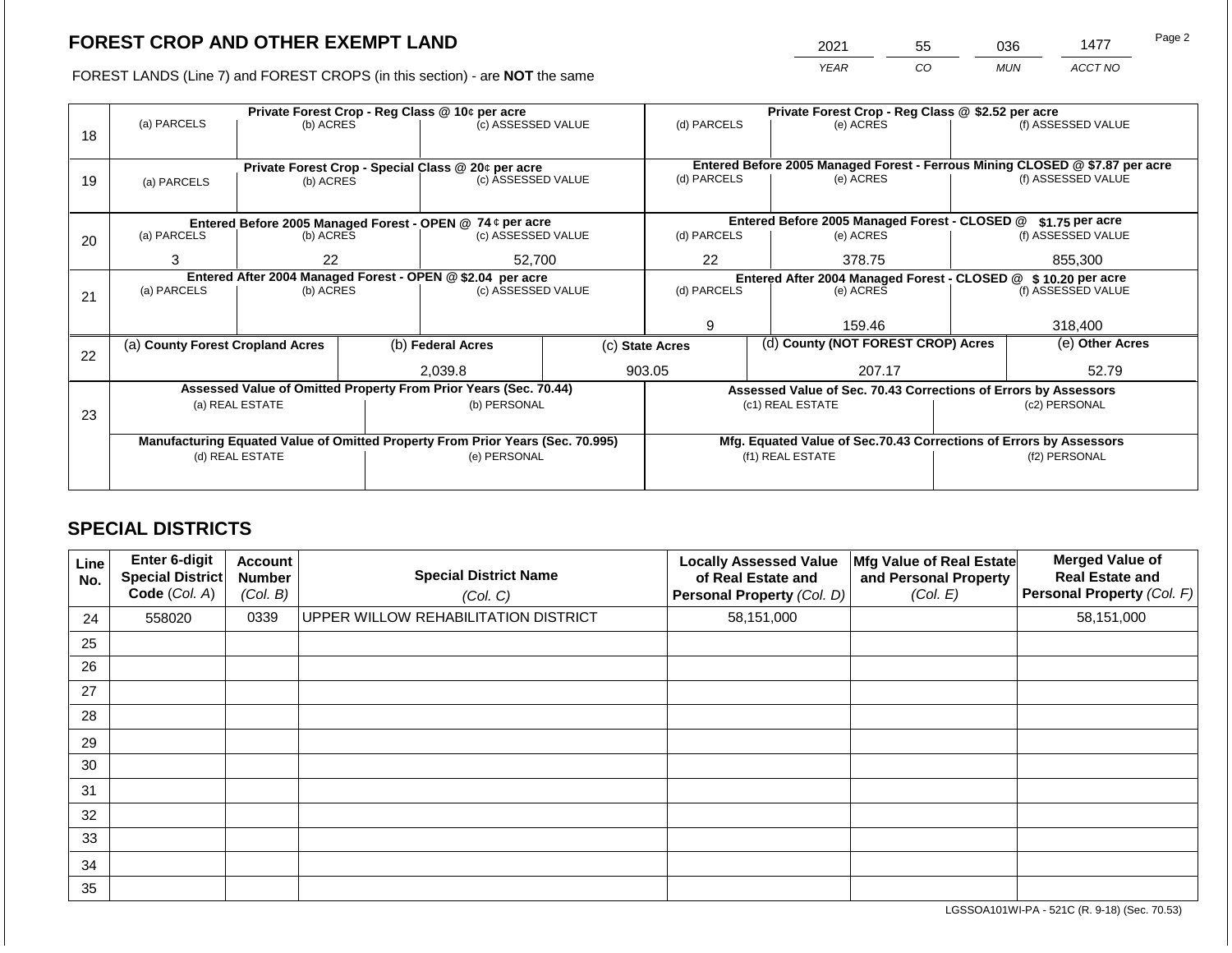2021 55 036 1477 Page 2

FOREST LANDS (Line 7) and FOREST CROPS (in this section) - are **NOT** the same *YEAR CO MUN ACCT NO*

|    |                                                                                                            | Private Forest Crop - Reg Class @ 10¢ per acre |  |                                                                                |  |                  | Private Forest Crop - Reg Class @ \$2.52 per acre |                                                                    |                    |                                                                              |
|----|------------------------------------------------------------------------------------------------------------|------------------------------------------------|--|--------------------------------------------------------------------------------|--|------------------|---------------------------------------------------|--------------------------------------------------------------------|--------------------|------------------------------------------------------------------------------|
| 18 | (a) PARCELS                                                                                                | (b) ACRES                                      |  | (c) ASSESSED VALUE                                                             |  | (d) PARCELS      |                                                   | (e) ACRES                                                          |                    | (f) ASSESSED VALUE                                                           |
|    |                                                                                                            |                                                |  |                                                                                |  |                  |                                                   |                                                                    |                    |                                                                              |
|    |                                                                                                            |                                                |  |                                                                                |  |                  |                                                   |                                                                    |                    | Entered Before 2005 Managed Forest - Ferrous Mining CLOSED @ \$7.87 per acre |
| 19 | (a) PARCELS                                                                                                | (b) ACRES                                      |  | Private Forest Crop - Special Class @ 20¢ per acre<br>(c) ASSESSED VALUE       |  | (d) PARCELS      |                                                   | (e) ACRES                                                          |                    | (f) ASSESSED VALUE                                                           |
|    |                                                                                                            |                                                |  |                                                                                |  |                  |                                                   |                                                                    |                    |                                                                              |
|    |                                                                                                            |                                                |  |                                                                                |  |                  |                                                   |                                                                    |                    |                                                                              |
|    | Entered Before 2005 Managed Forest - CLOSED @<br>Entered Before 2005 Managed Forest - OPEN @ 74 ¢ per acre |                                                |  |                                                                                |  | $$1.75$ per acre |                                                   |                                                                    |                    |                                                                              |
| 20 | (a) PARCELS                                                                                                | (b) ACRES                                      |  | (c) ASSESSED VALUE                                                             |  | (d) PARCELS      |                                                   | (e) ACRES                                                          |                    | (f) ASSESSED VALUE                                                           |
|    | 3                                                                                                          | 22                                             |  | 52,700                                                                         |  | 22               |                                                   | 378.75                                                             |                    | 855,300                                                                      |
|    |                                                                                                            |                                                |  |                                                                                |  |                  |                                                   |                                                                    |                    |                                                                              |
|    |                                                                                                            |                                                |  | Entered After 2004 Managed Forest - OPEN @ \$2.04 per acre                     |  |                  |                                                   | Entered After 2004 Managed Forest - CLOSED @ \$10.20 per acre      |                    |                                                                              |
| 21 | (a) PARCELS                                                                                                | (b) ACRES                                      |  | (c) ASSESSED VALUE                                                             |  | (d) PARCELS      | (e) ACRES                                         |                                                                    | (f) ASSESSED VALUE |                                                                              |
|    |                                                                                                            |                                                |  |                                                                                |  |                  |                                                   |                                                                    |                    |                                                                              |
|    |                                                                                                            |                                                |  |                                                                                |  | 9                |                                                   | 159.46                                                             |                    | 318,400                                                                      |
|    | (a) County Forest Cropland Acres                                                                           |                                                |  | (b) Federal Acres                                                              |  | (c) State Acres  |                                                   | (d) County (NOT FOREST CROP) Acres                                 |                    | (e) Other Acres                                                              |
| 22 |                                                                                                            |                                                |  |                                                                                |  |                  |                                                   |                                                                    |                    |                                                                              |
|    |                                                                                                            |                                                |  | 2,039.8                                                                        |  | 903.05           |                                                   | 207.17                                                             |                    | 52.79                                                                        |
|    |                                                                                                            |                                                |  | Assessed Value of Omitted Property From Prior Years (Sec. 70.44)               |  |                  |                                                   | Assessed Value of Sec. 70.43 Corrections of Errors by Assessors    |                    |                                                                              |
|    |                                                                                                            | (a) REAL ESTATE                                |  | (b) PERSONAL                                                                   |  |                  |                                                   | (c1) REAL ESTATE                                                   |                    | (c2) PERSONAL                                                                |
| 23 |                                                                                                            |                                                |  |                                                                                |  |                  |                                                   |                                                                    |                    |                                                                              |
|    |                                                                                                            |                                                |  | Manufacturing Equated Value of Omitted Property From Prior Years (Sec. 70.995) |  |                  |                                                   | Mfg. Equated Value of Sec.70.43 Corrections of Errors by Assessors |                    |                                                                              |
|    | (e) PERSONAL<br>(d) REAL ESTATE                                                                            |                                                |  | (f1) REAL ESTATE                                                               |  |                  | (f2) PERSONAL                                     |                                                                    |                    |                                                                              |
|    |                                                                                                            |                                                |  |                                                                                |  |                  |                                                   |                                                                    |                    |                                                                              |
|    |                                                                                                            |                                                |  |                                                                                |  |                  |                                                   |                                                                    |                    |                                                                              |

## **SPECIAL DISTRICTS**

| Line<br>No. | <b>Enter 6-digit</b><br>Special District<br>Code (Col. A) | <b>Account</b><br><b>Number</b><br>(Col. B) | <b>Special District Name</b><br>(Col. C) | <b>Locally Assessed Value</b><br>of Real Estate and<br>Personal Property (Col. D) | Mfg Value of Real Estate<br>and Personal Property<br>(Col. E) | <b>Merged Value of</b><br><b>Real Estate and</b><br>Personal Property (Col. F) |
|-------------|-----------------------------------------------------------|---------------------------------------------|------------------------------------------|-----------------------------------------------------------------------------------|---------------------------------------------------------------|--------------------------------------------------------------------------------|
| 24          | 558020                                                    | 0339                                        | UPPER WILLOW REHABILITATION DISTRICT     | 58,151,000                                                                        |                                                               | 58,151,000                                                                     |
| 25          |                                                           |                                             |                                          |                                                                                   |                                                               |                                                                                |
| 26          |                                                           |                                             |                                          |                                                                                   |                                                               |                                                                                |
| 27          |                                                           |                                             |                                          |                                                                                   |                                                               |                                                                                |
| 28          |                                                           |                                             |                                          |                                                                                   |                                                               |                                                                                |
| 29          |                                                           |                                             |                                          |                                                                                   |                                                               |                                                                                |
| 30          |                                                           |                                             |                                          |                                                                                   |                                                               |                                                                                |
| 31          |                                                           |                                             |                                          |                                                                                   |                                                               |                                                                                |
| 32          |                                                           |                                             |                                          |                                                                                   |                                                               |                                                                                |
| 33          |                                                           |                                             |                                          |                                                                                   |                                                               |                                                                                |
| 34          |                                                           |                                             |                                          |                                                                                   |                                                               |                                                                                |
| 35          |                                                           |                                             |                                          |                                                                                   |                                                               |                                                                                |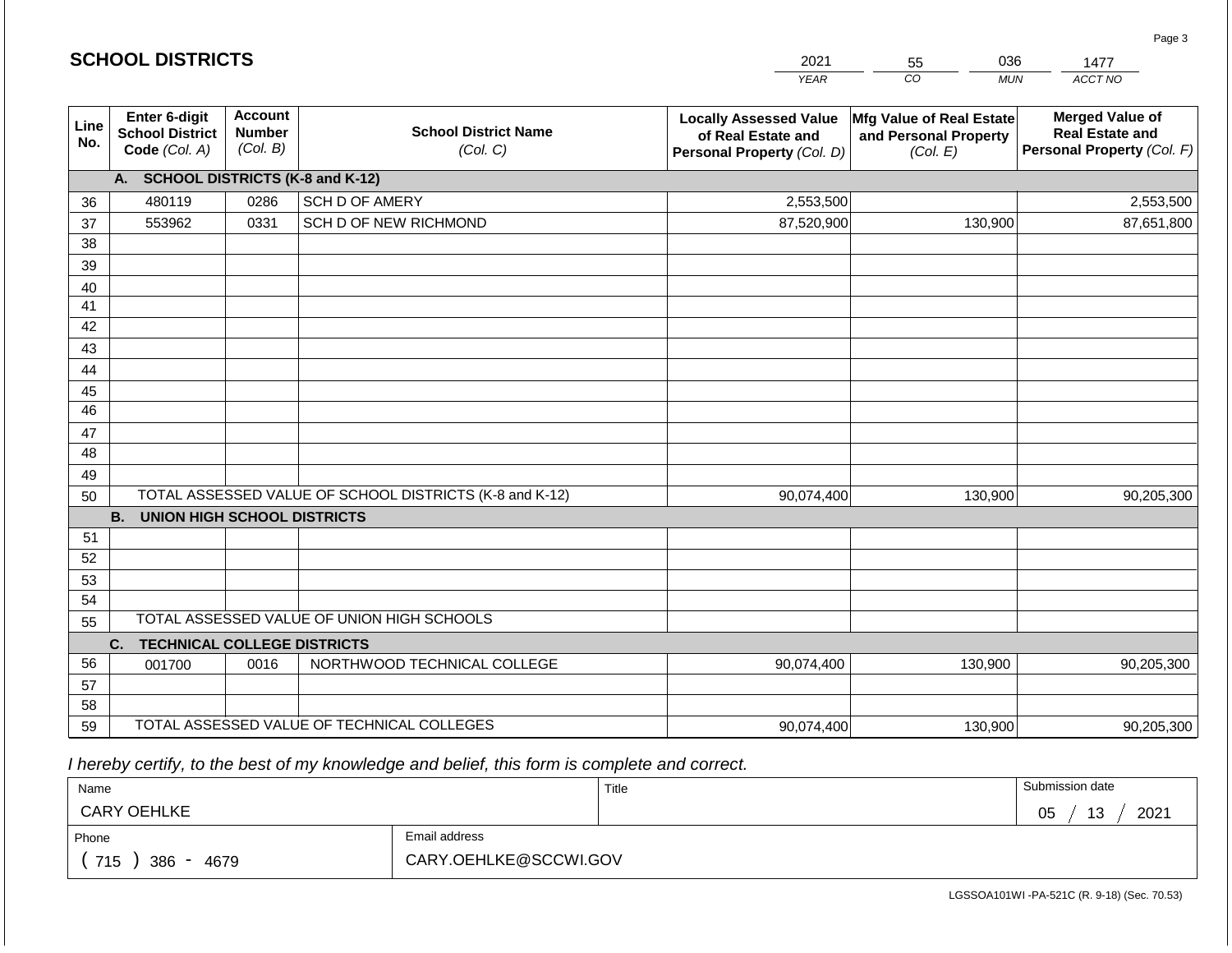|             | <b>SCHOOL DISTRICTS</b>                                  |                                             |                                                         | 2021                                                                              | 036<br>55<br>1477                                             |                                                                                |  |
|-------------|----------------------------------------------------------|---------------------------------------------|---------------------------------------------------------|-----------------------------------------------------------------------------------|---------------------------------------------------------------|--------------------------------------------------------------------------------|--|
|             |                                                          |                                             |                                                         | <b>YEAR</b>                                                                       | CO<br><b>MUN</b>                                              | ACCT NO                                                                        |  |
| Line<br>No. | Enter 6-digit<br><b>School District</b><br>Code (Col. A) | <b>Account</b><br><b>Number</b><br>(Col. B) | <b>School District Name</b><br>(Col. C)                 | <b>Locally Assessed Value</b><br>of Real Estate and<br>Personal Property (Col. D) | Mfg Value of Real Estate<br>and Personal Property<br>(Col. E) | <b>Merged Value of</b><br><b>Real Estate and</b><br>Personal Property (Col. F) |  |
|             | A. SCHOOL DISTRICTS (K-8 and K-12)                       |                                             |                                                         |                                                                                   |                                                               |                                                                                |  |
| 36          | 480119                                                   | 0286                                        | SCH D OF AMERY                                          | 2,553,500                                                                         |                                                               | 2,553,500                                                                      |  |
| 37          | 553962                                                   | 0331                                        | SCH D OF NEW RICHMOND                                   | 87,520,900                                                                        | 130,900                                                       | 87,651,800                                                                     |  |
| 38          |                                                          |                                             |                                                         |                                                                                   |                                                               |                                                                                |  |
| 39          |                                                          |                                             |                                                         |                                                                                   |                                                               |                                                                                |  |
| 40          |                                                          |                                             |                                                         |                                                                                   |                                                               |                                                                                |  |
| 41          |                                                          |                                             |                                                         |                                                                                   |                                                               |                                                                                |  |
| 42          |                                                          |                                             |                                                         |                                                                                   |                                                               |                                                                                |  |
| 43          |                                                          |                                             |                                                         |                                                                                   |                                                               |                                                                                |  |
| 44<br>45    |                                                          |                                             |                                                         |                                                                                   |                                                               |                                                                                |  |
| 46          |                                                          |                                             |                                                         |                                                                                   |                                                               |                                                                                |  |
| 47          |                                                          |                                             |                                                         |                                                                                   |                                                               |                                                                                |  |
| 48          |                                                          |                                             |                                                         |                                                                                   |                                                               |                                                                                |  |
| 49          |                                                          |                                             |                                                         |                                                                                   |                                                               |                                                                                |  |
| 50          |                                                          |                                             | TOTAL ASSESSED VALUE OF SCHOOL DISTRICTS (K-8 and K-12) | 90,074,400                                                                        | 130,900                                                       | 90,205,300                                                                     |  |
|             | <b>B.</b><br><b>UNION HIGH SCHOOL DISTRICTS</b>          |                                             |                                                         |                                                                                   |                                                               |                                                                                |  |
| 51          |                                                          |                                             |                                                         |                                                                                   |                                                               |                                                                                |  |
| 52          |                                                          |                                             |                                                         |                                                                                   |                                                               |                                                                                |  |
| 53          |                                                          |                                             |                                                         |                                                                                   |                                                               |                                                                                |  |
| 54          |                                                          |                                             |                                                         |                                                                                   |                                                               |                                                                                |  |
| 55          |                                                          |                                             | TOTAL ASSESSED VALUE OF UNION HIGH SCHOOLS              |                                                                                   |                                                               |                                                                                |  |
|             | <b>TECHNICAL COLLEGE DISTRICTS</b><br>C.                 |                                             |                                                         |                                                                                   |                                                               |                                                                                |  |
| 56          | 001700                                                   | 0016                                        | NORTHWOOD TECHNICAL COLLEGE                             | 90,074,400                                                                        | 130,900                                                       | 90,205,300                                                                     |  |
| 57          |                                                          |                                             |                                                         |                                                                                   |                                                               |                                                                                |  |
| 58          |                                                          |                                             |                                                         |                                                                                   |                                                               |                                                                                |  |
| 59          |                                                          |                                             | TOTAL ASSESSED VALUE OF TECHNICAL COLLEGES              | 90,074,400                                                                        | 130,900                                                       | 90,205,300                                                                     |  |

 *I hereby certify, to the best of my knowledge and belief, this form is complete and correct.*

| Name               |                       | Title | Submission date       |  |
|--------------------|-----------------------|-------|-----------------------|--|
| <b>CARY OEHLKE</b> |                       |       | 2021<br>∩ҕ<br>13<br>◡ |  |
| Phone              | Email address         |       |                       |  |
| 715<br>4679<br>386 | CARY.OEHLKE@SCCWI.GOV |       |                       |  |

LGSSOA101WI -PA-521C (R. 9-18) (Sec. 70.53)

Page 3

| <b>SCHOOL DISTRICTS</b> |
|-------------------------|
|-------------------------|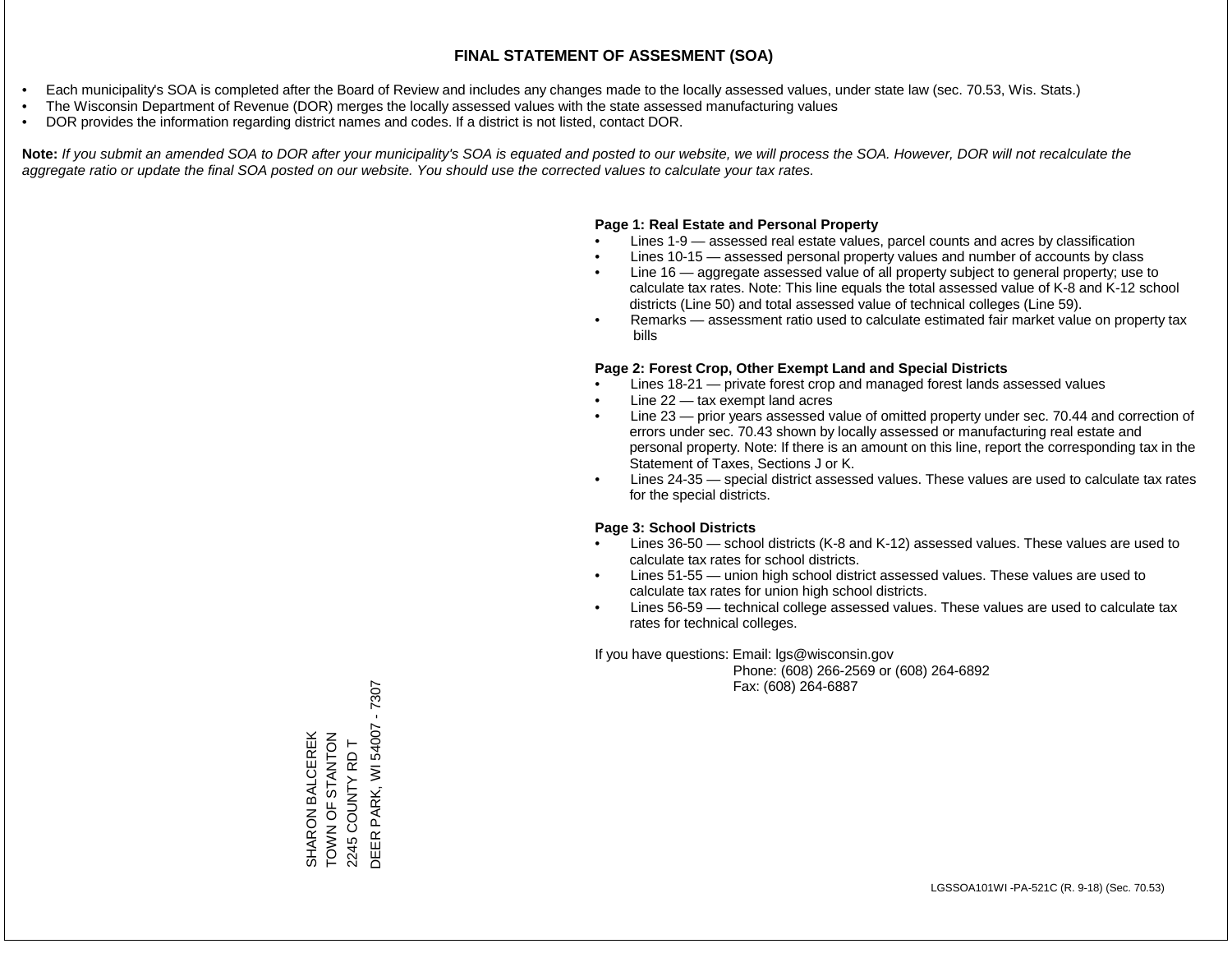- Each municipality's SOA is completed after the Board of Review and includes any changes made to the locally assessed values, under state law (sec. 70.53, Wis. Stats.)
- The Wisconsin Department of Revenue (DOR) merges the locally assessed values with the state assessed manufacturing values
- DOR provides the information regarding district names and codes. If a district is not listed, contact DOR.

Note: If you submit an amended SOA to DOR after your municipality's SOA is equated and posted to our website, we will process the SOA. However, DOR will not recalculate the *aggregate ratio or update the final SOA posted on our website. You should use the corrected values to calculate your tax rates.*

## **Page 1: Real Estate and Personal Property**

- Lines 1-9 assessed real estate values, parcel counts and acres by classification
- Lines 10-15 assessed personal property values and number of accounts by class
- Line 16 aggregate assessed value of all property subject to general property; use to calculate tax rates. Note: This line equals the total assessed value of K-8 and K-12 school districts (Line 50) and total assessed value of technical colleges (Line 59).
- Remarks assessment ratio used to calculate estimated fair market value on property tax bills

## **Page 2: Forest Crop, Other Exempt Land and Special Districts**

- Lines 18-21 private forest crop and managed forest lands assessed values
- Line  $22 -$  tax exempt land acres
- Line 23 prior years assessed value of omitted property under sec. 70.44 and correction of errors under sec. 70.43 shown by locally assessed or manufacturing real estate and personal property. Note: If there is an amount on this line, report the corresponding tax in the Statement of Taxes, Sections J or K.
- Lines 24-35 special district assessed values. These values are used to calculate tax rates for the special districts.

## **Page 3: School Districts**

- Lines 36-50 school districts (K-8 and K-12) assessed values. These values are used to calculate tax rates for school districts.
- Lines 51-55 union high school district assessed values. These values are used to calculate tax rates for union high school districts.
- Lines 56-59 technical college assessed values. These values are used to calculate tax rates for technical colleges.

If you have questions: Email: lgs@wisconsin.gov

 Phone: (608) 266-2569 or (608) 264-6892 Fax: (608) 264-6887

 $-7307$ DEER PARK, WI 54007 - 7307DEER PARK, WI 54007 SHARON BALCEREK<br>TOWN OF STANTON<br>2245 COUNTY RD T ZOLNYLS LO NNOL SHARON BALCEREK 2245 COUNTY RD T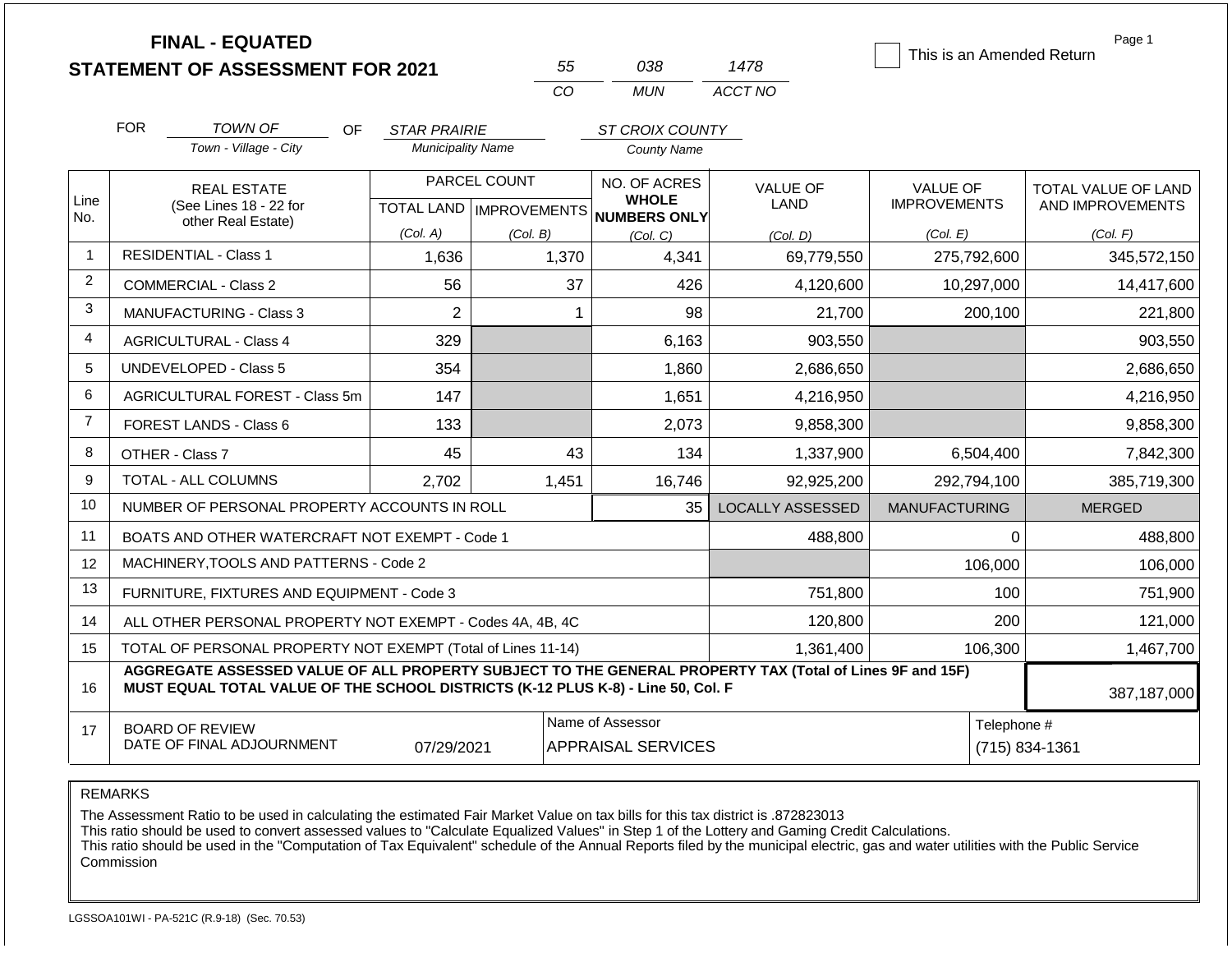|                |                                                                                                                                                                                              | <b>FINAL - EQUATED</b><br><b>STATEMENT OF ASSESSMENT FOR 2021</b> |                           |              | 55    | 038                                           | 1478                    | This is an Amended Return     | Page 1              |
|----------------|----------------------------------------------------------------------------------------------------------------------------------------------------------------------------------------------|-------------------------------------------------------------------|---------------------------|--------------|-------|-----------------------------------------------|-------------------------|-------------------------------|---------------------|
|                |                                                                                                                                                                                              |                                                                   |                           |              | CO    | <b>MUN</b>                                    | ACCT NO                 |                               |                     |
|                | <b>FOR</b>                                                                                                                                                                                   | TOWN OF<br>OF.                                                    | <b>STAR PRAIRIE</b>       |              |       | ST CROIX COUNTY                               |                         |                               |                     |
|                |                                                                                                                                                                                              | Town - Village - City                                             | <b>Municipality Name</b>  |              |       | <b>County Name</b>                            |                         |                               |                     |
|                |                                                                                                                                                                                              | <b>REAL ESTATE</b>                                                |                           | PARCEL COUNT |       | NO. OF ACRES                                  | <b>VALUE OF</b>         | <b>VALUE OF</b>               | TOTAL VALUE OF LAND |
| Line<br>No.    |                                                                                                                                                                                              | (See Lines 18 - 22 for<br>other Real Estate)                      | TOTAL LAND   IMPROVEMENTS |              |       | <b>WHOLE</b><br><b>NUMBERS ONLY</b>           | LAND                    | <b>IMPROVEMENTS</b>           | AND IMPROVEMENTS    |
|                |                                                                                                                                                                                              |                                                                   | (Col. A)                  | (Col. B)     |       | (Col. C)                                      | (Col. D)                | (Col. E)                      | (Col. F)            |
| 1              |                                                                                                                                                                                              | <b>RESIDENTIAL - Class 1</b>                                      | 1,636                     |              | 1,370 | 4,341                                         | 69,779,550              | 275,792,600                   | 345,572,150         |
| $\overline{2}$ |                                                                                                                                                                                              | <b>COMMERCIAL - Class 2</b>                                       | 56                        |              | 37    | 426                                           | 4,120,600               | 10,297,000                    | 14,417,600          |
| 3              | $\overline{2}$<br><b>MANUFACTURING - Class 3</b>                                                                                                                                             |                                                                   |                           |              |       | 98                                            | 21,700                  | 200,100                       | 221,800             |
| $\overline{4}$ | 329<br><b>AGRICULTURAL - Class 4</b>                                                                                                                                                         |                                                                   |                           |              |       | 6,163                                         | 903,550                 |                               | 903,550             |
| 5              |                                                                                                                                                                                              | UNDEVELOPED - Class 5                                             | 354                       |              |       | 1,860                                         | 2,686,650               |                               | 2,686,650           |
| 6              |                                                                                                                                                                                              | AGRICULTURAL FOREST - Class 5m                                    | 147                       |              |       | 1,651                                         | 4,216,950               |                               | 4,216,950           |
| $\overline{7}$ |                                                                                                                                                                                              | FOREST LANDS - Class 6                                            | 133                       |              |       | 2,073                                         | 9,858,300               |                               | 9,858,300           |
| 8              |                                                                                                                                                                                              | OTHER - Class 7                                                   | 45                        |              | 43    | 134                                           | 1,337,900               | 6,504,400                     | 7,842,300           |
| 9              |                                                                                                                                                                                              | TOTAL - ALL COLUMNS                                               | 2.702                     |              | 1,451 | 16,746                                        | 92,925,200              | 292,794,100                   | 385,719,300         |
| 10             |                                                                                                                                                                                              | NUMBER OF PERSONAL PROPERTY ACCOUNTS IN ROLL                      |                           |              |       | 35                                            | <b>LOCALLY ASSESSED</b> | <b>MANUFACTURING</b>          | <b>MERGED</b>       |
| 11             |                                                                                                                                                                                              | BOATS AND OTHER WATERCRAFT NOT EXEMPT - Code 1                    |                           |              |       |                                               | 488,800                 |                               | $\Omega$<br>488,800 |
| 12             |                                                                                                                                                                                              | MACHINERY, TOOLS AND PATTERNS - Code 2                            |                           |              |       |                                               |                         | 106,000                       | 106,000             |
| 13             |                                                                                                                                                                                              | FURNITURE, FIXTURES AND EQUIPMENT - Code 3                        |                           |              |       |                                               | 751,800                 | 100                           | 751,900             |
| 14             |                                                                                                                                                                                              | ALL OTHER PERSONAL PROPERTY NOT EXEMPT - Codes 4A, 4B, 4C         |                           |              |       |                                               | 120,800                 | 200                           | 121,000             |
| 15             |                                                                                                                                                                                              | TOTAL OF PERSONAL PROPERTY NOT EXEMPT (Total of Lines 11-14)      |                           |              |       |                                               | 1,361,400               | 106,300                       | 1,467,700           |
| 16             | AGGREGATE ASSESSED VALUE OF ALL PROPERTY SUBJECT TO THE GENERAL PROPERTY TAX (Total of Lines 9F and 15F)<br>MUST EQUAL TOTAL VALUE OF THE SCHOOL DISTRICTS (K-12 PLUS K-8) - Line 50, Col. F |                                                                   |                           |              |       |                                               |                         |                               | 387,187,000         |
| 17             |                                                                                                                                                                                              | <b>BOARD OF REVIEW</b><br>DATE OF FINAL ADJOURNMENT               | 07/29/2021                |              |       | Name of Assessor<br><b>APPRAISAL SERVICES</b> |                         | Telephone #<br>(715) 834-1361 |                     |

The Assessment Ratio to be used in calculating the estimated Fair Market Value on tax bills for this tax district is .872823013

This ratio should be used to convert assessed values to "Calculate Equalized Values" in Step 1 of the Lottery and Gaming Credit Calculations.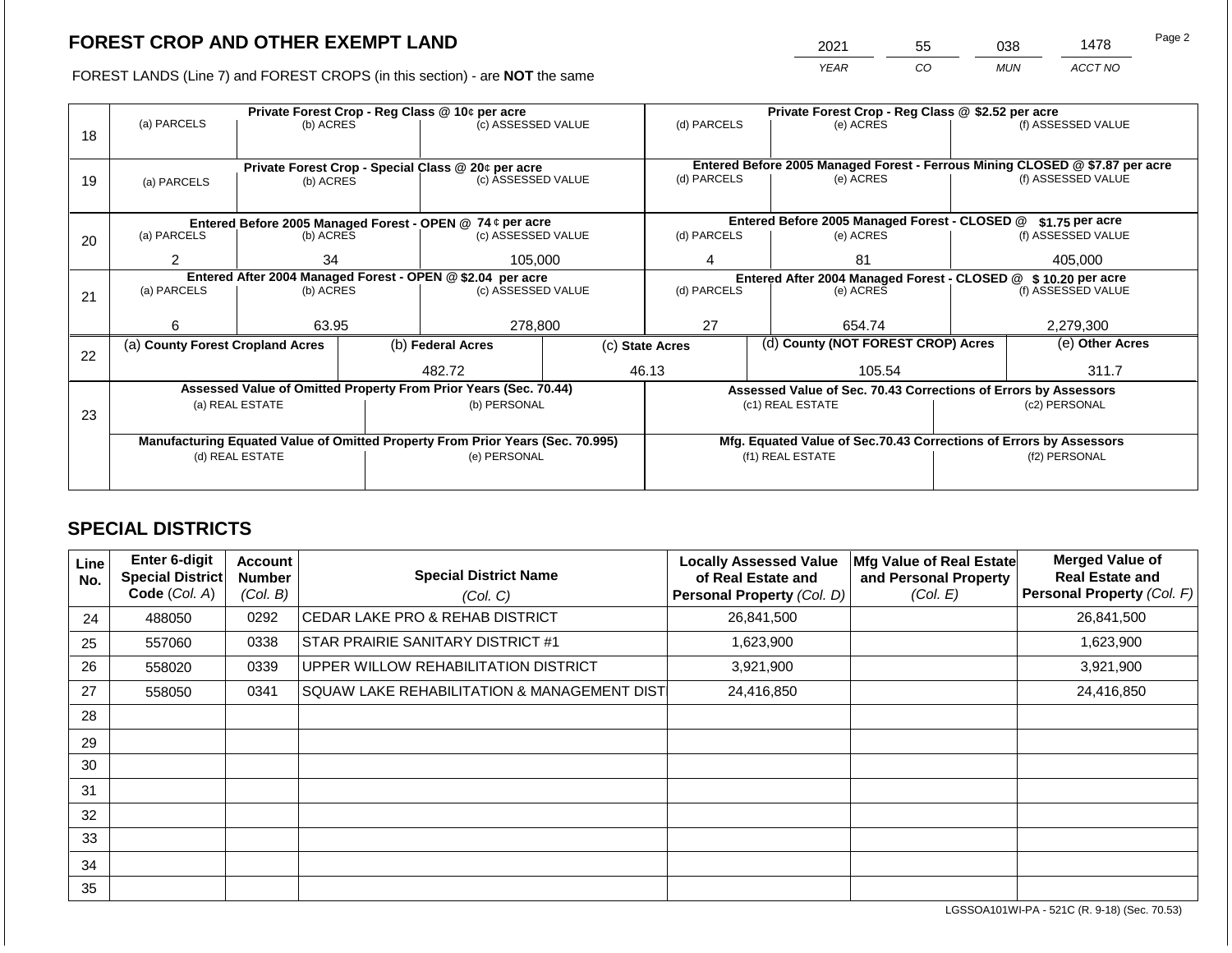2021 55 038 1478

FOREST LANDS (Line 7) and FOREST CROPS (in this section) - are **NOT** the same *YEAR CO MUN ACCT NO*

|    |                                                            |                                                                                |  | Private Forest Crop - Reg Class @ 10¢ per acre                   |                                                               |                                                                              |           | Private Forest Crop - Reg Class @ \$2.52 per acre |                                                                 |                    |
|----|------------------------------------------------------------|--------------------------------------------------------------------------------|--|------------------------------------------------------------------|---------------------------------------------------------------|------------------------------------------------------------------------------|-----------|---------------------------------------------------|-----------------------------------------------------------------|--------------------|
|    | (a) PARCELS                                                | (b) ACRES                                                                      |  | (c) ASSESSED VALUE                                               |                                                               | (d) PARCELS                                                                  |           | (e) ACRES                                         |                                                                 | (f) ASSESSED VALUE |
| 18 |                                                            |                                                                                |  |                                                                  |                                                               |                                                                              |           |                                                   |                                                                 |                    |
|    |                                                            |                                                                                |  |                                                                  |                                                               | Entered Before 2005 Managed Forest - Ferrous Mining CLOSED @ \$7.87 per acre |           |                                                   |                                                                 |                    |
|    |                                                            |                                                                                |  | Private Forest Crop - Special Class @ 20¢ per acre               |                                                               | (d) PARCELS                                                                  |           | (e) ACRES                                         |                                                                 | (f) ASSESSED VALUE |
| 19 | (a) PARCELS                                                | (b) ACRES                                                                      |  | (c) ASSESSED VALUE                                               |                                                               |                                                                              |           |                                                   |                                                                 |                    |
|    |                                                            |                                                                                |  |                                                                  |                                                               |                                                                              |           |                                                   |                                                                 |                    |
|    |                                                            |                                                                                |  | Entered Before 2005 Managed Forest - OPEN @ 74 ¢ per acre        |                                                               |                                                                              |           | Entered Before 2005 Managed Forest - CLOSED @     |                                                                 | $$1.75$ per acre   |
| 20 | (a) PARCELS                                                | (b) ACRES                                                                      |  | (c) ASSESSED VALUE                                               | (d) PARCELS                                                   |                                                                              | (e) ACRES |                                                   | (f) ASSESSED VALUE                                              |                    |
|    |                                                            |                                                                                |  |                                                                  |                                                               |                                                                              |           |                                                   |                                                                 |                    |
|    |                                                            | 2<br>34                                                                        |  | 105,000                                                          |                                                               | 4                                                                            |           | 81                                                |                                                                 | 405.000            |
|    | Entered After 2004 Managed Forest - OPEN @ \$2.04 per acre |                                                                                |  |                                                                  | Entered After 2004 Managed Forest - CLOSED @ \$10.20 per acre |                                                                              |           |                                                   |                                                                 |                    |
| 21 |                                                            | (a) PARCELS<br>(b) ACRES                                                       |  | (c) ASSESSED VALUE                                               |                                                               | (d) PARCELS                                                                  |           | (e) ACRES                                         |                                                                 | (f) ASSESSED VALUE |
|    |                                                            |                                                                                |  |                                                                  |                                                               |                                                                              |           |                                                   |                                                                 |                    |
|    | 6                                                          | 63.95                                                                          |  | 278,800                                                          | 27                                                            |                                                                              | 654.74    |                                                   | 2,279,300                                                       |                    |
|    | (a) County Forest Cropland Acres                           |                                                                                |  | (b) Federal Acres                                                | (d) County (NOT FOREST CROP) Acres<br>(c) State Acres         |                                                                              |           |                                                   | (e) Other Acres                                                 |                    |
| 22 |                                                            |                                                                                |  |                                                                  |                                                               |                                                                              |           |                                                   |                                                                 |                    |
|    |                                                            |                                                                                |  | 482.72                                                           |                                                               | 46.13                                                                        |           | 105.54                                            |                                                                 | 311.7              |
|    |                                                            |                                                                                |  | Assessed Value of Omitted Property From Prior Years (Sec. 70.44) |                                                               |                                                                              |           |                                                   | Assessed Value of Sec. 70.43 Corrections of Errors by Assessors |                    |
|    |                                                            | (a) REAL ESTATE                                                                |  | (b) PERSONAL                                                     |                                                               |                                                                              |           | (c1) REAL ESTATE                                  | (c2) PERSONAL                                                   |                    |
| 23 |                                                            |                                                                                |  |                                                                  |                                                               |                                                                              |           |                                                   |                                                                 |                    |
|    |                                                            | Manufacturing Equated Value of Omitted Property From Prior Years (Sec. 70.995) |  |                                                                  |                                                               | Mfg. Equated Value of Sec.70.43 Corrections of Errors by Assessors           |           |                                                   |                                                                 |                    |
|    | (d) REAL ESTATE                                            |                                                                                |  | (e) PERSONAL                                                     |                                                               | (f1) REAL ESTATE                                                             |           |                                                   | (f2) PERSONAL                                                   |                    |
|    |                                                            |                                                                                |  |                                                                  |                                                               |                                                                              |           |                                                   |                                                                 |                    |
|    |                                                            |                                                                                |  |                                                                  |                                                               |                                                                              |           |                                                   |                                                                 |                    |

## **SPECIAL DISTRICTS**

| Line<br>No. | Enter 6-digit<br>Special District<br>Code (Col. A) | <b>Account</b><br><b>Number</b><br>(Col. B) | <b>Special District Name</b><br>(Col. C)     | <b>Locally Assessed Value</b><br>of Real Estate and<br>Personal Property (Col. D) | Mfg Value of Real Estate<br>and Personal Property<br>(Col. E) | <b>Merged Value of</b><br><b>Real Estate and</b><br>Personal Property (Col. F) |
|-------------|----------------------------------------------------|---------------------------------------------|----------------------------------------------|-----------------------------------------------------------------------------------|---------------------------------------------------------------|--------------------------------------------------------------------------------|
| 24          | 488050                                             | 0292                                        | CEDAR LAKE PRO & REHAB DISTRICT              | 26,841,500                                                                        |                                                               | 26,841,500                                                                     |
| 25          | 557060                                             | 0338                                        | STAR PRAIRIE SANITARY DISTRICT #1            | 1,623,900                                                                         |                                                               | 1,623,900                                                                      |
| 26          | 558020                                             | 0339                                        | UPPER WILLOW REHABILITATION DISTRICT         | 3,921,900                                                                         |                                                               | 3,921,900                                                                      |
| 27          | 558050                                             | 0341                                        | SQUAW LAKE REHABILITATION & MANAGEMENT DISTI | 24,416,850                                                                        |                                                               | 24,416,850                                                                     |
| 28          |                                                    |                                             |                                              |                                                                                   |                                                               |                                                                                |
| 29          |                                                    |                                             |                                              |                                                                                   |                                                               |                                                                                |
| 30          |                                                    |                                             |                                              |                                                                                   |                                                               |                                                                                |
| 31          |                                                    |                                             |                                              |                                                                                   |                                                               |                                                                                |
| 32          |                                                    |                                             |                                              |                                                                                   |                                                               |                                                                                |
| 33          |                                                    |                                             |                                              |                                                                                   |                                                               |                                                                                |
| 34          |                                                    |                                             |                                              |                                                                                   |                                                               |                                                                                |
| 35          |                                                    |                                             |                                              |                                                                                   |                                                               |                                                                                |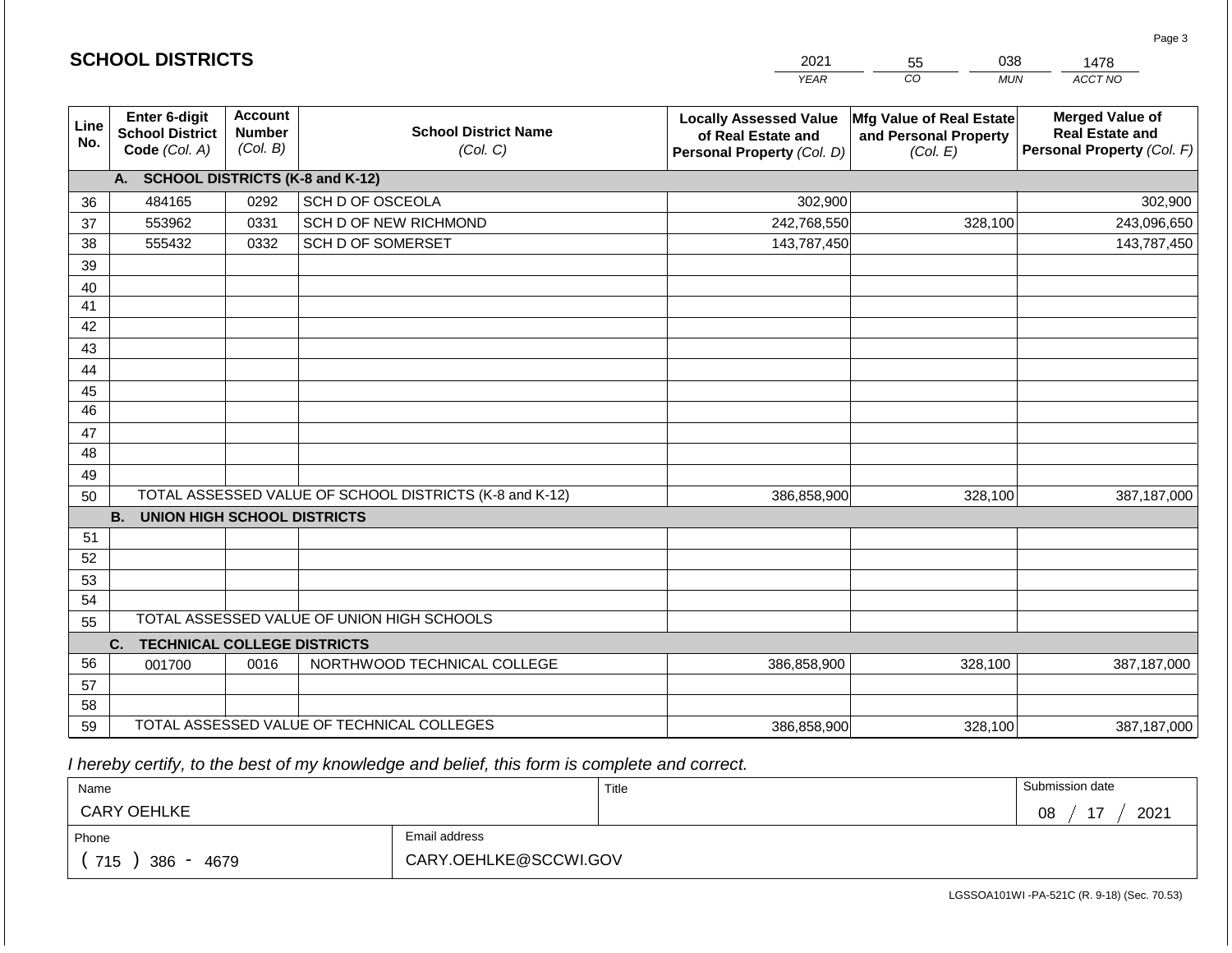|             | <b>SCHOOL DISTRICTS</b>                                  |                                             |                                                         | 2021                                                                              | 038<br>55                                                     | 1478                                                                           |
|-------------|----------------------------------------------------------|---------------------------------------------|---------------------------------------------------------|-----------------------------------------------------------------------------------|---------------------------------------------------------------|--------------------------------------------------------------------------------|
|             |                                                          |                                             |                                                         | <b>YEAR</b>                                                                       | CO<br><b>MUN</b>                                              | ACCT NO                                                                        |
| Line<br>No. | Enter 6-digit<br><b>School District</b><br>Code (Col. A) | <b>Account</b><br><b>Number</b><br>(Col. B) | <b>School District Name</b><br>(Col. C)                 | <b>Locally Assessed Value</b><br>of Real Estate and<br>Personal Property (Col. D) | Mfg Value of Real Estate<br>and Personal Property<br>(Col. E) | <b>Merged Value of</b><br><b>Real Estate and</b><br>Personal Property (Col. F) |
|             | A. SCHOOL DISTRICTS (K-8 and K-12)                       |                                             |                                                         |                                                                                   |                                                               |                                                                                |
| 36          | 484165                                                   | 0292                                        | SCH D OF OSCEOLA                                        | 302,900                                                                           |                                                               | 302,900                                                                        |
| 37          | 553962                                                   | 0331                                        | SCH D OF NEW RICHMOND                                   | 242,768,550                                                                       | 328,100                                                       | 243,096,650                                                                    |
| 38          | 555432                                                   | 0332                                        | SCH D OF SOMERSET                                       | 143,787,450                                                                       |                                                               | 143,787,450                                                                    |
| 39          |                                                          |                                             |                                                         |                                                                                   |                                                               |                                                                                |
| 40          |                                                          |                                             |                                                         |                                                                                   |                                                               |                                                                                |
| 41          |                                                          |                                             |                                                         |                                                                                   |                                                               |                                                                                |
| 42          |                                                          |                                             |                                                         |                                                                                   |                                                               |                                                                                |
| 43          |                                                          |                                             |                                                         |                                                                                   |                                                               |                                                                                |
| 44          |                                                          |                                             |                                                         |                                                                                   |                                                               |                                                                                |
| 45          |                                                          |                                             |                                                         |                                                                                   |                                                               |                                                                                |
| 46          |                                                          |                                             |                                                         |                                                                                   |                                                               |                                                                                |
| 47<br>48    |                                                          |                                             |                                                         |                                                                                   |                                                               |                                                                                |
|             |                                                          |                                             |                                                         |                                                                                   |                                                               |                                                                                |
| 49<br>50    |                                                          |                                             | TOTAL ASSESSED VALUE OF SCHOOL DISTRICTS (K-8 and K-12) | 386,858,900                                                                       | 328,100                                                       | 387,187,000                                                                    |
|             | <b>B.</b><br><b>UNION HIGH SCHOOL DISTRICTS</b>          |                                             |                                                         |                                                                                   |                                                               |                                                                                |
| 51          |                                                          |                                             |                                                         |                                                                                   |                                                               |                                                                                |
| 52          |                                                          |                                             |                                                         |                                                                                   |                                                               |                                                                                |
| 53          |                                                          |                                             |                                                         |                                                                                   |                                                               |                                                                                |
| 54          |                                                          |                                             |                                                         |                                                                                   |                                                               |                                                                                |
| 55          |                                                          |                                             | TOTAL ASSESSED VALUE OF UNION HIGH SCHOOLS              |                                                                                   |                                                               |                                                                                |
|             | <b>TECHNICAL COLLEGE DISTRICTS</b><br>C.                 |                                             |                                                         |                                                                                   |                                                               |                                                                                |
| 56          | 001700                                                   | 0016                                        | NORTHWOOD TECHNICAL COLLEGE                             | 386,858,900                                                                       | 328,100                                                       | 387,187,000                                                                    |
| 57          |                                                          |                                             |                                                         |                                                                                   |                                                               |                                                                                |
| 58          |                                                          |                                             |                                                         |                                                                                   |                                                               |                                                                                |
| 59          |                                                          |                                             | TOTAL ASSESSED VALUE OF TECHNICAL COLLEGES              | 386,858,900                                                                       | 328,100                                                       | 387,187,000                                                                    |

 *I hereby certify, to the best of my knowledge and belief, this form is complete and correct.*

**SCHOOL DISTRICTS**

| Name                                           |                       | Title | Submission date     |
|------------------------------------------------|-----------------------|-------|---------------------|
| <b>CARY OEHLKE</b>                             |                       |       | $1 -$<br>2021<br>08 |
| Phone                                          | Email address         |       |                     |
| 715<br>386<br>4679<br>$\overline{\phantom{0}}$ | CARY.OEHLKE@SCCWI.GOV |       |                     |

Page 3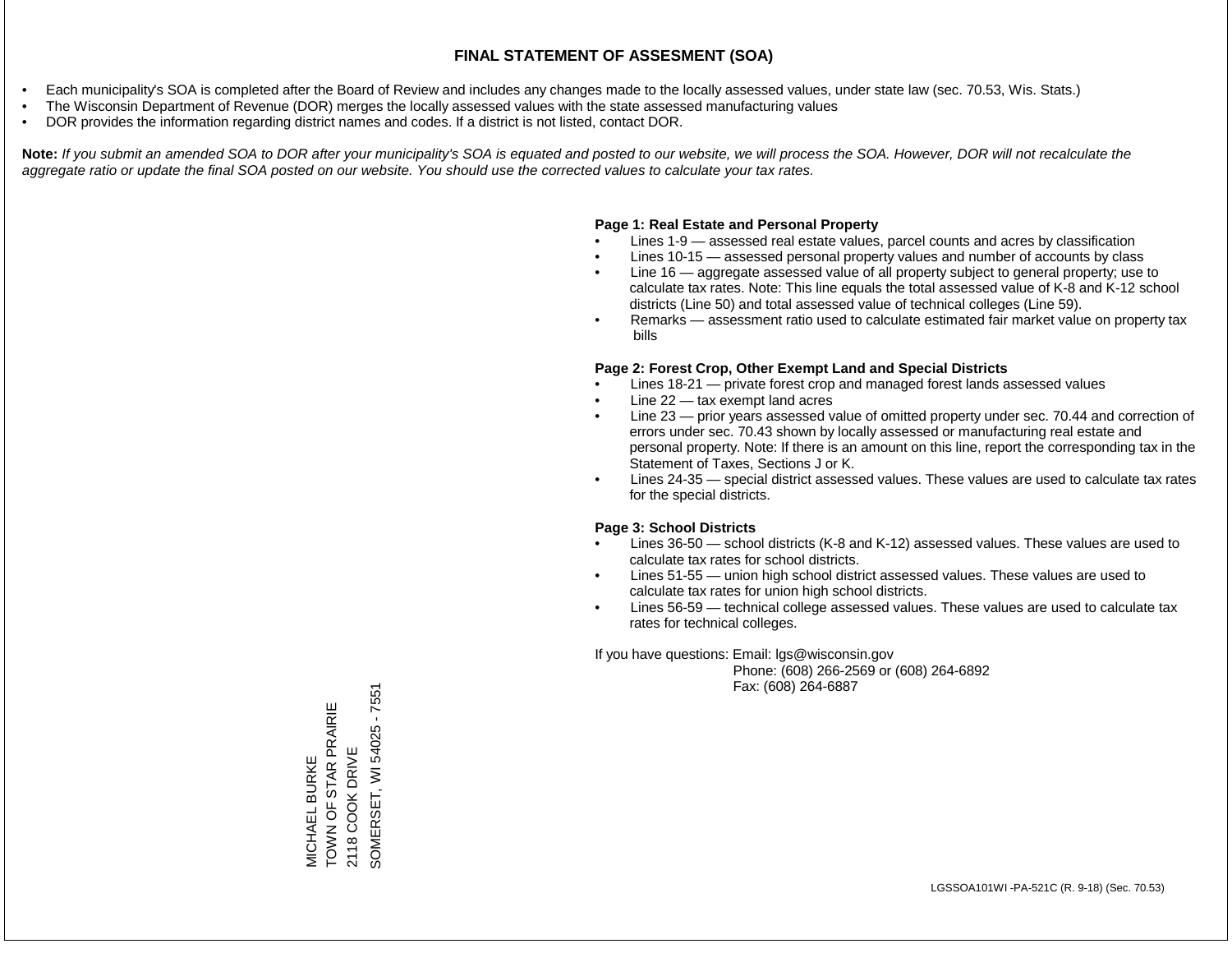- Each municipality's SOA is completed after the Board of Review and includes any changes made to the locally assessed values, under state law (sec. 70.53, Wis. Stats.)
- The Wisconsin Department of Revenue (DOR) merges the locally assessed values with the state assessed manufacturing values
- DOR provides the information regarding district names and codes. If a district is not listed, contact DOR.

Note: If you submit an amended SOA to DOR after your municipality's SOA is equated and posted to our website, we will process the SOA. However, DOR will not recalculate the *aggregate ratio or update the final SOA posted on our website. You should use the corrected values to calculate your tax rates.*

### **Page 1: Real Estate and Personal Property**

- Lines 1-9 assessed real estate values, parcel counts and acres by classification
- Lines 10-15 assessed personal property values and number of accounts by class
- Line 16 aggregate assessed value of all property subject to general property; use to calculate tax rates. Note: This line equals the total assessed value of K-8 and K-12 school districts (Line 50) and total assessed value of technical colleges (Line 59).
- Remarks assessment ratio used to calculate estimated fair market value on property tax bills

### **Page 2: Forest Crop, Other Exempt Land and Special Districts**

- Lines 18-21 private forest crop and managed forest lands assessed values
- Line  $22 -$  tax exempt land acres
- Line 23 prior years assessed value of omitted property under sec. 70.44 and correction of errors under sec. 70.43 shown by locally assessed or manufacturing real estate and personal property. Note: If there is an amount on this line, report the corresponding tax in the Statement of Taxes, Sections J or K.
- Lines 24-35 special district assessed values. These values are used to calculate tax rates for the special districts.

### **Page 3: School Districts**

- Lines 36-50 school districts (K-8 and K-12) assessed values. These values are used to calculate tax rates for school districts.
- Lines 51-55 union high school district assessed values. These values are used to calculate tax rates for union high school districts.
- Lines 56-59 technical college assessed values. These values are used to calculate tax rates for technical colleges.

If you have questions: Email: lgs@wisconsin.gov

 Phone: (608) 266-2569 or (608) 264-6892 Fax: (608) 264-6887

SOMERSET, WI 54025 - 7551 SOMERSET, WI 54025 - 7551TOWN OF STAR PRAIRIE MICHAEL BURKE<br>TOWN OF STAR PRAIRIE 2118 COOK DRIVE 2118 COOK DRIVE MICHAEL BURKE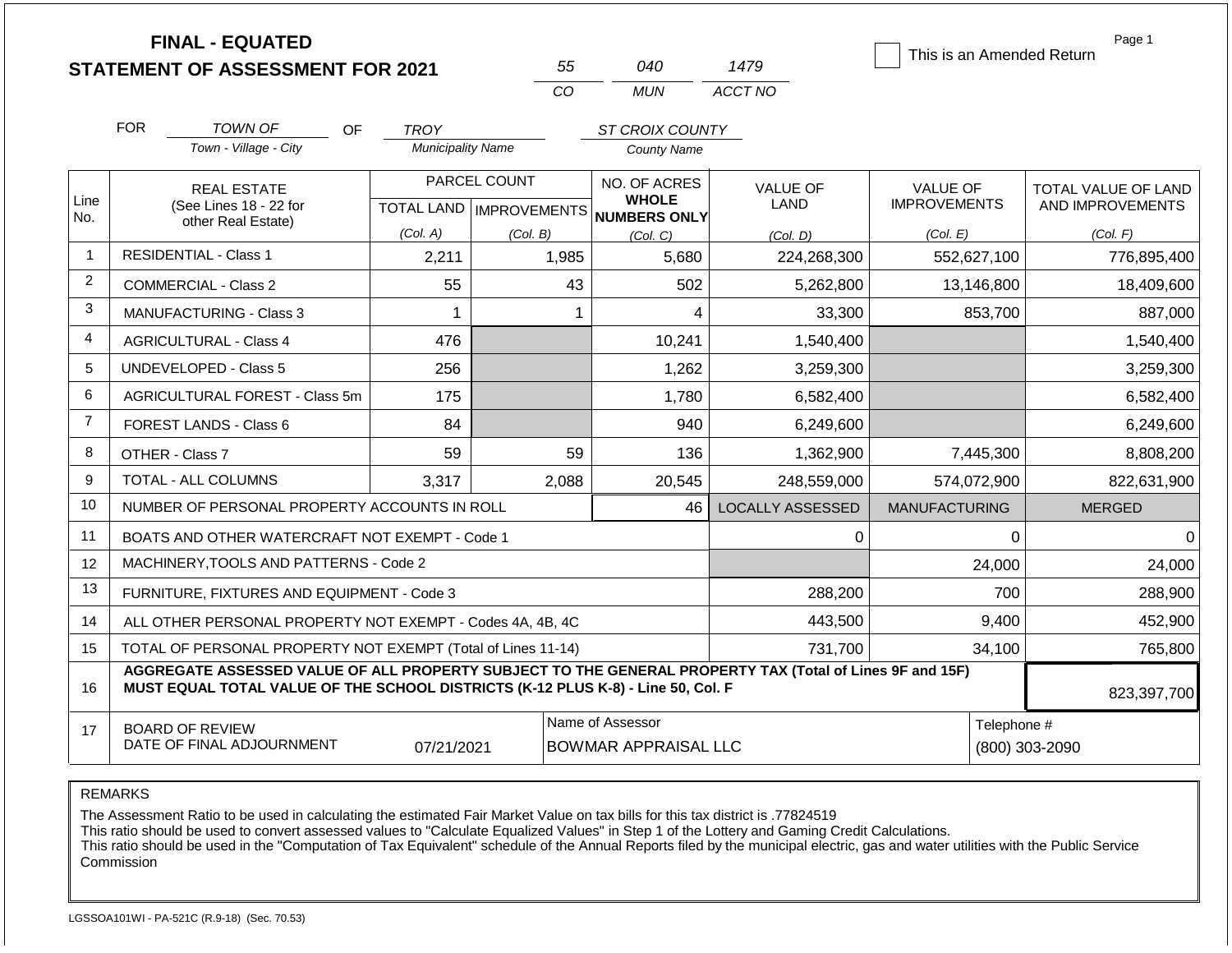|                |                                                                                                                                                                                              | <b>FINAL - EQUATED</b><br><b>STATEMENT OF ASSESSMENT FOR 2021</b> |    |                                         |              | 55                                                             | 040                          | 1479                    |                      |             | Page 1<br>This is an Amended Return |
|----------------|----------------------------------------------------------------------------------------------------------------------------------------------------------------------------------------------|-------------------------------------------------------------------|----|-----------------------------------------|--------------|----------------------------------------------------------------|------------------------------|-------------------------|----------------------|-------------|-------------------------------------|
|                |                                                                                                                                                                                              |                                                                   |    |                                         |              | CO                                                             | <b>MUN</b>                   | ACCT NO                 |                      |             |                                     |
|                |                                                                                                                                                                                              |                                                                   |    |                                         |              |                                                                |                              |                         |                      |             |                                     |
|                | <b>FOR</b>                                                                                                                                                                                   | TOWN OF<br>Town - Village - City                                  | OF | <b>TROY</b><br><b>Municipality Name</b> |              |                                                                | ST CROIX COUNTY              |                         |                      |             |                                     |
|                |                                                                                                                                                                                              |                                                                   |    |                                         |              |                                                                | <b>County Name</b>           |                         |                      |             |                                     |
|                |                                                                                                                                                                                              | <b>REAL ESTATE</b>                                                |    |                                         | PARCEL COUNT |                                                                | NO. OF ACRES                 | <b>VALUE OF</b>         | <b>VALUE OF</b>      |             | TOTAL VALUE OF LAND                 |
| Line<br>No.    |                                                                                                                                                                                              | (See Lines 18 - 22 for<br>other Real Estate)                      |    | <b>TOTAL LAND   IMPROVEMENTS</b>        |              |                                                                | <b>WHOLE</b><br>NUMBERS ONLY | LAND                    | <b>IMPROVEMENTS</b>  |             | AND IMPROVEMENTS                    |
|                |                                                                                                                                                                                              |                                                                   |    | (Col. A)                                | (Col. B)     |                                                                | (Col. C)                     | (Col, D)                | (Col. E)             |             | (Col. F)                            |
| $\mathbf{1}$   |                                                                                                                                                                                              | <b>RESIDENTIAL - Class 1</b>                                      |    | 2,211                                   |              | 1,985                                                          | 5,680                        | 224,268,300             |                      | 552,627,100 | 776,895,400                         |
| 2              |                                                                                                                                                                                              | <b>COMMERCIAL - Class 2</b>                                       | 55 |                                         | 43           | 502                                                            | 5,262,800                    |                         | 13,146,800           | 18,409,600  |                                     |
| 3              | MANUFACTURING - Class 3                                                                                                                                                                      | 1                                                                 |    | $\mathbf{1}$                            | 4            | 33,300                                                         |                              | 853,700                 | 887,000              |             |                                     |
| $\overline{4}$ |                                                                                                                                                                                              | <b>AGRICULTURAL - Class 4</b>                                     |    | 476                                     |              |                                                                | 10,241                       | 1,540,400               |                      |             | 1,540,400                           |
| 5              |                                                                                                                                                                                              | <b>UNDEVELOPED - Class 5</b>                                      |    | 256                                     |              |                                                                | 1,262                        | 3,259,300               |                      |             | 3,259,300                           |
| 6              |                                                                                                                                                                                              | <b>AGRICULTURAL FOREST - Class 5m</b>                             |    | 175                                     |              |                                                                | 1,780                        | 6,582,400               |                      |             | 6,582,400                           |
| $\overline{7}$ |                                                                                                                                                                                              | <b>FOREST LANDS - Class 6</b>                                     |    | 84                                      |              |                                                                | 940                          | 6,249,600               |                      |             | 6,249,600                           |
| 8              | OTHER - Class 7                                                                                                                                                                              |                                                                   |    | 59                                      |              | 59                                                             | 136                          | 1,362,900               |                      | 7,445,300   | 8,808,200                           |
| 9              |                                                                                                                                                                                              | <b>TOTAL - ALL COLUMNS</b>                                        |    | 3,317                                   |              | 2,088                                                          | 20,545                       | 248,559,000             |                      | 574,072,900 | 822,631,900                         |
| 10             |                                                                                                                                                                                              | NUMBER OF PERSONAL PROPERTY ACCOUNTS IN ROLL                      |    |                                         |              |                                                                | 46                           | <b>LOCALLY ASSESSED</b> | <b>MANUFACTURING</b> |             | <b>MERGED</b>                       |
| 11             |                                                                                                                                                                                              | BOATS AND OTHER WATERCRAFT NOT EXEMPT - Code 1                    |    |                                         |              |                                                                |                              | $\Omega$                |                      | $\Omega$    | 0                                   |
| 12             |                                                                                                                                                                                              | MACHINERY, TOOLS AND PATTERNS - Code 2                            |    |                                         |              |                                                                |                              |                         |                      | 24,000      | 24,000                              |
| 13             |                                                                                                                                                                                              | FURNITURE, FIXTURES AND EQUIPMENT - Code 3                        |    |                                         |              |                                                                |                              | 288,200                 |                      | 700         | 288,900                             |
| 14             |                                                                                                                                                                                              | ALL OTHER PERSONAL PROPERTY NOT EXEMPT - Codes 4A, 4B, 4C         |    |                                         |              |                                                                |                              | 443,500                 |                      | 9,400       | 452,900                             |
| 15             |                                                                                                                                                                                              | TOTAL OF PERSONAL PROPERTY NOT EXEMPT (Total of Lines 11-14)      |    |                                         |              |                                                                |                              | 731,700                 |                      | 34,100      | 765,800                             |
| 16             | AGGREGATE ASSESSED VALUE OF ALL PROPERTY SUBJECT TO THE GENERAL PROPERTY TAX (Total of Lines 9F and 15F)<br>MUST EQUAL TOTAL VALUE OF THE SCHOOL DISTRICTS (K-12 PLUS K-8) - Line 50, Col. F |                                                                   |    |                                         |              |                                                                |                              |                         |                      |             | 823,397,700                         |
| 17             |                                                                                                                                                                                              | <b>BOARD OF REVIEW</b><br>DATE OF FINAL ADJOURNMENT               |    | 07/21/2021                              |              | Name of Assessor<br>Telephone #<br><b>BOWMAR APPRAISAL LLC</b> |                              |                         |                      |             | (800) 303-2090                      |

The Assessment Ratio to be used in calculating the estimated Fair Market Value on tax bills for this tax district is .77824519

This ratio should be used to convert assessed values to "Calculate Equalized Values" in Step 1 of the Lottery and Gaming Credit Calculations.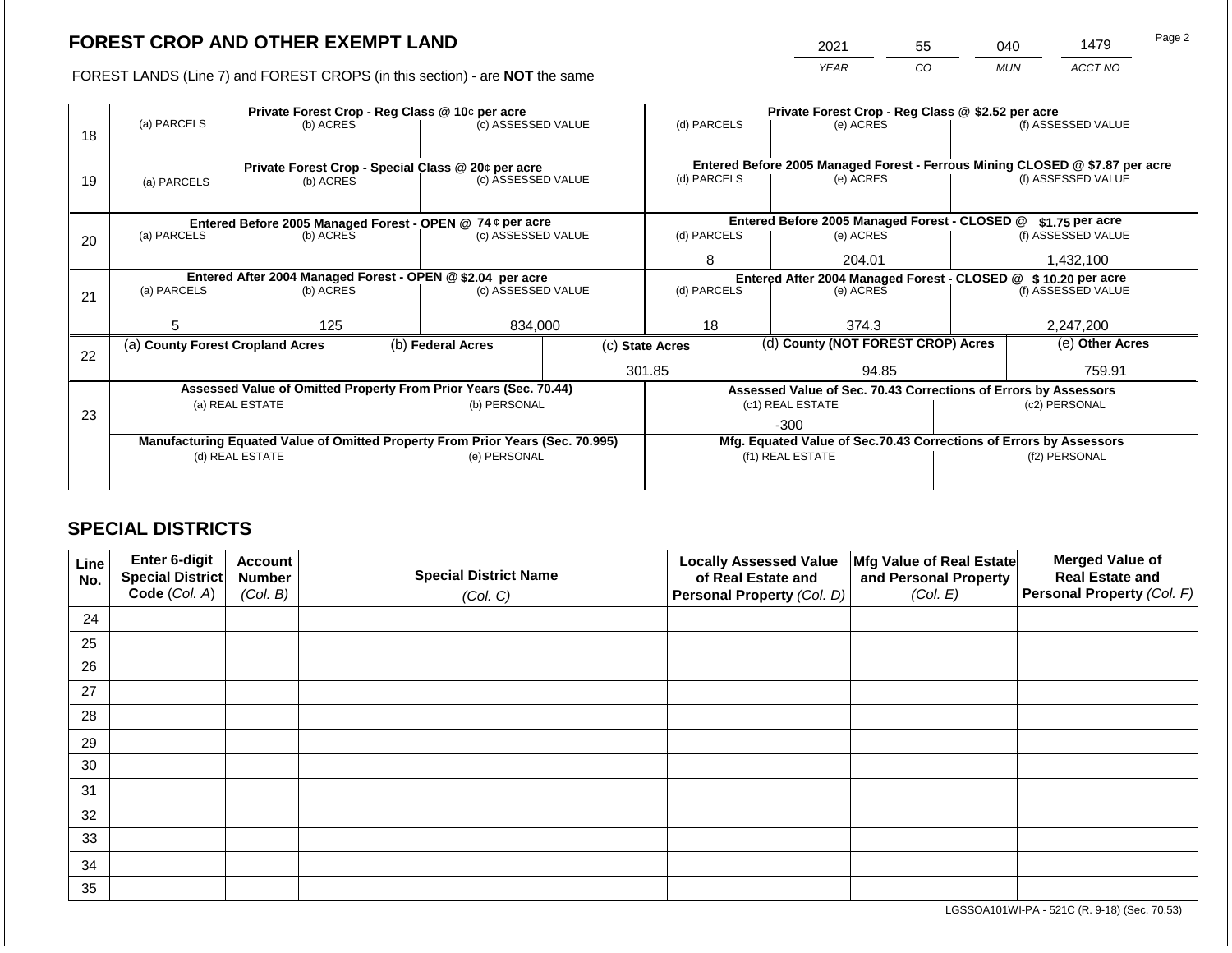2021 55 040 1479

FOREST LANDS (Line 7) and FOREST CROPS (in this section) - are **NOT** the same *YEAR CO MUN ACCT NO*

|    |                                                                                |                 |  | Private Forest Crop - Reg Class @ 10¢ per acre                   |                                                               | Private Forest Crop - Reg Class @ \$2.52 per acre |                                               |                                                                    |                                                                              |                    |  |
|----|--------------------------------------------------------------------------------|-----------------|--|------------------------------------------------------------------|---------------------------------------------------------------|---------------------------------------------------|-----------------------------------------------|--------------------------------------------------------------------|------------------------------------------------------------------------------|--------------------|--|
|    | (a) PARCELS                                                                    | (b) ACRES       |  | (c) ASSESSED VALUE                                               |                                                               | (d) PARCELS                                       |                                               | (e) ACRES                                                          |                                                                              | (f) ASSESSED VALUE |  |
| 18 |                                                                                |                 |  |                                                                  |                                                               |                                                   |                                               |                                                                    |                                                                              |                    |  |
|    |                                                                                |                 |  |                                                                  |                                                               |                                                   |                                               |                                                                    |                                                                              |                    |  |
|    |                                                                                |                 |  | Private Forest Crop - Special Class @ 20¢ per acre               |                                                               |                                                   |                                               |                                                                    | Entered Before 2005 Managed Forest - Ferrous Mining CLOSED @ \$7.87 per acre |                    |  |
| 19 | (a) PARCELS                                                                    | (b) ACRES       |  | (c) ASSESSED VALUE                                               |                                                               | (d) PARCELS                                       |                                               | (e) ACRES                                                          |                                                                              | (f) ASSESSED VALUE |  |
|    |                                                                                |                 |  |                                                                  |                                                               |                                                   |                                               |                                                                    |                                                                              |                    |  |
|    |                                                                                |                 |  | Entered Before 2005 Managed Forest - OPEN @ 74 ¢ per acre        |                                                               |                                                   | Entered Before 2005 Managed Forest - CLOSED @ |                                                                    | \$1.75 per acre                                                              |                    |  |
| 20 | (a) PARCELS                                                                    | (b) ACRES       |  | (c) ASSESSED VALUE                                               |                                                               | (d) PARCELS                                       |                                               | (e) ACRES                                                          |                                                                              | (f) ASSESSED VALUE |  |
|    |                                                                                |                 |  |                                                                  |                                                               |                                                   |                                               |                                                                    |                                                                              |                    |  |
|    |                                                                                |                 |  |                                                                  |                                                               |                                                   |                                               | 204.01                                                             |                                                                              | 1,432,100          |  |
|    | Entered After 2004 Managed Forest - OPEN @ \$2.04 per acre                     |                 |  |                                                                  | Entered After 2004 Managed Forest - CLOSED @ \$10.20 per acre |                                                   |                                               |                                                                    |                                                                              |                    |  |
| 21 | (a) PARCELS<br>(b) ACRES                                                       |                 |  | (c) ASSESSED VALUE                                               |                                                               | (d) PARCELS                                       |                                               | (e) ACRES                                                          |                                                                              | (f) ASSESSED VALUE |  |
|    |                                                                                |                 |  |                                                                  |                                                               |                                                   |                                               |                                                                    |                                                                              |                    |  |
|    | 5                                                                              | 125             |  | 834,000                                                          | 18                                                            |                                                   | 374.3                                         |                                                                    | 2,247,200                                                                    |                    |  |
|    | (a) County Forest Cropland Acres                                               |                 |  | (b) Federal Acres                                                | (c) State Acres                                               |                                                   | (d) County (NOT FOREST CROP) Acres            |                                                                    | (e) Other Acres                                                              |                    |  |
| 22 |                                                                                |                 |  |                                                                  |                                                               |                                                   |                                               |                                                                    |                                                                              |                    |  |
|    |                                                                                |                 |  |                                                                  |                                                               | 301.85                                            |                                               | 94.85                                                              |                                                                              | 759.91             |  |
|    |                                                                                |                 |  | Assessed Value of Omitted Property From Prior Years (Sec. 70.44) |                                                               |                                                   |                                               |                                                                    | Assessed Value of Sec. 70.43 Corrections of Errors by Assessors              |                    |  |
|    |                                                                                | (a) REAL ESTATE |  | (b) PERSONAL                                                     |                                                               |                                                   |                                               | (c1) REAL ESTATE                                                   | (c2) PERSONAL                                                                |                    |  |
| 23 |                                                                                |                 |  |                                                                  |                                                               |                                                   |                                               | $-300$                                                             |                                                                              |                    |  |
|    | Manufacturing Equated Value of Omitted Property From Prior Years (Sec. 70.995) |                 |  |                                                                  |                                                               |                                                   |                                               | Mfg. Equated Value of Sec.70.43 Corrections of Errors by Assessors |                                                                              |                    |  |
|    | (d) REAL ESTATE                                                                |                 |  | (e) PERSONAL                                                     |                                                               |                                                   |                                               | (f1) REAL ESTATE                                                   | (f2) PERSONAL                                                                |                    |  |
|    |                                                                                |                 |  |                                                                  |                                                               |                                                   |                                               |                                                                    |                                                                              |                    |  |
|    |                                                                                |                 |  |                                                                  |                                                               |                                                   |                                               |                                                                    |                                                                              |                    |  |

## **SPECIAL DISTRICTS**

| Line<br>No. | Enter 6-digit<br><b>Special District</b><br>Code (Col. A) | <b>Account</b><br><b>Number</b><br>(Col. B) | <b>Special District Name</b><br>(Col. C) | <b>Locally Assessed Value</b><br>of Real Estate and<br>Personal Property (Col. D) | Mfg Value of Real Estate<br>and Personal Property<br>(Col. E) | <b>Merged Value of</b><br><b>Real Estate and</b><br>Personal Property (Col. F) |
|-------------|-----------------------------------------------------------|---------------------------------------------|------------------------------------------|-----------------------------------------------------------------------------------|---------------------------------------------------------------|--------------------------------------------------------------------------------|
| 24          |                                                           |                                             |                                          |                                                                                   |                                                               |                                                                                |
|             |                                                           |                                             |                                          |                                                                                   |                                                               |                                                                                |
| 25          |                                                           |                                             |                                          |                                                                                   |                                                               |                                                                                |
| 26          |                                                           |                                             |                                          |                                                                                   |                                                               |                                                                                |
| 27          |                                                           |                                             |                                          |                                                                                   |                                                               |                                                                                |
| 28          |                                                           |                                             |                                          |                                                                                   |                                                               |                                                                                |
| 29          |                                                           |                                             |                                          |                                                                                   |                                                               |                                                                                |
| 30          |                                                           |                                             |                                          |                                                                                   |                                                               |                                                                                |
| 31          |                                                           |                                             |                                          |                                                                                   |                                                               |                                                                                |
| 32          |                                                           |                                             |                                          |                                                                                   |                                                               |                                                                                |
| 33          |                                                           |                                             |                                          |                                                                                   |                                                               |                                                                                |
| 34          |                                                           |                                             |                                          |                                                                                   |                                                               |                                                                                |
| 35          |                                                           |                                             |                                          |                                                                                   |                                                               |                                                                                |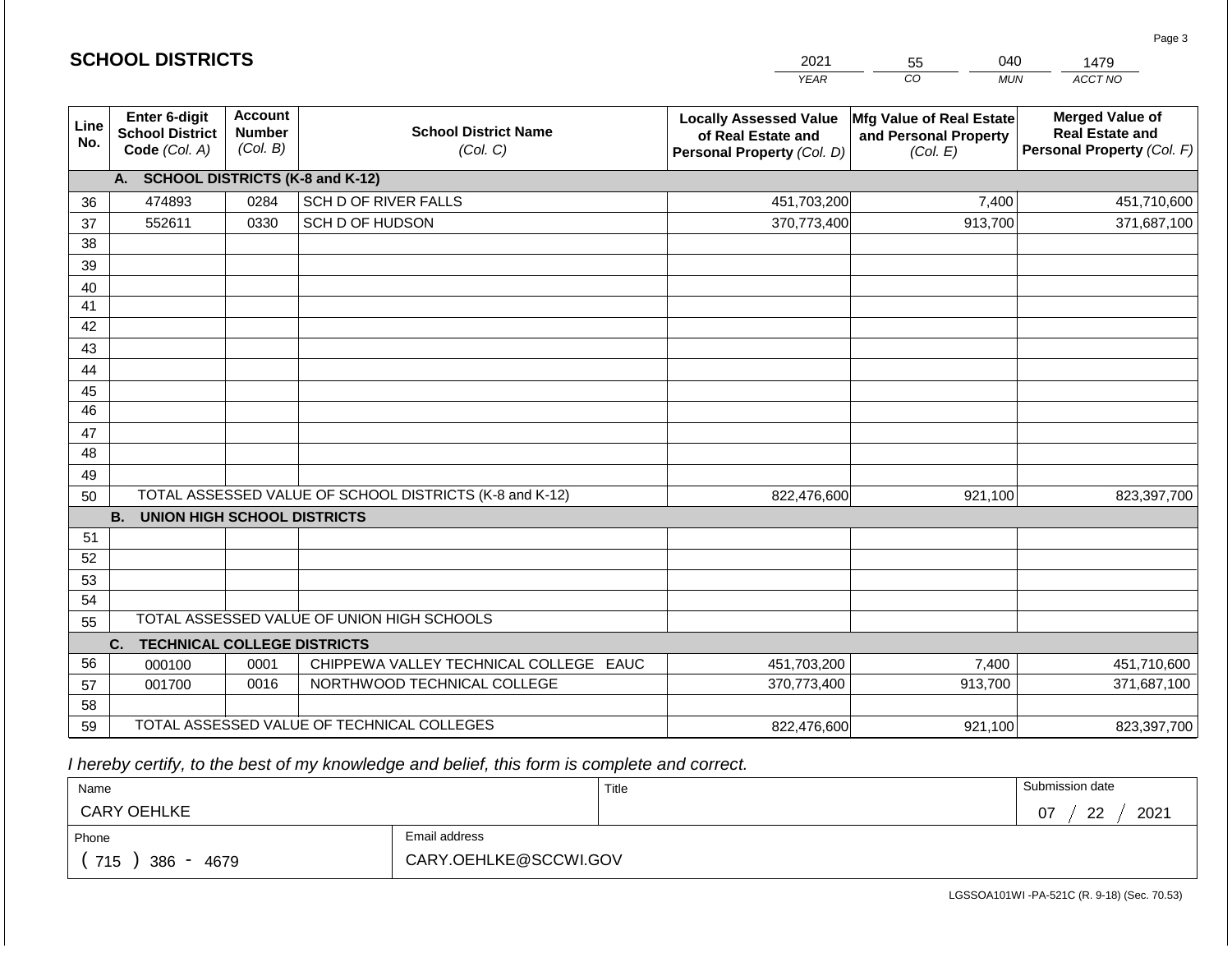|                 | <b>SCHOOL DISTRICTS</b>                                  |                                             |                                                         | 2021                                                                              | 040<br>55                                                     | 1479                                                                           |  |
|-----------------|----------------------------------------------------------|---------------------------------------------|---------------------------------------------------------|-----------------------------------------------------------------------------------|---------------------------------------------------------------|--------------------------------------------------------------------------------|--|
|                 |                                                          |                                             |                                                         | <b>YEAR</b>                                                                       | CO<br><b>MUN</b>                                              | ACCT NO                                                                        |  |
| Line<br>No.     | Enter 6-digit<br><b>School District</b><br>Code (Col. A) | <b>Account</b><br><b>Number</b><br>(Col. B) | <b>School District Name</b><br>(Col. C)                 | <b>Locally Assessed Value</b><br>of Real Estate and<br>Personal Property (Col. D) | Mfg Value of Real Estate<br>and Personal Property<br>(Col. E) | <b>Merged Value of</b><br><b>Real Estate and</b><br>Personal Property (Col. F) |  |
|                 | A. SCHOOL DISTRICTS (K-8 and K-12)                       |                                             |                                                         |                                                                                   |                                                               |                                                                                |  |
| 36              | 474893                                                   | 0284                                        | SCH D OF RIVER FALLS                                    | 451,703,200                                                                       | 7,400                                                         | 451,710,600                                                                    |  |
| 37              | 552611                                                   | 0330                                        | SCH D OF HUDSON                                         | 370,773,400                                                                       | 913,700                                                       | 371,687,100                                                                    |  |
| 38              |                                                          |                                             |                                                         |                                                                                   |                                                               |                                                                                |  |
| 39              |                                                          |                                             |                                                         |                                                                                   |                                                               |                                                                                |  |
| 40              |                                                          |                                             |                                                         |                                                                                   |                                                               |                                                                                |  |
| 41              |                                                          |                                             |                                                         |                                                                                   |                                                               |                                                                                |  |
| 42              |                                                          |                                             |                                                         |                                                                                   |                                                               |                                                                                |  |
| 43              |                                                          |                                             |                                                         |                                                                                   |                                                               |                                                                                |  |
| 44              |                                                          |                                             |                                                         |                                                                                   |                                                               |                                                                                |  |
| 45              |                                                          |                                             |                                                         |                                                                                   |                                                               |                                                                                |  |
| $\overline{46}$ |                                                          |                                             |                                                         |                                                                                   |                                                               |                                                                                |  |
| 47              |                                                          |                                             |                                                         |                                                                                   |                                                               |                                                                                |  |
| 48              |                                                          |                                             |                                                         |                                                                                   |                                                               |                                                                                |  |
| 49<br>50        |                                                          |                                             | TOTAL ASSESSED VALUE OF SCHOOL DISTRICTS (K-8 and K-12) | 822,476,600                                                                       | 921,100                                                       | 823,397,700                                                                    |  |
|                 | <b>B.</b><br><b>UNION HIGH SCHOOL DISTRICTS</b>          |                                             |                                                         |                                                                                   |                                                               |                                                                                |  |
| 51              |                                                          |                                             |                                                         |                                                                                   |                                                               |                                                                                |  |
| 52              |                                                          |                                             |                                                         |                                                                                   |                                                               |                                                                                |  |
| 53              |                                                          |                                             |                                                         |                                                                                   |                                                               |                                                                                |  |
| 54              |                                                          |                                             |                                                         |                                                                                   |                                                               |                                                                                |  |
| 55              |                                                          |                                             | TOTAL ASSESSED VALUE OF UNION HIGH SCHOOLS              |                                                                                   |                                                               |                                                                                |  |
|                 | <b>TECHNICAL COLLEGE DISTRICTS</b><br>C.                 |                                             |                                                         |                                                                                   |                                                               |                                                                                |  |
| 56              | 000100                                                   | 0001                                        | CHIPPEWA VALLEY TECHNICAL COLLEGE EAUC                  | 451,703,200                                                                       | 7,400                                                         | 451,710,600                                                                    |  |
| 57              | 001700                                                   | 0016                                        | NORTHWOOD TECHNICAL COLLEGE                             | 370,773,400                                                                       | 913,700                                                       | 371,687,100                                                                    |  |
| 58              |                                                          |                                             |                                                         |                                                                                   |                                                               |                                                                                |  |
| 59              |                                                          |                                             | TOTAL ASSESSED VALUE OF TECHNICAL COLLEGES              | 822,476,600                                                                       | 921,100                                                       | 823,397,700                                                                    |  |

 *I hereby certify, to the best of my knowledge and belief, this form is complete and correct.*

**SCHOOL DISTRICTS**

| Name               |                       | Title | Submission date               |
|--------------------|-----------------------|-------|-------------------------------|
| <b>CARY OEHLKE</b> |                       |       | 2021<br>າາ<br>07<br><u>__</u> |
| Phone              | Email address         |       |                               |
| 715<br>386<br>4679 | CARY.OEHLKE@SCCWI.GOV |       |                               |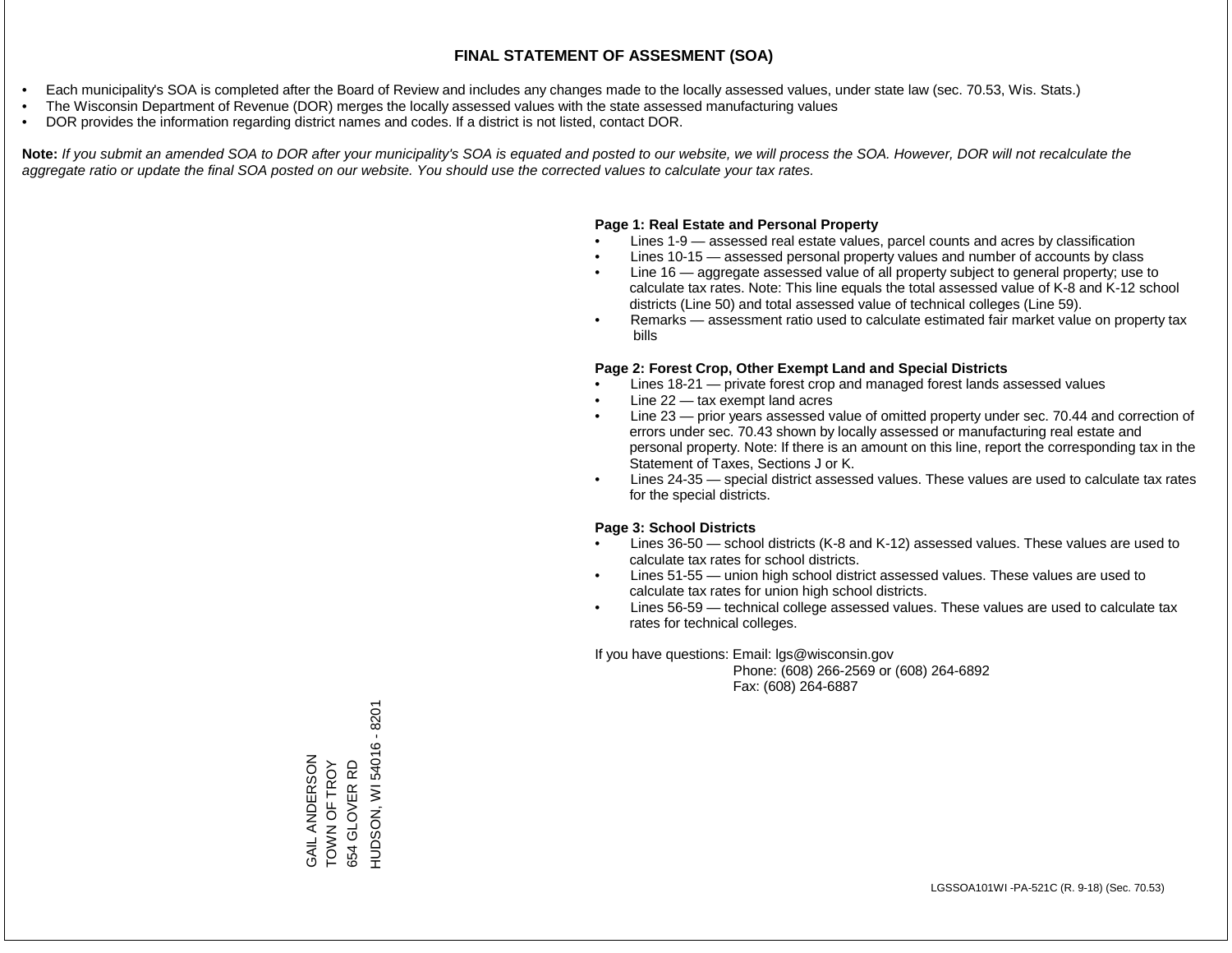- Each municipality's SOA is completed after the Board of Review and includes any changes made to the locally assessed values, under state law (sec. 70.53, Wis. Stats.)
- The Wisconsin Department of Revenue (DOR) merges the locally assessed values with the state assessed manufacturing values
- DOR provides the information regarding district names and codes. If a district is not listed, contact DOR.

Note: If you submit an amended SOA to DOR after your municipality's SOA is equated and posted to our website, we will process the SOA. However, DOR will not recalculate the *aggregate ratio or update the final SOA posted on our website. You should use the corrected values to calculate your tax rates.*

### **Page 1: Real Estate and Personal Property**

- Lines 1-9 assessed real estate values, parcel counts and acres by classification
- Lines 10-15 assessed personal property values and number of accounts by class
- Line 16 aggregate assessed value of all property subject to general property; use to calculate tax rates. Note: This line equals the total assessed value of K-8 and K-12 school districts (Line 50) and total assessed value of technical colleges (Line 59).
- Remarks assessment ratio used to calculate estimated fair market value on property tax bills

#### **Page 2: Forest Crop, Other Exempt Land and Special Districts**

- Lines 18-21 private forest crop and managed forest lands assessed values
- Line  $22 -$  tax exempt land acres
- Line 23 prior years assessed value of omitted property under sec. 70.44 and correction of errors under sec. 70.43 shown by locally assessed or manufacturing real estate and personal property. Note: If there is an amount on this line, report the corresponding tax in the Statement of Taxes, Sections J or K.
- Lines 24-35 special district assessed values. These values are used to calculate tax rates for the special districts.

#### **Page 3: School Districts**

- Lines 36-50 school districts (K-8 and K-12) assessed values. These values are used to calculate tax rates for school districts.
- Lines 51-55 union high school district assessed values. These values are used to calculate tax rates for union high school districts.
- Lines 56-59 technical college assessed values. These values are used to calculate tax rates for technical colleges.

If you have questions: Email: lgs@wisconsin.gov

 Phone: (608) 266-2569 or (608) 264-6892 Fax: (608) 264-6887

HUDSON, WI 54016 - 8201 HUDSON, WI 54016 - 8201GAIL ANDERSON GAIL ANDERSON TOWN OF TROY TOWN OF TROY 654 GLOVER RD 654 GLOVER RD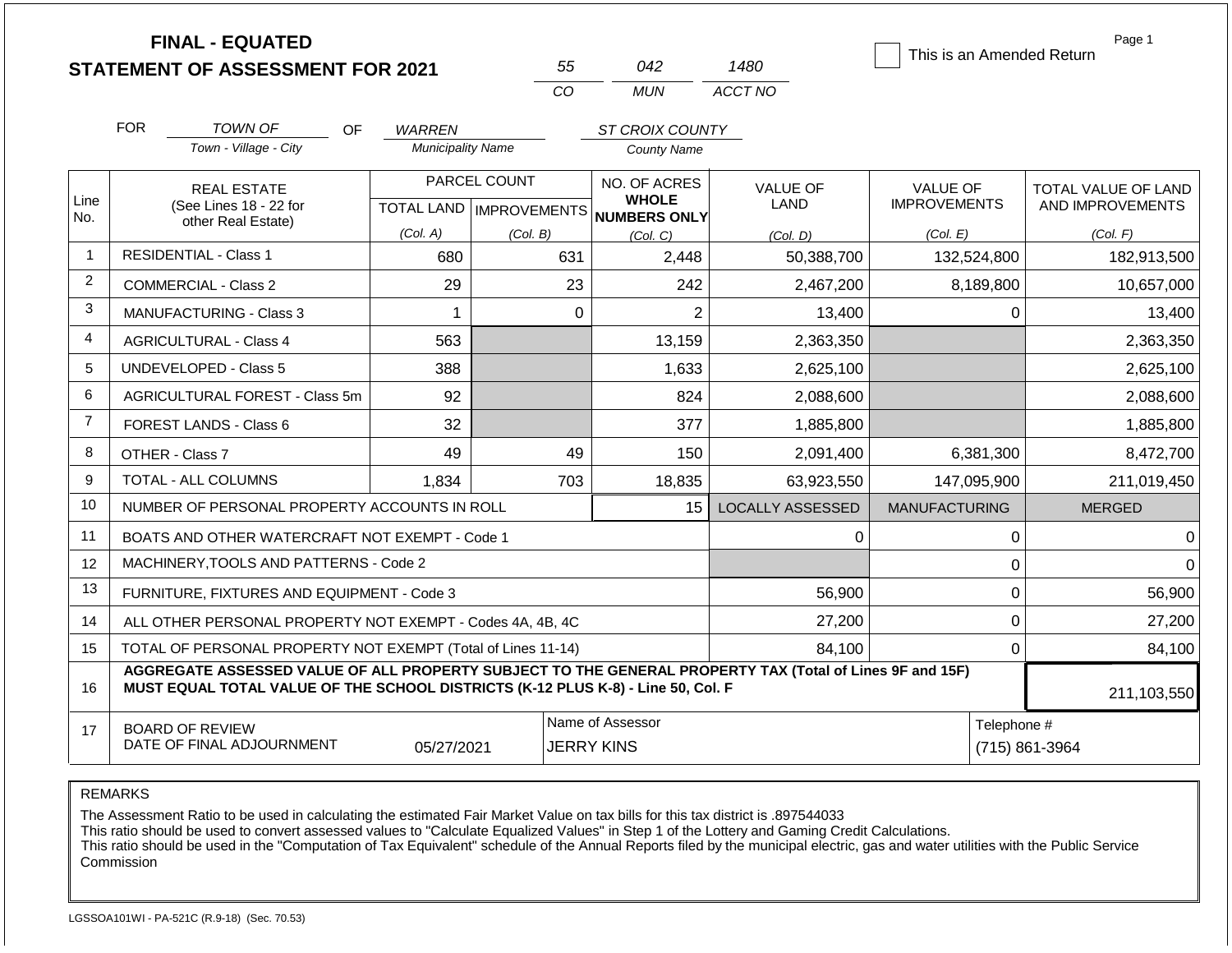|                | <b>FINAL - EQUATED</b><br><b>STATEMENT OF ASSESSMENT FOR 2021</b>                                                                                                                            |           |                           |              | 55                                    | 042                                          | 1480                    |                                        |             | Page 1<br>This is an Amended Return     |  |
|----------------|----------------------------------------------------------------------------------------------------------------------------------------------------------------------------------------------|-----------|---------------------------|--------------|---------------------------------------|----------------------------------------------|-------------------------|----------------------------------------|-------------|-----------------------------------------|--|
|                |                                                                                                                                                                                              |           |                           |              | CO                                    | <b>MUN</b>                                   | ACCT NO                 |                                        |             |                                         |  |
|                | <b>FOR</b><br><b>TOWN OF</b>                                                                                                                                                                 | <b>OF</b> | <b>WARREN</b>             |              |                                       | ST CROIX COUNTY                              |                         |                                        |             |                                         |  |
|                | Town - Village - City                                                                                                                                                                        |           | <b>Municipality Name</b>  |              |                                       | <b>County Name</b>                           |                         |                                        |             |                                         |  |
| Line           | <b>REAL ESTATE</b><br>(See Lines 18 - 22 for                                                                                                                                                 |           | TOTAL LAND   IMPROVEMENTS | PARCEL COUNT |                                       | NO. OF ACRES<br><b>WHOLE</b><br>NUMBERS ONLY | <b>VALUE OF</b><br>LAND | <b>VALUE OF</b><br><b>IMPROVEMENTS</b> |             | TOTAL VALUE OF LAND<br>AND IMPROVEMENTS |  |
| No.            | other Real Estate)                                                                                                                                                                           |           | (Col. A)                  | (Col. B)     |                                       | (Col, C)                                     | (Col. D)                | (Col. E)                               |             | (Col. F)                                |  |
| $\mathbf 1$    | <b>RESIDENTIAL - Class 1</b>                                                                                                                                                                 |           | 680                       |              | 631                                   | 2,448                                        | 50,388,700              |                                        | 132,524,800 | 182,913,500                             |  |
| $\overline{2}$ | <b>COMMERCIAL - Class 2</b>                                                                                                                                                                  |           |                           |              |                                       | 242                                          | 2,467,200               |                                        | 8,189,800   | 10,657,000                              |  |
| 3              | <b>MANUFACTURING - Class 3</b>                                                                                                                                                               | 1         |                           | $\Omega$     | $\overline{2}$                        | 13,400                                       |                         | 0                                      | 13,400      |                                         |  |
| 4              | <b>AGRICULTURAL - Class 4</b>                                                                                                                                                                | 563       |                           |              | 13,159                                | 2,363,350                                    |                         |                                        | 2,363,350   |                                         |  |
| 5              | <b>UNDEVELOPED - Class 5</b>                                                                                                                                                                 |           | 388                       |              |                                       | 1,633                                        | 2,625,100               |                                        |             | 2,625,100                               |  |
| 6              | AGRICULTURAL FOREST - Class 5m                                                                                                                                                               |           | 92                        |              |                                       | 824                                          | 2,088,600               |                                        |             | 2,088,600                               |  |
| $\overline{7}$ | <b>FOREST LANDS - Class 6</b>                                                                                                                                                                |           | 32                        |              |                                       | 377                                          | 1,885,800               |                                        |             | 1,885,800                               |  |
| 8              | OTHER - Class 7                                                                                                                                                                              |           | 49                        |              | 49                                    | 150                                          | 2,091,400               |                                        | 6,381,300   | 8,472,700                               |  |
| 9              | <b>TOTAL - ALL COLUMNS</b>                                                                                                                                                                   |           | 1,834                     |              | 703                                   | 18,835                                       | 63,923,550              |                                        | 147,095,900 | 211,019,450                             |  |
| 10             | NUMBER OF PERSONAL PROPERTY ACCOUNTS IN ROLL                                                                                                                                                 |           |                           |              |                                       | 15                                           | <b>LOCALLY ASSESSED</b> | <b>MANUFACTURING</b>                   |             | <b>MERGED</b>                           |  |
| 11             | BOATS AND OTHER WATERCRAFT NOT EXEMPT - Code 1                                                                                                                                               |           |                           |              |                                       |                                              | 0                       |                                        | 0           | 0                                       |  |
| 12             | MACHINERY, TOOLS AND PATTERNS - Code 2                                                                                                                                                       |           |                           |              |                                       |                                              |                         |                                        | $\mathbf 0$ | $\Omega$                                |  |
| 13             | FURNITURE, FIXTURES AND EQUIPMENT - Code 3                                                                                                                                                   |           |                           |              |                                       |                                              | 56,900                  |                                        | $\mathbf 0$ | 56,900                                  |  |
| 14             | ALL OTHER PERSONAL PROPERTY NOT EXEMPT - Codes 4A, 4B, 4C                                                                                                                                    |           |                           |              |                                       |                                              | 27,200                  |                                        | $\mathbf 0$ | 27,200                                  |  |
| 15             | TOTAL OF PERSONAL PROPERTY NOT EXEMPT (Total of Lines 11-14)                                                                                                                                 |           |                           |              |                                       |                                              | 84,100                  |                                        | $\mathbf 0$ | 84,100                                  |  |
| 16             | AGGREGATE ASSESSED VALUE OF ALL PROPERTY SUBJECT TO THE GENERAL PROPERTY TAX (Total of Lines 9F and 15F)<br>MUST EQUAL TOTAL VALUE OF THE SCHOOL DISTRICTS (K-12 PLUS K-8) - Line 50, Col. F |           |                           |              |                                       |                                              |                         |                                        |             | 211,103,550                             |  |
| 17             | <b>BOARD OF REVIEW</b><br>DATE OF FINAL ADJOURNMENT                                                                                                                                          |           | 05/27/2021                |              | Name of Assessor<br><b>JERRY KINS</b> |                                              |                         |                                        |             | Telephone #<br>(715) 861-3964           |  |

The Assessment Ratio to be used in calculating the estimated Fair Market Value on tax bills for this tax district is .897544033

This ratio should be used to convert assessed values to "Calculate Equalized Values" in Step 1 of the Lottery and Gaming Credit Calculations.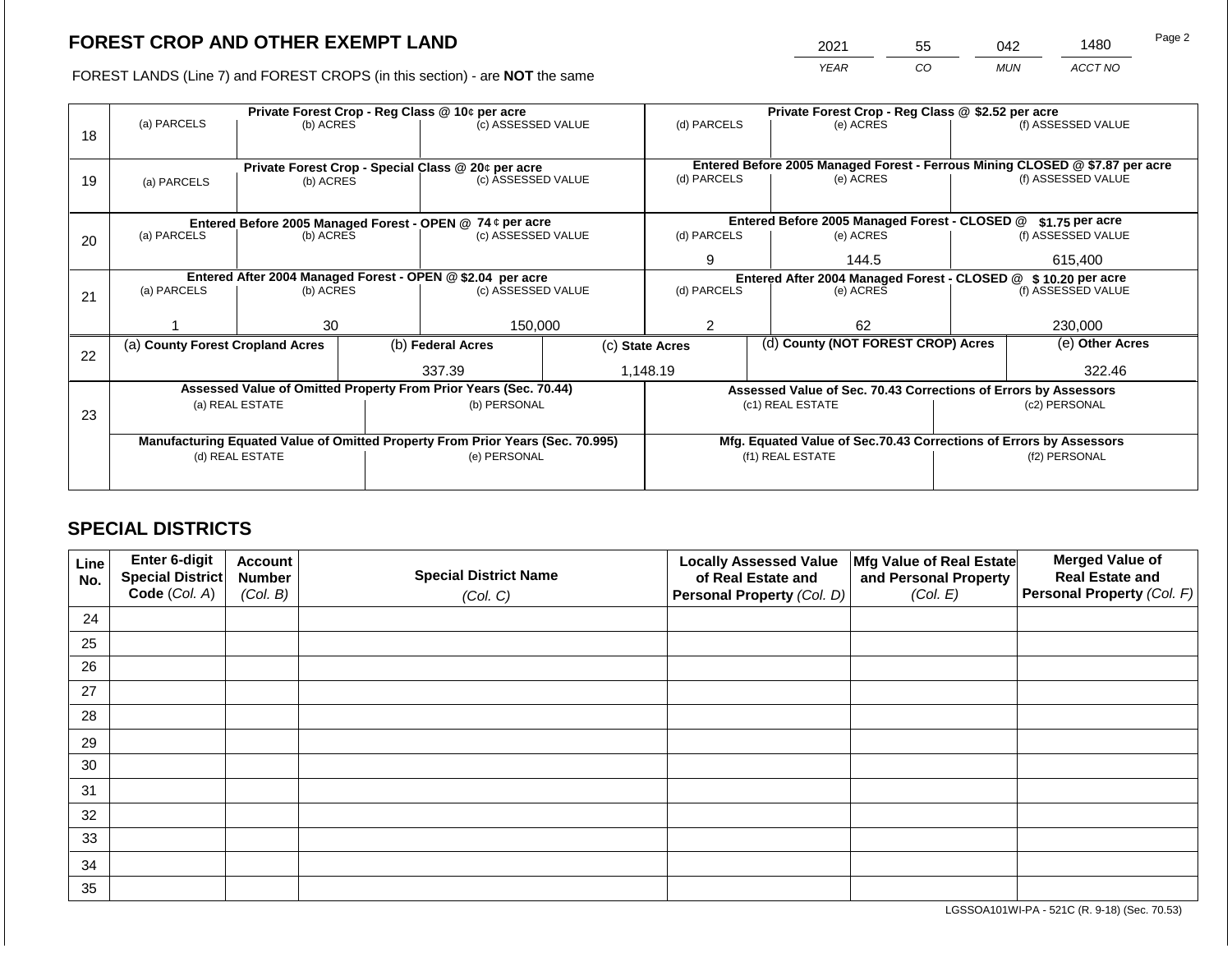2021 55 042 1480

FOREST LANDS (Line 7) and FOREST CROPS (in this section) - are **NOT** the same *YEAR CO MUN ACCT NO*

| 18 | (a) PARCELS                                                                    | (b) ACRES                |              | Private Forest Crop - Reg Class @ 10¢ per acre<br>(c) ASSESSED VALUE |                                                                | (d) PARCELS     |  | Private Forest Crop - Reg Class @ \$2.52 per acre<br>(e) ACRES               |                                                                 | (f) ASSESSED VALUE |  |
|----|--------------------------------------------------------------------------------|--------------------------|--------------|----------------------------------------------------------------------|----------------------------------------------------------------|-----------------|--|------------------------------------------------------------------------------|-----------------------------------------------------------------|--------------------|--|
|    |                                                                                |                          |              | Private Forest Crop - Special Class @ 20¢ per acre                   |                                                                |                 |  | Entered Before 2005 Managed Forest - Ferrous Mining CLOSED @ \$7.87 per acre |                                                                 |                    |  |
| 19 | (a) PARCELS                                                                    | (b) ACRES                |              | (c) ASSESSED VALUE                                                   |                                                                | (d) PARCELS     |  | (e) ACRES                                                                    |                                                                 | (f) ASSESSED VALUE |  |
|    |                                                                                |                          |              | Entered Before 2005 Managed Forest - OPEN @ 74 ¢ per acre            |                                                                |                 |  | Entered Before 2005 Managed Forest - CLOSED @                                |                                                                 | \$1.75 per acre    |  |
| 20 | (a) PARCELS                                                                    | (b) ACRES                |              | (c) ASSESSED VALUE                                                   |                                                                | (d) PARCELS     |  | (e) ACRES                                                                    |                                                                 | (f) ASSESSED VALUE |  |
|    |                                                                                |                          |              |                                                                      |                                                                | 9               |  | 144.5                                                                        |                                                                 | 615,400            |  |
|    | Entered After 2004 Managed Forest - OPEN @ \$2.04 per acre                     |                          |              |                                                                      | Entered After 2004 Managed Forest - CLOSED @ \$ 10.20 per acre |                 |  |                                                                              |                                                                 |                    |  |
| 21 |                                                                                | (a) PARCELS<br>(b) ACRES |              | (c) ASSESSED VALUE                                                   |                                                                | (d) PARCELS     |  | (e) ACRES                                                                    |                                                                 | (f) ASSESSED VALUE |  |
|    |                                                                                | 30                       |              | 150,000                                                              |                                                                | 2               |  | 62                                                                           |                                                                 | 230,000            |  |
|    | (a) County Forest Cropland Acres                                               |                          |              | (b) Federal Acres                                                    |                                                                | (c) State Acres |  | (d) County (NOT FOREST CROP) Acres                                           |                                                                 | (e) Other Acres    |  |
| 22 |                                                                                |                          |              |                                                                      |                                                                |                 |  |                                                                              |                                                                 |                    |  |
|    |                                                                                |                          |              | 337.39                                                               |                                                                | 1,148.19        |  |                                                                              |                                                                 | 322.46             |  |
|    |                                                                                |                          |              | Assessed Value of Omitted Property From Prior Years (Sec. 70.44)     |                                                                |                 |  |                                                                              | Assessed Value of Sec. 70.43 Corrections of Errors by Assessors |                    |  |
| 23 | (a) REAL ESTATE                                                                |                          | (b) PERSONAL |                                                                      | (c1) REAL ESTATE                                               |                 |  |                                                                              | (c2) PERSONAL                                                   |                    |  |
|    |                                                                                |                          |              |                                                                      |                                                                |                 |  |                                                                              |                                                                 |                    |  |
|    | Manufacturing Equated Value of Omitted Property From Prior Years (Sec. 70.995) |                          |              |                                                                      |                                                                |                 |  | Mfg. Equated Value of Sec.70.43 Corrections of Errors by Assessors           |                                                                 |                    |  |
|    | (d) REAL ESTATE                                                                |                          |              | (e) PERSONAL                                                         | (f1) REAL ESTATE                                               |                 |  | (f2) PERSONAL                                                                |                                                                 |                    |  |
|    |                                                                                |                          |              |                                                                      |                                                                |                 |  |                                                                              |                                                                 |                    |  |

## **SPECIAL DISTRICTS**

| Line<br>No. | Enter 6-digit<br>Special District<br>Code (Col. A) | <b>Account</b><br><b>Number</b><br>(Col. B) | <b>Special District Name</b><br>(Col. C) | <b>Locally Assessed Value</b><br>of Real Estate and<br><b>Personal Property (Col. D)</b> | Mfg Value of Real Estate<br>and Personal Property<br>(Col. E) | <b>Merged Value of</b><br><b>Real Estate and</b><br>Personal Property (Col. F) |
|-------------|----------------------------------------------------|---------------------------------------------|------------------------------------------|------------------------------------------------------------------------------------------|---------------------------------------------------------------|--------------------------------------------------------------------------------|
| 24          |                                                    |                                             |                                          |                                                                                          |                                                               |                                                                                |
| 25          |                                                    |                                             |                                          |                                                                                          |                                                               |                                                                                |
| 26          |                                                    |                                             |                                          |                                                                                          |                                                               |                                                                                |
| 27          |                                                    |                                             |                                          |                                                                                          |                                                               |                                                                                |
| 28          |                                                    |                                             |                                          |                                                                                          |                                                               |                                                                                |
| 29          |                                                    |                                             |                                          |                                                                                          |                                                               |                                                                                |
| 30          |                                                    |                                             |                                          |                                                                                          |                                                               |                                                                                |
| 31          |                                                    |                                             |                                          |                                                                                          |                                                               |                                                                                |
| 32          |                                                    |                                             |                                          |                                                                                          |                                                               |                                                                                |
| 33          |                                                    |                                             |                                          |                                                                                          |                                                               |                                                                                |
| 34          |                                                    |                                             |                                          |                                                                                          |                                                               |                                                                                |
| 35          |                                                    |                                             |                                          |                                                                                          |                                                               |                                                                                |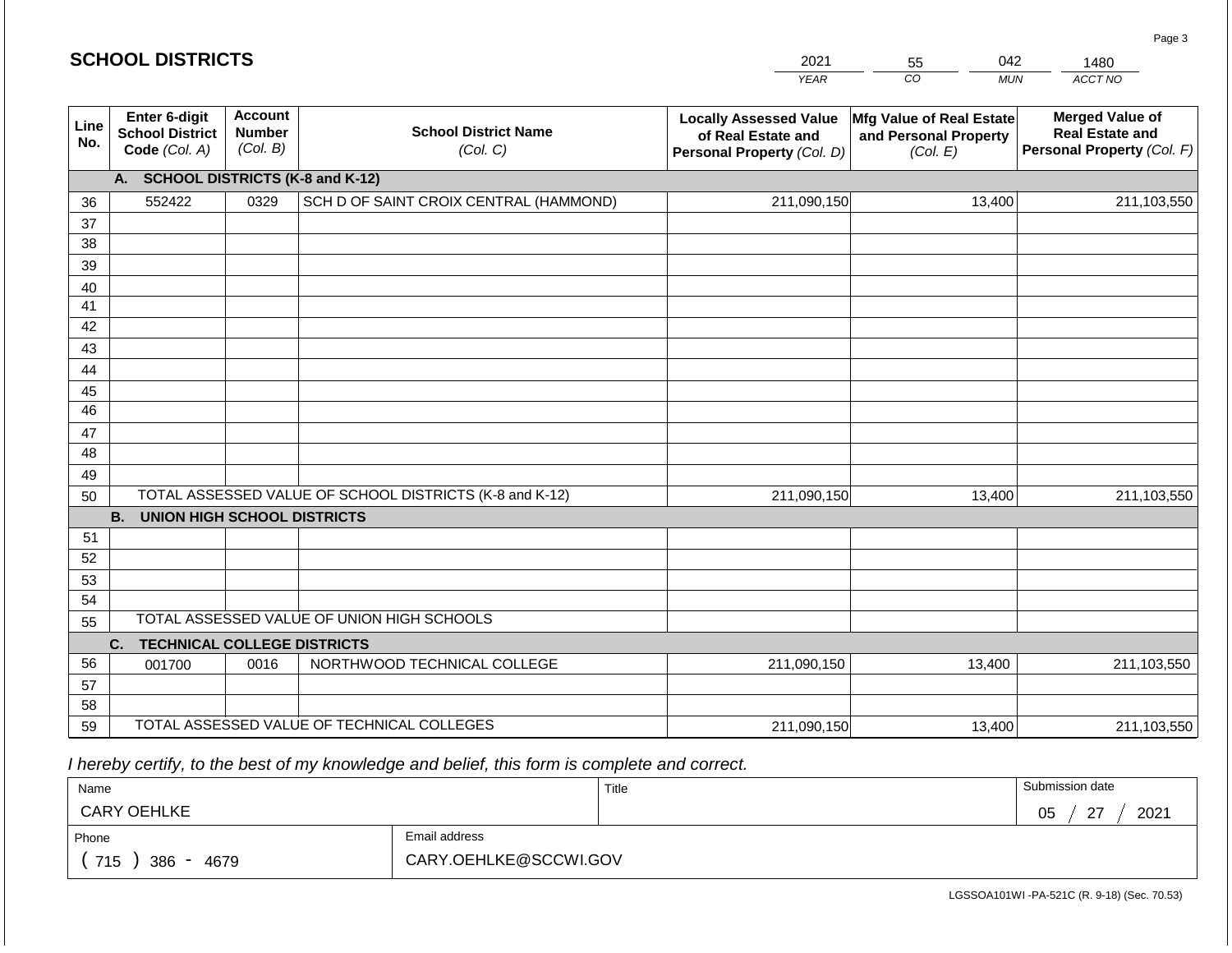## **SCHOOL DISTRICTS**

| 2021 | 55 | ገ42 | 480     |  |  |
|------|----|-----|---------|--|--|
| VEAR | 20 | MUN | ACCT NO |  |  |

| Line<br>No. | Enter 6-digit<br><b>School District</b><br>Code (Col. A) | <b>Account</b><br><b>Number</b><br>(Col. B) | <b>Locally Assessed Value</b><br><b>School District Name</b><br>of Real Estate and<br>(Col. C)<br>Personal Property (Col. D) |             | Mfg Value of Real Estate<br>and Personal Property<br>(Col. E) | <b>Merged Value of</b><br><b>Real Estate and</b><br>Personal Property (Col. F) |
|-------------|----------------------------------------------------------|---------------------------------------------|------------------------------------------------------------------------------------------------------------------------------|-------------|---------------------------------------------------------------|--------------------------------------------------------------------------------|
|             | <b>SCHOOL DISTRICTS (K-8 and K-12)</b><br>А.             |                                             |                                                                                                                              |             |                                                               |                                                                                |
| 36          | 552422                                                   | 0329                                        | SCH D OF SAINT CROIX CENTRAL (HAMMOND)                                                                                       | 211,090,150 | 13,400                                                        | 211,103,550                                                                    |
| 37          |                                                          |                                             |                                                                                                                              |             |                                                               |                                                                                |
| 38          |                                                          |                                             |                                                                                                                              |             |                                                               |                                                                                |
| 39          |                                                          |                                             |                                                                                                                              |             |                                                               |                                                                                |
| 40          |                                                          |                                             |                                                                                                                              |             |                                                               |                                                                                |
| 41          |                                                          |                                             |                                                                                                                              |             |                                                               |                                                                                |
| 42          |                                                          |                                             |                                                                                                                              |             |                                                               |                                                                                |
| 43          |                                                          |                                             |                                                                                                                              |             |                                                               |                                                                                |
| 44          |                                                          |                                             |                                                                                                                              |             |                                                               |                                                                                |
| 45          |                                                          |                                             |                                                                                                                              |             |                                                               |                                                                                |
| 46          |                                                          |                                             |                                                                                                                              |             |                                                               |                                                                                |
| 47          |                                                          |                                             |                                                                                                                              |             |                                                               |                                                                                |
| 48          |                                                          |                                             |                                                                                                                              |             |                                                               |                                                                                |
| 49          |                                                          |                                             |                                                                                                                              |             |                                                               |                                                                                |
| 50          |                                                          |                                             | TOTAL ASSESSED VALUE OF SCHOOL DISTRICTS (K-8 and K-12)                                                                      | 211,090,150 | 13,400                                                        | 211,103,550                                                                    |
|             | <b>B.</b><br><b>UNION HIGH SCHOOL DISTRICTS</b>          |                                             |                                                                                                                              |             |                                                               |                                                                                |
| 51          |                                                          |                                             |                                                                                                                              |             |                                                               |                                                                                |
| 52          |                                                          |                                             |                                                                                                                              |             |                                                               |                                                                                |
| 53          |                                                          |                                             |                                                                                                                              |             |                                                               |                                                                                |
| 54          |                                                          |                                             |                                                                                                                              |             |                                                               |                                                                                |
| 55          |                                                          |                                             | TOTAL ASSESSED VALUE OF UNION HIGH SCHOOLS                                                                                   |             |                                                               |                                                                                |
|             | C.<br><b>TECHNICAL COLLEGE DISTRICTS</b>                 |                                             |                                                                                                                              |             |                                                               |                                                                                |
| 56          | 001700                                                   | 0016                                        | NORTHWOOD TECHNICAL COLLEGE                                                                                                  | 211,090,150 | 13,400                                                        | 211,103,550                                                                    |
| 57          |                                                          |                                             |                                                                                                                              |             |                                                               |                                                                                |
| 58          |                                                          |                                             |                                                                                                                              |             |                                                               |                                                                                |
| 59          |                                                          |                                             | TOTAL ASSESSED VALUE OF TECHNICAL COLLEGES                                                                                   | 211,090,150 | 13,400                                                        | 211,103,550                                                                    |

 *I hereby certify, to the best of my knowledge and belief, this form is complete and correct.*

| Name                         |                       | Title | Submission date           |
|------------------------------|-----------------------|-------|---------------------------|
| <b>CARY OEHLKE</b>           |                       |       | 2021<br>05<br>$\sim$<br>- |
| Phone                        | Email address         |       |                           |
| 715<br>386<br>4679<br>$\sim$ | CARY.OEHLKE@SCCWI.GOV |       |                           |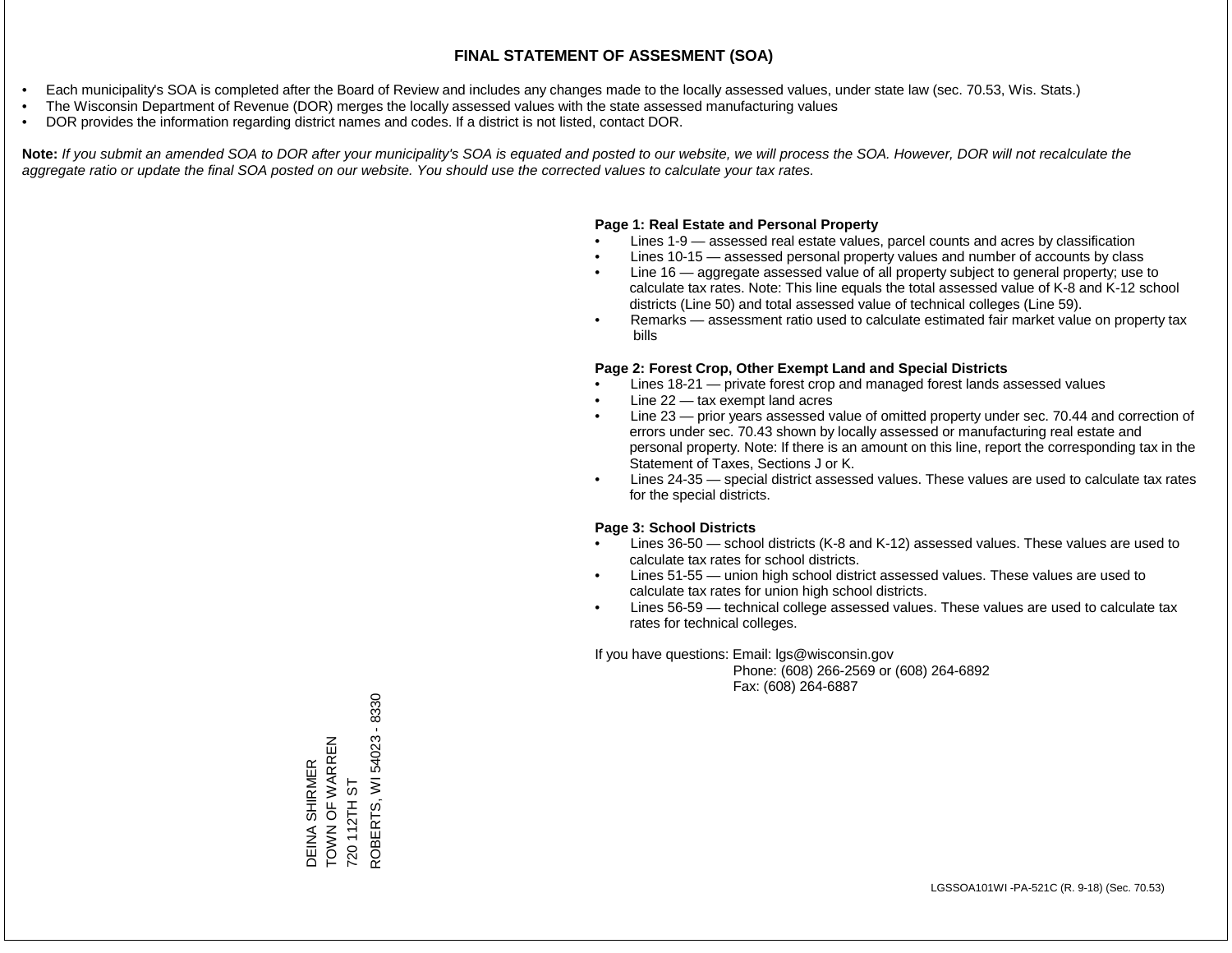- Each municipality's SOA is completed after the Board of Review and includes any changes made to the locally assessed values, under state law (sec. 70.53, Wis. Stats.)
- The Wisconsin Department of Revenue (DOR) merges the locally assessed values with the state assessed manufacturing values
- DOR provides the information regarding district names and codes. If a district is not listed, contact DOR.

Note: If you submit an amended SOA to DOR after your municipality's SOA is equated and posted to our website, we will process the SOA. However, DOR will not recalculate the *aggregate ratio or update the final SOA posted on our website. You should use the corrected values to calculate your tax rates.*

#### **Page 1: Real Estate and Personal Property**

- Lines 1-9 assessed real estate values, parcel counts and acres by classification
- Lines 10-15 assessed personal property values and number of accounts by class
- Line 16 aggregate assessed value of all property subject to general property; use to calculate tax rates. Note: This line equals the total assessed value of K-8 and K-12 school districts (Line 50) and total assessed value of technical colleges (Line 59).
- Remarks assessment ratio used to calculate estimated fair market value on property tax bills

#### **Page 2: Forest Crop, Other Exempt Land and Special Districts**

- Lines 18-21 private forest crop and managed forest lands assessed values
- Line  $22 -$  tax exempt land acres
- Line 23 prior years assessed value of omitted property under sec. 70.44 and correction of errors under sec. 70.43 shown by locally assessed or manufacturing real estate and personal property. Note: If there is an amount on this line, report the corresponding tax in the Statement of Taxes, Sections J or K.
- Lines 24-35 special district assessed values. These values are used to calculate tax rates for the special districts.

#### **Page 3: School Districts**

- Lines 36-50 school districts (K-8 and K-12) assessed values. These values are used to calculate tax rates for school districts.
- Lines 51-55 union high school district assessed values. These values are used to calculate tax rates for union high school districts.
- Lines 56-59 technical college assessed values. These values are used to calculate tax rates for technical colleges.

If you have questions: Email: lgs@wisconsin.gov

 Phone: (608) 266-2569 or (608) 264-6892 Fax: (608) 264-6887

DEINA SHIRMER TOWN OF WARREN DEINA SHIRMER<br>TOWN OF WARREN<br>720 112TH ST<br>ROBERTS, WI 54023 - 8330 ROBERTS, WI 54023 - 8330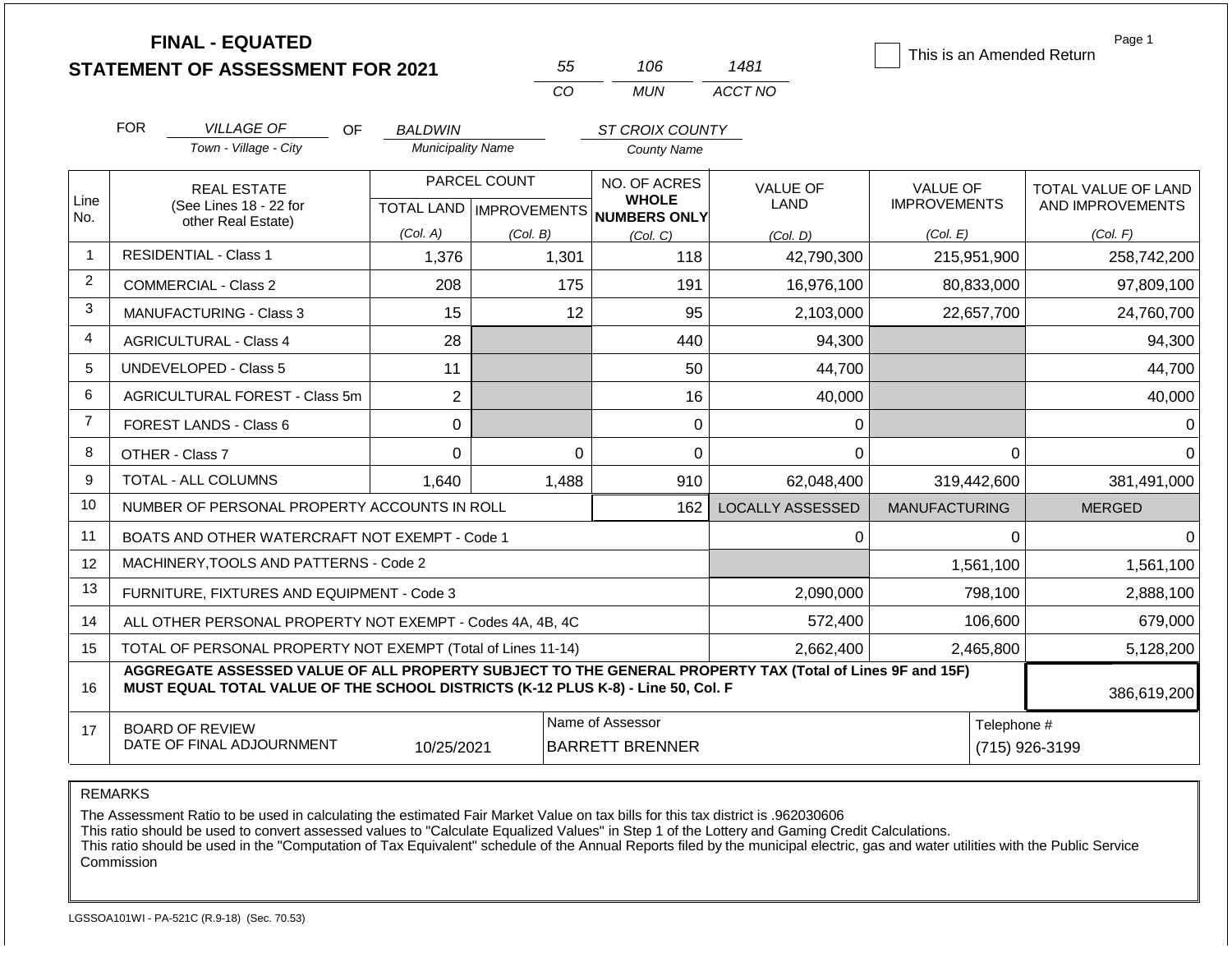|                | <b>FINAL - EQUATED</b><br><b>STATEMENT OF ASSESSMENT FOR 2021</b>                                                                                                                            |                          | 55           | 106                                                                 | 1481                    | This is an Amended Return              | Page 1                                  |  |
|----------------|----------------------------------------------------------------------------------------------------------------------------------------------------------------------------------------------|--------------------------|--------------|---------------------------------------------------------------------|-------------------------|----------------------------------------|-----------------------------------------|--|
|                |                                                                                                                                                                                              |                          | CO           | <b>MUN</b>                                                          | ACCT NO                 |                                        |                                         |  |
|                | <b>FOR</b><br><b>VILLAGE OF</b><br>OF.                                                                                                                                                       | <b>BALDWIN</b>           |              | ST CROIX COUNTY                                                     |                         |                                        |                                         |  |
|                | Town - Village - City                                                                                                                                                                        | <b>Municipality Name</b> |              | <b>County Name</b>                                                  |                         |                                        |                                         |  |
| Line<br>No.    | <b>REAL ESTATE</b><br>(See Lines 18 - 22 for                                                                                                                                                 |                          | PARCEL COUNT | NO. OF ACRES<br><b>WHOLE</b><br>TOTAL LAND MPROVEMENTS NUMBERS ONLY | <b>VALUE OF</b><br>LAND | <b>VALUE OF</b><br><b>IMPROVEMENTS</b> | TOTAL VALUE OF LAND<br>AND IMPROVEMENTS |  |
|                | other Real Estate)                                                                                                                                                                           | (Col. A)                 | (Col. B)     | (Col, C)                                                            | (Col. D)                | (Col. E)                               | (Col. F)                                |  |
| $\overline{1}$ | <b>RESIDENTIAL - Class 1</b>                                                                                                                                                                 | 1,376                    | 1,301        | 118                                                                 | 42,790,300              | 215,951,900                            | 258,742,200                             |  |
| 2              | <b>COMMERCIAL - Class 2</b>                                                                                                                                                                  | 208                      | 175          | 191                                                                 | 16,976,100              | 80,833,000                             | 97,809,100                              |  |
| 3              | <b>MANUFACTURING - Class 3</b>                                                                                                                                                               | 15                       | 12           | 95                                                                  | 2,103,000               | 22,657,700                             | 24,760,700                              |  |
| 4              | <b>AGRICULTURAL - Class 4</b>                                                                                                                                                                | 28                       |              | 440                                                                 | 94,300                  |                                        | 94,300                                  |  |
| 5              | <b>UNDEVELOPED - Class 5</b>                                                                                                                                                                 | 11                       |              | 50                                                                  | 44,700                  |                                        | 44,700                                  |  |
| 6              | AGRICULTURAL FOREST - Class 5m                                                                                                                                                               | $\overline{2}$           |              | 16                                                                  | 40,000                  |                                        | 40,000                                  |  |
| $\overline{7}$ | FOREST LANDS - Class 6                                                                                                                                                                       | 0                        |              | 0                                                                   | 0                       |                                        | $\Omega$                                |  |
| 8              | OTHER - Class 7                                                                                                                                                                              | $\mathbf 0$              | $\Omega$     | 0                                                                   | $\Omega$                | $\Omega$                               | $\Omega$                                |  |
| 9              | <b>TOTAL - ALL COLUMNS</b>                                                                                                                                                                   | 1,640                    | 1,488        | 910                                                                 | 62.048.400              | 319,442,600                            | 381,491,000                             |  |
| 10             | NUMBER OF PERSONAL PROPERTY ACCOUNTS IN ROLL                                                                                                                                                 |                          |              | 162                                                                 | <b>LOCALLY ASSESSED</b> | <b>MANUFACTURING</b>                   | <b>MERGED</b>                           |  |
| 11             | BOATS AND OTHER WATERCRAFT NOT EXEMPT - Code 1                                                                                                                                               |                          |              |                                                                     | $\Omega$                | $\Omega$                               | $\Omega$                                |  |
| 12             | MACHINERY, TOOLS AND PATTERNS - Code 2                                                                                                                                                       |                          |              |                                                                     |                         | 1,561,100                              | 1,561,100                               |  |
| 13             | FURNITURE, FIXTURES AND EQUIPMENT - Code 3                                                                                                                                                   |                          |              |                                                                     | 2,090,000               | 798,100                                | 2,888,100                               |  |
| 14             | ALL OTHER PERSONAL PROPERTY NOT EXEMPT - Codes 4A, 4B, 4C                                                                                                                                    |                          |              |                                                                     | 572,400                 | 106,600                                | 679,000                                 |  |
| 15             | TOTAL OF PERSONAL PROPERTY NOT EXEMPT (Total of Lines 11-14)                                                                                                                                 |                          |              |                                                                     | 2,662,400               | 2,465,800                              | 5,128,200                               |  |
| 16             | AGGREGATE ASSESSED VALUE OF ALL PROPERTY SUBJECT TO THE GENERAL PROPERTY TAX (Total of Lines 9F and 15F)<br>MUST EQUAL TOTAL VALUE OF THE SCHOOL DISTRICTS (K-12 PLUS K-8) - Line 50, Col. F |                          |              |                                                                     |                         |                                        | 386,619,200                             |  |
| 17             | <b>BOARD OF REVIEW</b><br>DATE OF FINAL ADJOURNMENT                                                                                                                                          | 10/25/2021               |              | Name of Assessor<br><b>BARRETT BRENNER</b>                          |                         |                                        | Telephone #<br>(715) 926-3199           |  |

The Assessment Ratio to be used in calculating the estimated Fair Market Value on tax bills for this tax district is .962030606

This ratio should be used to convert assessed values to "Calculate Equalized Values" in Step 1 of the Lottery and Gaming Credit Calculations.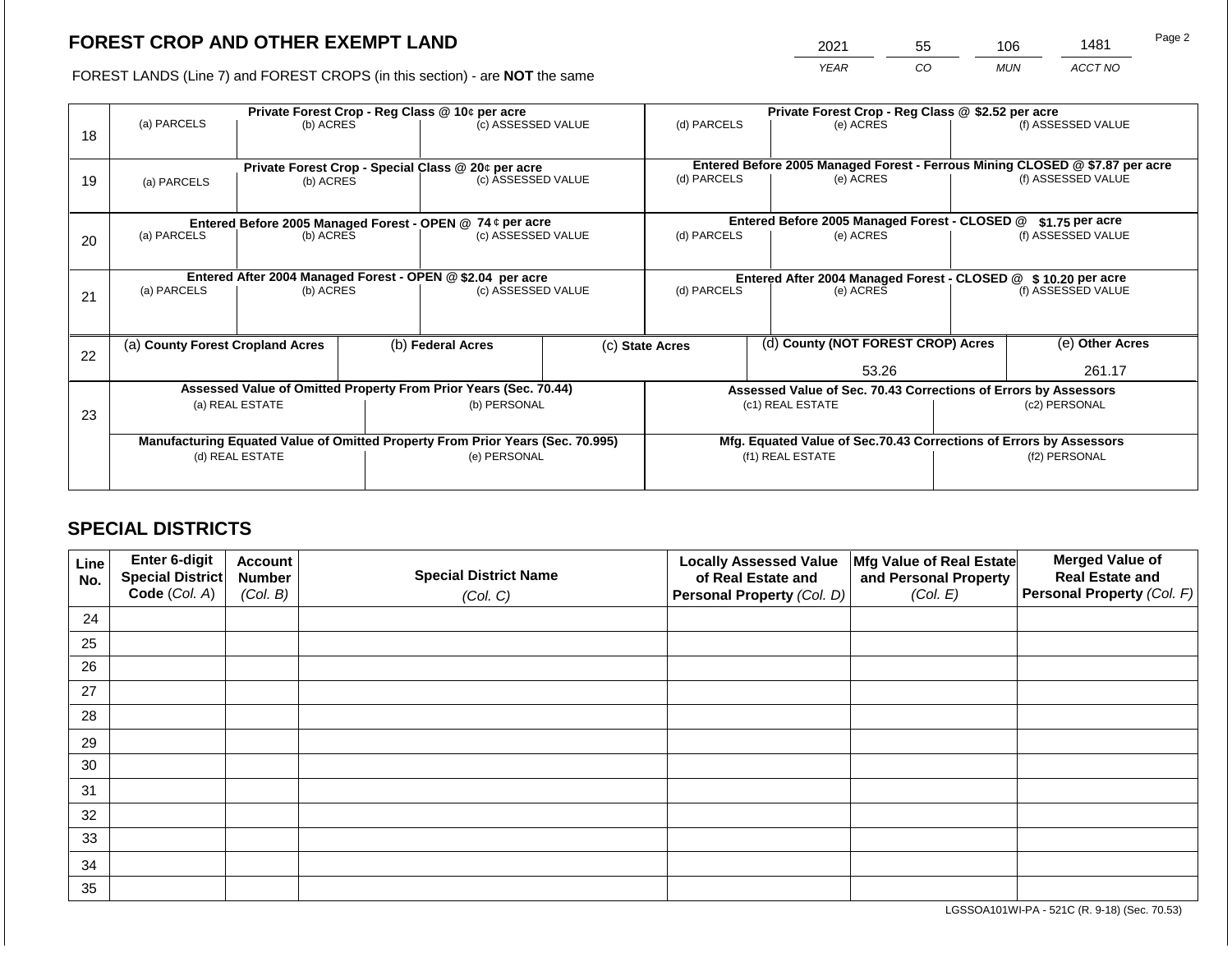2021 55 106 1481

FOREST LANDS (Line 7) and FOREST CROPS (in this section) - are **NOT** the same *YEAR CO MUN ACCT NO*

|    |                                                                                        |                 |                    | Private Forest Crop - Reg Class @ 10¢ per acre                           |                                                                                           | Private Forest Crop - Reg Class @ \$2.52 per acre |                                    |                                                                              |                                                                 |                    |
|----|----------------------------------------------------------------------------------------|-----------------|--------------------|--------------------------------------------------------------------------|-------------------------------------------------------------------------------------------|---------------------------------------------------|------------------------------------|------------------------------------------------------------------------------|-----------------------------------------------------------------|--------------------|
|    | (a) PARCELS                                                                            | (b) ACRES       |                    | (c) ASSESSED VALUE                                                       |                                                                                           | (d) PARCELS                                       |                                    | (e) ACRES                                                                    |                                                                 | (f) ASSESSED VALUE |
| 18 |                                                                                        |                 |                    |                                                                          |                                                                                           |                                                   |                                    |                                                                              |                                                                 |                    |
|    |                                                                                        |                 |                    |                                                                          |                                                                                           |                                                   |                                    | Entered Before 2005 Managed Forest - Ferrous Mining CLOSED @ \$7.87 per acre |                                                                 |                    |
| 19 | (a) PARCELS                                                                            | (b) ACRES       |                    | Private Forest Crop - Special Class @ 20¢ per acre<br>(c) ASSESSED VALUE |                                                                                           | (d) PARCELS                                       |                                    | (e) ACRES                                                                    |                                                                 | (f) ASSESSED VALUE |
|    |                                                                                        |                 |                    |                                                                          |                                                                                           |                                                   |                                    |                                                                              |                                                                 |                    |
|    |                                                                                        |                 |                    |                                                                          |                                                                                           |                                                   |                                    |                                                                              |                                                                 |                    |
|    | Entered Before 2005 Managed Forest - OPEN @ 74 ¢ per acre                              |                 |                    |                                                                          | Entered Before 2005 Managed Forest - CLOSED @                                             |                                                   | \$1.75 per acre                    |                                                                              |                                                                 |                    |
| 20 | (a) PARCELS                                                                            | (b) ACRES       |                    | (c) ASSESSED VALUE                                                       |                                                                                           | (d) PARCELS                                       |                                    | (e) ACRES                                                                    |                                                                 | (f) ASSESSED VALUE |
|    |                                                                                        |                 |                    |                                                                          |                                                                                           |                                                   |                                    |                                                                              |                                                                 |                    |
|    |                                                                                        |                 |                    |                                                                          |                                                                                           |                                                   |                                    |                                                                              |                                                                 |                    |
|    | Entered After 2004 Managed Forest - OPEN @ \$2.04 per acre<br>(a) PARCELS<br>(b) ACRES |                 | (c) ASSESSED VALUE |                                                                          | Entered After 2004 Managed Forest - CLOSED @ \$10.20 per acre<br>(d) PARCELS<br>(e) ACRES |                                                   |                                    | (f) ASSESSED VALUE                                                           |                                                                 |                    |
| 21 |                                                                                        |                 |                    |                                                                          |                                                                                           |                                                   |                                    |                                                                              |                                                                 |                    |
|    |                                                                                        |                 |                    |                                                                          |                                                                                           |                                                   |                                    |                                                                              |                                                                 |                    |
|    | (a) County Forest Cropland Acres                                                       |                 |                    | (b) Federal Acres                                                        | (c) State Acres                                                                           |                                                   | (d) County (NOT FOREST CROP) Acres |                                                                              | (e) Other Acres                                                 |                    |
| 22 |                                                                                        |                 |                    |                                                                          |                                                                                           |                                                   |                                    |                                                                              |                                                                 |                    |
|    |                                                                                        |                 |                    |                                                                          |                                                                                           | 53.26                                             |                                    |                                                                              | 261.17                                                          |                    |
|    |                                                                                        |                 |                    | Assessed Value of Omitted Property From Prior Years (Sec. 70.44)         |                                                                                           |                                                   |                                    |                                                                              | Assessed Value of Sec. 70.43 Corrections of Errors by Assessors |                    |
|    |                                                                                        | (a) REAL ESTATE |                    | (b) PERSONAL                                                             |                                                                                           |                                                   |                                    | (c1) REAL ESTATE                                                             |                                                                 | (c2) PERSONAL      |
| 23 |                                                                                        |                 |                    |                                                                          |                                                                                           |                                                   |                                    |                                                                              |                                                                 |                    |
|    | Manufacturing Equated Value of Omitted Property From Prior Years (Sec. 70.995)         |                 |                    |                                                                          | Mfg. Equated Value of Sec.70.43 Corrections of Errors by Assessors                        |                                                   |                                    |                                                                              |                                                                 |                    |
|    |                                                                                        | (d) REAL ESTATE |                    | (e) PERSONAL                                                             | (f1) REAL ESTATE                                                                          |                                                   |                                    | (f2) PERSONAL                                                                |                                                                 |                    |
|    |                                                                                        |                 |                    |                                                                          |                                                                                           |                                                   |                                    |                                                                              |                                                                 |                    |
|    |                                                                                        |                 |                    |                                                                          |                                                                                           |                                                   |                                    |                                                                              |                                                                 |                    |

## **SPECIAL DISTRICTS**

| Line<br>No. | Enter 6-digit<br>Special District<br>Code (Col. A) | <b>Account</b><br><b>Number</b><br>(Col. B) | <b>Special District Name</b><br>(Col. C) | <b>Locally Assessed Value</b><br>of Real Estate and<br><b>Personal Property (Col. D)</b> | Mfg Value of Real Estate<br>and Personal Property<br>(Col. E) | <b>Merged Value of</b><br><b>Real Estate and</b><br>Personal Property (Col. F) |
|-------------|----------------------------------------------------|---------------------------------------------|------------------------------------------|------------------------------------------------------------------------------------------|---------------------------------------------------------------|--------------------------------------------------------------------------------|
| 24          |                                                    |                                             |                                          |                                                                                          |                                                               |                                                                                |
| 25          |                                                    |                                             |                                          |                                                                                          |                                                               |                                                                                |
| 26          |                                                    |                                             |                                          |                                                                                          |                                                               |                                                                                |
| 27          |                                                    |                                             |                                          |                                                                                          |                                                               |                                                                                |
| 28          |                                                    |                                             |                                          |                                                                                          |                                                               |                                                                                |
| 29          |                                                    |                                             |                                          |                                                                                          |                                                               |                                                                                |
| 30          |                                                    |                                             |                                          |                                                                                          |                                                               |                                                                                |
| 31          |                                                    |                                             |                                          |                                                                                          |                                                               |                                                                                |
| 32          |                                                    |                                             |                                          |                                                                                          |                                                               |                                                                                |
| 33          |                                                    |                                             |                                          |                                                                                          |                                                               |                                                                                |
| 34          |                                                    |                                             |                                          |                                                                                          |                                                               |                                                                                |
| 35          |                                                    |                                             |                                          |                                                                                          |                                                               |                                                                                |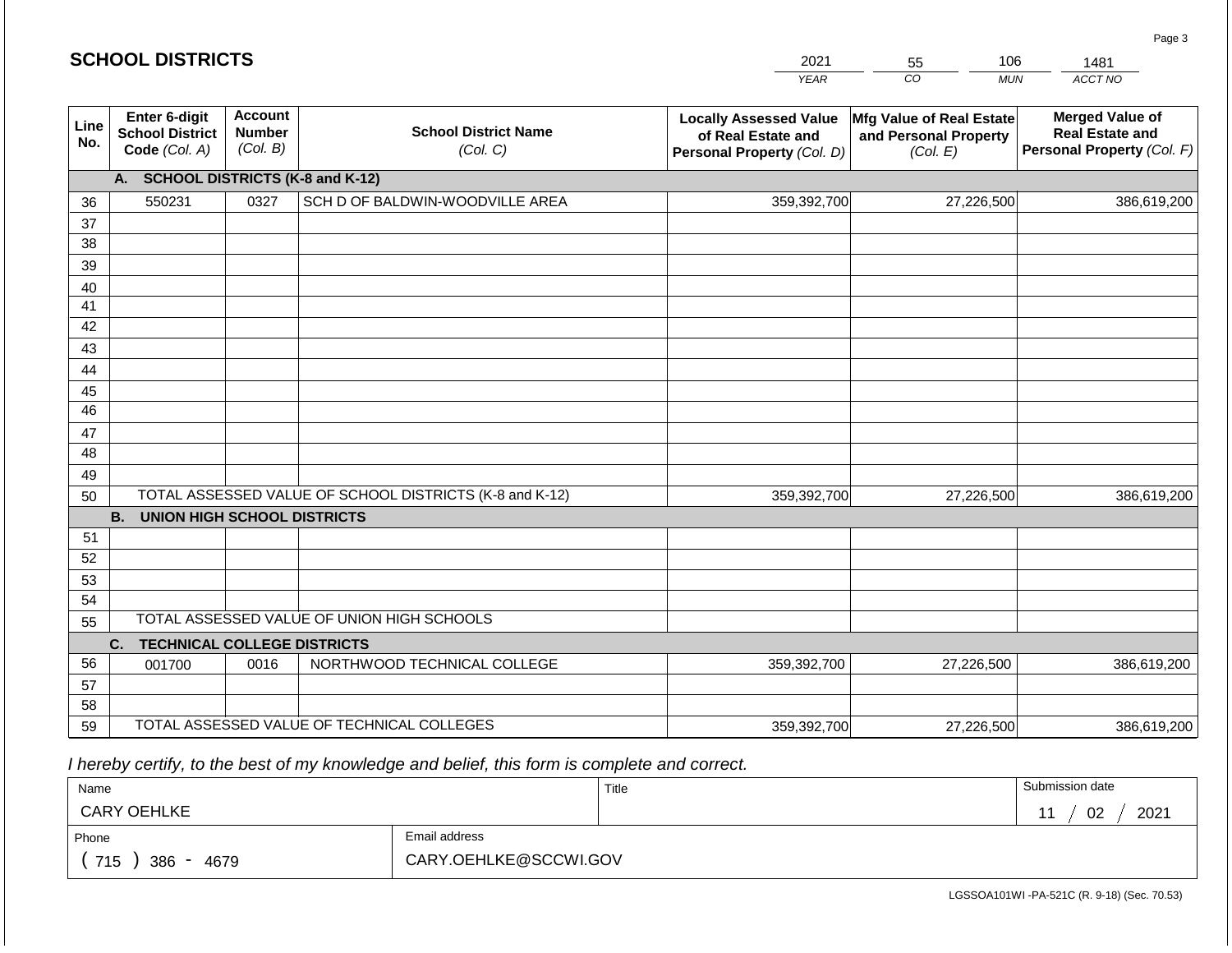|             | <b>SCHOOL DISTRICTS</b>                                  |                                             |                                                         | 2021                                                                              | 106<br>55                                                     | 1481                                                                           |
|-------------|----------------------------------------------------------|---------------------------------------------|---------------------------------------------------------|-----------------------------------------------------------------------------------|---------------------------------------------------------------|--------------------------------------------------------------------------------|
|             |                                                          |                                             |                                                         | <b>YEAR</b>                                                                       | $\overline{CO}$<br><b>MUN</b>                                 | ACCT NO                                                                        |
| Line<br>No. | Enter 6-digit<br><b>School District</b><br>Code (Col. A) | <b>Account</b><br><b>Number</b><br>(Col. B) | <b>School District Name</b><br>(Col. C)                 | <b>Locally Assessed Value</b><br>of Real Estate and<br>Personal Property (Col. D) | Mfg Value of Real Estate<br>and Personal Property<br>(Col. E) | <b>Merged Value of</b><br><b>Real Estate and</b><br>Personal Property (Col. F) |
|             | А.                                                       |                                             | <b>SCHOOL DISTRICTS (K-8 and K-12)</b>                  |                                                                                   |                                                               |                                                                                |
| 36          | 550231                                                   | 0327                                        | SCH D OF BALDWIN-WOODVILLE AREA                         | 359,392,700                                                                       | 27,226,500                                                    | 386,619,200                                                                    |
| 37          |                                                          |                                             |                                                         |                                                                                   |                                                               |                                                                                |
| 38          |                                                          |                                             |                                                         |                                                                                   |                                                               |                                                                                |
| 39          |                                                          |                                             |                                                         |                                                                                   |                                                               |                                                                                |
| 40          |                                                          |                                             |                                                         |                                                                                   |                                                               |                                                                                |
| 41          |                                                          |                                             |                                                         |                                                                                   |                                                               |                                                                                |
| 42          |                                                          |                                             |                                                         |                                                                                   |                                                               |                                                                                |
| 43          |                                                          |                                             |                                                         |                                                                                   |                                                               |                                                                                |
| 44<br>45    |                                                          |                                             |                                                         |                                                                                   |                                                               |                                                                                |
| 46          |                                                          |                                             |                                                         |                                                                                   |                                                               |                                                                                |
| 47          |                                                          |                                             |                                                         |                                                                                   |                                                               |                                                                                |
| 48          |                                                          |                                             |                                                         |                                                                                   |                                                               |                                                                                |
| 49          |                                                          |                                             |                                                         |                                                                                   |                                                               |                                                                                |
| 50          |                                                          |                                             | TOTAL ASSESSED VALUE OF SCHOOL DISTRICTS (K-8 and K-12) | 359,392,700                                                                       | 27,226,500                                                    | 386,619,200                                                                    |
|             | <b>B.</b><br><b>UNION HIGH SCHOOL DISTRICTS</b>          |                                             |                                                         |                                                                                   |                                                               |                                                                                |
| 51          |                                                          |                                             |                                                         |                                                                                   |                                                               |                                                                                |
| 52          |                                                          |                                             |                                                         |                                                                                   |                                                               |                                                                                |
| 53          |                                                          |                                             |                                                         |                                                                                   |                                                               |                                                                                |
| 54          |                                                          |                                             |                                                         |                                                                                   |                                                               |                                                                                |
| 55          |                                                          |                                             | TOTAL ASSESSED VALUE OF UNION HIGH SCHOOLS              |                                                                                   |                                                               |                                                                                |
|             | <b>TECHNICAL COLLEGE DISTRICTS</b><br>C.                 |                                             |                                                         |                                                                                   |                                                               |                                                                                |
| 56          | 001700                                                   | 0016                                        | NORTHWOOD TECHNICAL COLLEGE                             | 359,392,700                                                                       | 27,226,500                                                    | 386,619,200                                                                    |
| 57<br>58    |                                                          |                                             |                                                         |                                                                                   |                                                               |                                                                                |
| 59          |                                                          |                                             | TOTAL ASSESSED VALUE OF TECHNICAL COLLEGES              |                                                                                   |                                                               |                                                                                |
|             |                                                          |                                             |                                                         | 359,392,700                                                                       | 27,226,500                                                    | 386,619,200                                                                    |

 *I hereby certify, to the best of my knowledge and belief, this form is complete and correct.*

| Name                                           |                       | Title | Submission date |
|------------------------------------------------|-----------------------|-------|-----------------|
| <b>CARY OEHLKE</b>                             |                       |       | 2021<br>02      |
| Phone                                          | Email address         |       |                 |
| 715<br>386<br>4679<br>$\overline{\phantom{0}}$ | CARY.OEHLKE@SCCWI.GOV |       |                 |

Page 3

|  |  |  | <b>SCHOOL DISTRICTS</b> |  |  |  |
|--|--|--|-------------------------|--|--|--|
|  |  |  |                         |  |  |  |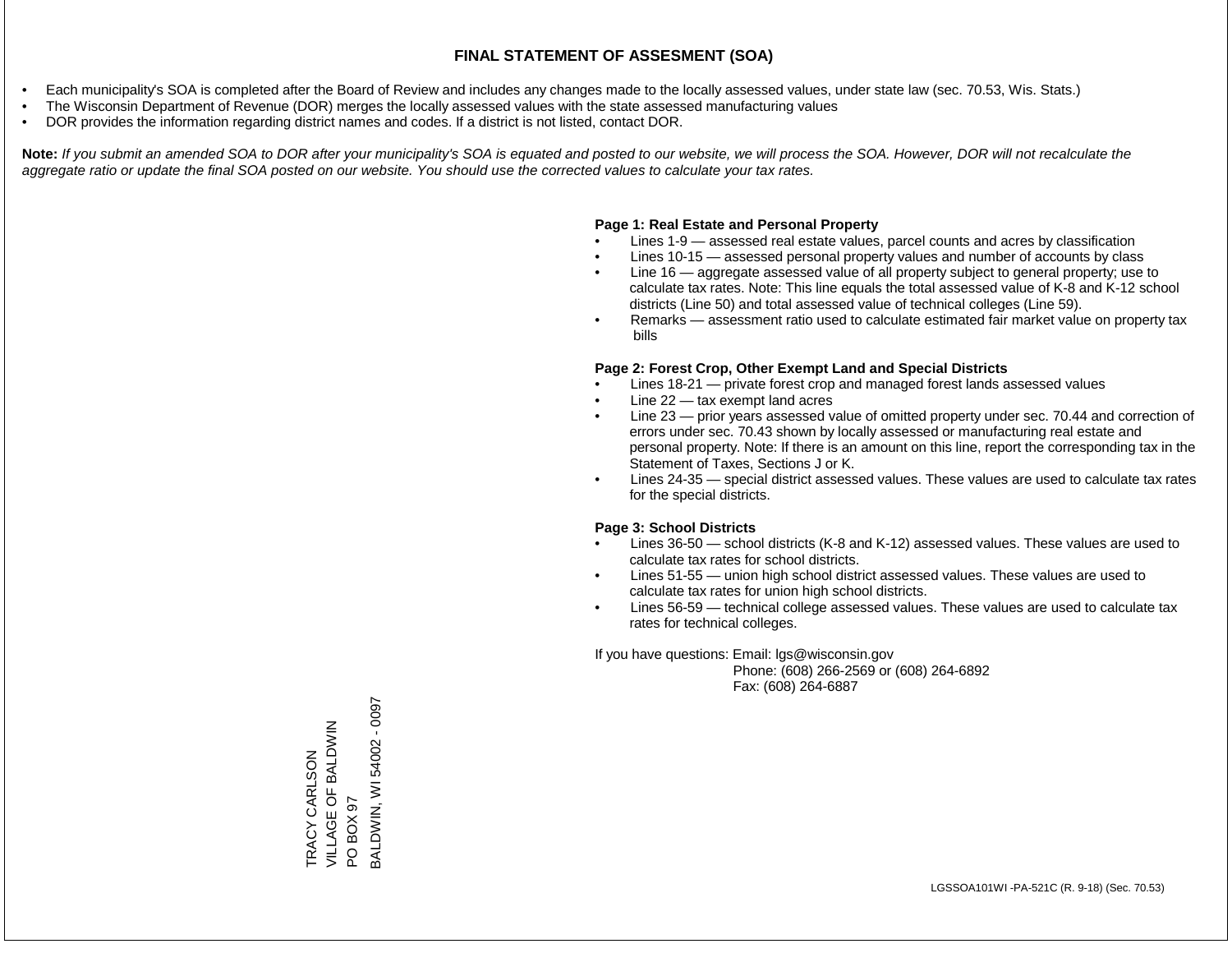- Each municipality's SOA is completed after the Board of Review and includes any changes made to the locally assessed values, under state law (sec. 70.53, Wis. Stats.)
- The Wisconsin Department of Revenue (DOR) merges the locally assessed values with the state assessed manufacturing values
- DOR provides the information regarding district names and codes. If a district is not listed, contact DOR.

Note: If you submit an amended SOA to DOR after your municipality's SOA is equated and posted to our website, we will process the SOA. However, DOR will not recalculate the *aggregate ratio or update the final SOA posted on our website. You should use the corrected values to calculate your tax rates.*

### **Page 1: Real Estate and Personal Property**

- Lines 1-9 assessed real estate values, parcel counts and acres by classification
- Lines 10-15 assessed personal property values and number of accounts by class
- Line 16 aggregate assessed value of all property subject to general property; use to calculate tax rates. Note: This line equals the total assessed value of K-8 and K-12 school districts (Line 50) and total assessed value of technical colleges (Line 59).
- Remarks assessment ratio used to calculate estimated fair market value on property tax bills

#### **Page 2: Forest Crop, Other Exempt Land and Special Districts**

- Lines 18-21 private forest crop and managed forest lands assessed values
- Line  $22 -$  tax exempt land acres
- Line 23 prior years assessed value of omitted property under sec. 70.44 and correction of errors under sec. 70.43 shown by locally assessed or manufacturing real estate and personal property. Note: If there is an amount on this line, report the corresponding tax in the Statement of Taxes, Sections J or K.
- Lines 24-35 special district assessed values. These values are used to calculate tax rates for the special districts.

#### **Page 3: School Districts**

- Lines 36-50 school districts (K-8 and K-12) assessed values. These values are used to calculate tax rates for school districts.
- Lines 51-55 union high school district assessed values. These values are used to calculate tax rates for union high school districts.
- Lines 56-59 technical college assessed values. These values are used to calculate tax rates for technical colleges.

If you have questions: Email: lgs@wisconsin.gov

 Phone: (608) 266-2569 or (608) 264-6892 Fax: (608) 264-6887

BALDWIN, WI 54002 - 00973ALDWIN, WI 54002 - 0097 VILLAGE OF BALDWIN TRACY CARLSON<br>VILLAGE OF BALDWIN TRACY CARLSON PO BOX 97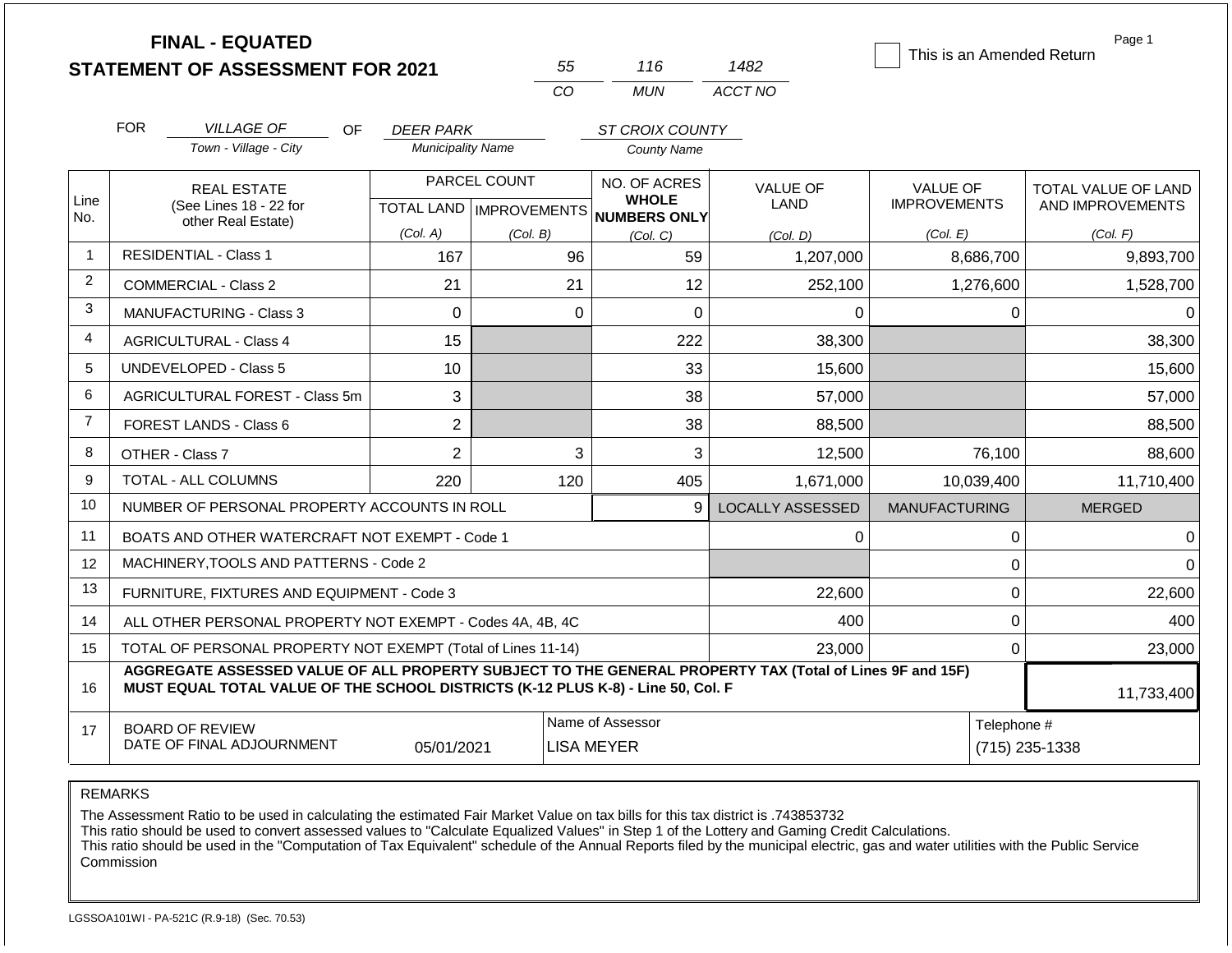|                | <b>FINAL - EQUATED</b><br><b>STATEMENT OF ASSESSMENT FOR 2021</b>                                                                                                                            |                          | 55                                        | 116                                          | 1482                           | This is an Amended Return              | Page 1                                  |  |
|----------------|----------------------------------------------------------------------------------------------------------------------------------------------------------------------------------------------|--------------------------|-------------------------------------------|----------------------------------------------|--------------------------------|----------------------------------------|-----------------------------------------|--|
|                |                                                                                                                                                                                              |                          | CO                                        | <b>MUN</b>                                   | ACCT NO                        |                                        |                                         |  |
|                | <b>FOR</b><br><b>VILLAGE OF</b><br>OF.                                                                                                                                                       | <b>DEER PARK</b>         |                                           | ST CROIX COUNTY                              |                                |                                        |                                         |  |
|                | Town - Village - City                                                                                                                                                                        | <b>Municipality Name</b> |                                           | <b>County Name</b>                           |                                |                                        |                                         |  |
| Line<br>No.    | <b>REAL ESTATE</b><br>(See Lines 18 - 22 for                                                                                                                                                 |                          | PARCEL COUNT<br>TOTAL LAND   IMPROVEMENTS | NO. OF ACRES<br><b>WHOLE</b><br>NUMBERS ONLY | <b>VALUE OF</b><br><b>LAND</b> | <b>VALUE OF</b><br><b>IMPROVEMENTS</b> | TOTAL VALUE OF LAND<br>AND IMPROVEMENTS |  |
|                | other Real Estate)                                                                                                                                                                           | (Col. A)                 | (Col. B)                                  | (Col, C)                                     | (Col. D)                       | (Col. E)                               | (Col. F)                                |  |
| $\overline{1}$ | <b>RESIDENTIAL - Class 1</b><br>167                                                                                                                                                          |                          | 96                                        | 59                                           | 1,207,000                      | 8,686,700                              | 9,893,700                               |  |
| $\overline{2}$ | 21<br>COMMERCIAL - Class 2                                                                                                                                                                   |                          | 21                                        | 12                                           | 252,100                        | 1,276,600                              | 1,528,700                               |  |
| 3              | <b>MANUFACTURING - Class 3</b><br>$\overline{0}$                                                                                                                                             |                          |                                           | $\mathbf 0$<br>$\mathbf 0$                   | $\Omega$                       | $\Omega$                               | $\Omega$                                |  |
| 4              | <b>AGRICULTURAL - Class 4</b>                                                                                                                                                                | 15                       |                                           | 222                                          | 38,300                         |                                        | 38,300                                  |  |
| 5              | <b>UNDEVELOPED - Class 5</b>                                                                                                                                                                 | 10                       |                                           | 33                                           | 15,600                         |                                        | 15,600                                  |  |
| 6              | AGRICULTURAL FOREST - Class 5m                                                                                                                                                               | 3                        |                                           | 38                                           | 57,000                         |                                        | 57,000                                  |  |
| $\overline{7}$ | FOREST LANDS - Class 6                                                                                                                                                                       | $\overline{2}$           |                                           | 38                                           | 88,500                         |                                        | 88,500                                  |  |
| 8              | OTHER - Class 7                                                                                                                                                                              | $\overline{2}$           |                                           | 3<br>3                                       | 12,500                         | 76,100                                 | 88,600                                  |  |
| 9              | TOTAL - ALL COLUMNS                                                                                                                                                                          | 220                      | 120                                       | 405                                          | 1,671,000                      | 10,039,400                             | 11,710,400                              |  |
| 10             | NUMBER OF PERSONAL PROPERTY ACCOUNTS IN ROLL                                                                                                                                                 |                          |                                           | 9                                            | <b>LOCALLY ASSESSED</b>        | <b>MANUFACTURING</b>                   | <b>MERGED</b>                           |  |
| 11             | BOATS AND OTHER WATERCRAFT NOT EXEMPT - Code 1                                                                                                                                               |                          |                                           |                                              | 0                              | 0                                      | 0                                       |  |
| 12             | MACHINERY, TOOLS AND PATTERNS - Code 2                                                                                                                                                       |                          |                                           |                                              |                                | $\Omega$                               | $\Omega$                                |  |
| 13             | FURNITURE, FIXTURES AND EQUIPMENT - Code 3                                                                                                                                                   |                          |                                           |                                              | 22,600                         | $\boldsymbol{0}$                       | 22,600                                  |  |
| 14             | ALL OTHER PERSONAL PROPERTY NOT EXEMPT - Codes 4A, 4B, 4C                                                                                                                                    |                          |                                           |                                              | 400                            | 0                                      | 400                                     |  |
| 15             | TOTAL OF PERSONAL PROPERTY NOT EXEMPT (Total of Lines 11-14)                                                                                                                                 |                          |                                           |                                              | 23,000                         | 0                                      | 23,000                                  |  |
| 16             | AGGREGATE ASSESSED VALUE OF ALL PROPERTY SUBJECT TO THE GENERAL PROPERTY TAX (Total of Lines 9F and 15F)<br>MUST EQUAL TOTAL VALUE OF THE SCHOOL DISTRICTS (K-12 PLUS K-8) - Line 50, Col. F |                          |                                           |                                              |                                |                                        | 11,733,400                              |  |
| 17             | <b>BOARD OF REVIEW</b><br>DATE OF FINAL ADJOURNMENT                                                                                                                                          | 05/01/2021               |                                           | Name of Assessor<br><b>LISA MEYER</b>        |                                | Telephone #<br>$(715)$ 235-1338        |                                         |  |

The Assessment Ratio to be used in calculating the estimated Fair Market Value on tax bills for this tax district is .743853732

This ratio should be used to convert assessed values to "Calculate Equalized Values" in Step 1 of the Lottery and Gaming Credit Calculations.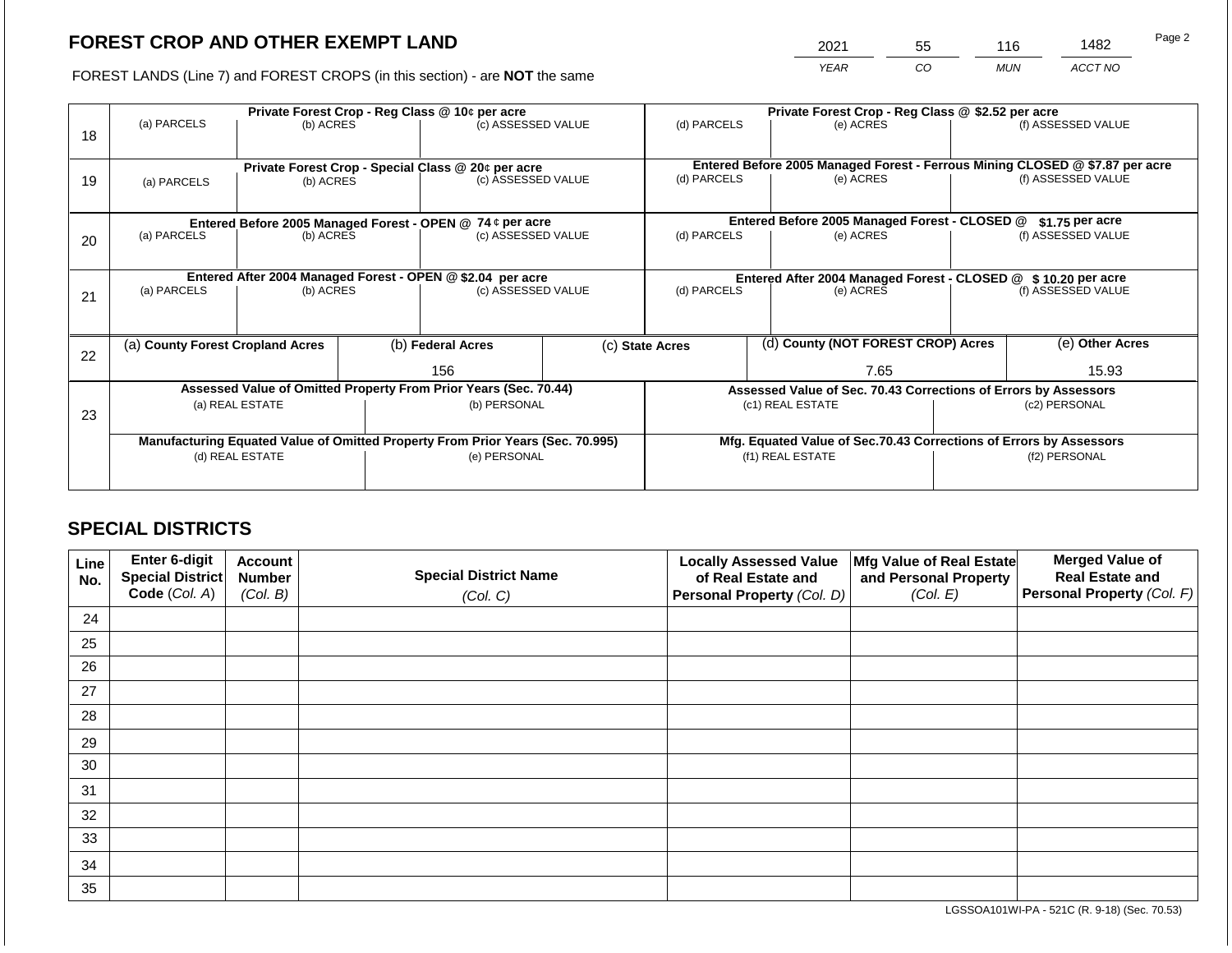2021 55 116 1482

FOREST LANDS (Line 7) and FOREST CROPS (in this section) - are **NOT** the same *YEAR CO MUN ACCT NO*

| 18 | (a) PARCELS                      | (b) ACRES                                                       | Private Forest Crop - Reg Class @ 10¢ per acre<br>(c) ASSESSED VALUE |                                                                                                | (d) PARCELS              |                                                               | Private Forest Crop - Reg Class @ \$2.52 per acre<br>(e) ACRES                         |                                                                                           | (f) ASSESSED VALUE |                    |  |
|----|----------------------------------|-----------------------------------------------------------------|----------------------------------------------------------------------|------------------------------------------------------------------------------------------------|--------------------------|---------------------------------------------------------------|----------------------------------------------------------------------------------------|-------------------------------------------------------------------------------------------|--------------------|--------------------|--|
| 19 | (a) PARCELS                      | Private Forest Crop - Special Class @ 20¢ per acre<br>(b) ACRES |                                                                      | (c) ASSESSED VALUE                                                                             |                          | (d) PARCELS                                                   |                                                                                        | Entered Before 2005 Managed Forest - Ferrous Mining CLOSED @ \$7.87 per acre<br>(e) ACRES |                    | (f) ASSESSED VALUE |  |
|    |                                  |                                                                 |                                                                      | Entered Before 2005 Managed Forest - OPEN @ 74 ¢ per acre                                      |                          |                                                               |                                                                                        | Entered Before 2005 Managed Forest - CLOSED @                                             |                    | $$1.75$ per acre   |  |
| 20 | (a) PARCELS<br>(b) ACRES         |                                                                 | (c) ASSESSED VALUE                                                   |                                                                                                | (d) PARCELS<br>(e) ACRES |                                                               |                                                                                        |                                                                                           | (f) ASSESSED VALUE |                    |  |
|    |                                  |                                                                 |                                                                      | Entered After 2004 Managed Forest - OPEN @ \$2.04 per acre                                     |                          | Entered After 2004 Managed Forest - CLOSED @ \$10.20 per acre |                                                                                        |                                                                                           |                    |                    |  |
| 21 | (a) PARCELS                      | (b) ACRES                                                       |                                                                      | (c) ASSESSED VALUE                                                                             |                          | (d) PARCELS                                                   |                                                                                        | (e) ACRES                                                                                 |                    | (f) ASSESSED VALUE |  |
|    |                                  |                                                                 |                                                                      |                                                                                                |                          |                                                               |                                                                                        |                                                                                           |                    |                    |  |
| 22 | (a) County Forest Cropland Acres |                                                                 |                                                                      | (b) Federal Acres                                                                              |                          | (c) State Acres                                               |                                                                                        | (d) County (NOT FOREST CROP) Acres                                                        |                    | (e) Other Acres    |  |
|    |                                  |                                                                 |                                                                      | 156                                                                                            |                          | 7.65                                                          |                                                                                        |                                                                                           | 15.93              |                    |  |
|    |                                  |                                                                 |                                                                      | Assessed Value of Omitted Property From Prior Years (Sec. 70.44)                               |                          |                                                               |                                                                                        | Assessed Value of Sec. 70.43 Corrections of Errors by Assessors                           |                    |                    |  |
| 23 |                                  | (a) REAL ESTATE                                                 |                                                                      | (b) PERSONAL                                                                                   |                          |                                                               |                                                                                        | (c1) REAL ESTATE                                                                          | (c2) PERSONAL      |                    |  |
|    |                                  |                                                                 |                                                                      |                                                                                                |                          |                                                               |                                                                                        |                                                                                           |                    |                    |  |
|    |                                  | (d) REAL ESTATE                                                 |                                                                      | Manufacturing Equated Value of Omitted Property From Prior Years (Sec. 70.995)<br>(e) PERSONAL |                          |                                                               | Mfg. Equated Value of Sec.70.43 Corrections of Errors by Assessors<br>(f1) REAL ESTATE |                                                                                           |                    | (f2) PERSONAL      |  |
|    |                                  |                                                                 |                                                                      |                                                                                                |                          |                                                               |                                                                                        |                                                                                           |                    |                    |  |
|    |                                  |                                                                 |                                                                      |                                                                                                |                          |                                                               |                                                                                        |                                                                                           |                    |                    |  |

## **SPECIAL DISTRICTS**

| Line<br>No. | <b>Enter 6-digit</b><br>Special District | <b>Account</b><br><b>Number</b> | <b>Special District Name</b> | <b>Locally Assessed Value</b><br>of Real Estate and | Mfg Value of Real Estate<br>and Personal Property | <b>Merged Value of</b><br><b>Real Estate and</b> |
|-------------|------------------------------------------|---------------------------------|------------------------------|-----------------------------------------------------|---------------------------------------------------|--------------------------------------------------|
|             | Code (Col. A)                            | (Col. B)                        | (Col. C)                     | Personal Property (Col. D)                          | (Col. E)                                          | <b>Personal Property (Col. F)</b>                |
| 24          |                                          |                                 |                              |                                                     |                                                   |                                                  |
| 25          |                                          |                                 |                              |                                                     |                                                   |                                                  |
| 26          |                                          |                                 |                              |                                                     |                                                   |                                                  |
| 27          |                                          |                                 |                              |                                                     |                                                   |                                                  |
| 28          |                                          |                                 |                              |                                                     |                                                   |                                                  |
| 29          |                                          |                                 |                              |                                                     |                                                   |                                                  |
| 30          |                                          |                                 |                              |                                                     |                                                   |                                                  |
| 31          |                                          |                                 |                              |                                                     |                                                   |                                                  |
| 32          |                                          |                                 |                              |                                                     |                                                   |                                                  |
| 33          |                                          |                                 |                              |                                                     |                                                   |                                                  |
| 34          |                                          |                                 |                              |                                                     |                                                   |                                                  |
| 35          |                                          |                                 |                              |                                                     |                                                   |                                                  |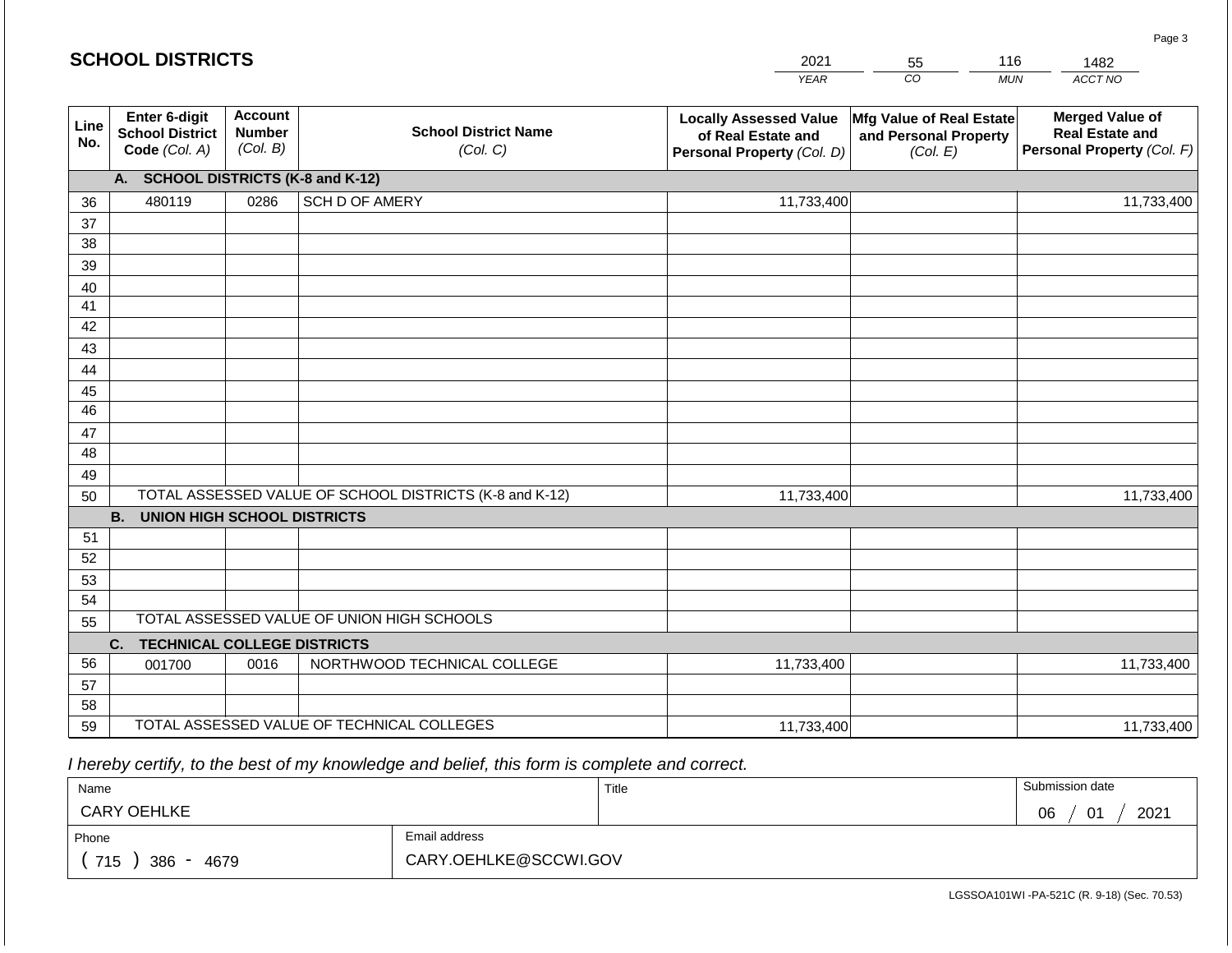#### *YEAR*  2021  $\overline{co}$ 55 *MUN*  116 *ACCT NO*  1482 **SCHOOL DISTRICTS Line No. Enter 6-digit School District Code** *(Col. A)* **Account Number** *(Col. B)* **School District Name** *(Col. C)* **Locally Assessed Value of Real Estate and Personal Property** *(Col. D)* **Mfg Value of Real Estate and Personal Property** *(Col. E)* **Merged Value of Real Estate and Personal Property** *(Col. F)* **A. SCHOOL DISTRICTS (K-8 and K-12)** 36 37 38 39 40 41 42 43 44 45 46 47 48 49 50 TOTAL ASSESSED VALUE OF SCHOOL DISTRICTS (K-8 and K-12) **B. UNION HIGH SCHOOL DISTRICTS** 51 52 53 54 55 **C. TECHNICAL COLLEGE DISTRICTS** 56 57 58 59 TOTAL ASSESSED VALUE OF TECHNICAL COLLEGES TOTAL ASSESSED VALUE OF UNION HIGH SCHOOLS 480119 0286 SCH D OF AMERY 11,733,400 11,733,400 001700 | 0016 | NORTHWOOD TECHNICAL COLLEGE 11,733,400 11,733,400 11,733,400 11,733,400 11,733,400 11,733,400

 *I hereby certify, to the best of my knowledge and belief, this form is complete and correct.*

| Name               |                       | Title | Submission date  |
|--------------------|-----------------------|-------|------------------|
| <b>CARY OEHLKE</b> |                       |       | 2021<br>06<br>01 |
| Phone              | Email address         |       |                  |
| 715<br>386<br>4679 | CARY.OEHLKE@SCCWI.GOV |       |                  |

LGSSOA101WI -PA-521C (R. 9-18) (Sec. 70.53)

Page 3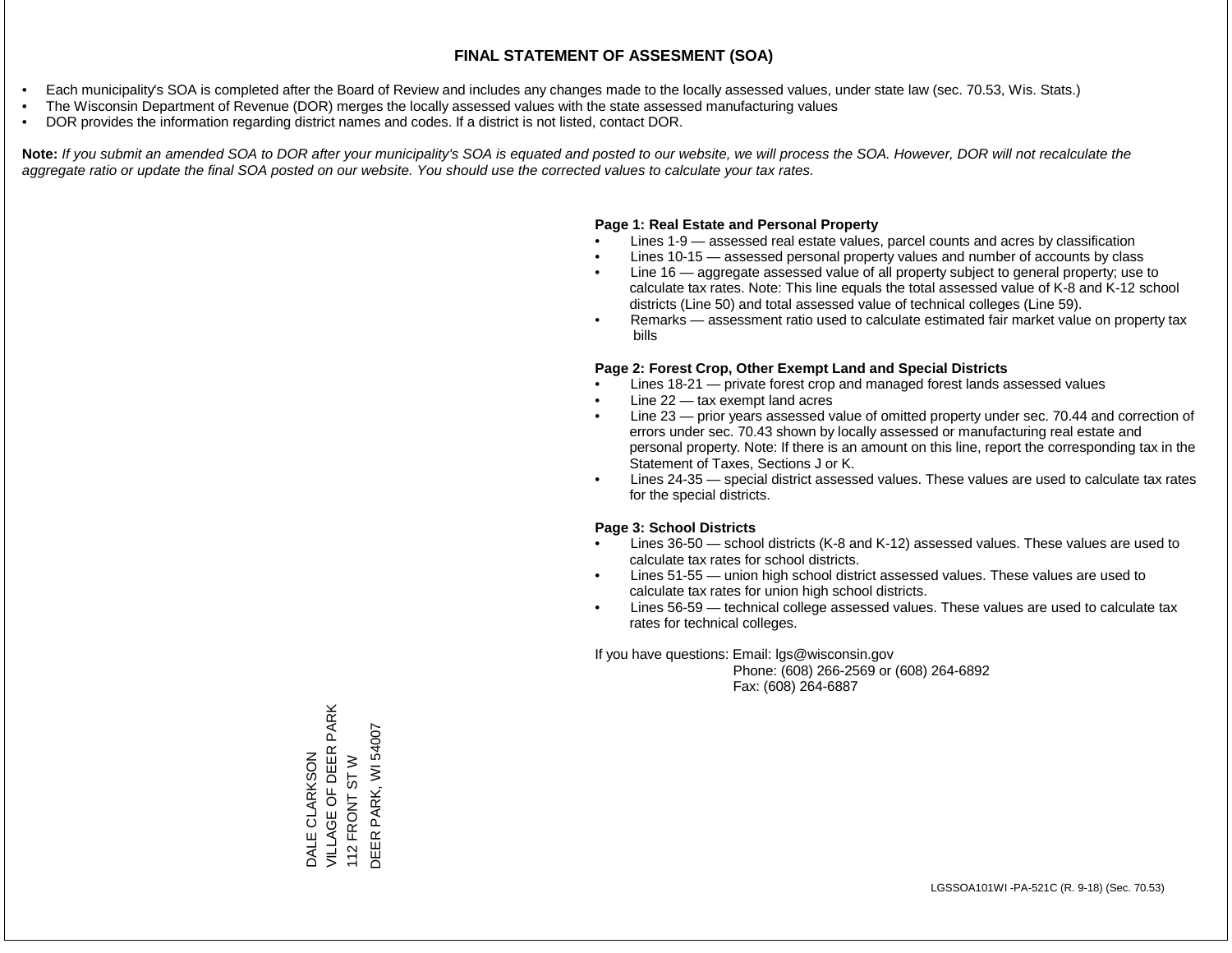- Each municipality's SOA is completed after the Board of Review and includes any changes made to the locally assessed values, under state law (sec. 70.53, Wis. Stats.)
- The Wisconsin Department of Revenue (DOR) merges the locally assessed values with the state assessed manufacturing values
- DOR provides the information regarding district names and codes. If a district is not listed, contact DOR.

Note: If you submit an amended SOA to DOR after your municipality's SOA is equated and posted to our website, we will process the SOA. However, DOR will not recalculate the *aggregate ratio or update the final SOA posted on our website. You should use the corrected values to calculate your tax rates.*

## **Page 1: Real Estate and Personal Property**

- Lines 1-9 assessed real estate values, parcel counts and acres by classification
- Lines 10-15 assessed personal property values and number of accounts by class
- Line 16 aggregate assessed value of all property subject to general property; use to calculate tax rates. Note: This line equals the total assessed value of K-8 and K-12 school districts (Line 50) and total assessed value of technical colleges (Line 59).
- Remarks assessment ratio used to calculate estimated fair market value on property tax bills

### **Page 2: Forest Crop, Other Exempt Land and Special Districts**

- Lines 18-21 private forest crop and managed forest lands assessed values
- Line  $22 -$  tax exempt land acres
- Line 23 prior years assessed value of omitted property under sec. 70.44 and correction of errors under sec. 70.43 shown by locally assessed or manufacturing real estate and personal property. Note: If there is an amount on this line, report the corresponding tax in the Statement of Taxes, Sections J or K.
- Lines 24-35 special district assessed values. These values are used to calculate tax rates for the special districts.

### **Page 3: School Districts**

- Lines 36-50 school districts (K-8 and K-12) assessed values. These values are used to calculate tax rates for school districts.
- Lines 51-55 union high school district assessed values. These values are used to calculate tax rates for union high school districts.
- Lines 56-59 technical college assessed values. These values are used to calculate tax rates for technical colleges.

If you have questions: Email: lgs@wisconsin.gov

 Phone: (608) 266-2569 or (608) 264-6892 Fax: (608) 264-6887

DALE CLARKSON VILLAGE OF DEER PARK DALE CLARKSON<br>VILLAGE OF DEER PARK<br>112 FRONT ST W<br>DEER PARK, WI 54007 DEER PARK, WI 54007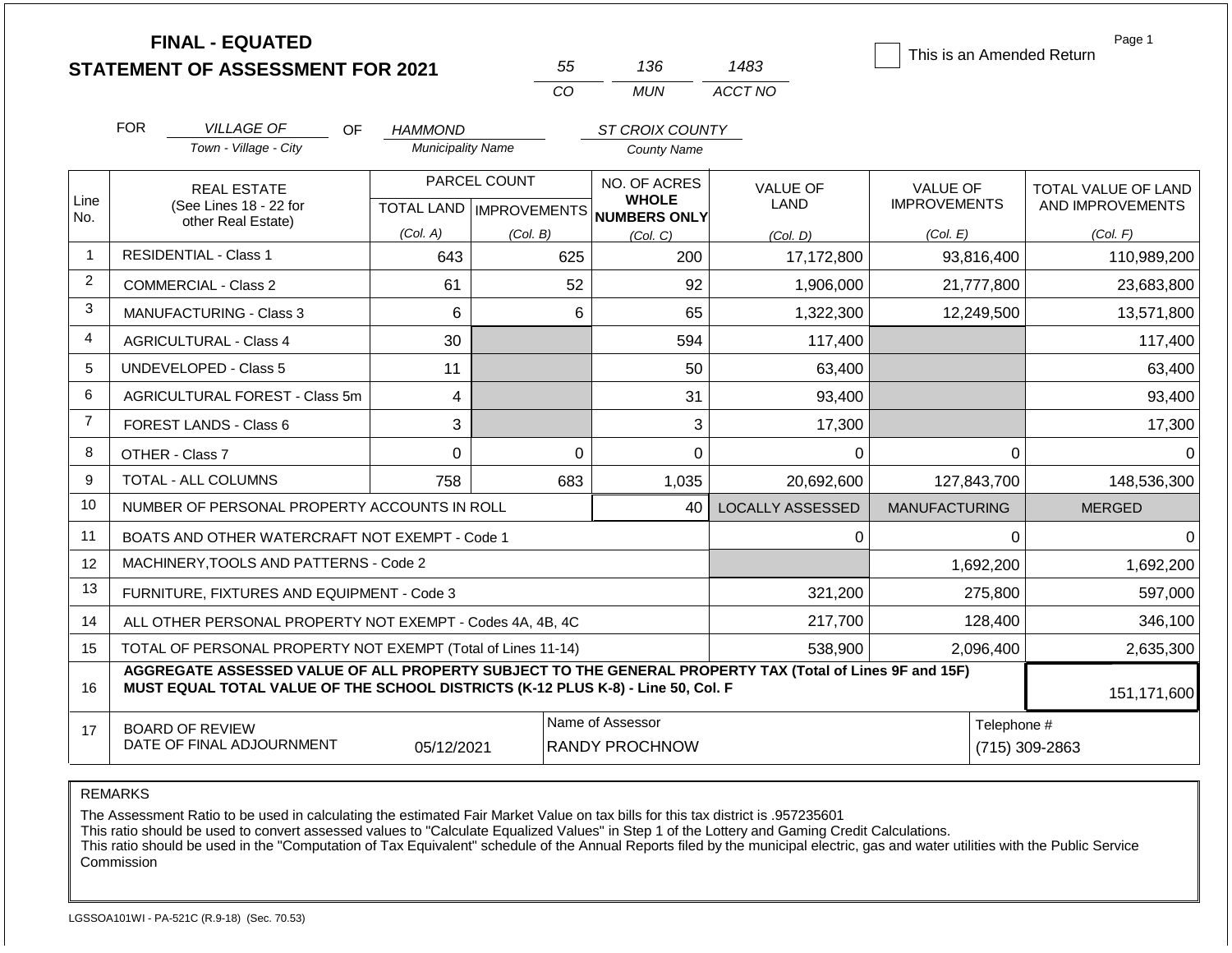|                | <b>FINAL - EQUATED</b>                                                                                                                                                                       |                          |                           |                                           |                         | This is an Amended Return | Page 1                     |  |  |
|----------------|----------------------------------------------------------------------------------------------------------------------------------------------------------------------------------------------|--------------------------|---------------------------|-------------------------------------------|-------------------------|---------------------------|----------------------------|--|--|
|                | <b>STATEMENT OF ASSESSMENT FOR 2021</b>                                                                                                                                                      |                          | 55                        | 136                                       | 1483                    |                           |                            |  |  |
|                |                                                                                                                                                                                              |                          | CO                        | <b>MUN</b>                                | ACCT NO                 |                           |                            |  |  |
|                | <b>FOR</b><br><b>VILLAGE OF</b><br>OF.<br>ST CROIX COUNTY<br>HAMMOND                                                                                                                         |                          |                           |                                           |                         |                           |                            |  |  |
|                | Town - Village - City                                                                                                                                                                        | <b>Municipality Name</b> |                           | <b>County Name</b>                        |                         |                           |                            |  |  |
|                | <b>REAL ESTATE</b>                                                                                                                                                                           |                          | PARCEL COUNT              | NO. OF ACRES                              | <b>VALUE OF</b>         | <b>VALUE OF</b>           | <b>TOTAL VALUE OF LAND</b> |  |  |
| Line<br>No.    | (See Lines 18 - 22 for<br>other Real Estate)                                                                                                                                                 |                          | TOTAL LAND   IMPROVEMENTS | <b>WHOLE</b><br><b>NUMBERS ONLY</b>       | LAND                    | <b>IMPROVEMENTS</b>       | AND IMPROVEMENTS           |  |  |
|                |                                                                                                                                                                                              | (Col. A)                 | (Col. B)                  | (Col, C)                                  | (Col. D)                | (Col. E)                  | (Col. F)                   |  |  |
| $\mathbf{1}$   | <b>RESIDENTIAL - Class 1</b>                                                                                                                                                                 | 643                      | 625                       | 200                                       | 17,172,800              | 93,816,400                | 110,989,200                |  |  |
| $\overline{2}$ | <b>COMMERCIAL - Class 2</b>                                                                                                                                                                  | 61                       | 52                        | 92                                        | 1,906,000               | 21,777,800                | 23,683,800                 |  |  |
| 3              | <b>MANUFACTURING - Class 3</b>                                                                                                                                                               | 6                        | 6                         | 65                                        | 1,322,300               | 12,249,500                | 13,571,800                 |  |  |
| $\overline{4}$ | <b>AGRICULTURAL - Class 4</b>                                                                                                                                                                | 30                       |                           | 594                                       | 117,400                 |                           | 117,400                    |  |  |
| 5              | UNDEVELOPED - Class 5                                                                                                                                                                        | 11                       |                           | 50                                        | 63,400                  |                           | 63,400                     |  |  |
| 6              | AGRICULTURAL FOREST - Class 5m                                                                                                                                                               | 4                        |                           | 31                                        | 93,400                  |                           | 93,400                     |  |  |
| $\overline{7}$ | <b>FOREST LANDS - Class 6</b>                                                                                                                                                                | 3                        |                           | 3                                         | 17,300                  |                           | 17,300                     |  |  |
| 8              | OTHER - Class 7                                                                                                                                                                              | $\Omega$                 | $\Omega$                  | $\Omega$                                  | $\Omega$                | $\Omega$                  | $\Omega$                   |  |  |
| 9              | <b>TOTAL - ALL COLUMNS</b>                                                                                                                                                                   | 758                      | 683                       | 1,035                                     | 20,692,600              | 127,843,700               | 148,536,300                |  |  |
| 10             | NUMBER OF PERSONAL PROPERTY ACCOUNTS IN ROLL                                                                                                                                                 |                          |                           | 40                                        | <b>LOCALLY ASSESSED</b> | <b>MANUFACTURING</b>      | <b>MERGED</b>              |  |  |
| 11             | BOATS AND OTHER WATERCRAFT NOT EXEMPT - Code 1                                                                                                                                               |                          |                           |                                           | 0                       | 0                         | $\Omega$                   |  |  |
| 12             | MACHINERY, TOOLS AND PATTERNS - Code 2                                                                                                                                                       |                          |                           |                                           |                         | 1,692,200                 | 1,692,200                  |  |  |
| 13             | FURNITURE, FIXTURES AND EQUIPMENT - Code 3                                                                                                                                                   |                          |                           |                                           | 321,200                 | 275,800                   | 597,000                    |  |  |
| 14             | ALL OTHER PERSONAL PROPERTY NOT EXEMPT - Codes 4A, 4B, 4C                                                                                                                                    |                          |                           |                                           | 217,700                 | 128,400                   | 346,100                    |  |  |
| 15             | TOTAL OF PERSONAL PROPERTY NOT EXEMPT (Total of Lines 11-14)                                                                                                                                 |                          |                           | 538,900                                   | 2,096,400               | 2,635,300                 |                            |  |  |
| 16             | AGGREGATE ASSESSED VALUE OF ALL PROPERTY SUBJECT TO THE GENERAL PROPERTY TAX (Total of Lines 9F and 15F)<br>MUST EQUAL TOTAL VALUE OF THE SCHOOL DISTRICTS (K-12 PLUS K-8) - Line 50, Col. F |                          |                           | 151,171,600                               |                         |                           |                            |  |  |
| 17             | <b>BOARD OF REVIEW</b><br>DATE OF FINAL ADJOURNMENT                                                                                                                                          | 05/12/2021               |                           | Name of Assessor<br><b>RANDY PROCHNOW</b> |                         | Telephone #               | (715) 309-2863             |  |  |

The Assessment Ratio to be used in calculating the estimated Fair Market Value on tax bills for this tax district is .957235601

This ratio should be used to convert assessed values to "Calculate Equalized Values" in Step 1 of the Lottery and Gaming Credit Calculations.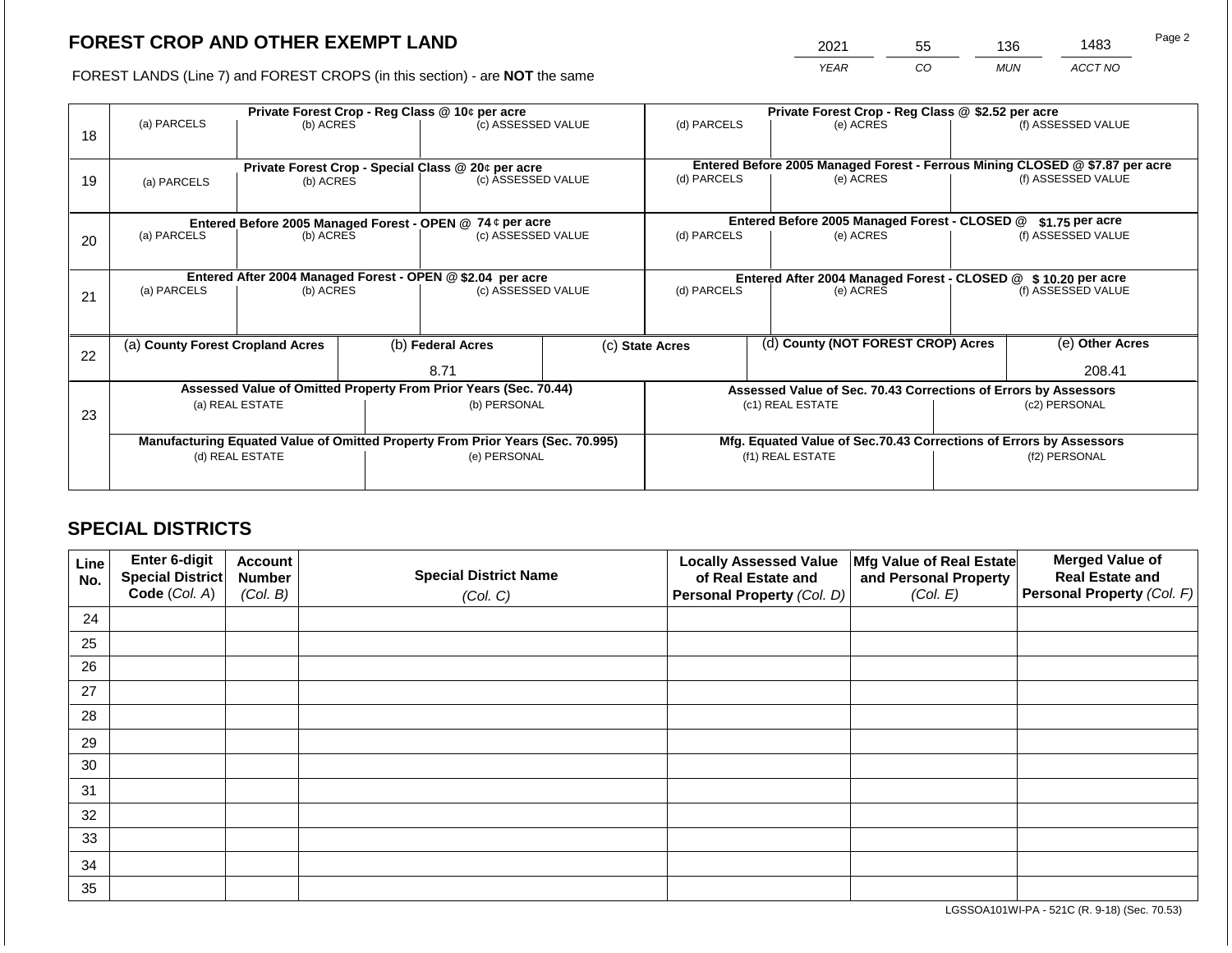2021 55 136 1483

FOREST LANDS (Line 7) and FOREST CROPS (in this section) - are **NOT** the same *YEAR CO MUN ACCT NO*

|    |                                                                                |                 | Private Forest Crop - Reg Class @ 10¢ per acre |                                                                  | Private Forest Crop - Reg Class @ \$2.52 per acre |                                                               |                                                                              |                                                                    |  |                    |
|----|--------------------------------------------------------------------------------|-----------------|------------------------------------------------|------------------------------------------------------------------|---------------------------------------------------|---------------------------------------------------------------|------------------------------------------------------------------------------|--------------------------------------------------------------------|--|--------------------|
| 18 | (a) PARCELS                                                                    | (b) ACRES       |                                                | (c) ASSESSED VALUE                                               |                                                   | (d) PARCELS                                                   |                                                                              | (e) ACRES                                                          |  | (f) ASSESSED VALUE |
|    |                                                                                |                 |                                                |                                                                  |                                                   |                                                               |                                                                              |                                                                    |  |                    |
|    |                                                                                |                 |                                                | Private Forest Crop - Special Class @ 20¢ per acre               |                                                   |                                                               | Entered Before 2005 Managed Forest - Ferrous Mining CLOSED @ \$7.87 per acre |                                                                    |  |                    |
| 19 | (a) PARCELS                                                                    | (b) ACRES       |                                                | (c) ASSESSED VALUE                                               |                                                   | (d) PARCELS                                                   |                                                                              | (e) ACRES                                                          |  | (f) ASSESSED VALUE |
|    |                                                                                |                 |                                                |                                                                  |                                                   |                                                               |                                                                              |                                                                    |  |                    |
|    |                                                                                |                 |                                                | Entered Before 2005 Managed Forest - OPEN @ 74 ¢ per acre        |                                                   |                                                               |                                                                              | Entered Before 2005 Managed Forest - CLOSED @                      |  | $$1.75$ per acre   |
| 20 | (a) PARCELS                                                                    | (b) ACRES       |                                                | (c) ASSESSED VALUE                                               |                                                   | (d) PARCELS                                                   |                                                                              | (e) ACRES                                                          |  | (f) ASSESSED VALUE |
|    |                                                                                |                 |                                                |                                                                  |                                                   |                                                               |                                                                              |                                                                    |  |                    |
|    |                                                                                |                 |                                                | Entered After 2004 Managed Forest - OPEN @ \$2.04 per acre       |                                                   | Entered After 2004 Managed Forest - CLOSED @ \$10.20 per acre |                                                                              |                                                                    |  |                    |
| 21 | (a) PARCELS                                                                    | (b) ACRES       |                                                | (c) ASSESSED VALUE                                               |                                                   | (d) PARCELS<br>(e) ACRES                                      |                                                                              | (f) ASSESSED VALUE                                                 |  |                    |
|    |                                                                                |                 |                                                |                                                                  |                                                   |                                                               |                                                                              |                                                                    |  |                    |
|    |                                                                                |                 |                                                |                                                                  |                                                   |                                                               |                                                                              |                                                                    |  |                    |
| 22 | (a) County Forest Cropland Acres                                               |                 |                                                | (b) Federal Acres                                                |                                                   | (c) State Acres                                               |                                                                              | (d) County (NOT FOREST CROP) Acres                                 |  | (e) Other Acres    |
|    |                                                                                |                 |                                                | 8.71                                                             |                                                   |                                                               |                                                                              |                                                                    |  | 208.41             |
|    |                                                                                |                 |                                                | Assessed Value of Omitted Property From Prior Years (Sec. 70.44) |                                                   |                                                               |                                                                              | Assessed Value of Sec. 70.43 Corrections of Errors by Assessors    |  |                    |
| 23 |                                                                                | (a) REAL ESTATE |                                                | (b) PERSONAL                                                     |                                                   |                                                               |                                                                              | (c1) REAL ESTATE                                                   |  | (c2) PERSONAL      |
|    |                                                                                |                 |                                                |                                                                  |                                                   |                                                               |                                                                              |                                                                    |  |                    |
|    | Manufacturing Equated Value of Omitted Property From Prior Years (Sec. 70.995) |                 |                                                |                                                                  |                                                   |                                                               |                                                                              | Mfg. Equated Value of Sec.70.43 Corrections of Errors by Assessors |  |                    |
|    | (d) REAL ESTATE                                                                |                 |                                                | (e) PERSONAL                                                     |                                                   |                                                               |                                                                              | (f1) REAL ESTATE                                                   |  | (f2) PERSONAL      |
|    |                                                                                |                 |                                                |                                                                  |                                                   |                                                               |                                                                              |                                                                    |  |                    |

## **SPECIAL DISTRICTS**

| Line<br>No. | Enter 6-digit<br>Special District<br>Code (Col. A) | <b>Account</b><br><b>Number</b><br>(Col. B) | <b>Special District Name</b><br>(Col. C) | <b>Locally Assessed Value</b><br>of Real Estate and<br><b>Personal Property (Col. D)</b> | Mfg Value of Real Estate<br>and Personal Property<br>(Col. E) | <b>Merged Value of</b><br><b>Real Estate and</b><br>Personal Property (Col. F) |
|-------------|----------------------------------------------------|---------------------------------------------|------------------------------------------|------------------------------------------------------------------------------------------|---------------------------------------------------------------|--------------------------------------------------------------------------------|
| 24          |                                                    |                                             |                                          |                                                                                          |                                                               |                                                                                |
| 25          |                                                    |                                             |                                          |                                                                                          |                                                               |                                                                                |
| 26          |                                                    |                                             |                                          |                                                                                          |                                                               |                                                                                |
| 27          |                                                    |                                             |                                          |                                                                                          |                                                               |                                                                                |
| 28          |                                                    |                                             |                                          |                                                                                          |                                                               |                                                                                |
| 29          |                                                    |                                             |                                          |                                                                                          |                                                               |                                                                                |
| 30          |                                                    |                                             |                                          |                                                                                          |                                                               |                                                                                |
| 31          |                                                    |                                             |                                          |                                                                                          |                                                               |                                                                                |
| 32          |                                                    |                                             |                                          |                                                                                          |                                                               |                                                                                |
| 33          |                                                    |                                             |                                          |                                                                                          |                                                               |                                                                                |
| 34          |                                                    |                                             |                                          |                                                                                          |                                                               |                                                                                |
| 35          |                                                    |                                             |                                          |                                                                                          |                                                               |                                                                                |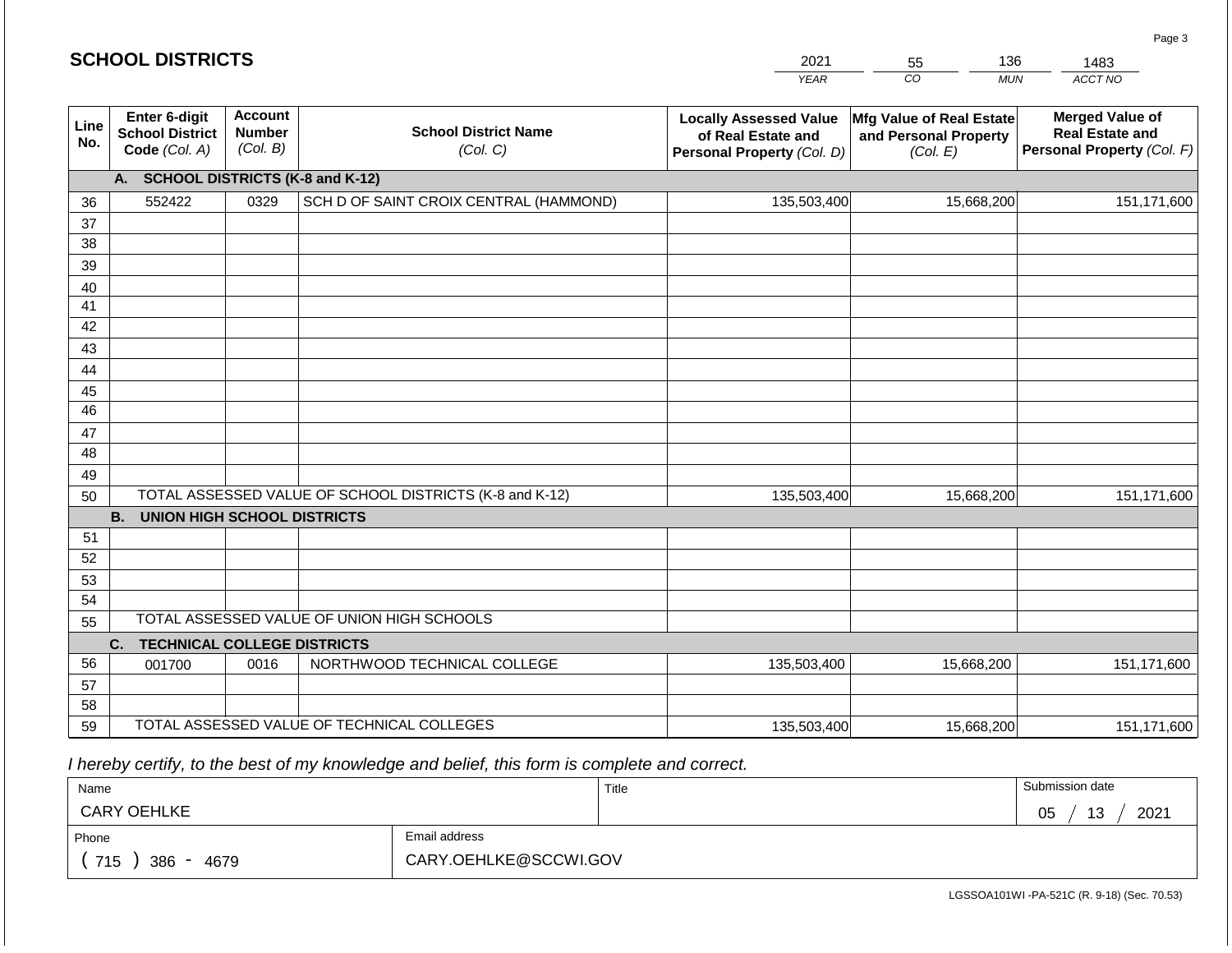| 2021 | 55 | 136 | 1483    |
|------|----|-----|---------|
| YFAR | CC | MUN | ACCT NO |

| Line<br>No. | <b>Enter 6-digit</b><br><b>School District</b><br>Code (Col. A) | <b>Account</b><br><b>Number</b><br>(Col. B) | <b>School District Name</b><br>(Col. C)                 | <b>Locally Assessed Value</b><br>of Real Estate and<br>Personal Property (Col. D) | Mfg Value of Real Estate<br>and Personal Property<br>(Col. E) | <b>Merged Value of</b><br><b>Real Estate and</b><br>Personal Property (Col. F) |  |  |  |  |  |  |
|-------------|-----------------------------------------------------------------|---------------------------------------------|---------------------------------------------------------|-----------------------------------------------------------------------------------|---------------------------------------------------------------|--------------------------------------------------------------------------------|--|--|--|--|--|--|
|             | <b>SCHOOL DISTRICTS (K-8 and K-12)</b><br>A.                    |                                             |                                                         |                                                                                   |                                                               |                                                                                |  |  |  |  |  |  |
| 36          | 552422                                                          | 0329                                        | SCH D OF SAINT CROIX CENTRAL (HAMMOND)                  | 135,503,400                                                                       | 15,668,200                                                    | 151,171,600                                                                    |  |  |  |  |  |  |
| 37          |                                                                 |                                             |                                                         |                                                                                   |                                                               |                                                                                |  |  |  |  |  |  |
| 38          |                                                                 |                                             |                                                         |                                                                                   |                                                               |                                                                                |  |  |  |  |  |  |
| 39          |                                                                 |                                             |                                                         |                                                                                   |                                                               |                                                                                |  |  |  |  |  |  |
| 40          |                                                                 |                                             |                                                         |                                                                                   |                                                               |                                                                                |  |  |  |  |  |  |
| 41          |                                                                 |                                             |                                                         |                                                                                   |                                                               |                                                                                |  |  |  |  |  |  |
| 42          |                                                                 |                                             |                                                         |                                                                                   |                                                               |                                                                                |  |  |  |  |  |  |
| 43          |                                                                 |                                             |                                                         |                                                                                   |                                                               |                                                                                |  |  |  |  |  |  |
| 44          |                                                                 |                                             |                                                         |                                                                                   |                                                               |                                                                                |  |  |  |  |  |  |
| 45          |                                                                 |                                             |                                                         |                                                                                   |                                                               |                                                                                |  |  |  |  |  |  |
| 46          |                                                                 |                                             |                                                         |                                                                                   |                                                               |                                                                                |  |  |  |  |  |  |
| 47          |                                                                 |                                             |                                                         |                                                                                   |                                                               |                                                                                |  |  |  |  |  |  |
| 48          |                                                                 |                                             |                                                         |                                                                                   |                                                               |                                                                                |  |  |  |  |  |  |
| 49          |                                                                 |                                             |                                                         |                                                                                   |                                                               |                                                                                |  |  |  |  |  |  |
| 50          |                                                                 |                                             | TOTAL ASSESSED VALUE OF SCHOOL DISTRICTS (K-8 and K-12) | 135,503,400                                                                       | 15,668,200                                                    | 151,171,600                                                                    |  |  |  |  |  |  |
|             | <b>B.</b><br><b>UNION HIGH SCHOOL DISTRICTS</b>                 |                                             |                                                         |                                                                                   |                                                               |                                                                                |  |  |  |  |  |  |
| 51          |                                                                 |                                             |                                                         |                                                                                   |                                                               |                                                                                |  |  |  |  |  |  |
| 52          |                                                                 |                                             |                                                         |                                                                                   |                                                               |                                                                                |  |  |  |  |  |  |
| 53          |                                                                 |                                             |                                                         |                                                                                   |                                                               |                                                                                |  |  |  |  |  |  |
| 54          |                                                                 |                                             |                                                         |                                                                                   |                                                               |                                                                                |  |  |  |  |  |  |
| 55          |                                                                 |                                             | TOTAL ASSESSED VALUE OF UNION HIGH SCHOOLS              |                                                                                   |                                                               |                                                                                |  |  |  |  |  |  |
|             | <b>TECHNICAL COLLEGE DISTRICTS</b><br>C.                        |                                             |                                                         |                                                                                   |                                                               |                                                                                |  |  |  |  |  |  |
| 56          | 001700                                                          | 0016                                        | NORTHWOOD TECHNICAL COLLEGE                             | 135,503,400                                                                       | 15,668,200                                                    | 151,171,600                                                                    |  |  |  |  |  |  |
| 57          |                                                                 |                                             |                                                         |                                                                                   |                                                               |                                                                                |  |  |  |  |  |  |
| 58          |                                                                 |                                             |                                                         |                                                                                   |                                                               |                                                                                |  |  |  |  |  |  |
| 59          |                                                                 |                                             | TOTAL ASSESSED VALUE OF TECHNICAL COLLEGES              | 135,503,400                                                                       | 15,668,200                                                    | 151,171,600                                                                    |  |  |  |  |  |  |

 *I hereby certify, to the best of my knowledge and belief, this form is complete and correct.*

| Name               |                       | Title | Submission date                   |
|--------------------|-----------------------|-------|-----------------------------------|
| <b>CARY OEHLKE</b> |                       |       | 2021<br>05<br>$\overline{A}$<br>P |
| Phone              | Email address         |       |                                   |
| 715<br>386<br>4679 | CARY.OEHLKE@SCCWI.GOV |       |                                   |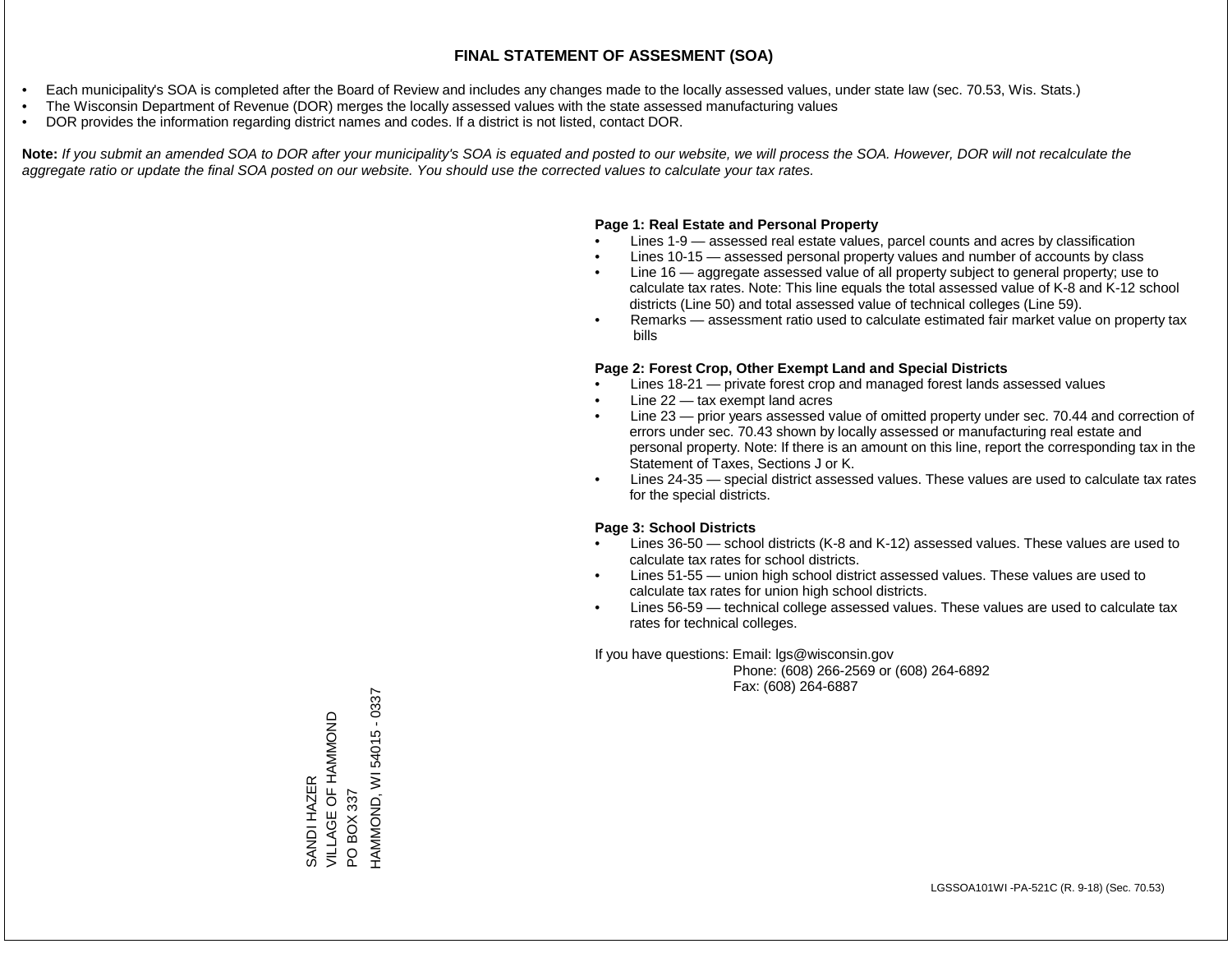- Each municipality's SOA is completed after the Board of Review and includes any changes made to the locally assessed values, under state law (sec. 70.53, Wis. Stats.)
- The Wisconsin Department of Revenue (DOR) merges the locally assessed values with the state assessed manufacturing values
- DOR provides the information regarding district names and codes. If a district is not listed, contact DOR.

Note: If you submit an amended SOA to DOR after your municipality's SOA is equated and posted to our website, we will process the SOA. However, DOR will not recalculate the *aggregate ratio or update the final SOA posted on our website. You should use the corrected values to calculate your tax rates.*

### **Page 1: Real Estate and Personal Property**

- Lines 1-9 assessed real estate values, parcel counts and acres by classification
- Lines 10-15 assessed personal property values and number of accounts by class
- Line 16 aggregate assessed value of all property subject to general property; use to calculate tax rates. Note: This line equals the total assessed value of K-8 and K-12 school districts (Line 50) and total assessed value of technical colleges (Line 59).
- Remarks assessment ratio used to calculate estimated fair market value on property tax bills

#### **Page 2: Forest Crop, Other Exempt Land and Special Districts**

- Lines 18-21 private forest crop and managed forest lands assessed values
- Line  $22 -$  tax exempt land acres
- Line 23 prior years assessed value of omitted property under sec. 70.44 and correction of errors under sec. 70.43 shown by locally assessed or manufacturing real estate and personal property. Note: If there is an amount on this line, report the corresponding tax in the Statement of Taxes, Sections J or K.
- Lines 24-35 special district assessed values. These values are used to calculate tax rates for the special districts.

#### **Page 3: School Districts**

- Lines 36-50 school districts (K-8 and K-12) assessed values. These values are used to calculate tax rates for school districts.
- Lines 51-55 union high school district assessed values. These values are used to calculate tax rates for union high school districts.
- Lines 56-59 technical college assessed values. These values are used to calculate tax rates for technical colleges.

If you have questions: Email: lgs@wisconsin.gov

 Phone: (608) 266-2569 or (608) 264-6892 Fax: (608) 264-6887

SANDI HAZER<br>VILLAGE OF HAMMOND VILLAGE OF HAMMOND PO BOX 337<br>HAMMOND, WI 54015 - 0337 HAMMOND, WI 54015 - 0337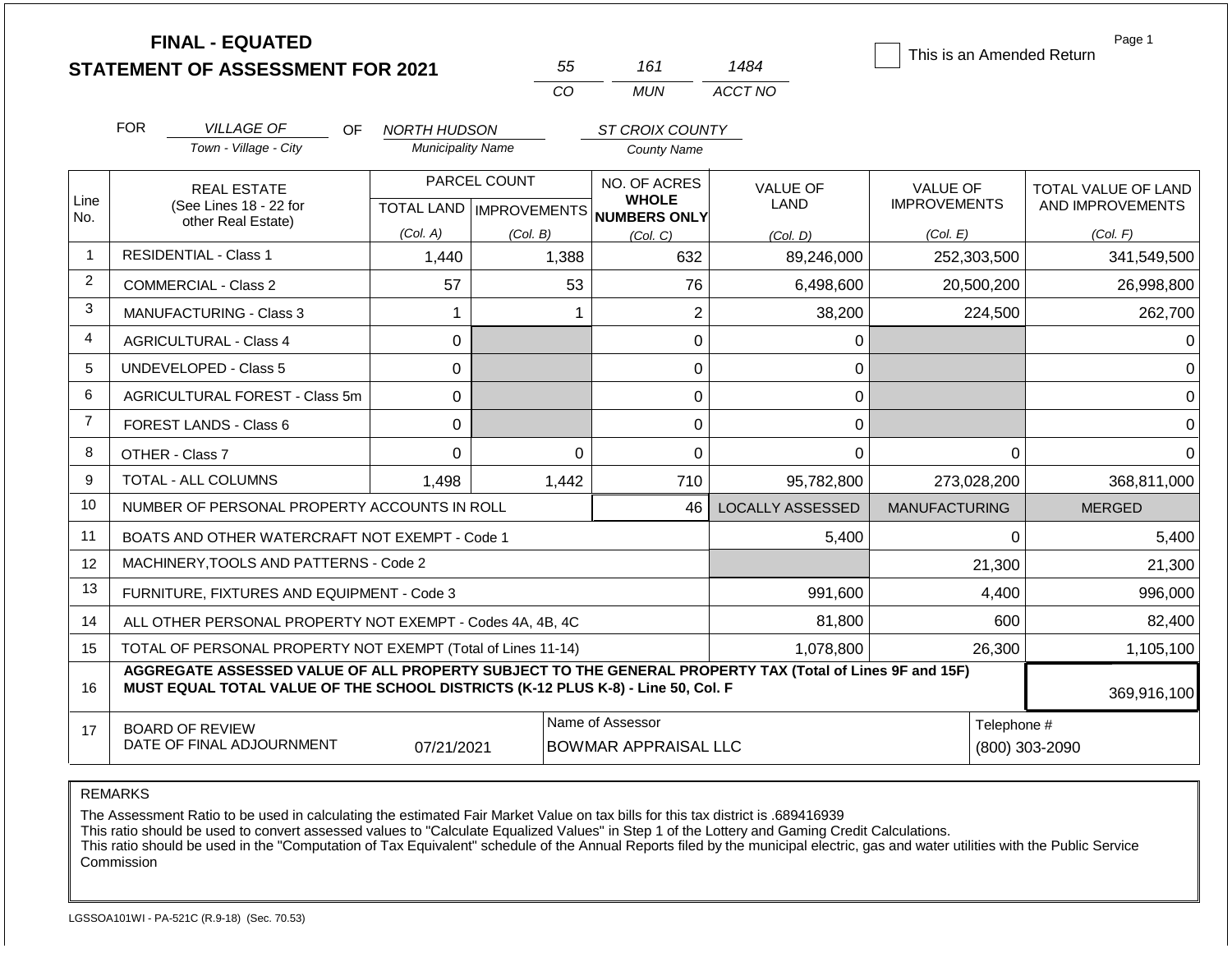|                |                                                                                                                                                                                              | <b>FINAL - EQUATED</b><br><b>STATEMENT OF ASSESSMENT FOR 2021</b> |                           |              | 55          | 161                                                 | 1484                                                         | This is an Amended Return              | Page 1                                  |
|----------------|----------------------------------------------------------------------------------------------------------------------------------------------------------------------------------------------|-------------------------------------------------------------------|---------------------------|--------------|-------------|-----------------------------------------------------|--------------------------------------------------------------|----------------------------------------|-----------------------------------------|
|                |                                                                                                                                                                                              |                                                                   |                           |              | CO          | <b>MUN</b>                                          | ACCT NO                                                      |                                        |                                         |
|                | <b>FOR</b>                                                                                                                                                                                   | <b>VILLAGE OF</b><br>OF.                                          | NORTH HUDSON              |              |             | ST CROIX COUNTY                                     |                                                              |                                        |                                         |
|                |                                                                                                                                                                                              | Town - Village - City                                             | <b>Municipality Name</b>  |              |             | <b>County Name</b>                                  |                                                              |                                        |                                         |
| Line           |                                                                                                                                                                                              | <b>REAL ESTATE</b><br>(See Lines 18 - 22 for                      | TOTAL LAND   IMPROVEMENTS | PARCEL COUNT |             | NO. OF ACRES<br><b>WHOLE</b><br><b>NUMBERS ONLY</b> | <b>VALUE OF</b><br>LAND                                      | <b>VALUE OF</b><br><b>IMPROVEMENTS</b> | TOTAL VALUE OF LAND<br>AND IMPROVEMENTS |
| No.            |                                                                                                                                                                                              | other Real Estate)                                                | (Col. A)                  | (Col. B)     |             | (Col. C)                                            | (Col, D)                                                     | (Col. E)                               | (Col. F)                                |
| $\mathbf{1}$   |                                                                                                                                                                                              | <b>RESIDENTIAL - Class 1</b>                                      | 1,440                     |              | 1,388       | 632                                                 | 89,246,000                                                   | 252,303,500                            | 341,549,500                             |
| 2              |                                                                                                                                                                                              | COMMERCIAL - Class 2                                              | 57                        |              | 53          | 76                                                  | 6,498,600                                                    | 20,500,200                             | 26,998,800                              |
| 3              |                                                                                                                                                                                              | <b>MANUFACTURING - Class 3</b>                                    | 1                         |              | 1           | $\overline{2}$                                      | 38,200                                                       | 224,500                                | 262,700                                 |
| 4              | <b>AGRICULTURAL - Class 4</b>                                                                                                                                                                |                                                                   | $\overline{0}$            |              |             | 0                                                   | 0                                                            |                                        | 0                                       |
| 5              |                                                                                                                                                                                              | <b>UNDEVELOPED - Class 5</b>                                      | $\Omega$                  |              |             | 0                                                   | 0                                                            |                                        | $\Omega$                                |
| 6              |                                                                                                                                                                                              | AGRICULTURAL FOREST - Class 5m                                    | $\mathbf 0$               |              |             | $\mathbf 0$                                         | 0                                                            |                                        | 0                                       |
| $\overline{7}$ |                                                                                                                                                                                              | <b>FOREST LANDS - Class 6</b>                                     | $\Omega$                  |              |             | 0                                                   | 0                                                            |                                        | $\Omega$                                |
| 8              |                                                                                                                                                                                              | OTHER - Class 7                                                   | $\mathbf 0$               |              | $\mathbf 0$ | 0                                                   | 0                                                            | $\Omega$                               | $\Omega$                                |
| 9              |                                                                                                                                                                                              | TOTAL - ALL COLUMNS                                               | 1,498                     |              | 1,442       | 710                                                 | 95,782,800                                                   | 273,028,200                            | 368,811,000                             |
| 10             |                                                                                                                                                                                              | NUMBER OF PERSONAL PROPERTY ACCOUNTS IN ROLL                      |                           |              |             | 46                                                  | <b>LOCALLY ASSESSED</b>                                      | <b>MANUFACTURING</b>                   | <b>MERGED</b>                           |
| 11             |                                                                                                                                                                                              | BOATS AND OTHER WATERCRAFT NOT EXEMPT - Code 1                    |                           |              |             |                                                     | 5,400                                                        | $\Omega$                               | 5,400                                   |
| 12             |                                                                                                                                                                                              | MACHINERY, TOOLS AND PATTERNS - Code 2                            |                           |              |             |                                                     |                                                              | 21,300                                 | 21,300                                  |
| 13             |                                                                                                                                                                                              | FURNITURE, FIXTURES AND EQUIPMENT - Code 3                        |                           |              |             |                                                     | 991,600                                                      | 4,400                                  | 996,000                                 |
| 14             | ALL OTHER PERSONAL PROPERTY NOT EXEMPT - Codes 4A, 4B, 4C                                                                                                                                    |                                                                   |                           |              |             |                                                     | 81,800                                                       | 600                                    | 82,400                                  |
| 15             | TOTAL OF PERSONAL PROPERTY NOT EXEMPT (Total of Lines 11-14)                                                                                                                                 |                                                                   |                           |              |             |                                                     | 1,078,800                                                    | 26,300                                 | 1,105,100                               |
| 16             | AGGREGATE ASSESSED VALUE OF ALL PROPERTY SUBJECT TO THE GENERAL PROPERTY TAX (Total of Lines 9F and 15F)<br>MUST EQUAL TOTAL VALUE OF THE SCHOOL DISTRICTS (K-12 PLUS K-8) - Line 50, Col. F |                                                                   |                           |              |             |                                                     |                                                              |                                        | 369,916,100                             |
| 17             | <b>BOARD OF REVIEW</b><br>DATE OF FINAL ADJOURNMENT<br>07/21/2021                                                                                                                            |                                                                   |                           |              |             | Name of Assessor                                    | Telephone #<br><b>BOWMAR APPRAISAL LLC</b><br>(800) 303-2090 |                                        |                                         |

The Assessment Ratio to be used in calculating the estimated Fair Market Value on tax bills for this tax district is .689416939

This ratio should be used to convert assessed values to "Calculate Equalized Values" in Step 1 of the Lottery and Gaming Credit Calculations.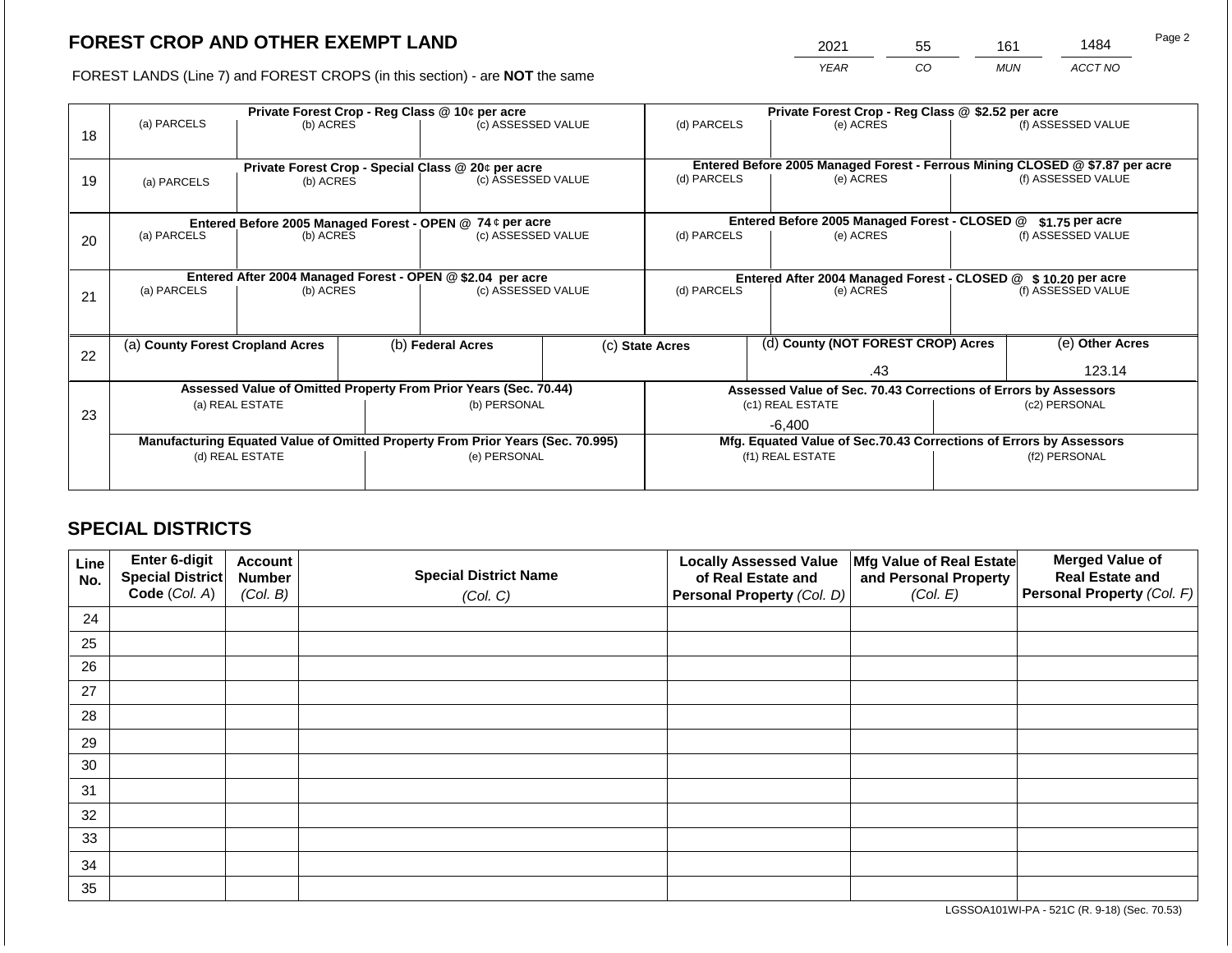2021 55 161 1484

FOREST LANDS (Line 7) and FOREST CROPS (in this section) - are **NOT** the same *YEAR CO MUN ACCT NO*

|    |                                                                                | Private Forest Crop - Reg Class @ \$2.52 per acre                |  |                                                    |                                                               |  |                                                                              |                                                                 |                    |  |  |
|----|--------------------------------------------------------------------------------|------------------------------------------------------------------|--|----------------------------------------------------|---------------------------------------------------------------|--|------------------------------------------------------------------------------|-----------------------------------------------------------------|--------------------|--|--|
| 18 | (a) PARCELS                                                                    | Private Forest Crop - Reg Class @ 10¢ per acre<br>(b) ACRES      |  | (c) ASSESSED VALUE                                 | (d) PARCELS                                                   |  | (e) ACRES                                                                    |                                                                 | (f) ASSESSED VALUE |  |  |
|    |                                                                                |                                                                  |  |                                                    |                                                               |  |                                                                              |                                                                 |                    |  |  |
|    |                                                                                |                                                                  |  | Private Forest Crop - Special Class @ 20¢ per acre |                                                               |  | Entered Before 2005 Managed Forest - Ferrous Mining CLOSED @ \$7.87 per acre |                                                                 |                    |  |  |
| 19 | (b) ACRES<br>(a) PARCELS                                                       |                                                                  |  | (c) ASSESSED VALUE                                 | (d) PARCELS                                                   |  | (e) ACRES                                                                    |                                                                 | (f) ASSESSED VALUE |  |  |
|    |                                                                                |                                                                  |  |                                                    |                                                               |  |                                                                              |                                                                 |                    |  |  |
|    |                                                                                | Entered Before 2005 Managed Forest - OPEN @ 74 ¢ per acre        |  |                                                    |                                                               |  | Entered Before 2005 Managed Forest - CLOSED @                                |                                                                 | $$1.75$ per acre   |  |  |
| 20 | (a) PARCELS                                                                    | (b) ACRES                                                        |  | (c) ASSESSED VALUE                                 | (d) PARCELS                                                   |  | (e) ACRES                                                                    |                                                                 | (f) ASSESSED VALUE |  |  |
|    |                                                                                |                                                                  |  |                                                    |                                                               |  |                                                                              |                                                                 |                    |  |  |
|    |                                                                                | Entered After 2004 Managed Forest - OPEN @ \$2.04 per acre       |  |                                                    | Entered After 2004 Managed Forest - CLOSED @ \$10.20 per acre |  |                                                                              |                                                                 |                    |  |  |
| 21 | (a) PARCELS<br>(b) ACRES                                                       |                                                                  |  | (c) ASSESSED VALUE                                 | (d) PARCELS<br>(e) ACRES                                      |  | (f) ASSESSED VALUE                                                           |                                                                 |                    |  |  |
|    |                                                                                |                                                                  |  |                                                    |                                                               |  |                                                                              |                                                                 |                    |  |  |
|    |                                                                                |                                                                  |  |                                                    |                                                               |  |                                                                              |                                                                 |                    |  |  |
|    | (a) County Forest Cropland Acres                                               |                                                                  |  | (b) Federal Acres                                  | (c) State Acres                                               |  | (d) County (NOT FOREST CROP) Acres                                           |                                                                 | (e) Other Acres    |  |  |
| 22 |                                                                                |                                                                  |  |                                                    |                                                               |  | .43                                                                          |                                                                 | 123.14             |  |  |
|    |                                                                                |                                                                  |  |                                                    |                                                               |  |                                                                              |                                                                 |                    |  |  |
|    |                                                                                | Assessed Value of Omitted Property From Prior Years (Sec. 70.44) |  |                                                    |                                                               |  |                                                                              | Assessed Value of Sec. 70.43 Corrections of Errors by Assessors |                    |  |  |
| 23 |                                                                                | (a) REAL ESTATE                                                  |  | (b) PERSONAL                                       |                                                               |  | (c1) REAL ESTATE                                                             |                                                                 | (c2) PERSONAL      |  |  |
|    |                                                                                |                                                                  |  |                                                    |                                                               |  | -6.400                                                                       |                                                                 |                    |  |  |
|    | Manufacturing Equated Value of Omitted Property From Prior Years (Sec. 70.995) |                                                                  |  |                                                    |                                                               |  | Mfg. Equated Value of Sec.70.43 Corrections of Errors by Assessors           |                                                                 |                    |  |  |
|    |                                                                                | (d) REAL ESTATE                                                  |  | (e) PERSONAL                                       |                                                               |  | (f1) REAL ESTATE                                                             | (f2) PERSONAL                                                   |                    |  |  |
|    |                                                                                |                                                                  |  |                                                    |                                                               |  |                                                                              |                                                                 |                    |  |  |
|    |                                                                                |                                                                  |  |                                                    |                                                               |  |                                                                              |                                                                 |                    |  |  |

## **SPECIAL DISTRICTS**

| Line<br>No. | <b>Enter 6-digit</b><br>Special District | <b>Account</b><br><b>Number</b> | <b>Special District Name</b> | <b>Locally Assessed Value</b><br>of Real Estate and | Mfg Value of Real Estate<br>and Personal Property | <b>Merged Value of</b><br><b>Real Estate and</b> |
|-------------|------------------------------------------|---------------------------------|------------------------------|-----------------------------------------------------|---------------------------------------------------|--------------------------------------------------|
|             | Code (Col. A)                            | (Col. B)                        | (Col. C)                     | Personal Property (Col. D)                          | (Col. E)                                          | <b>Personal Property (Col. F)</b>                |
| 24          |                                          |                                 |                              |                                                     |                                                   |                                                  |
| 25          |                                          |                                 |                              |                                                     |                                                   |                                                  |
| 26          |                                          |                                 |                              |                                                     |                                                   |                                                  |
| 27          |                                          |                                 |                              |                                                     |                                                   |                                                  |
| 28          |                                          |                                 |                              |                                                     |                                                   |                                                  |
| 29          |                                          |                                 |                              |                                                     |                                                   |                                                  |
| 30          |                                          |                                 |                              |                                                     |                                                   |                                                  |
| 31          |                                          |                                 |                              |                                                     |                                                   |                                                  |
| 32          |                                          |                                 |                              |                                                     |                                                   |                                                  |
| 33          |                                          |                                 |                              |                                                     |                                                   |                                                  |
| 34          |                                          |                                 |                              |                                                     |                                                   |                                                  |
| 35          |                                          |                                 |                              |                                                     |                                                   |                                                  |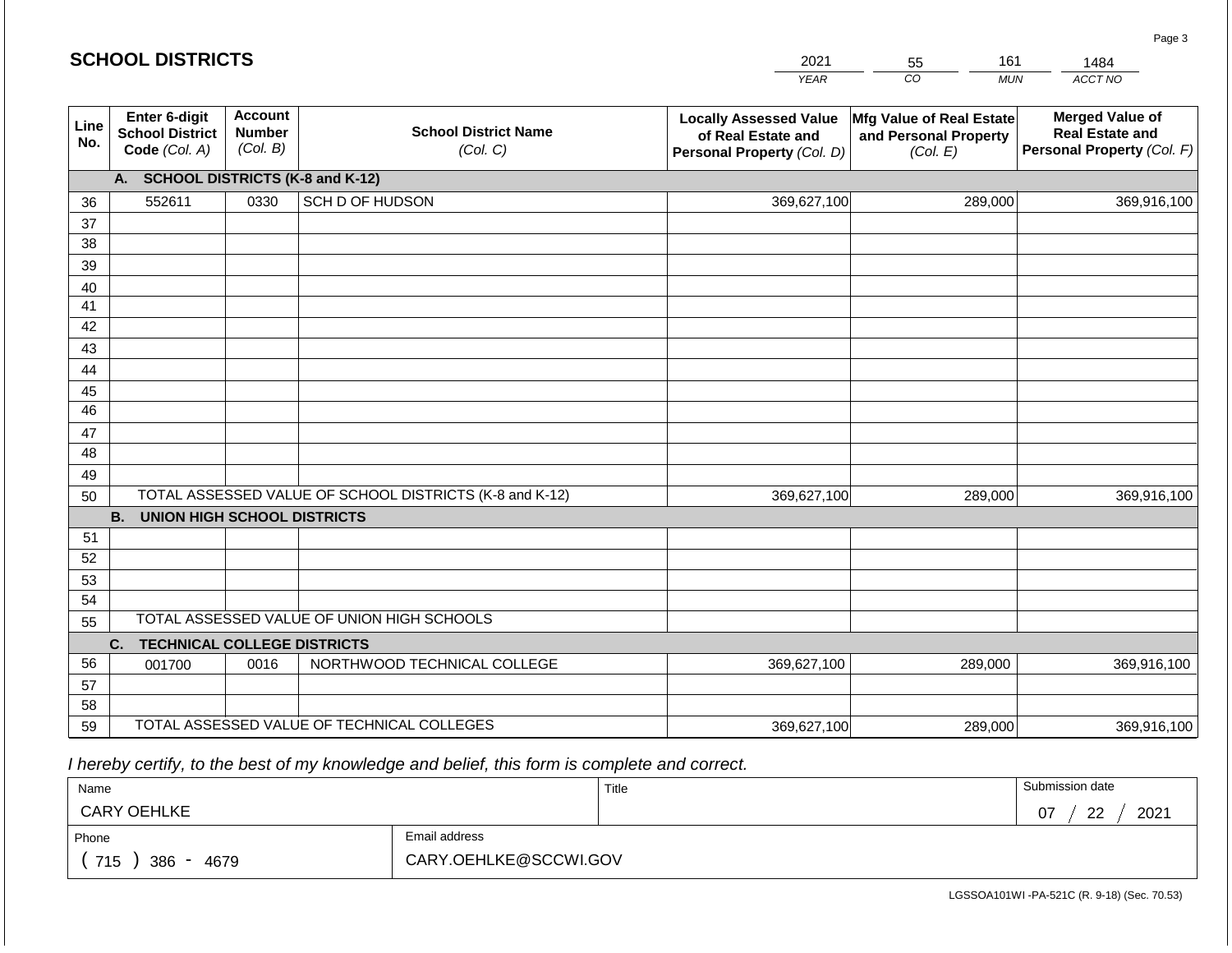| <b>SCHOOL DISTRICTS</b> |                                                          |                                             |                                                         | 2021                                                                              | 161<br>55                                                            | 1484                                                                           |
|-------------------------|----------------------------------------------------------|---------------------------------------------|---------------------------------------------------------|-----------------------------------------------------------------------------------|----------------------------------------------------------------------|--------------------------------------------------------------------------------|
|                         |                                                          |                                             |                                                         | <b>YEAR</b>                                                                       | CO<br><b>MUN</b>                                                     | ACCT NO                                                                        |
| Line<br>No.             | Enter 6-digit<br><b>School District</b><br>Code (Col. A) | <b>Account</b><br><b>Number</b><br>(Col. B) | <b>School District Name</b><br>(Col. C)                 | <b>Locally Assessed Value</b><br>of Real Estate and<br>Personal Property (Col. D) | <b>Mfg Value of Real Estate</b><br>and Personal Property<br>(Col. E) | <b>Merged Value of</b><br><b>Real Estate and</b><br>Personal Property (Col. F) |
|                         | <b>SCHOOL DISTRICTS (K-8 and K-12)</b><br>A.             |                                             |                                                         |                                                                                   |                                                                      |                                                                                |
| 36                      | 552611                                                   | 0330                                        | SCH D OF HUDSON                                         | 369,627,100                                                                       | 289,000                                                              | 369,916,100                                                                    |
| 37                      |                                                          |                                             |                                                         |                                                                                   |                                                                      |                                                                                |
| 38                      |                                                          |                                             |                                                         |                                                                                   |                                                                      |                                                                                |
| 39                      |                                                          |                                             |                                                         |                                                                                   |                                                                      |                                                                                |
| 40                      |                                                          |                                             |                                                         |                                                                                   |                                                                      |                                                                                |
| 41                      |                                                          |                                             |                                                         |                                                                                   |                                                                      |                                                                                |
| 42<br>43                |                                                          |                                             |                                                         |                                                                                   |                                                                      |                                                                                |
| 44                      |                                                          |                                             |                                                         |                                                                                   |                                                                      |                                                                                |
| 45                      |                                                          |                                             |                                                         |                                                                                   |                                                                      |                                                                                |
| 46                      |                                                          |                                             |                                                         |                                                                                   |                                                                      |                                                                                |
| 47                      |                                                          |                                             |                                                         |                                                                                   |                                                                      |                                                                                |
| 48                      |                                                          |                                             |                                                         |                                                                                   |                                                                      |                                                                                |
| 49                      |                                                          |                                             |                                                         |                                                                                   |                                                                      |                                                                                |
| 50                      |                                                          |                                             | TOTAL ASSESSED VALUE OF SCHOOL DISTRICTS (K-8 and K-12) | 369,627,100                                                                       | 289,000                                                              | 369,916,100                                                                    |
|                         | <b>B.</b><br><b>UNION HIGH SCHOOL DISTRICTS</b>          |                                             |                                                         |                                                                                   |                                                                      |                                                                                |
| 51                      |                                                          |                                             |                                                         |                                                                                   |                                                                      |                                                                                |
| 52                      |                                                          |                                             |                                                         |                                                                                   |                                                                      |                                                                                |
| 53                      |                                                          |                                             |                                                         |                                                                                   |                                                                      |                                                                                |
| 54                      |                                                          |                                             |                                                         |                                                                                   |                                                                      |                                                                                |
| 55                      |                                                          |                                             | TOTAL ASSESSED VALUE OF UNION HIGH SCHOOLS              |                                                                                   |                                                                      |                                                                                |
|                         | <b>TECHNICAL COLLEGE DISTRICTS</b><br>C.                 |                                             |                                                         |                                                                                   |                                                                      |                                                                                |
| 56                      | 001700                                                   | 0016                                        | NORTHWOOD TECHNICAL COLLEGE                             | 369,627,100                                                                       | 289,000                                                              | 369,916,100                                                                    |
| 57<br>58                |                                                          |                                             |                                                         |                                                                                   |                                                                      |                                                                                |
| 59                      |                                                          |                                             | TOTAL ASSESSED VALUE OF TECHNICAL COLLEGES              | 369,627,100                                                                       | 289,000                                                              | 369,916,100                                                                    |
|                         |                                                          |                                             |                                                         |                                                                                   |                                                                      |                                                                                |

 *I hereby certify, to the best of my knowledge and belief, this form is complete and correct.*

| Name                                           |                       | Title | Submission date               |
|------------------------------------------------|-----------------------|-------|-------------------------------|
| <b>CARY OEHLKE</b>                             |                       |       | ററ<br>2021<br>07<br><u>__</u> |
| Phone                                          | Email address         |       |                               |
| 715<br>386<br>4679<br>$\overline{\phantom{0}}$ | CARY.OEHLKE@SCCWI.GOV |       |                               |

Page 3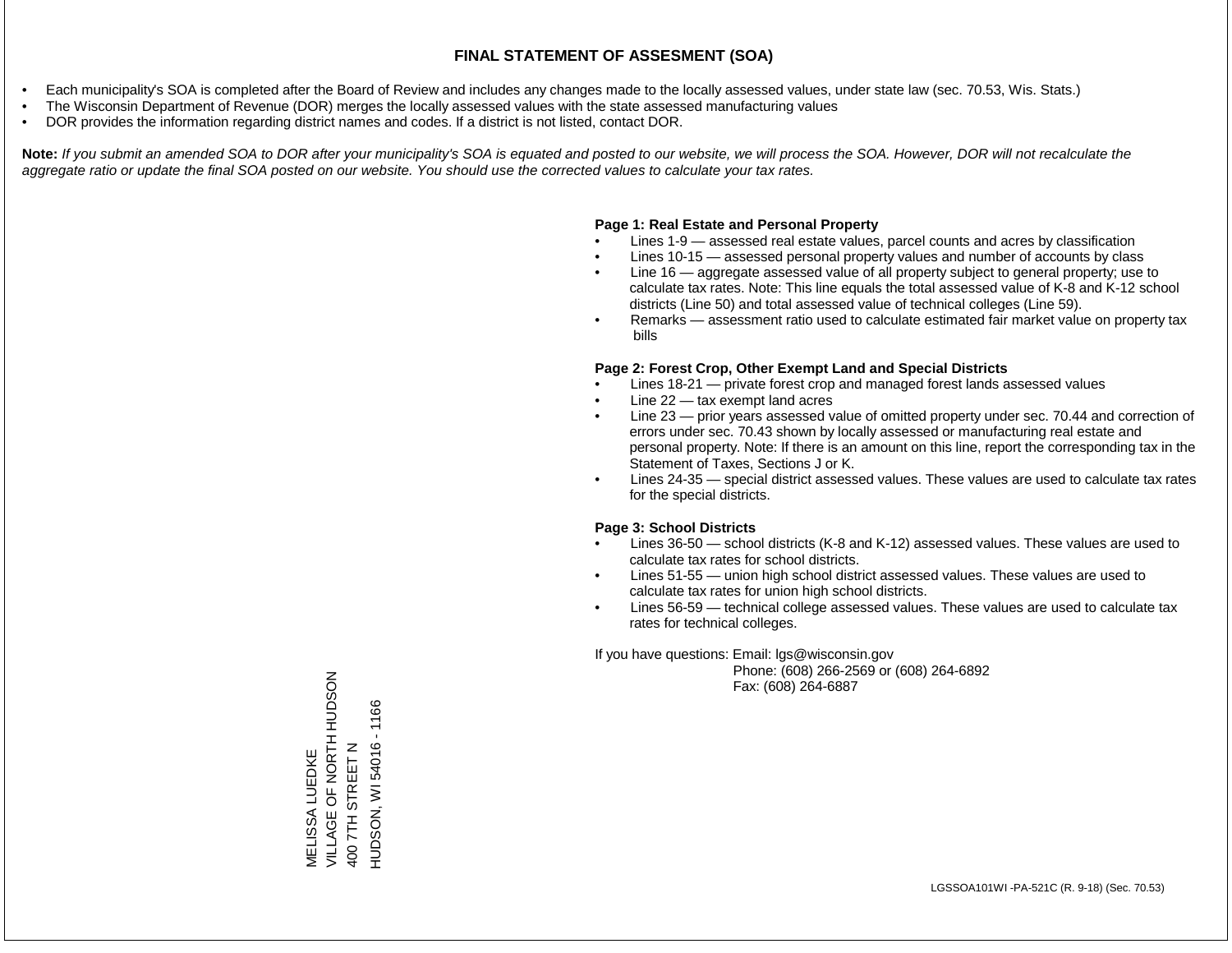- Each municipality's SOA is completed after the Board of Review and includes any changes made to the locally assessed values, under state law (sec. 70.53, Wis. Stats.)
- The Wisconsin Department of Revenue (DOR) merges the locally assessed values with the state assessed manufacturing values
- DOR provides the information regarding district names and codes. If a district is not listed, contact DOR.

Note: If you submit an amended SOA to DOR after your municipality's SOA is equated and posted to our website, we will process the SOA. However, DOR will not recalculate the *aggregate ratio or update the final SOA posted on our website. You should use the corrected values to calculate your tax rates.*

### **Page 1: Real Estate and Personal Property**

- Lines 1-9 assessed real estate values, parcel counts and acres by classification
- Lines 10-15 assessed personal property values and number of accounts by class
- Line 16 aggregate assessed value of all property subject to general property; use to calculate tax rates. Note: This line equals the total assessed value of K-8 and K-12 school districts (Line 50) and total assessed value of technical colleges (Line 59).
- Remarks assessment ratio used to calculate estimated fair market value on property tax bills

#### **Page 2: Forest Crop, Other Exempt Land and Special Districts**

- Lines 18-21 private forest crop and managed forest lands assessed values
- Line  $22 -$  tax exempt land acres
- Line 23 prior years assessed value of omitted property under sec. 70.44 and correction of errors under sec. 70.43 shown by locally assessed or manufacturing real estate and personal property. Note: If there is an amount on this line, report the corresponding tax in the Statement of Taxes, Sections J or K.
- Lines 24-35 special district assessed values. These values are used to calculate tax rates for the special districts.

#### **Page 3: School Districts**

- Lines 36-50 school districts (K-8 and K-12) assessed values. These values are used to calculate tax rates for school districts.
- Lines 51-55 union high school district assessed values. These values are used to calculate tax rates for union high school districts.
- Lines 56-59 technical college assessed values. These values are used to calculate tax rates for technical colleges.

If you have questions: Email: lgs@wisconsin.gov

 Phone: (608) 266-2569 or (608) 264-6892 Fax: (608) 264-6887

VILLAGE OF NORTH HUDSON VILLAGE OF NORTH HUDSON 1166 HUDSON, WI 54016 - 1166400 7TH STREET N HUDSON, WI54016 400 7TH STREET N **VIELISSA LUEDKE** MELISSA LUEDKE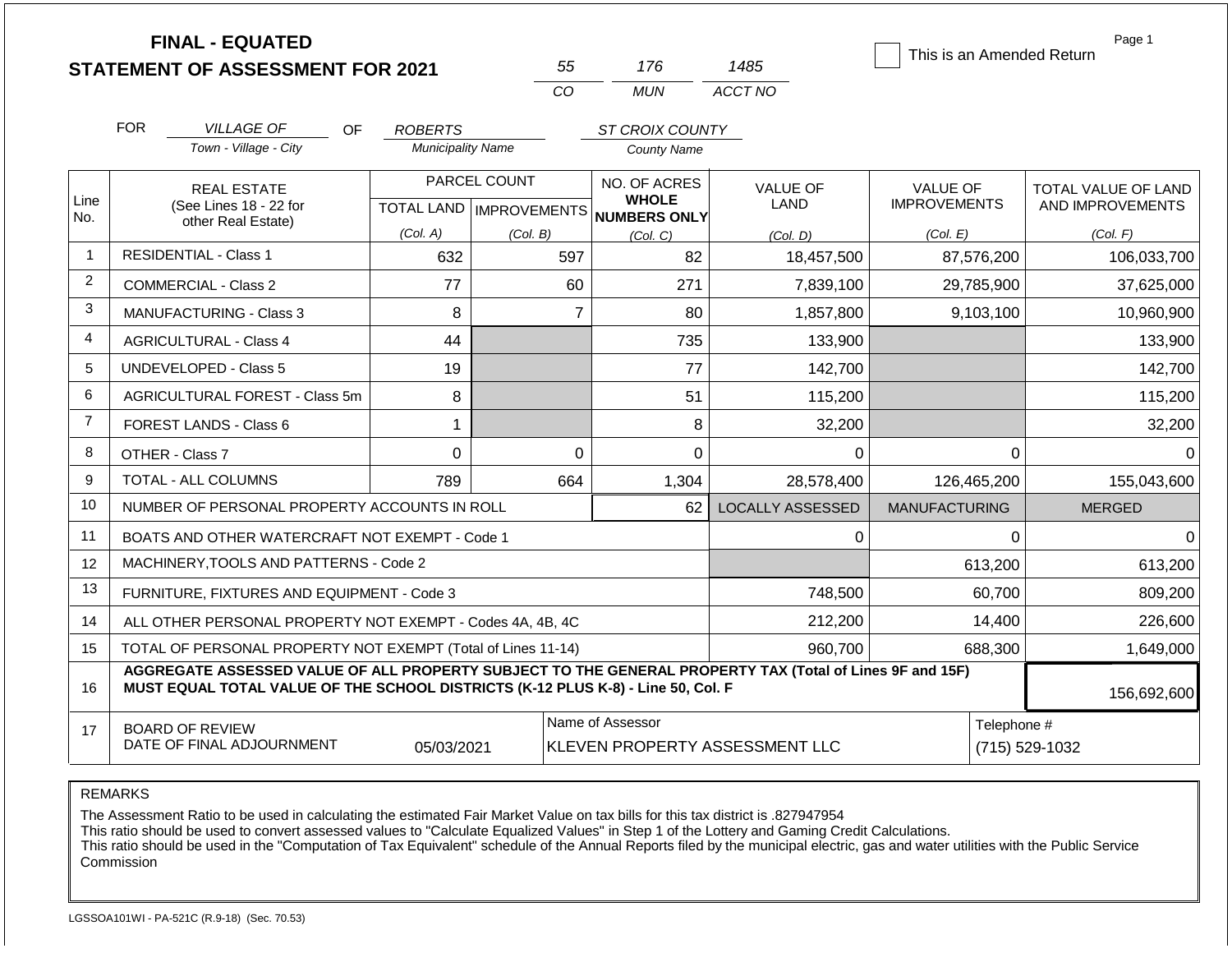|                | <b>FINAL - EQUATED</b><br><b>STATEMENT OF ASSESSMENT FOR 2021</b>                                                                                                                            |                          | 55                        | 176                            | 1485                    | This is an Amended Return | Page 1              |
|----------------|----------------------------------------------------------------------------------------------------------------------------------------------------------------------------------------------|--------------------------|---------------------------|--------------------------------|-------------------------|---------------------------|---------------------|
|                |                                                                                                                                                                                              |                          | CO                        | <b>MUN</b>                     | ACCT NO                 |                           |                     |
|                |                                                                                                                                                                                              |                          |                           |                                |                         |                           |                     |
|                | <b>FOR</b><br><b>VILLAGE OF</b><br><b>OF</b>                                                                                                                                                 | <b>ROBERTS</b>           |                           | ST CROIX COUNTY                |                         |                           |                     |
|                | Town - Village - City                                                                                                                                                                        | <b>Municipality Name</b> |                           | <b>County Name</b>             |                         |                           |                     |
|                | <b>REAL ESTATE</b>                                                                                                                                                                           |                          | PARCEL COUNT              | NO. OF ACRES<br><b>WHOLE</b>   | <b>VALUE OF</b>         | <b>VALUE OF</b>           | TOTAL VALUE OF LAND |
| Line<br>No.    | (See Lines 18 - 22 for<br>other Real Estate)                                                                                                                                                 |                          | TOTAL LAND   IMPROVEMENTS | NUMBERS ONLY                   | LAND                    | <b>IMPROVEMENTS</b>       | AND IMPROVEMENTS    |
|                |                                                                                                                                                                                              | (Col. A)                 | (Col. B)                  | (Col, C)                       | (Col. D)                | (Col. E)                  | (Col. F)            |
| $\overline{1}$ | <b>RESIDENTIAL - Class 1</b>                                                                                                                                                                 | 632                      | 597                       | 82                             | 18,457,500              | 87,576,200                | 106,033,700         |
| 2              | COMMERCIAL - Class 2                                                                                                                                                                         | 77                       | 60                        | 271                            | 7,839,100               | 29,785,900                | 37,625,000          |
| 3              | <b>MANUFACTURING - Class 3</b>                                                                                                                                                               | 8                        |                           | $\overline{7}$<br>80           | 1,857,800               | 9,103,100                 | 10,960,900          |
| 4              | <b>AGRICULTURAL - Class 4</b>                                                                                                                                                                | 44                       |                           | 735                            | 133,900                 |                           | 133,900             |
| 5              | <b>UNDEVELOPED - Class 5</b>                                                                                                                                                                 | 19                       |                           | 77                             | 142,700                 |                           | 142,700             |
| 6              | AGRICULTURAL FOREST - Class 5m                                                                                                                                                               | 8                        |                           | 51                             | 115,200                 |                           | 115,200             |
| $\overline{7}$ | FOREST LANDS - Class 6                                                                                                                                                                       | 1                        |                           | 8                              | 32,200                  |                           | 32,200              |
| 8              | OTHER - Class 7                                                                                                                                                                              | $\overline{0}$           |                           | $\Omega$<br>$\Omega$           | $\Omega$                | 0                         | $\Omega$            |
| 9              | <b>TOTAL - ALL COLUMNS</b>                                                                                                                                                                   | 789                      | 664                       | 1,304                          | 28,578,400              | 126,465,200               | 155,043,600         |
| 10             | NUMBER OF PERSONAL PROPERTY ACCOUNTS IN ROLL                                                                                                                                                 |                          |                           | 62                             | <b>LOCALLY ASSESSED</b> | <b>MANUFACTURING</b>      | <b>MERGED</b>       |
| 11             | BOATS AND OTHER WATERCRAFT NOT EXEMPT - Code 1                                                                                                                                               |                          |                           |                                | $\mathbf 0$             | 0                         | $\mathbf 0$         |
| 12             | MACHINERY, TOOLS AND PATTERNS - Code 2                                                                                                                                                       |                          |                           |                                |                         | 613,200                   | 613,200             |
| 13             | FURNITURE, FIXTURES AND EQUIPMENT - Code 3                                                                                                                                                   |                          |                           |                                | 748,500                 | 60,700                    | 809,200             |
| 14             | ALL OTHER PERSONAL PROPERTY NOT EXEMPT - Codes 4A, 4B, 4C                                                                                                                                    |                          |                           |                                | 212,200                 | 14,400                    | 226,600             |
| 15             | TOTAL OF PERSONAL PROPERTY NOT EXEMPT (Total of Lines 11-14)                                                                                                                                 |                          |                           |                                | 960,700                 | 688,300                   | 1,649,000           |
| 16             | AGGREGATE ASSESSED VALUE OF ALL PROPERTY SUBJECT TO THE GENERAL PROPERTY TAX (Total of Lines 9F and 15F)<br>MUST EQUAL TOTAL VALUE OF THE SCHOOL DISTRICTS (K-12 PLUS K-8) - Line 50, Col. F |                          |                           |                                |                         |                           |                     |
| 17             | <b>BOARD OF REVIEW</b><br>DATE OF FINAL ADJOURNMENT                                                                                                                                          | 05/03/2021               | Name of Assessor          | KLEVEN PROPERTY ASSESSMENT LLC | Telephone #             | (715) 529-1032            |                     |

The Assessment Ratio to be used in calculating the estimated Fair Market Value on tax bills for this tax district is .827947954

This ratio should be used to convert assessed values to "Calculate Equalized Values" in Step 1 of the Lottery and Gaming Credit Calculations.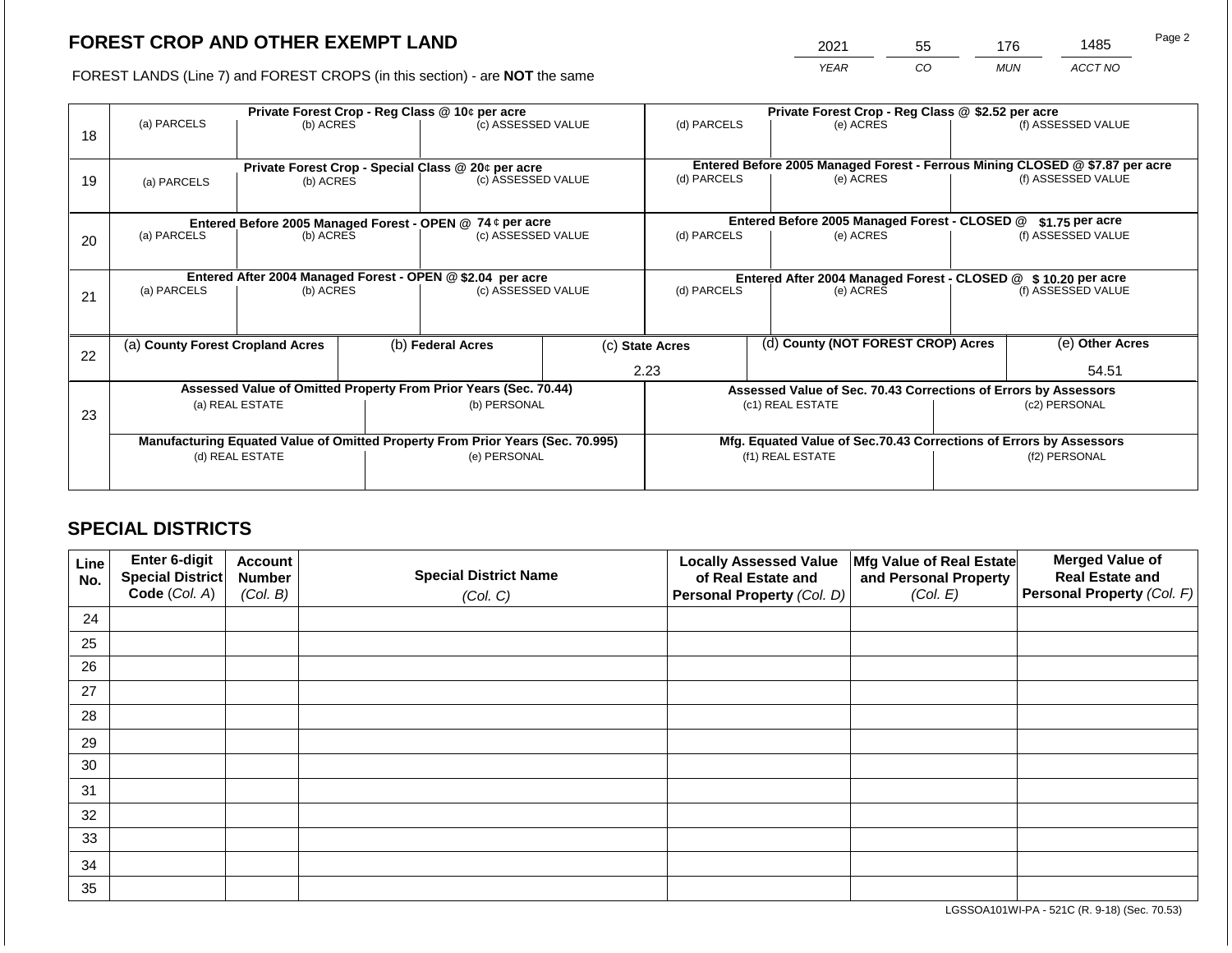2021 55 176 1485

FOREST LANDS (Line 7) and FOREST CROPS (in this section) - are **NOT** the same *YEAR CO MUN ACCT NO*

|    |                                                                                | Private Forest Crop - Reg Class @ 10¢ per acre |  | Private Forest Crop - Reg Class @ \$2.52 per acre                |                 |                                                               |                                    |                                                                              |                 |                    |  |
|----|--------------------------------------------------------------------------------|------------------------------------------------|--|------------------------------------------------------------------|-----------------|---------------------------------------------------------------|------------------------------------|------------------------------------------------------------------------------|-----------------|--------------------|--|
| 18 | (a) PARCELS                                                                    | (b) ACRES                                      |  | (c) ASSESSED VALUE                                               |                 | (d) PARCELS                                                   |                                    | (e) ACRES                                                                    |                 | (f) ASSESSED VALUE |  |
|    |                                                                                |                                                |  |                                                                  |                 |                                                               |                                    |                                                                              |                 |                    |  |
|    |                                                                                |                                                |  | Private Forest Crop - Special Class @ 20¢ per acre               |                 |                                                               |                                    | Entered Before 2005 Managed Forest - Ferrous Mining CLOSED @ \$7.87 per acre |                 |                    |  |
| 19 | (a) PARCELS                                                                    | (b) ACRES                                      |  | (c) ASSESSED VALUE                                               |                 | (d) PARCELS<br>(e) ACRES                                      |                                    | (f) ASSESSED VALUE                                                           |                 |                    |  |
|    |                                                                                |                                                |  |                                                                  |                 |                                                               |                                    |                                                                              |                 |                    |  |
|    |                                                                                |                                                |  | Entered Before 2005 Managed Forest - OPEN @ 74 ¢ per acre        |                 |                                                               |                                    | Entered Before 2005 Managed Forest - CLOSED @                                |                 | $$1.75$ per acre   |  |
| 20 | (a) PARCELS                                                                    | (b) ACRES                                      |  | (c) ASSESSED VALUE                                               |                 | (d) PARCELS                                                   |                                    | (e) ACRES                                                                    |                 | (f) ASSESSED VALUE |  |
|    |                                                                                |                                                |  |                                                                  |                 |                                                               |                                    |                                                                              |                 |                    |  |
|    |                                                                                |                                                |  | Entered After 2004 Managed Forest - OPEN @ \$2.04 per acre       |                 | Entered After 2004 Managed Forest - CLOSED @ \$10.20 per acre |                                    |                                                                              |                 |                    |  |
| 21 | (a) PARCELS                                                                    | (b) ACRES                                      |  | (c) ASSESSED VALUE                                               |                 | (d) PARCELS<br>(e) ACRES                                      |                                    | (f) ASSESSED VALUE                                                           |                 |                    |  |
|    |                                                                                |                                                |  |                                                                  |                 |                                                               |                                    |                                                                              |                 |                    |  |
|    | (a) County Forest Cropland Acres                                               |                                                |  | (b) Federal Acres                                                | (c) State Acres |                                                               | (d) County (NOT FOREST CROP) Acres |                                                                              | (e) Other Acres |                    |  |
| 22 |                                                                                |                                                |  |                                                                  |                 |                                                               |                                    |                                                                              |                 |                    |  |
|    |                                                                                |                                                |  |                                                                  |                 | 2.23                                                          |                                    |                                                                              |                 | 54.51              |  |
|    |                                                                                |                                                |  | Assessed Value of Omitted Property From Prior Years (Sec. 70.44) |                 |                                                               |                                    | Assessed Value of Sec. 70.43 Corrections of Errors by Assessors              |                 |                    |  |
| 23 |                                                                                | (a) REAL ESTATE                                |  | (b) PERSONAL                                                     |                 |                                                               |                                    | (c1) REAL ESTATE                                                             | (c2) PERSONAL   |                    |  |
|    |                                                                                |                                                |  |                                                                  |                 |                                                               |                                    |                                                                              |                 |                    |  |
|    | Manufacturing Equated Value of Omitted Property From Prior Years (Sec. 70.995) |                                                |  |                                                                  |                 |                                                               |                                    | Mfg. Equated Value of Sec.70.43 Corrections of Errors by Assessors           |                 |                    |  |
|    | (d) REAL ESTATE                                                                |                                                |  | (e) PERSONAL                                                     |                 |                                                               |                                    | (f1) REAL ESTATE                                                             |                 | (f2) PERSONAL      |  |
|    |                                                                                |                                                |  |                                                                  |                 |                                                               |                                    |                                                                              |                 |                    |  |

## **SPECIAL DISTRICTS**

| Line<br>No. | <b>Enter 6-digit</b><br>Special District | <b>Account</b><br><b>Number</b> | <b>Special District Name</b> | <b>Locally Assessed Value</b><br>of Real Estate and | Mfg Value of Real Estate<br>and Personal Property | <b>Merged Value of</b><br><b>Real Estate and</b> |
|-------------|------------------------------------------|---------------------------------|------------------------------|-----------------------------------------------------|---------------------------------------------------|--------------------------------------------------|
|             | Code (Col. A)                            | (Col. B)                        | (Col. C)                     | Personal Property (Col. D)                          | (Col. E)                                          | Personal Property (Col. F)                       |
| 24          |                                          |                                 |                              |                                                     |                                                   |                                                  |
| 25          |                                          |                                 |                              |                                                     |                                                   |                                                  |
| 26          |                                          |                                 |                              |                                                     |                                                   |                                                  |
| 27          |                                          |                                 |                              |                                                     |                                                   |                                                  |
| 28          |                                          |                                 |                              |                                                     |                                                   |                                                  |
| 29          |                                          |                                 |                              |                                                     |                                                   |                                                  |
| 30          |                                          |                                 |                              |                                                     |                                                   |                                                  |
| 31          |                                          |                                 |                              |                                                     |                                                   |                                                  |
| 32          |                                          |                                 |                              |                                                     |                                                   |                                                  |
| 33          |                                          |                                 |                              |                                                     |                                                   |                                                  |
| 34          |                                          |                                 |                              |                                                     |                                                   |                                                  |
| 35          |                                          |                                 |                              |                                                     |                                                   |                                                  |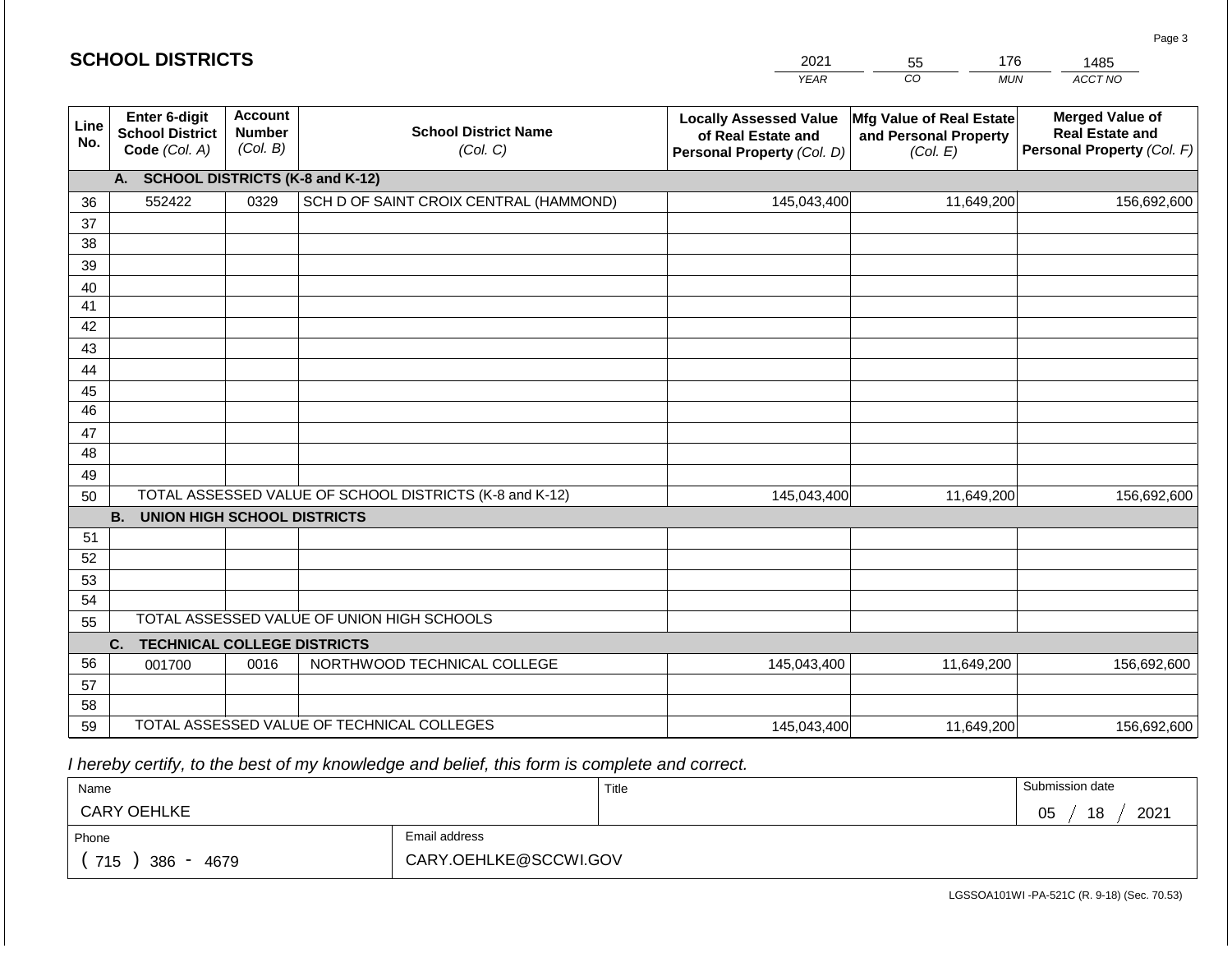| <b>SCHOOL DISTRICTS</b> |  |
|-------------------------|--|
|-------------------------|--|

| 2021 | 55 | 76  | 1485    |
|------|----|-----|---------|
| YFAR | 20 | MUN | ACCT NO |

| Line<br>No. | Enter 6-digit<br><b>School District</b><br>Code (Col. A) | <b>Account</b><br><b>Number</b><br>(Col. B) | <b>School District Name</b><br>(Col. C)                 | <b>Locally Assessed Value</b><br>of Real Estate and<br>Personal Property (Col. D) | <b>Mfg Value of Real Estate</b><br>and Personal Property<br>(Col. E) | <b>Merged Value of</b><br><b>Real Estate and</b><br>Personal Property (Col. F) |  |  |  |  |  |  |
|-------------|----------------------------------------------------------|---------------------------------------------|---------------------------------------------------------|-----------------------------------------------------------------------------------|----------------------------------------------------------------------|--------------------------------------------------------------------------------|--|--|--|--|--|--|
|             | A. SCHOOL DISTRICTS (K-8 and K-12)                       |                                             |                                                         |                                                                                   |                                                                      |                                                                                |  |  |  |  |  |  |
| 36          | 552422                                                   | 0329                                        | SCH D OF SAINT CROIX CENTRAL (HAMMOND)                  | 145,043,400                                                                       | 11,649,200                                                           | 156,692,600                                                                    |  |  |  |  |  |  |
| 37          |                                                          |                                             |                                                         |                                                                                   |                                                                      |                                                                                |  |  |  |  |  |  |
| 38          |                                                          |                                             |                                                         |                                                                                   |                                                                      |                                                                                |  |  |  |  |  |  |
| 39          |                                                          |                                             |                                                         |                                                                                   |                                                                      |                                                                                |  |  |  |  |  |  |
| 40          |                                                          |                                             |                                                         |                                                                                   |                                                                      |                                                                                |  |  |  |  |  |  |
| 41          |                                                          |                                             |                                                         |                                                                                   |                                                                      |                                                                                |  |  |  |  |  |  |
| 42          |                                                          |                                             |                                                         |                                                                                   |                                                                      |                                                                                |  |  |  |  |  |  |
| 43          |                                                          |                                             |                                                         |                                                                                   |                                                                      |                                                                                |  |  |  |  |  |  |
| 44          |                                                          |                                             |                                                         |                                                                                   |                                                                      |                                                                                |  |  |  |  |  |  |
| 45          |                                                          |                                             |                                                         |                                                                                   |                                                                      |                                                                                |  |  |  |  |  |  |
| 46          |                                                          |                                             |                                                         |                                                                                   |                                                                      |                                                                                |  |  |  |  |  |  |
| 47          |                                                          |                                             |                                                         |                                                                                   |                                                                      |                                                                                |  |  |  |  |  |  |
| 48          |                                                          |                                             |                                                         |                                                                                   |                                                                      |                                                                                |  |  |  |  |  |  |
| 49          |                                                          |                                             |                                                         |                                                                                   |                                                                      |                                                                                |  |  |  |  |  |  |
| 50          |                                                          |                                             | TOTAL ASSESSED VALUE OF SCHOOL DISTRICTS (K-8 and K-12) | 145,043,400                                                                       | 11,649,200                                                           | 156,692,600                                                                    |  |  |  |  |  |  |
|             | <b>B.</b><br><b>UNION HIGH SCHOOL DISTRICTS</b>          |                                             |                                                         |                                                                                   |                                                                      |                                                                                |  |  |  |  |  |  |
| 51          |                                                          |                                             |                                                         |                                                                                   |                                                                      |                                                                                |  |  |  |  |  |  |
| 52          |                                                          |                                             |                                                         |                                                                                   |                                                                      |                                                                                |  |  |  |  |  |  |
| 53          |                                                          |                                             |                                                         |                                                                                   |                                                                      |                                                                                |  |  |  |  |  |  |
| 54          |                                                          |                                             |                                                         |                                                                                   |                                                                      |                                                                                |  |  |  |  |  |  |
| 55          |                                                          |                                             | TOTAL ASSESSED VALUE OF UNION HIGH SCHOOLS              |                                                                                   |                                                                      |                                                                                |  |  |  |  |  |  |
|             | C.<br><b>TECHNICAL COLLEGE DISTRICTS</b>                 |                                             |                                                         |                                                                                   |                                                                      |                                                                                |  |  |  |  |  |  |
| 56          | 001700                                                   | 0016                                        | NORTHWOOD TECHNICAL COLLEGE                             | 145,043,400                                                                       | 11,649,200                                                           | 156,692,600                                                                    |  |  |  |  |  |  |
| 57          |                                                          |                                             |                                                         |                                                                                   |                                                                      |                                                                                |  |  |  |  |  |  |
| 58          |                                                          |                                             |                                                         |                                                                                   |                                                                      |                                                                                |  |  |  |  |  |  |
| 59          |                                                          |                                             | TOTAL ASSESSED VALUE OF TECHNICAL COLLEGES              | 145,043,400                                                                       | 11,649,200                                                           | 156,692,600                                                                    |  |  |  |  |  |  |

 *I hereby certify, to the best of my knowledge and belief, this form is complete and correct.*

| Name                         |                       | Title | Submission date  |
|------------------------------|-----------------------|-------|------------------|
| <b>CARY OEHLKE</b>           |                       |       | 2021<br>05<br>18 |
| Phone                        | Email address         |       |                  |
| 715<br>386<br>4679<br>$\sim$ | CARY.OEHLKE@SCCWI.GOV |       |                  |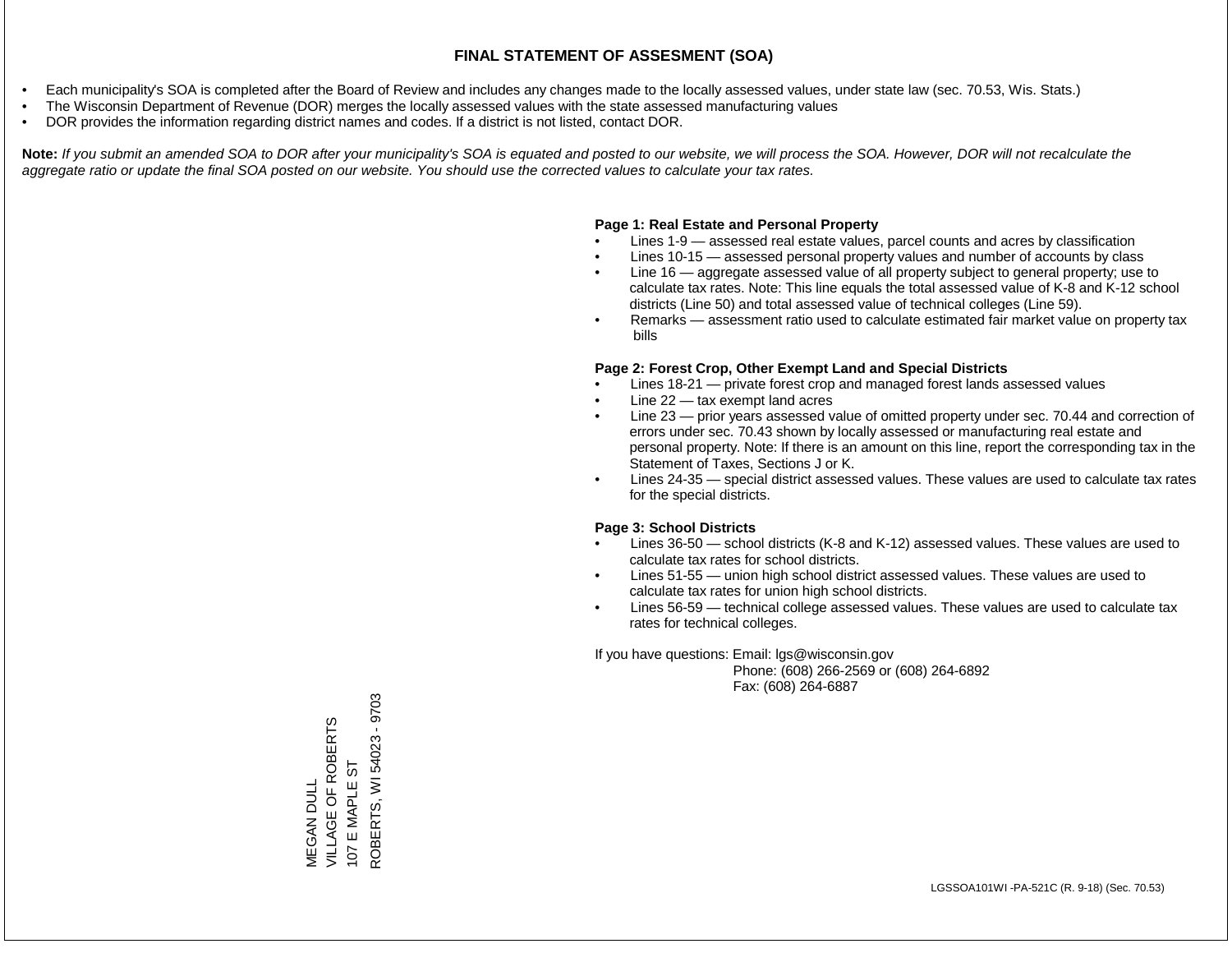- Each municipality's SOA is completed after the Board of Review and includes any changes made to the locally assessed values, under state law (sec. 70.53, Wis. Stats.)
- The Wisconsin Department of Revenue (DOR) merges the locally assessed values with the state assessed manufacturing values
- DOR provides the information regarding district names and codes. If a district is not listed, contact DOR.

Note: If you submit an amended SOA to DOR after your municipality's SOA is equated and posted to our website, we will process the SOA. However, DOR will not recalculate the *aggregate ratio or update the final SOA posted on our website. You should use the corrected values to calculate your tax rates.*

### **Page 1: Real Estate and Personal Property**

- Lines 1-9 assessed real estate values, parcel counts and acres by classification
- Lines 10-15 assessed personal property values and number of accounts by class
- Line 16 aggregate assessed value of all property subject to general property; use to calculate tax rates. Note: This line equals the total assessed value of K-8 and K-12 school districts (Line 50) and total assessed value of technical colleges (Line 59).
- Remarks assessment ratio used to calculate estimated fair market value on property tax bills

#### **Page 2: Forest Crop, Other Exempt Land and Special Districts**

- Lines 18-21 private forest crop and managed forest lands assessed values
- Line  $22 -$  tax exempt land acres
- Line 23 prior years assessed value of omitted property under sec. 70.44 and correction of errors under sec. 70.43 shown by locally assessed or manufacturing real estate and personal property. Note: If there is an amount on this line, report the corresponding tax in the Statement of Taxes, Sections J or K.
- Lines 24-35 special district assessed values. These values are used to calculate tax rates for the special districts.

#### **Page 3: School Districts**

- Lines 36-50 school districts (K-8 and K-12) assessed values. These values are used to calculate tax rates for school districts.
- Lines 51-55 union high school district assessed values. These values are used to calculate tax rates for union high school districts.
- Lines 56-59 technical college assessed values. These values are used to calculate tax rates for technical colleges.

If you have questions: Email: lgs@wisconsin.gov

 Phone: (608) 266-2569 or (608) 264-6892 Fax: (608) 264-6887

ROBERTS, WI 54023 - 9703 ROBERTS, WI 54023 - 9703VILLAGE OF ROBERTS **MEGAN DULL<br>VILLAGE OF ROBERTS** E MAPLE ST 107 E MAPLE ST  $1071$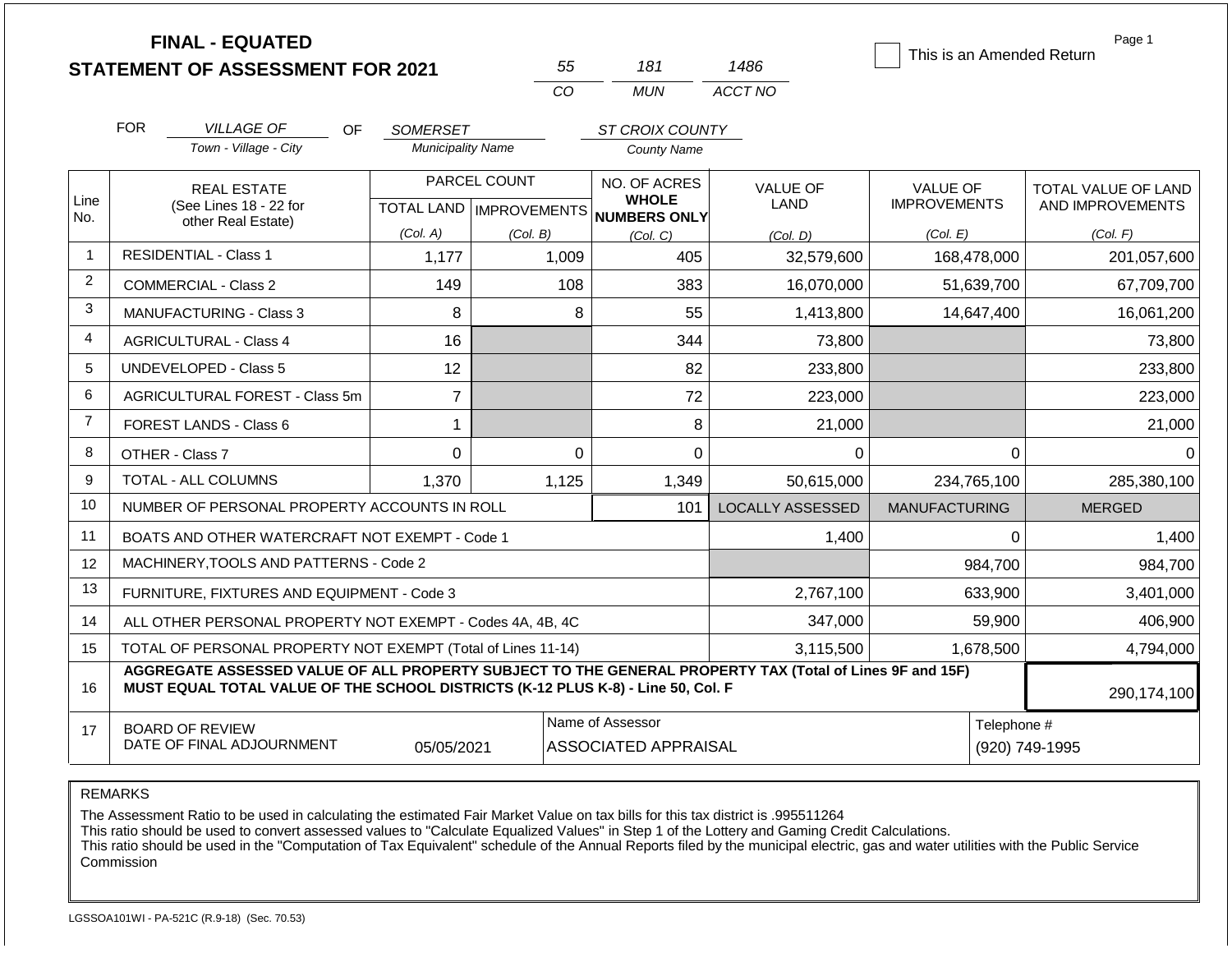|                | <b>FINAL - EQUATED</b>                                                                                                                                                                       |                          | 55                        | 181                                             | 1486                    | This is an Amended Return | Page 1                     |
|----------------|----------------------------------------------------------------------------------------------------------------------------------------------------------------------------------------------|--------------------------|---------------------------|-------------------------------------------------|-------------------------|---------------------------|----------------------------|
|                | <b>STATEMENT OF ASSESSMENT FOR 2021</b>                                                                                                                                                      |                          | CO                        | <b>MUN</b>                                      | ACCT NO                 |                           |                            |
|                |                                                                                                                                                                                              |                          |                           |                                                 |                         |                           |                            |
|                | <b>FOR</b><br><b>VILLAGE OF</b><br>OF.                                                                                                                                                       | <b>SOMERSET</b>          |                           | ST CROIX COUNTY                                 |                         |                           |                            |
|                | Town - Village - City                                                                                                                                                                        | <b>Municipality Name</b> |                           | <b>County Name</b>                              |                         |                           |                            |
|                | <b>REAL ESTATE</b>                                                                                                                                                                           |                          | PARCEL COUNT              | NO. OF ACRES<br><b>WHOLE</b>                    | <b>VALUE OF</b>         | <b>VALUE OF</b>           | <b>TOTAL VALUE OF LAND</b> |
| Line<br>No.    | (See Lines 18 - 22 for<br>other Real Estate)                                                                                                                                                 |                          | TOTAL LAND   IMPROVEMENTS | NUMBERS ONLY                                    | LAND                    | <b>IMPROVEMENTS</b>       | AND IMPROVEMENTS           |
|                |                                                                                                                                                                                              | (Col. A)                 | (Col. B)                  | (Col. C)                                        | (Col. D)                | (Col. E)                  | (Col. F)                   |
| $\overline{1}$ | <b>RESIDENTIAL - Class 1</b>                                                                                                                                                                 | 1,177                    | 1,009                     | 405                                             | 32,579,600              | 168,478,000               | 201,057,600                |
| $\overline{2}$ | COMMERCIAL - Class 2                                                                                                                                                                         | 149                      | 108                       | 383                                             | 16,070,000              | 51,639,700                | 67,709,700                 |
| 3              | MANUFACTURING - Class 3                                                                                                                                                                      | 8                        |                           | 8<br>55                                         | 1,413,800               | 14,647,400                | 16,061,200                 |
| 4              | <b>AGRICULTURAL - Class 4</b>                                                                                                                                                                | 16                       |                           | 344                                             | 73,800                  |                           | 73,800                     |
| 5              | <b>UNDEVELOPED - Class 5</b>                                                                                                                                                                 | 12                       |                           | 82                                              | 233,800                 |                           | 233,800                    |
| 6              | AGRICULTURAL FOREST - Class 5m                                                                                                                                                               | $\overline{7}$           |                           | 72                                              | 223,000                 |                           | 223,000                    |
| $\overline{7}$ | FOREST LANDS - Class 6                                                                                                                                                                       | $\mathbf 1$              |                           | 8                                               | 21,000                  |                           | 21,000                     |
| 8              | OTHER - Class 7                                                                                                                                                                              | $\mathbf{0}$             |                           | $\Omega$<br>$\mathbf 0$                         | $\Omega$                | 0                         | $\Omega$                   |
| 9              | <b>TOTAL - ALL COLUMNS</b>                                                                                                                                                                   | 1,370                    | 1,125                     | 1,349                                           | 50,615,000              | 234,765,100               | 285,380,100                |
| 10             | NUMBER OF PERSONAL PROPERTY ACCOUNTS IN ROLL                                                                                                                                                 |                          |                           | 101                                             | <b>LOCALLY ASSESSED</b> | <b>MANUFACTURING</b>      | <b>MERGED</b>              |
| 11             | BOATS AND OTHER WATERCRAFT NOT EXEMPT - Code 1                                                                                                                                               |                          |                           |                                                 | 1,400                   | 0                         | 1,400                      |
| 12             | MACHINERY, TOOLS AND PATTERNS - Code 2                                                                                                                                                       |                          |                           |                                                 |                         | 984,700                   | 984,700                    |
| 13             | FURNITURE, FIXTURES AND EQUIPMENT - Code 3                                                                                                                                                   |                          |                           |                                                 | 2,767,100               | 633,900                   | 3,401,000                  |
| 14             | ALL OTHER PERSONAL PROPERTY NOT EXEMPT - Codes 4A, 4B, 4C                                                                                                                                    |                          |                           |                                                 | 347,000                 | 59,900                    | 406,900                    |
| 15             | TOTAL OF PERSONAL PROPERTY NOT EXEMPT (Total of Lines 11-14)                                                                                                                                 |                          |                           |                                                 | 3,115,500               | 1,678,500                 | 4,794,000                  |
| 16             | AGGREGATE ASSESSED VALUE OF ALL PROPERTY SUBJECT TO THE GENERAL PROPERTY TAX (Total of Lines 9F and 15F)<br>MUST EQUAL TOTAL VALUE OF THE SCHOOL DISTRICTS (K-12 PLUS K-8) - Line 50, Col. F |                          |                           |                                                 |                         |                           | 290,174,100                |
| 17             | <b>BOARD OF REVIEW</b><br>DATE OF FINAL ADJOURNMENT                                                                                                                                          | 05/05/2021               |                           | Name of Assessor<br><b>ASSOCIATED APPRAISAL</b> |                         | Telephone #               | (920) 749-1995             |

The Assessment Ratio to be used in calculating the estimated Fair Market Value on tax bills for this tax district is .995511264

This ratio should be used to convert assessed values to "Calculate Equalized Values" in Step 1 of the Lottery and Gaming Credit Calculations.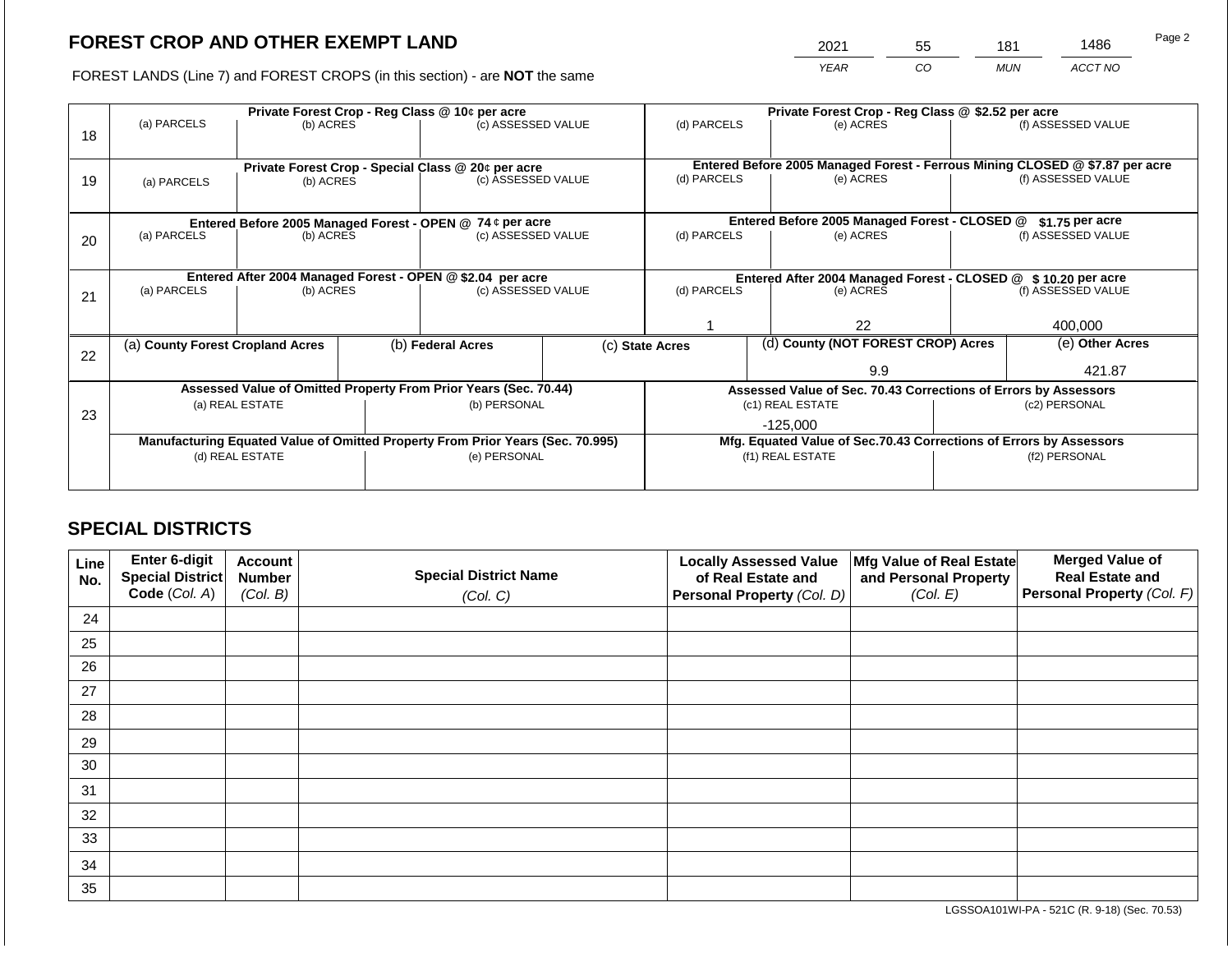2021 55 181 1486

FOREST LANDS (Line 7) and FOREST CROPS (in this section) - are **NOT** the same *YEAR CO MUN ACCT NO*

|    | Private Forest Crop - Reg Class @ 10¢ per acre                                                    |                 |  |                                                                  |  | Private Forest Crop - Reg Class @ \$2.52 per acre             |  |                                                                              |                    |                    |
|----|---------------------------------------------------------------------------------------------------|-----------------|--|------------------------------------------------------------------|--|---------------------------------------------------------------|--|------------------------------------------------------------------------------|--------------------|--------------------|
|    | (a) PARCELS                                                                                       | (b) ACRES       |  | (c) ASSESSED VALUE                                               |  | (d) PARCELS                                                   |  | (e) ACRES                                                                    |                    | (f) ASSESSED VALUE |
| 18 |                                                                                                   |                 |  |                                                                  |  |                                                               |  |                                                                              |                    |                    |
|    |                                                                                                   |                 |  |                                                                  |  |                                                               |  |                                                                              |                    |                    |
|    | Private Forest Crop - Special Class @ 20¢ per acre                                                |                 |  |                                                                  |  |                                                               |  | Entered Before 2005 Managed Forest - Ferrous Mining CLOSED @ \$7.87 per acre |                    |                    |
| 19 | (a) PARCELS<br>(b) ACRES                                                                          |                 |  | (c) ASSESSED VALUE                                               |  | (d) PARCELS                                                   |  | (e) ACRES                                                                    |                    | (f) ASSESSED VALUE |
|    |                                                                                                   |                 |  |                                                                  |  |                                                               |  |                                                                              |                    |                    |
|    |                                                                                                   |                 |  | Entered Before 2005 Managed Forest - OPEN @ 74 ¢ per acre        |  |                                                               |  | Entered Before 2005 Managed Forest - CLOSED @                                |                    | \$1.75 per acre    |
| 20 | (a) PARCELS                                                                                       | (b) ACRES       |  | (c) ASSESSED VALUE                                               |  | (d) PARCELS                                                   |  | (e) ACRES                                                                    |                    | (f) ASSESSED VALUE |
|    |                                                                                                   |                 |  |                                                                  |  |                                                               |  |                                                                              |                    |                    |
|    |                                                                                                   |                 |  |                                                                  |  |                                                               |  |                                                                              |                    |                    |
|    |                                                                                                   |                 |  | Entered After 2004 Managed Forest - OPEN @ \$2.04 per acre       |  | Entered After 2004 Managed Forest - CLOSED @ \$10.20 per acre |  |                                                                              |                    |                    |
| 21 | (a) PARCELS                                                                                       | (b) ACRES       |  | (c) ASSESSED VALUE                                               |  | (d) PARCELS                                                   |  | (e) ACRES                                                                    | (f) ASSESSED VALUE |                    |
|    |                                                                                                   |                 |  |                                                                  |  |                                                               |  |                                                                              |                    |                    |
|    |                                                                                                   |                 |  |                                                                  |  | 22                                                            |  |                                                                              | 400,000            |                    |
|    | (a) County Forest Cropland Acres                                                                  |                 |  | (b) Federal Acres                                                |  | (c) State Acres                                               |  | (d) County (NOT FOREST CROP) Acres                                           |                    | (e) Other Acres    |
| 22 |                                                                                                   |                 |  |                                                                  |  |                                                               |  |                                                                              |                    |                    |
|    |                                                                                                   |                 |  |                                                                  |  |                                                               |  | 9.9                                                                          |                    | 421.87             |
|    |                                                                                                   |                 |  | Assessed Value of Omitted Property From Prior Years (Sec. 70.44) |  |                                                               |  | Assessed Value of Sec. 70.43 Corrections of Errors by Assessors              |                    |                    |
|    |                                                                                                   | (a) REAL ESTATE |  | (b) PERSONAL                                                     |  |                                                               |  | (c1) REAL ESTATE                                                             |                    | (c2) PERSONAL      |
| 23 |                                                                                                   |                 |  |                                                                  |  |                                                               |  | $-125,000$                                                                   |                    |                    |
|    |                                                                                                   |                 |  |                                                                  |  |                                                               |  | Mfg. Equated Value of Sec.70.43 Corrections of Errors by Assessors           |                    |                    |
|    | Manufacturing Equated Value of Omitted Property From Prior Years (Sec. 70.995)<br>(d) REAL ESTATE |                 |  | (e) PERSONAL                                                     |  |                                                               |  | (f1) REAL ESTATE                                                             |                    | (f2) PERSONAL      |
|    |                                                                                                   |                 |  |                                                                  |  |                                                               |  |                                                                              |                    |                    |
|    |                                                                                                   |                 |  |                                                                  |  |                                                               |  |                                                                              |                    |                    |

## **SPECIAL DISTRICTS**

| Line<br>No. | Enter 6-digit<br>Special District | <b>Account</b><br><b>Number</b> | <b>Special District Name</b> | <b>Locally Assessed Value</b><br>of Real Estate and | Mfg Value of Real Estate<br>and Personal Property | <b>Merged Value of</b><br><b>Real Estate and</b> |
|-------------|-----------------------------------|---------------------------------|------------------------------|-----------------------------------------------------|---------------------------------------------------|--------------------------------------------------|
|             | Code (Col. A)                     | (Col. B)                        | (Col. C)                     | Personal Property (Col. D)                          | (Col. E)                                          | Personal Property (Col. F)                       |
| 24          |                                   |                                 |                              |                                                     |                                                   |                                                  |
| 25          |                                   |                                 |                              |                                                     |                                                   |                                                  |
| 26          |                                   |                                 |                              |                                                     |                                                   |                                                  |
| 27          |                                   |                                 |                              |                                                     |                                                   |                                                  |
| 28          |                                   |                                 |                              |                                                     |                                                   |                                                  |
| 29          |                                   |                                 |                              |                                                     |                                                   |                                                  |
| 30          |                                   |                                 |                              |                                                     |                                                   |                                                  |
| 31          |                                   |                                 |                              |                                                     |                                                   |                                                  |
| 32          |                                   |                                 |                              |                                                     |                                                   |                                                  |
| 33          |                                   |                                 |                              |                                                     |                                                   |                                                  |
| 34          |                                   |                                 |                              |                                                     |                                                   |                                                  |
| 35          |                                   |                                 |                              |                                                     |                                                   |                                                  |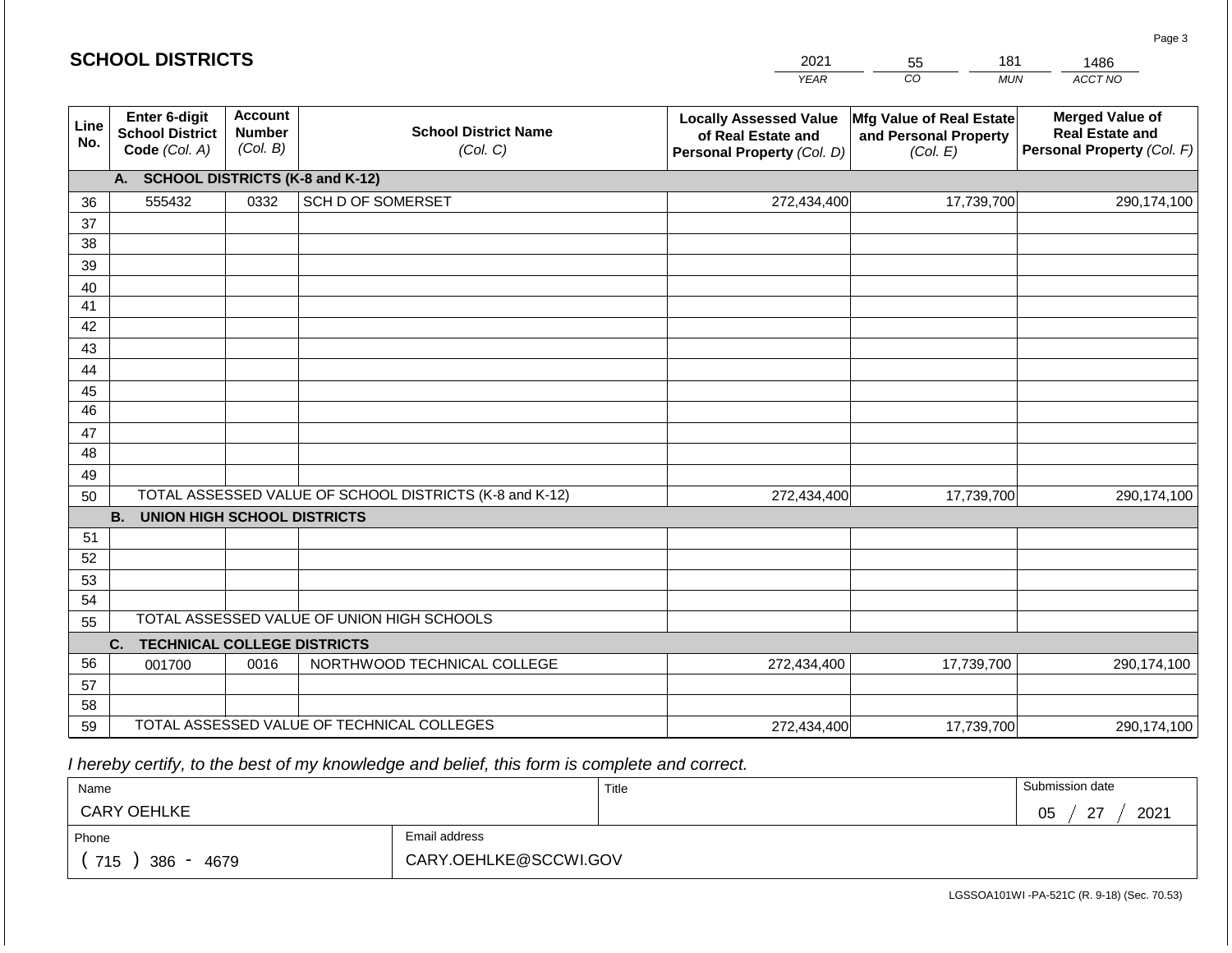|             | <b>SCHOOL DISTRICTS</b><br>2021<br>181<br>55             |                                             |                                                         | 1486                                                                              |                                                               |                                                                                |
|-------------|----------------------------------------------------------|---------------------------------------------|---------------------------------------------------------|-----------------------------------------------------------------------------------|---------------------------------------------------------------|--------------------------------------------------------------------------------|
|             |                                                          |                                             |                                                         | <b>YEAR</b>                                                                       | CO <sub>.</sub><br><b>MUN</b>                                 | ACCT NO                                                                        |
| Line<br>No. | Enter 6-digit<br><b>School District</b><br>Code (Col. A) | <b>Account</b><br><b>Number</b><br>(Col. B) | <b>School District Name</b><br>(Col. C)                 | <b>Locally Assessed Value</b><br>of Real Estate and<br>Personal Property (Col. D) | Mfg Value of Real Estate<br>and Personal Property<br>(Col. E) | <b>Merged Value of</b><br><b>Real Estate and</b><br>Personal Property (Col. F) |
|             | A. SCHOOL DISTRICTS (K-8 and K-12)                       |                                             |                                                         |                                                                                   |                                                               |                                                                                |
| 36          | 555432                                                   | 0332                                        | SCH D OF SOMERSET                                       | 272,434,400                                                                       | 17,739,700                                                    | 290,174,100                                                                    |
| 37          |                                                          |                                             |                                                         |                                                                                   |                                                               |                                                                                |
| 38          |                                                          |                                             |                                                         |                                                                                   |                                                               |                                                                                |
| 39          |                                                          |                                             |                                                         |                                                                                   |                                                               |                                                                                |
| 40          |                                                          |                                             |                                                         |                                                                                   |                                                               |                                                                                |
| 41          |                                                          |                                             |                                                         |                                                                                   |                                                               |                                                                                |
| 42<br>43    |                                                          |                                             |                                                         |                                                                                   |                                                               |                                                                                |
| 44          |                                                          |                                             |                                                         |                                                                                   |                                                               |                                                                                |
| 45          |                                                          |                                             |                                                         |                                                                                   |                                                               |                                                                                |
| 46          |                                                          |                                             |                                                         |                                                                                   |                                                               |                                                                                |
| 47          |                                                          |                                             |                                                         |                                                                                   |                                                               |                                                                                |
| 48          |                                                          |                                             |                                                         |                                                                                   |                                                               |                                                                                |
| 49          |                                                          |                                             |                                                         |                                                                                   |                                                               |                                                                                |
| 50          |                                                          |                                             | TOTAL ASSESSED VALUE OF SCHOOL DISTRICTS (K-8 and K-12) | 272,434,400                                                                       | 17,739,700                                                    | 290,174,100                                                                    |
|             | <b>B. UNION HIGH SCHOOL DISTRICTS</b>                    |                                             |                                                         |                                                                                   |                                                               |                                                                                |
| 51          |                                                          |                                             |                                                         |                                                                                   |                                                               |                                                                                |
| 52          |                                                          |                                             |                                                         |                                                                                   |                                                               |                                                                                |
| 53          |                                                          |                                             |                                                         |                                                                                   |                                                               |                                                                                |
| 54          |                                                          |                                             | TOTAL ASSESSED VALUE OF UNION HIGH SCHOOLS              |                                                                                   |                                                               |                                                                                |
| 55          |                                                          |                                             |                                                         |                                                                                   |                                                               |                                                                                |
| 56          | <b>TECHNICAL COLLEGE DISTRICTS</b><br>C.                 |                                             |                                                         |                                                                                   |                                                               |                                                                                |
| 57          | 001700                                                   | 0016                                        | NORTHWOOD TECHNICAL COLLEGE                             | 272,434,400                                                                       | 17,739,700                                                    | 290,174,100                                                                    |
| 58          |                                                          |                                             |                                                         |                                                                                   |                                                               |                                                                                |
| 59          |                                                          |                                             | TOTAL ASSESSED VALUE OF TECHNICAL COLLEGES              | 272,434,400                                                                       | 17,739,700                                                    | 290,174,100                                                                    |

 *I hereby certify, to the best of my knowledge and belief, this form is complete and correct.*

| Name               |                       | Title | Submission date                 |
|--------------------|-----------------------|-------|---------------------------------|
| <b>CARY OEHLKE</b> |                       |       | $\sim$<br>2021<br>∩ҕ<br>◡◡<br>- |
| Phone              | Email address         |       |                                 |
| 715<br>386<br>4679 | CARY.OEHLKE@SCCWI.GOV |       |                                 |

Page 3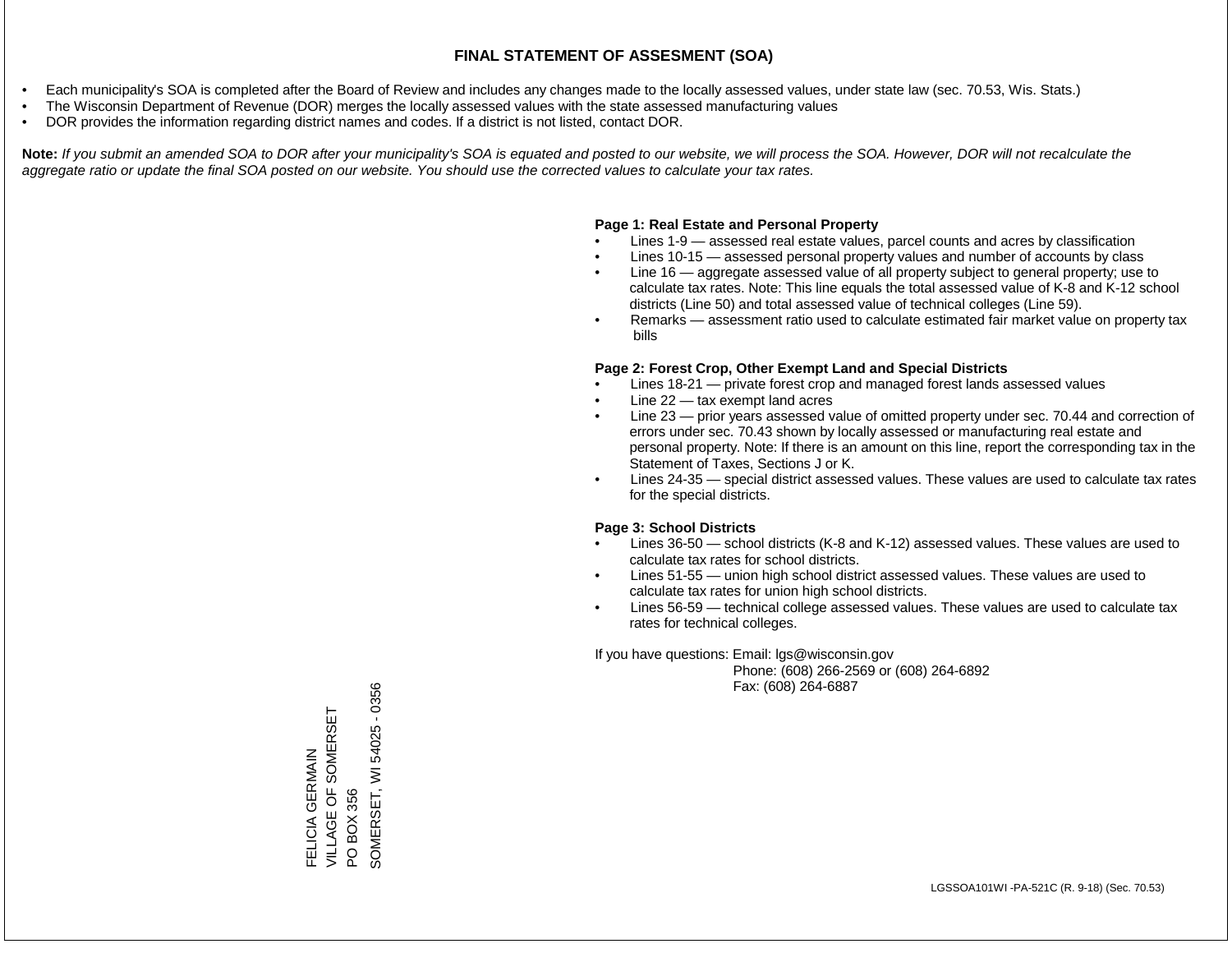- Each municipality's SOA is completed after the Board of Review and includes any changes made to the locally assessed values, under state law (sec. 70.53, Wis. Stats.)
- The Wisconsin Department of Revenue (DOR) merges the locally assessed values with the state assessed manufacturing values
- DOR provides the information regarding district names and codes. If a district is not listed, contact DOR.

Note: If you submit an amended SOA to DOR after your municipality's SOA is equated and posted to our website, we will process the SOA. However, DOR will not recalculate the *aggregate ratio or update the final SOA posted on our website. You should use the corrected values to calculate your tax rates.*

## **Page 1: Real Estate and Personal Property**

- Lines 1-9 assessed real estate values, parcel counts and acres by classification
- Lines 10-15 assessed personal property values and number of accounts by class
- Line 16 aggregate assessed value of all property subject to general property; use to calculate tax rates. Note: This line equals the total assessed value of K-8 and K-12 school districts (Line 50) and total assessed value of technical colleges (Line 59).
- Remarks assessment ratio used to calculate estimated fair market value on property tax bills

### **Page 2: Forest Crop, Other Exempt Land and Special Districts**

- Lines 18-21 private forest crop and managed forest lands assessed values
- Line  $22 -$  tax exempt land acres
- Line 23 prior years assessed value of omitted property under sec. 70.44 and correction of errors under sec. 70.43 shown by locally assessed or manufacturing real estate and personal property. Note: If there is an amount on this line, report the corresponding tax in the Statement of Taxes, Sections J or K.
- Lines 24-35 special district assessed values. These values are used to calculate tax rates for the special districts.

### **Page 3: School Districts**

- Lines 36-50 school districts (K-8 and K-12) assessed values. These values are used to calculate tax rates for school districts.
- Lines 51-55 union high school district assessed values. These values are used to calculate tax rates for union high school districts.
- Lines 56-59 technical college assessed values. These values are used to calculate tax rates for technical colleges.

If you have questions: Email: lgs@wisconsin.gov

 Phone: (608) 266-2569 or (608) 264-6892 Fax: (608) 264-6887

PO BOX 356<br>SOMERSET, WI 54025 - 0356 SOMERSET, WI 54025 - 0356VILLAGE OF SOMERSET FELICIA GERMAIN<br>VILLAGE OF SOMERSET FELICIA GERMAIN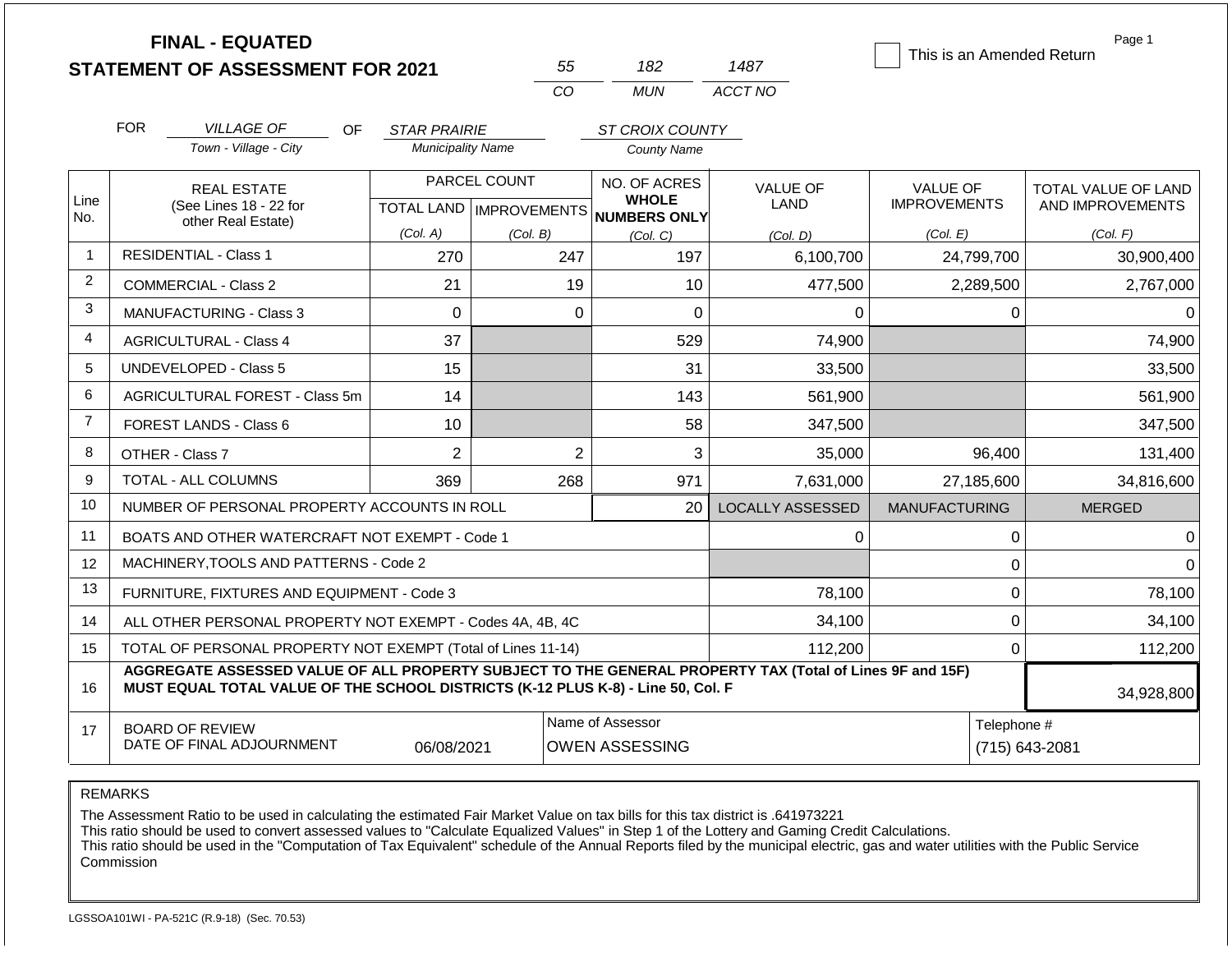|                |            | <b>FINAL - EQUATED</b><br><b>STATEMENT OF ASSESSMENT FOR 2021</b>                                                                                                                            |                          | 55                                                       | 182                                                      |                | 1487                           | This is an Amended Return       | Page 1                                  |
|----------------|------------|----------------------------------------------------------------------------------------------------------------------------------------------------------------------------------------------|--------------------------|----------------------------------------------------------|----------------------------------------------------------|----------------|--------------------------------|---------------------------------|-----------------------------------------|
|                |            |                                                                                                                                                                                              |                          | CO.                                                      | <b>MUN</b>                                               |                | ACCT NO                        |                                 |                                         |
|                | <b>FOR</b> | <b>VILLAGE OF</b><br>OF.                                                                                                                                                                     | <b>STAR PRAIRIE</b>      |                                                          | ST CROIX COUNTY                                          |                |                                |                                 |                                         |
|                |            | Town - Village - City                                                                                                                                                                        | <b>Municipality Name</b> |                                                          | <b>County Name</b>                                       |                |                                |                                 |                                         |
| Line           |            | <b>REAL ESTATE</b><br>(See Lines 18 - 22 for                                                                                                                                                 |                          | PARCEL COUNT<br>TOTAL LAND   IMPROVEMENTS   NUMBERS ONLY | NO. OF ACRES<br><b>WHOLE</b>                             |                | <b>VALUE OF</b><br><b>LAND</b> | VALUE OF<br><b>IMPROVEMENTS</b> | TOTAL VALUE OF LAND<br>AND IMPROVEMENTS |
| No.            |            | other Real Estate)                                                                                                                                                                           | (Col. A)                 | (Col. B)                                                 | (Col, C)                                                 |                | (Col. D)                       | (Col. E)                        | (Col. F)                                |
| $\overline{1}$ |            | <b>RESIDENTIAL - Class 1</b>                                                                                                                                                                 | 270                      | 247                                                      |                                                          | 197            | 6,100,700                      | 24,799,700                      | 30,900,400                              |
| 2              |            | <b>COMMERCIAL - Class 2</b>                                                                                                                                                                  | 21                       |                                                          | 19                                                       | 10             | 477,500                        | 2,289,500                       | 2,767,000                               |
| 3              |            | MANUFACTURING - Class 3                                                                                                                                                                      | $\Omega$                 |                                                          | 0                                                        | $\overline{0}$ | $\Omega$                       | 0                               | $\Omega$                                |
| $\overline{4}$ |            | <b>AGRICULTURAL - Class 4</b>                                                                                                                                                                | 37                       |                                                          |                                                          | 529            | 74,900                         |                                 | 74,900                                  |
| 5              |            | <b>UNDEVELOPED - Class 5</b>                                                                                                                                                                 | 15                       |                                                          |                                                          | 31             | 33,500                         |                                 | 33,500                                  |
| 6              |            | AGRICULTURAL FOREST - Class 5m                                                                                                                                                               | 14                       |                                                          |                                                          | 143            | 561,900                        |                                 | 561,900                                 |
| $\overline{7}$ |            | <b>FOREST LANDS - Class 6</b>                                                                                                                                                                | 10                       |                                                          |                                                          | 58             | 347,500                        |                                 | 347,500                                 |
| 8              |            | OTHER - Class 7                                                                                                                                                                              | $\overline{2}$           |                                                          | $\overline{2}$                                           | 3              | 35,000                         | 96,400                          | 131,400                                 |
| 9              |            | <b>TOTAL - ALL COLUMNS</b>                                                                                                                                                                   | 369                      | 268                                                      |                                                          | 971            | 7,631,000                      | 27,185,600                      | 34,816,600                              |
| 10             |            | NUMBER OF PERSONAL PROPERTY ACCOUNTS IN ROLL                                                                                                                                                 |                          |                                                          |                                                          | 20             | <b>LOCALLY ASSESSED</b>        | <b>MANUFACTURING</b>            | <b>MERGED</b>                           |
| 11             |            | BOATS AND OTHER WATERCRAFT NOT EXEMPT - Code 1                                                                                                                                               |                          |                                                          |                                                          |                | 0                              | 0                               | $\Omega$                                |
| 12             |            | MACHINERY, TOOLS AND PATTERNS - Code 2                                                                                                                                                       |                          |                                                          |                                                          |                |                                | $\mathbf 0$                     | $\Omega$                                |
| 13             |            | FURNITURE, FIXTURES AND EQUIPMENT - Code 3                                                                                                                                                   |                          |                                                          |                                                          |                | 78,100                         | $\mathbf 0$                     | 78,100                                  |
| 14             |            | ALL OTHER PERSONAL PROPERTY NOT EXEMPT - Codes 4A, 4B, 4C                                                                                                                                    |                          |                                                          |                                                          |                | 34,100                         | $\mathbf 0$                     | 34,100                                  |
| 15             |            | TOTAL OF PERSONAL PROPERTY NOT EXEMPT (Total of Lines 11-14)                                                                                                                                 |                          |                                                          |                                                          |                | 112,200                        | 0                               | 112,200                                 |
| 16             |            | AGGREGATE ASSESSED VALUE OF ALL PROPERTY SUBJECT TO THE GENERAL PROPERTY TAX (Total of Lines 9F and 15F)<br>MUST EQUAL TOTAL VALUE OF THE SCHOOL DISTRICTS (K-12 PLUS K-8) - Line 50, Col. F |                          |                                                          |                                                          |                |                                |                                 | 34,928,800                              |
| 17             |            | <b>BOARD OF REVIEW</b><br>DATE OF FINAL ADJOURNMENT                                                                                                                                          | 06/08/2021               |                                                          | Name of Assessor<br>Telephone #<br><b>OWEN ASSESSING</b> |                |                                | (715) 643-2081                  |                                         |

The Assessment Ratio to be used in calculating the estimated Fair Market Value on tax bills for this tax district is .641973221

This ratio should be used to convert assessed values to "Calculate Equalized Values" in Step 1 of the Lottery and Gaming Credit Calculations.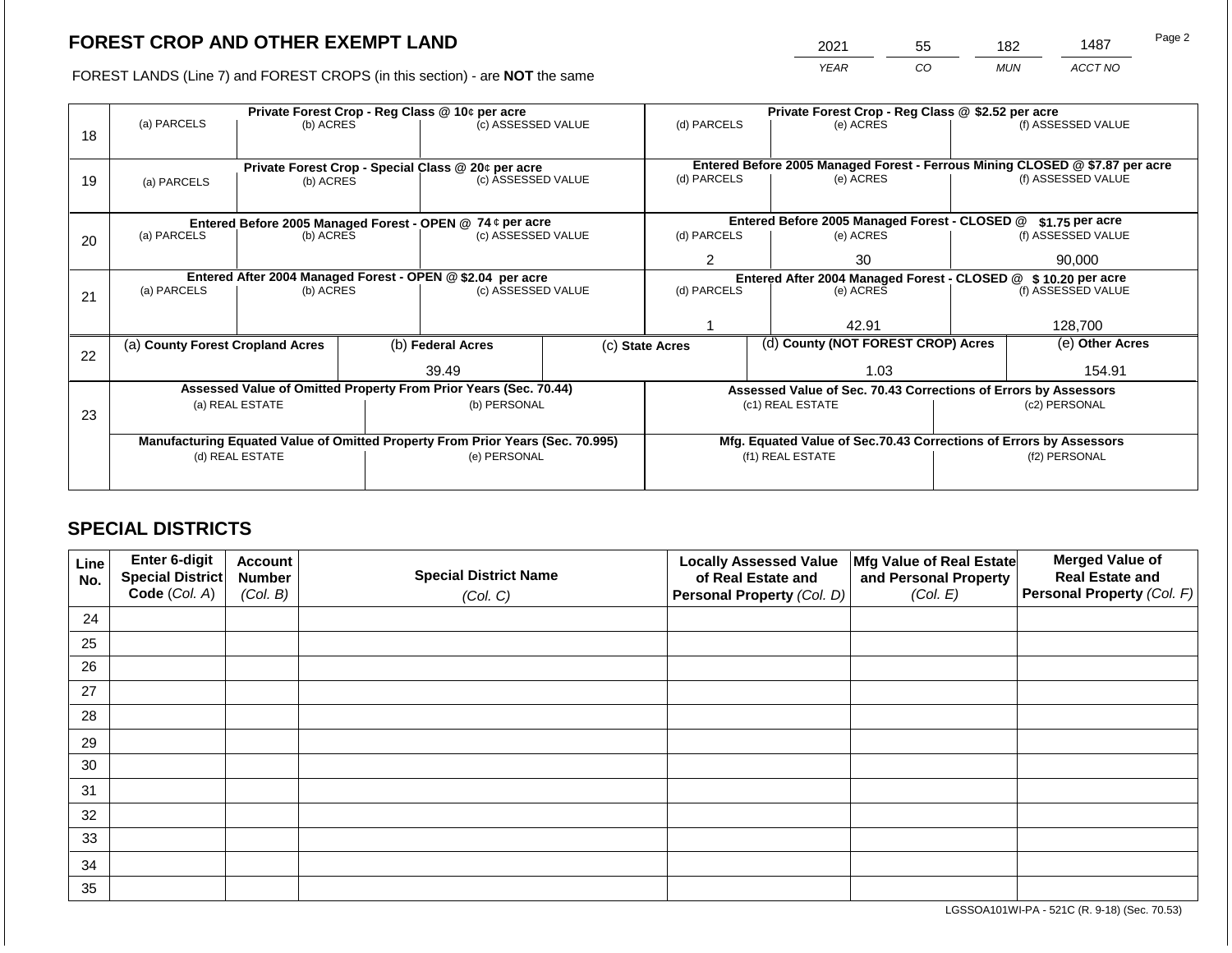2021 55 182 1487 Page 2

FOREST LANDS (Line 7) and FOREST CROPS (in this section) - are **NOT** the same *YEAR CO MUN ACCT NO*

|    |                                                                                |           |  | Private Forest Crop - Reg Class @ 10¢ per acre                           |  | Private Forest Crop - Reg Class @ \$2.52 per acre |  |                                                                    |                                                                |                                                                              |  |
|----|--------------------------------------------------------------------------------|-----------|--|--------------------------------------------------------------------------|--|---------------------------------------------------|--|--------------------------------------------------------------------|----------------------------------------------------------------|------------------------------------------------------------------------------|--|
| 18 | (a) PARCELS                                                                    | (b) ACRES |  | (c) ASSESSED VALUE                                                       |  | (d) PARCELS                                       |  | (e) ACRES                                                          |                                                                | (f) ASSESSED VALUE                                                           |  |
|    |                                                                                |           |  |                                                                          |  |                                                   |  |                                                                    |                                                                | Entered Before 2005 Managed Forest - Ferrous Mining CLOSED @ \$7.87 per acre |  |
| 19 |                                                                                |           |  | Private Forest Crop - Special Class @ 20¢ per acre<br>(c) ASSESSED VALUE |  | (d) PARCELS                                       |  | (e) ACRES                                                          |                                                                | (f) ASSESSED VALUE                                                           |  |
|    | (a) PARCELS                                                                    | (b) ACRES |  |                                                                          |  |                                                   |  |                                                                    |                                                                |                                                                              |  |
|    |                                                                                |           |  |                                                                          |  |                                                   |  |                                                                    |                                                                |                                                                              |  |
|    |                                                                                |           |  | Entered Before 2005 Managed Forest - OPEN @ 74 ¢ per acre                |  |                                                   |  | Entered Before 2005 Managed Forest - CLOSED @                      |                                                                | $$1.75$ per acre                                                             |  |
| 20 | (a) PARCELS                                                                    | (b) ACRES |  | (c) ASSESSED VALUE                                                       |  | (d) PARCELS                                       |  | (e) ACRES                                                          |                                                                | (f) ASSESSED VALUE                                                           |  |
|    |                                                                                |           |  |                                                                          |  |                                                   |  |                                                                    |                                                                |                                                                              |  |
|    |                                                                                |           |  |                                                                          |  | 2                                                 |  | 30                                                                 |                                                                | 90,000                                                                       |  |
|    | Entered After 2004 Managed Forest - OPEN @ \$2.04 per acre                     |           |  |                                                                          |  |                                                   |  |                                                                    | Entered After 2004 Managed Forest - CLOSED @ \$ 10.20 per acre |                                                                              |  |
| 21 | (a) PARCELS<br>(b) ACRES                                                       |           |  | (c) ASSESSED VALUE                                                       |  | (d) PARCELS                                       |  | (e) ACRES                                                          |                                                                | (f) ASSESSED VALUE                                                           |  |
|    |                                                                                |           |  |                                                                          |  |                                                   |  |                                                                    |                                                                |                                                                              |  |
|    |                                                                                |           |  |                                                                          |  |                                                   |  | 42.91                                                              |                                                                | 128,700                                                                      |  |
|    | (a) County Forest Cropland Acres                                               |           |  | (b) Federal Acres                                                        |  | (c) State Acres                                   |  | (d) County (NOT FOREST CROP) Acres                                 |                                                                | (e) Other Acres                                                              |  |
| 22 |                                                                                |           |  |                                                                          |  |                                                   |  |                                                                    |                                                                |                                                                              |  |
|    |                                                                                |           |  | 39.49                                                                    |  |                                                   |  | 1.03                                                               |                                                                | 154.91                                                                       |  |
|    |                                                                                |           |  | Assessed Value of Omitted Property From Prior Years (Sec. 70.44)         |  |                                                   |  | Assessed Value of Sec. 70.43 Corrections of Errors by Assessors    |                                                                |                                                                              |  |
|    | (a) REAL ESTATE                                                                |           |  | (b) PERSONAL                                                             |  |                                                   |  | (c1) REAL ESTATE                                                   | (c2) PERSONAL                                                  |                                                                              |  |
| 23 |                                                                                |           |  |                                                                          |  |                                                   |  |                                                                    |                                                                |                                                                              |  |
|    | Manufacturing Equated Value of Omitted Property From Prior Years (Sec. 70.995) |           |  |                                                                          |  |                                                   |  | Mfg. Equated Value of Sec.70.43 Corrections of Errors by Assessors |                                                                |                                                                              |  |
|    | (d) REAL ESTATE                                                                |           |  | (e) PERSONAL                                                             |  |                                                   |  | (f1) REAL ESTATE                                                   | (f2) PERSONAL                                                  |                                                                              |  |
|    |                                                                                |           |  |                                                                          |  |                                                   |  |                                                                    |                                                                |                                                                              |  |
|    |                                                                                |           |  |                                                                          |  |                                                   |  |                                                                    |                                                                |                                                                              |  |

# **SPECIAL DISTRICTS**

| Line<br>No. | Enter 6-digit<br>Special District | <b>Account</b><br><b>Number</b> | <b>Special District Name</b> | <b>Locally Assessed Value</b><br>of Real Estate and | Mfg Value of Real Estate<br>and Personal Property | <b>Merged Value of</b><br><b>Real Estate and</b> |
|-------------|-----------------------------------|---------------------------------|------------------------------|-----------------------------------------------------|---------------------------------------------------|--------------------------------------------------|
|             | Code (Col. A)                     | (Col. B)                        | (Col. C)                     | Personal Property (Col. D)                          | (Col. E)                                          | <b>Personal Property (Col. F)</b>                |
| 24          |                                   |                                 |                              |                                                     |                                                   |                                                  |
| 25          |                                   |                                 |                              |                                                     |                                                   |                                                  |
| 26          |                                   |                                 |                              |                                                     |                                                   |                                                  |
| 27          |                                   |                                 |                              |                                                     |                                                   |                                                  |
| 28          |                                   |                                 |                              |                                                     |                                                   |                                                  |
| 29          |                                   |                                 |                              |                                                     |                                                   |                                                  |
| 30          |                                   |                                 |                              |                                                     |                                                   |                                                  |
| 31          |                                   |                                 |                              |                                                     |                                                   |                                                  |
| 32          |                                   |                                 |                              |                                                     |                                                   |                                                  |
| 33          |                                   |                                 |                              |                                                     |                                                   |                                                  |
| 34          |                                   |                                 |                              |                                                     |                                                   |                                                  |
| 35          |                                   |                                 |                              |                                                     |                                                   |                                                  |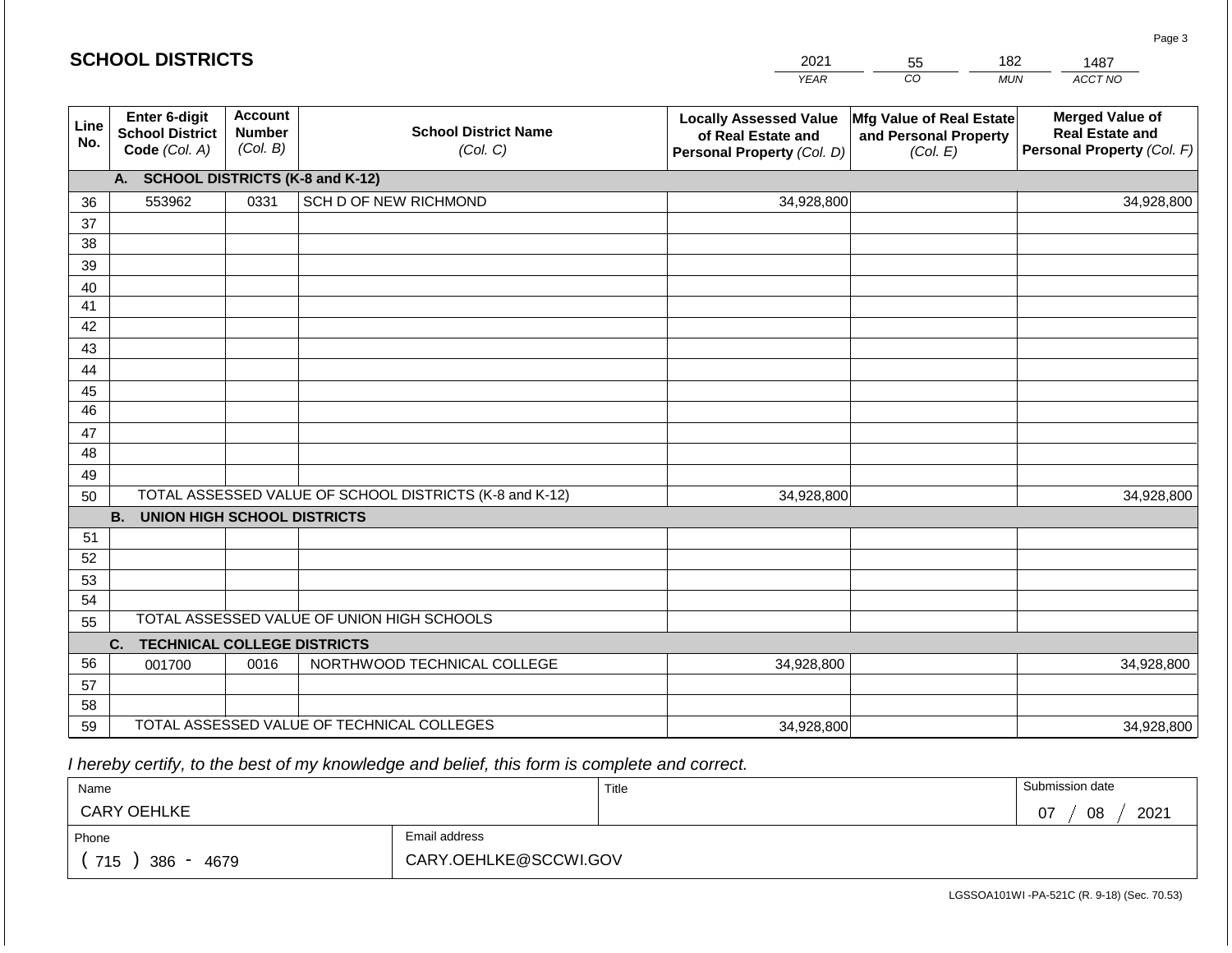|                       | <b>SCHOOL DISTRICTS</b>                                         |                                             |                                                         | 2021                                                                              | 55                                                            | 182        | 1487                                                                           |
|-----------------------|-----------------------------------------------------------------|---------------------------------------------|---------------------------------------------------------|-----------------------------------------------------------------------------------|---------------------------------------------------------------|------------|--------------------------------------------------------------------------------|
|                       |                                                                 |                                             |                                                         | <b>YEAR</b>                                                                       | CO                                                            | <b>MUN</b> | ACCT NO                                                                        |
| Line<br>No.           | <b>Enter 6-digit</b><br><b>School District</b><br>Code (Col. A) | <b>Account</b><br><b>Number</b><br>(Col. B) | <b>School District Name</b><br>(Col. C)                 | <b>Locally Assessed Value</b><br>of Real Estate and<br>Personal Property (Col. D) | Mfg Value of Real Estate<br>and Personal Property<br>(Col. E) |            | <b>Merged Value of</b><br><b>Real Estate and</b><br>Personal Property (Col. F) |
|                       | A. SCHOOL DISTRICTS (K-8 and K-12)                              |                                             |                                                         |                                                                                   |                                                               |            |                                                                                |
| 36                    | 553962                                                          | 0331                                        | SCH D OF NEW RICHMOND                                   | 34,928,800                                                                        |                                                               |            | 34,928,800                                                                     |
| 37                    |                                                                 |                                             |                                                         |                                                                                   |                                                               |            |                                                                                |
| 38                    |                                                                 |                                             |                                                         |                                                                                   |                                                               |            |                                                                                |
| 39                    |                                                                 |                                             |                                                         |                                                                                   |                                                               |            |                                                                                |
| 40                    |                                                                 |                                             |                                                         |                                                                                   |                                                               |            |                                                                                |
| 41                    |                                                                 |                                             |                                                         |                                                                                   |                                                               |            |                                                                                |
| 42                    |                                                                 |                                             |                                                         |                                                                                   |                                                               |            |                                                                                |
| 43                    |                                                                 |                                             |                                                         |                                                                                   |                                                               |            |                                                                                |
| 44                    |                                                                 |                                             |                                                         |                                                                                   |                                                               |            |                                                                                |
| 45<br>$\overline{46}$ |                                                                 |                                             |                                                         |                                                                                   |                                                               |            |                                                                                |
| 47                    |                                                                 |                                             |                                                         |                                                                                   |                                                               |            |                                                                                |
| 48                    |                                                                 |                                             |                                                         |                                                                                   |                                                               |            |                                                                                |
| 49                    |                                                                 |                                             |                                                         |                                                                                   |                                                               |            |                                                                                |
| 50                    |                                                                 |                                             | TOTAL ASSESSED VALUE OF SCHOOL DISTRICTS (K-8 and K-12) | 34,928,800                                                                        |                                                               |            | 34,928,800                                                                     |
|                       | <b>B.</b><br><b>UNION HIGH SCHOOL DISTRICTS</b>                 |                                             |                                                         |                                                                                   |                                                               |            |                                                                                |
| 51                    |                                                                 |                                             |                                                         |                                                                                   |                                                               |            |                                                                                |
| 52                    |                                                                 |                                             |                                                         |                                                                                   |                                                               |            |                                                                                |
| 53                    |                                                                 |                                             |                                                         |                                                                                   |                                                               |            |                                                                                |
| 54                    |                                                                 |                                             |                                                         |                                                                                   |                                                               |            |                                                                                |
| 55                    |                                                                 |                                             | TOTAL ASSESSED VALUE OF UNION HIGH SCHOOLS              |                                                                                   |                                                               |            |                                                                                |
|                       | C.<br><b>TECHNICAL COLLEGE DISTRICTS</b>                        |                                             |                                                         |                                                                                   |                                                               |            |                                                                                |
| 56                    | 001700                                                          | 0016                                        | NORTHWOOD TECHNICAL COLLEGE                             | 34,928,800                                                                        |                                                               |            | 34,928,800                                                                     |
| 57                    |                                                                 |                                             |                                                         |                                                                                   |                                                               |            |                                                                                |
| 58                    |                                                                 |                                             |                                                         |                                                                                   |                                                               |            |                                                                                |
| 59                    |                                                                 |                                             | TOTAL ASSESSED VALUE OF TECHNICAL COLLEGES              | 34,928,800                                                                        |                                                               |            | 34,928,800                                                                     |

 *I hereby certify, to the best of my knowledge and belief, this form is complete and correct.*

**SCHOOL DISTRICTS**

| Name                                           |                       | Title | Submission date  |
|------------------------------------------------|-----------------------|-------|------------------|
| <b>CARY OEHLKE</b>                             |                       |       | 2021<br>08<br>07 |
| Phone                                          | Email address         |       |                  |
| 715<br>386<br>4679<br>$\overline{\phantom{0}}$ | CARY.OEHLKE@SCCWI.GOV |       |                  |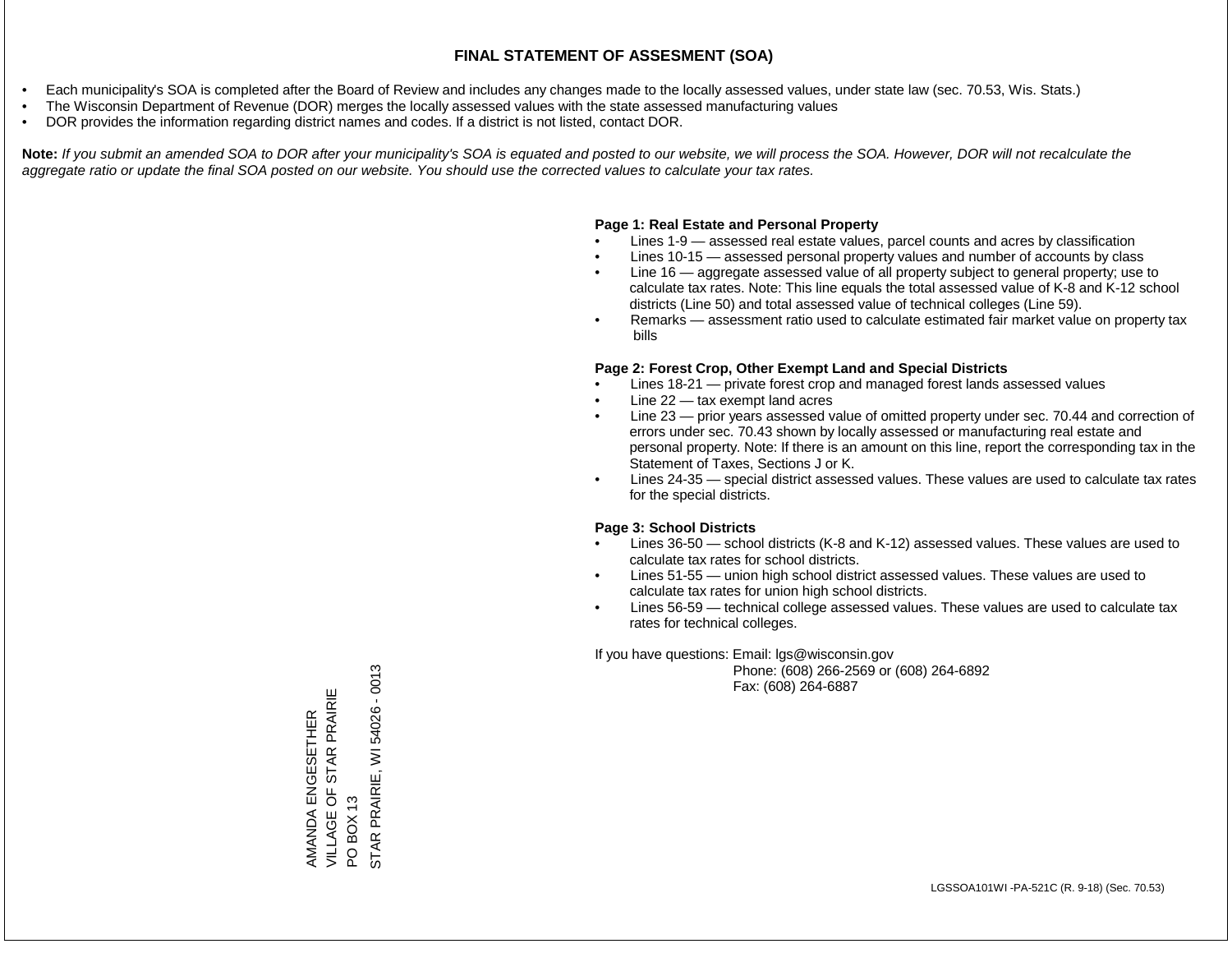- Each municipality's SOA is completed after the Board of Review and includes any changes made to the locally assessed values, under state law (sec. 70.53, Wis. Stats.)
- The Wisconsin Department of Revenue (DOR) merges the locally assessed values with the state assessed manufacturing values
- DOR provides the information regarding district names and codes. If a district is not listed, contact DOR.

Note: If you submit an amended SOA to DOR after your municipality's SOA is equated and posted to our website, we will process the SOA. However, DOR will not recalculate the *aggregate ratio or update the final SOA posted on our website. You should use the corrected values to calculate your tax rates.*

### **Page 1: Real Estate and Personal Property**

- Lines 1-9 assessed real estate values, parcel counts and acres by classification
- Lines 10-15 assessed personal property values and number of accounts by class
- Line 16 aggregate assessed value of all property subject to general property; use to calculate tax rates. Note: This line equals the total assessed value of K-8 and K-12 school districts (Line 50) and total assessed value of technical colleges (Line 59).
- Remarks assessment ratio used to calculate estimated fair market value on property tax bills

### **Page 2: Forest Crop, Other Exempt Land and Special Districts**

- Lines 18-21 private forest crop and managed forest lands assessed values
- Line  $22 -$  tax exempt land acres
- Line 23 prior years assessed value of omitted property under sec. 70.44 and correction of errors under sec. 70.43 shown by locally assessed or manufacturing real estate and personal property. Note: If there is an amount on this line, report the corresponding tax in the Statement of Taxes, Sections J or K.
- Lines 24-35 special district assessed values. These values are used to calculate tax rates for the special districts.

### **Page 3: School Districts**

- Lines 36-50 school districts (K-8 and K-12) assessed values. These values are used to calculate tax rates for school districts.
- Lines 51-55 union high school district assessed values. These values are used to calculate tax rates for union high school districts.
- Lines 56-59 technical college assessed values. These values are used to calculate tax rates for technical colleges.

If you have questions: Email: lgs@wisconsin.gov

 Phone: (608) 266-2569 or (608) 264-6892 Fax: (608) 264-6887

STAR PRAIRIE, WI 54026 - 0013 STAR PRAIRIE, WI 54026 - 0013VILLAGE OF STAR PRAIRIE AMANDA ENGESETHER<br>VILLAGE OF STAR PRAIRIE AMANDA ENGESETHER PO BOX 13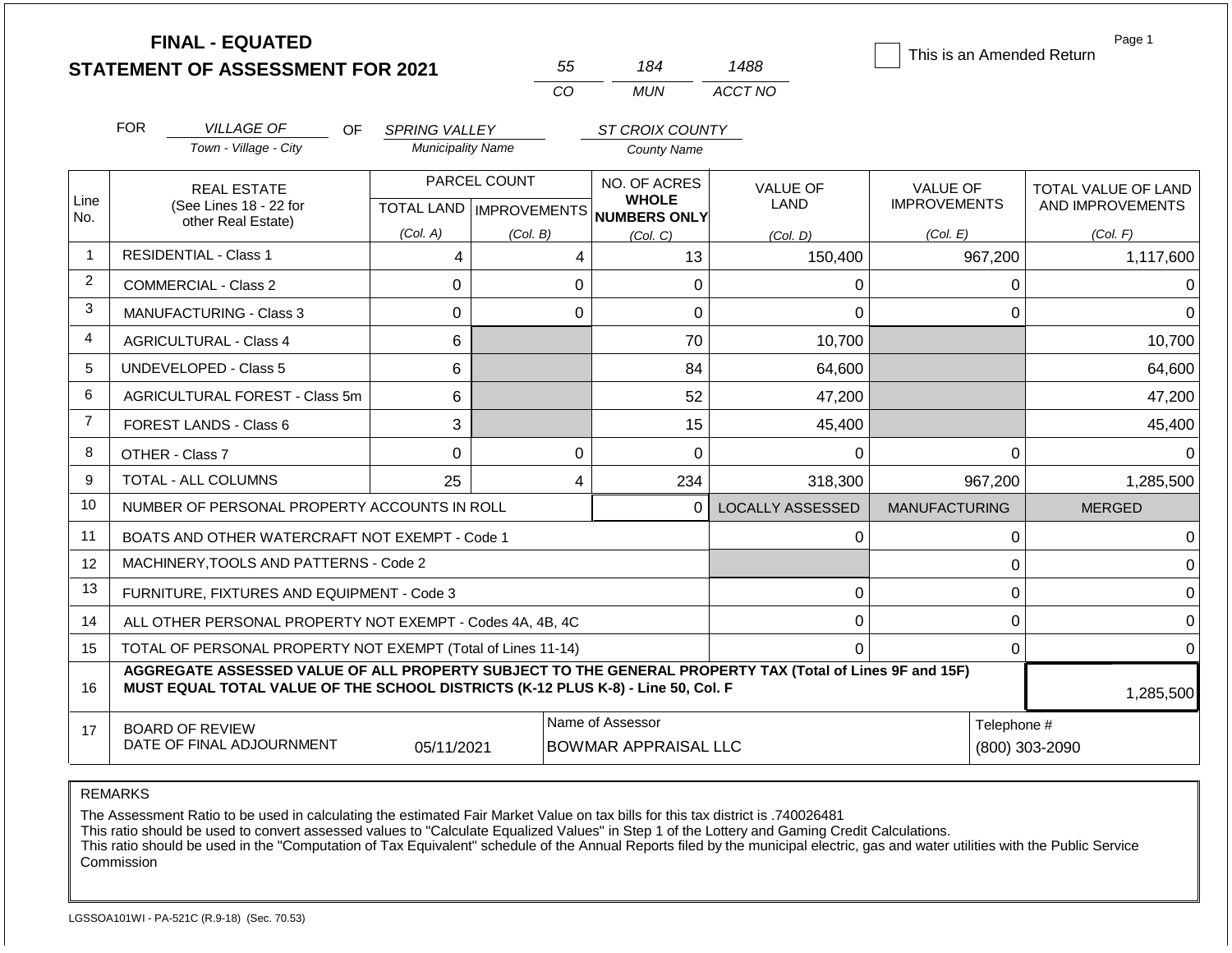|                |            | <b>FINAL - EQUATED</b><br><b>STATEMENT OF ASSESSMENT FOR 2021</b>                                                                                                                            |                          |              | 55             | 184                                                                 | 1488                           | This is an Amended Return       | Page 1                                         |
|----------------|------------|----------------------------------------------------------------------------------------------------------------------------------------------------------------------------------------------|--------------------------|--------------|----------------|---------------------------------------------------------------------|--------------------------------|---------------------------------|------------------------------------------------|
|                |            |                                                                                                                                                                                              |                          |              | CO             | <b>MUN</b>                                                          | ACCT NO                        |                                 |                                                |
|                | <b>FOR</b> | <b>VILLAGE OF</b><br>OF.                                                                                                                                                                     | <b>SPRING VALLEY</b>     |              |                | ST CROIX COUNTY                                                     |                                |                                 |                                                |
|                |            | Town - Village - City                                                                                                                                                                        | <b>Municipality Name</b> |              |                | <b>County Name</b>                                                  |                                |                                 |                                                |
| Line<br>No.    |            | <b>REAL ESTATE</b><br>(See Lines 18 - 22 for                                                                                                                                                 |                          | PARCEL COUNT |                | NO. OF ACRES<br><b>WHOLE</b><br>TOTAL LAND MPROVEMENTS NUMBERS ONLY | <b>VALUE OF</b><br><b>LAND</b> | VALUE OF<br><b>IMPROVEMENTS</b> | <b>TOTAL VALUE OF LAND</b><br>AND IMPROVEMENTS |
|                |            | other Real Estate)                                                                                                                                                                           | (Col. A)                 | (Col. B)     |                | (Col, C)                                                            | (Col, D)                       | (Col. E)                        | (Col. F)                                       |
| $\overline{1}$ |            | <b>RESIDENTIAL - Class 1</b>                                                                                                                                                                 | 4                        |              | 4              | 13                                                                  | 150,400                        | 967,200                         | 1,117,600                                      |
| $\overline{2}$ |            | <b>COMMERCIAL - Class 2</b>                                                                                                                                                                  | $\mathbf 0$              |              | 0              | 0                                                                   | $\Omega$                       | 0                               | $\Omega$                                       |
| 3              |            | MANUFACTURING - Class 3                                                                                                                                                                      | $\Omega$                 |              | $\Omega$       | 0                                                                   | $\Omega$                       | $\Omega$                        | $\Omega$                                       |
| $\overline{4}$ |            | <b>AGRICULTURAL - Class 4</b>                                                                                                                                                                | 6                        |              |                | 70                                                                  | 10,700                         |                                 | 10,700                                         |
| 5              |            | <b>UNDEVELOPED - Class 5</b>                                                                                                                                                                 | 6                        |              |                | 84                                                                  | 64,600                         |                                 | 64,600                                         |
| 6              |            | AGRICULTURAL FOREST - Class 5m                                                                                                                                                               | 6                        |              |                | 52                                                                  | 47,200                         |                                 | 47,200                                         |
| $\overline{7}$ |            | FOREST LANDS - Class 6                                                                                                                                                                       | 3                        |              |                | 15                                                                  | 45,400                         |                                 | 45,400                                         |
| 8              |            | OTHER - Class 7                                                                                                                                                                              | $\overline{0}$           |              | 0              | 0                                                                   | 0                              | $\mathbf 0$                     | 0                                              |
| 9              |            | <b>TOTAL - ALL COLUMNS</b>                                                                                                                                                                   | 25                       |              | $\overline{4}$ | 234                                                                 | 318,300                        | 967,200                         | 1,285,500                                      |
| 10             |            | NUMBER OF PERSONAL PROPERTY ACCOUNTS IN ROLL                                                                                                                                                 |                          |              |                | $\Omega$                                                            | <b>LOCALLY ASSESSED</b>        | <b>MANUFACTURING</b>            | <b>MERGED</b>                                  |
| 11             |            | BOATS AND OTHER WATERCRAFT NOT EXEMPT - Code 1                                                                                                                                               |                          |              |                |                                                                     | 0                              | $\overline{0}$                  | $\Omega$                                       |
| 12             |            | MACHINERY, TOOLS AND PATTERNS - Code 2                                                                                                                                                       |                          |              |                |                                                                     |                                | $\mathbf 0$                     | $\mathbf 0$                                    |
| 13             |            | FURNITURE, FIXTURES AND EQUIPMENT - Code 3                                                                                                                                                   |                          |              |                |                                                                     | 0                              | $\mathbf 0$                     | $\mathbf 0$                                    |
| 14             |            | ALL OTHER PERSONAL PROPERTY NOT EXEMPT - Codes 4A, 4B, 4C                                                                                                                                    |                          |              |                |                                                                     | 0                              | $\mathbf 0$                     | $\overline{0}$                                 |
| 15             |            | TOTAL OF PERSONAL PROPERTY NOT EXEMPT (Total of Lines 11-14)                                                                                                                                 |                          |              |                |                                                                     | $\Omega$                       | 0                               | $\Omega$                                       |
| 16             |            | AGGREGATE ASSESSED VALUE OF ALL PROPERTY SUBJECT TO THE GENERAL PROPERTY TAX (Total of Lines 9F and 15F)<br>MUST EQUAL TOTAL VALUE OF THE SCHOOL DISTRICTS (K-12 PLUS K-8) - Line 50, Col. F |                          |              |                |                                                                     |                                |                                 | 1,285,500                                      |
| 17             |            | <b>BOARD OF REVIEW</b><br>DATE OF FINAL ADJOURNMENT                                                                                                                                          | 05/11/2021               |              |                | Name of Assessor<br><b>BOWMAR APPRAISAL LLC</b>                     |                                | Telephone #                     | (800) 303-2090                                 |

The Assessment Ratio to be used in calculating the estimated Fair Market Value on tax bills for this tax district is .740026481

This ratio should be used to convert assessed values to "Calculate Equalized Values" in Step 1 of the Lottery and Gaming Credit Calculations.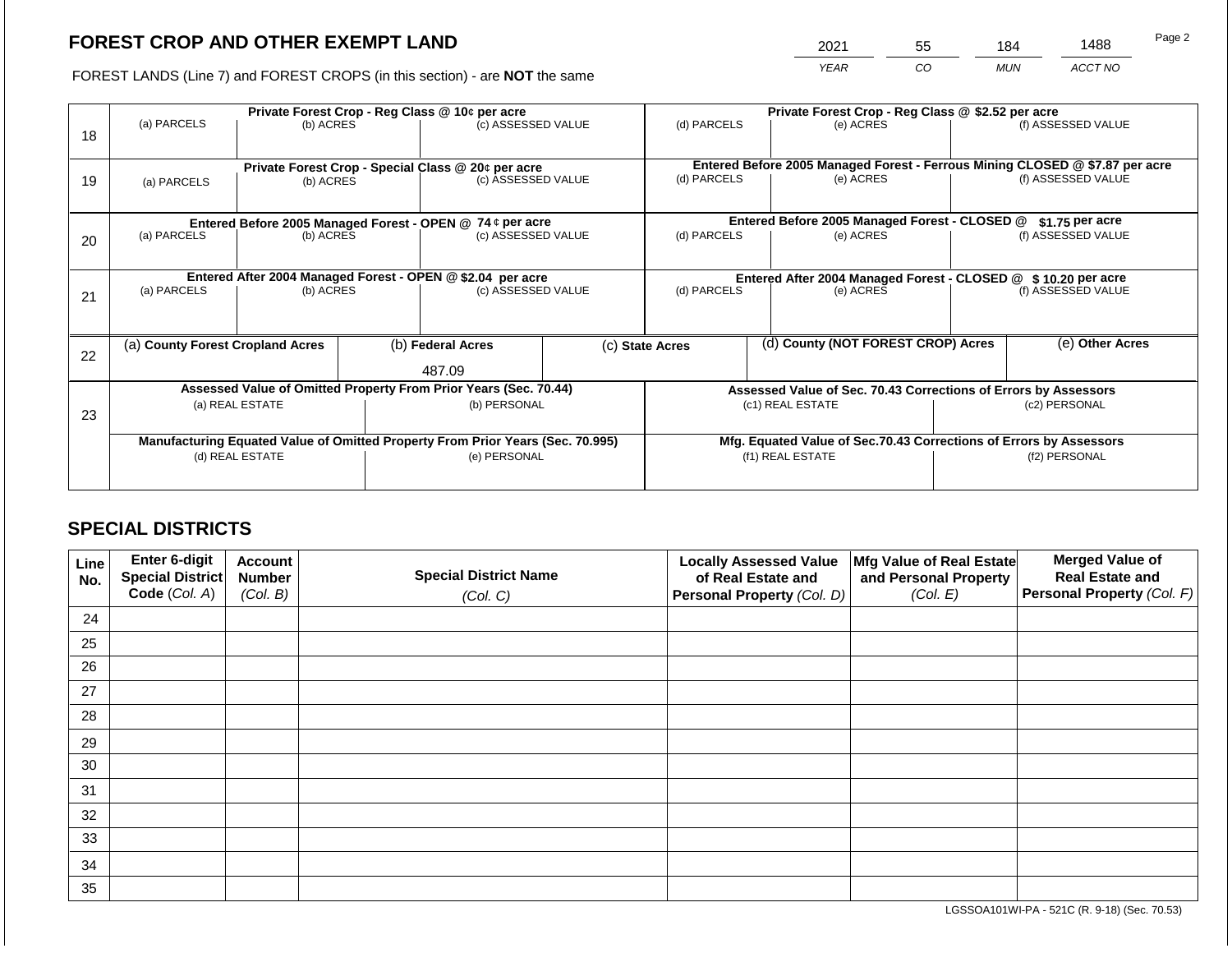2021 55 184 1488

FOREST LANDS (Line 7) and FOREST CROPS (in this section) - are **NOT** the same *YEAR CO MUN ACCT NO*

|    |                                  | Private Forest Crop - Reg Class @ 10¢ per acre                                 |  |                                                                          |             | Private Forest Crop - Reg Class @ \$2.52 per acre |                                                                    |                                                                                           |                                                                 |                    |
|----|----------------------------------|--------------------------------------------------------------------------------|--|--------------------------------------------------------------------------|-------------|---------------------------------------------------|--------------------------------------------------------------------|-------------------------------------------------------------------------------------------|-----------------------------------------------------------------|--------------------|
| 18 | (a) PARCELS                      | (b) ACRES                                                                      |  | (c) ASSESSED VALUE                                                       |             | (d) PARCELS                                       |                                                                    | (e) ACRES                                                                                 |                                                                 | (f) ASSESSED VALUE |
|    |                                  |                                                                                |  |                                                                          |             |                                                   |                                                                    |                                                                                           |                                                                 |                    |
| 19 |                                  | (b) ACRES                                                                      |  | Private Forest Crop - Special Class @ 20¢ per acre<br>(c) ASSESSED VALUE |             | (d) PARCELS                                       |                                                                    | Entered Before 2005 Managed Forest - Ferrous Mining CLOSED @ \$7.87 per acre<br>(e) ACRES |                                                                 | (f) ASSESSED VALUE |
|    | (a) PARCELS                      |                                                                                |  |                                                                          |             |                                                   |                                                                    |                                                                                           |                                                                 |                    |
|    |                                  |                                                                                |  |                                                                          |             |                                                   |                                                                    |                                                                                           |                                                                 |                    |
|    |                                  | Entered Before 2005 Managed Forest - OPEN @ 74 ¢ per acre                      |  |                                                                          |             |                                                   |                                                                    | Entered Before 2005 Managed Forest - CLOSED @                                             |                                                                 | $$1.75$ per acre   |
| 20 | (a) PARCELS<br>(b) ACRES         |                                                                                |  | (c) ASSESSED VALUE                                                       |             | (d) PARCELS                                       |                                                                    | (e) ACRES                                                                                 |                                                                 | (f) ASSESSED VALUE |
|    |                                  |                                                                                |  |                                                                          |             |                                                   |                                                                    |                                                                                           |                                                                 |                    |
|    |                                  |                                                                                |  | Entered After 2004 Managed Forest - OPEN @ \$2.04 per acre               |             |                                                   |                                                                    |                                                                                           | Entered After 2004 Managed Forest - CLOSED @ \$10.20 per acre   |                    |
| 21 | (a) PARCELS<br>(b) ACRES         |                                                                                |  | (c) ASSESSED VALUE                                                       | (d) PARCELS |                                                   | (e) ACRES                                                          |                                                                                           | (f) ASSESSED VALUE                                              |                    |
|    |                                  |                                                                                |  |                                                                          |             |                                                   |                                                                    |                                                                                           |                                                                 |                    |
|    |                                  |                                                                                |  |                                                                          |             |                                                   |                                                                    |                                                                                           |                                                                 |                    |
|    | (a) County Forest Cropland Acres |                                                                                |  | (b) Federal Acres                                                        |             | (c) State Acres                                   |                                                                    | (d) County (NOT FOREST CROP) Acres                                                        |                                                                 | (e) Other Acres    |
| 22 |                                  |                                                                                |  |                                                                          |             |                                                   |                                                                    |                                                                                           |                                                                 |                    |
|    |                                  |                                                                                |  | 487.09                                                                   |             |                                                   |                                                                    |                                                                                           |                                                                 |                    |
|    |                                  | Assessed Value of Omitted Property From Prior Years (Sec. 70.44)               |  |                                                                          |             |                                                   |                                                                    |                                                                                           | Assessed Value of Sec. 70.43 Corrections of Errors by Assessors |                    |
| 23 |                                  | (a) REAL ESTATE                                                                |  | (b) PERSONAL                                                             |             | (c1) REAL ESTATE                                  |                                                                    |                                                                                           | (c2) PERSONAL                                                   |                    |
|    |                                  |                                                                                |  |                                                                          |             |                                                   |                                                                    |                                                                                           |                                                                 |                    |
|    |                                  | Manufacturing Equated Value of Omitted Property From Prior Years (Sec. 70.995) |  |                                                                          |             |                                                   | Mfg. Equated Value of Sec.70.43 Corrections of Errors by Assessors |                                                                                           |                                                                 |                    |
|    | (d) REAL ESTATE                  |                                                                                |  | (e) PERSONAL                                                             |             | (f1) REAL ESTATE                                  |                                                                    |                                                                                           | (f2) PERSONAL                                                   |                    |
|    |                                  |                                                                                |  |                                                                          |             |                                                   |                                                                    |                                                                                           |                                                                 |                    |
|    |                                  |                                                                                |  |                                                                          |             |                                                   |                                                                    |                                                                                           |                                                                 |                    |

# **SPECIAL DISTRICTS**

| Line<br>No. | <b>Enter 6-digit</b><br>Special District | <b>Account</b><br><b>Number</b> | <b>Special District Name</b> | <b>Locally Assessed Value</b><br>of Real Estate and | Mfg Value of Real Estate<br>and Personal Property | <b>Merged Value of</b><br><b>Real Estate and</b> |
|-------------|------------------------------------------|---------------------------------|------------------------------|-----------------------------------------------------|---------------------------------------------------|--------------------------------------------------|
|             | Code (Col. A)                            | (Col. B)                        | (Col. C)                     | Personal Property (Col. D)                          | (Col. E)                                          | Personal Property (Col. F)                       |
| 24          |                                          |                                 |                              |                                                     |                                                   |                                                  |
| 25          |                                          |                                 |                              |                                                     |                                                   |                                                  |
| 26          |                                          |                                 |                              |                                                     |                                                   |                                                  |
| 27          |                                          |                                 |                              |                                                     |                                                   |                                                  |
| 28          |                                          |                                 |                              |                                                     |                                                   |                                                  |
| 29          |                                          |                                 |                              |                                                     |                                                   |                                                  |
| 30          |                                          |                                 |                              |                                                     |                                                   |                                                  |
| 31          |                                          |                                 |                              |                                                     |                                                   |                                                  |
| 32          |                                          |                                 |                              |                                                     |                                                   |                                                  |
| 33          |                                          |                                 |                              |                                                     |                                                   |                                                  |
| 34          |                                          |                                 |                              |                                                     |                                                   |                                                  |
| 35          |                                          |                                 |                              |                                                     |                                                   |                                                  |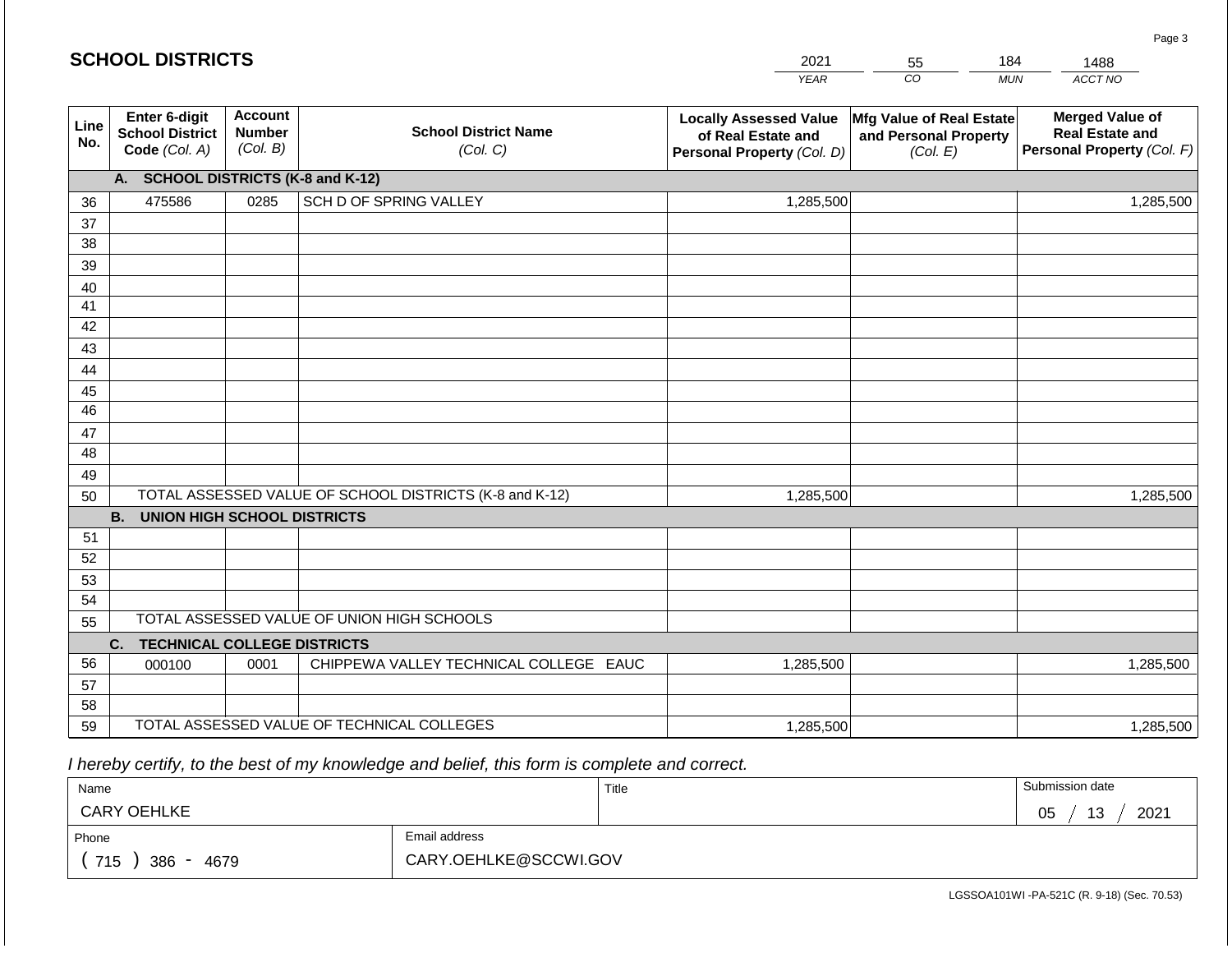|             | <b>SCHOOL DISTRICTS</b>                                  |                                             |                                                         | 2021                                                                              | 55                                                            | 184        | 1488                                                                           |
|-------------|----------------------------------------------------------|---------------------------------------------|---------------------------------------------------------|-----------------------------------------------------------------------------------|---------------------------------------------------------------|------------|--------------------------------------------------------------------------------|
|             |                                                          |                                             |                                                         | <b>YEAR</b>                                                                       | CO                                                            | <b>MUN</b> | ACCT NO                                                                        |
| Line<br>No. | Enter 6-digit<br><b>School District</b><br>Code (Col. A) | <b>Account</b><br><b>Number</b><br>(Col. B) | <b>School District Name</b><br>(Col. C)                 | <b>Locally Assessed Value</b><br>of Real Estate and<br>Personal Property (Col. D) | Mfg Value of Real Estate<br>and Personal Property<br>(Col. E) |            | <b>Merged Value of</b><br><b>Real Estate and</b><br>Personal Property (Col. F) |
|             | A. SCHOOL DISTRICTS (K-8 and K-12)                       |                                             |                                                         |                                                                                   |                                                               |            |                                                                                |
| 36          | 475586                                                   | 0285                                        | SCH D OF SPRING VALLEY                                  | 1,285,500                                                                         |                                                               |            | 1,285,500                                                                      |
| 37          |                                                          |                                             |                                                         |                                                                                   |                                                               |            |                                                                                |
| 38          |                                                          |                                             |                                                         |                                                                                   |                                                               |            |                                                                                |
| 39          |                                                          |                                             |                                                         |                                                                                   |                                                               |            |                                                                                |
| 40<br>41    |                                                          |                                             |                                                         |                                                                                   |                                                               |            |                                                                                |
| 42          |                                                          |                                             |                                                         |                                                                                   |                                                               |            |                                                                                |
| 43          |                                                          |                                             |                                                         |                                                                                   |                                                               |            |                                                                                |
| 44          |                                                          |                                             |                                                         |                                                                                   |                                                               |            |                                                                                |
| 45          |                                                          |                                             |                                                         |                                                                                   |                                                               |            |                                                                                |
| 46          |                                                          |                                             |                                                         |                                                                                   |                                                               |            |                                                                                |
| 47          |                                                          |                                             |                                                         |                                                                                   |                                                               |            |                                                                                |
| 48          |                                                          |                                             |                                                         |                                                                                   |                                                               |            |                                                                                |
| 49<br>50    |                                                          |                                             | TOTAL ASSESSED VALUE OF SCHOOL DISTRICTS (K-8 and K-12) | 1,285,500                                                                         |                                                               |            | 1,285,500                                                                      |
|             | <b>B. UNION HIGH SCHOOL DISTRICTS</b>                    |                                             |                                                         |                                                                                   |                                                               |            |                                                                                |
| 51          |                                                          |                                             |                                                         |                                                                                   |                                                               |            |                                                                                |
| 52          |                                                          |                                             |                                                         |                                                                                   |                                                               |            |                                                                                |
| 53          |                                                          |                                             |                                                         |                                                                                   |                                                               |            |                                                                                |
| 54          |                                                          |                                             |                                                         |                                                                                   |                                                               |            |                                                                                |
| 55          |                                                          |                                             | TOTAL ASSESSED VALUE OF UNION HIGH SCHOOLS              |                                                                                   |                                                               |            |                                                                                |
|             | <b>TECHNICAL COLLEGE DISTRICTS</b><br>C.                 |                                             |                                                         |                                                                                   |                                                               |            |                                                                                |
| 56          | 000100                                                   | 0001                                        | CHIPPEWA VALLEY TECHNICAL COLLEGE EAUC                  | 1,285,500                                                                         |                                                               |            | 1,285,500                                                                      |
| 57<br>58    |                                                          |                                             |                                                         |                                                                                   |                                                               |            |                                                                                |
| 59          |                                                          |                                             | TOTAL ASSESSED VALUE OF TECHNICAL COLLEGES              | 1,285,500                                                                         |                                                               |            | 1,285,500                                                                      |

 *I hereby certify, to the best of my knowledge and belief, this form is complete and correct.*

| Name                                           |                       | Title | Submission date  |
|------------------------------------------------|-----------------------|-------|------------------|
| <b>CARY OEHLKE</b>                             |                       |       | 13<br>2021<br>05 |
| Phone                                          | Email address         |       |                  |
| 715<br>4679<br>386<br>$\overline{\phantom{0}}$ | CARY.OEHLKE@SCCWI.GOV |       |                  |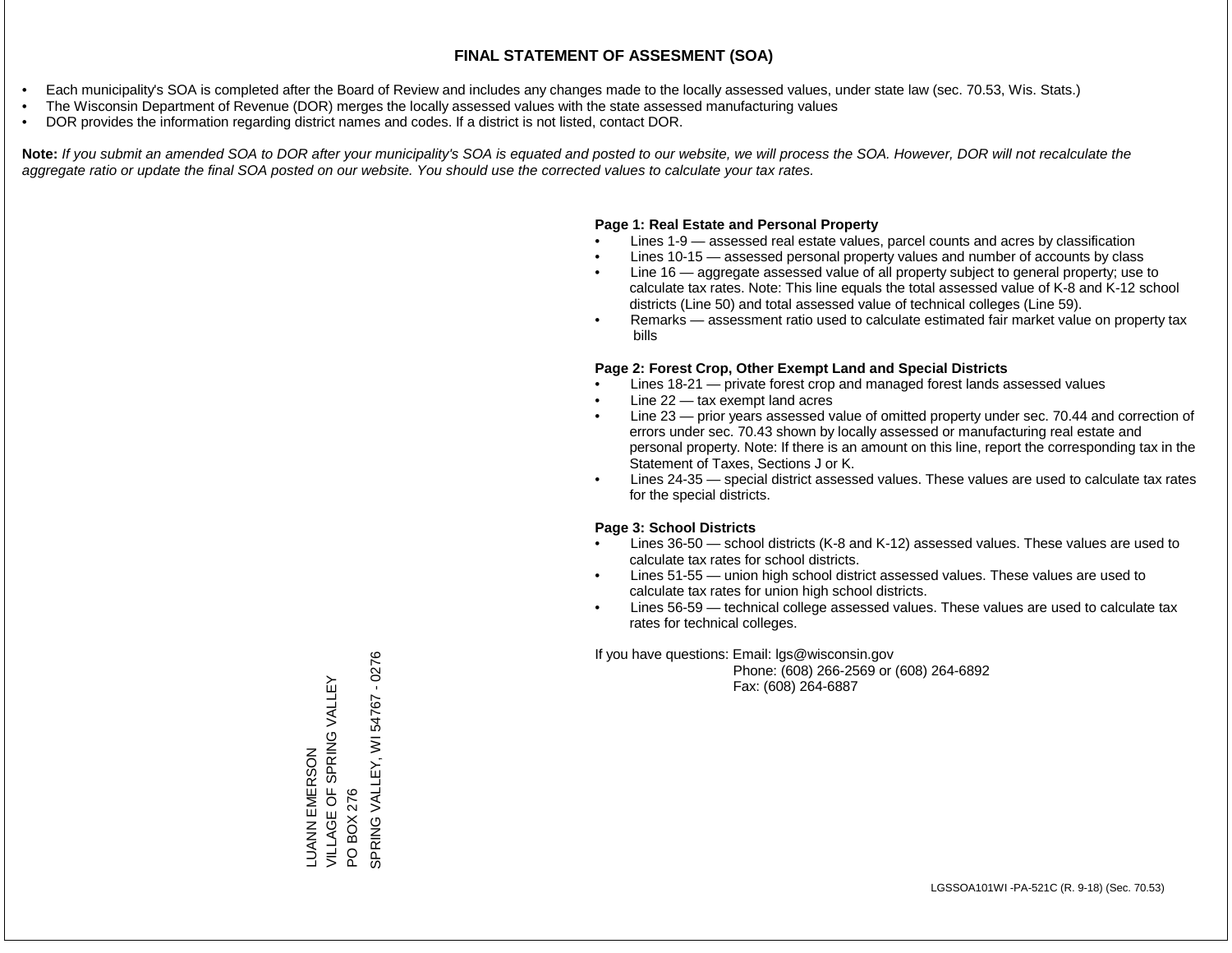- Each municipality's SOA is completed after the Board of Review and includes any changes made to the locally assessed values, under state law (sec. 70.53, Wis. Stats.)
- The Wisconsin Department of Revenue (DOR) merges the locally assessed values with the state assessed manufacturing values
- DOR provides the information regarding district names and codes. If a district is not listed, contact DOR.

Note: If you submit an amended SOA to DOR after your municipality's SOA is equated and posted to our website, we will process the SOA. However, DOR will not recalculate the *aggregate ratio or update the final SOA posted on our website. You should use the corrected values to calculate your tax rates.*

### **Page 1: Real Estate and Personal Property**

- Lines 1-9 assessed real estate values, parcel counts and acres by classification
- Lines 10-15 assessed personal property values and number of accounts by class
- Line 16 aggregate assessed value of all property subject to general property; use to calculate tax rates. Note: This line equals the total assessed value of K-8 and K-12 school districts (Line 50) and total assessed value of technical colleges (Line 59).
- Remarks assessment ratio used to calculate estimated fair market value on property tax bills

### **Page 2: Forest Crop, Other Exempt Land and Special Districts**

- Lines 18-21 private forest crop and managed forest lands assessed values
- Line  $22 -$  tax exempt land acres
- Line 23 prior years assessed value of omitted property under sec. 70.44 and correction of errors under sec. 70.43 shown by locally assessed or manufacturing real estate and personal property. Note: If there is an amount on this line, report the corresponding tax in the Statement of Taxes, Sections J or K.
- Lines 24-35 special district assessed values. These values are used to calculate tax rates for the special districts.

### **Page 3: School Districts**

- Lines 36-50 school districts (K-8 and K-12) assessed values. These values are used to calculate tax rates for school districts.
- Lines 51-55 union high school district assessed values. These values are used to calculate tax rates for union high school districts.
- Lines 56-59 technical college assessed values. These values are used to calculate tax rates for technical colleges.

If you have questions: Email: lgs@wisconsin.gov

 Phone: (608) 266-2569 or (608) 264-6892 Fax: (608) 264-6887

PO BOX 276<br>SPRING VALLEY, WI 54767 - 0276 SPRING VALLEY, WI 54767 - 0276VILLAGE OF SPRING VALLEY LUANN EMERSON<br>VILLAGE OF SPRING VALLEY LUANN EMERSON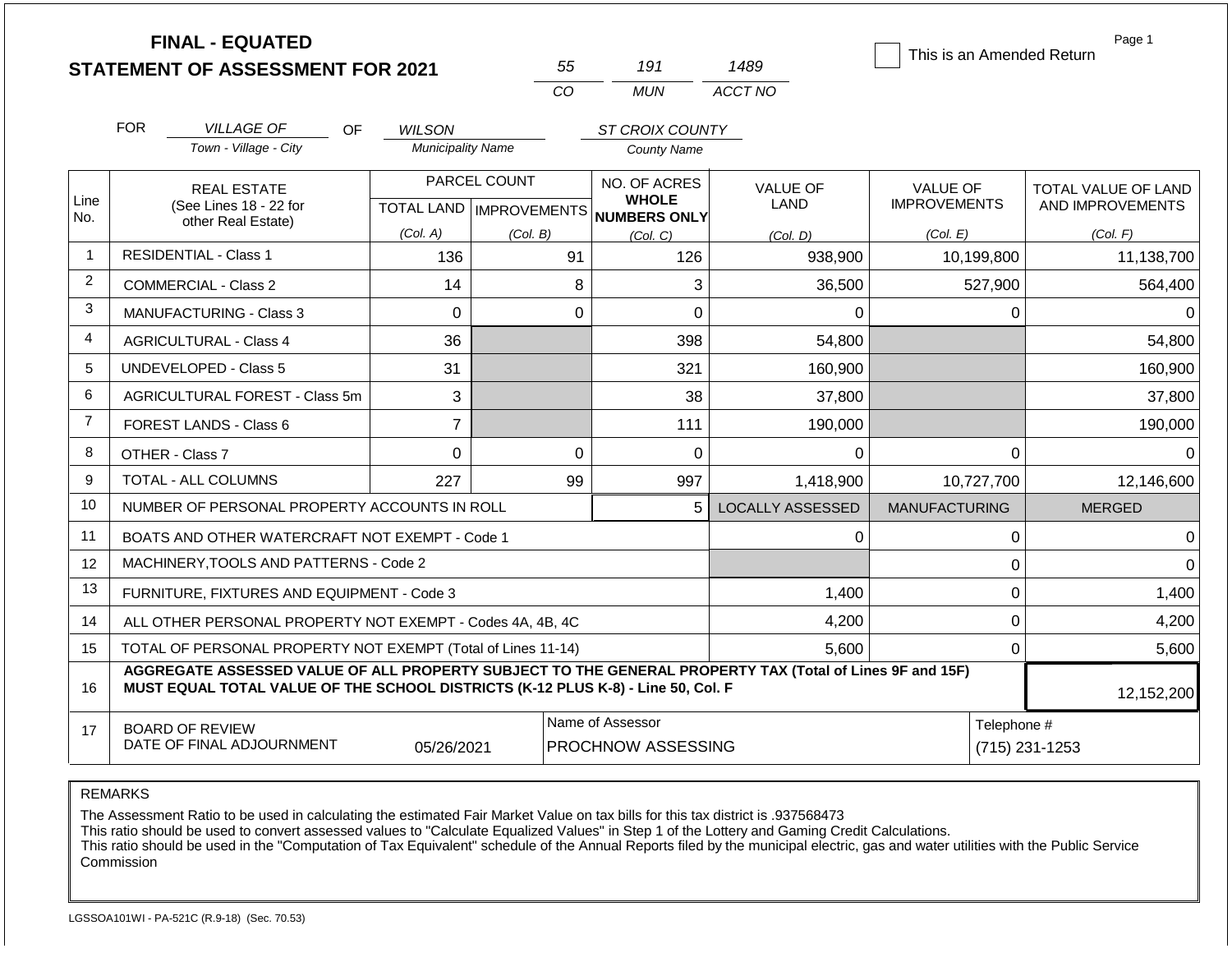|                | <b>FINAL - EQUATED</b>                                                                                                                                                                       |                          |                           |                                        |                         | This is an Amended Return | Page 1              |
|----------------|----------------------------------------------------------------------------------------------------------------------------------------------------------------------------------------------|--------------------------|---------------------------|----------------------------------------|-------------------------|---------------------------|---------------------|
|                | <b>STATEMENT OF ASSESSMENT FOR 2021</b>                                                                                                                                                      |                          | 55                        | 191                                    | 1489                    |                           |                     |
|                |                                                                                                                                                                                              |                          | CO.                       | <b>MUN</b>                             | ACCT NO                 |                           |                     |
|                | <b>FOR</b><br><b>VILLAGE OF</b><br>OF.                                                                                                                                                       | <b>WILSON</b>            |                           | ST CROIX COUNTY                        |                         |                           |                     |
|                | Town - Village - City                                                                                                                                                                        | <b>Municipality Name</b> |                           | <b>County Name</b>                     |                         |                           |                     |
|                | <b>REAL ESTATE</b>                                                                                                                                                                           |                          | PARCEL COUNT              | NO. OF ACRES                           | <b>VALUE OF</b>         | <b>VALUE OF</b>           | TOTAL VALUE OF LAND |
| Line<br>No.    | (See Lines 18 - 22 for<br>other Real Estate)                                                                                                                                                 |                          | TOTAL LAND   IMPROVEMENTS | <b>WHOLE</b><br>NUMBERS ONLY           | <b>LAND</b>             | <b>IMPROVEMENTS</b>       | AND IMPROVEMENTS    |
|                |                                                                                                                                                                                              | (Col. A)                 | (Col, B)                  | (Col, C)                               | (Col. D)                | (Col. E)                  | (Col. F)            |
| 1              | <b>RESIDENTIAL - Class 1</b>                                                                                                                                                                 | 136                      | 91                        | 126                                    | 938,900                 | 10,199,800                | 11,138,700          |
| $\overline{2}$ | <b>COMMERCIAL - Class 2</b>                                                                                                                                                                  | 14                       | 8                         | 3                                      | 36,500                  | 527,900                   | 564,400             |
| 3              | MANUFACTURING - Class 3                                                                                                                                                                      | $\Omega$                 | $\overline{0}$            | 0                                      | $\Omega$                | $\Omega$                  | 0                   |
| 4              | <b>AGRICULTURAL - Class 4</b>                                                                                                                                                                | 36                       |                           | 398                                    | 54,800                  |                           | 54,800              |
| 5              | <b>UNDEVELOPED - Class 5</b>                                                                                                                                                                 | 31                       |                           | 321                                    | 160,900                 |                           | 160,900             |
| 6              | AGRICULTURAL FOREST - Class 5m                                                                                                                                                               | 3                        |                           | 38                                     | 37,800                  |                           | 37,800              |
| $\overline{7}$ | <b>FOREST LANDS - Class 6</b>                                                                                                                                                                | $\overline{7}$           |                           | 111                                    | 190,000                 |                           | 190,000             |
| 8              | OTHER - Class 7                                                                                                                                                                              | $\overline{0}$           | $\overline{0}$            | $\Omega$                               | 0                       | $\mathbf{0}$              | 0                   |
| 9              | <b>TOTAL - ALL COLUMNS</b>                                                                                                                                                                   | 227                      | 99                        | 997                                    | 1,418,900               | 10,727,700                | 12,146,600          |
| 10             | NUMBER OF PERSONAL PROPERTY ACCOUNTS IN ROLL                                                                                                                                                 |                          |                           | 5                                      | <b>LOCALLY ASSESSED</b> | <b>MANUFACTURING</b>      | <b>MERGED</b>       |
| 11             | BOATS AND OTHER WATERCRAFT NOT EXEMPT - Code 1                                                                                                                                               |                          |                           |                                        | $\Omega$                | $\pmb{0}$                 | 0                   |
| 12             | MACHINERY, TOOLS AND PATTERNS - Code 2                                                                                                                                                       |                          |                           |                                        |                         | $\mathbf 0$               | $\Omega$            |
| 13             | FURNITURE, FIXTURES AND EQUIPMENT - Code 3                                                                                                                                                   |                          |                           |                                        | 1,400                   | $\pmb{0}$                 | 1,400               |
| 14             | ALL OTHER PERSONAL PROPERTY NOT EXEMPT - Codes 4A, 4B, 4C                                                                                                                                    |                          |                           |                                        | 4,200                   | $\mathbf 0$               | 4,200               |
| 15             | TOTAL OF PERSONAL PROPERTY NOT EXEMPT (Total of Lines 11-14)                                                                                                                                 |                          |                           |                                        | 5,600                   | $\mathbf 0$               | 5,600               |
| 16             | AGGREGATE ASSESSED VALUE OF ALL PROPERTY SUBJECT TO THE GENERAL PROPERTY TAX (Total of Lines 9F and 15F)<br>MUST EQUAL TOTAL VALUE OF THE SCHOOL DISTRICTS (K-12 PLUS K-8) - Line 50, Col. F |                          |                           |                                        |                         |                           | 12,152,200          |
| 17             | <b>BOARD OF REVIEW</b><br>DATE OF FINAL ADJOURNMENT                                                                                                                                          | 05/26/2021               |                           | Name of Assessor<br>PROCHNOW ASSESSING |                         | Telephone #               | (715) 231-1253      |

The Assessment Ratio to be used in calculating the estimated Fair Market Value on tax bills for this tax district is .937568473

This ratio should be used to convert assessed values to "Calculate Equalized Values" in Step 1 of the Lottery and Gaming Credit Calculations.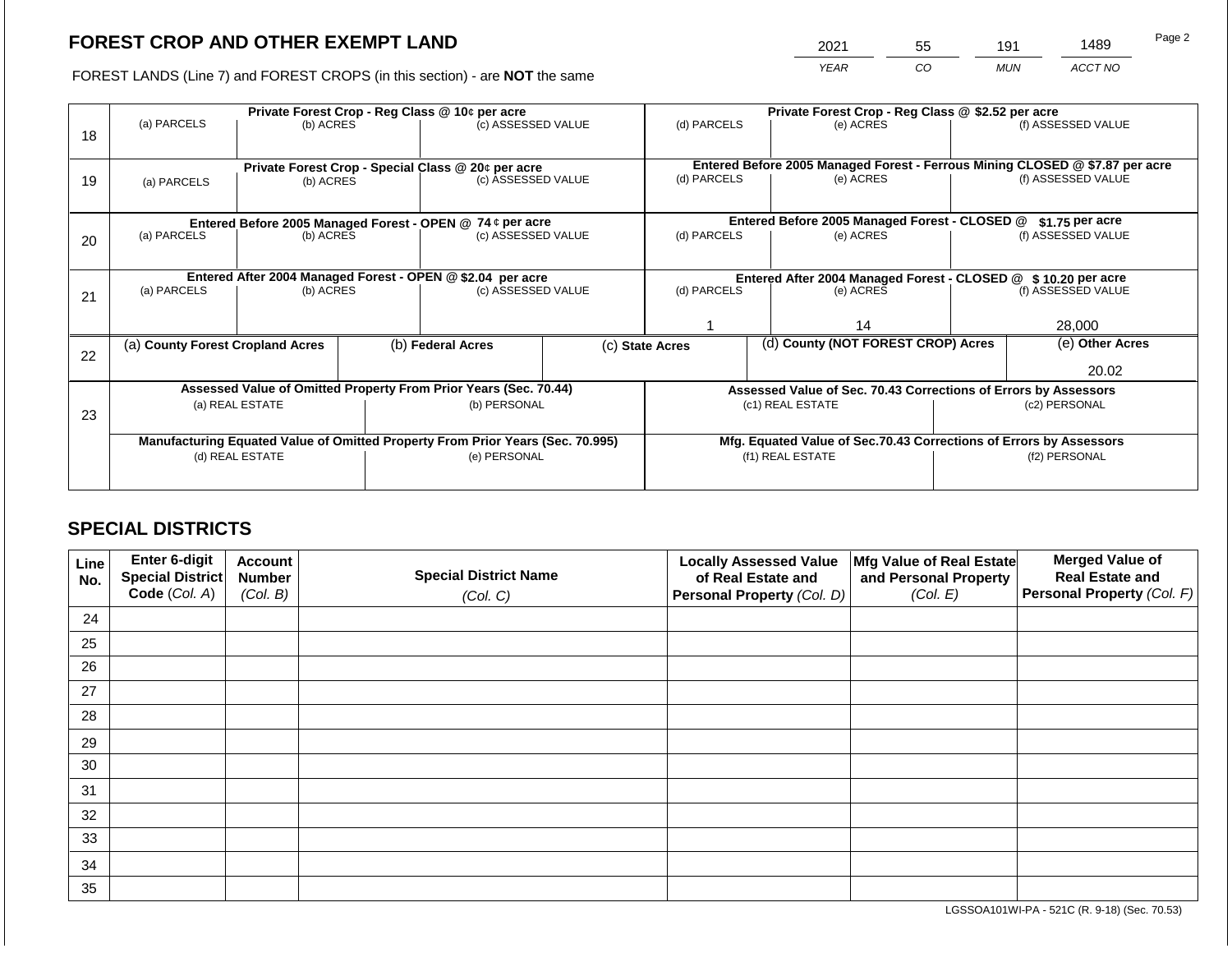2021 55 191 1489

FOREST LANDS (Line 7) and FOREST CROPS (in this section) - are **NOT** the same *YEAR CO MUN ACCT NO*

|    |                                                                                        |                 |              | Private Forest Crop - Reg Class @ 10¢ per acre                                 |                  | Private Forest Crop - Reg Class @ \$2.52 per acre                  |                                                                              |                                                               |                                                                 |                    |  |
|----|----------------------------------------------------------------------------------------|-----------------|--------------|--------------------------------------------------------------------------------|------------------|--------------------------------------------------------------------|------------------------------------------------------------------------------|---------------------------------------------------------------|-----------------------------------------------------------------|--------------------|--|
| 18 | (a) PARCELS                                                                            | (b) ACRES       |              | (c) ASSESSED VALUE                                                             |                  | (d) PARCELS                                                        |                                                                              | (e) ACRES                                                     |                                                                 | (f) ASSESSED VALUE |  |
|    |                                                                                        |                 |              |                                                                                |                  |                                                                    |                                                                              |                                                               |                                                                 |                    |  |
|    |                                                                                        |                 |              | Private Forest Crop - Special Class @ 20¢ per acre<br>(c) ASSESSED VALUE       |                  |                                                                    | Entered Before 2005 Managed Forest - Ferrous Mining CLOSED @ \$7.87 per acre |                                                               |                                                                 |                    |  |
| 19 | (a) PARCELS                                                                            | (b) ACRES       |              |                                                                                |                  | (d) PARCELS                                                        |                                                                              | (e) ACRES                                                     |                                                                 | (f) ASSESSED VALUE |  |
|    |                                                                                        |                 |              |                                                                                |                  |                                                                    |                                                                              |                                                               |                                                                 |                    |  |
|    |                                                                                        |                 |              | Entered Before 2005 Managed Forest - OPEN @ 74 ¢ per acre                      |                  |                                                                    |                                                                              | Entered Before 2005 Managed Forest - CLOSED @                 |                                                                 | $$1.75$ per acre   |  |
| 20 | (a) PARCELS                                                                            | (b) ACRES       |              | (c) ASSESSED VALUE                                                             |                  | (d) PARCELS                                                        |                                                                              | (e) ACRES                                                     |                                                                 | (f) ASSESSED VALUE |  |
|    |                                                                                        |                 |              |                                                                                |                  |                                                                    |                                                                              |                                                               |                                                                 |                    |  |
|    |                                                                                        |                 |              |                                                                                |                  |                                                                    |                                                                              | Entered After 2004 Managed Forest - CLOSED @ \$10.20 per acre |                                                                 |                    |  |
|    | Entered After 2004 Managed Forest - OPEN @ \$2.04 per acre<br>(a) PARCELS<br>(b) ACRES |                 |              | (c) ASSESSED VALUE                                                             |                  | (d) PARCELS                                                        |                                                                              | (e) ACRES                                                     |                                                                 | (f) ASSESSED VALUE |  |
| 21 |                                                                                        |                 |              |                                                                                |                  |                                                                    |                                                                              |                                                               |                                                                 |                    |  |
|    |                                                                                        |                 |              |                                                                                |                  |                                                                    | 14                                                                           |                                                               | 28,000                                                          |                    |  |
|    | (a) County Forest Cropland Acres                                                       |                 |              | (b) Federal Acres                                                              |                  | (c) State Acres                                                    |                                                                              | (d) County (NOT FOREST CROP) Acres                            |                                                                 | (e) Other Acres    |  |
| 22 |                                                                                        |                 |              |                                                                                |                  |                                                                    |                                                                              |                                                               |                                                                 |                    |  |
|    |                                                                                        |                 |              |                                                                                |                  |                                                                    |                                                                              |                                                               |                                                                 | 20.02              |  |
|    |                                                                                        |                 |              | Assessed Value of Omitted Property From Prior Years (Sec. 70.44)               |                  |                                                                    |                                                                              |                                                               | Assessed Value of Sec. 70.43 Corrections of Errors by Assessors |                    |  |
|    |                                                                                        | (a) REAL ESTATE |              | (b) PERSONAL                                                                   |                  |                                                                    |                                                                              | (c1) REAL ESTATE                                              |                                                                 | (c2) PERSONAL      |  |
| 23 |                                                                                        |                 |              |                                                                                |                  |                                                                    |                                                                              |                                                               |                                                                 |                    |  |
|    |                                                                                        |                 |              | Manufacturing Equated Value of Omitted Property From Prior Years (Sec. 70.995) |                  | Mfg. Equated Value of Sec.70.43 Corrections of Errors by Assessors |                                                                              |                                                               |                                                                 |                    |  |
|    | (d) REAL ESTATE                                                                        |                 | (e) PERSONAL |                                                                                | (f1) REAL ESTATE |                                                                    |                                                                              | (f2) PERSONAL                                                 |                                                                 |                    |  |
|    |                                                                                        |                 |              |                                                                                |                  |                                                                    |                                                                              |                                                               |                                                                 |                    |  |
|    |                                                                                        |                 |              |                                                                                |                  |                                                                    |                                                                              |                                                               |                                                                 |                    |  |

# **SPECIAL DISTRICTS**

| Line<br>No. | Enter 6-digit<br>Special District<br>Code (Col. A) | <b>Account</b><br><b>Number</b><br>(Col. B) | <b>Special District Name</b><br>(Col. C) | <b>Locally Assessed Value</b><br>of Real Estate and<br><b>Personal Property (Col. D)</b> | Mfg Value of Real Estate<br>and Personal Property<br>(Col. E) | <b>Merged Value of</b><br><b>Real Estate and</b><br>Personal Property (Col. F) |
|-------------|----------------------------------------------------|---------------------------------------------|------------------------------------------|------------------------------------------------------------------------------------------|---------------------------------------------------------------|--------------------------------------------------------------------------------|
| 24          |                                                    |                                             |                                          |                                                                                          |                                                               |                                                                                |
| 25          |                                                    |                                             |                                          |                                                                                          |                                                               |                                                                                |
| 26          |                                                    |                                             |                                          |                                                                                          |                                                               |                                                                                |
| 27          |                                                    |                                             |                                          |                                                                                          |                                                               |                                                                                |
| 28          |                                                    |                                             |                                          |                                                                                          |                                                               |                                                                                |
| 29          |                                                    |                                             |                                          |                                                                                          |                                                               |                                                                                |
| 30          |                                                    |                                             |                                          |                                                                                          |                                                               |                                                                                |
| 31          |                                                    |                                             |                                          |                                                                                          |                                                               |                                                                                |
| 32          |                                                    |                                             |                                          |                                                                                          |                                                               |                                                                                |
| 33          |                                                    |                                             |                                          |                                                                                          |                                                               |                                                                                |
| 34          |                                                    |                                             |                                          |                                                                                          |                                                               |                                                                                |
| 35          |                                                    |                                             |                                          |                                                                                          |                                                               |                                                                                |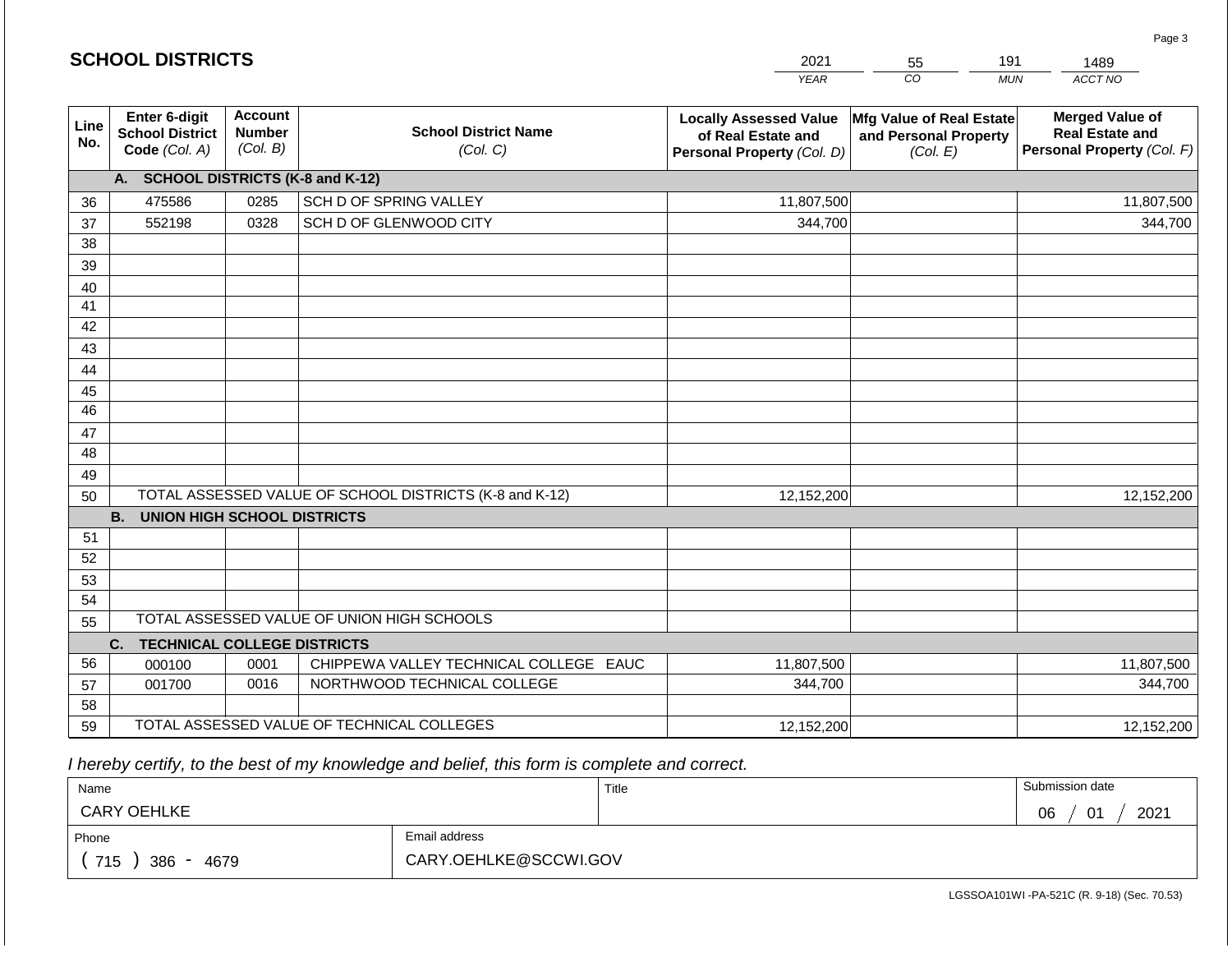|             | <b>SCHOOL DISTRICTS</b>                                         |                                             |                                                         | 2021<br>191<br>1489<br>55                                                         |                                                               |                                                                                |  |  |
|-------------|-----------------------------------------------------------------|---------------------------------------------|---------------------------------------------------------|-----------------------------------------------------------------------------------|---------------------------------------------------------------|--------------------------------------------------------------------------------|--|--|
|             |                                                                 |                                             |                                                         | <b>YEAR</b>                                                                       | CO                                                            | ACCT NO<br><b>MUN</b>                                                          |  |  |
| Line<br>No. | <b>Enter 6-digit</b><br><b>School District</b><br>Code (Col. A) | <b>Account</b><br><b>Number</b><br>(Col. B) | <b>School District Name</b><br>(Col. C)                 | <b>Locally Assessed Value</b><br>of Real Estate and<br>Personal Property (Col. D) | Mfg Value of Real Estate<br>and Personal Property<br>(Col. E) | <b>Merged Value of</b><br><b>Real Estate and</b><br>Personal Property (Col. F) |  |  |
|             | A. SCHOOL DISTRICTS (K-8 and K-12)                              |                                             |                                                         |                                                                                   |                                                               |                                                                                |  |  |
| 36          | 475586                                                          | 0285                                        | SCH D OF SPRING VALLEY                                  | 11,807,500                                                                        |                                                               | 11,807,500                                                                     |  |  |
| 37          | 552198                                                          | 0328                                        | SCH D OF GLENWOOD CITY                                  | 344,700                                                                           |                                                               | 344,700                                                                        |  |  |
| 38          |                                                                 |                                             |                                                         |                                                                                   |                                                               |                                                                                |  |  |
| 39          |                                                                 |                                             |                                                         |                                                                                   |                                                               |                                                                                |  |  |
| 40          |                                                                 |                                             |                                                         |                                                                                   |                                                               |                                                                                |  |  |
| 41          |                                                                 |                                             |                                                         |                                                                                   |                                                               |                                                                                |  |  |
| 42          |                                                                 |                                             |                                                         |                                                                                   |                                                               |                                                                                |  |  |
| 43          |                                                                 |                                             |                                                         |                                                                                   |                                                               |                                                                                |  |  |
| 44          |                                                                 |                                             |                                                         |                                                                                   |                                                               |                                                                                |  |  |
| 45<br>46    |                                                                 |                                             |                                                         |                                                                                   |                                                               |                                                                                |  |  |
|             |                                                                 |                                             |                                                         |                                                                                   |                                                               |                                                                                |  |  |
| 47<br>48    |                                                                 |                                             |                                                         |                                                                                   |                                                               |                                                                                |  |  |
| 49          |                                                                 |                                             |                                                         |                                                                                   |                                                               |                                                                                |  |  |
| 50          |                                                                 |                                             | TOTAL ASSESSED VALUE OF SCHOOL DISTRICTS (K-8 and K-12) | 12,152,200                                                                        |                                                               | 12,152,200                                                                     |  |  |
|             | <b>B. UNION HIGH SCHOOL DISTRICTS</b>                           |                                             |                                                         |                                                                                   |                                                               |                                                                                |  |  |
| 51          |                                                                 |                                             |                                                         |                                                                                   |                                                               |                                                                                |  |  |
| 52          |                                                                 |                                             |                                                         |                                                                                   |                                                               |                                                                                |  |  |
| 53          |                                                                 |                                             |                                                         |                                                                                   |                                                               |                                                                                |  |  |
| 54          |                                                                 |                                             |                                                         |                                                                                   |                                                               |                                                                                |  |  |
| 55          |                                                                 |                                             | TOTAL ASSESSED VALUE OF UNION HIGH SCHOOLS              |                                                                                   |                                                               |                                                                                |  |  |
|             | <b>TECHNICAL COLLEGE DISTRICTS</b><br>C.                        |                                             |                                                         |                                                                                   |                                                               |                                                                                |  |  |
| 56          | 000100                                                          | 0001                                        | CHIPPEWA VALLEY TECHNICAL COLLEGE EAUC                  | 11,807,500                                                                        |                                                               | 11,807,500                                                                     |  |  |
| 57          | 001700                                                          | 0016                                        | NORTHWOOD TECHNICAL COLLEGE                             | 344,700                                                                           |                                                               | 344,700                                                                        |  |  |
| 58          |                                                                 |                                             |                                                         |                                                                                   |                                                               |                                                                                |  |  |
| 59          |                                                                 |                                             | TOTAL ASSESSED VALUE OF TECHNICAL COLLEGES              | 12,152,200                                                                        |                                                               | 12,152,200                                                                     |  |  |

 *I hereby certify, to the best of my knowledge and belief, this form is complete and correct.*

| Name               |                       | Title | Submission date               |
|--------------------|-----------------------|-------|-------------------------------|
| <b>CARY OEHLKE</b> |                       |       | 2021<br>06<br>$\bigcap$<br>υ. |
| Phone              | Email address         |       |                               |
| 715<br>386<br>4679 | CARY.OEHLKE@SCCWI.GOV |       |                               |

LGSSOA101WI -PA-521C (R. 9-18) (Sec. 70.53)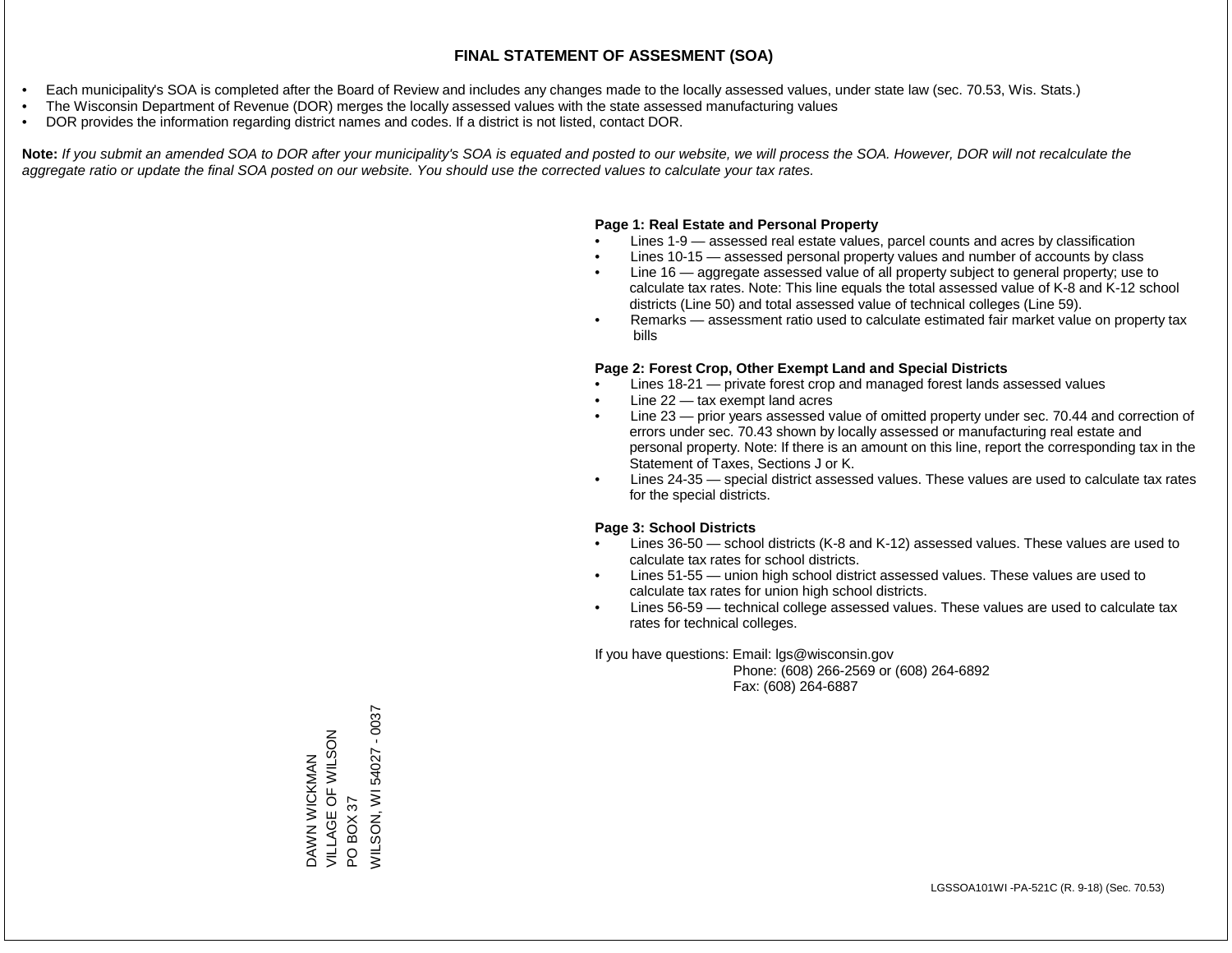- Each municipality's SOA is completed after the Board of Review and includes any changes made to the locally assessed values, under state law (sec. 70.53, Wis. Stats.)
- The Wisconsin Department of Revenue (DOR) merges the locally assessed values with the state assessed manufacturing values
- DOR provides the information regarding district names and codes. If a district is not listed, contact DOR.

Note: If you submit an amended SOA to DOR after your municipality's SOA is equated and posted to our website, we will process the SOA. However, DOR will not recalculate the *aggregate ratio or update the final SOA posted on our website. You should use the corrected values to calculate your tax rates.*

#### **Page 1: Real Estate and Personal Property**

- Lines 1-9 assessed real estate values, parcel counts and acres by classification
- Lines 10-15 assessed personal property values and number of accounts by class
- Line 16 aggregate assessed value of all property subject to general property; use to calculate tax rates. Note: This line equals the total assessed value of K-8 and K-12 school districts (Line 50) and total assessed value of technical colleges (Line 59).
- Remarks assessment ratio used to calculate estimated fair market value on property tax bills

#### **Page 2: Forest Crop, Other Exempt Land and Special Districts**

- Lines 18-21 private forest crop and managed forest lands assessed values
- Line  $22 -$  tax exempt land acres
- Line 23 prior years assessed value of omitted property under sec. 70.44 and correction of errors under sec. 70.43 shown by locally assessed or manufacturing real estate and personal property. Note: If there is an amount on this line, report the corresponding tax in the Statement of Taxes, Sections J or K.
- Lines 24-35 special district assessed values. These values are used to calculate tax rates for the special districts.

#### **Page 3: School Districts**

- Lines 36-50 school districts (K-8 and K-12) assessed values. These values are used to calculate tax rates for school districts.
- Lines 51-55 union high school district assessed values. These values are used to calculate tax rates for union high school districts.
- Lines 56-59 technical college assessed values. These values are used to calculate tax rates for technical colleges.

If you have questions: Email: lgs@wisconsin.gov

 Phone: (608) 266-2569 or (608) 264-6892 Fax: (608) 264-6887

PO BOX 37<br>WILSON, WI 54027 - 0037 WILSON, WI 54027 - 0037VILLAGE OF WILSON DAWN WICKMAN<br>VILLAGE OF WILSON DAWN WICKMAN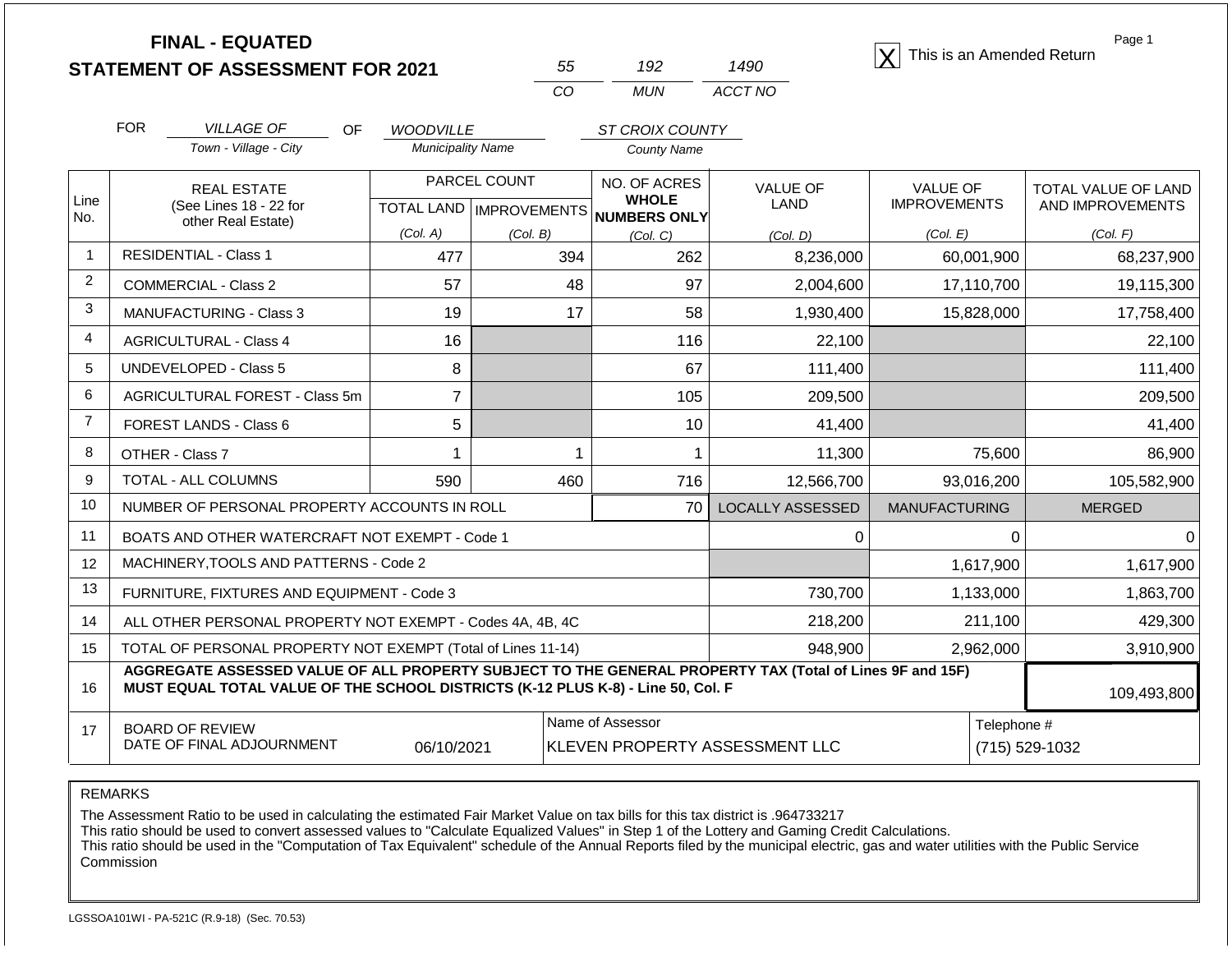|                | <b>FINAL - EQUATED</b>                                                                                                                                                                       |                           |              |                                     |                                | This is an Amended Return | Page 1              |  |
|----------------|----------------------------------------------------------------------------------------------------------------------------------------------------------------------------------------------|---------------------------|--------------|-------------------------------------|--------------------------------|---------------------------|---------------------|--|
|                | <b>STATEMENT OF ASSESSMENT FOR 2021</b>                                                                                                                                                      |                           | 55           | 192                                 | 1490                           |                           |                     |  |
|                |                                                                                                                                                                                              |                           | CO           | <b>MUN</b>                          | ACCT NO                        |                           |                     |  |
|                | <b>FOR</b><br><b>VILLAGE OF</b><br>OF                                                                                                                                                        | <b>WOODVILLE</b>          |              | <b>ST CROIX COUNTY</b>              |                                |                           |                     |  |
|                | Town - Village - City                                                                                                                                                                        | <b>Municipality Name</b>  |              | <b>County Name</b>                  |                                |                           |                     |  |
|                | <b>REAL ESTATE</b>                                                                                                                                                                           |                           | PARCEL COUNT | NO. OF ACRES                        | <b>VALUE OF</b>                | <b>VALUE OF</b>           | TOTAL VALUE OF LAND |  |
| Line<br>No.    | (See Lines 18 - 22 for                                                                                                                                                                       | TOTAL LAND   IMPROVEMENTS |              | <b>WHOLE</b><br><b>NUMBERS ONLY</b> | LAND                           | <b>IMPROVEMENTS</b>       | AND IMPROVEMENTS    |  |
|                | other Real Estate)                                                                                                                                                                           | (Col. A)                  | (Col. B)     | (Col. C)                            | (Col, D)                       | (Col. E)                  | (Col. F)            |  |
| $\overline{1}$ | <b>RESIDENTIAL - Class 1</b>                                                                                                                                                                 | 477                       | 394          | 262                                 | 8,236,000                      | 60,001,900                | 68,237,900          |  |
| 2              | <b>COMMERCIAL - Class 2</b>                                                                                                                                                                  | 57                        | 48           | 97                                  | 2,004,600                      | 17,110,700                | 19,115,300          |  |
| 3              | MANUFACTURING - Class 3                                                                                                                                                                      | 19                        | 17           | 58                                  | 1,930,400                      | 15,828,000                | 17,758,400          |  |
| 4              | <b>AGRICULTURAL - Class 4</b>                                                                                                                                                                | 16                        |              | 116                                 | 22,100                         |                           | 22,100              |  |
| 5              | <b>UNDEVELOPED - Class 5</b>                                                                                                                                                                 | 8                         |              | 67                                  | 111,400                        |                           | 111,400             |  |
| 6              | AGRICULTURAL FOREST - Class 5m                                                                                                                                                               | $\overline{7}$            |              | 105                                 | 209,500                        |                           | 209,500             |  |
| $\overline{7}$ | FOREST LANDS - Class 6                                                                                                                                                                       | 5                         |              | 10                                  | 41,400                         |                           | 41,400              |  |
| 8              | OTHER - Class 7                                                                                                                                                                              | 1                         | 1            | 1                                   | 11,300                         | 75,600                    | 86,900              |  |
| 9              | TOTAL - ALL COLUMNS                                                                                                                                                                          | 590                       | 460          | 716                                 | 12,566,700                     | 93,016,200                | 105,582,900         |  |
| 10             | NUMBER OF PERSONAL PROPERTY ACCOUNTS IN ROLL                                                                                                                                                 |                           |              | 70                                  | <b>LOCALLY ASSESSED</b>        | <b>MANUFACTURING</b>      | <b>MERGED</b>       |  |
| 11             | BOATS AND OTHER WATERCRAFT NOT EXEMPT - Code 1                                                                                                                                               |                           |              |                                     | 0                              | $\Omega$                  | $\Omega$            |  |
| 12             | MACHINERY, TOOLS AND PATTERNS - Code 2                                                                                                                                                       |                           |              |                                     |                                | 1,617,900                 | 1,617,900           |  |
| 13             | FURNITURE, FIXTURES AND EQUIPMENT - Code 3                                                                                                                                                   |                           |              |                                     | 730,700                        | 1,133,000                 | 1,863,700           |  |
| 14             | ALL OTHER PERSONAL PROPERTY NOT EXEMPT - Codes 4A, 4B, 4C                                                                                                                                    |                           |              |                                     | 218,200                        | 211,100                   | 429,300             |  |
| 15             | TOTAL OF PERSONAL PROPERTY NOT EXEMPT (Total of Lines 11-14)                                                                                                                                 |                           |              |                                     | 948,900                        | 2,962,000                 | 3,910,900           |  |
| 16             | AGGREGATE ASSESSED VALUE OF ALL PROPERTY SUBJECT TO THE GENERAL PROPERTY TAX (Total of Lines 9F and 15F)<br>MUST EQUAL TOTAL VALUE OF THE SCHOOL DISTRICTS (K-12 PLUS K-8) - Line 50, Col. F |                           |              |                                     |                                |                           | 109,493,800         |  |
| 17             | <b>BOARD OF REVIEW</b>                                                                                                                                                                       |                           |              | Name of Assessor                    |                                | Telephone #               |                     |  |
|                | DATE OF FINAL ADJOURNMENT                                                                                                                                                                    | 06/10/2021                |              |                                     | KLEVEN PROPERTY ASSESSMENT LLC | (715) 529-1032            |                     |  |

The Assessment Ratio to be used in calculating the estimated Fair Market Value on tax bills for this tax district is .964733217

This ratio should be used to convert assessed values to "Calculate Equalized Values" in Step 1 of the Lottery and Gaming Credit Calculations.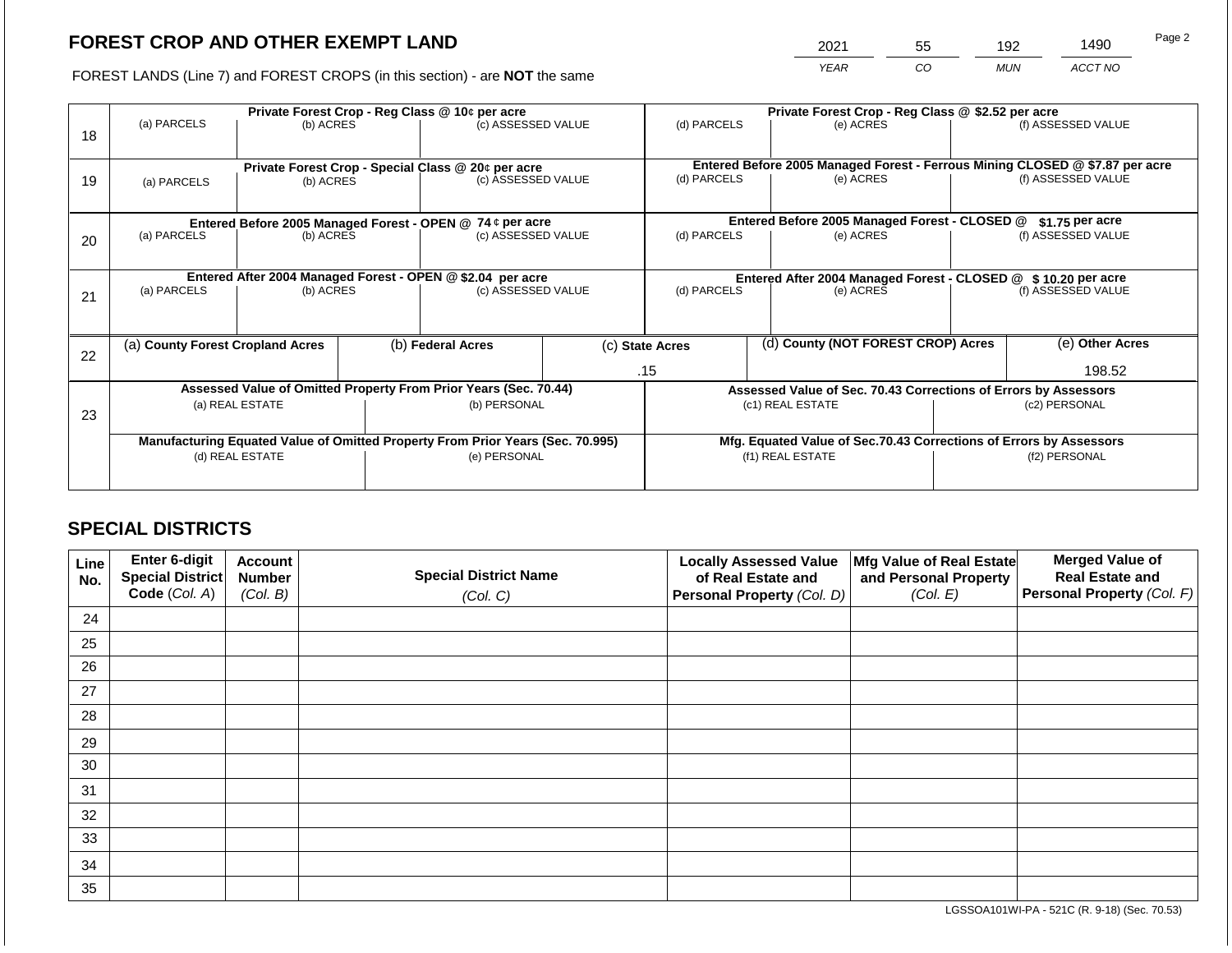2021 55 192 1490

FOREST LANDS (Line 7) and FOREST CROPS (in this section) - are **NOT** the same *YEAR CO MUN ACCT NO*

|    |                                                            | Private Forest Crop - Reg Class @ 10¢ per acre                                 |                                                               |                                                    |                                               | Private Forest Crop - Reg Class @ \$2.52 per acre |                 |                                                                              |               |                    |
|----|------------------------------------------------------------|--------------------------------------------------------------------------------|---------------------------------------------------------------|----------------------------------------------------|-----------------------------------------------|---------------------------------------------------|-----------------|------------------------------------------------------------------------------|---------------|--------------------|
| 18 | (a) PARCELS                                                | (b) ACRES                                                                      |                                                               | (c) ASSESSED VALUE                                 |                                               | (d) PARCELS                                       |                 | (e) ACRES                                                                    |               | (f) ASSESSED VALUE |
|    |                                                            |                                                                                |                                                               |                                                    |                                               |                                                   |                 |                                                                              |               |                    |
|    |                                                            |                                                                                |                                                               | Private Forest Crop - Special Class @ 20¢ per acre |                                               | (d) PARCELS                                       |                 | Entered Before 2005 Managed Forest - Ferrous Mining CLOSED @ \$7.87 per acre |               |                    |
| 19 | (b) ACRES<br>(a) PARCELS                                   |                                                                                |                                                               | (c) ASSESSED VALUE                                 |                                               |                                                   |                 | (e) ACRES                                                                    |               | (f) ASSESSED VALUE |
|    |                                                            |                                                                                |                                                               |                                                    |                                               |                                                   |                 |                                                                              |               |                    |
|    | Entered Before 2005 Managed Forest - OPEN @ 74 ¢ per acre  |                                                                                |                                                               |                                                    | Entered Before 2005 Managed Forest - CLOSED @ |                                                   | \$1.75 per acre |                                                                              |               |                    |
| 20 | (a) PARCELS                                                | (b) ACRES                                                                      |                                                               | (c) ASSESSED VALUE                                 |                                               | (d) PARCELS                                       |                 | (e) ACRES                                                                    |               | (f) ASSESSED VALUE |
|    |                                                            |                                                                                |                                                               |                                                    |                                               |                                                   |                 |                                                                              |               |                    |
|    | Entered After 2004 Managed Forest - OPEN @ \$2.04 per acre |                                                                                | Entered After 2004 Managed Forest - CLOSED @ \$10.20 per acre |                                                    |                                               |                                                   |                 |                                                                              |               |                    |
| 21 | (a) PARCELS                                                | (b) ACRES                                                                      |                                                               | (c) ASSESSED VALUE                                 |                                               | (d) PARCELS                                       | (e) ACRES       |                                                                              |               | (f) ASSESSED VALUE |
|    |                                                            |                                                                                |                                                               |                                                    |                                               |                                                   |                 |                                                                              |               |                    |
|    |                                                            |                                                                                |                                                               |                                                    |                                               |                                                   |                 |                                                                              |               |                    |
|    | (a) County Forest Cropland Acres                           |                                                                                |                                                               | (b) Federal Acres                                  |                                               | (c) State Acres                                   |                 | (d) County (NOT FOREST CROP) Acres                                           |               | (e) Other Acres    |
| 22 |                                                            |                                                                                |                                                               |                                                    |                                               | .15                                               |                 |                                                                              |               | 198.52             |
|    |                                                            |                                                                                |                                                               |                                                    |                                               |                                                   |                 |                                                                              |               |                    |
|    |                                                            | Assessed Value of Omitted Property From Prior Years (Sec. 70.44)               |                                                               |                                                    |                                               |                                                   |                 | Assessed Value of Sec. 70.43 Corrections of Errors by Assessors              |               |                    |
| 23 |                                                            | (a) REAL ESTATE                                                                |                                                               | (b) PERSONAL                                       |                                               |                                                   |                 | (c1) REAL ESTATE                                                             |               | (c2) PERSONAL      |
|    |                                                            |                                                                                |                                                               |                                                    |                                               |                                                   |                 |                                                                              |               |                    |
|    |                                                            | Manufacturing Equated Value of Omitted Property From Prior Years (Sec. 70.995) |                                                               |                                                    |                                               |                                                   |                 | Mfg. Equated Value of Sec.70.43 Corrections of Errors by Assessors           |               |                    |
|    |                                                            | (d) REAL ESTATE                                                                |                                                               | (e) PERSONAL                                       |                                               | (f1) REAL ESTATE                                  |                 |                                                                              | (f2) PERSONAL |                    |
|    |                                                            |                                                                                |                                                               |                                                    |                                               |                                                   |                 |                                                                              |               |                    |
|    |                                                            |                                                                                |                                                               |                                                    |                                               |                                                   |                 |                                                                              |               |                    |

# **SPECIAL DISTRICTS**

| Line<br>No. | Enter 6-digit<br><b>Special District</b><br>Code (Col. A) | <b>Account</b><br><b>Number</b><br>(Col. B) | <b>Special District Name</b><br>(Col. C) | <b>Locally Assessed Value</b><br>of Real Estate and<br>Personal Property (Col. D) | Mfg Value of Real Estate<br>and Personal Property<br>(Col. E) | <b>Merged Value of</b><br><b>Real Estate and</b><br>Personal Property (Col. F) |
|-------------|-----------------------------------------------------------|---------------------------------------------|------------------------------------------|-----------------------------------------------------------------------------------|---------------------------------------------------------------|--------------------------------------------------------------------------------|
| 24          |                                                           |                                             |                                          |                                                                                   |                                                               |                                                                                |
|             |                                                           |                                             |                                          |                                                                                   |                                                               |                                                                                |
| 25          |                                                           |                                             |                                          |                                                                                   |                                                               |                                                                                |
| 26          |                                                           |                                             |                                          |                                                                                   |                                                               |                                                                                |
| 27          |                                                           |                                             |                                          |                                                                                   |                                                               |                                                                                |
| 28          |                                                           |                                             |                                          |                                                                                   |                                                               |                                                                                |
| 29          |                                                           |                                             |                                          |                                                                                   |                                                               |                                                                                |
| 30          |                                                           |                                             |                                          |                                                                                   |                                                               |                                                                                |
| 31          |                                                           |                                             |                                          |                                                                                   |                                                               |                                                                                |
| 32          |                                                           |                                             |                                          |                                                                                   |                                                               |                                                                                |
| 33          |                                                           |                                             |                                          |                                                                                   |                                                               |                                                                                |
| 34          |                                                           |                                             |                                          |                                                                                   |                                                               |                                                                                |
| 35          |                                                           |                                             |                                          |                                                                                   |                                                               |                                                                                |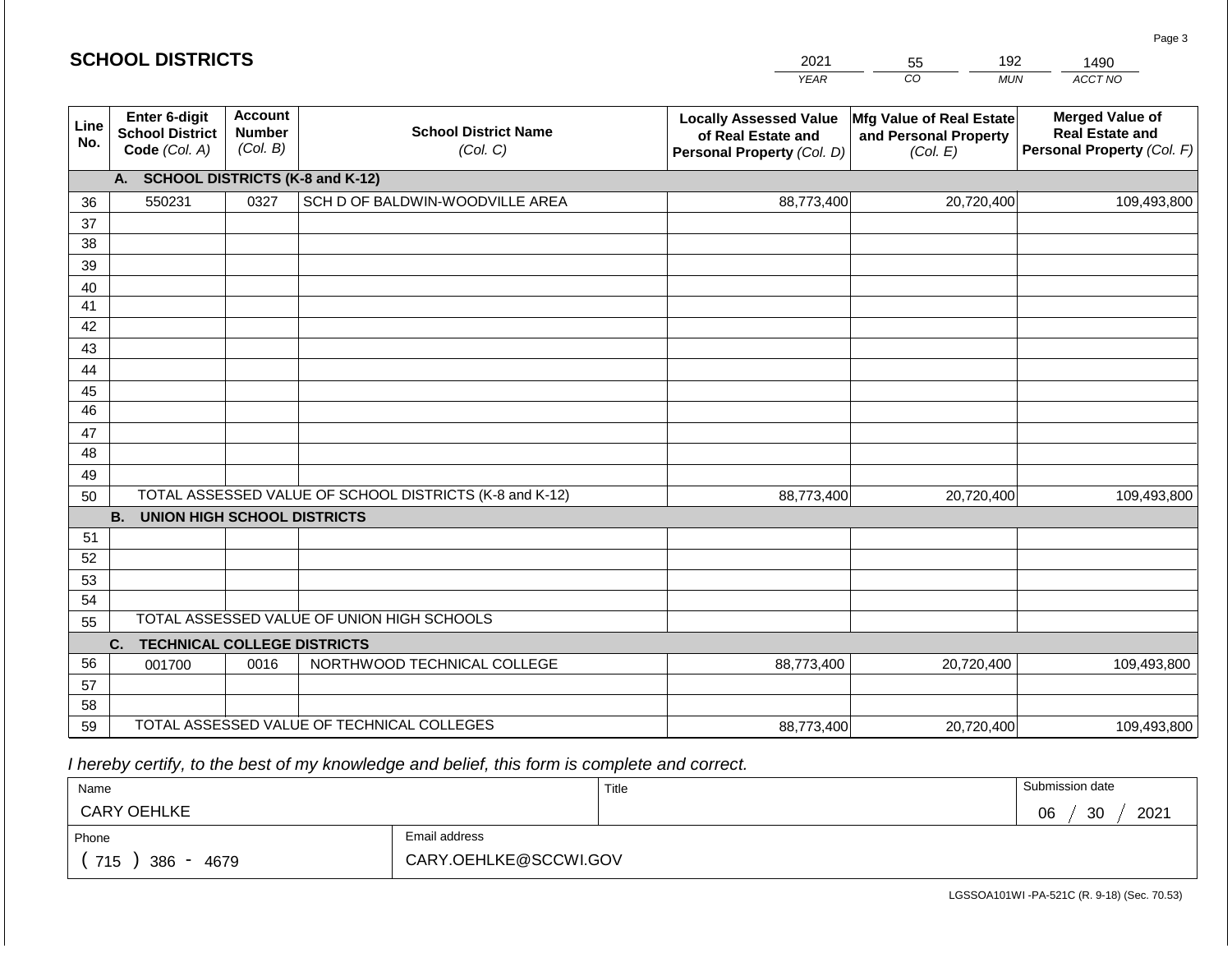|             | <b>SCHOOL DISTRICTS</b>                                         |                                             |                                                         | 2021<br>192<br>1490<br>55                                                         |                                                                      |                                                                                |  |  |
|-------------|-----------------------------------------------------------------|---------------------------------------------|---------------------------------------------------------|-----------------------------------------------------------------------------------|----------------------------------------------------------------------|--------------------------------------------------------------------------------|--|--|
|             |                                                                 |                                             |                                                         | <b>YEAR</b>                                                                       | CO<br><b>MUN</b>                                                     | ACCT NO                                                                        |  |  |
| Line<br>No. | <b>Enter 6-digit</b><br><b>School District</b><br>Code (Col. A) | <b>Account</b><br><b>Number</b><br>(Col. B) | <b>School District Name</b><br>(Col. C)                 | <b>Locally Assessed Value</b><br>of Real Estate and<br>Personal Property (Col. D) | <b>Mfg Value of Real Estate</b><br>and Personal Property<br>(Col. E) | <b>Merged Value of</b><br><b>Real Estate and</b><br>Personal Property (Col. F) |  |  |
|             | A.                                                              |                                             | <b>SCHOOL DISTRICTS (K-8 and K-12)</b>                  |                                                                                   |                                                                      |                                                                                |  |  |
| 36          | 550231                                                          | 0327                                        | SCH D OF BALDWIN-WOODVILLE AREA                         | 88,773,400                                                                        | 20,720,400                                                           | 109,493,800                                                                    |  |  |
| 37          |                                                                 |                                             |                                                         |                                                                                   |                                                                      |                                                                                |  |  |
| 38          |                                                                 |                                             |                                                         |                                                                                   |                                                                      |                                                                                |  |  |
| 39          |                                                                 |                                             |                                                         |                                                                                   |                                                                      |                                                                                |  |  |
| 40          |                                                                 |                                             |                                                         |                                                                                   |                                                                      |                                                                                |  |  |
| 41<br>42    |                                                                 |                                             |                                                         |                                                                                   |                                                                      |                                                                                |  |  |
| 43          |                                                                 |                                             |                                                         |                                                                                   |                                                                      |                                                                                |  |  |
| 44          |                                                                 |                                             |                                                         |                                                                                   |                                                                      |                                                                                |  |  |
| 45          |                                                                 |                                             |                                                         |                                                                                   |                                                                      |                                                                                |  |  |
| 46          |                                                                 |                                             |                                                         |                                                                                   |                                                                      |                                                                                |  |  |
| 47          |                                                                 |                                             |                                                         |                                                                                   |                                                                      |                                                                                |  |  |
| 48          |                                                                 |                                             |                                                         |                                                                                   |                                                                      |                                                                                |  |  |
| 49          |                                                                 |                                             |                                                         |                                                                                   |                                                                      |                                                                                |  |  |
| 50          |                                                                 |                                             | TOTAL ASSESSED VALUE OF SCHOOL DISTRICTS (K-8 and K-12) | 88,773,400                                                                        | 20,720,400                                                           | 109,493,800                                                                    |  |  |
|             | <b>B.</b><br><b>UNION HIGH SCHOOL DISTRICTS</b>                 |                                             |                                                         |                                                                                   |                                                                      |                                                                                |  |  |
| 51          |                                                                 |                                             |                                                         |                                                                                   |                                                                      |                                                                                |  |  |
| 52          |                                                                 |                                             |                                                         |                                                                                   |                                                                      |                                                                                |  |  |
| 53          |                                                                 |                                             |                                                         |                                                                                   |                                                                      |                                                                                |  |  |
| 54          |                                                                 |                                             | TOTAL ASSESSED VALUE OF UNION HIGH SCHOOLS              |                                                                                   |                                                                      |                                                                                |  |  |
| 55          |                                                                 |                                             |                                                         |                                                                                   |                                                                      |                                                                                |  |  |
| 56          | C.<br><b>TECHNICAL COLLEGE DISTRICTS</b>                        | 0016                                        | NORTHWOOD TECHNICAL COLLEGE                             |                                                                                   |                                                                      |                                                                                |  |  |
| 57          | 001700                                                          |                                             |                                                         | 88,773,400                                                                        | 20,720,400                                                           | 109,493,800                                                                    |  |  |
| 58          |                                                                 |                                             |                                                         |                                                                                   |                                                                      |                                                                                |  |  |
| 59          |                                                                 |                                             | TOTAL ASSESSED VALUE OF TECHNICAL COLLEGES              | 88,773,400                                                                        | 20,720,400                                                           | 109,493,800                                                                    |  |  |

 *I hereby certify, to the best of my knowledge and belief, this form is complete and correct.*

| Name                                           |                       | Title | Submission date  |
|------------------------------------------------|-----------------------|-------|------------------|
| <b>CARY OEHLKE</b>                             |                       |       | 2021<br>30<br>06 |
| Phone                                          | Email address         |       |                  |
| 715<br>386<br>4679<br>$\overline{\phantom{0}}$ | CARY.OEHLKE@SCCWI.GOV |       |                  |

LGSSOA101WI -PA-521C (R. 9-18) (Sec. 70.53)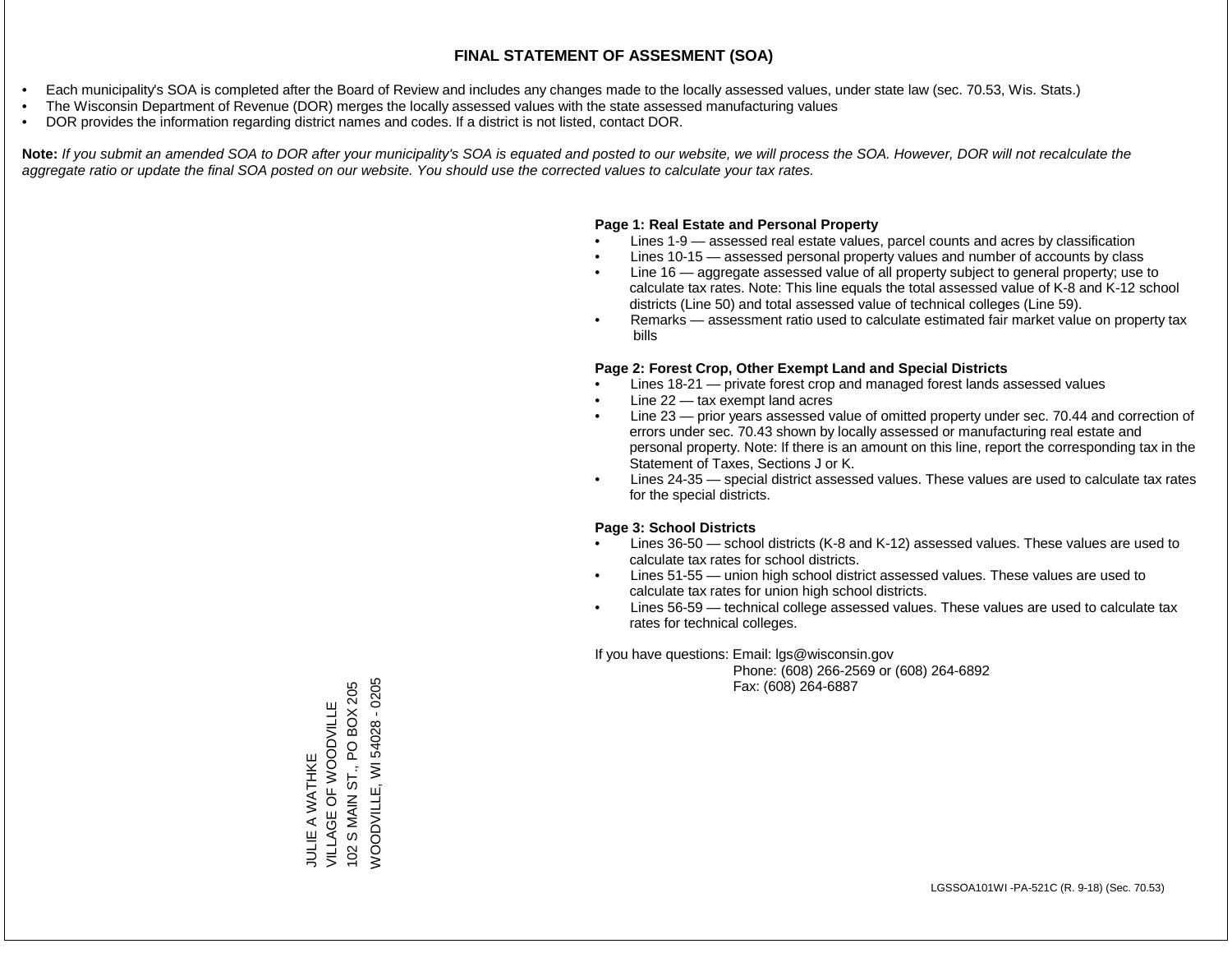- Each municipality's SOA is completed after the Board of Review and includes any changes made to the locally assessed values, under state law (sec. 70.53, Wis. Stats.)
- The Wisconsin Department of Revenue (DOR) merges the locally assessed values with the state assessed manufacturing values
- DOR provides the information regarding district names and codes. If a district is not listed, contact DOR.

Note: If you submit an amended SOA to DOR after your municipality's SOA is equated and posted to our website, we will process the SOA. However, DOR will not recalculate the *aggregate ratio or update the final SOA posted on our website. You should use the corrected values to calculate your tax rates.*

#### **Page 1: Real Estate and Personal Property**

- Lines 1-9 assessed real estate values, parcel counts and acres by classification
- Lines 10-15 assessed personal property values and number of accounts by class
- Line 16 aggregate assessed value of all property subject to general property; use to calculate tax rates. Note: This line equals the total assessed value of K-8 and K-12 school districts (Line 50) and total assessed value of technical colleges (Line 59).
- Remarks assessment ratio used to calculate estimated fair market value on property tax bills

#### **Page 2: Forest Crop, Other Exempt Land and Special Districts**

- Lines 18-21 private forest crop and managed forest lands assessed values
- Line  $22 -$  tax exempt land acres
- Line 23 prior years assessed value of omitted property under sec. 70.44 and correction of errors under sec. 70.43 shown by locally assessed or manufacturing real estate and personal property. Note: If there is an amount on this line, report the corresponding tax in the Statement of Taxes, Sections J or K.
- Lines 24-35 special district assessed values. These values are used to calculate tax rates for the special districts.

#### **Page 3: School Districts**

- Lines 36-50 school districts (K-8 and K-12) assessed values. These values are used to calculate tax rates for school districts.
- Lines 51-55 union high school district assessed values. These values are used to calculate tax rates for union high school districts.
- Lines 56-59 technical college assessed values. These values are used to calculate tax rates for technical colleges.

If you have questions: Email: lgs@wisconsin.gov

 Phone: (608) 266-2569 or (608) 264-6892 Fax: (608) 264-6887

**NOODVILLE, WI 54028 - 0205** 102 S MAIN ST., PO BOX 205 WOODVILLE, WI 54028 - 0205102 S MAIN ST., PO BOX 205 VILLAGE OF WOODVILLE VILLAGE OF WOODVILLE JULIE A WATHKE JULIE A WATHKE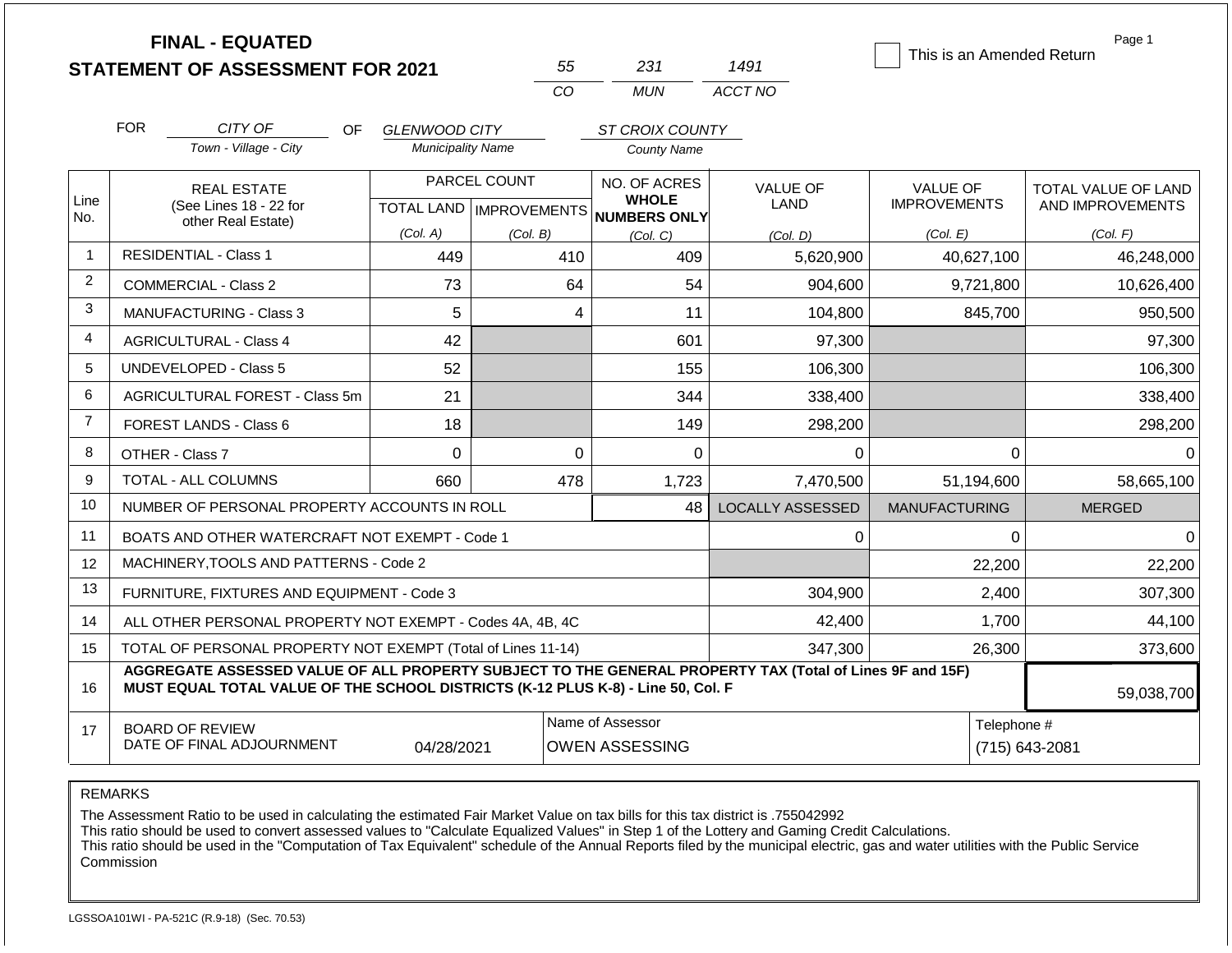|                |                                                                                                                                                                                              | <b>FINAL - EQUATED</b><br><b>STATEMENT OF ASSESSMENT FOR 2021</b> |                           |          | 55             | 231                                       | 1491                    | This is an Amended Return | Page 1                        |  |
|----------------|----------------------------------------------------------------------------------------------------------------------------------------------------------------------------------------------|-------------------------------------------------------------------|---------------------------|----------|----------------|-------------------------------------------|-------------------------|---------------------------|-------------------------------|--|
|                |                                                                                                                                                                                              |                                                                   |                           |          | <b>CO</b>      | <b>MUN</b>                                | ACCT NO                 |                           |                               |  |
|                | <b>FOR</b>                                                                                                                                                                                   | CITY OF<br>OF.                                                    | <b>GLENWOOD CITY</b>      |          |                | ST CROIX COUNTY                           |                         |                           |                               |  |
|                |                                                                                                                                                                                              | Town - Village - City                                             | <b>Municipality Name</b>  |          |                | <b>County Name</b>                        |                         |                           |                               |  |
|                | <b>REAL ESTATE</b>                                                                                                                                                                           |                                                                   | PARCEL COUNT              |          |                | NO. OF ACRES                              | <b>VALUE OF</b>         | <b>VALUE OF</b>           | TOTAL VALUE OF LAND           |  |
| Line<br>No.    |                                                                                                                                                                                              | (See Lines 18 - 22 for                                            | TOTAL LAND   IMPROVEMENTS |          |                | <b>WHOLE</b><br><b>NUMBERS ONLY</b>       | LAND                    | <b>IMPROVEMENTS</b>       | AND IMPROVEMENTS              |  |
|                |                                                                                                                                                                                              | other Real Estate)                                                | (Col. A)                  | (Col. B) |                | (Col. C)                                  | (Col. D)                | (Col. E)                  | (Col. F)                      |  |
| 1              |                                                                                                                                                                                              | <b>RESIDENTIAL - Class 1</b>                                      | 449                       |          | 410            | 409                                       | 5,620,900               | 40,627,100                | 46,248,000                    |  |
| $\overline{2}$ |                                                                                                                                                                                              | <b>COMMERCIAL - Class 2</b>                                       | 73                        |          | 64             | 54                                        | 904,600                 | 9,721,800                 | 10,626,400                    |  |
| 3              |                                                                                                                                                                                              | MANUFACTURING - Class 3                                           | 5                         |          | 4              | 11                                        | 104,800                 | 845,700                   | 950,500                       |  |
| 4              |                                                                                                                                                                                              | <b>AGRICULTURAL - Class 4</b>                                     | 42                        |          |                | 601                                       | 97,300                  |                           | 97,300                        |  |
| 5              |                                                                                                                                                                                              | UNDEVELOPED - Class 5                                             | 52                        |          |                | 155                                       | 106,300                 |                           | 106,300                       |  |
| 6              |                                                                                                                                                                                              | <b>AGRICULTURAL FOREST - Class 5m</b>                             | 21                        |          |                | 344                                       | 338,400                 |                           | 338,400                       |  |
| $\overline{7}$ |                                                                                                                                                                                              | FOREST LANDS - Class 6                                            | 18                        |          |                | 149                                       | 298,200                 |                           | 298,200                       |  |
| 8              |                                                                                                                                                                                              | OTHER - Class 7                                                   | $\Omega$                  |          | $\overline{0}$ | 0                                         | 0                       | $\mathbf 0$               | $\Omega$                      |  |
| 9              |                                                                                                                                                                                              | <b>TOTAL - ALL COLUMNS</b>                                        | 660                       |          | 478            | 1,723                                     | 7,470,500               | 51,194,600                | 58,665,100                    |  |
| 10             |                                                                                                                                                                                              | NUMBER OF PERSONAL PROPERTY ACCOUNTS IN ROLL                      |                           |          |                | 48                                        | <b>LOCALLY ASSESSED</b> | <b>MANUFACTURING</b>      | <b>MERGED</b>                 |  |
| 11             |                                                                                                                                                                                              | BOATS AND OTHER WATERCRAFT NOT EXEMPT - Code 1                    |                           |          |                |                                           | 0                       | 0                         | $\Omega$                      |  |
| 12             |                                                                                                                                                                                              | MACHINERY, TOOLS AND PATTERNS - Code 2                            |                           |          |                |                                           |                         | 22,200                    | 22,200                        |  |
| 13             |                                                                                                                                                                                              | FURNITURE, FIXTURES AND EQUIPMENT - Code 3                        |                           |          |                |                                           | 304,900                 | 2,400                     | 307,300                       |  |
| 14             |                                                                                                                                                                                              | ALL OTHER PERSONAL PROPERTY NOT EXEMPT - Codes 4A, 4B, 4C         |                           |          |                |                                           | 42,400                  | 1,700                     | 44,100                        |  |
| 15             | TOTAL OF PERSONAL PROPERTY NOT EXEMPT (Total of Lines 11-14)                                                                                                                                 |                                                                   |                           |          |                |                                           | 347,300                 | 26,300                    | 373,600                       |  |
| 16             | AGGREGATE ASSESSED VALUE OF ALL PROPERTY SUBJECT TO THE GENERAL PROPERTY TAX (Total of Lines 9F and 15F)<br>MUST EQUAL TOTAL VALUE OF THE SCHOOL DISTRICTS (K-12 PLUS K-8) - Line 50, Col. F |                                                                   |                           |          |                |                                           |                         |                           | 59,038,700                    |  |
| 17             |                                                                                                                                                                                              | <b>BOARD OF REVIEW</b><br>DATE OF FINAL ADJOURNMENT               | 04/28/2021                |          |                | Name of Assessor<br><b>OWEN ASSESSING</b> |                         |                           | Telephone #<br>(715) 643-2081 |  |

The Assessment Ratio to be used in calculating the estimated Fair Market Value on tax bills for this tax district is .755042992

This ratio should be used to convert assessed values to "Calculate Equalized Values" in Step 1 of the Lottery and Gaming Credit Calculations.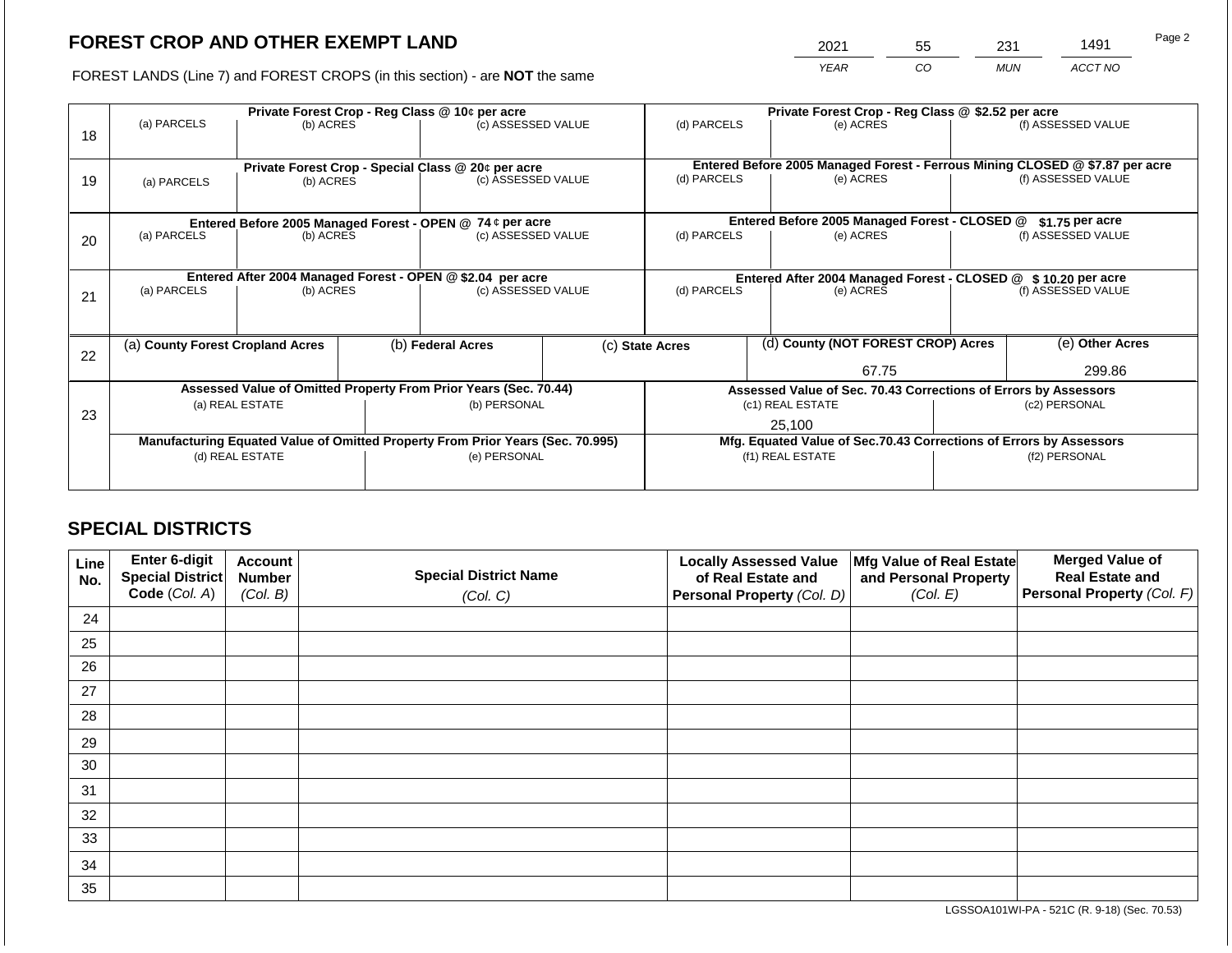2021 55 231 1491

FOREST LANDS (Line 7) and FOREST CROPS (in this section) - are **NOT** the same *YEAR CO MUN ACCT NO*

|    |                                                            | Private Forest Crop - Reg Class @ 10¢ per acre                                 |  |                                                                          |  | Private Forest Crop - Reg Class @ \$2.52 per acre               |  |                                                                              |               |                    |
|----|------------------------------------------------------------|--------------------------------------------------------------------------------|--|--------------------------------------------------------------------------|--|-----------------------------------------------------------------|--|------------------------------------------------------------------------------|---------------|--------------------|
| 18 | (a) PARCELS                                                | (b) ACRES                                                                      |  | (c) ASSESSED VALUE                                                       |  | (d) PARCELS                                                     |  | (e) ACRES                                                                    |               | (f) ASSESSED VALUE |
|    |                                                            |                                                                                |  |                                                                          |  |                                                                 |  | Entered Before 2005 Managed Forest - Ferrous Mining CLOSED @ \$7.87 per acre |               |                    |
| 19 | (a) PARCELS                                                | (b) ACRES                                                                      |  | Private Forest Crop - Special Class @ 20¢ per acre<br>(c) ASSESSED VALUE |  | (d) PARCELS<br>(e) ACRES                                        |  |                                                                              |               | (f) ASSESSED VALUE |
|    |                                                            |                                                                                |  |                                                                          |  |                                                                 |  |                                                                              |               |                    |
|    |                                                            | Entered Before 2005 Managed Forest - OPEN @ 74 ¢ per acre                      |  |                                                                          |  |                                                                 |  | Entered Before 2005 Managed Forest - CLOSED @                                |               | $$1.75$ per acre   |
| 20 | (a) PARCELS                                                | (b) ACRES                                                                      |  | (c) ASSESSED VALUE                                                       |  | (d) PARCELS                                                     |  | (e) ACRES                                                                    |               | (f) ASSESSED VALUE |
|    |                                                            |                                                                                |  |                                                                          |  |                                                                 |  |                                                                              |               |                    |
|    | Entered After 2004 Managed Forest - OPEN @ \$2.04 per acre |                                                                                |  |                                                                          |  |                                                                 |  | Entered After 2004 Managed Forest - CLOSED @ \$10.20 per acre                |               |                    |
| 21 | (a) PARCELS                                                | (b) ACRES                                                                      |  | (c) ASSESSED VALUE                                                       |  | (d) PARCELS<br>(e) ACRES                                        |  |                                                                              |               | (f) ASSESSED VALUE |
|    |                                                            |                                                                                |  |                                                                          |  |                                                                 |  |                                                                              |               |                    |
| 22 | (a) County Forest Cropland Acres                           |                                                                                |  | (b) Federal Acres                                                        |  | (c) State Acres                                                 |  | (d) County (NOT FOREST CROP) Acres                                           |               | (e) Other Acres    |
|    |                                                            |                                                                                |  |                                                                          |  |                                                                 |  | 67.75                                                                        |               | 299.86             |
|    |                                                            | Assessed Value of Omitted Property From Prior Years (Sec. 70.44)               |  |                                                                          |  | Assessed Value of Sec. 70.43 Corrections of Errors by Assessors |  |                                                                              |               |                    |
| 23 |                                                            | (a) REAL ESTATE                                                                |  | (b) PERSONAL                                                             |  |                                                                 |  | (c1) REAL ESTATE                                                             |               | (c2) PERSONAL      |
|    |                                                            |                                                                                |  |                                                                          |  |                                                                 |  | 25,100                                                                       |               |                    |
|    |                                                            | Manufacturing Equated Value of Omitted Property From Prior Years (Sec. 70.995) |  |                                                                          |  |                                                                 |  | Mfg. Equated Value of Sec.70.43 Corrections of Errors by Assessors           |               |                    |
|    |                                                            | (d) REAL ESTATE                                                                |  | (e) PERSONAL                                                             |  | (f1) REAL ESTATE                                                |  |                                                                              | (f2) PERSONAL |                    |
|    |                                                            |                                                                                |  |                                                                          |  |                                                                 |  |                                                                              |               |                    |
|    |                                                            |                                                                                |  |                                                                          |  |                                                                 |  |                                                                              |               |                    |

# **SPECIAL DISTRICTS**

| Line<br>No. | <b>Enter 6-digit</b><br>Special District | <b>Account</b><br><b>Number</b> | <b>Special District Name</b> | <b>Locally Assessed Value</b><br>of Real Estate and | Mfg Value of Real Estate<br>and Personal Property | <b>Merged Value of</b><br><b>Real Estate and</b> |
|-------------|------------------------------------------|---------------------------------|------------------------------|-----------------------------------------------------|---------------------------------------------------|--------------------------------------------------|
|             | Code (Col. A)                            | (Col. B)                        | (Col. C)                     | Personal Property (Col. D)                          | (Col. E)                                          | Personal Property (Col. F)                       |
| 24          |                                          |                                 |                              |                                                     |                                                   |                                                  |
| 25          |                                          |                                 |                              |                                                     |                                                   |                                                  |
| 26          |                                          |                                 |                              |                                                     |                                                   |                                                  |
| 27          |                                          |                                 |                              |                                                     |                                                   |                                                  |
| 28          |                                          |                                 |                              |                                                     |                                                   |                                                  |
| 29          |                                          |                                 |                              |                                                     |                                                   |                                                  |
| 30          |                                          |                                 |                              |                                                     |                                                   |                                                  |
| 31          |                                          |                                 |                              |                                                     |                                                   |                                                  |
| 32          |                                          |                                 |                              |                                                     |                                                   |                                                  |
| 33          |                                          |                                 |                              |                                                     |                                                   |                                                  |
| 34          |                                          |                                 |                              |                                                     |                                                   |                                                  |
| 35          |                                          |                                 |                              |                                                     |                                                   |                                                  |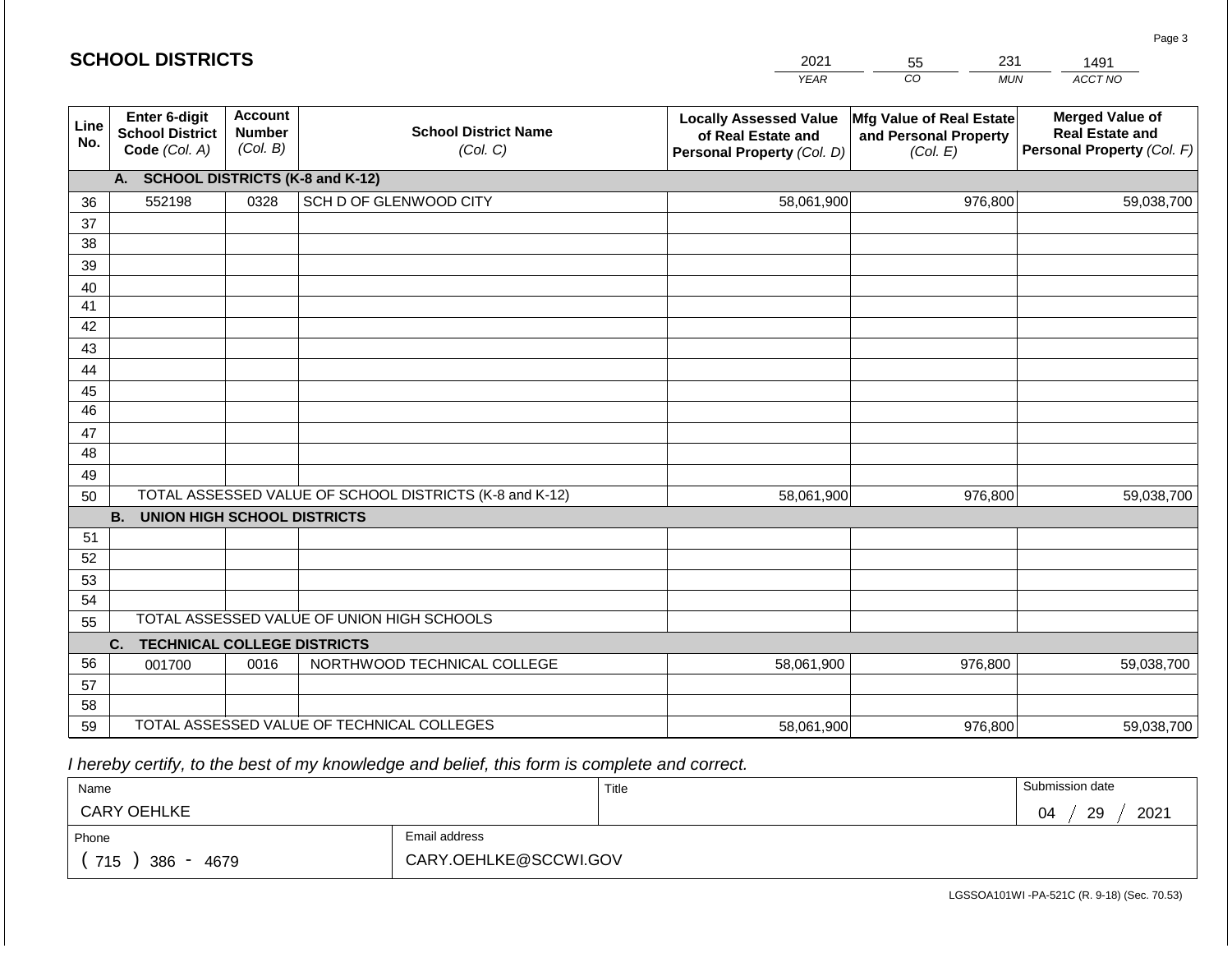#### *YEAR*  2021  $\overline{co}$ 55 *MUN*  231 *ACCT NO*  1491 **Line No. Enter 6-digit School District Code** *(Col. A)* **Account Number** *(Col. B)* **School District Name** *(Col. C)* **Locally Assessed Value of Real Estate and Personal Property** *(Col. D)* **Mfg Value of Real Estate and Personal Property** *(Col. E)* **Merged Value of Real Estate and Personal Property** *(Col. F)* **A. SCHOOL DISTRICTS (K-8 and K-12)** 36 37 38 39 40 41 42 43 44 45 46 47 48 49 50 TOTAL ASSESSED VALUE OF SCHOOL DISTRICTS (K-8 and K-12) **B. UNION HIGH SCHOOL DISTRICTS** 51 52 53 54 55 **C. TECHNICAL COLLEGE DISTRICTS** 56 57 58 59 TOTAL ASSESSED VALUE OF TECHNICAL COLLEGES TOTAL ASSESSED VALUE OF UNION HIGH SCHOOLS 552198 0328 SCH D OF GLENWOOD CITY 58,061,900 58,061,900 001700 0016 NORTHWOOD TECHNICAL COLLEGE 58,061,900 976,800 59,038,700 976,800 59,038,700 976,800 59,038,700 58,061,900 976,800 59,038,700

 *I hereby certify, to the best of my knowledge and belief, this form is complete and correct.*

| Name               |                       | Title | Submission date  |
|--------------------|-----------------------|-------|------------------|
| <b>CARY OEHLKE</b> |                       |       | 2021<br>29<br>04 |
| Phone              | Email address         |       |                  |
| 715<br>386<br>4679 | CARY.OEHLKE@SCCWI.GOV |       |                  |

LGSSOA101WI -PA-521C (R. 9-18) (Sec. 70.53)

| <b>SCHOOL DISTRICTS</b> |  |
|-------------------------|--|
|-------------------------|--|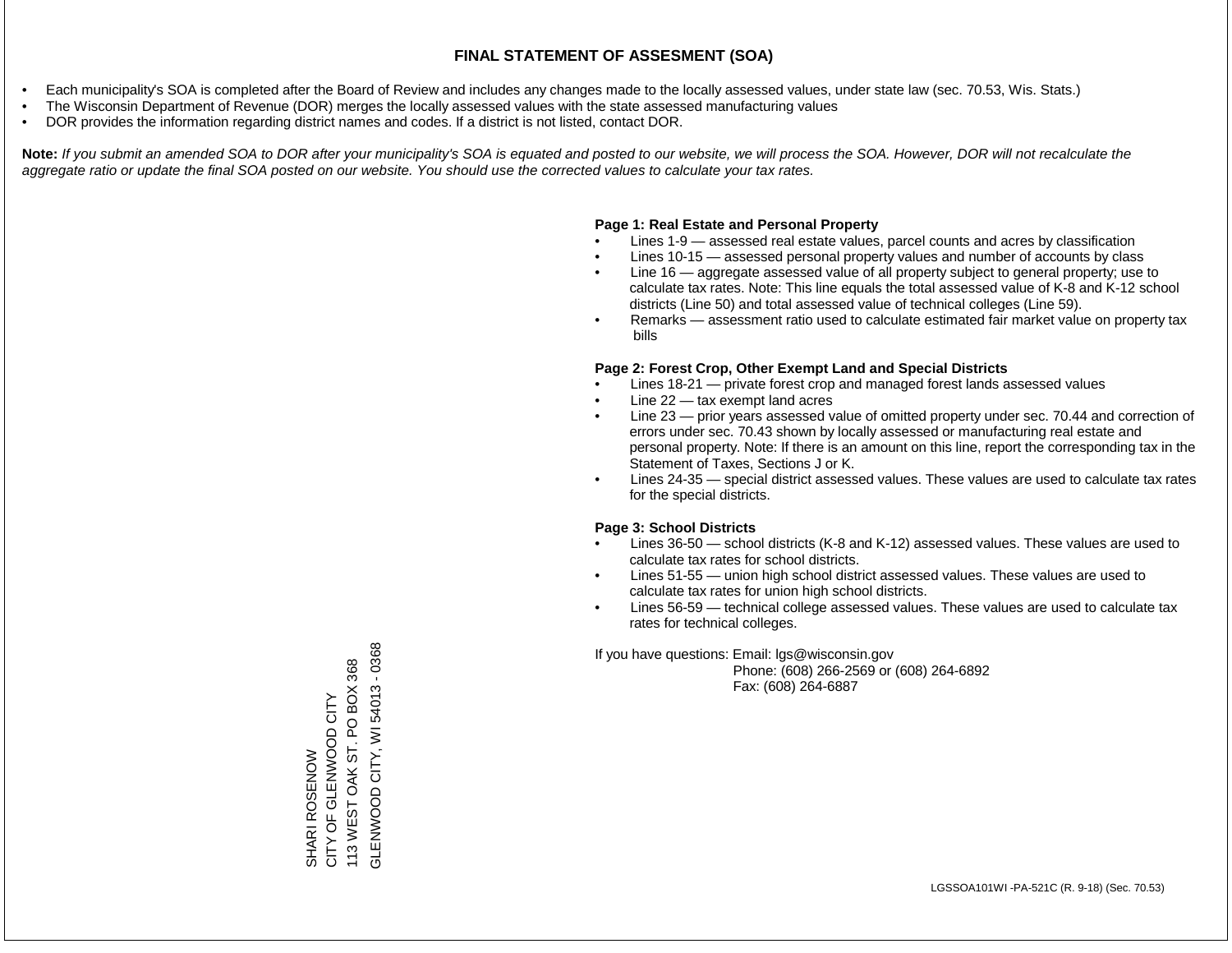- Each municipality's SOA is completed after the Board of Review and includes any changes made to the locally assessed values, under state law (sec. 70.53, Wis. Stats.)
- The Wisconsin Department of Revenue (DOR) merges the locally assessed values with the state assessed manufacturing values
- DOR provides the information regarding district names and codes. If a district is not listed, contact DOR.

Note: If you submit an amended SOA to DOR after your municipality's SOA is equated and posted to our website, we will process the SOA. However, DOR will not recalculate the *aggregate ratio or update the final SOA posted on our website. You should use the corrected values to calculate your tax rates.*

### **Page 1: Real Estate and Personal Property**

- Lines 1-9 assessed real estate values, parcel counts and acres by classification
- Lines 10-15 assessed personal property values and number of accounts by class
- Line 16 aggregate assessed value of all property subject to general property; use to calculate tax rates. Note: This line equals the total assessed value of K-8 and K-12 school districts (Line 50) and total assessed value of technical colleges (Line 59).
- Remarks assessment ratio used to calculate estimated fair market value on property tax bills

### **Page 2: Forest Crop, Other Exempt Land and Special Districts**

- Lines 18-21 private forest crop and managed forest lands assessed values
- Line  $22 -$  tax exempt land acres
- Line 23 prior years assessed value of omitted property under sec. 70.44 and correction of errors under sec. 70.43 shown by locally assessed or manufacturing real estate and personal property. Note: If there is an amount on this line, report the corresponding tax in the Statement of Taxes, Sections J or K.
- Lines 24-35 special district assessed values. These values are used to calculate tax rates for the special districts.

### **Page 3: School Districts**

- Lines 36-50 school districts (K-8 and K-12) assessed values. These values are used to calculate tax rates for school districts.
- Lines 51-55 union high school district assessed values. These values are used to calculate tax rates for union high school districts.
- Lines 56-59 technical college assessed values. These values are used to calculate tax rates for technical colleges.

If you have questions: Email: lgs@wisconsin.gov

 Phone: (608) 266-2569 or (608) 264-6892 Fax: (608) 264-6887

GLENWOOD CITY, WI 54013 - 0368 GLENWOOD CITY, WI 54013 - 0368113 WEST OAK ST. PO BOX 368 113 WEST OAK ST. PO BOX 368 CITY OF GLENWOOD CITY SHARI ROSENOW<br>CITY OF GLENWOOD CITY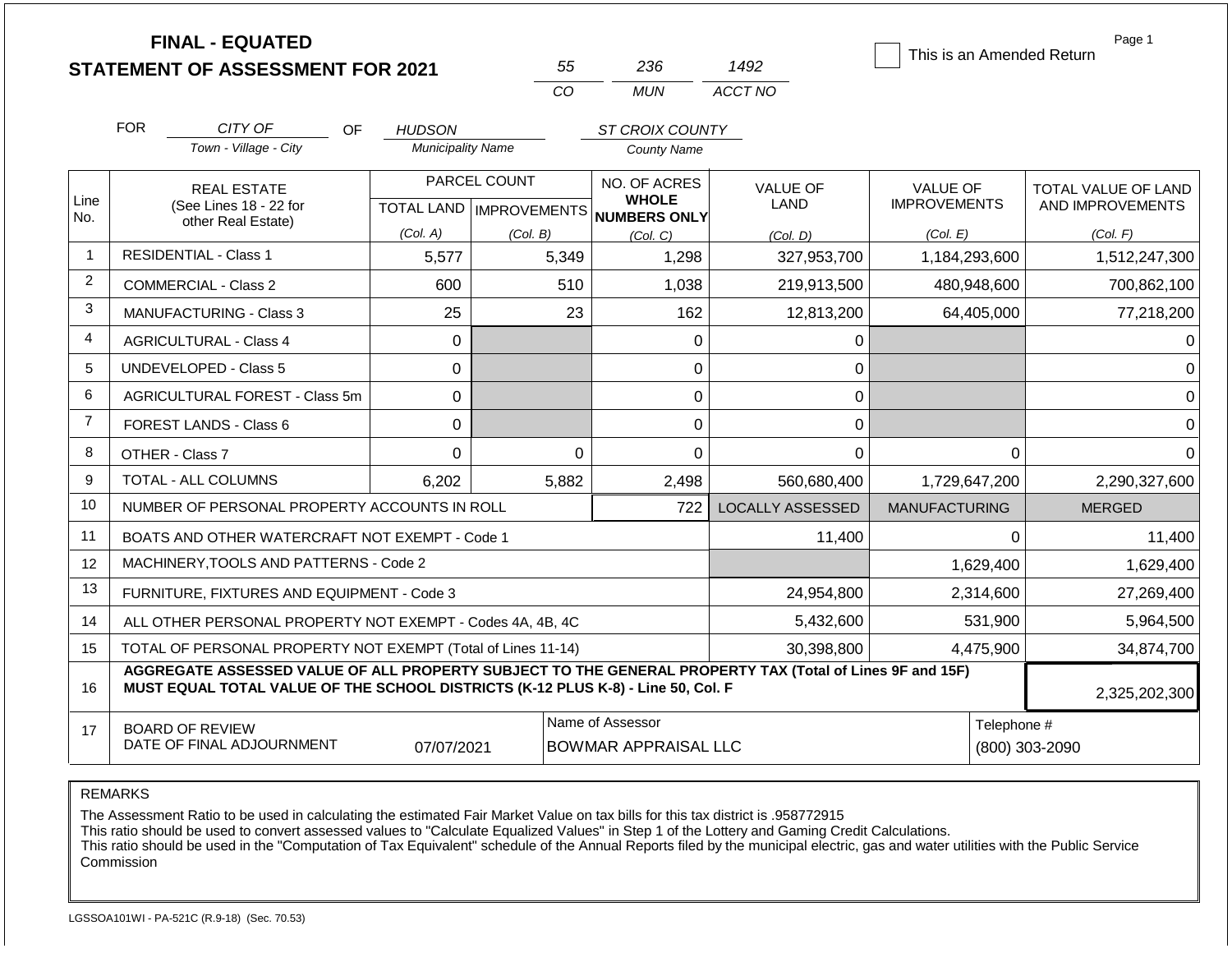|                | <b>FINAL - EQUATED</b>                                                                                                                                                                       |             |                          |                           |                |                                     |                         | This is an Amended Return | Page 1              |
|----------------|----------------------------------------------------------------------------------------------------------------------------------------------------------------------------------------------|-------------|--------------------------|---------------------------|----------------|-------------------------------------|-------------------------|---------------------------|---------------------|
|                | <b>STATEMENT OF ASSESSMENT FOR 2021</b>                                                                                                                                                      |             |                          |                           | 55             | 236                                 | 1492                    |                           |                     |
|                |                                                                                                                                                                                              |             |                          |                           | CO             | <b>MUN</b>                          | ACCT NO                 |                           |                     |
|                | <b>FOR</b><br>CITY OF                                                                                                                                                                        | OF.         | <b>HUDSON</b>            |                           |                | ST CROIX COUNTY                     |                         |                           |                     |
|                | Town - Village - City                                                                                                                                                                        |             | <b>Municipality Name</b> |                           |                | <b>County Name</b>                  |                         |                           |                     |
|                | <b>REAL ESTATE</b>                                                                                                                                                                           |             |                          | PARCEL COUNT              |                | NO. OF ACRES                        | <b>VALUE OF</b>         | <b>VALUE OF</b>           | TOTAL VALUE OF LAND |
| Line<br>No.    | (See Lines 18 - 22 for<br>other Real Estate)                                                                                                                                                 |             |                          | TOTAL LAND   IMPROVEMENTS |                | <b>WHOLE</b><br><b>NUMBERS ONLY</b> | <b>LAND</b>             | <b>IMPROVEMENTS</b>       | AND IMPROVEMENTS    |
|                |                                                                                                                                                                                              |             | (Col. A)                 | (Col. B)                  |                | (Col, C)                            | (Col, D)                | (Col. E)                  | (Col. F)            |
| $\mathbf 1$    | <b>RESIDENTIAL - Class 1</b>                                                                                                                                                                 |             | 5,577                    |                           | 5,349          | 1,298                               | 327,953,700             | 1,184,293,600             | 1,512,247,300       |
| 2              | <b>COMMERCIAL - Class 2</b>                                                                                                                                                                  |             | 600                      |                           | 510            | 1,038                               | 219,913,500             | 480,948,600               | 700,862,100         |
| 3              | MANUFACTURING - Class 3                                                                                                                                                                      |             | 25                       |                           | 23             | 162                                 | 12,813,200              | 64,405,000                | 77,218,200          |
| 4              | $\overline{0}$<br><b>AGRICULTURAL - Class 4</b>                                                                                                                                              |             |                          |                           | 0              | 0                                   |                         | $\Omega$                  |                     |
| 5              | <b>UNDEVELOPED - Class 5</b><br>0                                                                                                                                                            |             |                          |                           | 0              | 0                                   |                         | 0                         |                     |
| 6              | AGRICULTURAL FOREST - Class 5m                                                                                                                                                               |             | $\mathbf 0$              |                           |                | 0                                   | 0                       |                           | $\Omega$            |
| $\overline{7}$ | FOREST LANDS - Class 6                                                                                                                                                                       |             | $\Omega$                 |                           |                | 0                                   | 0                       |                           | $\Omega$            |
| 8              | OTHER - Class 7                                                                                                                                                                              |             | $\mathbf 0$              |                           | $\overline{0}$ | 0                                   | 0                       | $\Omega$                  | $\Omega$            |
| 9              | TOTAL - ALL COLUMNS                                                                                                                                                                          |             | 6,202                    |                           | 5,882          | 2,498                               | 560,680,400             | 1,729,647,200             | 2,290,327,600       |
| 10             | NUMBER OF PERSONAL PROPERTY ACCOUNTS IN ROLL                                                                                                                                                 |             |                          |                           |                | 722                                 | <b>LOCALLY ASSESSED</b> | <b>MANUFACTURING</b>      | <b>MERGED</b>       |
| 11             | BOATS AND OTHER WATERCRAFT NOT EXEMPT - Code 1                                                                                                                                               |             |                          |                           |                |                                     | 11,400                  | $\Omega$                  | 11,400              |
| 12             | MACHINERY, TOOLS AND PATTERNS - Code 2                                                                                                                                                       |             |                          |                           |                |                                     |                         | 1,629,400                 | 1,629,400           |
| 13             | FURNITURE, FIXTURES AND EQUIPMENT - Code 3                                                                                                                                                   |             |                          |                           |                |                                     | 24,954,800              | 2,314,600                 | 27,269,400          |
| 14             | ALL OTHER PERSONAL PROPERTY NOT EXEMPT - Codes 4A, 4B, 4C                                                                                                                                    |             |                          |                           |                |                                     | 5,432,600               | 531,900                   | 5,964,500           |
| 15             | TOTAL OF PERSONAL PROPERTY NOT EXEMPT (Total of Lines 11-14)                                                                                                                                 |             |                          |                           |                | 30,398,800                          | 4,475,900               | 34,874,700                |                     |
| 16             | AGGREGATE ASSESSED VALUE OF ALL PROPERTY SUBJECT TO THE GENERAL PROPERTY TAX (Total of Lines 9F and 15F)<br>MUST EQUAL TOTAL VALUE OF THE SCHOOL DISTRICTS (K-12 PLUS K-8) - Line 50, Col. F |             |                          |                           |                |                                     |                         |                           | 2,325,202,300       |
| 17             | <b>BOARD OF REVIEW</b><br>DATE OF FINAL ADJOURNMENT                                                                                                                                          | Telephone # | (800) 303-2090           |                           |                |                                     |                         |                           |                     |

The Assessment Ratio to be used in calculating the estimated Fair Market Value on tax bills for this tax district is .958772915

This ratio should be used to convert assessed values to "Calculate Equalized Values" in Step 1 of the Lottery and Gaming Credit Calculations.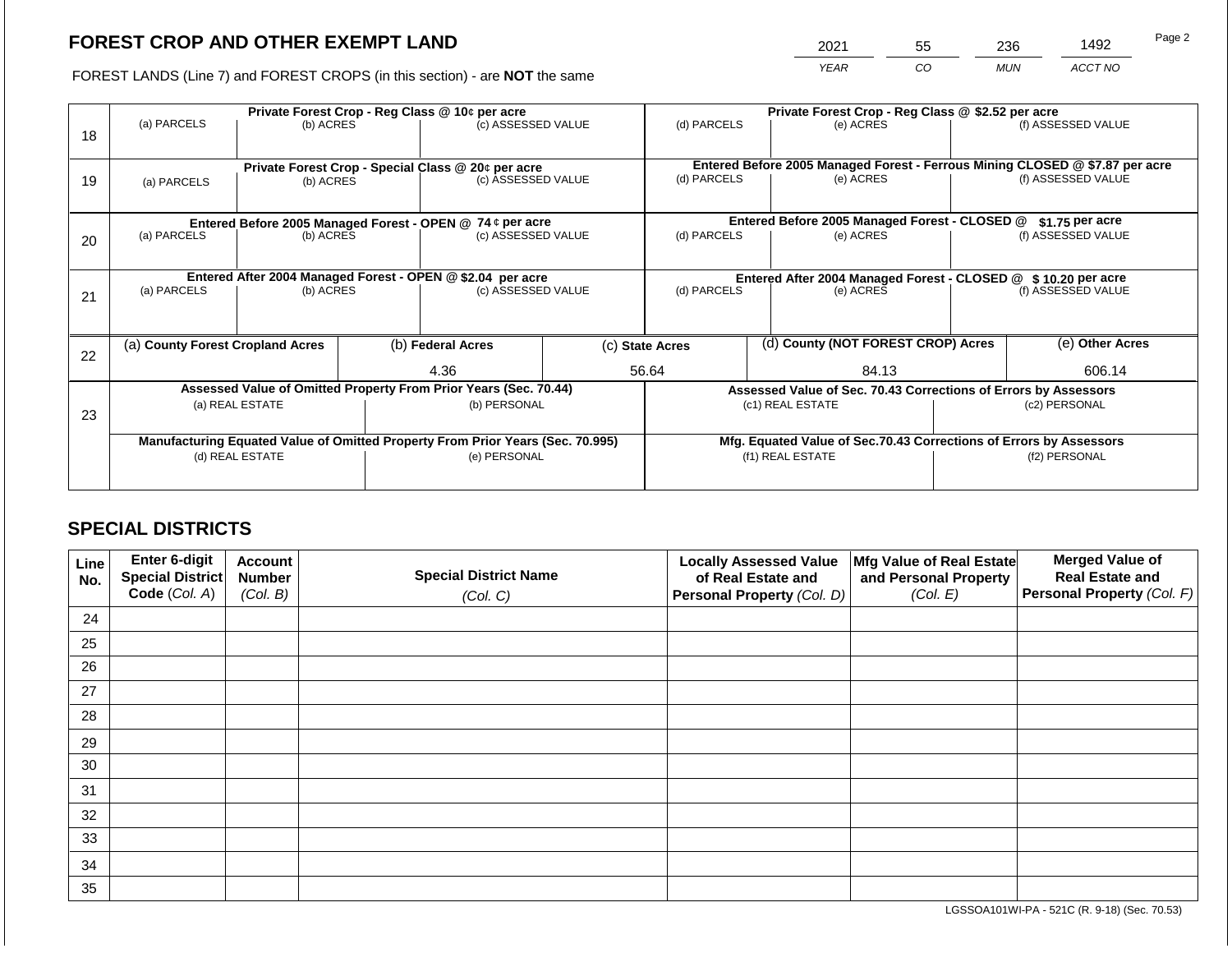2021 55 236 1492

FOREST LANDS (Line 7) and FOREST CROPS (in this section) - are **NOT** the same *YEAR CO MUN ACCT NO*

|    | Private Forest Crop - Reg Class @ 10¢ per acre            |                                                                                |                    |                    |                                               |                                                               | Private Forest Crop - Reg Class @ \$2.52 per acre                            |                                                                 |                                                                    |                    |  |
|----|-----------------------------------------------------------|--------------------------------------------------------------------------------|--------------------|--------------------|-----------------------------------------------|---------------------------------------------------------------|------------------------------------------------------------------------------|-----------------------------------------------------------------|--------------------------------------------------------------------|--------------------|--|
| 18 | (a) PARCELS                                               | (b) ACRES                                                                      |                    | (c) ASSESSED VALUE |                                               | (d) PARCELS                                                   |                                                                              | (e) ACRES                                                       |                                                                    | (f) ASSESSED VALUE |  |
|    |                                                           |                                                                                |                    |                    |                                               |                                                               |                                                                              |                                                                 |                                                                    |                    |  |
|    |                                                           | Private Forest Crop - Special Class @ 20¢ per acre                             |                    |                    |                                               |                                                               | Entered Before 2005 Managed Forest - Ferrous Mining CLOSED @ \$7.87 per acre |                                                                 |                                                                    |                    |  |
| 19 | (a) PARCELS                                               | (b) ACRES                                                                      |                    | (c) ASSESSED VALUE |                                               | (d) PARCELS                                                   |                                                                              | (e) ACRES                                                       |                                                                    | (f) ASSESSED VALUE |  |
|    |                                                           |                                                                                |                    |                    |                                               |                                                               |                                                                              |                                                                 |                                                                    |                    |  |
|    | Entered Before 2005 Managed Forest - OPEN @ 74 ¢ per acre |                                                                                |                    |                    | Entered Before 2005 Managed Forest - CLOSED @ |                                                               | \$1.75 per acre                                                              |                                                                 |                                                                    |                    |  |
| 20 | (a) PARCELS<br>(b) ACRES                                  |                                                                                | (c) ASSESSED VALUE |                    | (d) PARCELS                                   |                                                               | (e) ACRES                                                                    |                                                                 | (f) ASSESSED VALUE                                                 |                    |  |
|    |                                                           |                                                                                |                    |                    |                                               |                                                               |                                                                              |                                                                 |                                                                    |                    |  |
|    |                                                           | Entered After 2004 Managed Forest - OPEN @ \$2.04 per acre                     |                    |                    |                                               | Entered After 2004 Managed Forest - CLOSED @ \$10.20 per acre |                                                                              |                                                                 |                                                                    |                    |  |
| 21 | (a) PARCELS                                               | (b) ACRES                                                                      |                    | (c) ASSESSED VALUE |                                               | (d) PARCELS                                                   |                                                                              | (e) ACRES                                                       |                                                                    | (f) ASSESSED VALUE |  |
|    |                                                           |                                                                                |                    |                    |                                               |                                                               |                                                                              |                                                                 |                                                                    |                    |  |
|    |                                                           |                                                                                |                    |                    |                                               |                                                               |                                                                              |                                                                 |                                                                    |                    |  |
| 22 | (a) County Forest Cropland Acres                          |                                                                                |                    | (b) Federal Acres  |                                               | (d) County (NOT FOREST CROP) Acres<br>(c) State Acres         |                                                                              |                                                                 | (e) Other Acres                                                    |                    |  |
|    |                                                           |                                                                                |                    | 4.36               |                                               | 56.64                                                         |                                                                              | 84.13                                                           |                                                                    | 606.14             |  |
|    |                                                           | Assessed Value of Omitted Property From Prior Years (Sec. 70.44)               |                    |                    |                                               |                                                               |                                                                              | Assessed Value of Sec. 70.43 Corrections of Errors by Assessors |                                                                    |                    |  |
| 23 |                                                           | (a) REAL ESTATE                                                                |                    | (b) PERSONAL       |                                               |                                                               |                                                                              | (c1) REAL ESTATE                                                |                                                                    | (c2) PERSONAL      |  |
|    |                                                           |                                                                                |                    |                    |                                               |                                                               |                                                                              |                                                                 |                                                                    |                    |  |
|    |                                                           | Manufacturing Equated Value of Omitted Property From Prior Years (Sec. 70.995) |                    |                    |                                               |                                                               |                                                                              |                                                                 | Mfg. Equated Value of Sec.70.43 Corrections of Errors by Assessors |                    |  |
|    |                                                           | (d) REAL ESTATE                                                                |                    | (e) PERSONAL       | (f1) REAL ESTATE                              |                                                               |                                                                              | (f2) PERSONAL                                                   |                                                                    |                    |  |
|    |                                                           |                                                                                |                    |                    |                                               |                                                               |                                                                              |                                                                 |                                                                    |                    |  |
|    |                                                           |                                                                                |                    |                    |                                               |                                                               |                                                                              |                                                                 |                                                                    |                    |  |

# **SPECIAL DISTRICTS**

| Line<br>No. | Enter 6-digit<br>Special District | <b>Account</b><br><b>Number</b> | <b>Special District Name</b> | <b>Locally Assessed Value</b><br>of Real Estate and | Mfg Value of Real Estate<br>and Personal Property | <b>Merged Value of</b><br><b>Real Estate and</b> |
|-------------|-----------------------------------|---------------------------------|------------------------------|-----------------------------------------------------|---------------------------------------------------|--------------------------------------------------|
|             | Code (Col. A)                     | (Col. B)                        | (Col. C)                     | Personal Property (Col. D)                          | (Col. E)                                          | <b>Personal Property (Col. F)</b>                |
| 24          |                                   |                                 |                              |                                                     |                                                   |                                                  |
| 25          |                                   |                                 |                              |                                                     |                                                   |                                                  |
| 26          |                                   |                                 |                              |                                                     |                                                   |                                                  |
| 27          |                                   |                                 |                              |                                                     |                                                   |                                                  |
| 28          |                                   |                                 |                              |                                                     |                                                   |                                                  |
| 29          |                                   |                                 |                              |                                                     |                                                   |                                                  |
| 30          |                                   |                                 |                              |                                                     |                                                   |                                                  |
| 31          |                                   |                                 |                              |                                                     |                                                   |                                                  |
| 32          |                                   |                                 |                              |                                                     |                                                   |                                                  |
| 33          |                                   |                                 |                              |                                                     |                                                   |                                                  |
| 34          |                                   |                                 |                              |                                                     |                                                   |                                                  |
| 35          |                                   |                                 |                              |                                                     |                                                   |                                                  |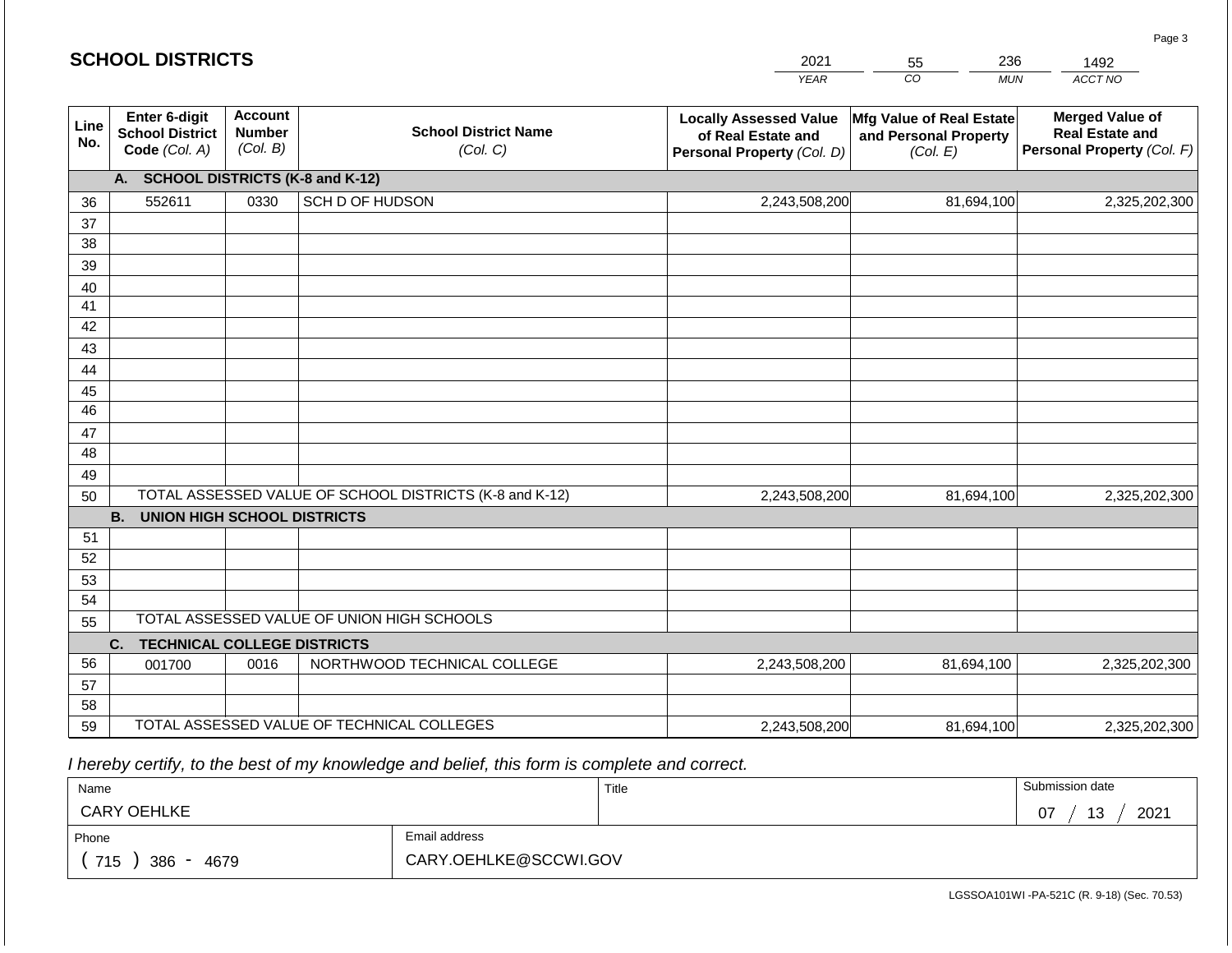|             | <b>SCHOOL DISTRICTS</b>                                  |                                             |                                                         | 2021                                                                              | 236<br>55                                                     | 1492                                                                           |
|-------------|----------------------------------------------------------|---------------------------------------------|---------------------------------------------------------|-----------------------------------------------------------------------------------|---------------------------------------------------------------|--------------------------------------------------------------------------------|
|             |                                                          |                                             |                                                         | <b>YEAR</b>                                                                       | CO <sub>.</sub><br><b>MUN</b>                                 | ACCT NO                                                                        |
| Line<br>No. | Enter 6-digit<br><b>School District</b><br>Code (Col. A) | <b>Account</b><br><b>Number</b><br>(Col. B) | <b>School District Name</b><br>(Col. C)                 | <b>Locally Assessed Value</b><br>of Real Estate and<br>Personal Property (Col. D) | Mfg Value of Real Estate<br>and Personal Property<br>(Col. E) | <b>Merged Value of</b><br><b>Real Estate and</b><br>Personal Property (Col. F) |
|             | A. SCHOOL DISTRICTS (K-8 and K-12)                       |                                             |                                                         |                                                                                   |                                                               |                                                                                |
| 36          | 552611                                                   | 0330                                        | SCH D OF HUDSON                                         | 2,243,508,200                                                                     | 81,694,100                                                    | 2,325,202,300                                                                  |
| 37          |                                                          |                                             |                                                         |                                                                                   |                                                               |                                                                                |
| 38          |                                                          |                                             |                                                         |                                                                                   |                                                               |                                                                                |
| 39          |                                                          |                                             |                                                         |                                                                                   |                                                               |                                                                                |
| 40          |                                                          |                                             |                                                         |                                                                                   |                                                               |                                                                                |
| 41<br>42    |                                                          |                                             |                                                         |                                                                                   |                                                               |                                                                                |
| 43          |                                                          |                                             |                                                         |                                                                                   |                                                               |                                                                                |
| 44          |                                                          |                                             |                                                         |                                                                                   |                                                               |                                                                                |
| 45          |                                                          |                                             |                                                         |                                                                                   |                                                               |                                                                                |
| 46          |                                                          |                                             |                                                         |                                                                                   |                                                               |                                                                                |
| 47          |                                                          |                                             |                                                         |                                                                                   |                                                               |                                                                                |
| 48          |                                                          |                                             |                                                         |                                                                                   |                                                               |                                                                                |
| 49          |                                                          |                                             |                                                         |                                                                                   |                                                               |                                                                                |
| 50          |                                                          |                                             | TOTAL ASSESSED VALUE OF SCHOOL DISTRICTS (K-8 and K-12) | 2,243,508,200                                                                     | 81,694,100                                                    | 2,325,202,300                                                                  |
|             | <b>B. UNION HIGH SCHOOL DISTRICTS</b>                    |                                             |                                                         |                                                                                   |                                                               |                                                                                |
| 51          |                                                          |                                             |                                                         |                                                                                   |                                                               |                                                                                |
| 52          |                                                          |                                             |                                                         |                                                                                   |                                                               |                                                                                |
| 53          |                                                          |                                             |                                                         |                                                                                   |                                                               |                                                                                |
| 54<br>55    |                                                          |                                             | TOTAL ASSESSED VALUE OF UNION HIGH SCHOOLS              |                                                                                   |                                                               |                                                                                |
|             | <b>TECHNICAL COLLEGE DISTRICTS</b><br>C.                 |                                             |                                                         |                                                                                   |                                                               |                                                                                |
| 56          | 001700                                                   | 0016                                        | NORTHWOOD TECHNICAL COLLEGE                             | 2,243,508,200                                                                     | 81,694,100                                                    | 2,325,202,300                                                                  |
| 57          |                                                          |                                             |                                                         |                                                                                   |                                                               |                                                                                |
| 58          |                                                          |                                             |                                                         |                                                                                   |                                                               |                                                                                |
| 59          |                                                          |                                             | TOTAL ASSESSED VALUE OF TECHNICAL COLLEGES              | 2,243,508,200                                                                     | 81,694,100                                                    | 2,325,202,300                                                                  |

 *I hereby certify, to the best of my knowledge and belief, this form is complete and correct.*

| Name               |                       | Title | Submission date  |  |  |  |
|--------------------|-----------------------|-------|------------------|--|--|--|
| <b>CARY OEHLKE</b> |                       |       | 2021<br>07<br>13 |  |  |  |
| Phone              | Email address         |       |                  |  |  |  |
| 715<br>386<br>4679 | CARY.OEHLKE@SCCWI.GOV |       |                  |  |  |  |

LGSSOA101WI -PA-521C (R. 9-18) (Sec. 70.53)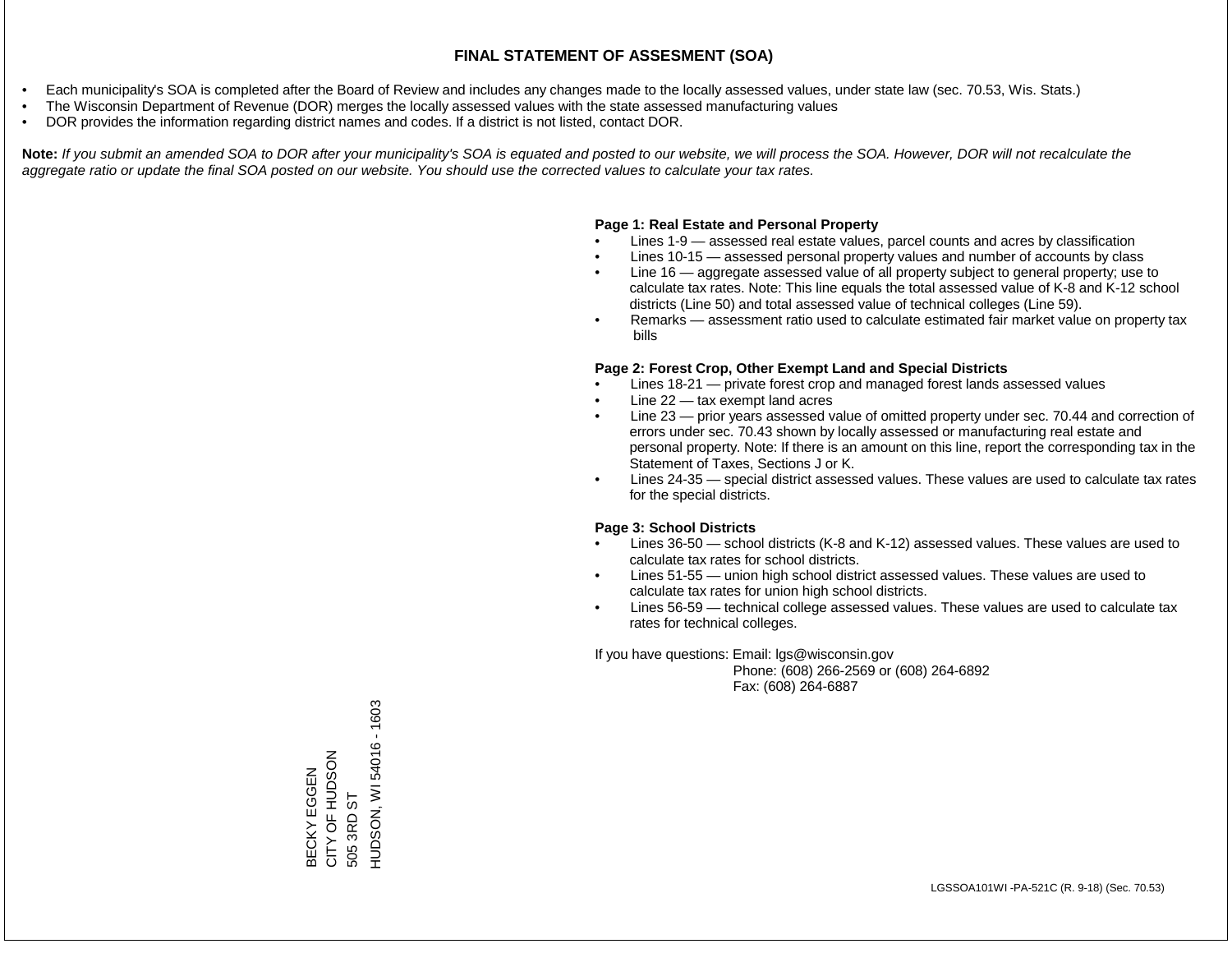- Each municipality's SOA is completed after the Board of Review and includes any changes made to the locally assessed values, under state law (sec. 70.53, Wis. Stats.)
- The Wisconsin Department of Revenue (DOR) merges the locally assessed values with the state assessed manufacturing values
- DOR provides the information regarding district names and codes. If a district is not listed, contact DOR.

Note: If you submit an amended SOA to DOR after your municipality's SOA is equated and posted to our website, we will process the SOA. However, DOR will not recalculate the *aggregate ratio or update the final SOA posted on our website. You should use the corrected values to calculate your tax rates.*

#### **Page 1: Real Estate and Personal Property**

- Lines 1-9 assessed real estate values, parcel counts and acres by classification
- Lines 10-15 assessed personal property values and number of accounts by class
- Line 16 aggregate assessed value of all property subject to general property; use to calculate tax rates. Note: This line equals the total assessed value of K-8 and K-12 school districts (Line 50) and total assessed value of technical colleges (Line 59).
- Remarks assessment ratio used to calculate estimated fair market value on property tax bills

#### **Page 2: Forest Crop, Other Exempt Land and Special Districts**

- Lines 18-21 private forest crop and managed forest lands assessed values
- Line  $22 -$  tax exempt land acres
- Line 23 prior years assessed value of omitted property under sec. 70.44 and correction of errors under sec. 70.43 shown by locally assessed or manufacturing real estate and personal property. Note: If there is an amount on this line, report the corresponding tax in the Statement of Taxes, Sections J or K.
- Lines 24-35 special district assessed values. These values are used to calculate tax rates for the special districts.

#### **Page 3: School Districts**

- Lines 36-50 school districts (K-8 and K-12) assessed values. These values are used to calculate tax rates for school districts.
- Lines 51-55 union high school district assessed values. These values are used to calculate tax rates for union high school districts.
- Lines 56-59 technical college assessed values. These values are used to calculate tax rates for technical colleges.

If you have questions: Email: lgs@wisconsin.gov

 Phone: (608) 266-2569 or (608) 264-6892 Fax: (608) 264-6887

BECKY EGGEN 505 3RD ST CITY OF HUDSON HUDSON, WI 54016 - 1603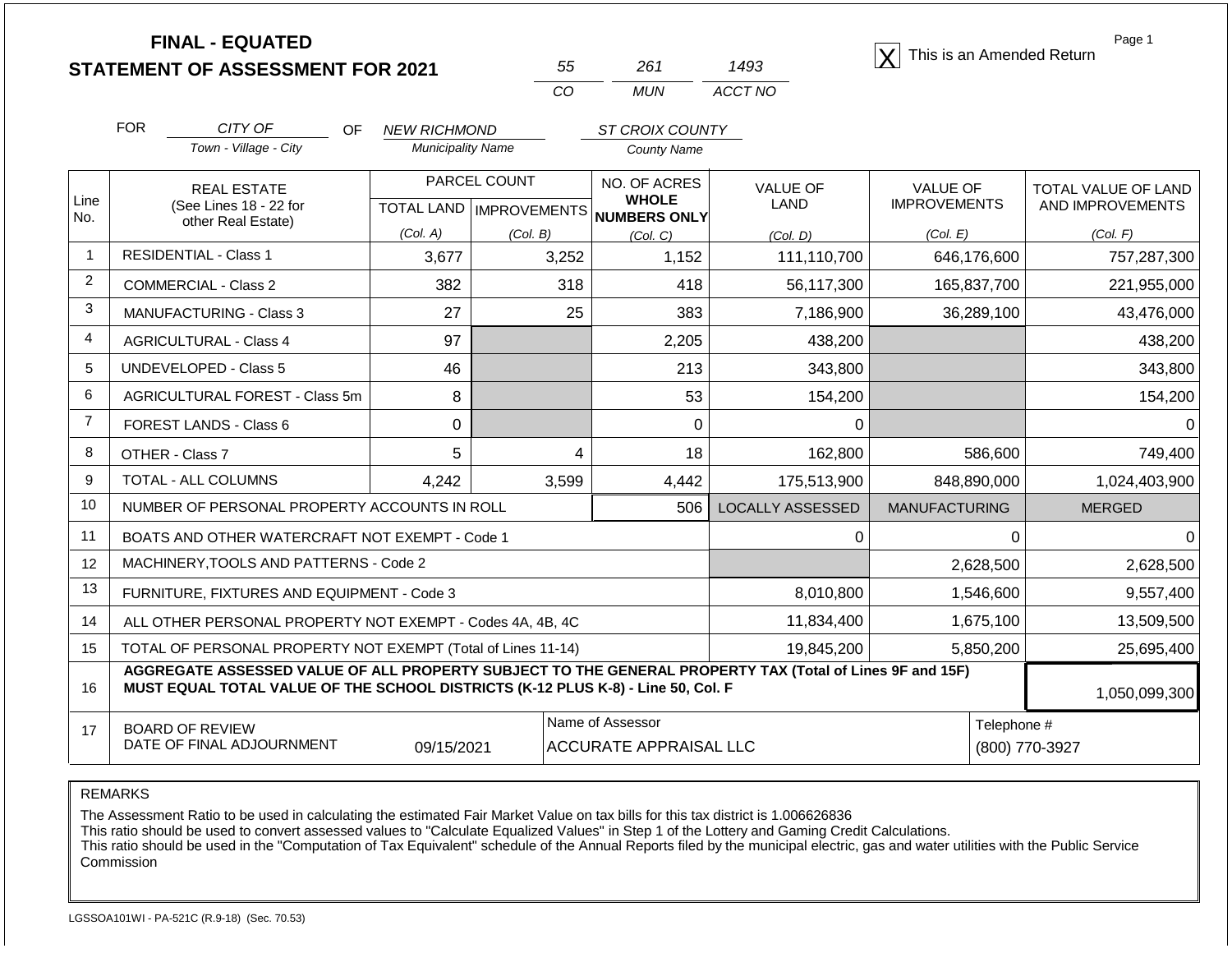|                   | <b>FINAL - EQUATED</b><br><b>STATEMENT OF ASSESSMENT FOR 2021</b>                                                                                                                            |                                                 | 55                                                           | 261                                                             | 1493                    | This is an Amended Return                          | Page 1                                              |
|-------------------|----------------------------------------------------------------------------------------------------------------------------------------------------------------------------------------------|-------------------------------------------------|--------------------------------------------------------------|-----------------------------------------------------------------|-------------------------|----------------------------------------------------|-----------------------------------------------------|
|                   |                                                                                                                                                                                              |                                                 | CO                                                           | <b>MUN</b>                                                      | ACCT NO                 |                                                    |                                                     |
|                   | <b>FOR</b><br>CITY OF<br>OF.<br>Town - Village - City                                                                                                                                        | <b>NEW RICHMOND</b><br><b>Municipality Name</b> |                                                              | ST CROIX COUNTY<br><b>County Name</b>                           |                         |                                                    |                                                     |
| Line<br>No.       | <b>REAL ESTATE</b><br>(See Lines 18 - 22 for<br>other Real Estate)                                                                                                                           | (Col. A)                                        | PARCEL COUNT<br><b>TOTAL LAND   IMPROVEMENTS</b><br>(Col. B) | NO. OF ACRES<br><b>WHOLE</b><br><b>NUMBERS ONLY</b><br>(Col, C) | <b>VALUE OF</b><br>LAND | <b>VALUE OF</b><br><b>IMPROVEMENTS</b><br>(Col. E) | TOTAL VALUE OF LAND<br>AND IMPROVEMENTS<br>(Col. F) |
| 1                 | <b>RESIDENTIAL - Class 1</b>                                                                                                                                                                 | 3,677                                           | 3,252                                                        | 1,152                                                           | (Col, D)<br>111,110,700 | 646,176,600                                        | 757,287,300                                         |
| $\overline{c}$    | <b>COMMERCIAL - Class 2</b>                                                                                                                                                                  | 382                                             | 318                                                          | 418                                                             | 56,117,300              | 165,837,700                                        | 221,955,000                                         |
| 3                 | 27<br><b>MANUFACTURING - Class 3</b>                                                                                                                                                         |                                                 | 25                                                           | 383                                                             | 7,186,900               | 36,289,100                                         | 43,476,000                                          |
| 4                 | 97<br><b>AGRICULTURAL - Class 4</b>                                                                                                                                                          |                                                 |                                                              | 2,205                                                           | 438,200                 |                                                    | 438,200                                             |
| 5                 | <b>UNDEVELOPED - Class 5</b><br>46                                                                                                                                                           |                                                 |                                                              | 213                                                             | 343,800                 |                                                    | 343,800                                             |
| 6                 | AGRICULTURAL FOREST - Class 5m                                                                                                                                                               | 8                                               |                                                              | 53                                                              | 154,200                 |                                                    | 154,200                                             |
| $\overline{7}$    | FOREST LANDS - Class 6                                                                                                                                                                       | $\Omega$                                        |                                                              | $\Omega$                                                        | 0                       |                                                    |                                                     |
| 8                 | OTHER - Class 7                                                                                                                                                                              | 5                                               | 4                                                            | 18                                                              | 162,800                 | 586,600                                            | 749,400                                             |
| 9                 | TOTAL - ALL COLUMNS                                                                                                                                                                          | 4,242                                           | 3,599                                                        | 4,442                                                           | 175,513,900             | 848,890,000                                        | 1,024,403,900                                       |
| 10                | NUMBER OF PERSONAL PROPERTY ACCOUNTS IN ROLL                                                                                                                                                 |                                                 |                                                              | 506                                                             | <b>LOCALLY ASSESSED</b> | <b>MANUFACTURING</b>                               | <b>MERGED</b>                                       |
| 11                | BOATS AND OTHER WATERCRAFT NOT EXEMPT - Code 1                                                                                                                                               |                                                 |                                                              |                                                                 | 0                       | $\Omega$                                           | $\Omega$                                            |
| $12 \overline{ }$ | MACHINERY, TOOLS AND PATTERNS - Code 2                                                                                                                                                       |                                                 |                                                              |                                                                 |                         | 2,628,500                                          | 2,628,500                                           |
| 13                | FURNITURE, FIXTURES AND EQUIPMENT - Code 3                                                                                                                                                   |                                                 |                                                              |                                                                 | 8,010,800               | 1,546,600                                          | 9,557,400                                           |
| 14                | ALL OTHER PERSONAL PROPERTY NOT EXEMPT - Codes 4A, 4B, 4C                                                                                                                                    |                                                 |                                                              |                                                                 | 11,834,400              | 1,675,100                                          | 13,509,500                                          |
| 15                | TOTAL OF PERSONAL PROPERTY NOT EXEMPT (Total of Lines 11-14)                                                                                                                                 | 5,850,200                                       | 25,695,400                                                   |                                                                 |                         |                                                    |                                                     |
| 16                | AGGREGATE ASSESSED VALUE OF ALL PROPERTY SUBJECT TO THE GENERAL PROPERTY TAX (Total of Lines 9F and 15F)<br>MUST EQUAL TOTAL VALUE OF THE SCHOOL DISTRICTS (K-12 PLUS K-8) - Line 50, Col. F |                                                 |                                                              |                                                                 |                         |                                                    | 1,050,099,300                                       |
| 17                | <b>BOARD OF REVIEW</b><br>DATE OF FINAL ADJOURNMENT                                                                                                                                          | 09/15/2021                                      |                                                              | Name of Assessor<br><b>ACCURATE APPRAISAL LLC</b>               |                         | Telephone #                                        | (800) 770-3927                                      |

The Assessment Ratio to be used in calculating the estimated Fair Market Value on tax bills for this tax district is 1.006626836

This ratio should be used to convert assessed values to "Calculate Equalized Values" in Step 1 of the Lottery and Gaming Credit Calculations.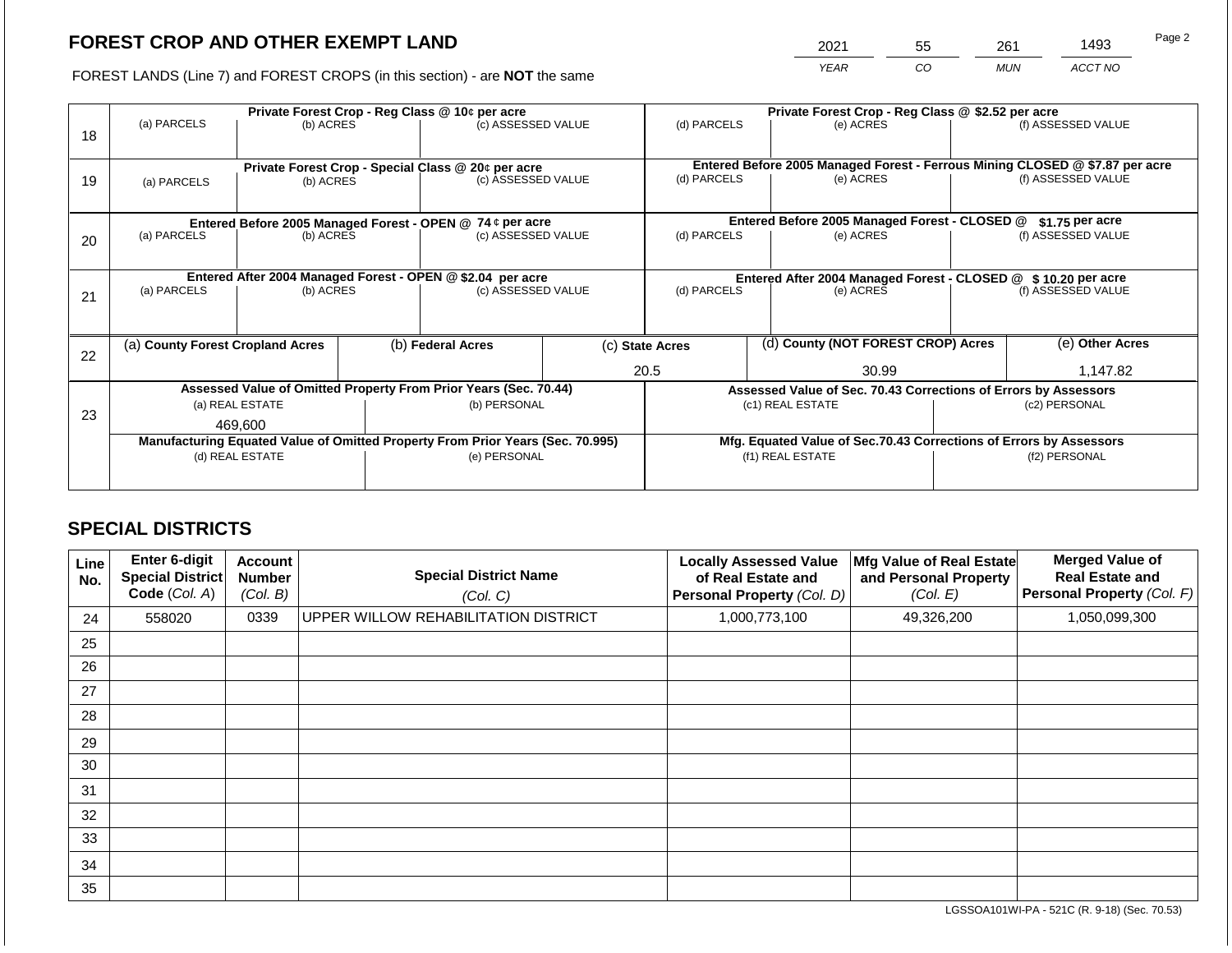2021 55 261 1493

FOREST LANDS (Line 7) and FOREST CROPS (in this section) - are **NOT** the same *YEAR CO MUN ACCT NO*

|    |                                                           |                 |  | Private Forest Crop - Reg Class @ 10¢ per acre                                 |                                               | Private Forest Crop - Reg Class @ \$2.52 per acre                            |                                    |                                                                    |               |                    |
|----|-----------------------------------------------------------|-----------------|--|--------------------------------------------------------------------------------|-----------------------------------------------|------------------------------------------------------------------------------|------------------------------------|--------------------------------------------------------------------|---------------|--------------------|
| 18 | (a) PARCELS                                               | (b) ACRES       |  | (c) ASSESSED VALUE                                                             |                                               | (d) PARCELS                                                                  |                                    | (e) ACRES                                                          |               | (f) ASSESSED VALUE |
|    |                                                           |                 |  |                                                                                |                                               |                                                                              |                                    |                                                                    |               |                    |
|    |                                                           |                 |  | Private Forest Crop - Special Class @ 20¢ per acre                             |                                               | Entered Before 2005 Managed Forest - Ferrous Mining CLOSED @ \$7.87 per acre |                                    |                                                                    |               |                    |
| 19 | (a) PARCELS                                               | (b) ACRES       |  | (c) ASSESSED VALUE                                                             |                                               | (d) PARCELS                                                                  |                                    | (e) ACRES                                                          |               | (f) ASSESSED VALUE |
|    |                                                           |                 |  |                                                                                |                                               |                                                                              |                                    |                                                                    |               |                    |
|    | Entered Before 2005 Managed Forest - OPEN @ 74 ¢ per acre |                 |  |                                                                                | Entered Before 2005 Managed Forest - CLOSED @ |                                                                              | $$1.75$ per acre                   |                                                                    |               |                    |
| 20 | (a) PARCELS<br>(c) ASSESSED VALUE<br>(b) ACRES            |                 |  | (d) PARCELS                                                                    |                                               | (e) ACRES                                                                    |                                    | (f) ASSESSED VALUE                                                 |               |                    |
|    |                                                           |                 |  |                                                                                |                                               |                                                                              |                                    |                                                                    |               |                    |
|    |                                                           |                 |  | Entered After 2004 Managed Forest - OPEN @ \$2.04 per acre                     |                                               |                                                                              |                                    | Entered After 2004 Managed Forest - CLOSED @ \$10.20 per acre      |               |                    |
| 21 | (a) PARCELS                                               | (b) ACRES       |  | (c) ASSESSED VALUE                                                             |                                               | (d) PARCELS                                                                  | (e) ACRES                          |                                                                    |               | (f) ASSESSED VALUE |
|    |                                                           |                 |  |                                                                                |                                               |                                                                              |                                    |                                                                    |               |                    |
|    | (a) County Forest Cropland Acres                          |                 |  | (b) Federal Acres                                                              | (c) State Acres                               |                                                                              | (d) County (NOT FOREST CROP) Acres | (e) Other Acres                                                    |               |                    |
| 22 |                                                           |                 |  |                                                                                |                                               |                                                                              |                                    |                                                                    |               |                    |
|    |                                                           |                 |  |                                                                                |                                               | 20.5                                                                         |                                    | 30.99                                                              |               | 1,147.82           |
|    |                                                           |                 |  | Assessed Value of Omitted Property From Prior Years (Sec. 70.44)               |                                               |                                                                              |                                    | Assessed Value of Sec. 70.43 Corrections of Errors by Assessors    |               |                    |
| 23 |                                                           | (a) REAL ESTATE |  | (b) PERSONAL                                                                   |                                               |                                                                              |                                    | (c1) REAL ESTATE                                                   |               | (c2) PERSONAL      |
|    |                                                           | 469.600         |  |                                                                                |                                               |                                                                              |                                    |                                                                    |               |                    |
|    |                                                           |                 |  | Manufacturing Equated Value of Omitted Property From Prior Years (Sec. 70.995) |                                               |                                                                              |                                    | Mfg. Equated Value of Sec.70.43 Corrections of Errors by Assessors |               |                    |
|    |                                                           | (d) REAL ESTATE |  | (e) PERSONAL                                                                   |                                               |                                                                              |                                    | (f1) REAL ESTATE                                                   | (f2) PERSONAL |                    |
|    |                                                           |                 |  |                                                                                |                                               |                                                                              |                                    |                                                                    |               |                    |

# **SPECIAL DISTRICTS**

| Line<br>No. | Enter 6-digit<br>Special District<br>Code (Col. A) | <b>Account</b><br><b>Number</b><br>(Col. B) | <b>Special District Name</b><br>(Col. C) | <b>Locally Assessed Value</b><br>of Real Estate and<br>Personal Property (Col. D) | Mfg Value of Real Estate<br>and Personal Property<br>(Col. E) | <b>Merged Value of</b><br><b>Real Estate and</b><br>Personal Property (Col. F) |
|-------------|----------------------------------------------------|---------------------------------------------|------------------------------------------|-----------------------------------------------------------------------------------|---------------------------------------------------------------|--------------------------------------------------------------------------------|
| 24          | 558020                                             | 0339                                        | UPPER WILLOW REHABILITATION DISTRICT     | 1,000,773,100                                                                     | 49,326,200                                                    | 1,050,099,300                                                                  |
| 25          |                                                    |                                             |                                          |                                                                                   |                                                               |                                                                                |
| 26          |                                                    |                                             |                                          |                                                                                   |                                                               |                                                                                |
| 27          |                                                    |                                             |                                          |                                                                                   |                                                               |                                                                                |
| 28          |                                                    |                                             |                                          |                                                                                   |                                                               |                                                                                |
| 29          |                                                    |                                             |                                          |                                                                                   |                                                               |                                                                                |
| 30          |                                                    |                                             |                                          |                                                                                   |                                                               |                                                                                |
| 31          |                                                    |                                             |                                          |                                                                                   |                                                               |                                                                                |
| 32          |                                                    |                                             |                                          |                                                                                   |                                                               |                                                                                |
| 33          |                                                    |                                             |                                          |                                                                                   |                                                               |                                                                                |
| 34          |                                                    |                                             |                                          |                                                                                   |                                                               |                                                                                |
| 35          |                                                    |                                             |                                          |                                                                                   |                                                               |                                                                                |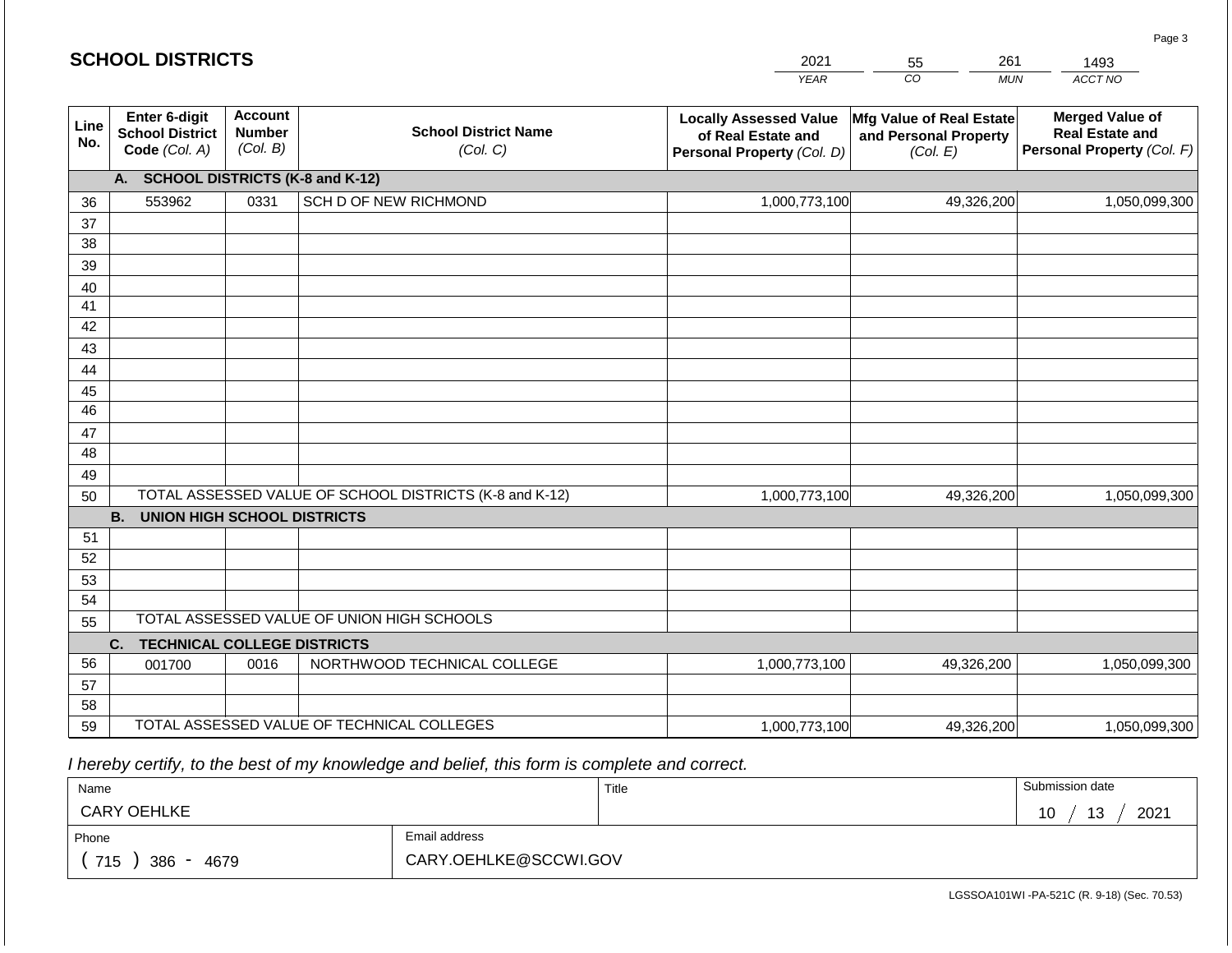#### *YEAR*  2021  $\overline{co}$ 55 *MUN*  261 *ACCT NO*  1493 **Line No. Enter 6-digit School District Code** *(Col. A)* **Account Number** *(Col. B)* **School District Name** *(Col. C)* **Locally Assessed Value of Real Estate and Personal Property** *(Col. D)* **Mfg Value of Real Estate and Personal Property** *(Col. E)* **Merged Value of Real Estate and Personal Property** *(Col. F)* **A. SCHOOL DISTRICTS (K-8 and K-12)** 36 37 38 39 40 41 42 43 44 45 46 47 48 49 50 TOTAL ASSESSED VALUE OF SCHOOL DISTRICTS (K-8 and K-12) **B. UNION HIGH SCHOOL DISTRICTS** 51 52 53 54 55 **C. TECHNICAL COLLEGE DISTRICTS** 56 57 58 59 TOTAL ASSESSED VALUE OF TECHNICAL COLLEGES TOTAL ASSESSED VALUE OF UNION HIGH SCHOOLS 553962 0331 SCH D OF NEW RICHMOND 1,000,773,100 1,000,773,100 001700 | 0016 | NORTHWOOD TECHNICAL COLLEGE 1,000,773,100 49,326,200 1,050,099,300 49,326,200 1,050,099,300 49,326,200 1,050,099,300 1,000,773,100 49,326,200 1,050,099,300

 *I hereby certify, to the best of my knowledge and belief, this form is complete and correct.*

| Name                                           |                       | Title | Submission date                                           |
|------------------------------------------------|-----------------------|-------|-----------------------------------------------------------|
| <b>CARY OEHLKE</b>                             |                       |       | 2021<br>$\sqrt{2}$<br>$\overline{A}$ $\overline{C}$<br>┙╹ |
| Phone                                          | Email address         |       |                                                           |
| 715<br>386<br>4679<br>$\overline{\phantom{0}}$ | CARY.OEHLKE@SCCWI.GOV |       |                                                           |

LGSSOA101WI -PA-521C (R. 9-18) (Sec. 70.53)

|  | <b>SCHOOL DISTRICTS</b> |
|--|-------------------------|
|--|-------------------------|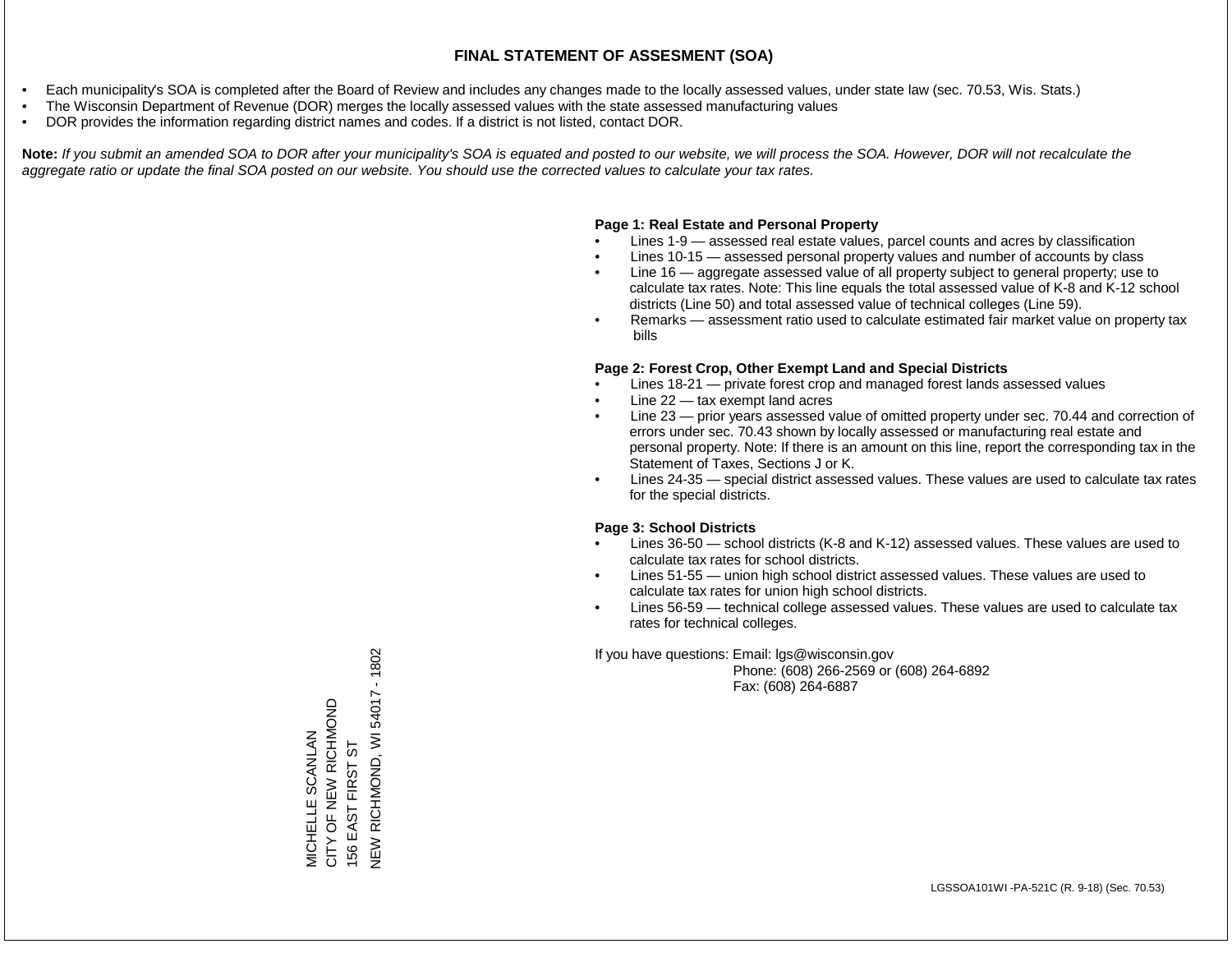- Each municipality's SOA is completed after the Board of Review and includes any changes made to the locally assessed values, under state law (sec. 70.53, Wis. Stats.)
- The Wisconsin Department of Revenue (DOR) merges the locally assessed values with the state assessed manufacturing values
- DOR provides the information regarding district names and codes. If a district is not listed, contact DOR.

Note: If you submit an amended SOA to DOR after your municipality's SOA is equated and posted to our website, we will process the SOA. However, DOR will not recalculate the *aggregate ratio or update the final SOA posted on our website. You should use the corrected values to calculate your tax rates.*

### **Page 1: Real Estate and Personal Property**

- Lines 1-9 assessed real estate values, parcel counts and acres by classification
- Lines 10-15 assessed personal property values and number of accounts by class
- Line 16 aggregate assessed value of all property subject to general property; use to calculate tax rates. Note: This line equals the total assessed value of K-8 and K-12 school districts (Line 50) and total assessed value of technical colleges (Line 59).
- Remarks assessment ratio used to calculate estimated fair market value on property tax bills

### **Page 2: Forest Crop, Other Exempt Land and Special Districts**

- Lines 18-21 private forest crop and managed forest lands assessed values
- Line  $22 -$  tax exempt land acres
- Line 23 prior years assessed value of omitted property under sec. 70.44 and correction of errors under sec. 70.43 shown by locally assessed or manufacturing real estate and personal property. Note: If there is an amount on this line, report the corresponding tax in the Statement of Taxes, Sections J or K.
- Lines 24-35 special district assessed values. These values are used to calculate tax rates for the special districts.

### **Page 3: School Districts**

- Lines 36-50 school districts (K-8 and K-12) assessed values. These values are used to calculate tax rates for school districts.
- Lines 51-55 union high school district assessed values. These values are used to calculate tax rates for union high school districts.
- Lines 56-59 technical college assessed values. These values are used to calculate tax rates for technical colleges.

If you have questions: Email: lgs@wisconsin.gov

 Phone: (608) 266-2569 or (608) 264-6892 Fax: (608) 264-6887

VEW RICHMOND, WI 54017 - 1802 NEW RICHMOND, WI 54017 - 1902 MICHELLE SCANLAN<br>CITY OF NEW RICHMOND<br>156 EAST FIRST ST CITY OF NEW RICHMOND MICHELLE SCANLAN 156 EAST FIRST ST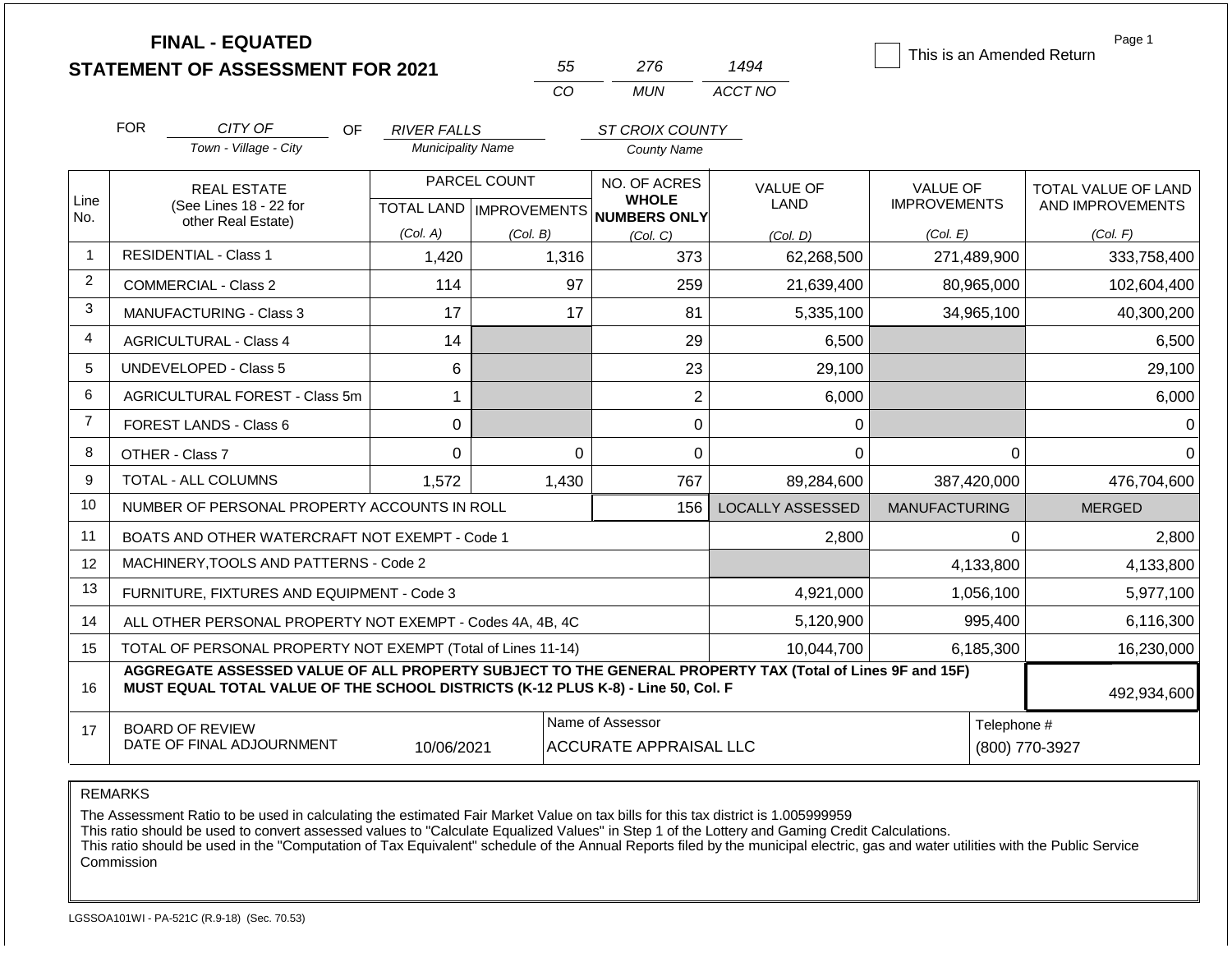|                |                                              | <b>FINAL - EQUATED</b><br><b>STATEMENT OF ASSESSMENT FOR 2021</b>                |                                                |              | 55       | 276                                               | 1494                                                                                                     |                      |             | Page 1<br>This is an Amended Return |
|----------------|----------------------------------------------|----------------------------------------------------------------------------------|------------------------------------------------|--------------|----------|---------------------------------------------------|----------------------------------------------------------------------------------------------------------|----------------------|-------------|-------------------------------------|
|                |                                              |                                                                                  |                                                |              | CO       | <b>MUN</b>                                        | ACCT NO                                                                                                  |                      |             |                                     |
|                |                                              |                                                                                  |                                                |              |          |                                                   |                                                                                                          |                      |             |                                     |
|                | <b>FOR</b>                                   | CITY OF<br>OF.<br>Town - Village - City                                          | <b>RIVER FALLS</b><br><b>Municipality Name</b> |              |          | ST CROIX COUNTY<br><b>County Name</b>             |                                                                                                          |                      |             |                                     |
|                |                                              |                                                                                  |                                                |              |          |                                                   |                                                                                                          |                      |             |                                     |
| Line           |                                              | <b>REAL ESTATE</b>                                                               |                                                | PARCEL COUNT |          | NO. OF ACRES<br><b>WHOLE</b>                      | <b>VALUE OF</b>                                                                                          | <b>VALUE OF</b>      |             | TOTAL VALUE OF LAND                 |
| No.            | (See Lines 18 - 22 for<br>other Real Estate) |                                                                                  |                                                |              |          | TOTAL LAND   IMPROVEMENTS   NUMBERS ONLY          | <b>LAND</b>                                                                                              | <b>IMPROVEMENTS</b>  |             | AND IMPROVEMENTS                    |
|                |                                              |                                                                                  | (Col. A)                                       | (Col. B)     |          | (Col, C)                                          | (Col. D)                                                                                                 | (Col. E)             |             | (Col. F)                            |
| $\overline{1}$ | <b>RESIDENTIAL - Class 1</b>                 |                                                                                  | 1,420                                          |              | 1,316    | 373                                               | 62,268,500                                                                                               |                      | 271,489,900 | 333,758,400                         |
| $\overline{2}$ | <b>COMMERCIAL - Class 2</b>                  |                                                                                  | 114                                            |              | 97       | 259                                               | 21,639,400                                                                                               |                      | 80,965,000  | 102,604,400                         |
| 3              |                                              | MANUFACTURING - Class 3                                                          | 17                                             |              | 17       | 81                                                | 5,335,100                                                                                                |                      | 34,965,100  | 40,300,200                          |
| 4              | 14<br><b>AGRICULTURAL - Class 4</b>          |                                                                                  |                                                |              | 29       | 6,500                                             |                                                                                                          |                      | 6,500       |                                     |
| 5              | <b>UNDEVELOPED - Class 5</b>                 |                                                                                  | 6                                              |              |          | 23                                                | 29,100                                                                                                   |                      |             | 29,100                              |
| 6              |                                              | AGRICULTURAL FOREST - Class 5m                                                   | $\mathbf{1}$                                   |              |          | $\overline{2}$                                    | 6,000                                                                                                    |                      |             | 6,000                               |
| $\overline{7}$ | <b>FOREST LANDS - Class 6</b>                |                                                                                  | 0                                              |              |          | 0                                                 | 0                                                                                                        |                      |             | $\Omega$                            |
| 8              | OTHER - Class 7                              |                                                                                  | $\Omega$                                       |              | $\Omega$ | 0                                                 | $\Omega$                                                                                                 | $\Omega$             |             | $\Omega$                            |
| 9              | TOTAL - ALL COLUMNS                          |                                                                                  | 1,572                                          |              | 1,430    | 767                                               | 89,284,600                                                                                               |                      | 387,420,000 | 476,704,600                         |
| 10             |                                              | NUMBER OF PERSONAL PROPERTY ACCOUNTS IN ROLL                                     |                                                |              |          | 156                                               | <b>LOCALLY ASSESSED</b>                                                                                  | <b>MANUFACTURING</b> |             | <b>MERGED</b>                       |
| 11             |                                              | BOATS AND OTHER WATERCRAFT NOT EXEMPT - Code 1                                   |                                                |              |          |                                                   | 2,800                                                                                                    |                      | $\Omega$    | 2,800                               |
| 12             |                                              | MACHINERY, TOOLS AND PATTERNS - Code 2                                           |                                                |              |          |                                                   |                                                                                                          |                      | 4,133,800   | 4,133,800                           |
| 13             |                                              | FURNITURE, FIXTURES AND EQUIPMENT - Code 3                                       |                                                |              |          |                                                   | 4,921,000                                                                                                |                      | 1,056,100   | 5,977,100                           |
| 14             |                                              | ALL OTHER PERSONAL PROPERTY NOT EXEMPT - Codes 4A, 4B, 4C                        |                                                |              |          |                                                   | 5,120,900                                                                                                |                      | 995,400     | 6,116,300                           |
| 15             |                                              | TOTAL OF PERSONAL PROPERTY NOT EXEMPT (Total of Lines 11-14)                     |                                                |              |          |                                                   | 10,044,700                                                                                               | 6,185,300            |             | 16,230,000                          |
| 16             |                                              | MUST EQUAL TOTAL VALUE OF THE SCHOOL DISTRICTS (K-12 PLUS K-8) - Line 50, Col. F |                                                |              |          |                                                   | AGGREGATE ASSESSED VALUE OF ALL PROPERTY SUBJECT TO THE GENERAL PROPERTY TAX (Total of Lines 9F and 15F) |                      |             | 492,934,600                         |
| 17             | <b>BOARD OF REVIEW</b>                       | DATE OF FINAL ADJOURNMENT                                                        | 10/06/2021                                     |              |          | Name of Assessor<br><b>ACCURATE APPRAISAL LLC</b> |                                                                                                          |                      | Telephone # | (800) 770-3927                      |

The Assessment Ratio to be used in calculating the estimated Fair Market Value on tax bills for this tax district is 1.005999959

This ratio should be used to convert assessed values to "Calculate Equalized Values" in Step 1 of the Lottery and Gaming Credit Calculations.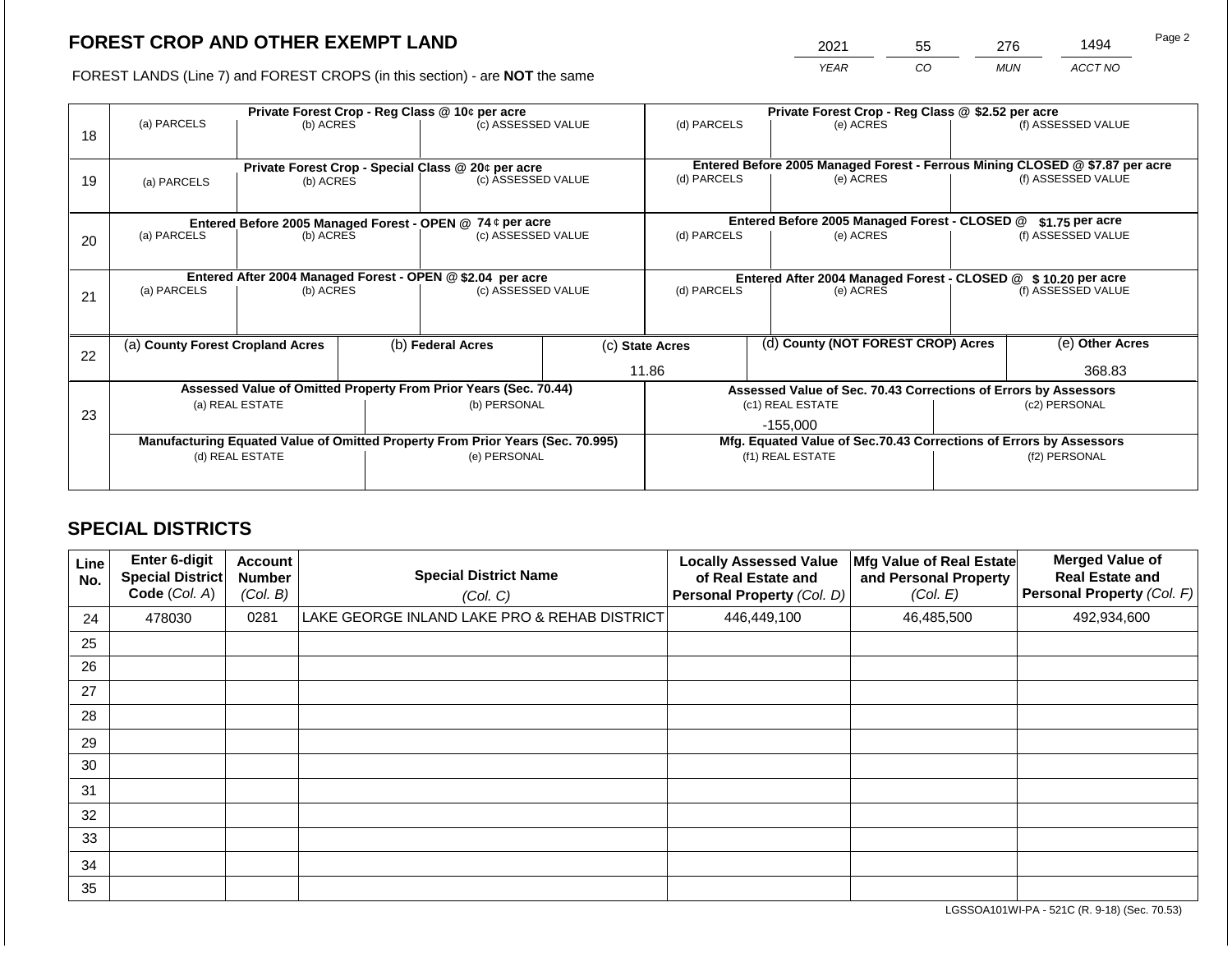2021 55 276 1494

FOREST LANDS (Line 7) and FOREST CROPS (in this section) - are **NOT** the same *YEAR CO MUN ACCT NO*

| 18 | (a) PARCELS                                                                    | (b) ACRES       |                                                                 | Private Forest Crop - Reg Class @ 10¢ per acre<br>(c) ASSESSED VALUE     |                                                       | Private Forest Crop - Reg Class @ \$2.52 per acre<br>(d) PARCELS<br>(e) ACRES |  | (f) ASSESSED VALUE                                                                        |                    |                    |
|----|--------------------------------------------------------------------------------|-----------------|-----------------------------------------------------------------|--------------------------------------------------------------------------|-------------------------------------------------------|-------------------------------------------------------------------------------|--|-------------------------------------------------------------------------------------------|--------------------|--------------------|
| 19 | (a) PARCELS                                                                    | (b) ACRES       |                                                                 | Private Forest Crop - Special Class @ 20¢ per acre<br>(c) ASSESSED VALUE |                                                       | (d) PARCELS                                                                   |  | Entered Before 2005 Managed Forest - Ferrous Mining CLOSED @ \$7.87 per acre<br>(e) ACRES |                    | (f) ASSESSED VALUE |
|    | Entered Before 2005 Managed Forest - OPEN @ 74 ¢ per acre                      |                 |                                                                 |                                                                          |                                                       | Entered Before 2005 Managed Forest - CLOSED @<br>$$1.75$ per acre             |  |                                                                                           |                    |                    |
| 20 | (a) PARCELS<br>(b) ACRES                                                       |                 |                                                                 | (c) ASSESSED VALUE                                                       |                                                       | (d) PARCELS                                                                   |  | (e) ACRES                                                                                 | (f) ASSESSED VALUE |                    |
|    | Entered After 2004 Managed Forest - OPEN @ \$2.04 per acre                     |                 |                                                                 |                                                                          |                                                       | Entered After 2004 Managed Forest - CLOSED @ \$10.20 per acre                 |  |                                                                                           |                    |                    |
| 21 | (a) PARCELS                                                                    | (b) ACRES       |                                                                 | (c) ASSESSED VALUE                                                       |                                                       | (d) PARCELS                                                                   |  | (e) ACRES                                                                                 |                    | (f) ASSESSED VALUE |
|    |                                                                                |                 |                                                                 |                                                                          |                                                       |                                                                               |  |                                                                                           |                    |                    |
| 22 | (a) County Forest Cropland Acres                                               |                 | (b) Federal Acres                                               |                                                                          | (d) County (NOT FOREST CROP) Acres<br>(c) State Acres |                                                                               |  | (e) Other Acres                                                                           |                    |                    |
|    |                                                                                |                 |                                                                 |                                                                          |                                                       | 11.86                                                                         |  | 368.83                                                                                    |                    |                    |
|    | Assessed Value of Omitted Property From Prior Years (Sec. 70.44)               |                 | Assessed Value of Sec. 70.43 Corrections of Errors by Assessors |                                                                          |                                                       |                                                                               |  |                                                                                           |                    |                    |
| 23 | (a) REAL ESTATE                                                                |                 |                                                                 | (b) PERSONAL                                                             |                                                       | (c1) REAL ESTATE                                                              |  | (c2) PERSONAL                                                                             |                    |                    |
|    |                                                                                |                 |                                                                 |                                                                          |                                                       | $-155,000$                                                                    |  |                                                                                           |                    |                    |
|    | Manufacturing Equated Value of Omitted Property From Prior Years (Sec. 70.995) |                 |                                                                 |                                                                          |                                                       | Mfg. Equated Value of Sec.70.43 Corrections of Errors by Assessors            |  |                                                                                           |                    |                    |
|    |                                                                                | (d) REAL ESTATE |                                                                 | (e) PERSONAL                                                             |                                                       | (f1) REAL ESTATE                                                              |  | (f2) PERSONAL                                                                             |                    |                    |
|    |                                                                                |                 |                                                                 |                                                                          |                                                       |                                                                               |  |                                                                                           |                    |                    |

# **SPECIAL DISTRICTS**

| Line<br>No. | <b>Enter 6-digit</b><br><b>Special District</b><br>Code (Col. A) | <b>Account</b><br><b>Number</b><br>(Col. B) | <b>Special District Name</b><br>(Col. C)     | <b>Locally Assessed Value</b><br>of Real Estate and<br>Personal Property (Col. D) | Mfg Value of Real Estate<br>and Personal Property<br>(Col. E) | <b>Merged Value of</b><br><b>Real Estate and</b><br>Personal Property (Col. F) |
|-------------|------------------------------------------------------------------|---------------------------------------------|----------------------------------------------|-----------------------------------------------------------------------------------|---------------------------------------------------------------|--------------------------------------------------------------------------------|
| 24          | 478030                                                           | 0281                                        | LAKE GEORGE INLAND LAKE PRO & REHAB DISTRICT | 446,449,100                                                                       | 46,485,500                                                    | 492,934,600                                                                    |
| 25          |                                                                  |                                             |                                              |                                                                                   |                                                               |                                                                                |
| 26          |                                                                  |                                             |                                              |                                                                                   |                                                               |                                                                                |
| 27          |                                                                  |                                             |                                              |                                                                                   |                                                               |                                                                                |
| 28          |                                                                  |                                             |                                              |                                                                                   |                                                               |                                                                                |
| 29          |                                                                  |                                             |                                              |                                                                                   |                                                               |                                                                                |
| 30          |                                                                  |                                             |                                              |                                                                                   |                                                               |                                                                                |
| 31          |                                                                  |                                             |                                              |                                                                                   |                                                               |                                                                                |
| 32          |                                                                  |                                             |                                              |                                                                                   |                                                               |                                                                                |
| 33          |                                                                  |                                             |                                              |                                                                                   |                                                               |                                                                                |
| 34          |                                                                  |                                             |                                              |                                                                                   |                                                               |                                                                                |
| 35          |                                                                  |                                             |                                              |                                                                                   |                                                               |                                                                                |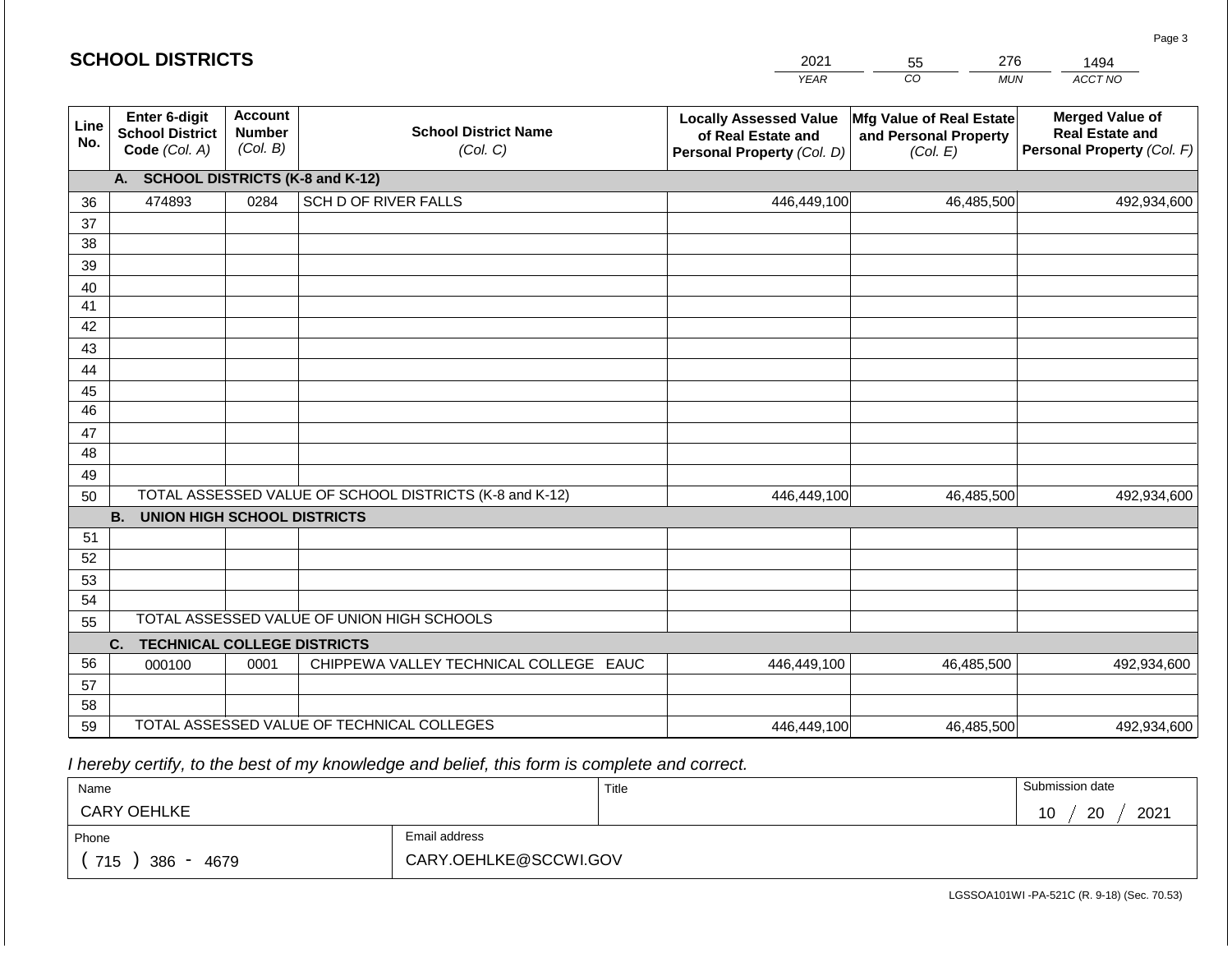|             | <b>SCHOOL DISTRICTS</b>                                         |                                                                                        |                                                         | 2021                                                                              | 276<br>55                                                     | 1494                                                                           |
|-------------|-----------------------------------------------------------------|----------------------------------------------------------------------------------------|---------------------------------------------------------|-----------------------------------------------------------------------------------|---------------------------------------------------------------|--------------------------------------------------------------------------------|
|             |                                                                 |                                                                                        |                                                         | <b>YEAR</b>                                                                       | CO<br><b>MUN</b>                                              | ACCT NO                                                                        |
| Line<br>No. | <b>Enter 6-digit</b><br><b>School District</b><br>Code (Col. A) | <b>Account</b><br><b>School District Name</b><br><b>Number</b><br>(Col. B)<br>(Col. C) |                                                         | <b>Locally Assessed Value</b><br>of Real Estate and<br>Personal Property (Col. D) | Mfg Value of Real Estate<br>and Personal Property<br>(Col. E) | <b>Merged Value of</b><br><b>Real Estate and</b><br>Personal Property (Col. F) |
|             | А.                                                              |                                                                                        | <b>SCHOOL DISTRICTS (K-8 and K-12)</b>                  |                                                                                   |                                                               |                                                                                |
| 36          | 474893                                                          | 0284                                                                                   | SCH D OF RIVER FALLS                                    | 446,449,100                                                                       | 46,485,500                                                    | 492,934,600                                                                    |
| 37          |                                                                 |                                                                                        |                                                         |                                                                                   |                                                               |                                                                                |
| 38          |                                                                 |                                                                                        |                                                         |                                                                                   |                                                               |                                                                                |
| 39          |                                                                 |                                                                                        |                                                         |                                                                                   |                                                               |                                                                                |
| 40          |                                                                 |                                                                                        |                                                         |                                                                                   |                                                               |                                                                                |
| 41          |                                                                 |                                                                                        |                                                         |                                                                                   |                                                               |                                                                                |
| 42          |                                                                 |                                                                                        |                                                         |                                                                                   |                                                               |                                                                                |
| 43          |                                                                 |                                                                                        |                                                         |                                                                                   |                                                               |                                                                                |
| 44<br>45    |                                                                 |                                                                                        |                                                         |                                                                                   |                                                               |                                                                                |
| 46          |                                                                 |                                                                                        |                                                         |                                                                                   |                                                               |                                                                                |
| 47          |                                                                 |                                                                                        |                                                         |                                                                                   |                                                               |                                                                                |
| 48          |                                                                 |                                                                                        |                                                         |                                                                                   |                                                               |                                                                                |
| 49          |                                                                 |                                                                                        |                                                         |                                                                                   |                                                               |                                                                                |
| 50          |                                                                 |                                                                                        | TOTAL ASSESSED VALUE OF SCHOOL DISTRICTS (K-8 and K-12) | 446,449,100                                                                       | 46,485,500                                                    | 492,934,600                                                                    |
|             | <b>B.</b><br><b>UNION HIGH SCHOOL DISTRICTS</b>                 |                                                                                        |                                                         |                                                                                   |                                                               |                                                                                |
| 51          |                                                                 |                                                                                        |                                                         |                                                                                   |                                                               |                                                                                |
| 52          |                                                                 |                                                                                        |                                                         |                                                                                   |                                                               |                                                                                |
| 53          |                                                                 |                                                                                        |                                                         |                                                                                   |                                                               |                                                                                |
| 54          |                                                                 |                                                                                        |                                                         |                                                                                   |                                                               |                                                                                |
| 55          |                                                                 |                                                                                        | TOTAL ASSESSED VALUE OF UNION HIGH SCHOOLS              |                                                                                   |                                                               |                                                                                |
|             | <b>TECHNICAL COLLEGE DISTRICTS</b><br>C.                        |                                                                                        |                                                         |                                                                                   |                                                               |                                                                                |
| 56          | 000100                                                          | 0001                                                                                   | CHIPPEWA VALLEY TECHNICAL COLLEGE EAUC                  | 446,449,100                                                                       | 46,485,500                                                    | 492,934,600                                                                    |
| 57<br>58    |                                                                 |                                                                                        |                                                         |                                                                                   |                                                               |                                                                                |
| 59          |                                                                 |                                                                                        | TOTAL ASSESSED VALUE OF TECHNICAL COLLEGES              | 446,449,100                                                                       | 46,485,500                                                    | 492,934,600                                                                    |
|             |                                                                 |                                                                                        |                                                         |                                                                                   |                                                               |                                                                                |

 *I hereby certify, to the best of my knowledge and belief, this form is complete and correct.*

| Name                         |                       | Title | Submission date         |  |  |  |
|------------------------------|-----------------------|-------|-------------------------|--|--|--|
| <b>CARY OEHLKE</b>           |                       |       | 2021<br>ാറ<br>10<br>້∠ບ |  |  |  |
| Phone                        | Email address         |       |                         |  |  |  |
| 715<br>386<br>4679<br>$\sim$ | CARY.OEHLKE@SCCWI.GOV |       |                         |  |  |  |